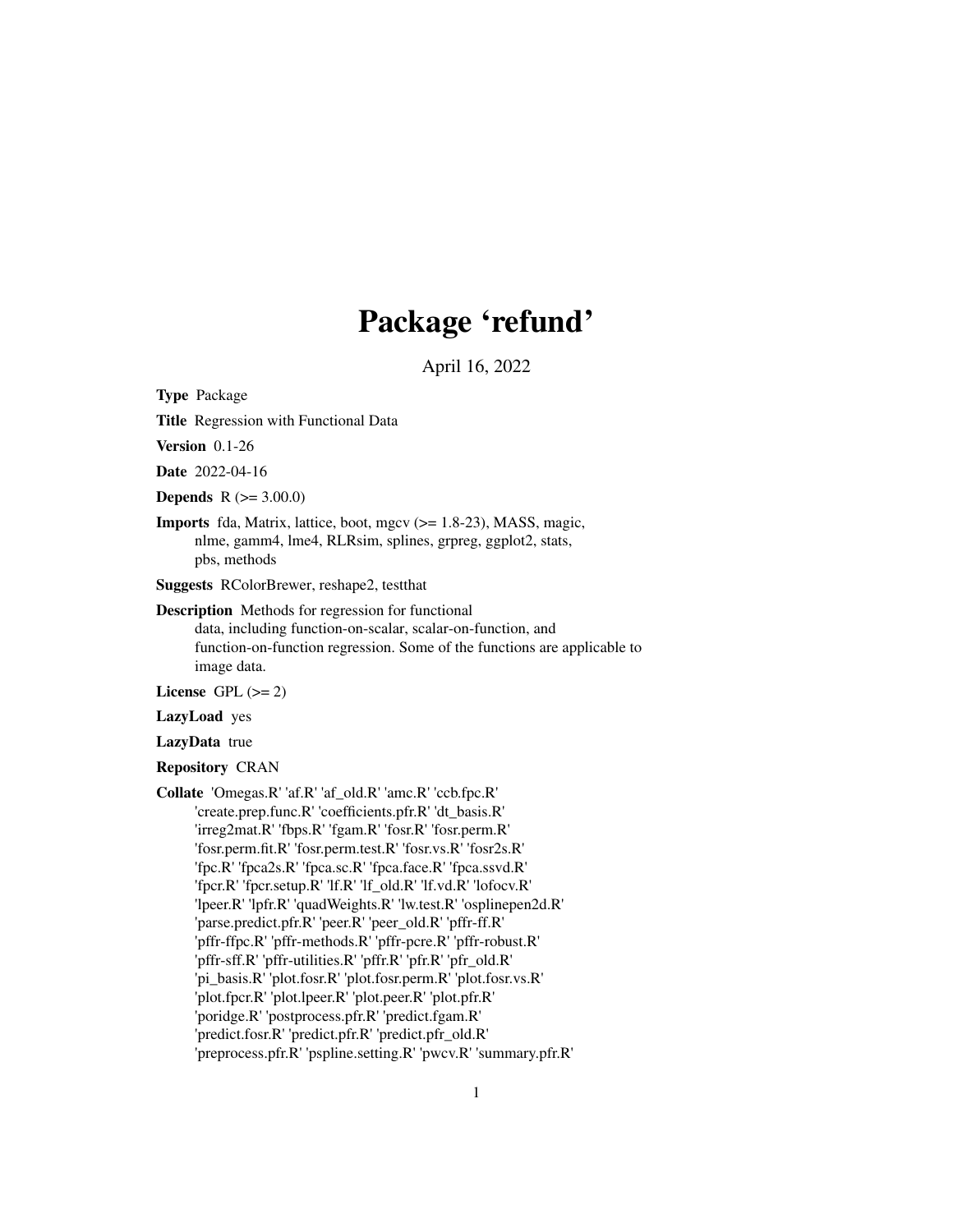# Package 'refund'

April 16, 2022

<span id="page-0-0"></span>Type Package

Title Regression with Functional Data

Version 0.1-26

Date 2022-04-16

**Depends** R  $(>= 3.00.0)$ 

Imports fda, Matrix, lattice, boot, mgcv (>= 1.8-23), MASS, magic, nlme, gamm4, lme4, RLRsim, splines, grpreg, ggplot2, stats, pbs, methods

Suggests RColorBrewer, reshape2, testthat

Description Methods for regression for functional data, including function-on-scalar, scalar-on-function, and function-on-function regression. Some of the functions are applicable to image data.

License GPL  $(>= 2)$ 

LazyLoad yes

LazyData true

Repository CRAN

Collate 'Omegas.R' 'af.R' 'af\_old.R' 'amc.R' 'ccb.fpc.R' 'create.prep.func.R' 'coefficients.pfr.R' 'dt\_basis.R' 'irreg2mat.R' 'fbps.R' 'fgam.R' 'fosr.R' 'fosr.perm.R' 'fosr.perm.fit.R' 'fosr.perm.test.R' 'fosr.vs.R' 'fosr2s.R' 'fpc.R' 'fpca2s.R' 'fpca.sc.R' 'fpca.face.R' 'fpca.ssvd.R' 'fpcr.R' 'fpcr.setup.R' 'lf.R' 'lf\_old.R' 'lf.vd.R' 'lofocv.R' 'lpeer.R' 'lpfr.R' 'quadWeights.R' 'lw.test.R' 'osplinepen2d.R' 'parse.predict.pfr.R' 'peer.R' 'peer\_old.R' 'pffr-ff.R' 'pffr-ffpc.R' 'pffr-methods.R' 'pffr-pcre.R' 'pffr-robust.R' 'pffr-sff.R' 'pffr-utilities.R' 'pffr.R' 'pfr.R' 'pfr\_old.R' 'pi\_basis.R' 'plot.fosr.R' 'plot.fosr.perm.R' 'plot.fosr.vs.R' 'plot.fpcr.R' 'plot.lpeer.R' 'plot.peer.R' 'plot.pfr.R' 'poridge.R' 'postprocess.pfr.R' 'predict.fgam.R' 'predict.fosr.R' 'predict.pfr.R' 'predict.pfr\_old.R' 'preprocess.pfr.R' 'pspline.setting.R' 'pwcv.R' 'summary.pfr.R'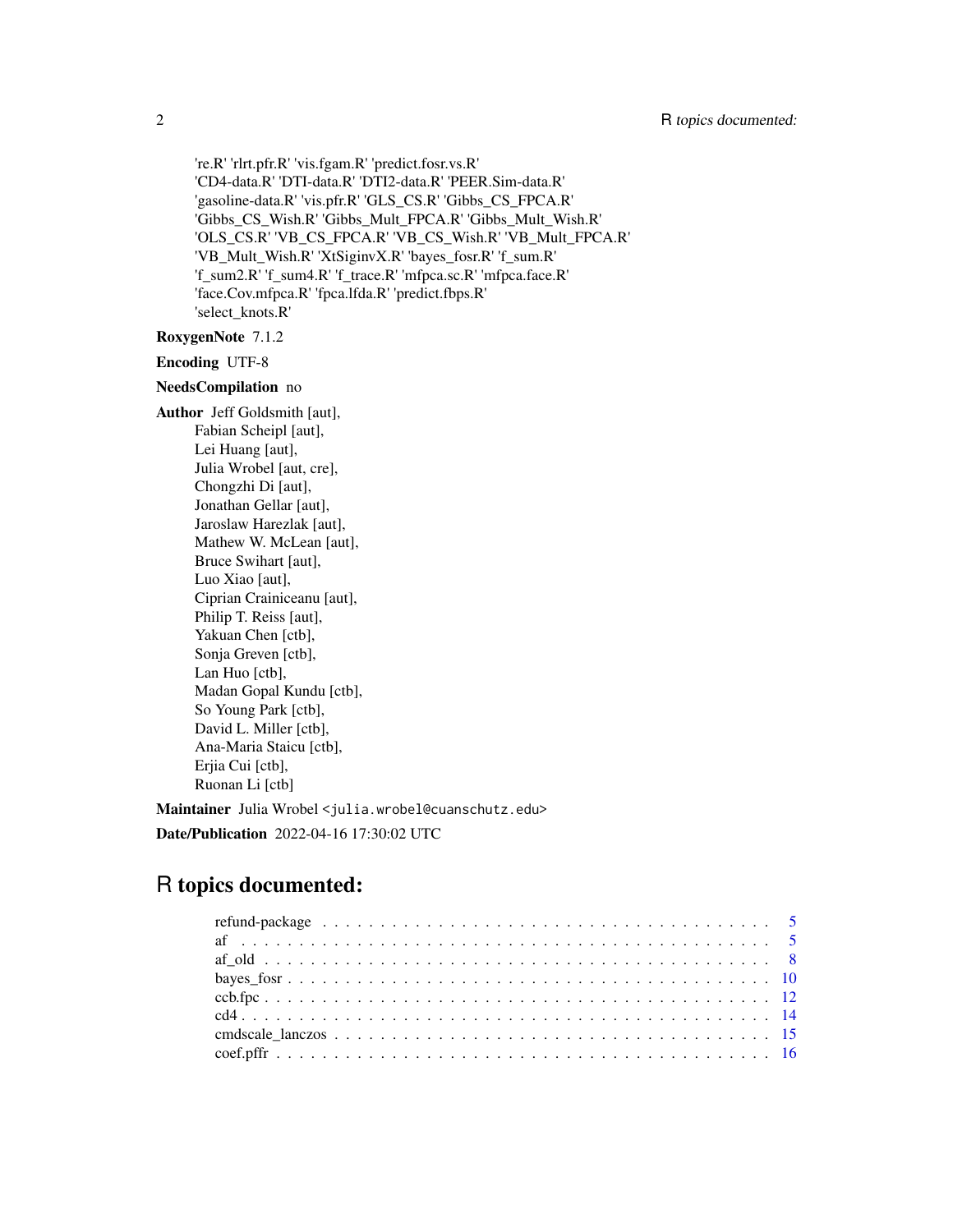're.R' 'rlrt.pfr.R' 'vis.fgam.R' 'predict.fosr.vs.R' 'CD4-data.R' 'DTI-data.R' 'DTI2-data.R' 'PEER.Sim-data.R' 'gasoline-data.R' 'vis.pfr.R' 'GLS\_CS.R' 'Gibbs\_CS\_FPCA.R' 'Gibbs\_CS\_Wish.R' 'Gibbs\_Mult\_FPCA.R' 'Gibbs\_Mult\_Wish.R' 'OLS\_CS.R' 'VB\_CS\_FPCA.R' 'VB\_CS\_Wish.R' 'VB\_Mult\_FPCA.R' 'VB\_Mult\_Wish.R' 'XtSiginvX.R' 'bayes\_fosr.R' 'f\_sum.R' 'f\_sum2.R' 'f\_sum4.R' 'f\_trace.R' 'mfpca.sc.R' 'mfpca.face.R' 'face.Cov.mfpca.R' 'fpca.lfda.R' 'predict.fbps.R' 'select\_knots.R'

# RoxygenNote 7.1.2

Encoding UTF-8

### NeedsCompilation no

Author Jeff Goldsmith [aut], Fabian Scheipl [aut], Lei Huang [aut], Julia Wrobel [aut, cre], Chongzhi Di [aut], Jonathan Gellar [aut], Jaroslaw Harezlak [aut], Mathew W. McLean [aut], Bruce Swihart [aut], Luo Xiao [aut], Ciprian Crainiceanu [aut], Philip T. Reiss [aut], Yakuan Chen [ctb], Sonja Greven [ctb], Lan Huo [ctb], Madan Gopal Kundu [ctb], So Young Park [ctb], David L. Miller [ctb], Ana-Maria Staicu [ctb], Erjia Cui [ctb], Ruonan Li [ctb]

Maintainer Julia Wrobel <julia.wrobel@cuanschutz.edu>

Date/Publication 2022-04-16 17:30:02 UTC

# R topics documented: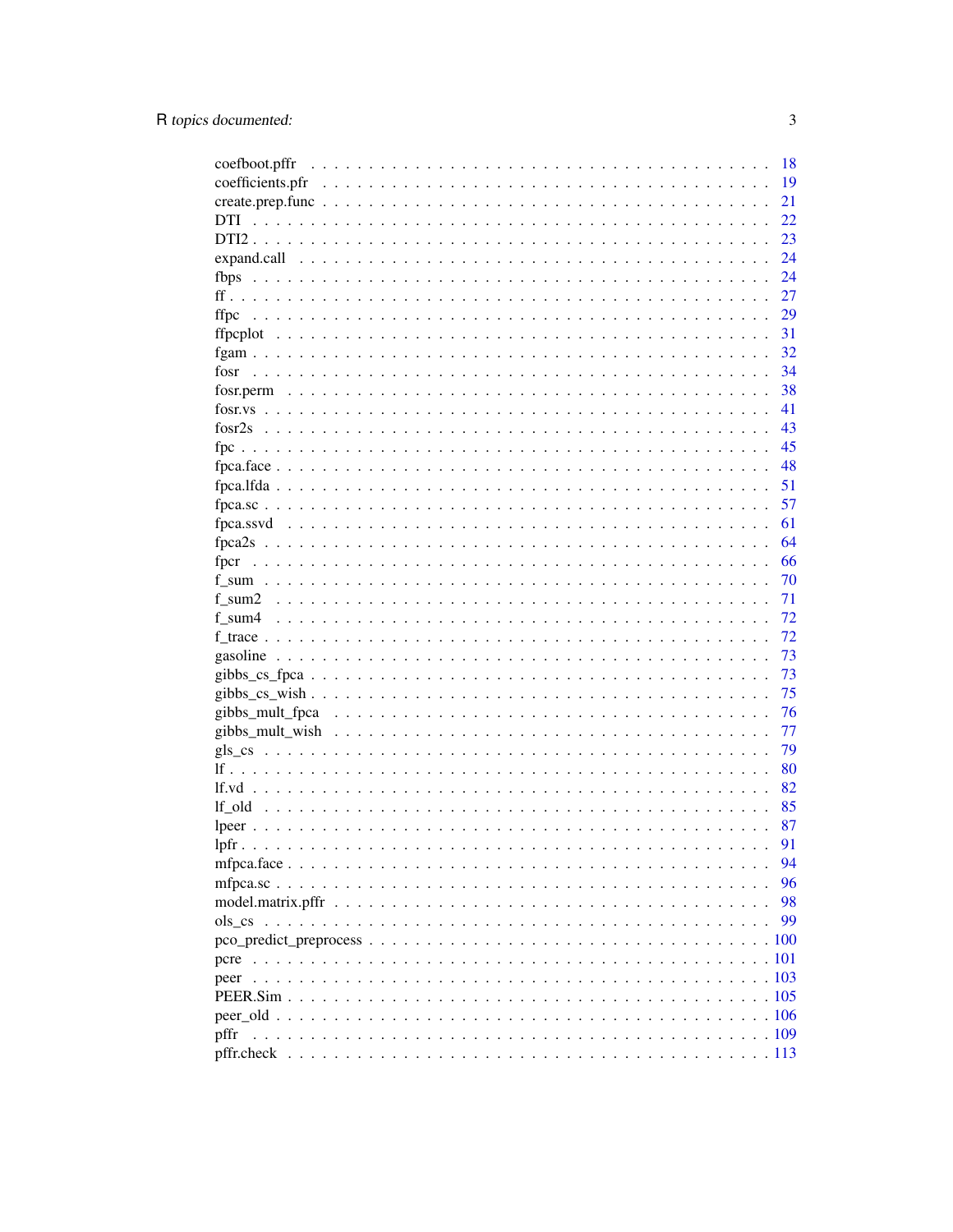| coefboot.pffr | 18 |
|---------------|----|
|               | 19 |
|               | 21 |
| <b>DTI</b>    | 22 |
|               | 23 |
|               | 24 |
| fbps          | 24 |
|               | 27 |
| ffpc          | 29 |
|               | 31 |
|               | 32 |
| fosr          | 34 |
|               | 38 |
|               | 41 |
|               | 43 |
|               | 45 |
|               | 48 |
|               | 51 |
|               | 57 |
|               | 61 |
|               | 64 |
|               | 66 |
|               | 70 |
|               | 71 |
|               | 72 |
|               | 72 |
|               | 73 |
|               | 73 |
|               | 75 |
|               | 76 |
|               | 77 |
|               | 79 |
|               | 80 |
|               | 82 |
|               | 85 |
|               | 87 |
|               | 91 |
|               | 94 |
|               | 96 |
|               | 98 |
|               | 99 |
|               |    |
|               |    |
| pcre          |    |
|               |    |
|               |    |
|               |    |
| pffr          |    |
|               |    |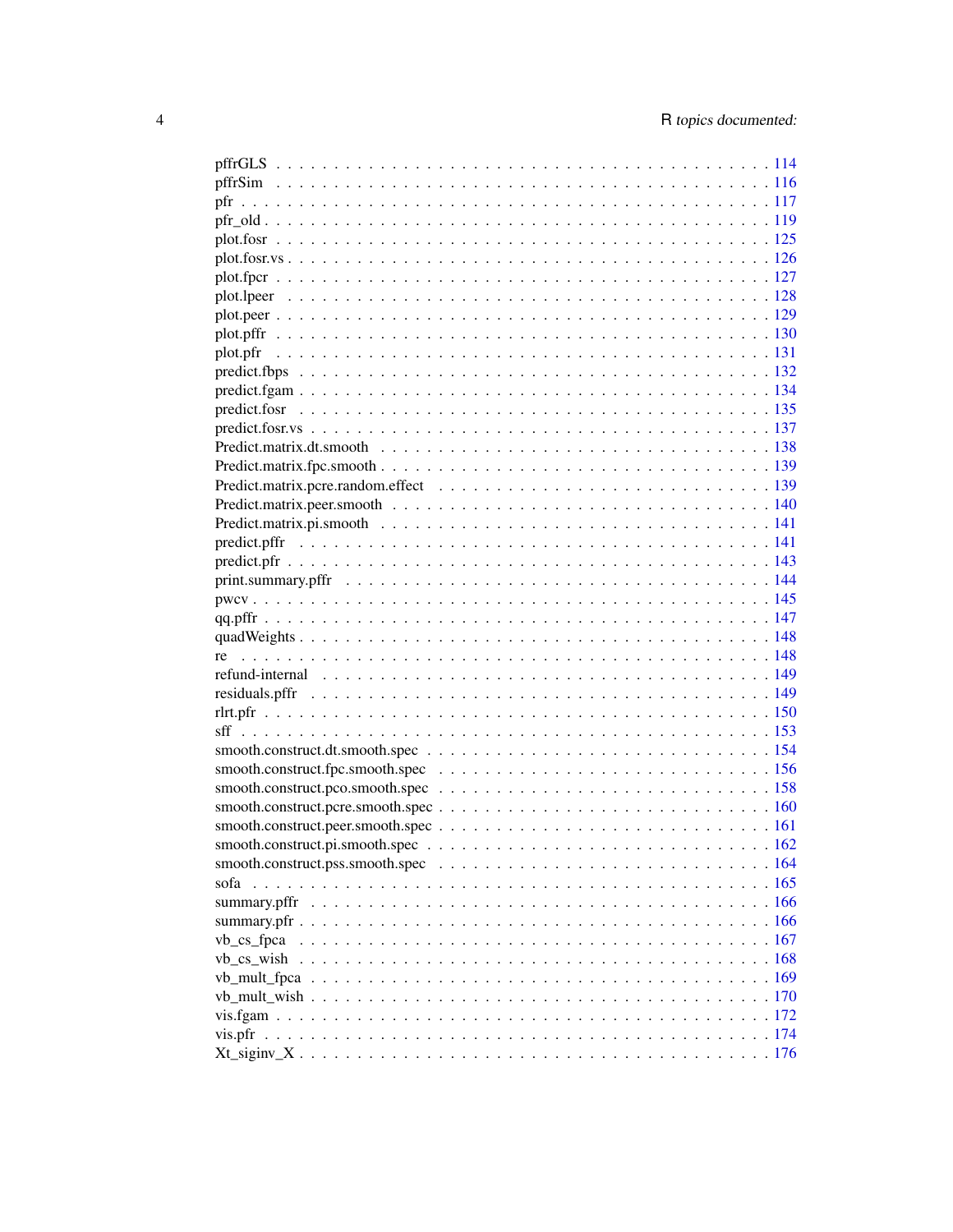| pfr           |  |
|---------------|--|
|               |  |
|               |  |
|               |  |
|               |  |
|               |  |
|               |  |
|               |  |
|               |  |
|               |  |
|               |  |
|               |  |
|               |  |
|               |  |
|               |  |
|               |  |
|               |  |
|               |  |
|               |  |
|               |  |
|               |  |
|               |  |
|               |  |
|               |  |
|               |  |
|               |  |
|               |  |
|               |  |
|               |  |
|               |  |
|               |  |
|               |  |
|               |  |
|               |  |
|               |  |
|               |  |
|               |  |
| sofa          |  |
|               |  |
|               |  |
| $vb_c s_fpca$ |  |
|               |  |
| vb_cs_wish    |  |
|               |  |
|               |  |
|               |  |
| vis.pfr       |  |
|               |  |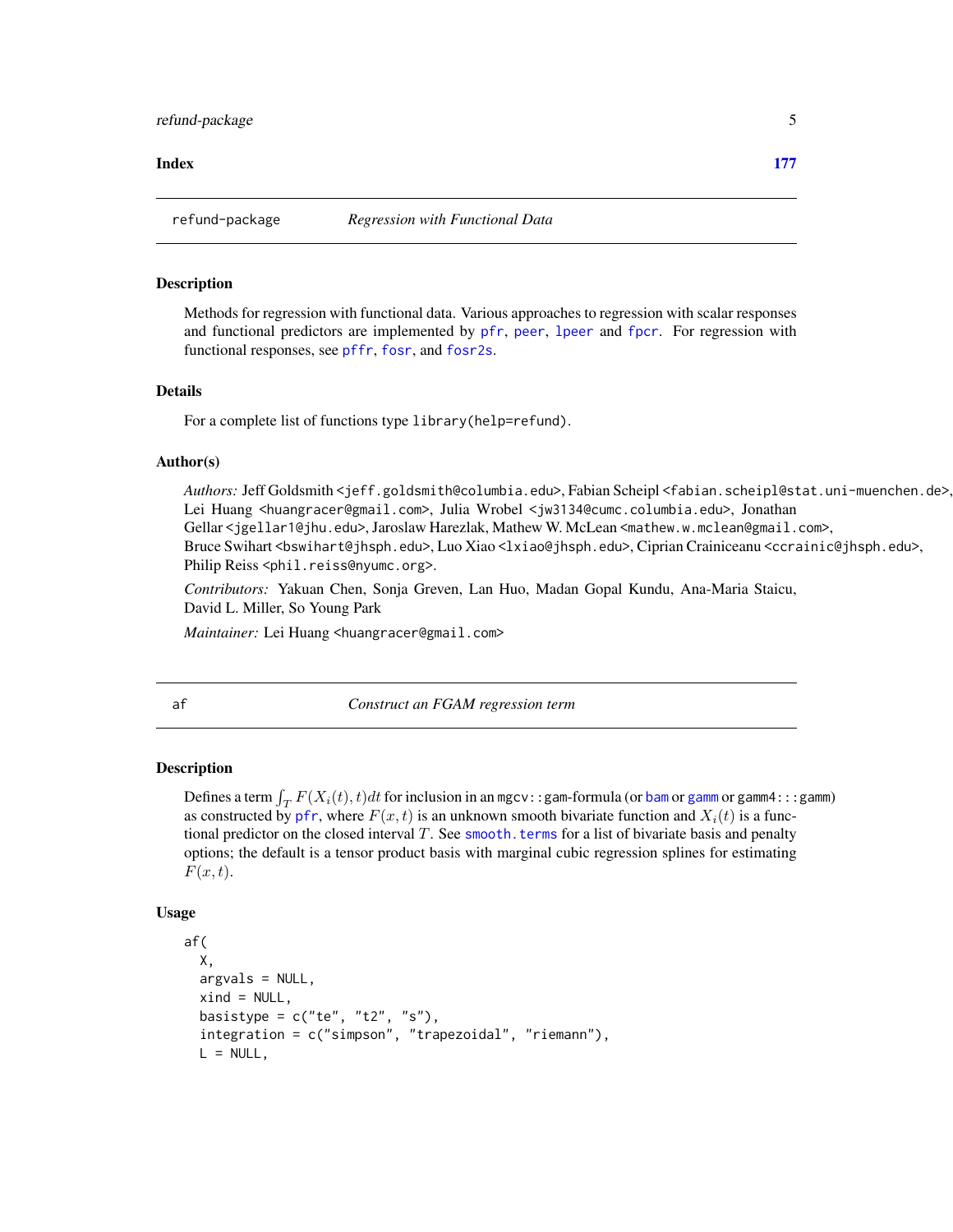### <span id="page-4-0"></span>**Index** 2008 **Index**

### Description

Methods for regression with functional data. Various approaches to regression with scalar responses and functional predictors are implemented by [pfr](#page-116-1), [peer](#page-102-1), [lpeer](#page-86-1) and [fpcr](#page-65-1). For regression with functional responses, see [pffr](#page-108-1), [fosr](#page-33-1), and [fosr2s](#page-42-1).

### Details

For a complete list of functions type library(help=refund).

### Author(s)

Authors: Jeff Goldsmith <jeff.goldsmith@columbia.edu>, Fabian Scheipl <fabian.scheipl@stat.uni-muenchen.de>, Lei Huang <huangracer@gmail.com>, Julia Wrobel <jw3134@cumc.columbia.edu>, Jonathan Gellar <jgellar1@jhu.edu>, Jaroslaw Harezlak, Mathew W. McLean <mathew.w.mclean@gmail.com>, Bruce Swihart <bswihart@jhsph.edu>, Luo Xiao <lxiao@jhsph.edu>, Ciprian Crainiceanu <ccrainic@jhsph.edu>, Philip Reiss <phil.reiss@nyumc.org>.

*Contributors:* Yakuan Chen, Sonja Greven, Lan Huo, Madan Gopal Kundu, Ana-Maria Staicu, David L. Miller, So Young Park

*Maintainer:* Lei Huang <huangracer@gmail.com>

<span id="page-4-1"></span>af *Construct an FGAM regression term*

# Description

Defines a term  $\int_T F(X_i(t), t)dt$  for inclusion in an mgcv::gam-formula (or [bam](#page-0-0) or [gamm](#page-0-0) or gamm4:::gamm) as constructed by [pfr](#page-116-1), where  $F(x, t)$  is an unknown smooth bivariate function and  $X_i(t)$  is a functional predictor on the closed interval  $T$ . See smooth. terms for a list of bivariate basis and penalty options; the default is a tensor product basis with marginal cubic regression splines for estimating  $F(x, t)$ .

### Usage

```
af(
  X,
  argvals = NULL,
  xind = NULL,basistype = c("te", "t2", "s"),integration = c("simpson", "trapezoidal", "riemann"),
  L = NULL,
```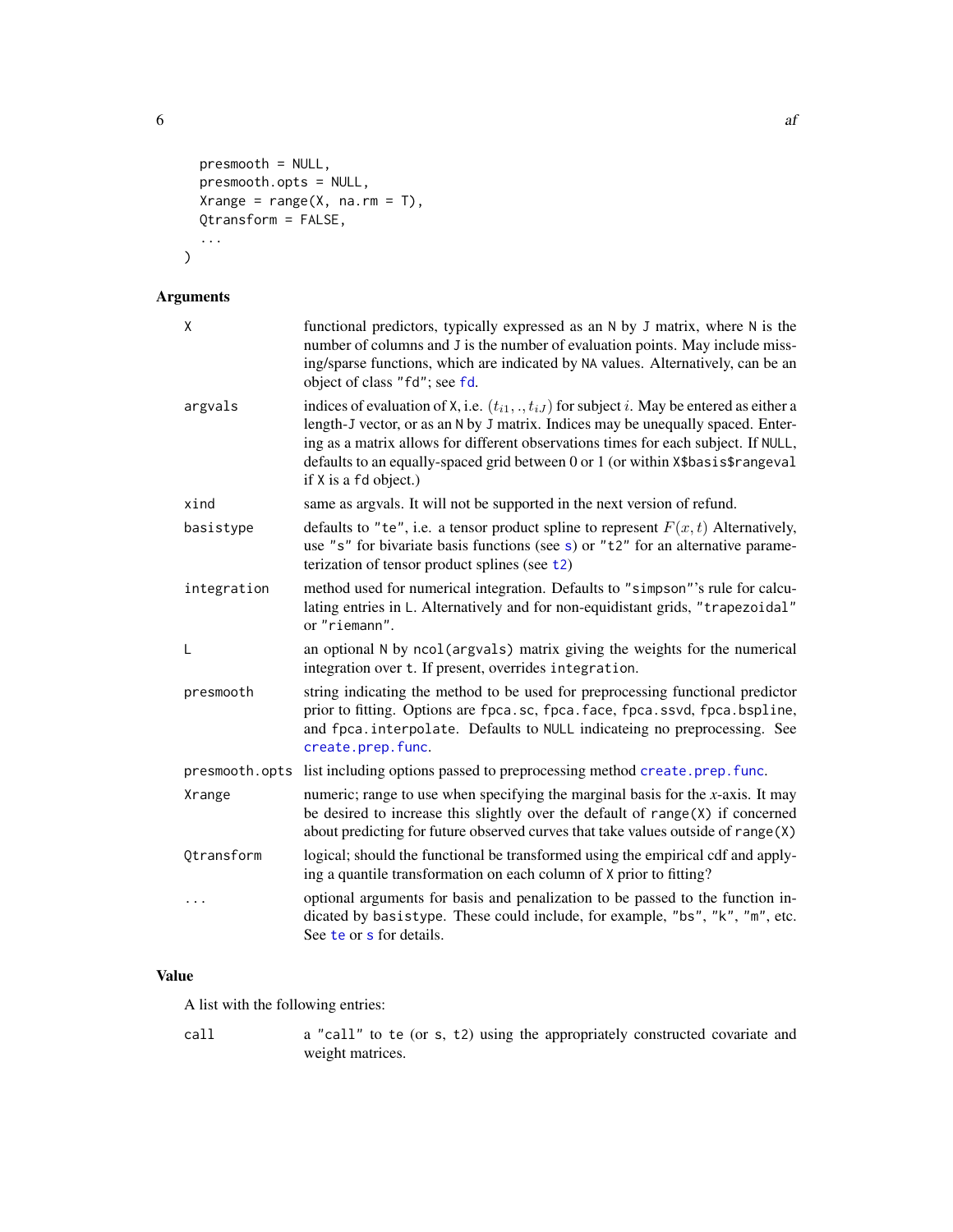$\epsilon$  6 after the state of  $\epsilon$  and  $\epsilon$  and  $\epsilon$  and  $\epsilon$  and  $\epsilon$  and  $\epsilon$  and  $\epsilon$  and  $\epsilon$  and  $\epsilon$  and  $\epsilon$  and  $\epsilon$  and  $\epsilon$  and  $\epsilon$  and  $\epsilon$  and  $\epsilon$  and  $\epsilon$  and  $\epsilon$  and  $\epsilon$  and  $\epsilon$  and  $\epsilon$  and  $\epsilon$  and  $\epsilon$  a

```
presmooth = NULL,
  presmooth.opts = NULL,
  Xrange = range(X, \text{ na.rm = T}),Qtransform = FALSE,
  ...
\mathcal{L}
```
# Arguments

| X              | functional predictors, typically expressed as an N by J matrix, where N is the<br>number of columns and J is the number of evaluation points. May include miss-<br>ing/sparse functions, which are indicated by NA values. Alternatively, can be an<br>object of class "fd"; see fd.                                                                                                      |
|----------------|-------------------------------------------------------------------------------------------------------------------------------------------------------------------------------------------------------------------------------------------------------------------------------------------------------------------------------------------------------------------------------------------|
| argvals        | indices of evaluation of X, i.e. $(t_{i1},\ldots,t_{iJ})$ for subject i. May be entered as either a<br>length-J vector, or as an N by J matrix. Indices may be unequally spaced. Enter-<br>ing as a matrix allows for different observations times for each subject. If NULL,<br>defaults to an equally-spaced grid between 0 or 1 (or within X\$basis\$rangeval<br>if X is a fd object.) |
| xind           | same as argvals. It will not be supported in the next version of refund.                                                                                                                                                                                                                                                                                                                  |
| basistype      | defaults to "te", i.e. a tensor product spline to represent $F(x, t)$ Alternatively,<br>use "s" for bivariate basis functions (see s) or " $t2$ " for an alternative parame-<br>terization of tensor product splines (see t2)                                                                                                                                                             |
| integration    | method used for numerical integration. Defaults to "simpson"'s rule for calcu-<br>lating entries in L. Alternatively and for non-equidistant grids, "trapezoidal"<br>or "riemann".                                                                                                                                                                                                        |
| L              | an optional N by ncol(argvals) matrix giving the weights for the numerical<br>integration over t. If present, overrides integration.                                                                                                                                                                                                                                                      |
| presmooth      | string indicating the method to be used for preprocessing functional predictor<br>prior to fitting. Options are fpca.sc, fpca.face, fpca.ssvd, fpca.bspline,<br>and fpca. interpolate. Defaults to NULL indicateing no preprocessing. See<br>create.prep.func.                                                                                                                            |
| presmooth.opts | list including options passed to preprocessing method create.prep.func.                                                                                                                                                                                                                                                                                                                   |
| Xrange         | numeric; range to use when specifying the marginal basis for the $x$ -axis. It may<br>be desired to increase this slightly over the default of $range(X)$ if concerned<br>about predicting for future observed curves that take values outside of range(X)                                                                                                                                |
| Qtransform     | logical; should the functional be transformed using the empirical cdf and apply-<br>ing a quantile transformation on each column of X prior to fitting?                                                                                                                                                                                                                                   |
| $\cdots$       | optional arguments for basis and penalization to be passed to the function in-<br>dicated by basistype. These could include, for example, "bs", "k", "m", etc.<br>See te or s for details.                                                                                                                                                                                                |

# Value

A list with the following entries:

call a "call" to te (or s, t2) using the appropriately constructed covariate and weight matrices.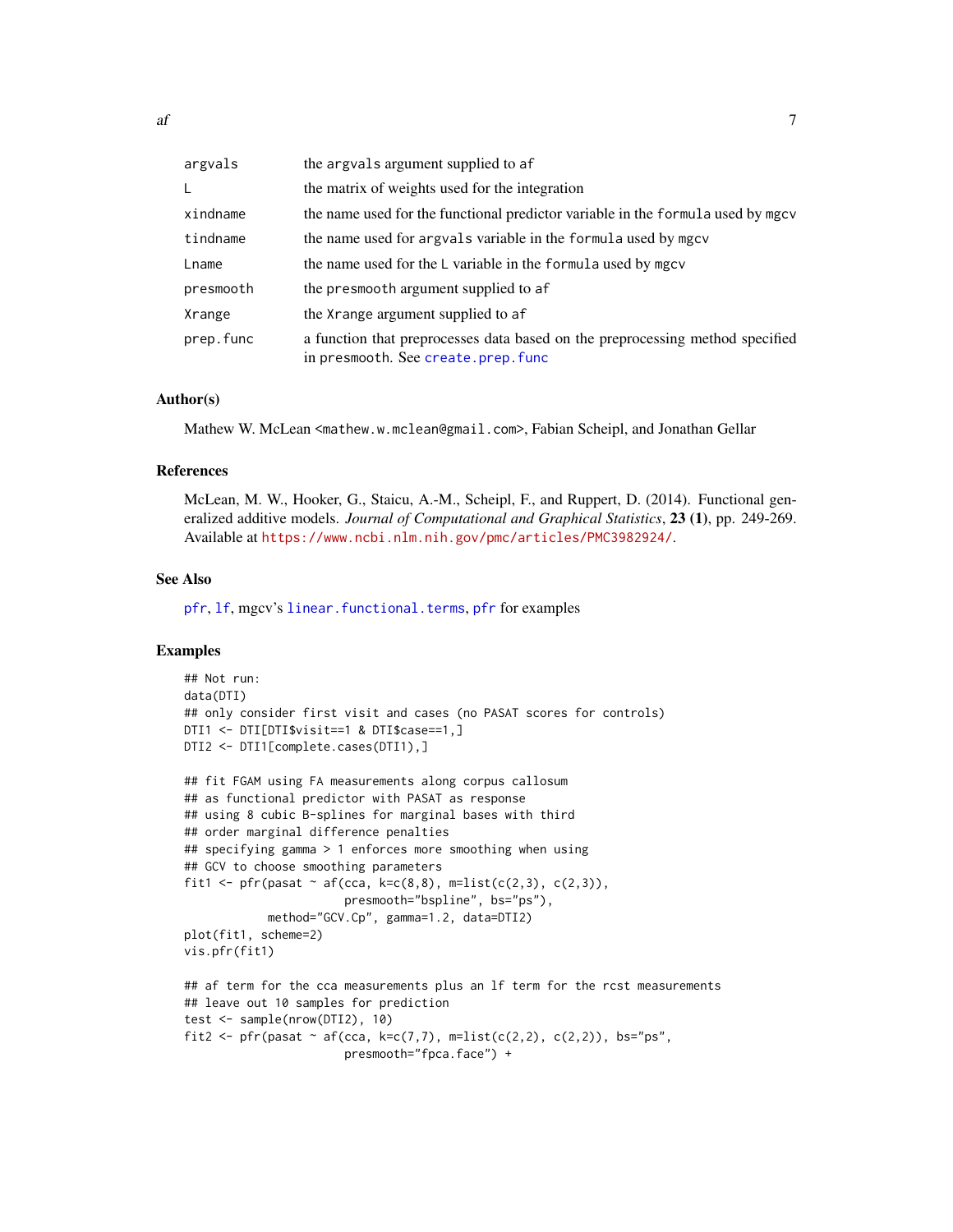| argvals   | the argvals argument supplied to af                                                                                 |
|-----------|---------------------------------------------------------------------------------------------------------------------|
| L         | the matrix of weights used for the integration                                                                      |
| xindname  | the name used for the functional predictor variable in the formula used by mgcv                                     |
| tindname  | the name used for argvals variable in the formula used by mgcv                                                      |
| Lname     | the name used for the L variable in the formula used by mgcv                                                        |
| presmooth | the presmooth argument supplied to af                                                                               |
| Xrange    | the Xrange argument supplied to af                                                                                  |
| prep.func | a function that preprocesses data based on the preprocessing method specified<br>in presmooth. See create.prep.func |

### Author(s)

Mathew W. McLean <mathew.w.mclean@gmail.com>, Fabian Scheipl, and Jonathan Gellar

# References

McLean, M. W., Hooker, G., Staicu, A.-M., Scheipl, F., and Ruppert, D. (2014). Functional generalized additive models. *Journal of Computational and Graphical Statistics*, 23 (1), pp. 249-269. Available at <https://www.ncbi.nlm.nih.gov/pmc/articles/PMC3982924/>.

### See Also

[pfr](#page-116-1), [lf](#page-79-1), mgcv's [linear.functional.terms](#page-0-0), [pfr](#page-116-1) for examples

### Examples

```
## Not run:
data(DTI)
## only consider first visit and cases (no PASAT scores for controls)
DTI1 <- DTI[DTI$visit==1 & DTI$case==1,]
DTI2 <- DTI1[complete.cases(DTI1),]
## fit FGAM using FA measurements along corpus callosum
## as functional predictor with PASAT as response
## using 8 cubic B-splines for marginal bases with third
## order marginal difference penalties
## specifying gamma > 1 enforces more smoothing when using
## GCV to choose smoothing parameters
fit1 <- pfr(pasat \sim af(cca, k=c(8,8), m=list(c(2,3), c(2,3)),
                       presmooth="bspline", bs="ps"),
            method="GCV.Cp", gamma=1.2, data=DTI2)
plot(fit1, scheme=2)
vis.pfr(fit1)
## af term for the cca measurements plus an lf term for the rcst measurements
## leave out 10 samples for prediction
test <- sample(nrow(DTI2), 10)
fit2 <- pfr(pasat \sim af(cca, k=c(7,7), m=list(c(2,2), c(2,2)), bs="ps",
                       presmooth="fpca.face") +
```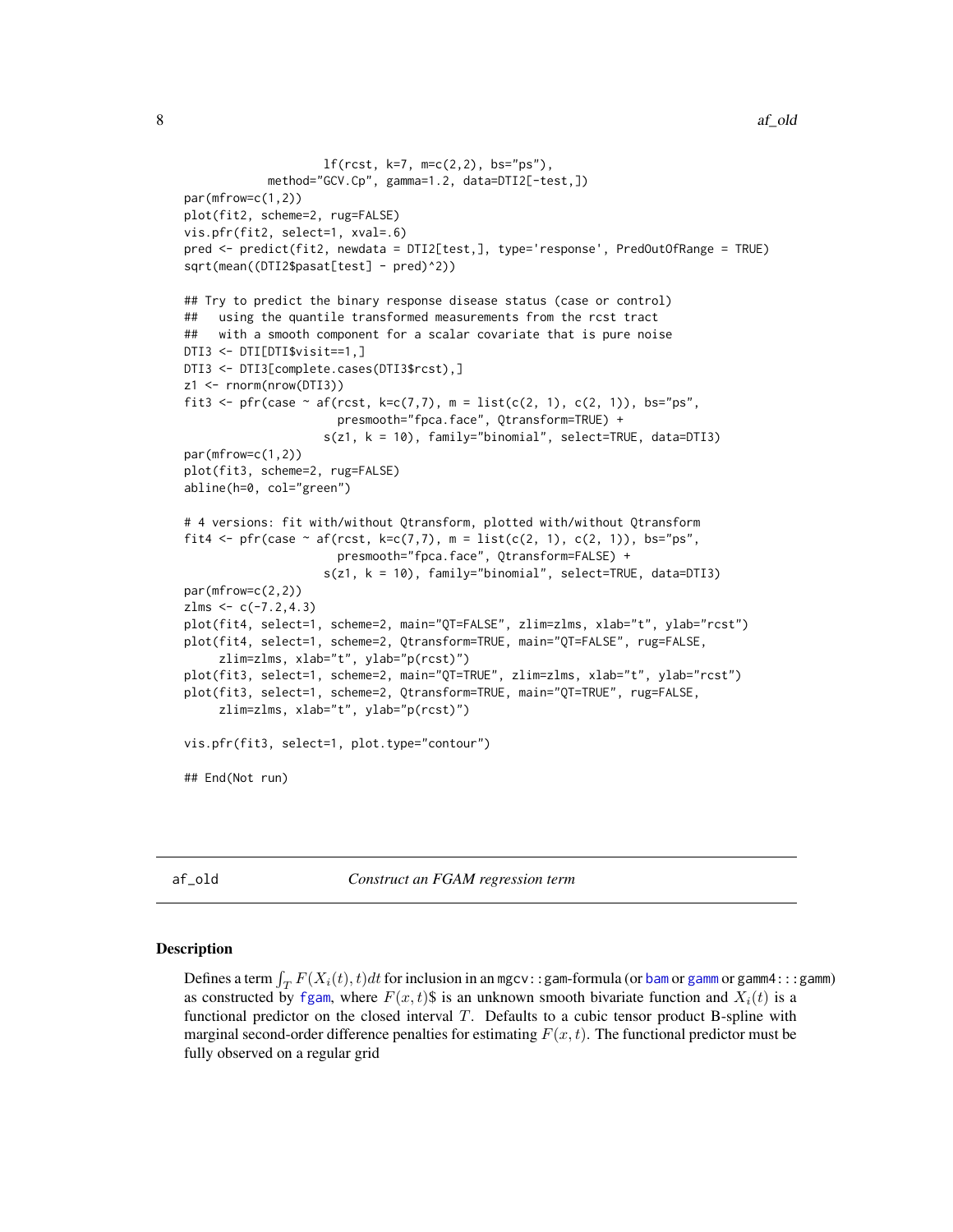```
lf(rcst, k=7, m=c(2,2), bs="ps"),
            method="GCV.Cp", gamma=1.2, data=DTI2[-test,])
par(mfrow=c(1,2))
plot(fit2, scheme=2, rug=FALSE)
vis.pfr(fit2, select=1, xval=.6)
pred <- predict(fit2, newdata = DTI2[test,], type='response', PredOutOfRange = TRUE)
sqrt(mean((DTI2$pasat[test] - pred)^2))
## Try to predict the binary response disease status (case or control)
## using the quantile transformed measurements from the rcst tract
## with a smooth component for a scalar covariate that is pure noise
DTI3 <- DTI[DTI$visit==1,]
DTI3 <- DTI3[complete.cases(DTI3$rcst),]
z1 <- rnorm(nrow(DTI3))
fit3 <- pfr(case ~ af(rcst, k=c(7,7), m = list(c(2, 1), c(2, 1)), bs="ps",
                      presmooth="fpca.face", Qtransform=TRUE) +
                    s(z1, k = 10), family="binomial", select=TRUE, data=DTI3)
par(mfrow=c(1,2))
plot(fit3, scheme=2, rug=FALSE)
abline(h=0, col="green")
# 4 versions: fit with/without Qtransform, plotted with/without Qtransform
fit4 <- pfr(case \sim af(rcst, k=c(7,7), m = list(c(2, 1), c(2, 1)), bs="ps",
                      presmooth="fpca.face", Qtransform=FALSE) +
                    s(z1, k = 10), family="binomial", select=TRUE, data=DTI3)
par(mfrow=c(2,2))
zlms < -c(-7.2, 4.3)plot(fit4, select=1, scheme=2, main="QT=FALSE", zlim=zlms, xlab="t", ylab="rcst")
plot(fit4, select=1, scheme=2, Qtransform=TRUE, main="QT=FALSE", rug=FALSE,
     zlim=zlms, xlab="t", ylab="p(rcst)")
plot(fit3, select=1, scheme=2, main="QT=TRUE", zlim=zlms, xlab="t", ylab="rcst")
plot(fit3, select=1, scheme=2, Qtransform=TRUE, main="QT=TRUE", rug=FALSE,
     zlim=zlms, xlab="t", ylab="p(rcst)")
vis.pfr(fit3, select=1, plot.type="contour")
## End(Not run)
```
af\_old *Construct an FGAM regression term*

### Description

Defines a term  $\int_T F(X_i(t), t)dt$  for inclusion in an mgcv::gam-formula (or [bam](#page-0-0) or [gamm](#page-0-0) or gamm4:::gamm) as constructed by [fgam](#page-31-1), where  $F(x, t)$  is an unknown smooth bivariate function and  $X_i(t)$  is a functional predictor on the closed interval  $T$ . Defaults to a cubic tensor product B-spline with marginal second-order difference penalties for estimating  $F(x, t)$ . The functional predictor must be fully observed on a regular grid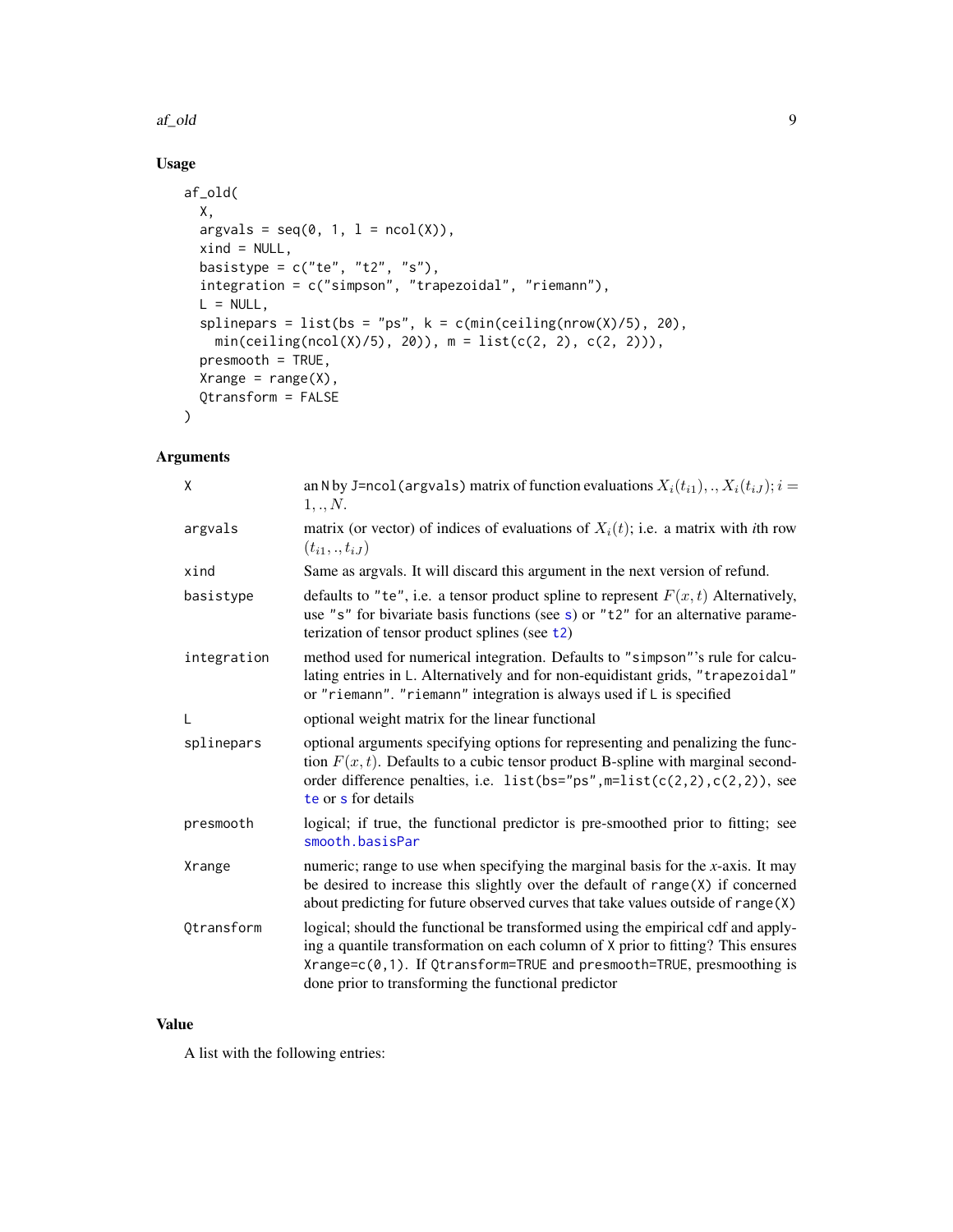### af\_old 9

# Usage

```
af_old(
 X,
 argvals = seq(0, 1, 1 = ncol(X)),xind = NULL,basistype = c("te", "t2", "s"),integration = c("simpson", "trapezoidal", "riemann"),
 L = NULL,splinepars = list(bs = "ps", k = c(min(ceiling(nrow(X)/5), 20),
   min(c e i ling(ncol(X)/5), 20), m = list(c(2, 2), c(2, 2)),
 presmooth = TRUE,
 Xrange = range(X),
 Qtransform = FALSE
)
```
# Arguments

| X           | an N by J=ncol (argvals) matrix of function evaluations $X_i(t_{i1}),,X_i(t_{iJ}); i =$<br>1,.,N.                                                                                                                                                                                                    |
|-------------|------------------------------------------------------------------------------------------------------------------------------------------------------------------------------------------------------------------------------------------------------------------------------------------------------|
| argvals     | matrix (or vector) of indices of evaluations of $X_i(t)$ ; i.e. a matrix with <i>i</i> th row<br>$(t_{i1},.,t_{iJ})$                                                                                                                                                                                 |
| xind        | Same as argvals. It will discard this argument in the next version of refund.                                                                                                                                                                                                                        |
| basistype   | defaults to "te", i.e. a tensor product spline to represent $F(x, t)$ Alternatively,<br>use "s" for bivariate basis functions (see s) or " $t2$ " for an alternative parame-<br>terization of tensor product splines (see $t2$ )                                                                     |
| integration | method used for numerical integration. Defaults to "simpson"'s rule for calcu-<br>lating entries in L. Alternatively and for non-equidistant grids, "trapezoidal"<br>or "riemann". "riemann" integration is always used if L is specified                                                            |
| L           | optional weight matrix for the linear functional                                                                                                                                                                                                                                                     |
| splinepars  | optional arguments specifying options for representing and penalizing the func-<br>tion $F(x, t)$ . Defaults to a cubic tensor product B-spline with marginal second-<br>order difference penalties, i.e. list (bs="ps", $m=list(c(2, 2), c(2, 2))$ , see<br>te or s for details                     |
| presmooth   | logical; if true, the functional predictor is pre-smoothed prior to fitting; see<br>smooth.basisPar                                                                                                                                                                                                  |
| Xrange      | numeric; range to use when specifying the marginal basis for the $x$ -axis. It may<br>be desired to increase this slightly over the default of $range(X)$ if concerned<br>about predicting for future observed curves that take values outside of range(X)                                           |
| Qtransform  | logical; should the functional be transformed using the empirical cdf and apply-<br>ing a quantile transformation on each column of X prior to fitting? This ensures<br>Xrange=c(0,1). If Qtransform=TRUE and presmooth=TRUE, presmoothing is<br>done prior to transforming the functional predictor |

# Value

A list with the following entries: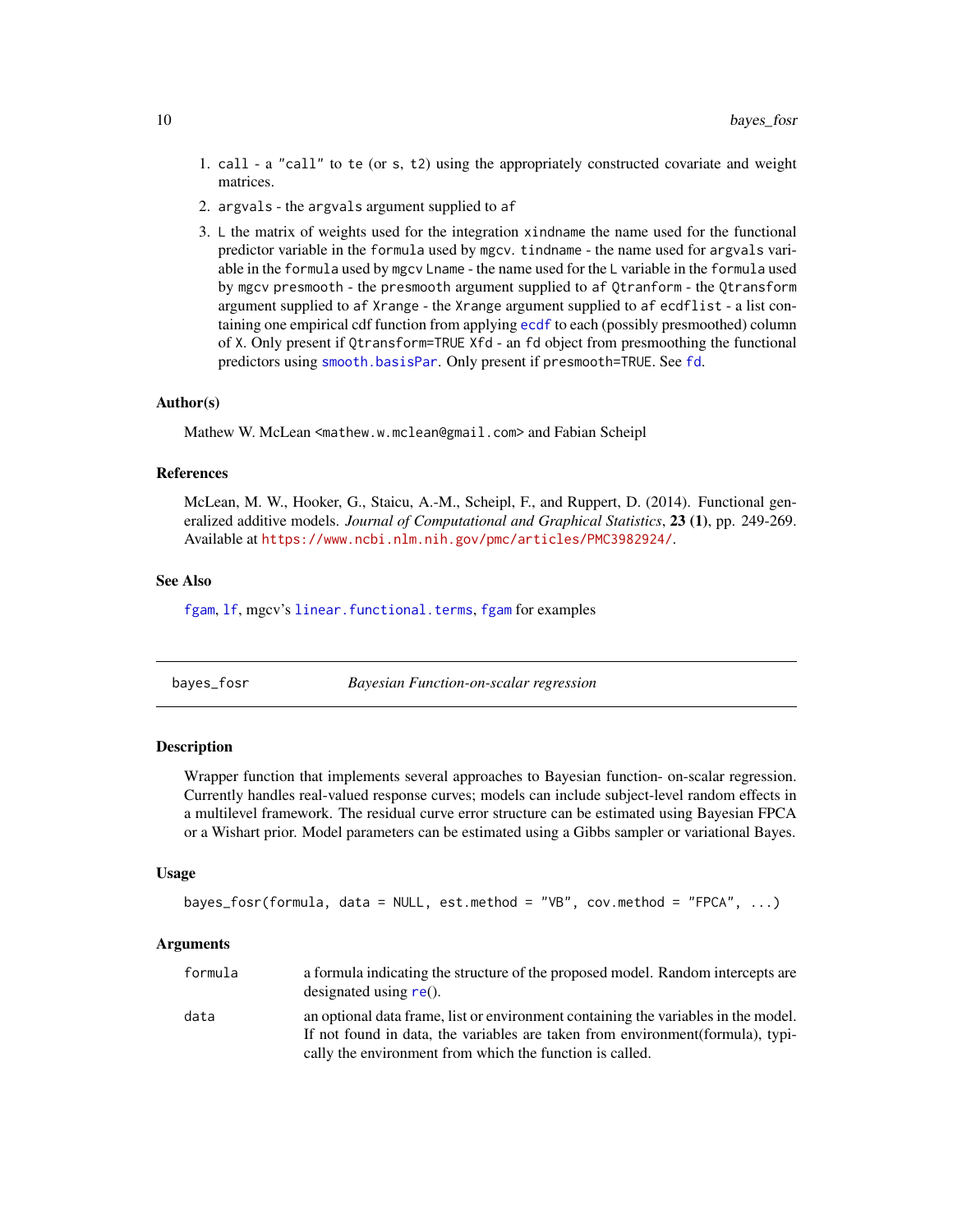- <span id="page-9-0"></span>1. call - a "call" to te (or s, t2) using the appropriately constructed covariate and weight matrices.
- 2. argvals the argvals argument supplied to af
- 3. L the matrix of weights used for the integration xindname the name used for the functional predictor variable in the formula used by mgcv. tindname - the name used for argvals variable in the formula used by mgcv Lname - the name used for the L variable in the formula used by mgcv presmooth - the presmooth argument supplied to af Qtranform - the Qtransform argument supplied to af Xrange - the Xrange argument supplied to af ecdflist - a list containing one empirical cdf function from applying [ecdf](#page-0-0) to each (possibly presmoothed) column of X. Only present if Qtransform=TRUE Xfd - an fd object from presmoothing the functional predictors using [smooth.basisPar](#page-0-0). Only present if presmooth=TRUE. See [fd](#page-0-0).

### Author(s)

Mathew W. McLean <mathew.w.mclean@gmail.com> and Fabian Scheipl

# References

McLean, M. W., Hooker, G., Staicu, A.-M., Scheipl, F., and Ruppert, D. (2014). Functional generalized additive models. *Journal of Computational and Graphical Statistics*, 23 (1), pp. 249-269. Available at <https://www.ncbi.nlm.nih.gov/pmc/articles/PMC3982924/>.

### See Also

[fgam](#page-31-1), If, mgcv's [linear.functional.terms](#page-0-0), fgam for examples

#### bayes\_fosr *Bayesian Function-on-scalar regression*

### **Description**

Wrapper function that implements several approaches to Bayesian function- on-scalar regression. Currently handles real-valued response curves; models can include subject-level random effects in a multilevel framework. The residual curve error structure can be estimated using Bayesian FPCA or a Wishart prior. Model parameters can be estimated using a Gibbs sampler or variational Bayes.

#### Usage

```
bayes_fosr(formula, data = NULL, est.method = "VB", cov.method = "FPCA", ...)
```
#### Arguments

| formula | a formula indicating the structure of the proposed model. Random intercepts are<br>designated using $re()$ .                                                          |
|---------|-----------------------------------------------------------------------------------------------------------------------------------------------------------------------|
| data    | an optional data frame, list or environment containing the variables in the model.<br>If not found in data, the variables are taken from environment (formula), typi- |
|         | cally the environment from which the function is called.                                                                                                              |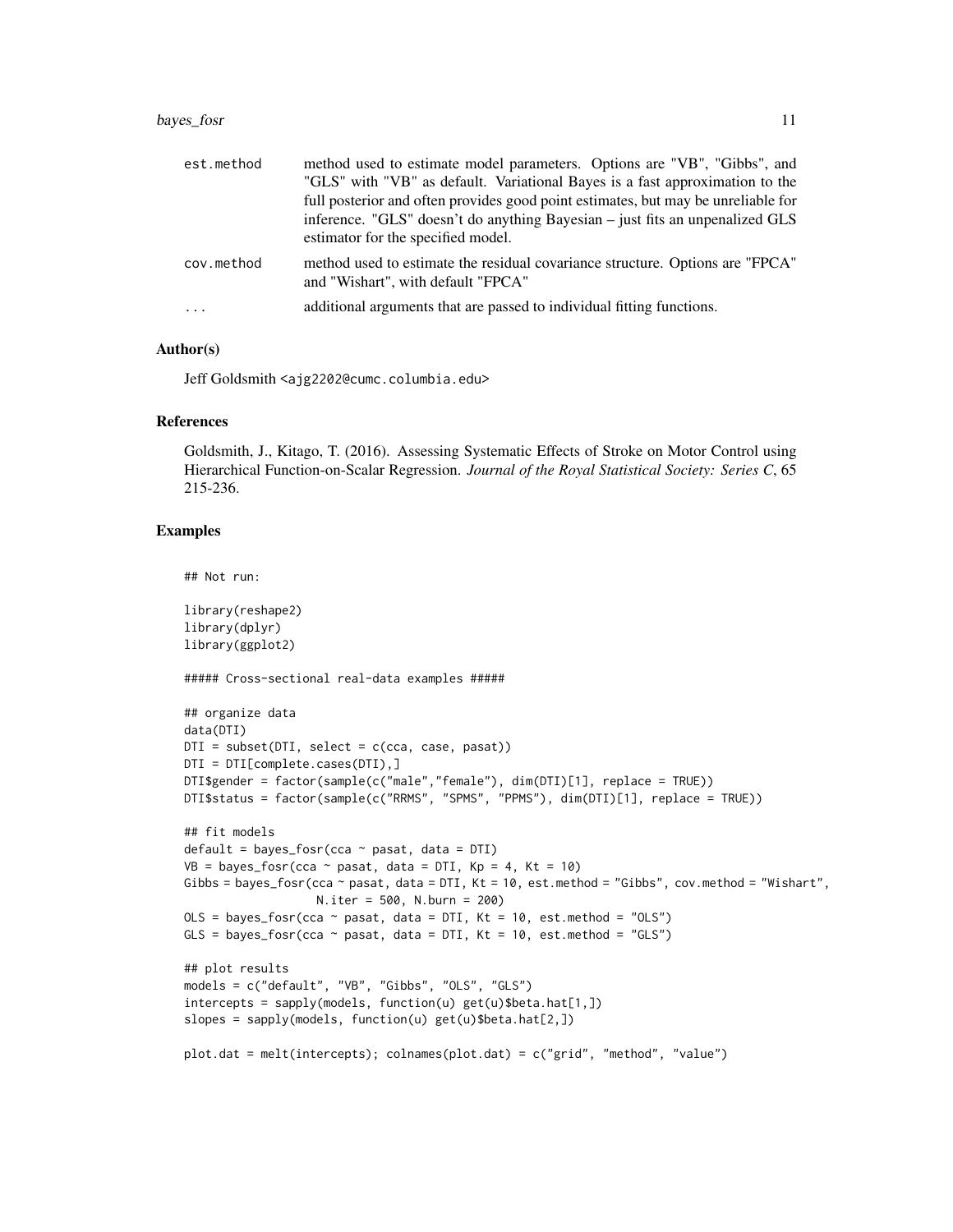### bayes\_fosr 11

| est.method | method used to estimate model parameters. Options are "VB", "Gibbs", and<br>"GLS" with "VB" as default. Variational Bayes is a fast approximation to the<br>full posterior and often provides good point estimates, but may be unreliable for<br>inference. "GLS" doesn't do anything Bayesian – just fits an unpenalized GLS<br>estimator for the specified model. |
|------------|---------------------------------------------------------------------------------------------------------------------------------------------------------------------------------------------------------------------------------------------------------------------------------------------------------------------------------------------------------------------|
| cov.method | method used to estimate the residual covariance structure. Options are "FPCA"<br>and "Wishart", with default "FPCA"                                                                                                                                                                                                                                                 |
| $\cdot$    | additional arguments that are passed to individual fitting functions.                                                                                                                                                                                                                                                                                               |

# Author(s)

Jeff Goldsmith <ajg2202@cumc.columbia.edu>

### References

Goldsmith, J., Kitago, T. (2016). Assessing Systematic Effects of Stroke on Motor Control using Hierarchical Function-on-Scalar Regression. *Journal of the Royal Statistical Society: Series C*, 65 215-236.

### Examples

```
## Not run:
```
library(reshape2) library(dplyr) library(ggplot2) ##### Cross-sectional real-data examples ##### ## organize data data(DTI)  $DTI = subset(DTI, select = c(cca, case, pass))$ DTI = DTI[complete.cases(DTI),] DTI\$gender = factor(sample(c("male","female"), dim(DTI)[1], replace = TRUE)) DTI\$status = factor(sample(c("RRMS", "SPMS", "PPMS"), dim(DTI)[1], replace = TRUE)) ## fit models default = bayes\_fosr(cca  $\sim$  pasat, data = DTI)  $VB = bayes_fosr(cca - pasat, data = DTI, Kp = 4, Kt = 10)$ Gibbs = bayes\_fosr(cca  $\sim$  pasat, data = DTI, Kt = 10, est.method = "Gibbs", cov.method = "Wishart", N.iter = 500, N.burn = 200) OLS = bayes\_fosr(cca  $\sim$  pasat, data = DTI, Kt = 10, est.method = "OLS") GLS = bayes\_fosr(cca  $\sim$  pasat, data = DTI, Kt = 10, est.method = "GLS") ## plot results models = c("default", "VB", "Gibbs", "OLS", "GLS") intercepts = sapply(models, function(u) get(u)\$beta.hat[1,]) slopes = sapply(models, function(u) get(u)\$beta.hat[2,]) plot.dat = melt(intercepts); colnames(plot.dat) = c("grid", "method", "value")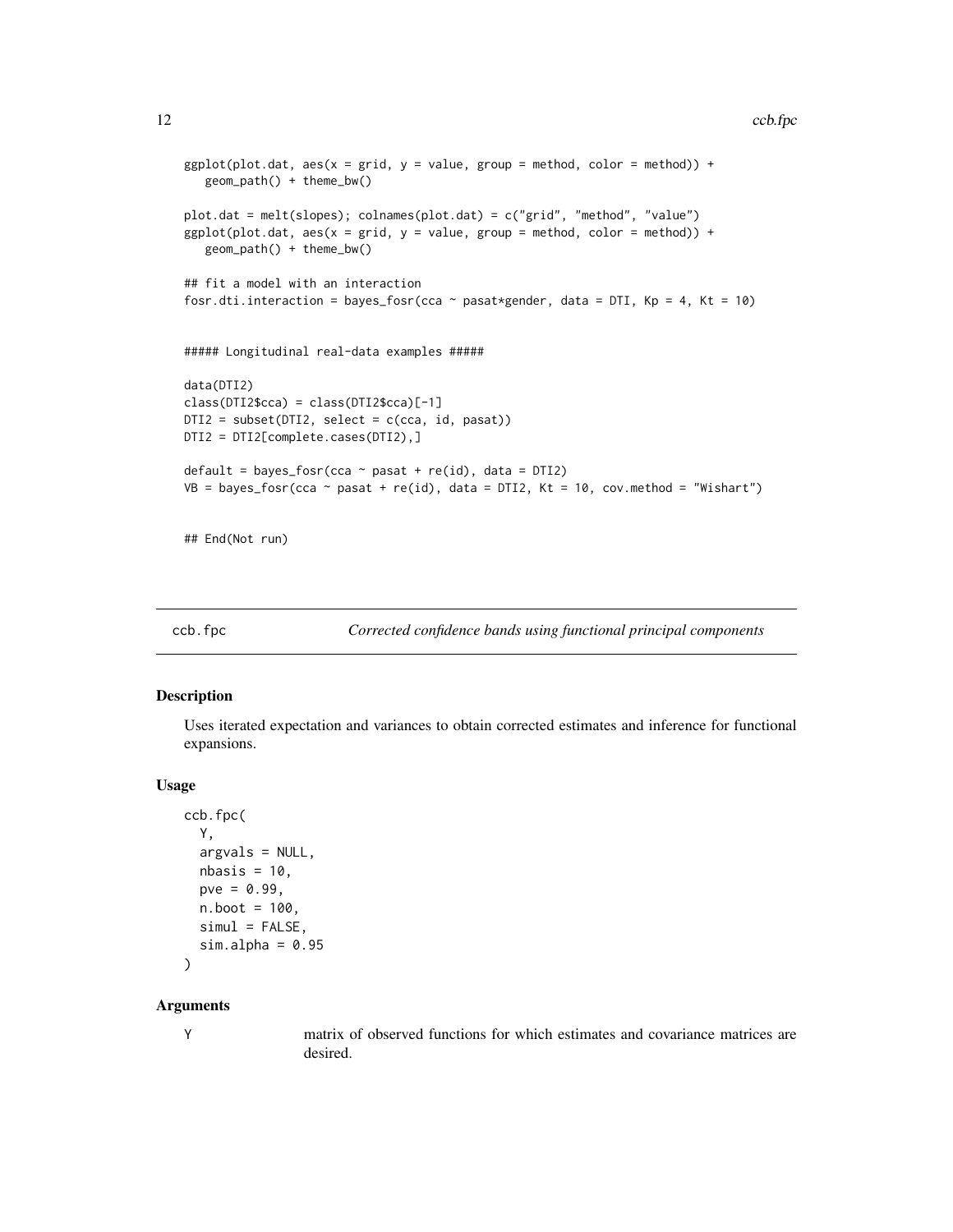```
ggplot(plot.dat, aes(x = grid, y = value, group = method, color = method)) +geom_path() + theme_bw()
plot.dat = melt(slopes); colnames(plot.dat) = c("grid", "method", "value")
ggplot(plot.dat, aes(x = grid, y = value, group = method, color = method)) +geom_path() + theme_bw()
## fit a model with an interaction
fosr.dti.interaction = bayes_fosr(cca ~ pasat*gender, data = DTI, Kp = 4, Kt = 10)
##### Longitudinal real-data examples #####
data(DTI2)
class(DTI2$cca) = class(DTI2$cca)[-1]
DTI2 = subset(DTI2, select = c(cca, id, pasat))
DTI2 = DTI2[complete.cases(DTI2),]
default = bayes_fosr(cca \sim pasat + re(id), data = DTI2)
VB = bayes_fosr(cca ~ pasat + re(id), data = DTI2, Kt = 10, cov.method = "Wishart")
```
## End(Not run)

ccb.fpc *Corrected confidence bands using functional principal components*

### Description

Uses iterated expectation and variances to obtain corrected estimates and inference for functional expansions.

### Usage

```
ccb.fpc(
 Y,
 argvals = NULL,
 nbasis = 10,
 pve = 0.99,
 n.boot = 100,siml = FALSE,
  sim.alpha = 0.95)
```
#### Arguments

Y matrix of observed functions for which estimates and covariance matrices are desired.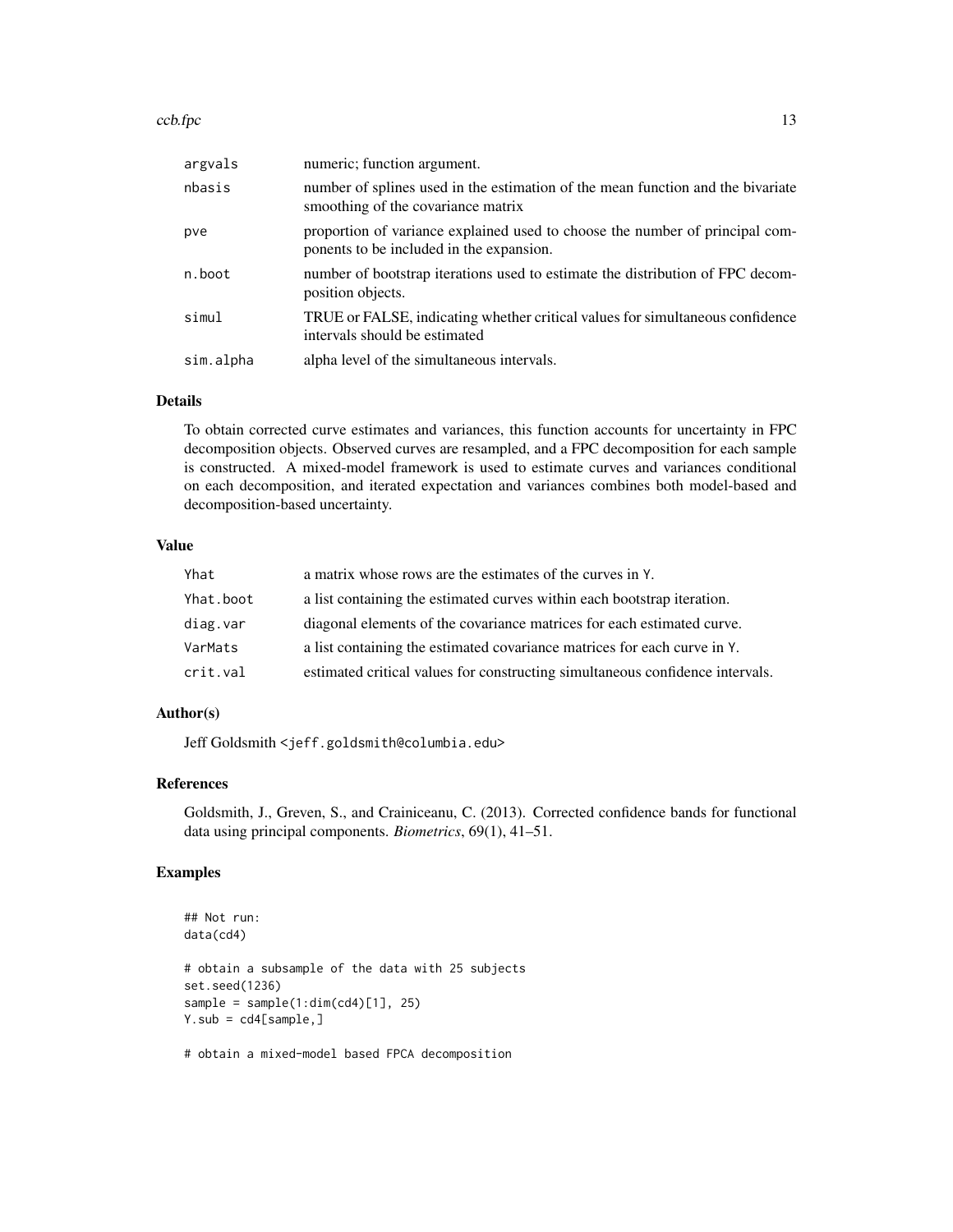| argvals   | numeric; function argument.                                                                                              |
|-----------|--------------------------------------------------------------------------------------------------------------------------|
| nbasis    | number of splines used in the estimation of the mean function and the bivariate<br>smoothing of the covariance matrix    |
| pve       | proportion of variance explained used to choose the number of principal com-<br>ponents to be included in the expansion. |
| n.boot    | number of bootstrap iterations used to estimate the distribution of FPC decom-<br>position objects.                      |
| simul     | TRUE or FALSE, indicating whether critical values for simultaneous confidence<br>intervals should be estimated           |
| sim.alpha | alpha level of the simultaneous intervals.                                                                               |

### Details

To obtain corrected curve estimates and variances, this function accounts for uncertainty in FPC decomposition objects. Observed curves are resampled, and a FPC decomposition for each sample is constructed. A mixed-model framework is used to estimate curves and variances conditional on each decomposition, and iterated expectation and variances combines both model-based and decomposition-based uncertainty.

### Value

| Yhat      | a matrix whose rows are the estimates of the curves in Y.                     |
|-----------|-------------------------------------------------------------------------------|
| Yhat.boot | a list containing the estimated curves within each bootstrap iteration.       |
| diag.var  | diagonal elements of the covariance matrices for each estimated curve.        |
| VarMats   | a list containing the estimated covariance matrices for each curve in Y.      |
| crit.val  | estimated critical values for constructing simultaneous confidence intervals. |

### Author(s)

Jeff Goldsmith <jeff.goldsmith@columbia.edu>

# References

Goldsmith, J., Greven, S., and Crainiceanu, C. (2013). Corrected confidence bands for functional data using principal components. *Biometrics*, 69(1), 41–51.

# Examples

```
## Not run:
data(cd4)
# obtain a subsample of the data with 25 subjects
set.seed(1236)
sample = sample(1:dim(cd4)[1], 25)Y.sub = cd4[sample,]
```
# obtain a mixed-model based FPCA decomposition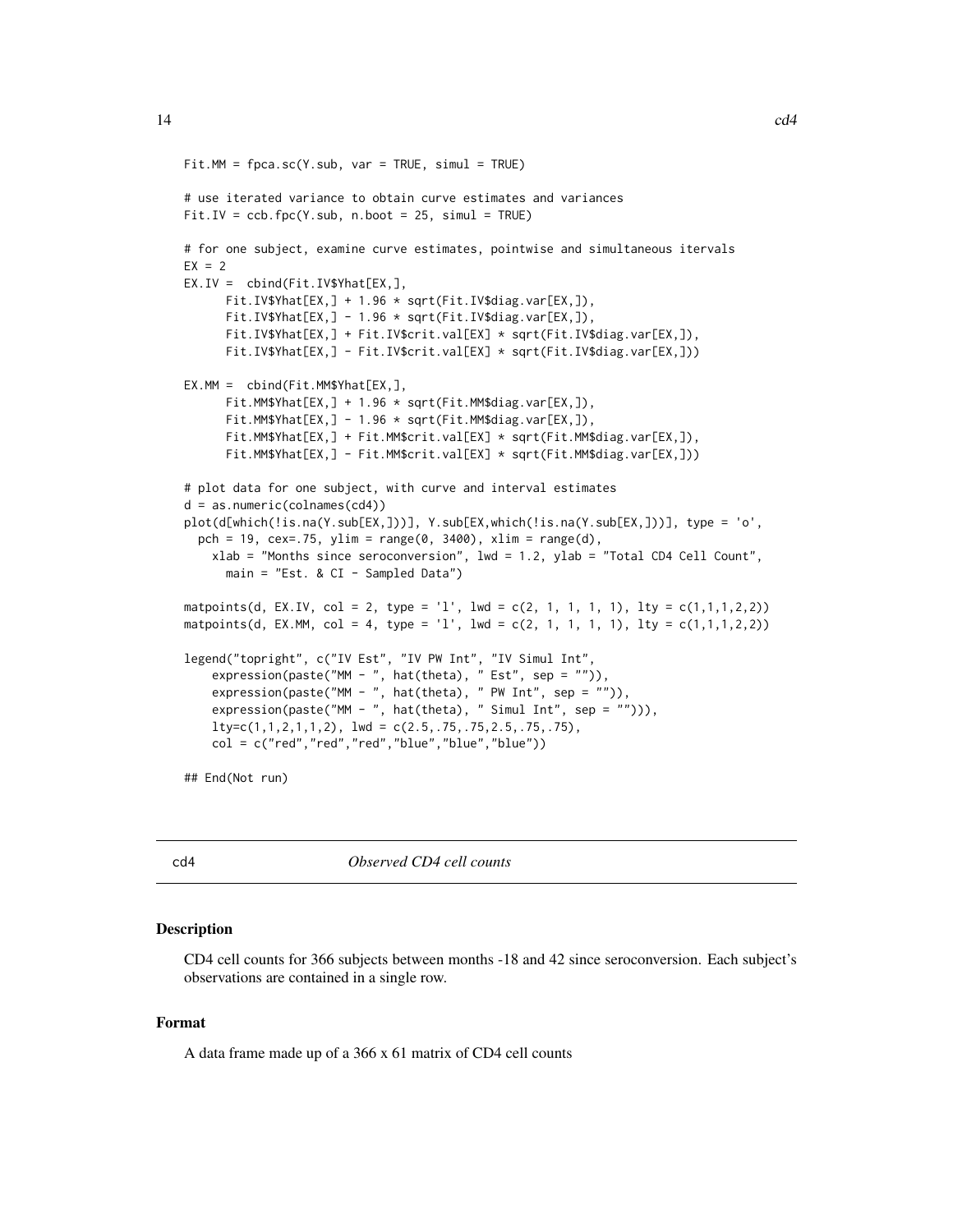```
Fit.MM = fpca.sc(Y.sub, var = TRUE, simul = TRUE)# use iterated variance to obtain curve estimates and variances
Fit.IV = ccb.fpc(Y.sub, n.boot = 25, simul = TRUE)# for one subject, examine curve estimates, pointwise and simultaneous itervals
EX = 2EX.IV = cbind(Fit.IV$Yhat[EX,],
      Fit.IV$Yhat[EX,] + 1.96 * sqrt(Fit.IV$diag.var[EX,]),
      Fit.IV$Yhat[EX,] - 1.96 * sqrt(Fit.IV$diag.var[EX,]),
      Fit.IV$Yhat[EX,] + Fit.IV$crit.val[EX] * sqrt(Fit.IV$diag.var[EX,]),
      Fit.IV$Yhat[EX,] - Fit.IV$crit.val[EX] * sqrt(Fit.IV$diag.var[EX,]))
EX.MM = cbind(Fit.MM$Yhat[EX,],
      Fit.MM$Yhat[EX,] + 1.96 * sqrt(Fit.MM$diag.var[EX,]),
      Fit.MM$Yhat[EX, ] - 1.96 * sqrt(Fit.MM$diag.var[EX, ]),Fit.MM$Yhat[EX,] + Fit.MM$crit.val[EX] * sqrt(Fit.MM$diag.var[EX,]),
      Fit.MM$Yhat[EX,] - Fit.MM$crit.val[EX] * sqrt(Fit.MM$diag.var[EX,]))
# plot data for one subject, with curve and interval estimates
d = as.numeric(colnames(cd4))
plot(d[which(!is.na(Y.sub[EX,]))], Y.sub[EX,which(!is.na(Y.sub[EX,]))], type = 'o',
  pch = 19, cex=.75, ylim = range(0, 3400), xlim = range(d),
    xlab = "Months since seroconversion", lwd = 1.2, ylab = "Total CD4 Cell Count",
      main = "Est. & CI - Sampled Data")
matpoints(d, EX.IV, col = 2, type = '1', lwd = c(2, 1, 1, 1, 1), lty = c(1,1,1,2,2))
matpoints(d, EX.MM, col = 4, type = 'l', lwd = c(2, 1, 1, 1, 1), lty = c(1,1,1,2,2))
legend("topright", c("IV Est", "IV PW Int", "IV Simul Int",
    expression(paste("MM - ", hat(theta), " Est", sep = "")),
    expression(paste("MM - ", hat(theta), "PW Int", sep = "")),expression(paste("MM - ", hat(theta), " Simul Int", sep = ""))),
    lty=c(1,1,2,1,1,2), lwd = c(2.5,.75,.75,2.5,.75,.75),
    col = c("red", "red", "red", "blue", "blue", "blue")## End(Not run)
```
cd4 *Observed CD4 cell counts*

### Description

CD4 cell counts for 366 subjects between months -18 and 42 since seroconversion. Each subject's observations are contained in a single row.

### Format

A data frame made up of a 366 x 61 matrix of CD4 cell counts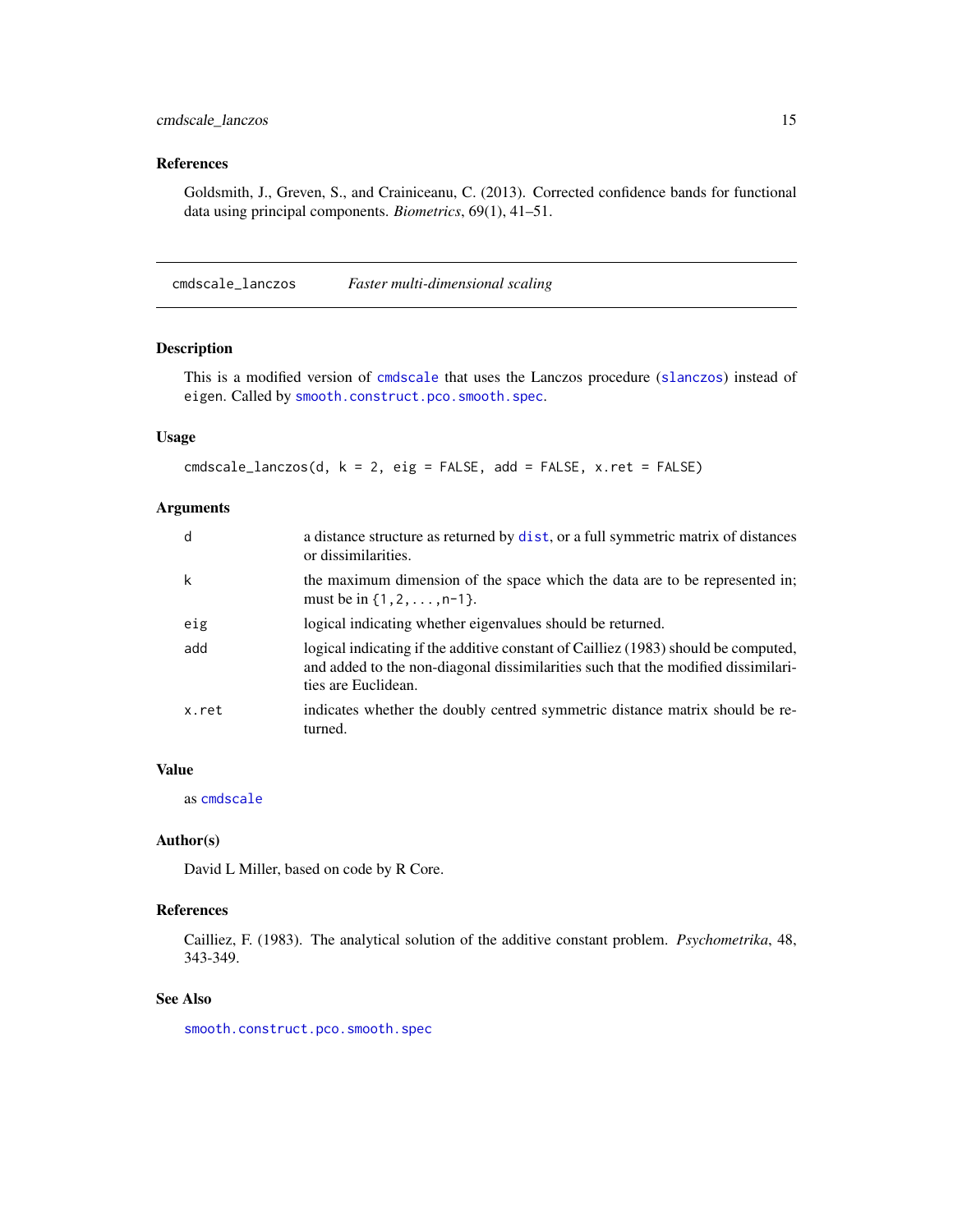# <span id="page-14-0"></span>References

Goldsmith, J., Greven, S., and Crainiceanu, C. (2013). Corrected confidence bands for functional data using principal components. *Biometrics*, 69(1), 41–51.

cmdscale\_lanczos *Faster multi-dimensional scaling*

### Description

This is a modified version of [cmdscale](#page-0-0) that uses the Lanczos procedure ([slanczos](#page-0-0)) instead of eigen. Called by [smooth.construct.pco.smooth.spec](#page-157-1).

# Usage

cmdscale\_lanczos(d, k = 2, eig = FALSE, add = FALSE, x.ret = FALSE)

# Arguments

| d     | a distance structure as returned by dist, or a full symmetric matrix of distances<br>or dissimilarities.                                                                                       |
|-------|------------------------------------------------------------------------------------------------------------------------------------------------------------------------------------------------|
| k     | the maximum dimension of the space which the data are to be represented in;<br>must be in $\{1, 2, \ldots, n-1\}$ .                                                                            |
| eig   | logical indicating whether eigenvalues should be returned.                                                                                                                                     |
| add   | logical indicating if the additive constant of Cailliez (1983) should be computed,<br>and added to the non-diagonal dissimilarities such that the modified dissimilari-<br>ties are Euclidean. |
| x.ret | indicates whether the doubly centred symmetric distance matrix should be re-<br>turned.                                                                                                        |

# Value

as [cmdscale](#page-0-0)

### Author(s)

David L Miller, based on code by R Core.

### References

Cailliez, F. (1983). The analytical solution of the additive constant problem. *Psychometrika*, 48, 343-349.

# See Also

[smooth.construct.pco.smooth.spec](#page-157-1)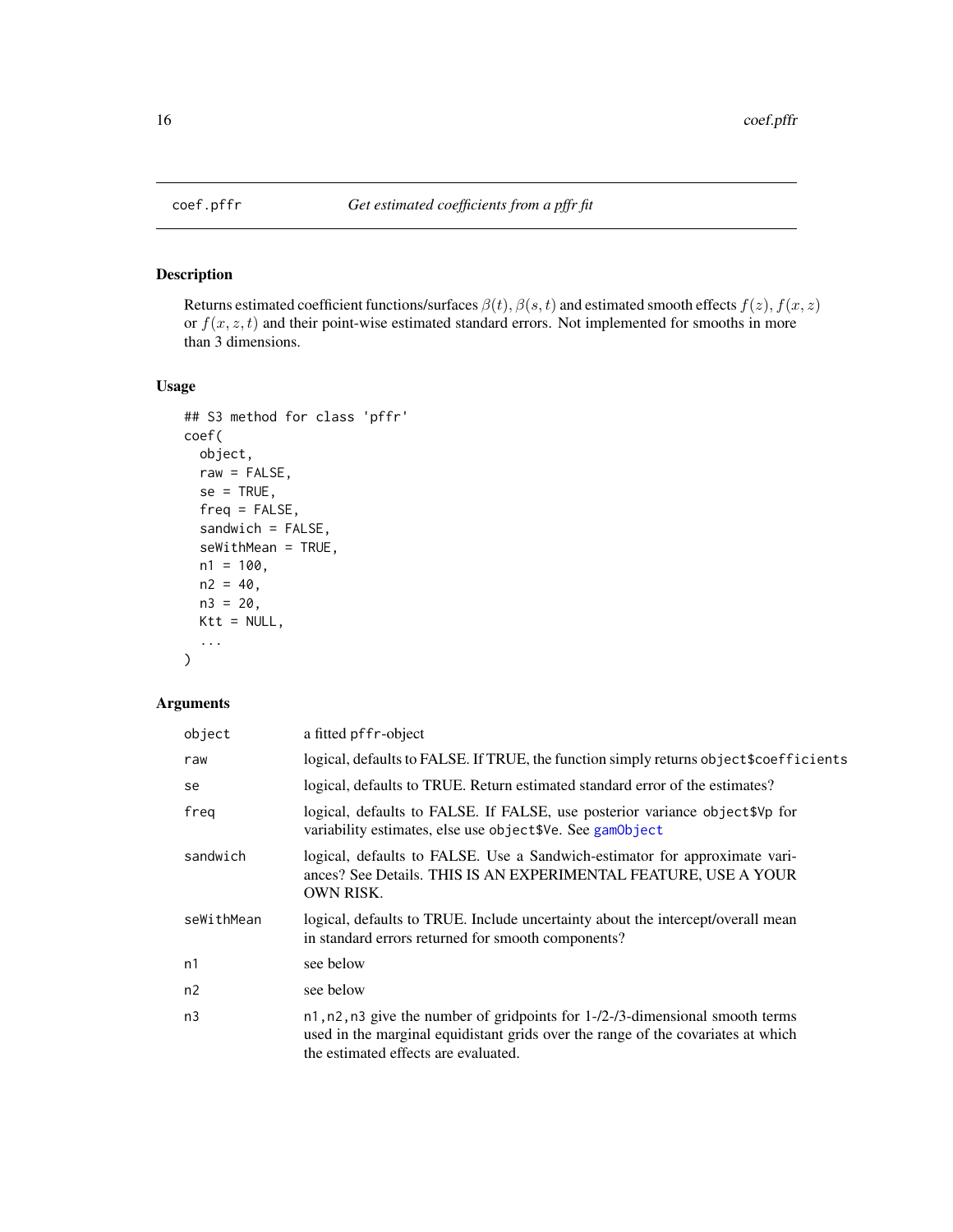<span id="page-15-1"></span><span id="page-15-0"></span>

# Description

Returns estimated coefficient functions/surfaces  $\beta(t)$ ,  $\beta(s,t)$  and estimated smooth effects  $f(z)$ ,  $f(x, z)$ or  $f(x, z, t)$  and their point-wise estimated standard errors. Not implemented for smooths in more than 3 dimensions.

### Usage

```
## S3 method for class 'pffr'
coef(
 object,
 raw = FALSE,se = TRUE,freq = FALSE,
 sandwich = FALSE,
 seWithMean = TRUE,
 n1 = 100,n2 = 40,
 n3 = 20,
 Ktt = NULL,...
)
```
# Arguments

| object     | a fitted pffr-object                                                                                                                                                                                               |
|------------|--------------------------------------------------------------------------------------------------------------------------------------------------------------------------------------------------------------------|
| raw        | logical, defaults to FALSE. If TRUE, the function simply returns object\$coefficients                                                                                                                              |
| se         | logical, defaults to TRUE. Return estimated standard error of the estimates?                                                                                                                                       |
| freg       | logical, defaults to FALSE. If FALSE, use posterior variance object \$Vp for<br>variability estimates, else use object \$Ve. See gamobject                                                                         |
| sandwich   | logical, defaults to FALSE. Use a Sandwich-estimator for approximate vari-<br>ances? See Details. THIS IS AN EXPERIMENTAL FEATURE, USE A YOUR<br><b>OWN RISK.</b>                                                  |
| seWithMean | logical, defaults to TRUE. Include uncertainty about the intercept/overall mean<br>in standard errors returned for smooth components?                                                                              |
| n1         | see below                                                                                                                                                                                                          |
| n2         | see below                                                                                                                                                                                                          |
| n3         | n1, n2, n3 give the number of gridpoints for $1-\frac{2}{3}$ -dimensional smooth terms<br>used in the marginal equidistant grids over the range of the covariates at which<br>the estimated effects are evaluated. |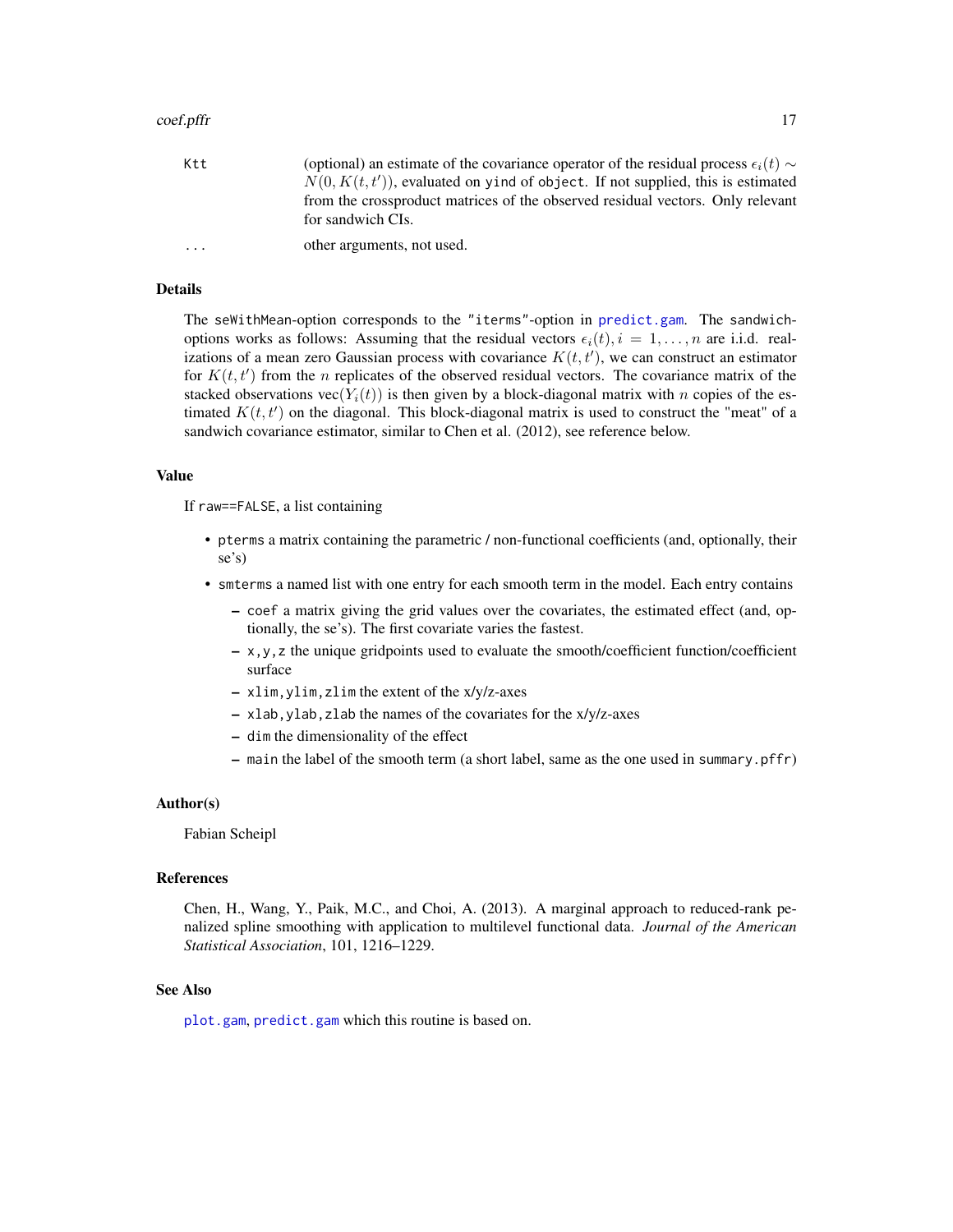| Ktt | (optional) an estimate of the covariance operator of the residual process $\epsilon_i(t) \sim$<br>$N(0, K(t, t'))$ , evaluated on yind of object. If not supplied, this is estimated |
|-----|--------------------------------------------------------------------------------------------------------------------------------------------------------------------------------------|
|     | from the crossproduct matrices of the observed residual vectors. Only relevant<br>for sandwich CIs.                                                                                  |
| .   | other arguments, not used.                                                                                                                                                           |

### Details

The seWithMean-option corresponds to the "iterms"-option in [predict.gam](#page-0-0). The sandwichoptions works as follows: Assuming that the residual vectors  $\epsilon_i(t)$ ,  $i = 1, ..., n$  are i.i.d. realizations of a mean zero Gaussian process with covariance  $K(t, t')$ , we can construct an estimator for  $K(t, t')$  from the n replicates of the observed residual vectors. The covariance matrix of the stacked observations vec( $Y_i(t)$ ) is then given by a block-diagonal matrix with n copies of the estimated  $K(t, t')$  on the diagonal. This block-diagonal matrix is used to construct the "meat" of a sandwich covariance estimator, similar to Chen et al. (2012), see reference below.

#### Value

If raw==FALSE, a list containing

- pterms a matrix containing the parametric / non-functional coefficients (and, optionally, their se's)
- smterms a named list with one entry for each smooth term in the model. Each entry contains
	- coef a matrix giving the grid values over the covariates, the estimated effect (and, optionally, the se's). The first covariate varies the fastest.
	- $x, y, z$  the unique gridpoints used to evaluate the smooth/coefficient function/coefficient surface
	- xlim,ylim,zlim the extent of the x/y/z-axes
	- xlab,ylab,zlab the names of the covariates for the x/y/z-axes
	- dim the dimensionality of the effect
	- main the label of the smooth term (a short label, same as the one used in summary.pffr)

### Author(s)

Fabian Scheipl

#### References

Chen, H., Wang, Y., Paik, M.C., and Choi, A. (2013). A marginal approach to reduced-rank penalized spline smoothing with application to multilevel functional data. *Journal of the American Statistical Association*, 101, 1216–1229.

### See Also

[plot.gam](#page-0-0), [predict.gam](#page-0-0) which this routine is based on.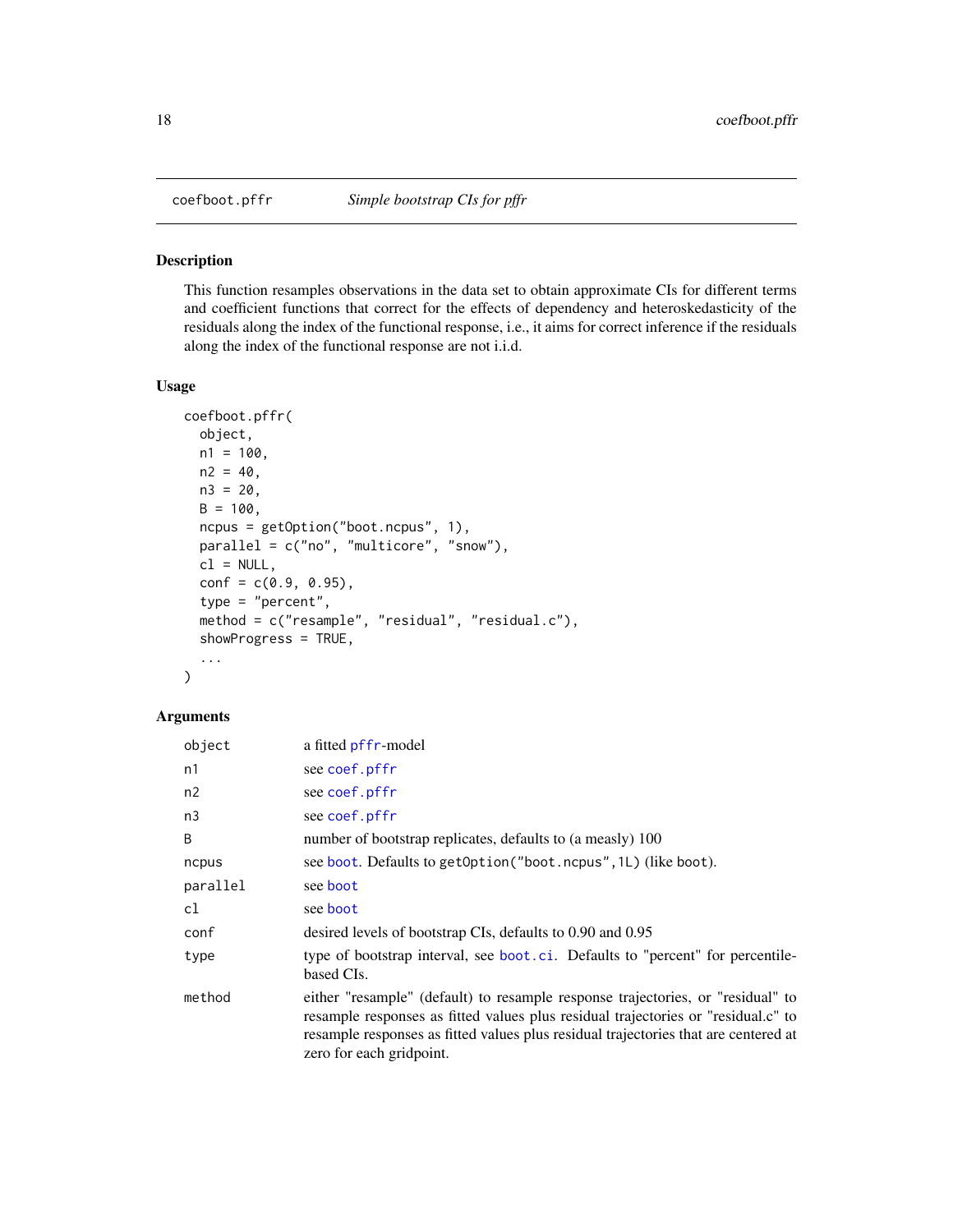<span id="page-17-0"></span>

### Description

This function resamples observations in the data set to obtain approximate CIs for different terms and coefficient functions that correct for the effects of dependency and heteroskedasticity of the residuals along the index of the functional response, i.e., it aims for correct inference if the residuals along the index of the functional response are not i.i.d.

# Usage

```
coefboot.pffr(
  object,
 n1 = 100,
 n2 = 40,
 n3 = 20,
 B = 100,
  ncpus = getOption("boot.ncpus", 1),
 parallel = c("no", "multicore", "snow"),
 cl = NULL,conf = c(0.9, 0.95),
  type = "percent",
  method = c("resample", "residual", "residual.c"),
  showProgress = TRUE,
  ...
)
```
# Arguments

| object   | a fitted pffr-model                                                                                                                                                                                                                                                                     |
|----------|-----------------------------------------------------------------------------------------------------------------------------------------------------------------------------------------------------------------------------------------------------------------------------------------|
| n1       | see coef.pffr                                                                                                                                                                                                                                                                           |
| n2       | see coef.pffr                                                                                                                                                                                                                                                                           |
| n3       | see coef.pffr                                                                                                                                                                                                                                                                           |
| B        | number of bootstrap replicates, defaults to (a measly) 100                                                                                                                                                                                                                              |
| ncpus    | see boot. Defaults to getOption ("boot.ncpus", 1L) (like boot).                                                                                                                                                                                                                         |
| parallel | see boot                                                                                                                                                                                                                                                                                |
| cl       | see boot                                                                                                                                                                                                                                                                                |
| conf     | desired levels of bootstrap CIs, defaults to 0.90 and 0.95                                                                                                                                                                                                                              |
| type     | type of bootstrap interval, see boot.ci. Defaults to "percent" for percentile-<br>based CIs.                                                                                                                                                                                            |
| method   | either "resample" (default) to resample response trajectories, or "residual" to<br>resample responses as fitted values plus residual trajectories or "residual.c" to<br>resample responses as fitted values plus residual trajectories that are centered at<br>zero for each gridpoint. |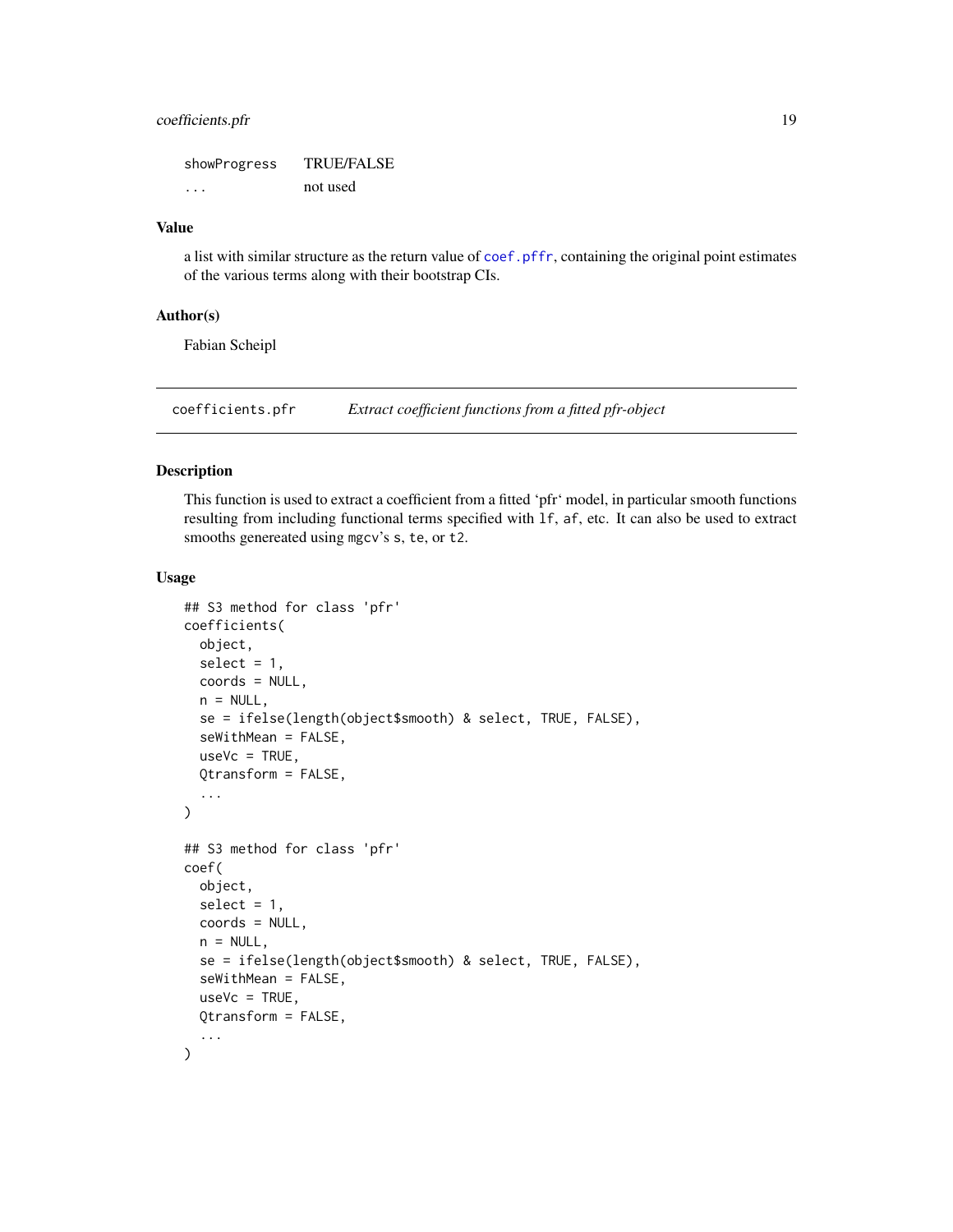# <span id="page-18-0"></span>coefficients.pfr 19

showProgress TRUE/FALSE ... not used

### Value

a list with similar structure as the return value of [coef.pffr](#page-15-1), containing the original point estimates of the various terms along with their bootstrap CIs.

# Author(s)

Fabian Scheipl

coefficients.pfr *Extract coefficient functions from a fitted pfr-object*

# Description

This function is used to extract a coefficient from a fitted 'pfr' model, in particular smooth functions resulting from including functional terms specified with lf, af, etc. It can also be used to extract smooths genereated using mgcv's s, te, or t2.

### Usage

```
## S3 method for class 'pfr'
coefficients(
  object,
  select = 1,
  coords = NULL,
  n = NULL,se = ifelse(length(object$smooth) & select, TRUE, FALSE),
  seWithMean = FALSE,
  useVc = TRUE,Qtransform = FALSE,
  ...
\mathcal{L}## S3 method for class 'pfr'
coef(
  object,
  select = 1,
  coords = NULL,
  n = NULL,se = ifelse(length(object$smooth) & select, TRUE, FALSE),
  seWithMean = FALSE,
  useVc = TRUE,
  Qtransform = FALSE,
  ...
)
```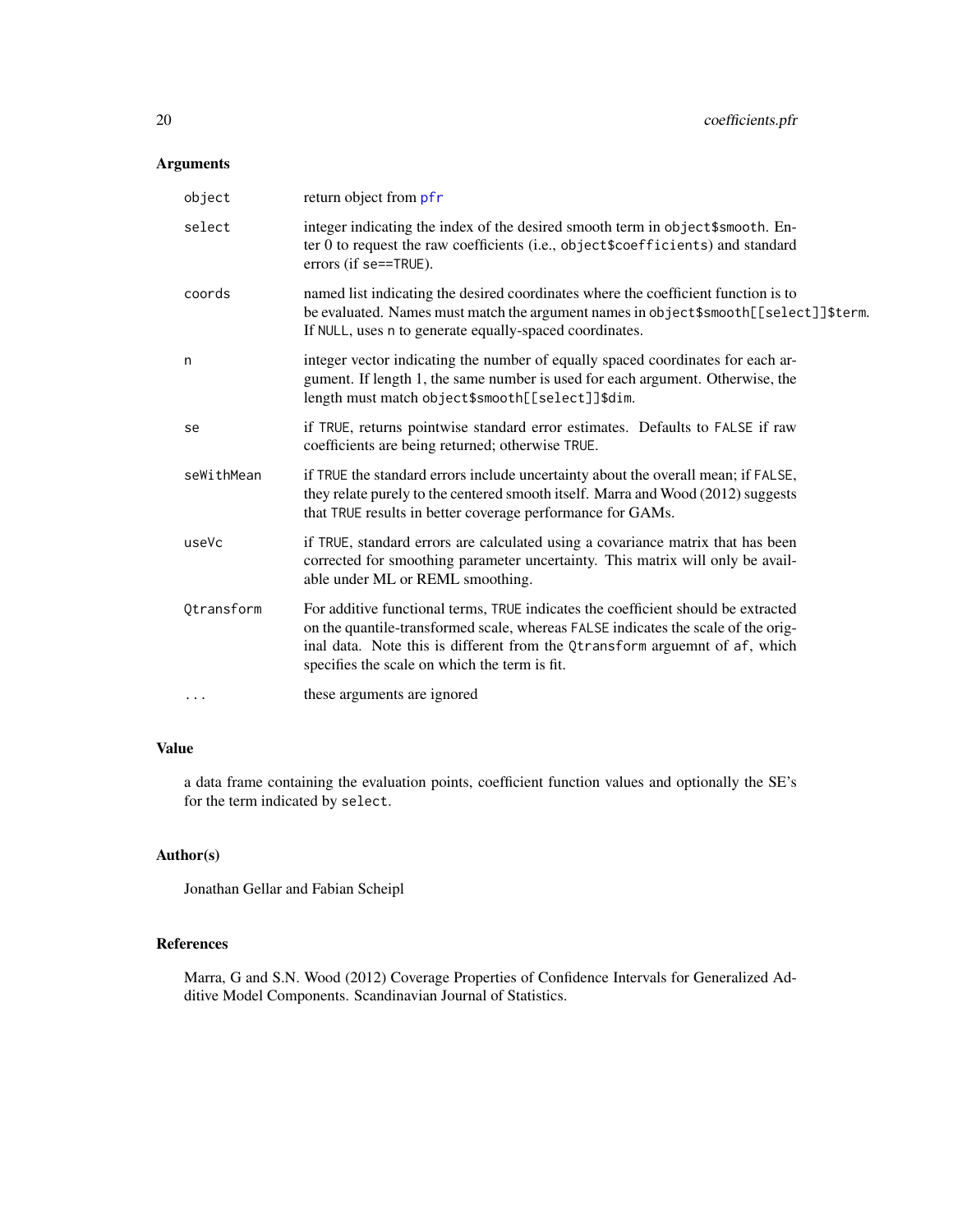# Arguments

| object     | return object from pfr                                                                                                                                                                                                                                                                                 |
|------------|--------------------------------------------------------------------------------------------------------------------------------------------------------------------------------------------------------------------------------------------------------------------------------------------------------|
| select     | integer indicating the index of the desired smooth term in object\$smooth. En-<br>ter 0 to request the raw coefficients (i.e., object\$coefficients) and standard<br>errors (if se==TRUE).                                                                                                             |
| coords     | named list indicating the desired coordinates where the coefficient function is to<br>be evaluated. Names must match the argument names in object\$smooth[[select]]\$term.<br>If NULL, uses n to generate equally-spaced coordinates.                                                                  |
| n          | integer vector indicating the number of equally spaced coordinates for each ar-<br>gument. If length 1, the same number is used for each argument. Otherwise, the<br>length must match object\$smooth[[select]]\$dim.                                                                                  |
| se         | if TRUE, returns pointwise standard error estimates. Defaults to FALSE if raw<br>coefficients are being returned; otherwise TRUE.                                                                                                                                                                      |
| seWithMean | if TRUE the standard errors include uncertainty about the overall mean; if FALSE,<br>they relate purely to the centered smooth itself. Marra and Wood (2012) suggests<br>that TRUE results in better coverage performance for GAMs.                                                                    |
| useVc      | if TRUE, standard errors are calculated using a covariance matrix that has been<br>corrected for smoothing parameter uncertainty. This matrix will only be avail-<br>able under ML or REML smoothing.                                                                                                  |
| Qtransform | For additive functional terms, TRUE indicates the coefficient should be extracted<br>on the quantile-transformed scale, whereas FALSE indicates the scale of the orig-<br>inal data. Note this is different from the Qtransform arguemnt of af, which<br>specifies the scale on which the term is fit. |
| $\ddots$   | these arguments are ignored                                                                                                                                                                                                                                                                            |

# Value

a data frame containing the evaluation points, coefficient function values and optionally the SE's for the term indicated by select.

# Author(s)

Jonathan Gellar and Fabian Scheipl

### References

Marra, G and S.N. Wood (2012) Coverage Properties of Confidence Intervals for Generalized Additive Model Components. Scandinavian Journal of Statistics.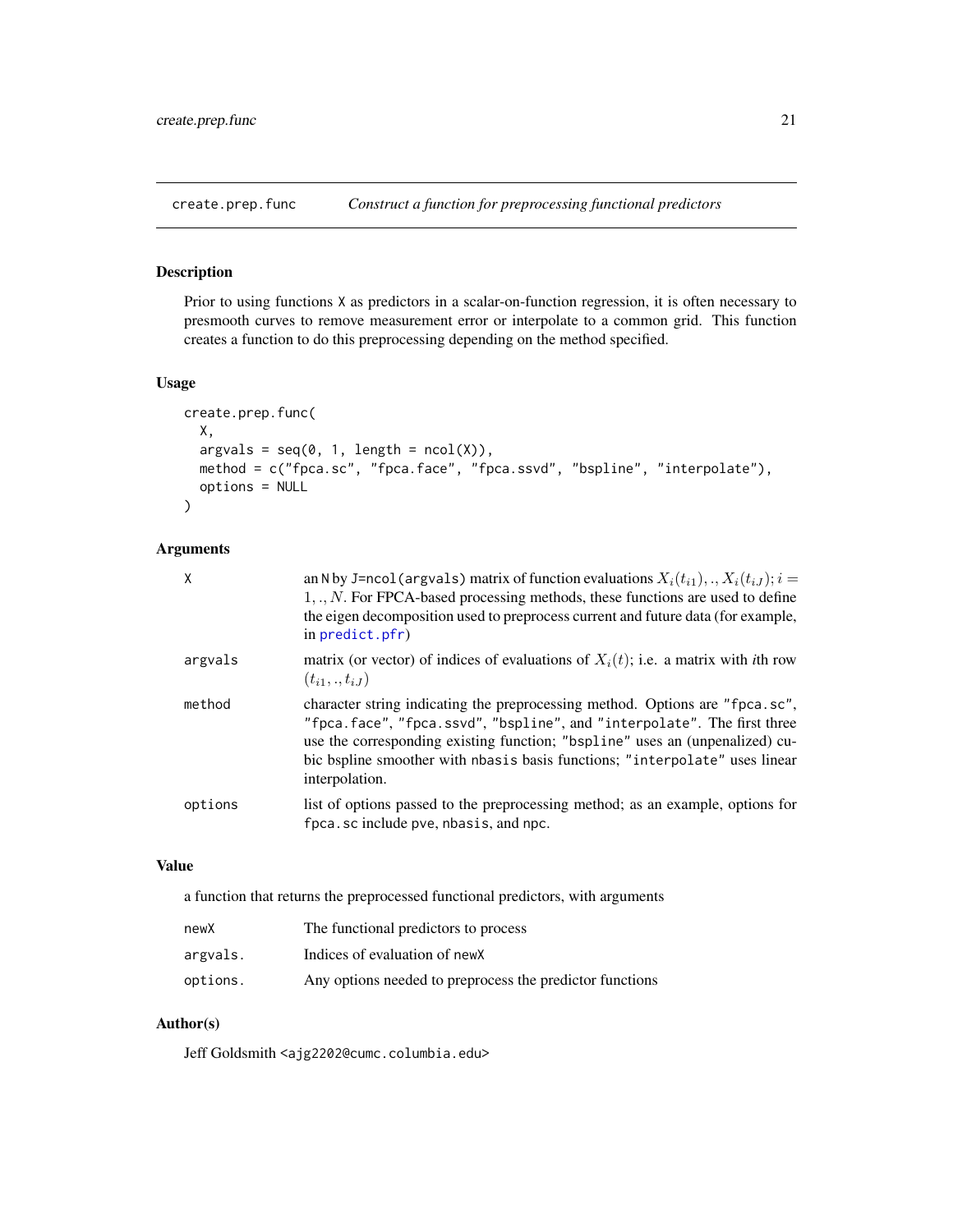<span id="page-20-1"></span><span id="page-20-0"></span>create.prep.func *Construct a function for preprocessing functional predictors*

# Description

Prior to using functions X as predictors in a scalar-on-function regression, it is often necessary to presmooth curves to remove measurement error or interpolate to a common grid. This function creates a function to do this preprocessing depending on the method specified.

### Usage

```
create.prep.func(
 X,
 argvals = seq(0, 1, length = ncol(X)),method = c("fpca.sc", "fpca.face", "fpca.ssvd", "bspline", "interpolate"),
 options = NULL
)
```
### Arguments

| X       | an N by J=ncol (argvals) matrix of function evaluations $X_i(t_{i1}),,X_i(t_{iJ}); i =$<br>$1,,N$ . For FPCA-based processing methods, these functions are used to define<br>the eigen decomposition used to preprocess current and future data (for example,<br>in $predict.pfr)$                                                       |
|---------|------------------------------------------------------------------------------------------------------------------------------------------------------------------------------------------------------------------------------------------------------------------------------------------------------------------------------------------|
| argvals | matrix (or vector) of indices of evaluations of $X_i(t)$ ; i.e. a matrix with <i>i</i> th row<br>$(t_{i1},.,t_{iJ})$                                                                                                                                                                                                                     |
| method  | character string indicating the preprocessing method. Options are "fpca.sc",<br>"fpca.face", "fpca.ssvd", "bspline", and "interpolate". The first three<br>use the corresponding existing function; "bspline" uses an (unpenalized) cu-<br>bic bspline smoother with nbasis basis functions; "interpolate" uses linear<br>interpolation. |
| options | list of options passed to the preprocessing method; as an example, options for<br>fpca.sc include pve, nbasis, and npc.                                                                                                                                                                                                                  |

### Value

a function that returns the preprocessed functional predictors, with arguments

| newX     | The functional predictors to process                     |
|----------|----------------------------------------------------------|
| argvals. | Indices of evaluation of new X                           |
| options. | Any options needed to preprocess the predictor functions |

# Author(s)

Jeff Goldsmith <ajg2202@cumc.columbia.edu>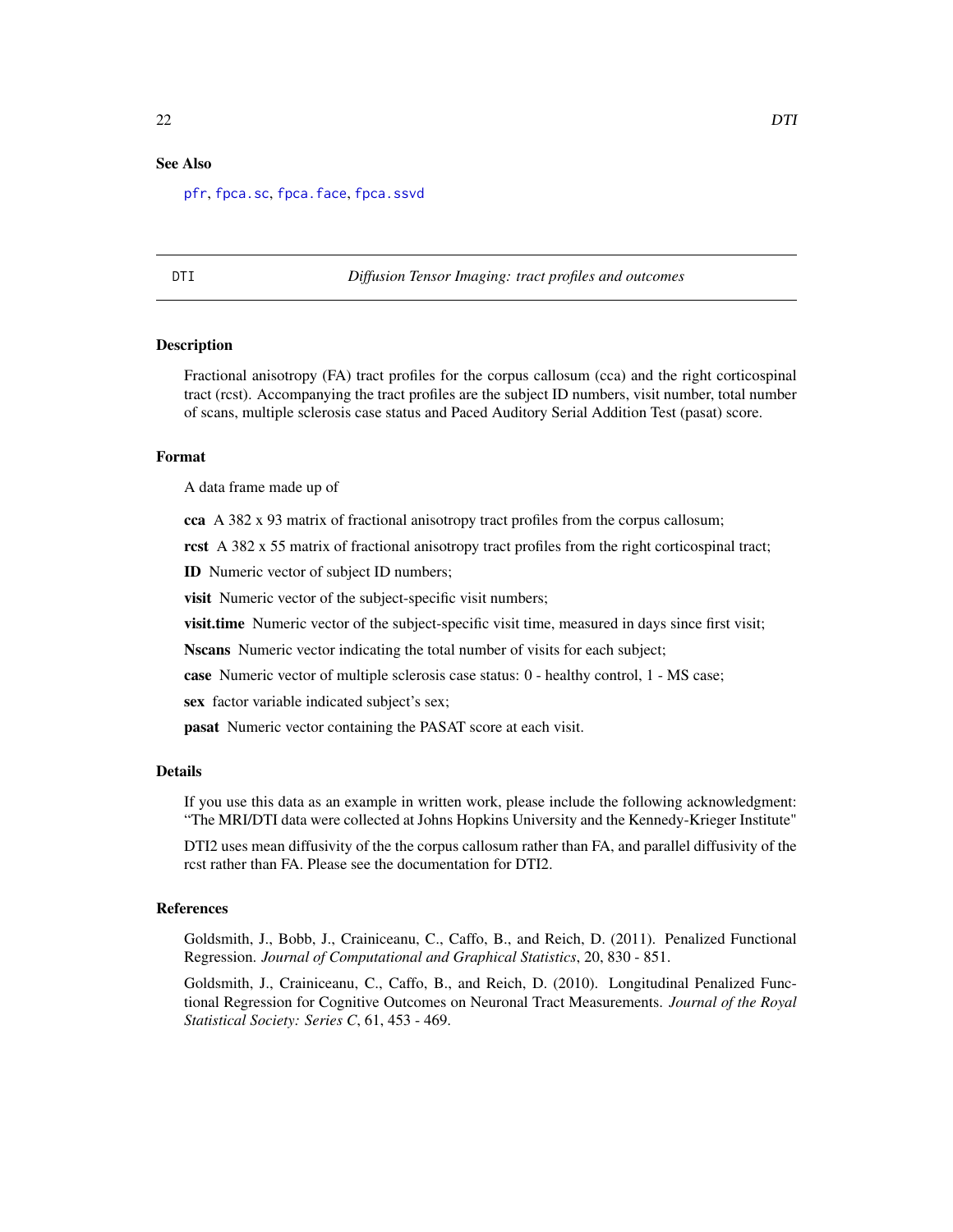# <span id="page-21-0"></span>See Also

[pfr](#page-116-1), [fpca.sc](#page-56-1), [fpca.face](#page-47-1), [fpca.ssvd](#page-60-1)

DTI *Diffusion Tensor Imaging: tract profiles and outcomes*

### **Description**

Fractional anisotropy (FA) tract profiles for the corpus callosum (cca) and the right corticospinal tract (rcst). Accompanying the tract profiles are the subject ID numbers, visit number, total number of scans, multiple sclerosis case status and Paced Auditory Serial Addition Test (pasat) score.

### Format

A data frame made up of

cca A 382 x 93 matrix of fractional anisotropy tract profiles from the corpus callosum;

rcst A 382 x 55 matrix of fractional anisotropy tract profiles from the right corticospinal tract;

ID Numeric vector of subject ID numbers;

visit Numeric vector of the subject-specific visit numbers;

visit.time Numeric vector of the subject-specific visit time, measured in days since first visit;

Nscans Numeric vector indicating the total number of visits for each subject;

case Numeric vector of multiple sclerosis case status: 0 - healthy control, 1 - MS case;

sex factor variable indicated subject's sex;

pasat Numeric vector containing the PASAT score at each visit.

#### Details

If you use this data as an example in written work, please include the following acknowledgment: "The MRI/DTI data were collected at Johns Hopkins University and the Kennedy-Krieger Institute"

DTI2 uses mean diffusivity of the the corpus callosum rather than FA, and parallel diffusivity of the rcst rather than FA. Please see the documentation for DTI2.

# References

Goldsmith, J., Bobb, J., Crainiceanu, C., Caffo, B., and Reich, D. (2011). Penalized Functional Regression. *Journal of Computational and Graphical Statistics*, 20, 830 - 851.

Goldsmith, J., Crainiceanu, C., Caffo, B., and Reich, D. (2010). Longitudinal Penalized Functional Regression for Cognitive Outcomes on Neuronal Tract Measurements. *Journal of the Royal Statistical Society: Series C*, 61, 453 - 469.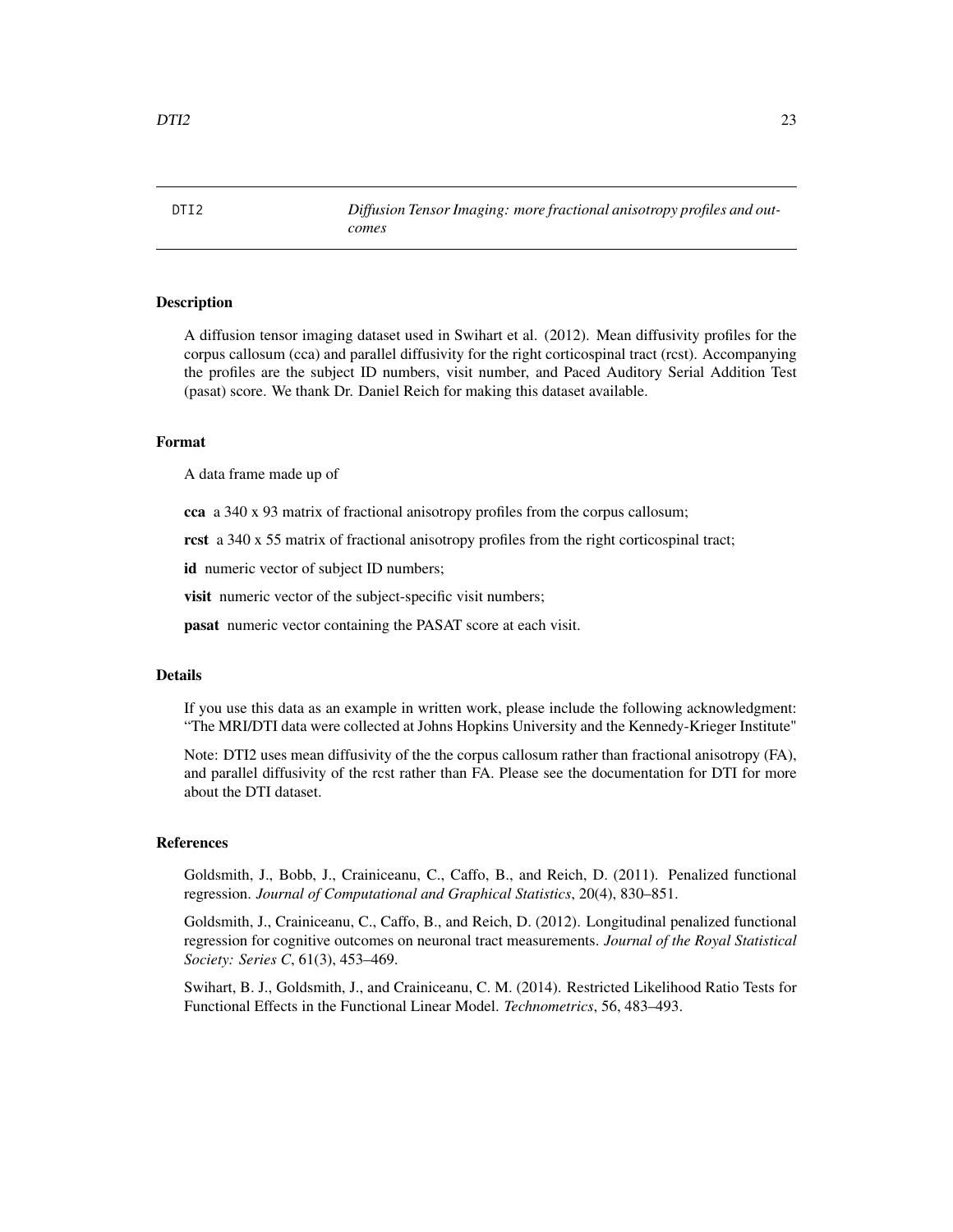### <span id="page-22-0"></span>Description

A diffusion tensor imaging dataset used in Swihart et al. (2012). Mean diffusivity profiles for the corpus callosum (cca) and parallel diffusivity for the right corticospinal tract (rcst). Accompanying the profiles are the subject ID numbers, visit number, and Paced Auditory Serial Addition Test (pasat) score. We thank Dr. Daniel Reich for making this dataset available.

### Format

A data frame made up of

cca a 340 x 93 matrix of fractional anisotropy profiles from the corpus callosum;

rcst a 340 x 55 matrix of fractional anisotropy profiles from the right corticospinal tract;

id numeric vector of subject ID numbers;

visit numeric vector of the subject-specific visit numbers;

pasat numeric vector containing the PASAT score at each visit.

### Details

If you use this data as an example in written work, please include the following acknowledgment: "The MRI/DTI data were collected at Johns Hopkins University and the Kennedy-Krieger Institute"

Note: DTI2 uses mean diffusivity of the the corpus callosum rather than fractional anisotropy (FA), and parallel diffusivity of the rcst rather than FA. Please see the documentation for DTI for more about the DTI dataset.

### References

Goldsmith, J., Bobb, J., Crainiceanu, C., Caffo, B., and Reich, D. (2011). Penalized functional regression. *Journal of Computational and Graphical Statistics*, 20(4), 830–851.

Goldsmith, J., Crainiceanu, C., Caffo, B., and Reich, D. (2012). Longitudinal penalized functional regression for cognitive outcomes on neuronal tract measurements. *Journal of the Royal Statistical Society: Series C*, 61(3), 453–469.

Swihart, B. J., Goldsmith, J., and Crainiceanu, C. M. (2014). Restricted Likelihood Ratio Tests for Functional Effects in the Functional Linear Model. *Technometrics*, 56, 483–493.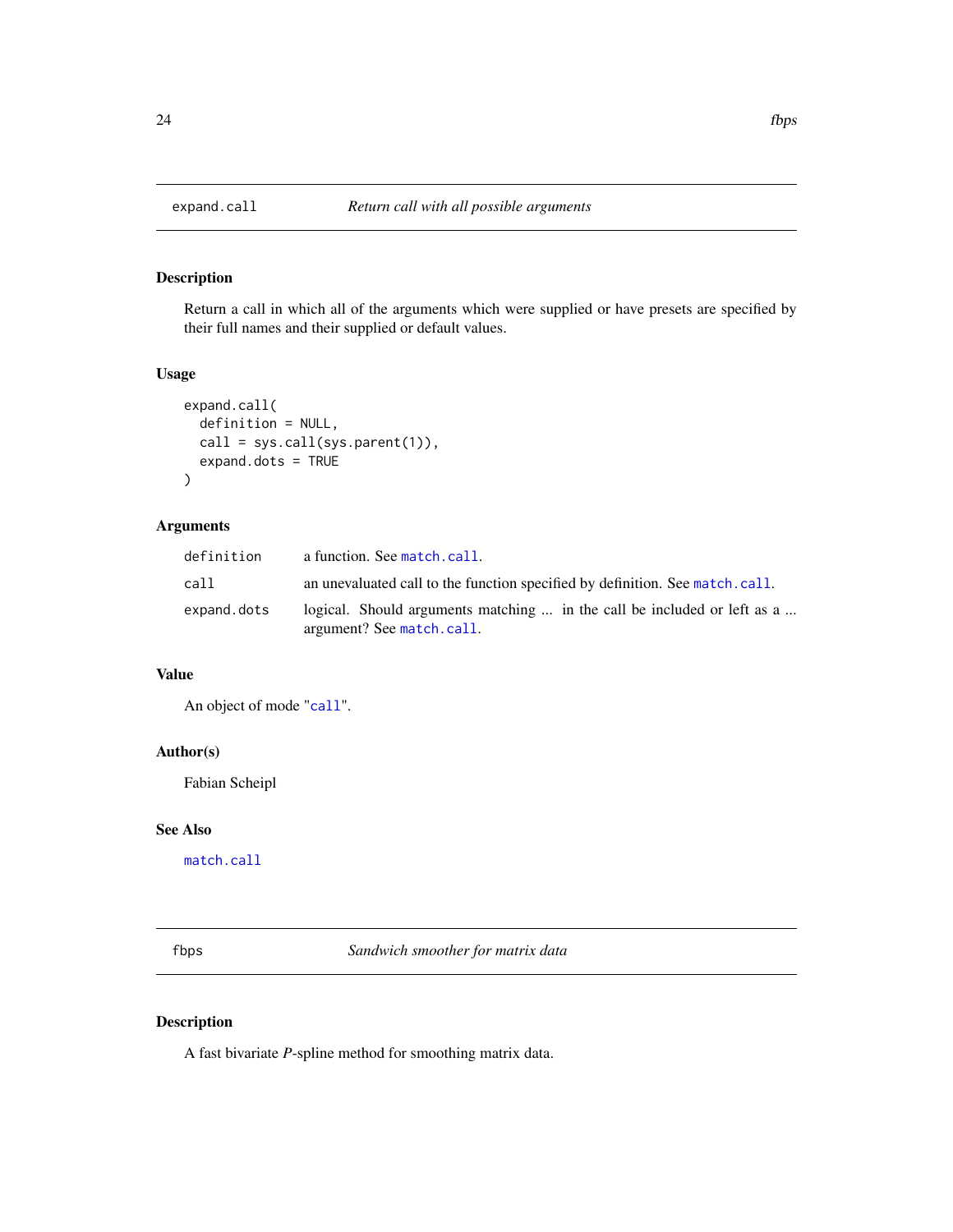<span id="page-23-0"></span>

# Description

Return a call in which all of the arguments which were supplied or have presets are specified by their full names and their supplied or default values.

### Usage

```
expand.call(
  definition = NULL,
  call = sys.call(sys.parent(1)),
  expand.dots = TRUE
\mathcal{L}
```
# Arguments

| definition  | a function. See match.call.                                                                           |
|-------------|-------------------------------------------------------------------------------------------------------|
| cal1        | an unevaluated call to the function specified by definition. See match.call.                          |
| expand.dots | logical. Should arguments matching  in the call be included or left as a<br>argument? See match.call. |

# Value

An object of mode "[call](#page-0-0)".

### Author(s)

Fabian Scheipl

### See Also

[match.call](#page-0-0)

fbps *Sandwich smoother for matrix data*

# Description

A fast bivariate *P*-spline method for smoothing matrix data.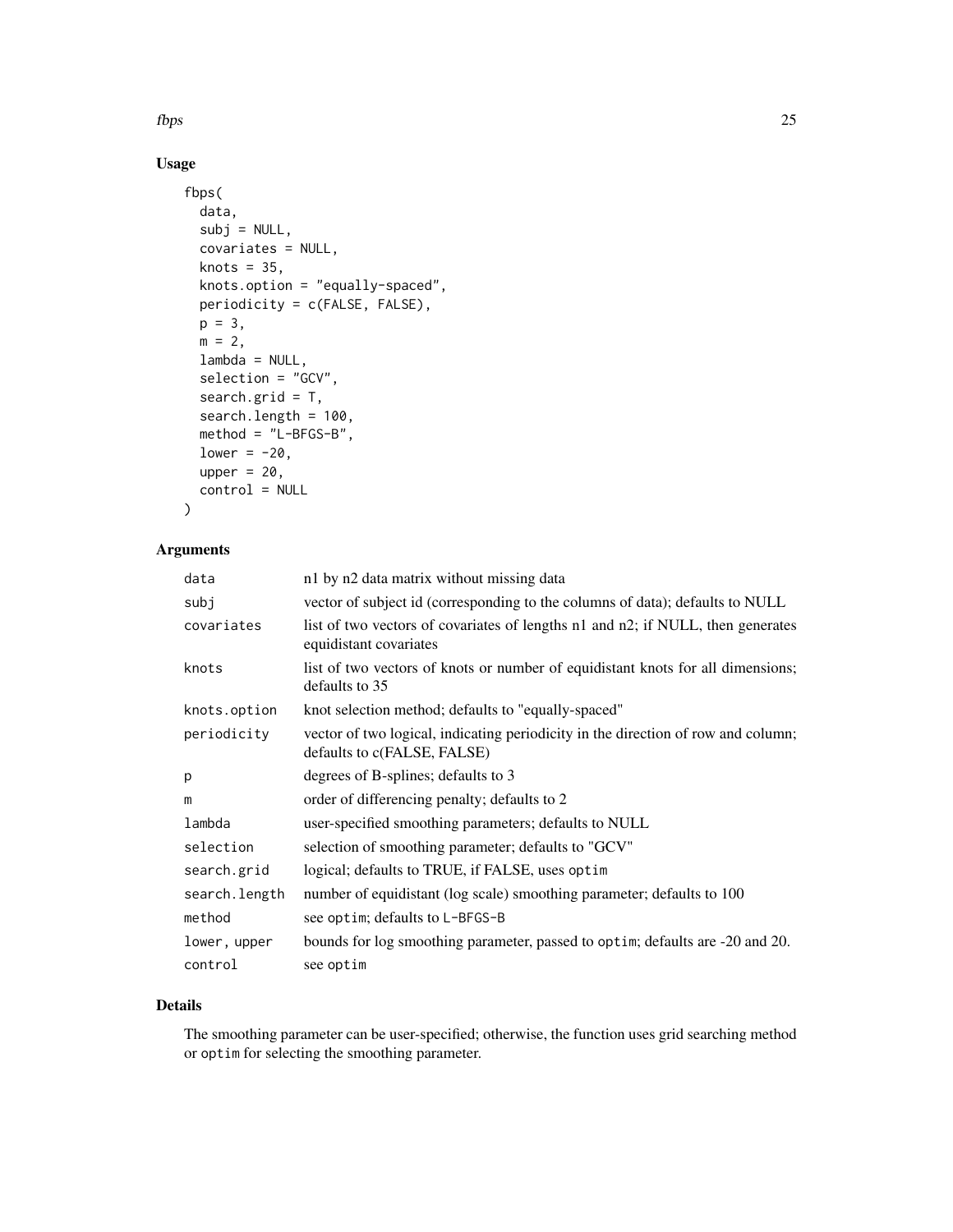$fbps$  25

# Usage

```
fbps(
 data,
  subj = NULL,covariates = NULL,
 knots = 35,
 knots.option = "equally-spaced",
 periodicity = c(FALSE, FALSE),
 p = 3,
 m = 2,lambda = NULL,
  selection = "GCV",
  search.grid = T,
  search.length = 100,
 method = "L-BFGS-B",
 lower = -20,
 upper = 20,
 control = NULL
)
```
# Arguments

| data          | n1 by n2 data matrix without missing data                                                                        |
|---------------|------------------------------------------------------------------------------------------------------------------|
| subj          | vector of subject id (corresponding to the columns of data); defaults to NULL                                    |
| covariates    | list of two vectors of covariates of lengths n1 and n2; if NULL, then generates<br>equidistant covariates        |
| knots         | list of two vectors of knots or number of equidistant knots for all dimensions;<br>defaults to 35                |
| knots.option  | knot selection method; defaults to "equally-spaced"                                                              |
| periodicity   | vector of two logical, indicating periodicity in the direction of row and column;<br>defaults to c(FALSE, FALSE) |
| p             | degrees of B-splines; defaults to 3                                                                              |
| m             | order of differencing penalty; defaults to 2                                                                     |
| lambda        | user-specified smoothing parameters; defaults to NULL                                                            |
| selection     | selection of smoothing parameter; defaults to "GCV"                                                              |
| search.grid   | logical; defaults to TRUE, if FALSE, uses optim                                                                  |
| search.length | number of equidistant (log scale) smoothing parameter; defaults to 100                                           |
| method        | see optim; defaults to L-BFGS-B                                                                                  |
| lower, upper  | bounds for log smoothing parameter, passed to optim; defaults are -20 and 20.                                    |
| control       | see optim                                                                                                        |

# Details

The smoothing parameter can be user-specified; otherwise, the function uses grid searching method or optim for selecting the smoothing parameter.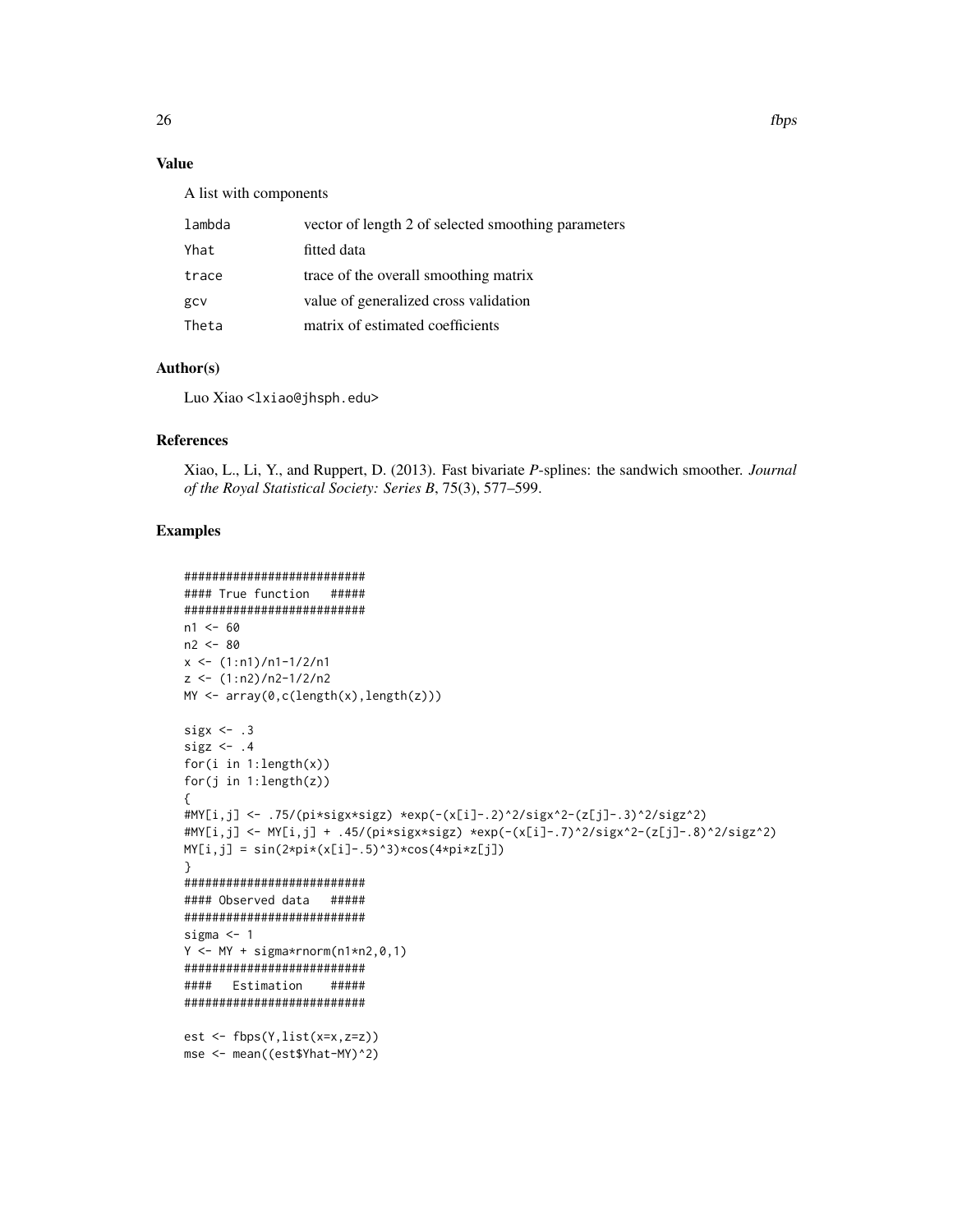# Value

A list with components

| lambda | vector of length 2 of selected smoothing parameters |
|--------|-----------------------------------------------------|
| Yhat   | fitted data                                         |
| trace  | trace of the overall smoothing matrix               |
| gcv    | value of generalized cross validation               |
| Theta  | matrix of estimated coefficients                    |

# Author(s)

Luo Xiao <lxiao@jhsph.edu>

# References

Xiao, L., Li, Y., and Ruppert, D. (2013). Fast bivariate *P*-splines: the sandwich smoother. *Journal of the Royal Statistical Society: Series B*, 75(3), 577–599.

# Examples

```
##########################
#### True function #####
##########################
n1 < -60n2 < -80x \le -(1:n1)/n1-1/2/n1z <- (1:n2)/n2-1/2/n2
MY <- array(0,c(length(x),length(z)))
sigx \leftarrow .3sigz \leftarrow .4
for(i in 1:length(x))
for(j in 1:length(z))
{
#MY[i,j] <- .75/(pi*sigx*sigz) *exp(-(x[i]-.2)^2/sigx^2-(z[j]-.3)^2/sigz^2)
#MY[i,j] <- MY[i,j] + .45/(pi*sigx*sigz) *exp(-(x[i]-.7)^2/sigx^2-(z[j]-.8)^2/sigz^2)
MY[i,j] = sin(2*pi*(x[i]-.5)^3)*cos(4*pi*z[j])}
##########################
#### Observed data #####
##########################
sigma <-1Y \leftarrow MY + sigma*rnorm(n1*n2, 0, 1)##########################
#### Estimation #####
##########################
est <- fbps(Y,list(x=x,z=z))
mse <- mean((est$Yhat-MY)^2)
```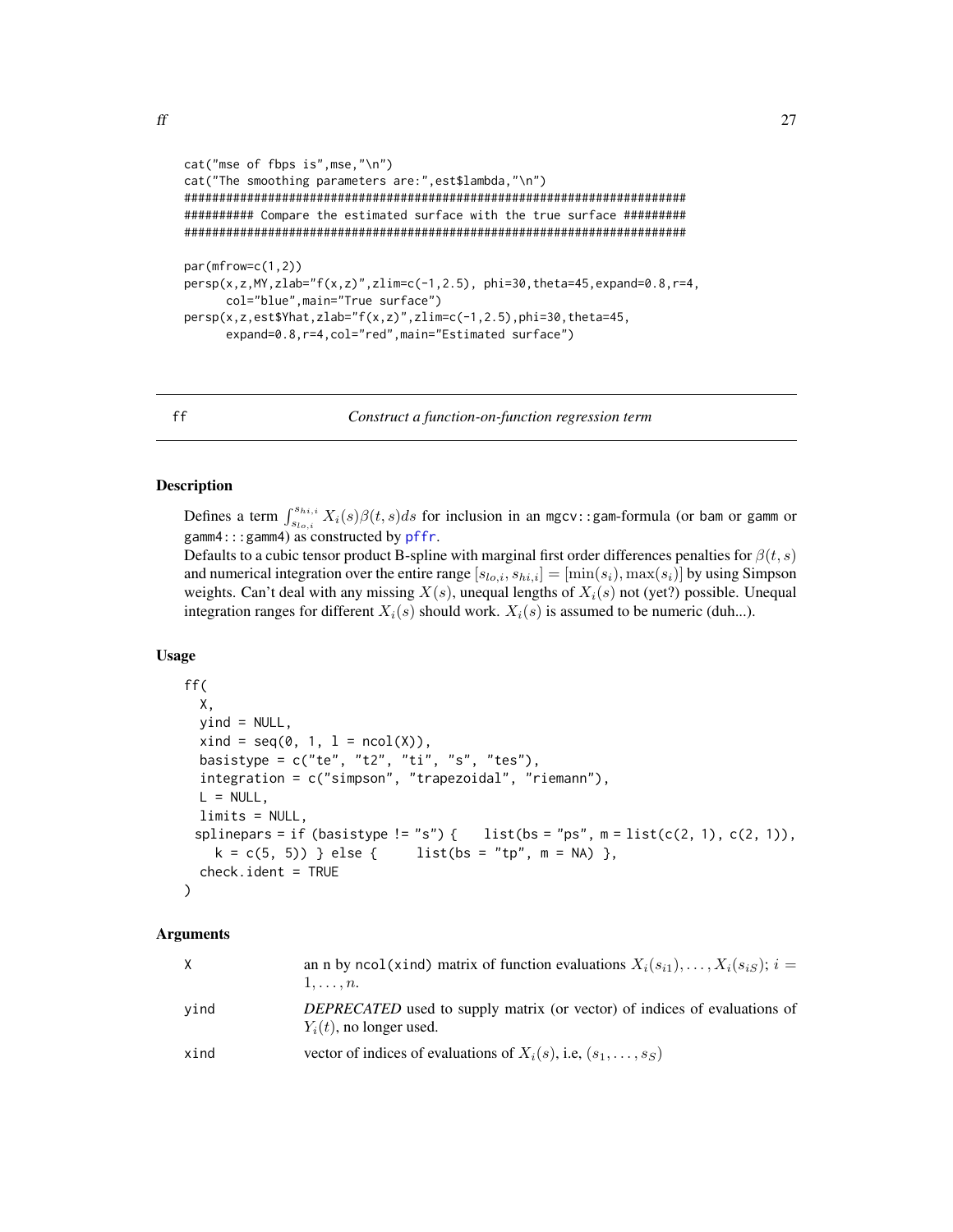<span id="page-26-0"></span>

```
cat("mse of fbps is",mse,"\n")
cat("The smoothing parameters are:",est$lambda,"\n")
########################################################################
########## Compare the estimated surface with the true surface #########
########################################################################
par(mfrow=c(1,2))
persp(x,z,MY,zlab="f(x,z)",zlim=c(-1,2.5), phi=30,theta=45,expand=0.8,r=4,
     col="blue",main="True surface")
persp(x,z,est$Yhat,zlab="f(x,z)",zlim=c(-1,2.5),phi=30,theta=45,
      expand=0.8,r=4,col="red",main="Estimated surface")
```
<span id="page-26-1"></span>ff *Construct a function-on-function regression term*

# **Description**

Defines a term  $\int_{s_{lo,i}}^{s_{hi,i}} X_i(s)\beta(t,s)ds$  for inclusion in an mgcv::gam-formula (or bam or gamm or gamm4:::gamm4) as constructed by [pffr](#page-108-1).

Defaults to a cubic tensor product B-spline with marginal first order differences penalties for  $\beta(t, s)$ and numerical integration over the entire range  $[s_{lo,i}, s_{hi,i}] = [\min(s_i), \max(s_i)]$  by using Simpson weights. Can't deal with any missing  $X(s)$ , unequal lengths of  $X_i(s)$  not (yet?) possible. Unequal integration ranges for different  $X_i(s)$  should work.  $X_i(s)$  is assumed to be numeric (duh...).

### Usage

```
ff(
 X,
 yind = NULL,
 xind = seq(0, 1, 1 = ncol(X)),basistype = c("te", "t2", "ti", "s", "tes"),
  integration = c("simpson", "trapezoidal", "riemann"),
 L = NULL,
 limits = NULL,
 splinepars = if (basistype != "s") { list(bs = "ps", m = list(c(2, 1), c(2, 1)),
   k = c(5, 5) } else { list(bs = "tp", m = NA) },
 check.ident = TRUE
)
```
### Arguments

| X    | an n by ncol(xind) matrix of function evaluations $X_i(s_{i1}), \ldots, X_i(s_{iS}); i =$<br>$1, \ldots, n$ .  |
|------|----------------------------------------------------------------------------------------------------------------|
| vind | <i>DEPRECATED</i> used to supply matrix (or vector) of indices of evaluations of<br>$Y_i(t)$ , no longer used. |
| xind | vector of indices of evaluations of $X_i(s)$ , i.e., $(s_1, \ldots, s_S)$                                      |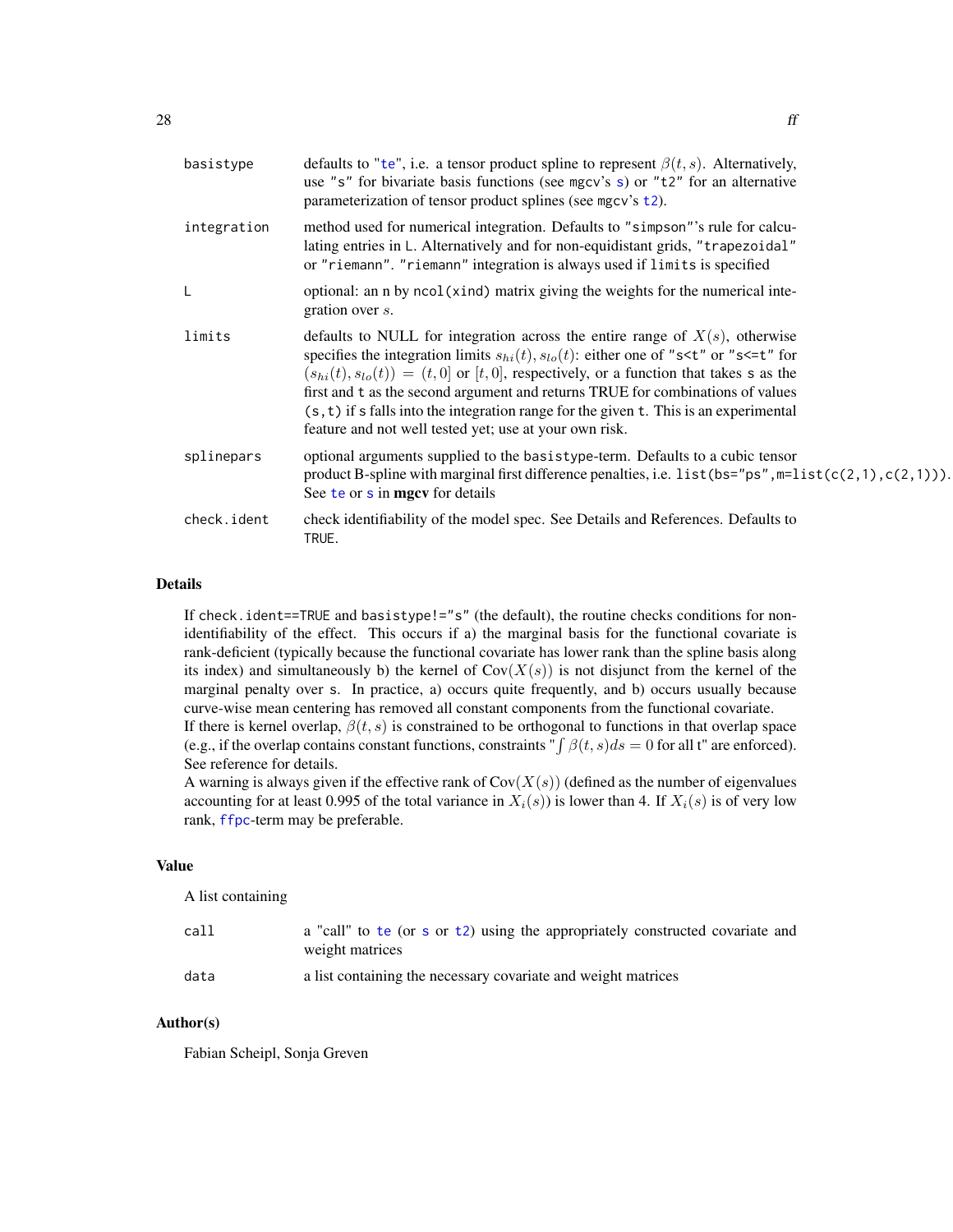| basistype   | defaults to "te", i.e. a tensor product spline to represent $\beta(t, s)$ . Alternatively,<br>use "s" for bivariate basis functions (see mgcv's s) or "t2" for an alternative<br>parameterization of tensor product splines (see mgcv's $t2$ ).                                                                                                                                                                                                                                                                                                                |
|-------------|----------------------------------------------------------------------------------------------------------------------------------------------------------------------------------------------------------------------------------------------------------------------------------------------------------------------------------------------------------------------------------------------------------------------------------------------------------------------------------------------------------------------------------------------------------------|
| integration | method used for numerical integration. Defaults to "simpson"'s rule for calcu-<br>lating entries in L. Alternatively and for non-equidistant grids, "trapezoidal"<br>or "riemann". "riemann" integration is always used if limits is specified                                                                                                                                                                                                                                                                                                                 |
|             | optional: an n by ncol(xind) matrix giving the weights for the numerical inte-<br>gration over s.                                                                                                                                                                                                                                                                                                                                                                                                                                                              |
| limits      | defaults to NULL for integration across the entire range of $X(s)$ , otherwise<br>specifies the integration limits $s_{hi}(t)$ , $s_{lo}(t)$ : either one of "s <t" "s<='t"' for<br="" or=""><math>(s_{hi}(t), s_{lo}(t)) = (t, 0]</math> or [t, 0], respectively, or a function that takes s as the<br/>first and t as the second argument and returns TRUE for combinations of values<br/><math>(s, t)</math> if s falls into the integration range for the given t. This is an experimental<br/>feature and not well tested yet; use at your own risk.</t"> |
| splinepars  | optional arguments supplied to the basistype-term. Defaults to a cubic tensor<br>product B-spline with marginal first difference penalties, i.e. list $(bs="ps", m=list(c(2,1)), c(2,1))).$<br>See te or s in mgcv for details                                                                                                                                                                                                                                                                                                                                 |
| check.ident | check identifiability of the model spec. See Details and References. Defaults to<br>TRUE.                                                                                                                                                                                                                                                                                                                                                                                                                                                                      |

# Details

If check.ident==TRUE and basistype!="s" (the default), the routine checks conditions for nonidentifiability of the effect. This occurs if a) the marginal basis for the functional covariate is rank-deficient (typically because the functional covariate has lower rank than the spline basis along its index) and simultaneously b) the kernel of  $Cov(X(s))$  is not disjunct from the kernel of the marginal penalty over s. In practice, a) occurs quite frequently, and b) occurs usually because curve-wise mean centering has removed all constant components from the functional covariate. If there is kernel overlap,  $\beta(t, s)$  is constrained to be orthogonal to functions in that overlap space

(e.g., if the overlap contains constant functions, constraints "  $\int \beta(t, s)ds = 0$  for all t" are enforced). See reference for details.

A warning is always given if the effective rank of  $Cov(X(s))$  (defined as the number of eigenvalues accounting for at least 0.995 of the total variance in  $X_i(s)$ ) is lower than 4. If  $X_i(s)$  is of very low rank, [ffpc](#page-28-1)-term may be preferable.

### Value

A list containing

| call | a "call" to te (or s or t2) using the appropriately constructed covariate and<br>weight matrices |
|------|--------------------------------------------------------------------------------------------------|
| data | a list containing the necessary covariate and weight matrices                                    |

# Author(s)

Fabian Scheipl, Sonja Greven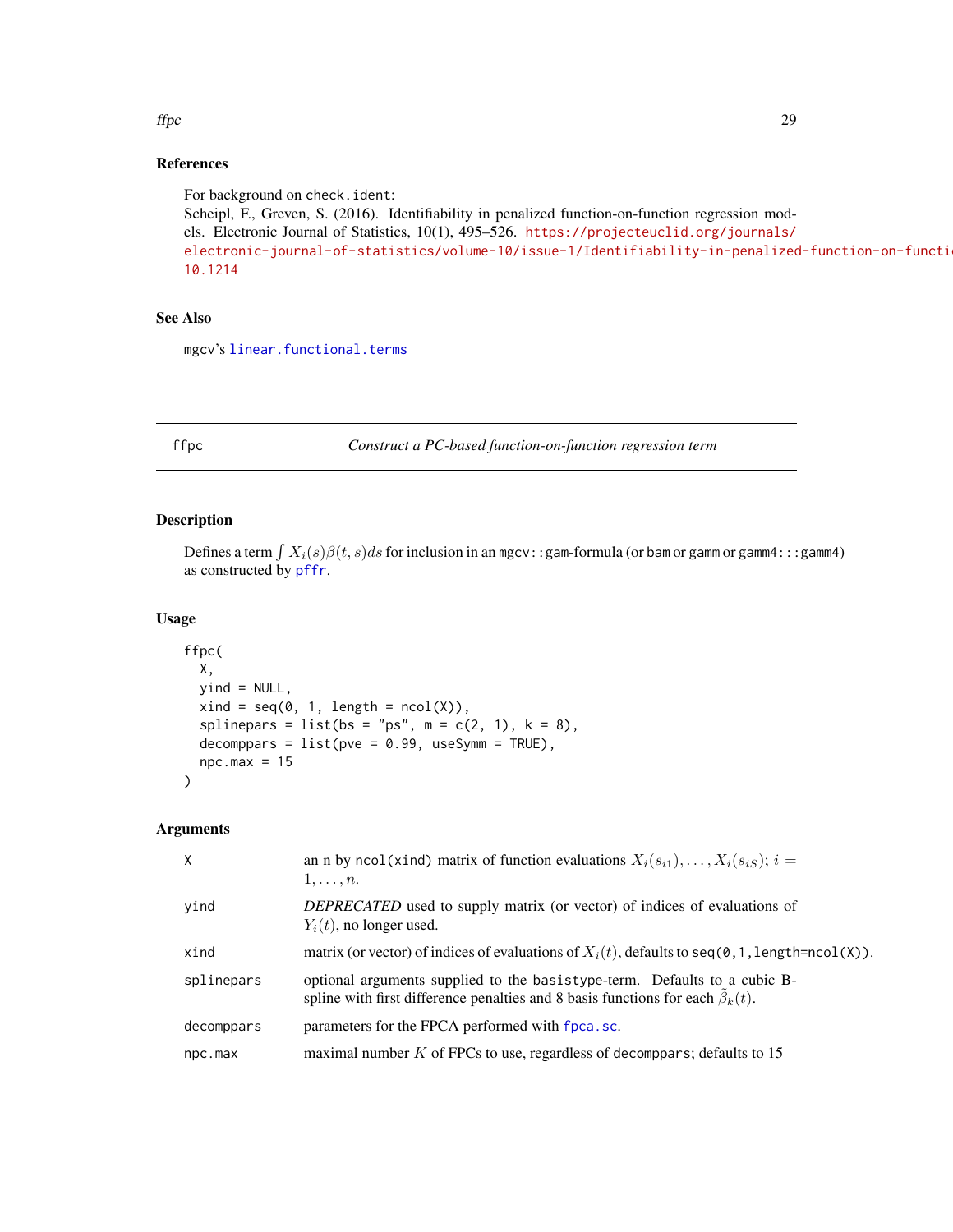### <span id="page-28-0"></span>ffpc 29

# References

For background on check.ident: Scheipl, F., Greven, S. (2016). Identifiability in penalized function-on-function regression models. Electronic Journal of Statistics, 10(1), 495–526. [https://projecteuclid.org/journals/](https://projecteuclid.org/journals/electronic-journal-of-statistics/volume-10/issue-1/Identifiability-in-penalized-function-on-function-regression-models/10.1214) [electronic-journal-of-statistics/volume-10/issue-1/Identifiability-in-penalized](https://projecteuclid.org/journals/electronic-journal-of-statistics/volume-10/issue-1/Identifiability-in-penalized-function-on-function-regression-models/10.1214)-function-on-functi [10.1214](https://projecteuclid.org/journals/electronic-journal-of-statistics/volume-10/issue-1/Identifiability-in-penalized-function-on-function-regression-models/10.1214)

# See Also

mgcv's [linear.functional.terms](#page-0-0)

<span id="page-28-1"></span>

ffpc *Construct a PC-based function-on-function regression term*

### Description

Defines a term  $\int X_i(s)\beta(t,s)ds$  for inclusion in an mgcv::gam-formula (or bam or gamm or gamm4:::gamm4) as constructed by [pffr](#page-108-1).

### Usage

```
ffpc(
 X,
 yind = NULL,
 xind = seq(0, 1, length = ncol(X)),splinepars = list(bs = "ps", m = c(2, 1), k = 8),
 decomppars = list(pve = 0.99, useSymm = TRUE),npc.max = 15)
```
### Arguments

| $\mathsf{X}$ | an n by ncol(xind) matrix of function evaluations $X_i(s_{i1}), \ldots, X_i(s_{iS}); i =$<br>$1, \ldots, n$ .                                                     |
|--------------|-------------------------------------------------------------------------------------------------------------------------------------------------------------------|
| yind         | <i>DEPRECATED</i> used to supply matrix (or vector) of indices of evaluations of<br>$Y_i(t)$ , no longer used.                                                    |
| xind         | matrix (or vector) of indices of evaluations of $X_i(t)$ , defaults to seq(0, 1, length=ncol(X)).                                                                 |
| splinepars   | optional arguments supplied to the basistype-term. Defaults to a cubic B-<br>spline with first difference penalties and 8 basis functions for each $\beta_k(t)$ . |
| decomppars   | parameters for the FPCA performed with fpca.sc.                                                                                                                   |
| npc.max      | maximal number $K$ of FPCs to use, regardless of decomparts; defaults to 15                                                                                       |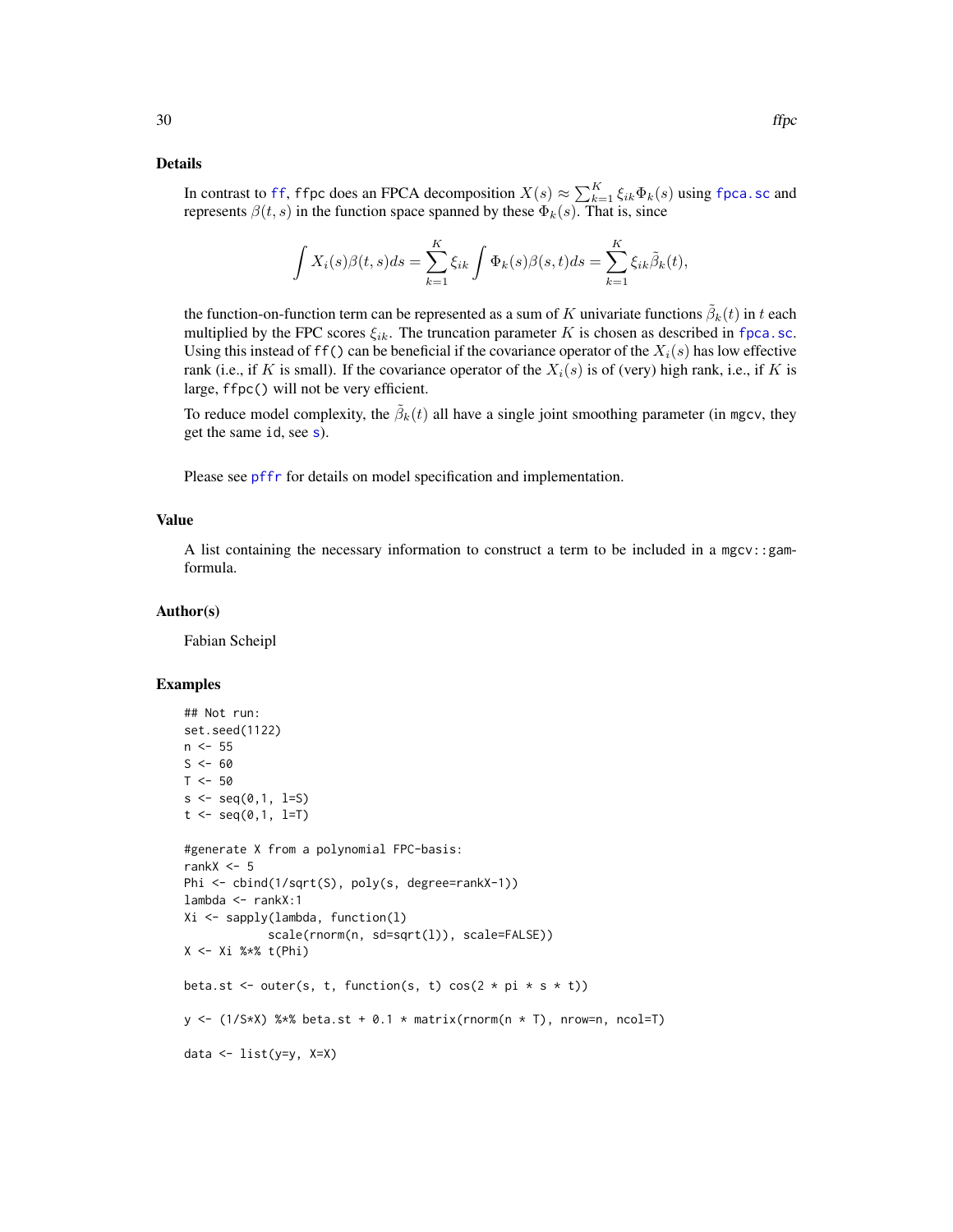### Details

In contrast to [ff](#page-26-1), ffpc does an FPCA decomposition  $X(s) \approx \sum_{k=1}^{K} \xi_{ik} \Phi_k(s)$  using [fpca.sc](#page-56-1) and represents  $\beta(t, s)$  in the function space spanned by these  $\Phi_k(s)$ . That is, since

$$
\int X_i(s)\beta(t,s)ds = \sum_{k=1}^K \xi_{ik} \int \Phi_k(s)\beta(s,t)ds = \sum_{k=1}^K \xi_{ik}\tilde{\beta}_k(t),
$$

the function-on-function term can be represented as a sum of  $K$  univariate functions  $\tilde{\beta}_k(t)$  in t each multiplied by the FPC scores  $\xi_{ik}$ . The truncation parameter K is chosen as described in [fpca.sc](#page-56-1). Using this instead of ff() can be beneficial if the covariance operator of the  $X_i(s)$  has low effective rank (i.e., if K is small). If the covariance operator of the  $X_i(s)$  is of (very) high rank, i.e., if K is large, ffpc() will not be very efficient.

To reduce model complexity, the  $\tilde{\beta}_k(t)$  all have a single joint smoothing parameter (in mgcv, they get the same id, see [s](#page-0-0)).

Please see [pffr](#page-108-1) for details on model specification and implementation.

### Value

A list containing the necessary information to construct a term to be included in a mgcv::gamformula.

### Author(s)

Fabian Scheipl

### Examples

```
## Not run:
set.seed(1122)
n < -55S < - 60T < -50s \leq -seq(0,1, 1=S)t \leq - \text{seq}(0,1, 1=T)#generate X from a polynomial FPC-basis:
rankX < -5Phi <- cbind(1/sqrt(S), poly(s, degree=rankX-1))
lambda <- rankX:1
Xi <- sapply(lambda, function(l)
            scale(rnorm(n, sd=sqrt(l)), scale=FALSE))
X <- Xi %*% t(Phi)
beta.st <- outer(s, t, function(s, t) cos(2 * pi * s * t))
y \leftarrow (1/S*X) %*% beta.st + 0.1 * matrix(rnorm(n * T), nrow=n, ncol=T)
data <- list(y=y, X=X)
```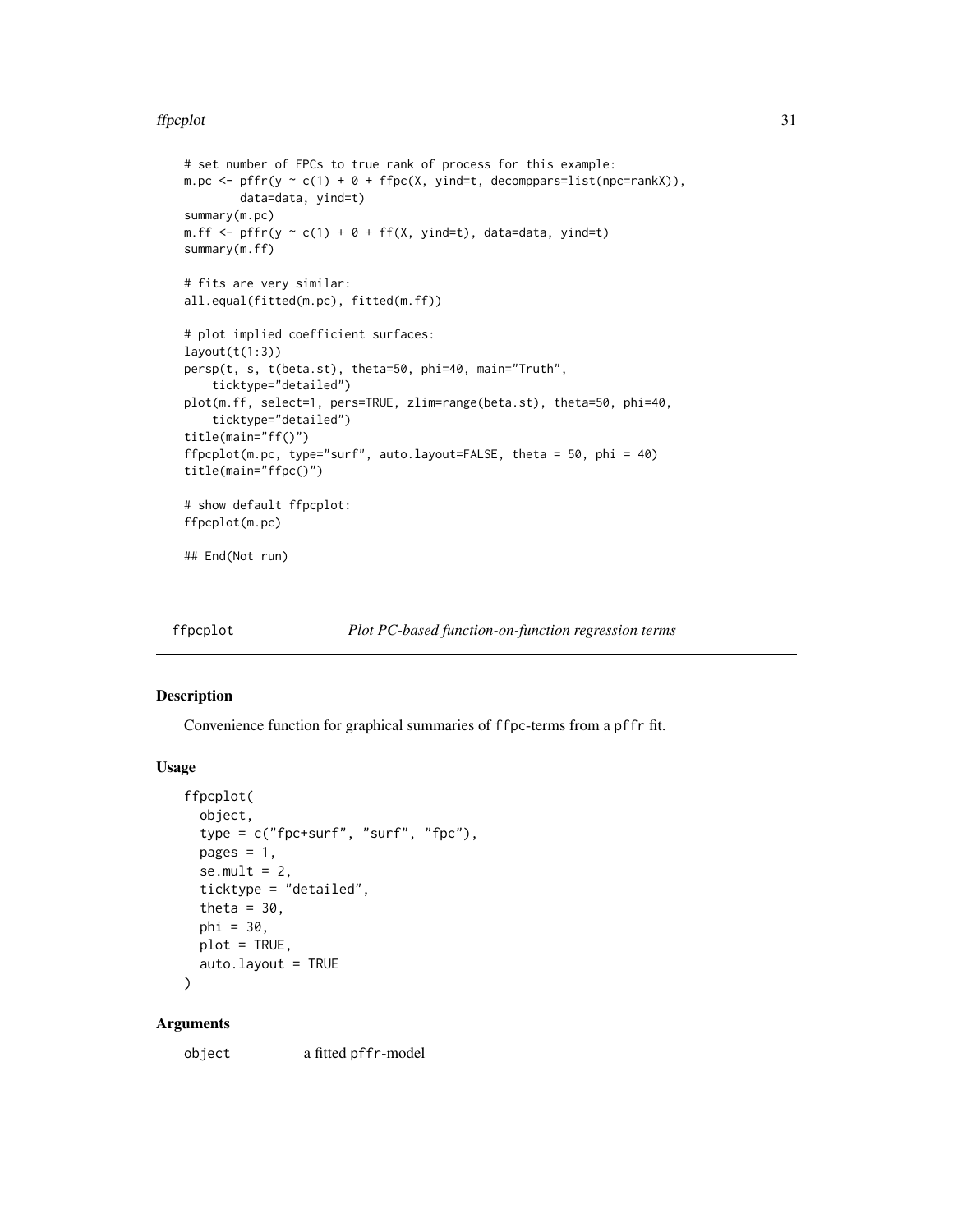### <span id="page-30-0"></span>ffpcplot 31

```
# set number of FPCs to true rank of process for this example:
m.pc \leftarrow pffr(y \sim c(1) + \theta + ffpc(X, yind=t, decompparse-list(npc=rankX)),data=data, yind=t)
summary(m.pc)
m.ff \leq pffr(y \leq c(1) + 0 + ff(X, yind=t), data=data, yind=t)
summary(m.ff)
# fits are very similar:
all.equal(fitted(m.pc), fitted(m.ff))
# plot implied coefficient surfaces:
layout(t(1:3))persp(t, s, t(beta.st), theta=50, phi=40, main="Truth",
    ticktype="detailed")
plot(m.ff, select=1, pers=TRUE, zlim=range(beta.st), theta=50, phi=40,
    ticktype="detailed")
title(main="ff()")
ffpcplot(m.pc, type="surf", auto.layout=FALSE, theta = 50, phi = 40)
title(main="ffpc()")
# show default ffpcplot:
ffpcplot(m.pc)
## End(Not run)
```
ffpcplot *Plot PC-based function-on-function regression terms*

### Description

Convenience function for graphical summaries of ffpc-terms from a pffr fit.

### Usage

```
ffpcplot(
  object,
  type = c("fpc+surf", "surf", "fpc"),
  pages = 1,
  se.mult = 2,ticktype = "detailed",
  theta = 30,
  phi = 30,
 plot = TRUE,
  auto.layout = TRUE
\lambda
```
### Arguments

object a fitted pffr-model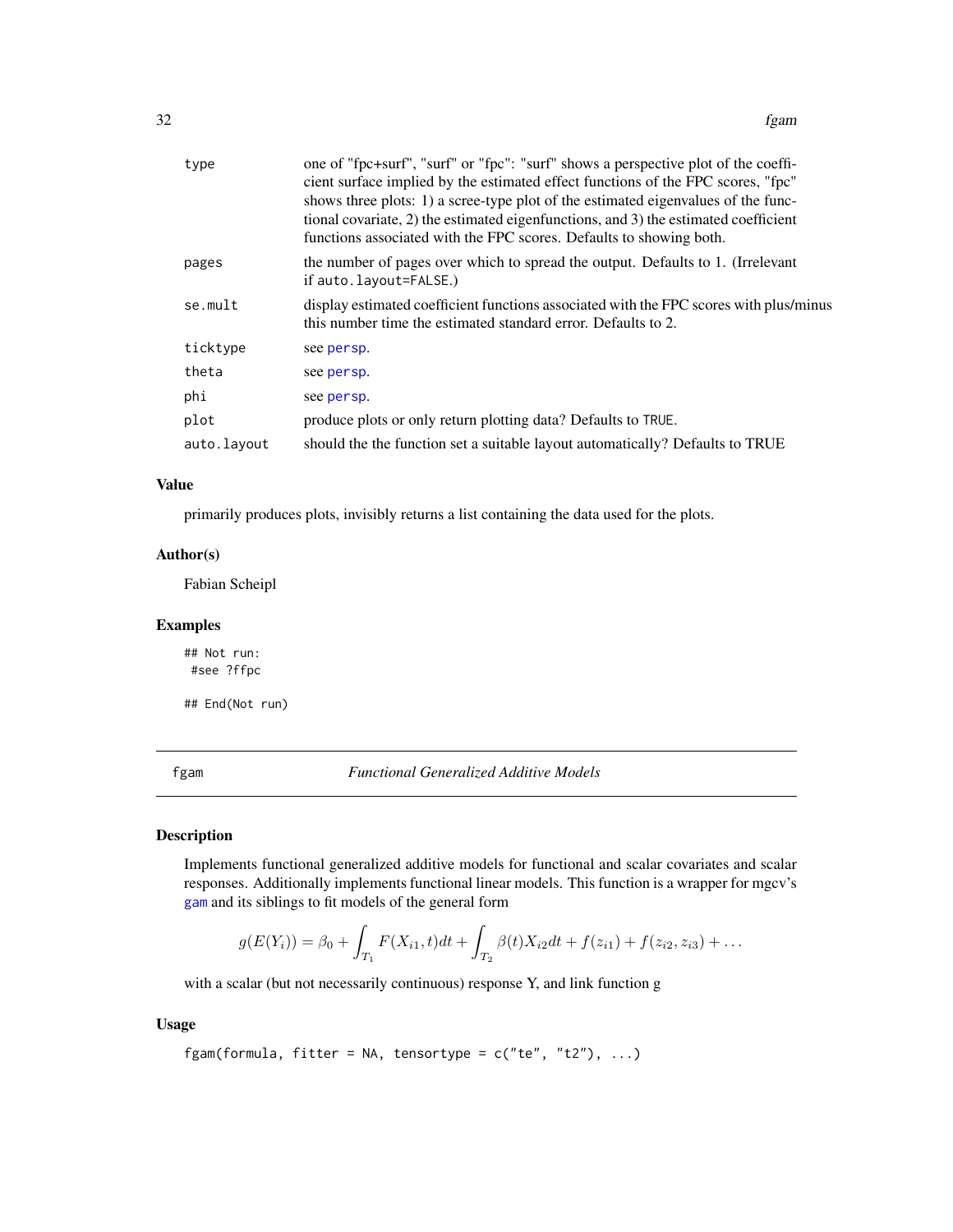<span id="page-31-0"></span>

| type        | one of "fpc+surf", "surf" or "fpc": "surf" shows a perspective plot of the coeffi-<br>cient surface implied by the estimated effect functions of the FPC scores, "fpc"<br>shows three plots: 1) a scree-type plot of the estimated eigenvalues of the func-<br>tional covariate, 2) the estimated eigenfunctions, and 3) the estimated coefficient<br>functions associated with the FPC scores. Defaults to showing both. |
|-------------|---------------------------------------------------------------------------------------------------------------------------------------------------------------------------------------------------------------------------------------------------------------------------------------------------------------------------------------------------------------------------------------------------------------------------|
| pages       | the number of pages over which to spread the output. Defaults to 1. (Irrelevant<br>if auto. layout=FALSE.)                                                                                                                                                                                                                                                                                                                |
| se.mult     | display estimated coefficient functions associated with the FPC scores with plus/minus<br>this number time the estimated standard error. Defaults to 2.                                                                                                                                                                                                                                                                   |
| ticktype    | see persp.                                                                                                                                                                                                                                                                                                                                                                                                                |
| theta       | see persp.                                                                                                                                                                                                                                                                                                                                                                                                                |
| phi         | see persp.                                                                                                                                                                                                                                                                                                                                                                                                                |
| plot        | produce plots or only return plotting data? Defaults to TRUE.                                                                                                                                                                                                                                                                                                                                                             |
| auto.layout | should the the function set a suitable layout automatically? Defaults to TRUE                                                                                                                                                                                                                                                                                                                                             |

### Value

primarily produces plots, invisibly returns a list containing the data used for the plots.

# Author(s)

Fabian Scheipl

# Examples

## Not run: #see ?ffpc

## End(Not run)

<span id="page-31-1"></span>fgam *Functional Generalized Additive Models*

# Description

Implements functional generalized additive models for functional and scalar covariates and scalar responses. Additionally implements functional linear models. This function is a wrapper for mgcv's [gam](#page-0-0) and its siblings to fit models of the general form

$$
g(E(Y_i)) = \beta_0 + \int_{T_1} F(X_{i1}, t) dt + \int_{T_2} \beta(t) X_{i2} dt + f(z_{i1}) + f(z_{i2}, z_{i3}) + \dots
$$

with a scalar (but not necessarily continuous) response Y, and link function g

# Usage

fgam(formula, fitter = NA, tensortype =  $c("te", "t2"), ...$ )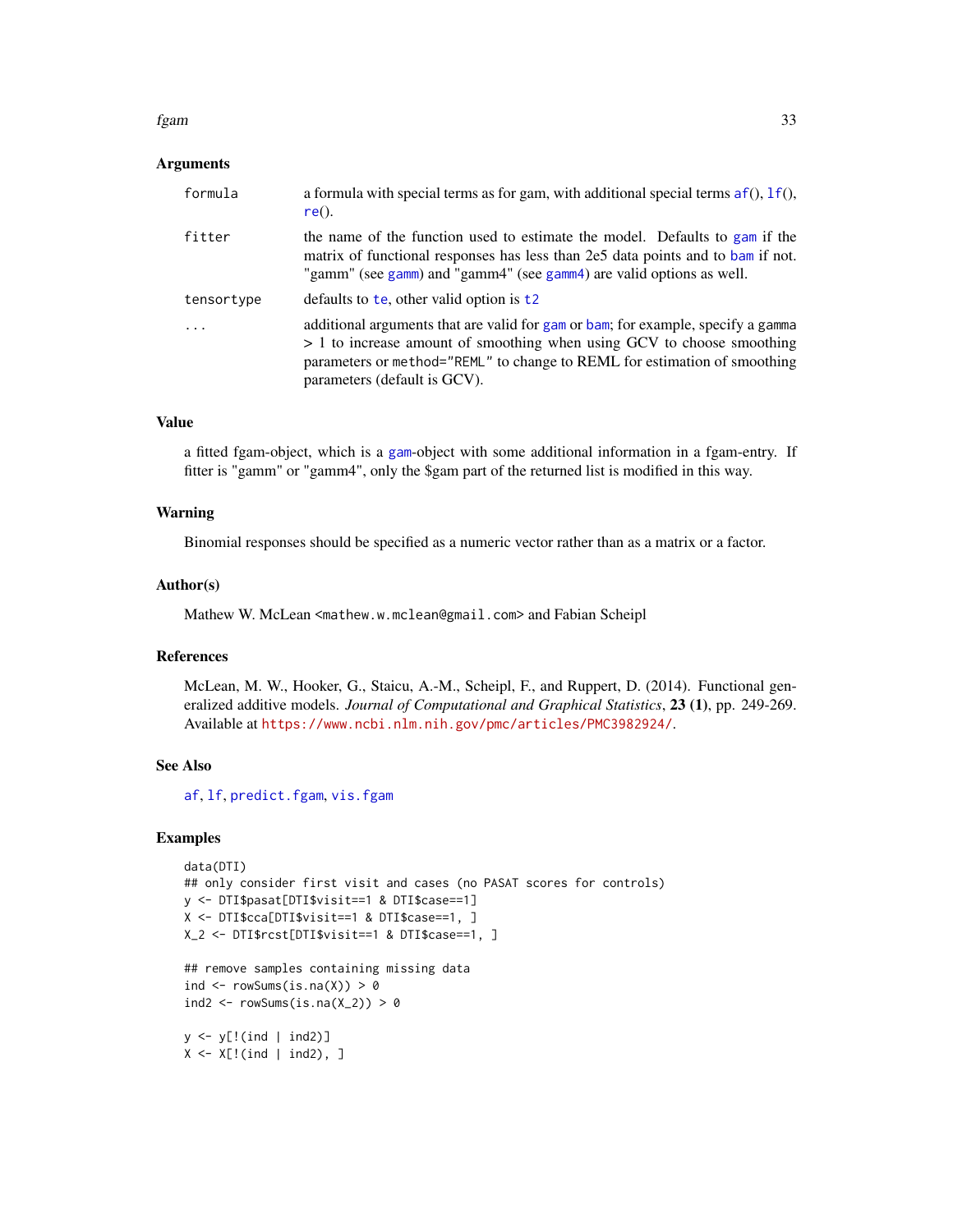### fgam 33

### Arguments

| formula    | a formula with special terms as for gam, with additional special terms $af()$ , $1f()$ ,<br>$re()$ .                                                                                                                                                                    |
|------------|-------------------------------------------------------------------------------------------------------------------------------------------------------------------------------------------------------------------------------------------------------------------------|
| fitter     | the name of the function used to estimate the model. Defaults to gam if the<br>matrix of functional responses has less than 2e5 data points and to bam if not.<br>"gamm" (see gamm) and "gamm4" (see gamm4) are valid options as well.                                  |
| tensortype | defaults to te, other valid option is $t^2$                                                                                                                                                                                                                             |
| .          | additional arguments that are valid for gam or bam; for example, specify a gamma<br>> 1 to increase amount of smoothing when using GCV to choose smoothing<br>parameters or method="REML" to change to REML for estimation of smoothing<br>parameters (default is GCV). |

### Value

a fitted fgam-object, which is a [gam](#page-0-0)-object with some additional information in a fgam-entry. If fitter is "gamm" or "gamm4", only the \$gam part of the returned list is modified in this way.

### Warning

Binomial responses should be specified as a numeric vector rather than as a matrix or a factor.

### Author(s)

Mathew W. McLean <mathew.w.mclean@gmail.com> and Fabian Scheipl

### References

McLean, M. W., Hooker, G., Staicu, A.-M., Scheipl, F., and Ruppert, D. (2014). Functional generalized additive models. *Journal of Computational and Graphical Statistics*, 23 (1), pp. 249-269. Available at <https://www.ncbi.nlm.nih.gov/pmc/articles/PMC3982924/>.

# See Also

[af](#page-4-1), [lf](#page-79-1), [predict.fgam](#page-133-1), [vis.fgam](#page-171-1)

### Examples

```
data(DTI)
## only consider first visit and cases (no PASAT scores for controls)
y <- DTI$pasat[DTI$visit==1 & DTI$case==1]
X <- DTI$cca[DTI$visit==1 & DTI$case==1, ]
X_2 <- DTI$rcst[DTI$visit==1 & DTI$case==1, ]
## remove samples containing missing data
ind \leq rowSums(is.na(X)) > 0
```

```
ind2 <- rowsums(is.na(X_2)) > 0
```

```
y \leftarrow y[!(ind | ind2)]
X \le -X[!(ind | ind2), ]
```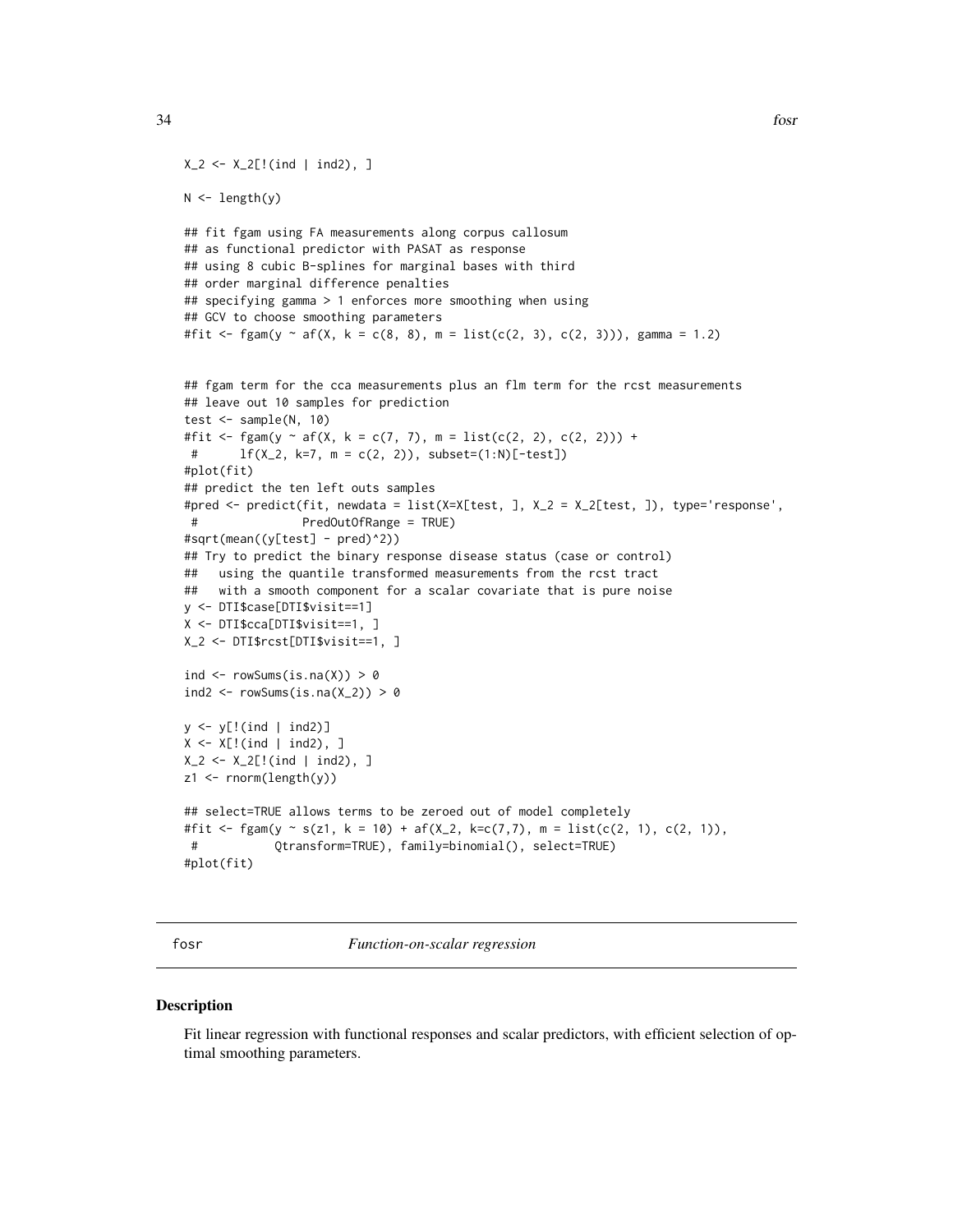```
34 fosr
```

```
X_2 \leftarrow X_2[!(ind | ind2), ]N \leftarrow length(y)
## fit fgam using FA measurements along corpus callosum
## as functional predictor with PASAT as response
## using 8 cubic B-splines for marginal bases with third
## order marginal difference penalties
## specifying gamma > 1 enforces more smoothing when using
## GCV to choose smoothing parameters
#fit <- fgam(y ~ af(X, k = c(8, 8), m = list(c(2, 3), c(2, 3))), gamma = 1.2)
## fgam term for the cca measurements plus an flm term for the rcst measurements
## leave out 10 samples for prediction
test <- sample(N, 10)
#fit <- fgam(y ~ af(X, k = c(7, 7), m = list(c(2, 2), c(2, 2))) +
 # lf(X_2, k=7, m = c(2, 2)), subset=(1:N)[-test])
#plot(fit)
## predict the ten left outs samples
#pred <- predict(fit, newdata = list(X=X[test, ], X_2 = X_2[test, ]), type='response',
# PredOutOfRange = TRUE)
#sqrt(mean((y[test] - pred)^2))
## Try to predict the binary response disease status (case or control)
## using the quantile transformed measurements from the rcst tract
## with a smooth component for a scalar covariate that is pure noise
y <- DTI$case[DTI$visit==1]
X <- DTI$cca[DTI$visit==1, ]
X_2 <- DTI$rcst[DTI$visit==1, ]
ind \leq rowSums(is.na(X)) > 0
ind2 <- rowsums(is.na(X_2)) > 0y \leftarrow y[!(ind | ind2)]
X \le -X[!(ind | ind2), ]X_2 < - X_2[!(ind | ind2), ]z1 <- rnorm(length(y))
## select=TRUE allows terms to be zeroed out of model completely
#fit <- fgam(y \sim s(z1, k = 10) + af(X_2, k=c(7,7), m = list(c(2, 1), c(2, 1)),
 # Qtransform=TRUE), family=binomial(), select=TRUE)
#plot(fit)
```
<span id="page-33-1"></span>fosr *Function-on-scalar regression*

### **Description**

Fit linear regression with functional responses and scalar predictors, with efficient selection of optimal smoothing parameters.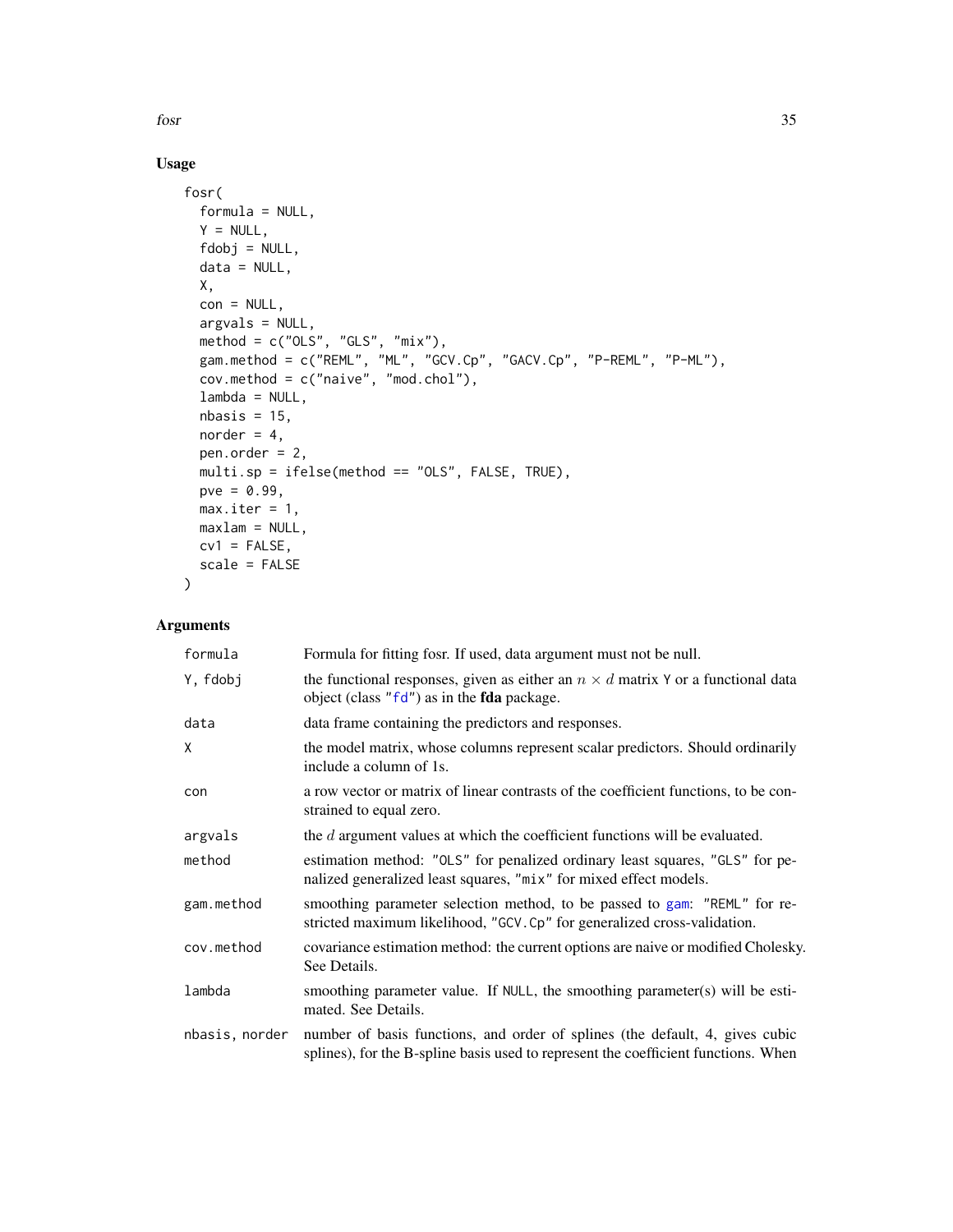fosr 35

# Usage

```
fosr(
  formula = NULL,
  Y = NULL,fdobj = NULL,
 data = NULL,X,
 con = NULL,argvals = NULL,
 method = c("OLS", "GLS", "mix"),gam.method = c("REML", "ML", "GCV.Cp", "GACV.Cp", "P-REML", "P-ML"),
  cov.method = c("naive", "mod.chol"),
 lambda = NULL,nbasis = 15,
 norder = 4,
 pen.order = 2,
 multi.sp = ifelse(method == "OLS", FALSE, TRUE),
 pve = 0.99,
 max.iter = 1,
 maxlam = NULL,
 cv1 = FALSE,scale = FALSE
\mathcal{L}
```
# Arguments

| formula        | Formula for fitting fosr. If used, data argument must not be null.                                                                                                 |
|----------------|--------------------------------------------------------------------------------------------------------------------------------------------------------------------|
| Y, fdobj       | the functional responses, given as either an $n \times d$ matrix Y or a functional data<br>object (class " $fd$ ") as in the <b>fda</b> package.                   |
| data           | data frame containing the predictors and responses.                                                                                                                |
| X              | the model matrix, whose columns represent scalar predictors. Should ordinarily<br>include a column of 1s.                                                          |
| con            | a row vector or matrix of linear contrasts of the coefficient functions, to be con-<br>strained to equal zero.                                                     |
| argvals        | the d argument values at which the coefficient functions will be evaluated.                                                                                        |
| method         | estimation method: "OLS" for penalized ordinary least squares, "GLS" for pe-<br>nalized generalized least squares, "mix" for mixed effect models.                  |
| gam.method     | smoothing parameter selection method, to be passed to gam: "REML" for re-<br>stricted maximum likelihood, "GCV.Cp" for generalized cross-validation.               |
| cov.method     | covariance estimation method: the current options are naive or modified Cholesky.<br>See Details.                                                                  |
| lambda         | smoothing parameter value. If NULL, the smoothing parameter(s) will be esti-<br>mated. See Details.                                                                |
| nbasis, norder | number of basis functions, and order of splines (the default, 4, gives cubic<br>splines), for the B-spline basis used to represent the coefficient functions. When |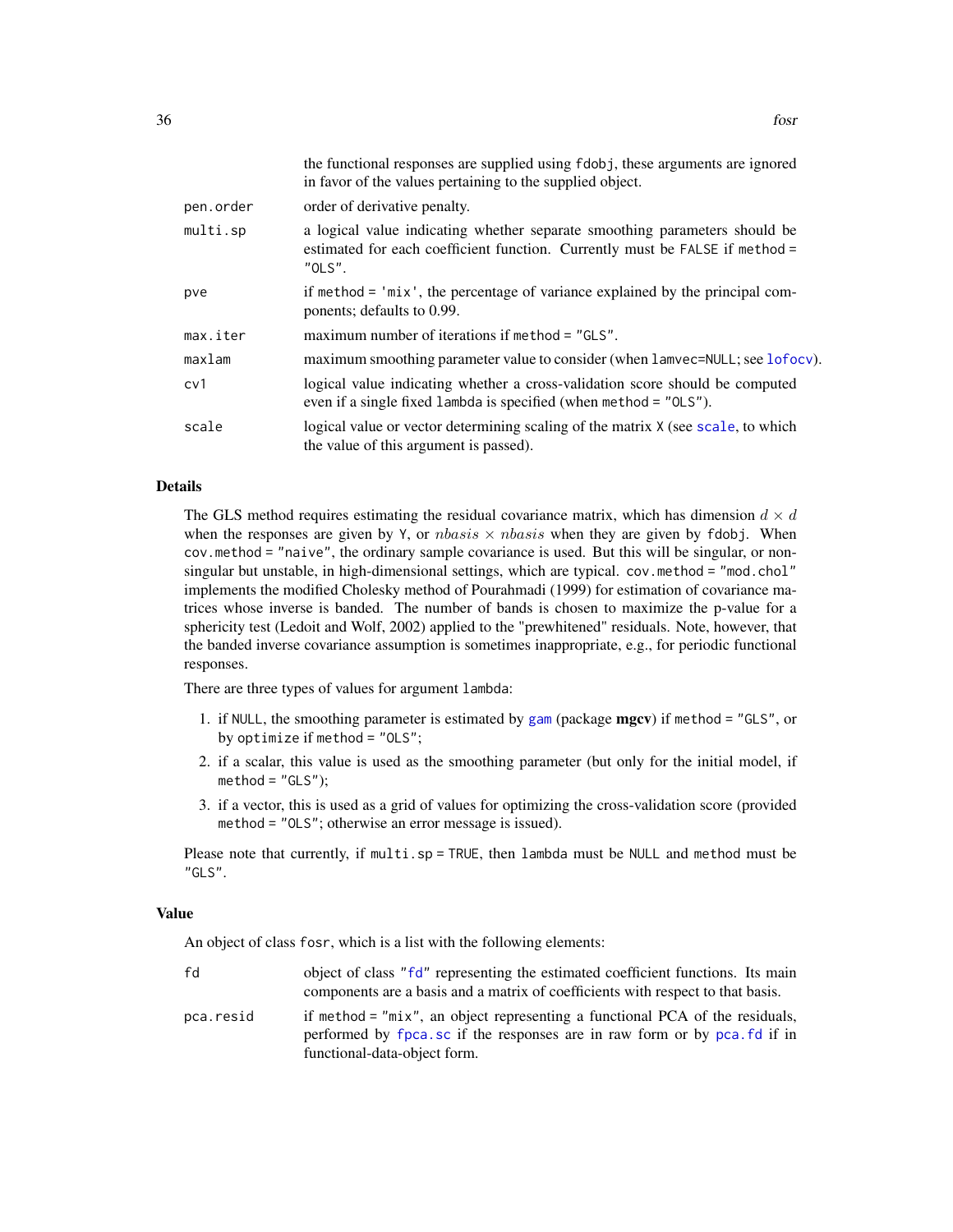|           | the functional responses are supplied using fdobj, these arguments are ignored<br>in favor of the values pertaining to the supplied object.                          |
|-----------|----------------------------------------------------------------------------------------------------------------------------------------------------------------------|
| pen.order | order of derivative penalty.                                                                                                                                         |
| multi.sp  | a logical value indicating whether separate smoothing parameters should be<br>estimated for each coefficient function. Currently must be FALSE if method =<br>"OLS". |
| pve       | if method = 'mix', the percentage of variance explained by the principal com-<br>ponents; defaults to 0.99.                                                          |
| max.iter  | maximum number of iterations if method = "GLS".                                                                                                                      |
| maxlam    | maximum smoothing parameter value to consider (when lamvec=NULL; see lofocy).                                                                                        |
| cv1       | logical value indicating whether a cross-validation score should be computed<br>even if a single fixed lambda is specified (when method = "OLS").                    |
| scale     | logical value or vector determining scaling of the matrix X (see scale, to which<br>the value of this argument is passed).                                           |

### Details

The GLS method requires estimating the residual covariance matrix, which has dimension  $d \times d$ when the responses are given by Y, or *nbasis*  $\times$  *nbasis* when they are given by fdobj. When cov.method = "naive", the ordinary sample covariance is used. But this will be singular, or nonsingular but unstable, in high-dimensional settings, which are typical. cov.method = "mod.chol" implements the modified Cholesky method of Pourahmadi (1999) for estimation of covariance matrices whose inverse is banded. The number of bands is chosen to maximize the p-value for a sphericity test (Ledoit and Wolf, 2002) applied to the "prewhitened" residuals. Note, however, that the banded inverse covariance assumption is sometimes inappropriate, e.g., for periodic functional responses.

There are three types of values for argument lambda:

- 1. if NULL, the smoothing parameter is estimated by [gam](#page-0-0) (package mgcv) if method = "GLS", or by optimize if method = "OLS";
- 2. if a scalar, this value is used as the smoothing parameter (but only for the initial model, if  $method = "GLS"$ ;
- 3. if a vector, this is used as a grid of values for optimizing the cross-validation score (provided method = "OLS"; otherwise an error message is issued).

Please note that currently, if multi.sp = TRUE, then lambda must be NULL and method must be "GLS".

#### Value

An object of class fosr, which is a list with the following elements:

| fd        | object of class "fd" representing the estimated coefficient functions. Its main<br>components are a basis and a matrix of coefficients with respect to that basis.                         |
|-----------|--------------------------------------------------------------------------------------------------------------------------------------------------------------------------------------------|
| pca.resid | if method = "mix", an object representing a functional PCA of the residuals,<br>performed by fpca, sc if the responses are in raw form or by pca, fd if in<br>functional-data-object form. |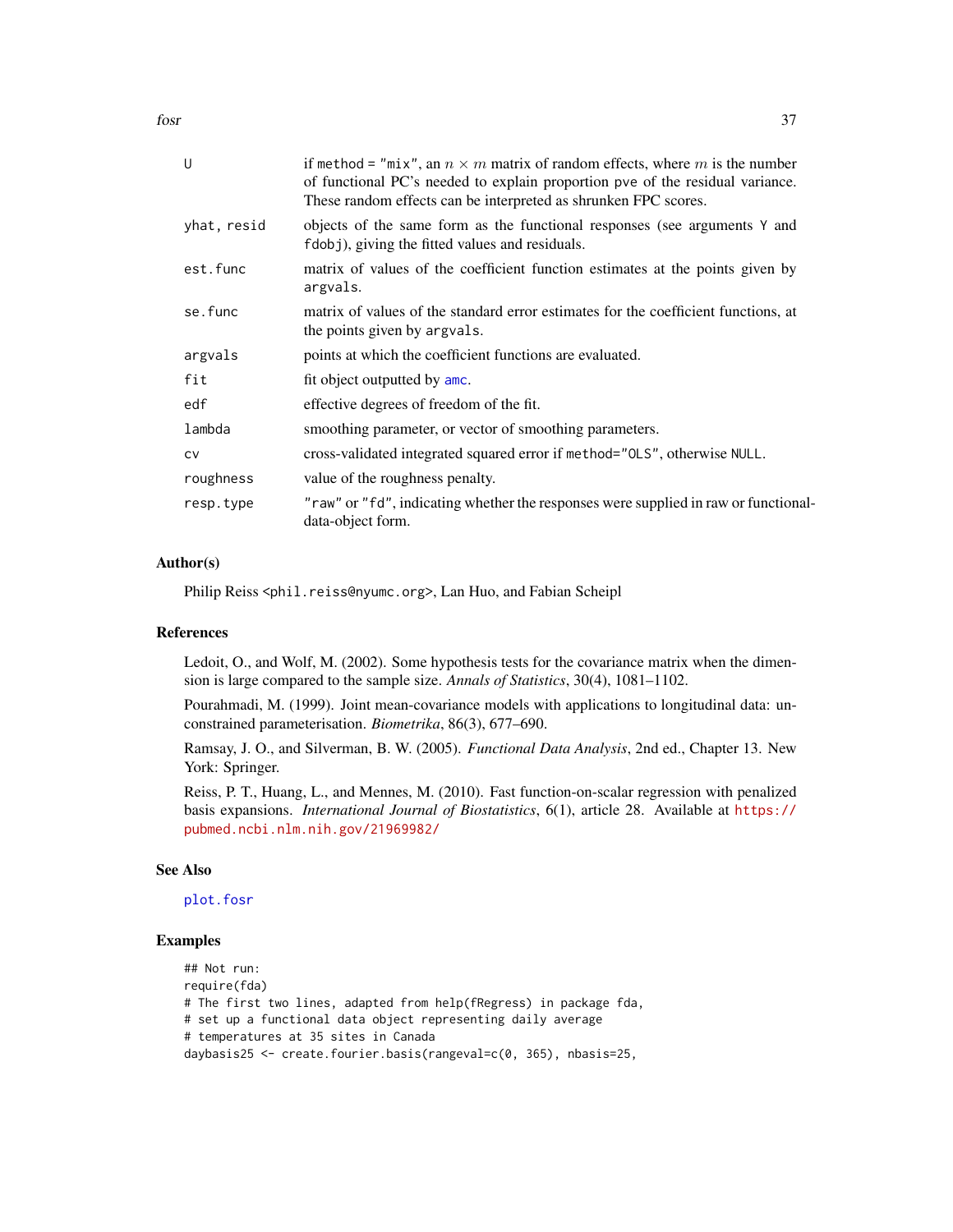fosr 37

| U           | if method = "mix", an $n \times m$ matrix of random effects, where m is the number<br>of functional PC's needed to explain proportion pve of the residual variance.<br>These random effects can be interpreted as shrunken FPC scores. |
|-------------|----------------------------------------------------------------------------------------------------------------------------------------------------------------------------------------------------------------------------------------|
| yhat, resid | objects of the same form as the functional responses (see arguments Y and<br>fdobj), giving the fitted values and residuals.                                                                                                           |
| est.func    | matrix of values of the coefficient function estimates at the points given by<br>argvals.                                                                                                                                              |
| se.func     | matrix of values of the standard error estimates for the coefficient functions, at<br>the points given by argvals.                                                                                                                     |
| argvals     | points at which the coefficient functions are evaluated.                                                                                                                                                                               |
| fit         | fit object outputted by amc.                                                                                                                                                                                                           |
| edf         | effective degrees of freedom of the fit.                                                                                                                                                                                               |
| lambda      | smoothing parameter, or vector of smoothing parameters.                                                                                                                                                                                |
| <b>CV</b>   | cross-validated integrated squared error if method="0LS", otherwise NULL.                                                                                                                                                              |
| roughness   | value of the roughness penalty.                                                                                                                                                                                                        |
| resp.type   | "raw" or "fd", indicating whether the responses were supplied in raw or functional-<br>data-object form.                                                                                                                               |

## Author(s)

Philip Reiss <phil.reiss@nyumc.org>, Lan Huo, and Fabian Scheipl

### References

Ledoit, O., and Wolf, M. (2002). Some hypothesis tests for the covariance matrix when the dimension is large compared to the sample size. *Annals of Statistics*, 30(4), 1081–1102.

Pourahmadi, M. (1999). Joint mean-covariance models with applications to longitudinal data: unconstrained parameterisation. *Biometrika*, 86(3), 677–690.

Ramsay, J. O., and Silverman, B. W. (2005). *Functional Data Analysis*, 2nd ed., Chapter 13. New York: Springer.

Reiss, P. T., Huang, L., and Mennes, M. (2010). Fast function-on-scalar regression with penalized basis expansions. *International Journal of Biostatistics*, 6(1), article 28. Available at [https://](https://pubmed.ncbi.nlm.nih.gov/21969982/) [pubmed.ncbi.nlm.nih.gov/21969982/](https://pubmed.ncbi.nlm.nih.gov/21969982/)

### See Also

[plot.fosr](#page-124-0)

```
## Not run:
require(fda)
# The first two lines, adapted from help(fRegress) in package fda,
# set up a functional data object representing daily average
# temperatures at 35 sites in Canada
daybasis25 <- create.fourier.basis(rangeval=c(0, 365), nbasis=25,
```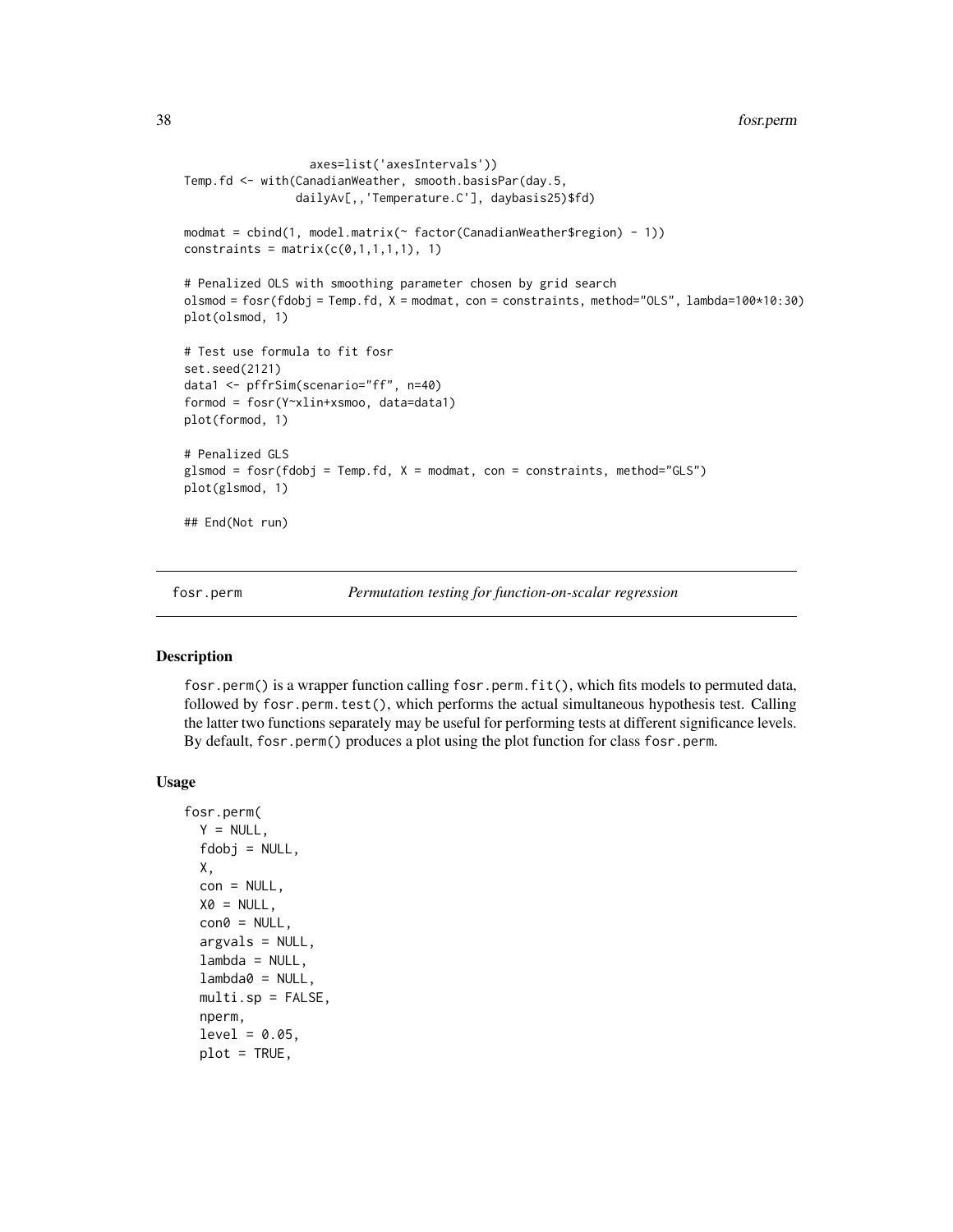```
axes=list('axesIntervals'))
Temp.fd <- with(CanadianWeather, smooth.basisPar(day.5,
                dailyAv[,,'Temperature.C'], daybasis25)$fd)
modmat = cbind(1, model.matrix(~ factor(CanadianWeather$region) - 1))
constraints = matrix(c(\emptyset,1,1,1,1), 1)# Penalized OLS with smoothing parameter chosen by grid search
olsmod = fosr(fdobj = Temp.fd, X = modmat, con = constraints, method="OLS", lambda=100*10:30)
plot(olsmod, 1)
# Test use formula to fit fosr
set.seed(2121)
data1 <- pffrSim(scenario="ff", n=40)
formod = fosr(Y~xlin+xsmoo, data=data1)
plot(formod, 1)
# Penalized GLS
glsmod = fosr(fdobj = Temp.fd, X = modmat, con = constraints, method="GLS")plot(glsmod, 1)
## End(Not run)
```
fosr.perm *Permutation testing for function-on-scalar regression*

### Description

fosr.perm() is a wrapper function calling fosr.perm.fit(), which fits models to permuted data, followed by fosr.perm.test(), which performs the actual simultaneous hypothesis test. Calling the latter two functions separately may be useful for performing tests at different significance levels. By default, fosr.perm() produces a plot using the plot function for class fosr.perm.

#### Usage

```
fosr.perm(
  Y = NULL,fdobj = NULL,X,
  con = NULL,X0 = NULL,\text{con0} = \text{NULL},
  argvals = NULL,
  lambda = NULL,
  lambda@ = NULL,multi.sp = FALSE,
  nperm,
  level = 0.05,
  plot = TRUE,
```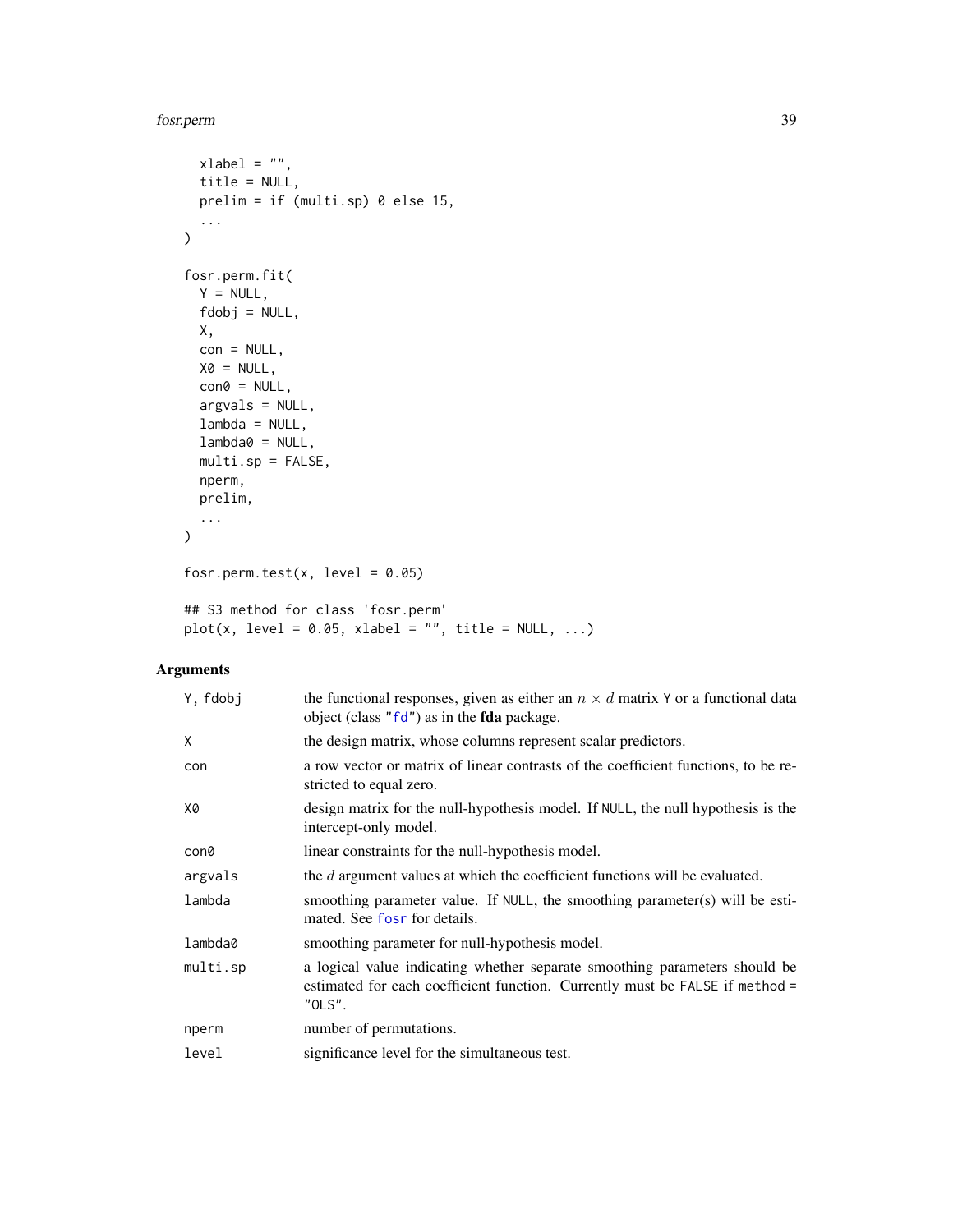#### fosr.perm 39

```
xlabel = "",title = NULL,
 prelim = if (multi.sp) 0 else 15,
  ...
\mathcal{L}fosr.perm.fit(
 Y = NULL,fdobj = NULL,
 X,
 con = NULL,X0 = NULL,con@= NULL,argvals = NULL,
 lambda = NULL,lambda@ = NULL,multi.sp = FALSE,
 nperm,
 prelim,
 ...
\mathcal{L}fosr.perm.test(x, level = 0.05)
## S3 method for class 'fosr.perm'
plot(x, level = 0.05, xlabel = "", title = NULL, ...)
```

| Y, fdobi | the functional responses, given as either an $n \times d$ matrix Y or a functional data<br>object (class " $fd$ ") as in the <b>fda</b> package.                     |
|----------|----------------------------------------------------------------------------------------------------------------------------------------------------------------------|
| Χ        | the design matrix, whose columns represent scalar predictors.                                                                                                        |
| con      | a row vector or matrix of linear contrasts of the coefficient functions, to be re-<br>stricted to equal zero.                                                        |
| X0       | design matrix for the null-hypothesis model. If NULL, the null hypothesis is the<br>intercept-only model.                                                            |
| con0     | linear constraints for the null-hypothesis model.                                                                                                                    |
| argvals  | the d argument values at which the coefficient functions will be evaluated.                                                                                          |
| lambda   | smoothing parameter value. If NULL, the smoothing parameter(s) will be esti-<br>mated. See fost for details.                                                         |
| lambda0  | smoothing parameter for null-hypothesis model.                                                                                                                       |
| multi.sp | a logical value indicating whether separate smoothing parameters should be<br>estimated for each coefficient function. Currently must be FALSE if method =<br>"OLS". |
| nperm    | number of permutations.                                                                                                                                              |
| level    | significance level for the simultaneous test.                                                                                                                        |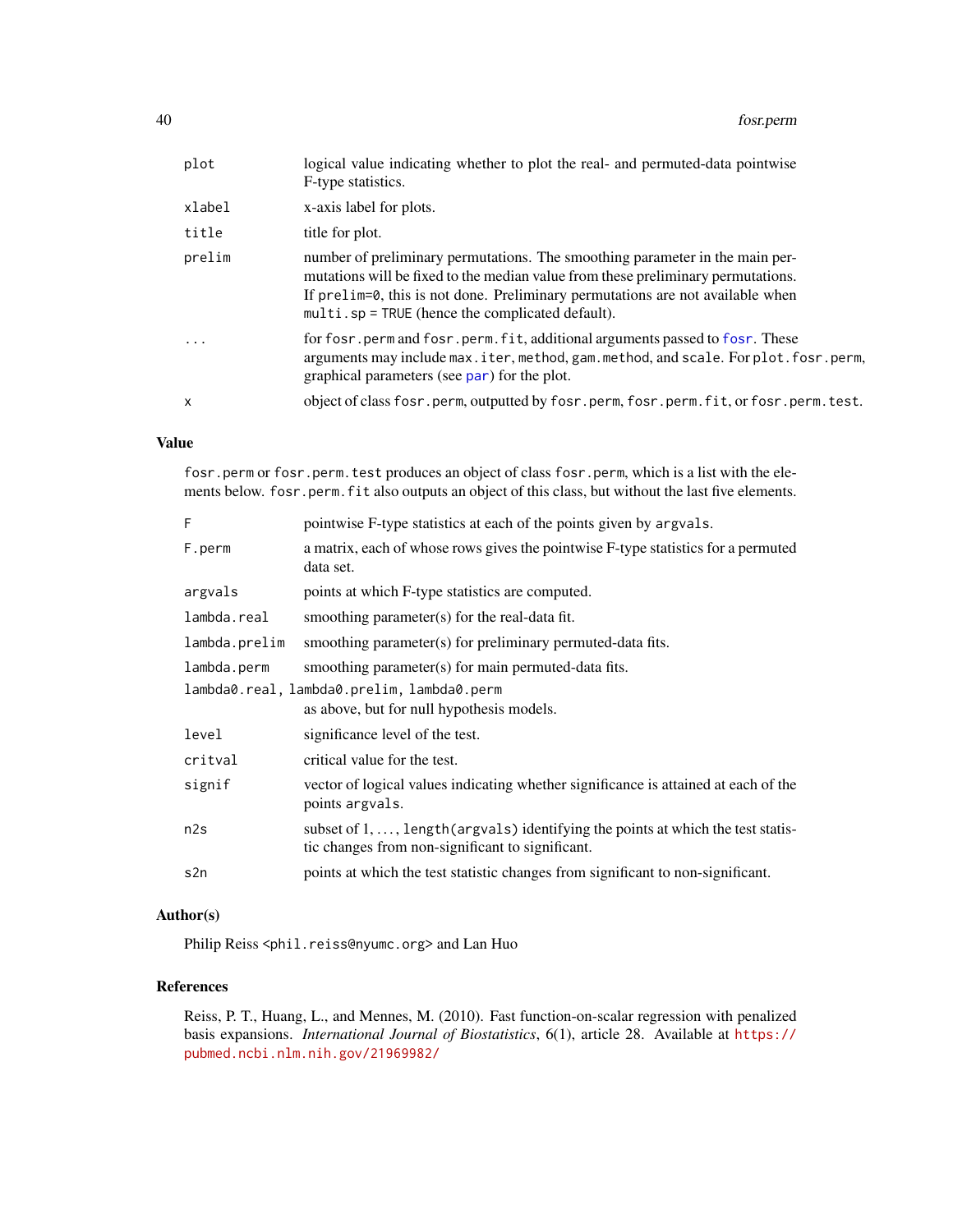| plot         | logical value indicating whether to plot the real- and permuted-data pointwise<br>F-type statistics.                                                                                                                                                                                                         |
|--------------|--------------------------------------------------------------------------------------------------------------------------------------------------------------------------------------------------------------------------------------------------------------------------------------------------------------|
| xlabel       | x-axis label for plots.                                                                                                                                                                                                                                                                                      |
| title        | title for plot.                                                                                                                                                                                                                                                                                              |
| prelim       | number of preliminary permutations. The smoothing parameter in the main per-<br>mutations will be fixed to the median value from these preliminary permutations.<br>If prelim=0, this is not done. Preliminary permutations are not available when<br>$multi$ . $sp = TRUE$ (hence the complicated default). |
| $\ddotsc$    | for fosr, perm and fosr, perm, fit, additional arguments passed to fosr. These<br>arguments may include max.iter, method, gam.method, and scale. For plot.fosr.perm,<br>graphical parameters (see par) for the plot.                                                                                         |
| $\mathsf{x}$ | object of class fosr.perm, outputted by fosr.perm, fosr.perm.fit, or fosr.perm.test.                                                                                                                                                                                                                         |
|              |                                                                                                                                                                                                                                                                                                              |

## Value

fosr.perm or fosr.perm.test produces an object of class fosr.perm, which is a list with the elements below. fosr.perm.fit also outputs an object of this class, but without the last five elements.

| F                                          | pointwise F-type statistics at each of the points given by argvals.                                                                           |  |
|--------------------------------------------|-----------------------------------------------------------------------------------------------------------------------------------------------|--|
| F.perm                                     | a matrix, each of whose rows gives the pointwise F-type statistics for a permuted<br>data set.                                                |  |
| argvals                                    | points at which F-type statistics are computed.                                                                                               |  |
| lambda.real                                | smoothing parameter(s) for the real-data fit.                                                                                                 |  |
| lambda.prelim                              | smoothing parameter(s) for preliminary permuted-data fits.                                                                                    |  |
| lambda.perm                                | smoothing parameter(s) for main permuted-data fits.                                                                                           |  |
| lambda0.real, lambda0.prelim, lambda0.perm |                                                                                                                                               |  |
|                                            | as above, but for null hypothesis models.                                                                                                     |  |
| level                                      | significance level of the test.                                                                                                               |  |
| critval                                    | critical value for the test.                                                                                                                  |  |
| signif                                     | vector of logical values indicating whether significance is attained at each of the<br>points argvals.                                        |  |
| n2s                                        | subset of $1, \ldots$ , length (argvals) identifying the points at which the test statis-<br>tic changes from non-significant to significant. |  |
| s2n                                        | points at which the test statistic changes from significant to non-significant.                                                               |  |

## Author(s)

Philip Reiss <phil.reiss@nyumc.org> and Lan Huo

## References

Reiss, P. T., Huang, L., and Mennes, M. (2010). Fast function-on-scalar regression with penalized basis expansions. *International Journal of Biostatistics*, 6(1), article 28. Available at [https://](https://pubmed.ncbi.nlm.nih.gov/21969982/) [pubmed.ncbi.nlm.nih.gov/21969982/](https://pubmed.ncbi.nlm.nih.gov/21969982/)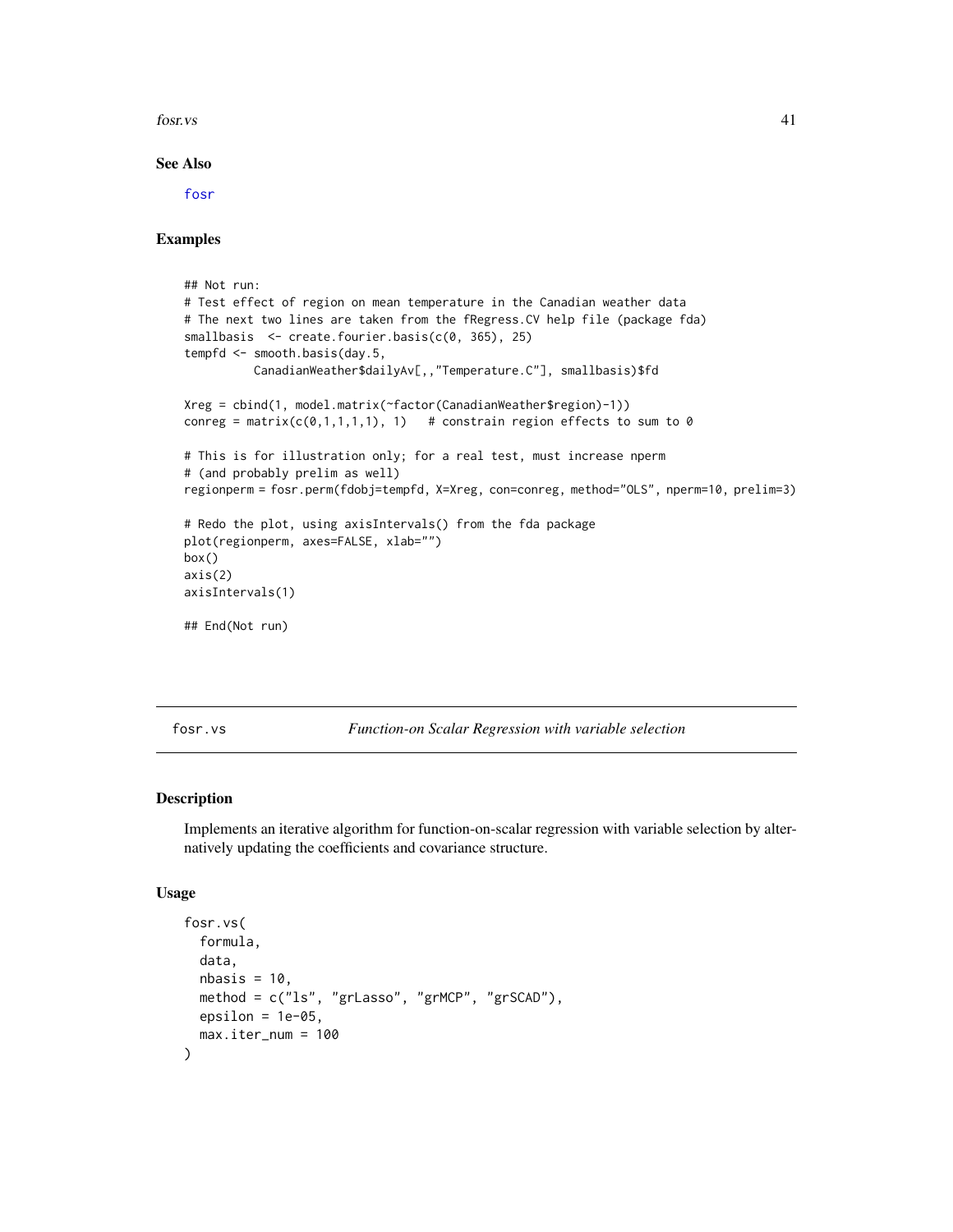fosr.vs 41

### See Also

[fosr](#page-33-0)

## Examples

```
## Not run:
# Test effect of region on mean temperature in the Canadian weather data
# The next two lines are taken from the fRegress.CV help file (package fda)
smallbasis <- create.fourier.basis(c(0, 365), 25)
tempfd <- smooth.basis(day.5,
          CanadianWeather$dailyAv[,,"Temperature.C"], smallbasis)$fd
Xreg = cbind(1, model.matrix(~factor(CanadianWeather$region)-1))
conreg = matrix(c(\emptyset,1,1,1,1), 1) # constrain region effects to sum to \emptyset# This is for illustration only; for a real test, must increase nperm
# (and probably prelim as well)
regionperm = fosr.perm(fdobj=tempfd, X=Xreg, con=conreg, method="OLS", nperm=10, prelim=3)
# Redo the plot, using axisIntervals() from the fda package
plot(regionperm, axes=FALSE, xlab="")
box()
axis(2)
axisIntervals(1)
## End(Not run)
```
fosr.vs *Function-on Scalar Regression with variable selection*

## Description

Implements an iterative algorithm for function-on-scalar regression with variable selection by alternatively updating the coefficients and covariance structure.

#### Usage

```
fosr.vs(
  formula,
  data,
 nbasis = 10,
 method = c("ls", "grLasso", "grMCP", "grSCAD"),
 epsilon = 1e-05,
  max.iter_num = 100
)
```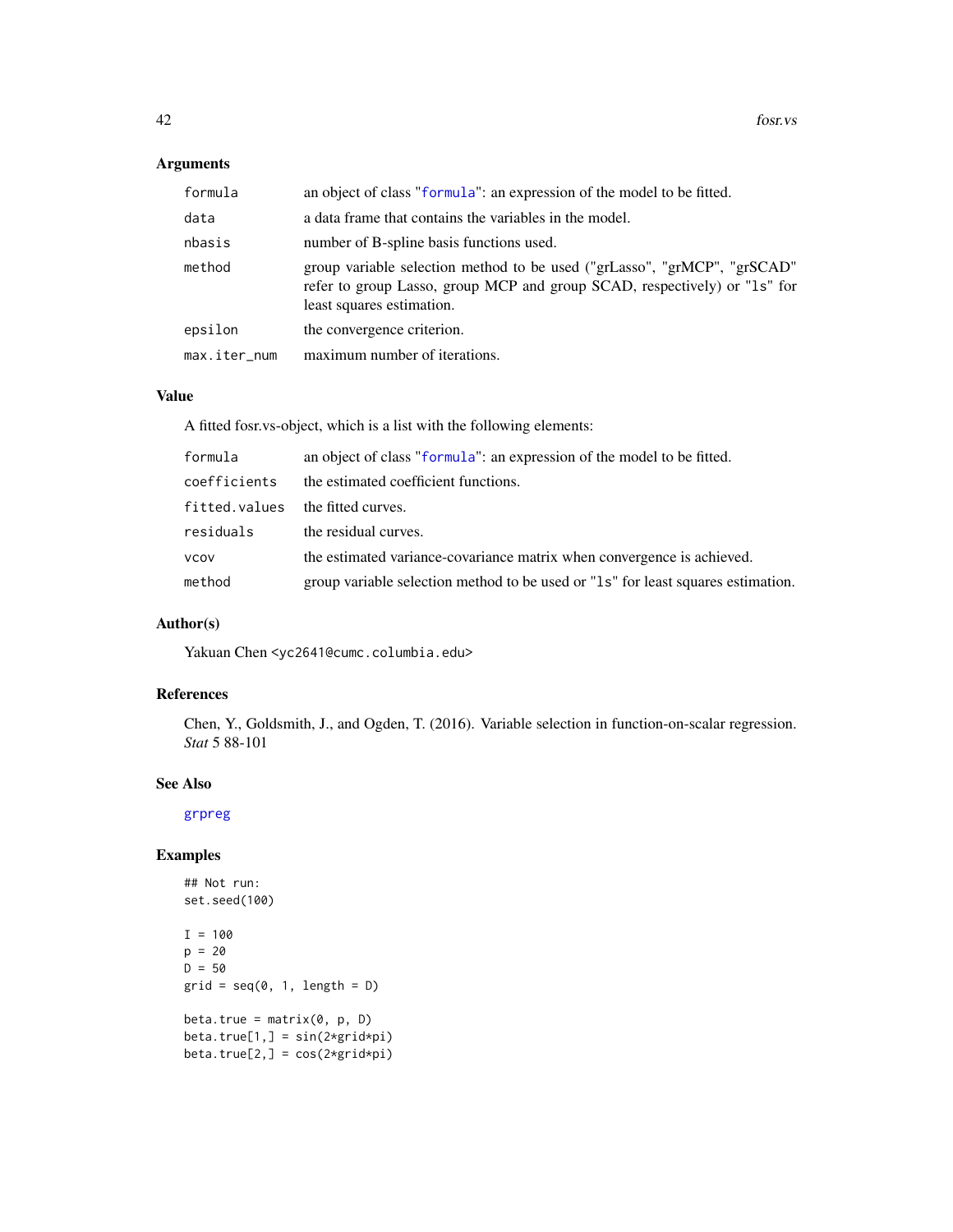## Arguments

| formula      | an object of class "formula": an expression of the model to be fitted.                                                                                                             |
|--------------|------------------------------------------------------------------------------------------------------------------------------------------------------------------------------------|
| data         | a data frame that contains the variables in the model.                                                                                                                             |
| nbasis       | number of B-spline basis functions used.                                                                                                                                           |
| method       | group variable selection method to be used ("grLasso", "grMCP", "grSCAD"<br>refer to group Lasso, group MCP and group SCAD, respectively) or "1s" for<br>least squares estimation. |
| epsilon      | the convergence criterion.                                                                                                                                                         |
| max.iter_num | maximum number of iterations.                                                                                                                                                      |

## Value

A fitted fosr.vs-object, which is a list with the following elements:

| formula       | an object of class "formula": an expression of the model to be fitted.           |
|---------------|----------------------------------------------------------------------------------|
| coefficients  | the estimated coefficient functions.                                             |
| fitted.values | the fitted curves.                                                               |
| residuals     | the residual curves.                                                             |
| <b>VCOV</b>   | the estimated variance-covariance matrix when convergence is achieved.           |
| method        | group variable selection method to be used or "1s" for least squares estimation. |

## Author(s)

Yakuan Chen <yc2641@cumc.columbia.edu>

## References

Chen, Y., Goldsmith, J., and Ogden, T. (2016). Variable selection in function-on-scalar regression. *Stat* 5 88-101

### See Also

[grpreg](#page-0-0)

```
## Not run:
set.seed(100)
I = 100p = 20D = 50grid = seq(0, 1, length = D)beta.true = matrix(\emptyset, p, D)beta.true[1,] = sin(2*grid*pi)beta.true[2,] = cos(2*grid*pi)
```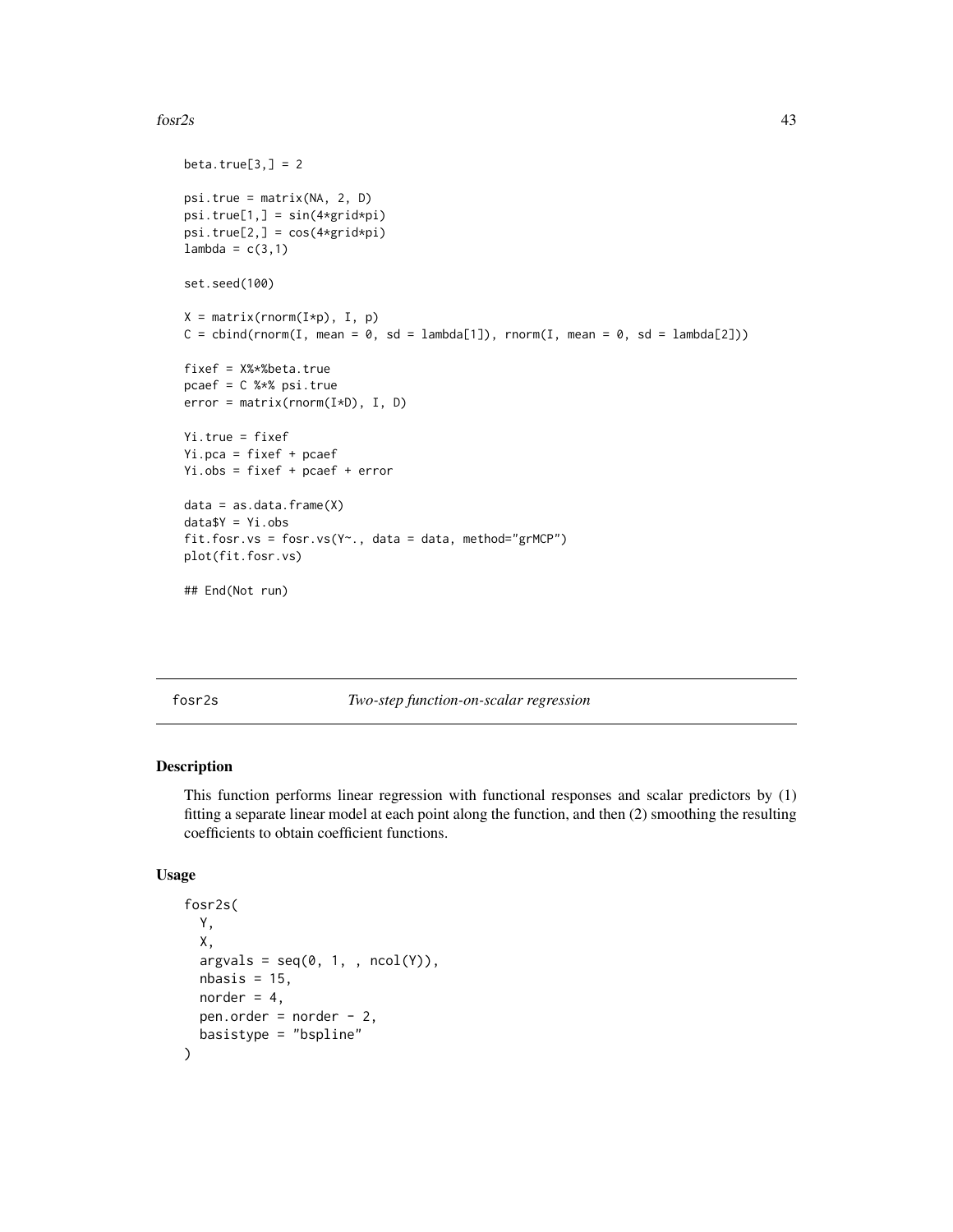### fosr $2s$  43

```
beta.true[3,] = 2psi.true = matrix(NA, 2, D)
psi.true[1,] = sin(4*grid*pi)
psi.trule[2,]=cos(4*grid*pi)lambda = c(3,1)set.seed(100)
X = matrix(rnorm(I*p), I, p)C = \text{cbind}(rnorm(I, mean = 0, sd = lambda[1]), rnorm(I, mean = 0, sd = lambda[2]))fixef = X%*%beta.true
pcaef = C %*% psi.true
error = matrix(rnorm(I*D), I, D)
Yi.true = fixef
Yi.pca = fixef + pcaef
Yi.obs = fixef + pcaef + error
data = as.data.findmex)dataY = Yi.obsfit.fosr.vs = fosr.vs(Y~., data = data, method="grMCP")
plot(fit.fosr.vs)
## End(Not run)
```
fosr2s *Two-step function-on-scalar regression*

## Description

This function performs linear regression with functional responses and scalar predictors by (1) fitting a separate linear model at each point along the function, and then (2) smoothing the resulting coefficients to obtain coefficient functions.

### Usage

```
fosr2s(
  Y,
  X,
  argvals = seq(0, 1, , ncol(Y)),nbasis = 15,
 norder = 4,
  pen.order = norder - 2,
  basistype = "bspline"
)
```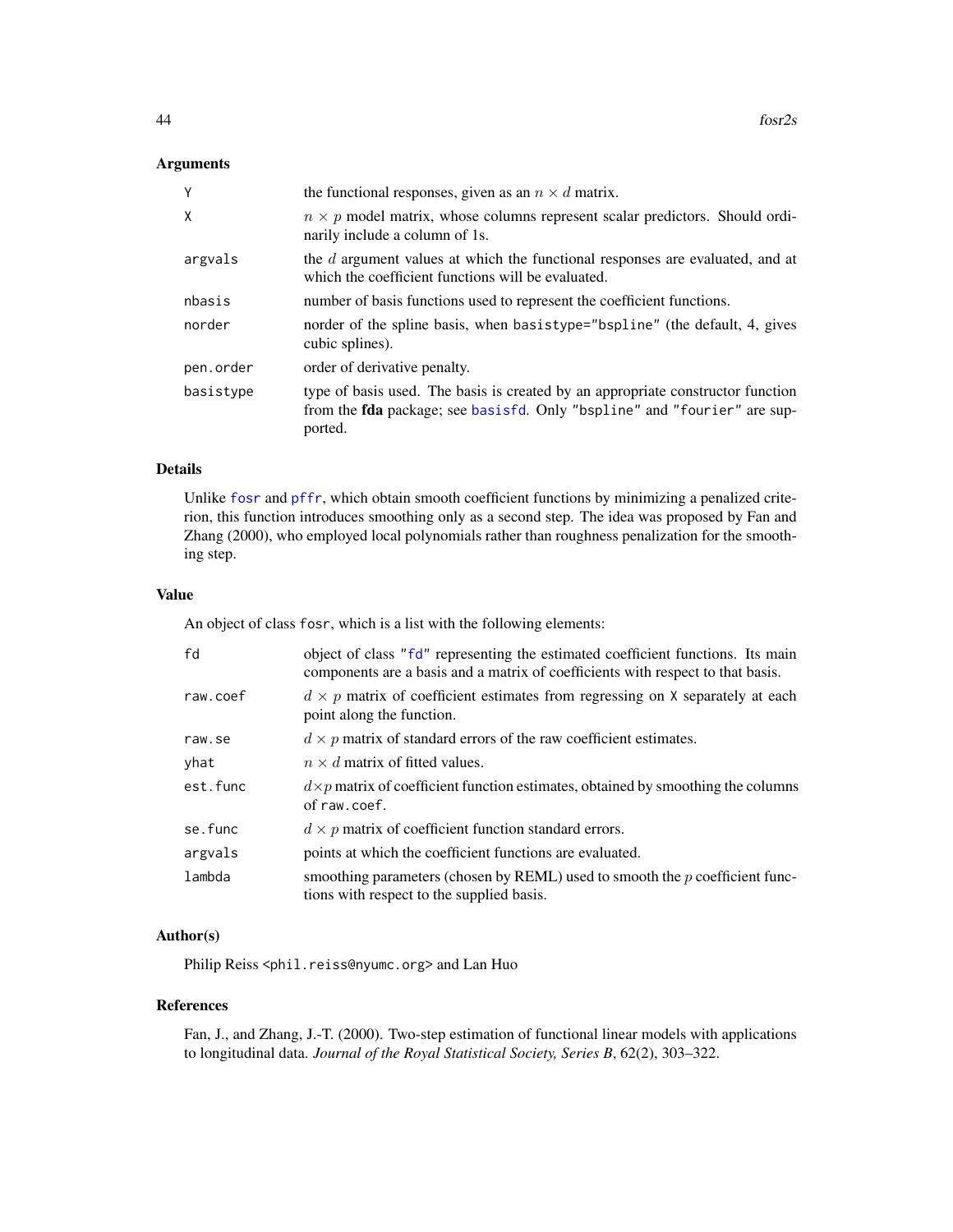## Arguments

| Y         | the functional responses, given as an $n \times d$ matrix.                                                                                                                    |
|-----------|-------------------------------------------------------------------------------------------------------------------------------------------------------------------------------|
| X         | $n \times p$ model matrix, whose columns represent scalar predictors. Should ordi-<br>narily include a column of 1s.                                                          |
| argvals   | the $d$ argument values at which the functional responses are evaluated, and at<br>which the coefficient functions will be evaluated.                                         |
| nbasis    | number of basis functions used to represent the coefficient functions.                                                                                                        |
| norder    | norder of the spline basis, when basistype="bspline" (the default, 4, gives<br>cubic splines).                                                                                |
| pen.order | order of derivative penalty.                                                                                                                                                  |
| basistype | type of basis used. The basis is created by an appropriate constructor function<br>from the <b>fda</b> package; see basisfd. Only "bspline" and "fourier" are sup-<br>ported. |

### Details

Unlike [fosr](#page-33-0) and [pffr](#page-108-0), which obtain smooth coefficient functions by minimizing a penalized criterion, this function introduces smoothing only as a second step. The idea was proposed by Fan and Zhang (2000), who employed local polynomials rather than roughness penalization for the smoothing step.

#### Value

An object of class fosr, which is a list with the following elements:

| fd       | object of class "fd" representing the estimated coefficient functions. Its main<br>components are a basis and a matrix of coefficients with respect to that basis. |
|----------|--------------------------------------------------------------------------------------------------------------------------------------------------------------------|
| raw.coef | $d \times p$ matrix of coefficient estimates from regressing on X separately at each<br>point along the function.                                                  |
| raw.se   | $d \times p$ matrix of standard errors of the raw coefficient estimates.                                                                                           |
| yhat     | $n \times d$ matrix of fitted values.                                                                                                                              |
| est.func | $d \times p$ matrix of coefficient function estimates, obtained by smoothing the columns<br>of raw.coef.                                                           |
| se.func  | $d \times p$ matrix of coefficient function standard errors.                                                                                                       |
| argvals  | points at which the coefficient functions are evaluated.                                                                                                           |
| lambda   | smoothing parameters (chosen by REML) used to smooth the $p$ coefficient func-<br>tions with respect to the supplied basis.                                        |

#### Author(s)

Philip Reiss <phil.reiss@nyumc.org> and Lan Huo

#### References

Fan, J., and Zhang, J.-T. (2000). Two-step estimation of functional linear models with applications to longitudinal data. *Journal of the Royal Statistical Society, Series B*, 62(2), 303–322.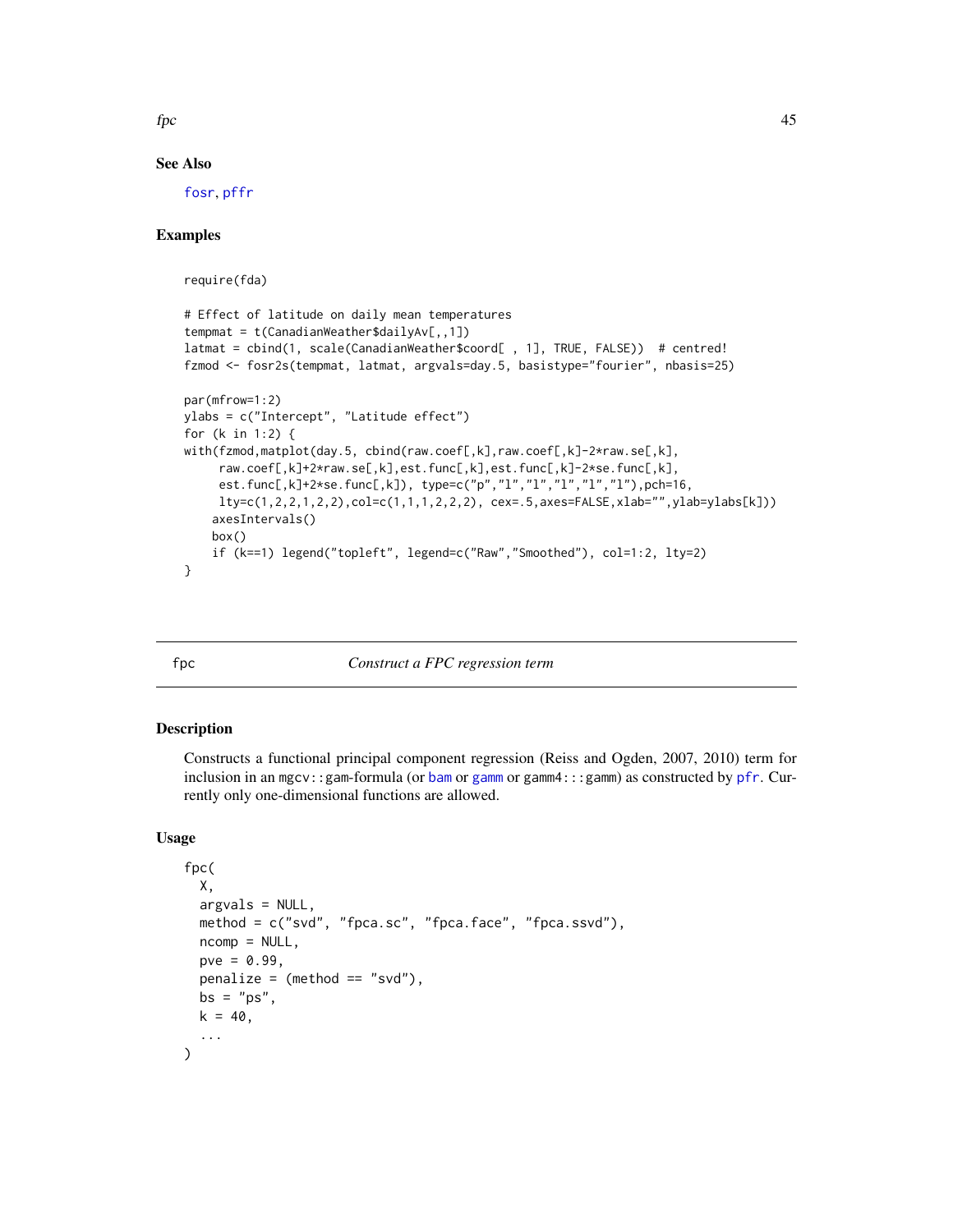$fpc$  45

### See Also

[fosr](#page-33-0), [pffr](#page-108-0)

## Examples

require(fda)

```
# Effect of latitude on daily mean temperatures
tempmat = t(CanadianWeather$dailyAv[,,1])
latmat = cbind(1, scale(CanadianWeather$coord[ , 1], TRUE, FALSE)) # centred!
fzmod <- fosr2s(tempmat, latmat, argvals=day.5, basistype="fourier", nbasis=25)
par(mfrow=1:2)
ylabs = c("Intercept", "Latitude effect")
for (k in 1:2) {
with(fzmod,matplot(day.5, cbind(raw.coef[,k],raw.coef[,k]-2*raw.se[,k],
     raw.coef[,k]+2*raw.se[,k],est.func[,k],est.func[,k]-2*se.func[,k],
     est.func[,k]+2*se.func[,k]), type=c("p","l","l","l","l","l"),pch=16,
     lty=c(1,2,2,1,2,2),col=c(1,1,1,2,2,2), cex=.5,axes=FALSE,xlab="",ylab=ylabs[k]))
    axesIntervals()
   box()
    if (k==1) legend("topleft", legend=c("Raw","Smoothed"), col=1:2, lty=2)
}
```
#### fpc *Construct a FPC regression term*

### Description

Constructs a functional principal component regression (Reiss and Ogden, 2007, 2010) term for inclusion in an mgcv::gam-formula (or [bam](#page-0-0) or [gamm](#page-0-0) or gamm $4:::$ gamm) as constructed by [pfr](#page-116-0). Currently only one-dimensional functions are allowed.

## Usage

)

```
fpc(
 X,
 argvals = NULL,
 method = c("svd", "fpca.sc", "fpca.face", "fpca.ssvd"),
 ncomp = NULL,pve = 0.99,
 penalize = (method == "svd"),bs = "ps".k = 40,...
```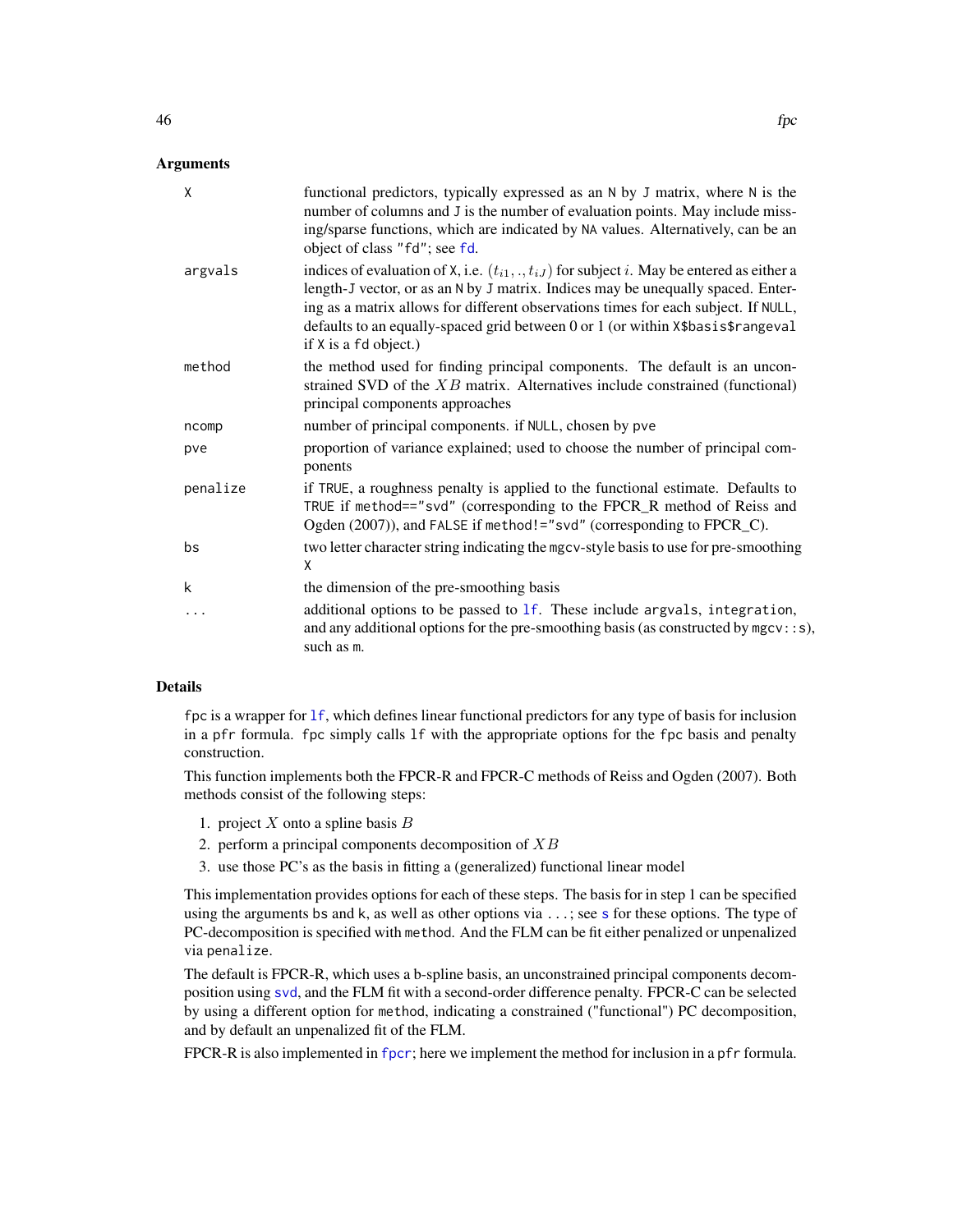#### **Arguments**

| X        | functional predictors, typically expressed as an N by J matrix, where N is the<br>number of columns and J is the number of evaluation points. May include miss-<br>ing/sparse functions, which are indicated by NA values. Alternatively, can be an<br>object of class "fd"; see fd.                                                                                                        |
|----------|---------------------------------------------------------------------------------------------------------------------------------------------------------------------------------------------------------------------------------------------------------------------------------------------------------------------------------------------------------------------------------------------|
| argvals  | indices of evaluation of X, i.e. $(t_{i1}, \ldots, t_{iJ})$ for subject i. May be entered as either a<br>length-J vector, or as an N by J matrix. Indices may be unequally spaced. Enter-<br>ing as a matrix allows for different observations times for each subject. If NULL,<br>defaults to an equally-spaced grid between 0 or 1 (or within X\$basis\$rangeval<br>if X is a fd object.) |
| method   | the method used for finding principal components. The default is an uncon-<br>strained SVD of the $XB$ matrix. Alternatives include constrained (functional)<br>principal components approaches                                                                                                                                                                                             |
| ncomp    | number of principal components. if NULL, chosen by pve                                                                                                                                                                                                                                                                                                                                      |
| pve      | proportion of variance explained; used to choose the number of principal com-<br>ponents                                                                                                                                                                                                                                                                                                    |
| penalize | if TRUE, a roughness penalty is applied to the functional estimate. Defaults to<br>TRUE if method=="svd" (corresponding to the FPCR_R method of Reiss and<br>Ogden (2007)), and FALSE if method!="svd" (corresponding to FPCR_C).                                                                                                                                                           |
| bs       | two letter character string indicating the mgcv-style basis to use for pre-smoothing<br>X                                                                                                                                                                                                                                                                                                   |
| k        | the dimension of the pre-smoothing basis                                                                                                                                                                                                                                                                                                                                                    |
| .        | additional options to be passed to $1f$ . These include argvals, integration,<br>and any additional options for the pre-smoothing basis (as constructed by mgcv::s),<br>such as m.                                                                                                                                                                                                          |

### Details

fpc is a wrapper for [lf](#page-79-0), which defines linear functional predictors for any type of basis for inclusion in a pfr formula. fpc simply calls lf with the appropriate options for the fpc basis and penalty construction.

This function implements both the FPCR-R and FPCR-C methods of Reiss and Ogden (2007). Both methods consist of the following steps:

- 1. project  $X$  onto a spline basis  $B$
- 2. perform a principal components decomposition of  $XB$
- 3. use those PC's as the basis in fitting a (generalized) functional linear model

This implementation provides options for each of these steps. The basis for in step 1 can be specified using the arguments bs and k, as well as other options via ...; see [s](#page-0-0) for these options. The type of PC-decomposition is specified with method. And the FLM can be fit either penalized or unpenalized via penalize.

The default is FPCR-R, which uses a b-spline basis, an unconstrained principal components decomposition using [svd](#page-0-0), and the FLM fit with a second-order difference penalty. FPCR-C can be selected by using a different option for method, indicating a constrained ("functional") PC decomposition, and by default an unpenalized fit of the FLM.

FPCR-R is also implemented in [fpcr](#page-65-0); here we implement the method for inclusion in a pfr formula.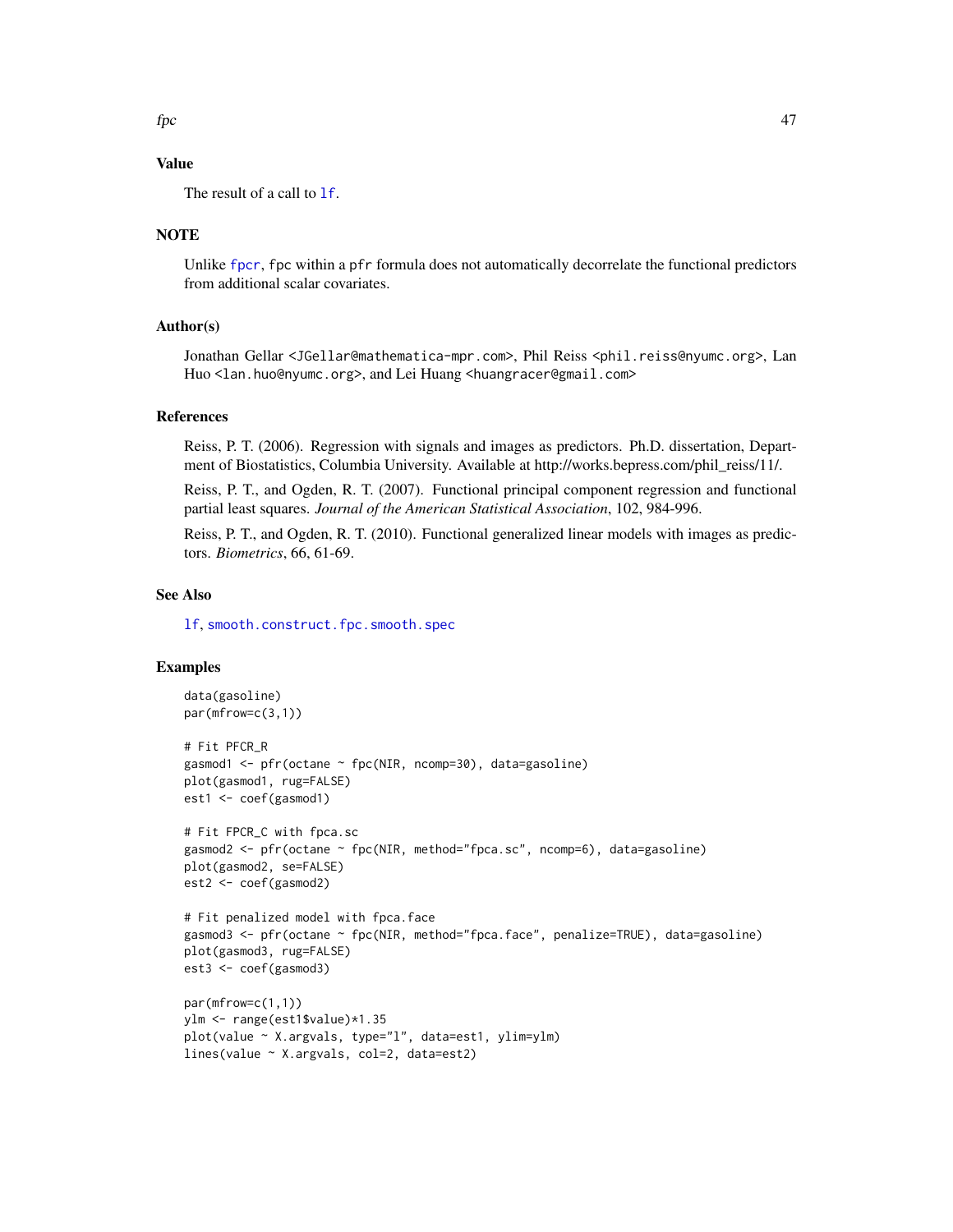# Value

The result of a call to **1f**.

## **NOTE**

Unlike [fpcr](#page-65-0), fpc within a pfr formula does not automatically decorrelate the functional predictors from additional scalar covariates.

# Author(s)

Jonathan Gellar <JGellar@mathematica-mpr.com>, Phil Reiss <phil.reiss@nyumc.org>, Lan Huo <lan.huo@nyumc.org>, and Lei Huang <huangracer@gmail.com>

### References

Reiss, P. T. (2006). Regression with signals and images as predictors. Ph.D. dissertation, Department of Biostatistics, Columbia University. Available at http://works.bepress.com/phil\_reiss/11/.

Reiss, P. T., and Ogden, R. T. (2007). Functional principal component regression and functional partial least squares. *Journal of the American Statistical Association*, 102, 984-996.

Reiss, P. T., and Ogden, R. T. (2010). Functional generalized linear models with images as predictors. *Biometrics*, 66, 61-69.

#### See Also

[lf](#page-79-0), [smooth.construct.fpc.smooth.spec](#page-155-0)

```
data(gasoline)
par(mfrow=c(3,1))
# Fit PFCR_R
gasmod1 <- pfr(octane ~ fpc(NIR, ncomp=30), data=gasoline)
plot(gasmod1, rug=FALSE)
est1 <- coef(gasmod1)
# Fit FPCR_C with fpca.sc
gasmod2 <- pfr(octane ~ fpc(NIR, method="fpca.sc", ncomp=6), data=gasoline)
plot(gasmod2, se=FALSE)
est2 <- coef(gasmod2)
# Fit penalized model with fpca.face
gasmod3 <- pfr(octane ~ fpc(NIR, method="fpca.face", penalize=TRUE), data=gasoline)
plot(gasmod3, rug=FALSE)
est3 <- coef(gasmod3)
par(mfrow=c(1,1))
ylm <- range(est1$value)*1.35
plot(value ~ X.argvals, type="l", data=est1, ylim=ylm)
lines(value ~ X.argvals, col=2, data=est2)
```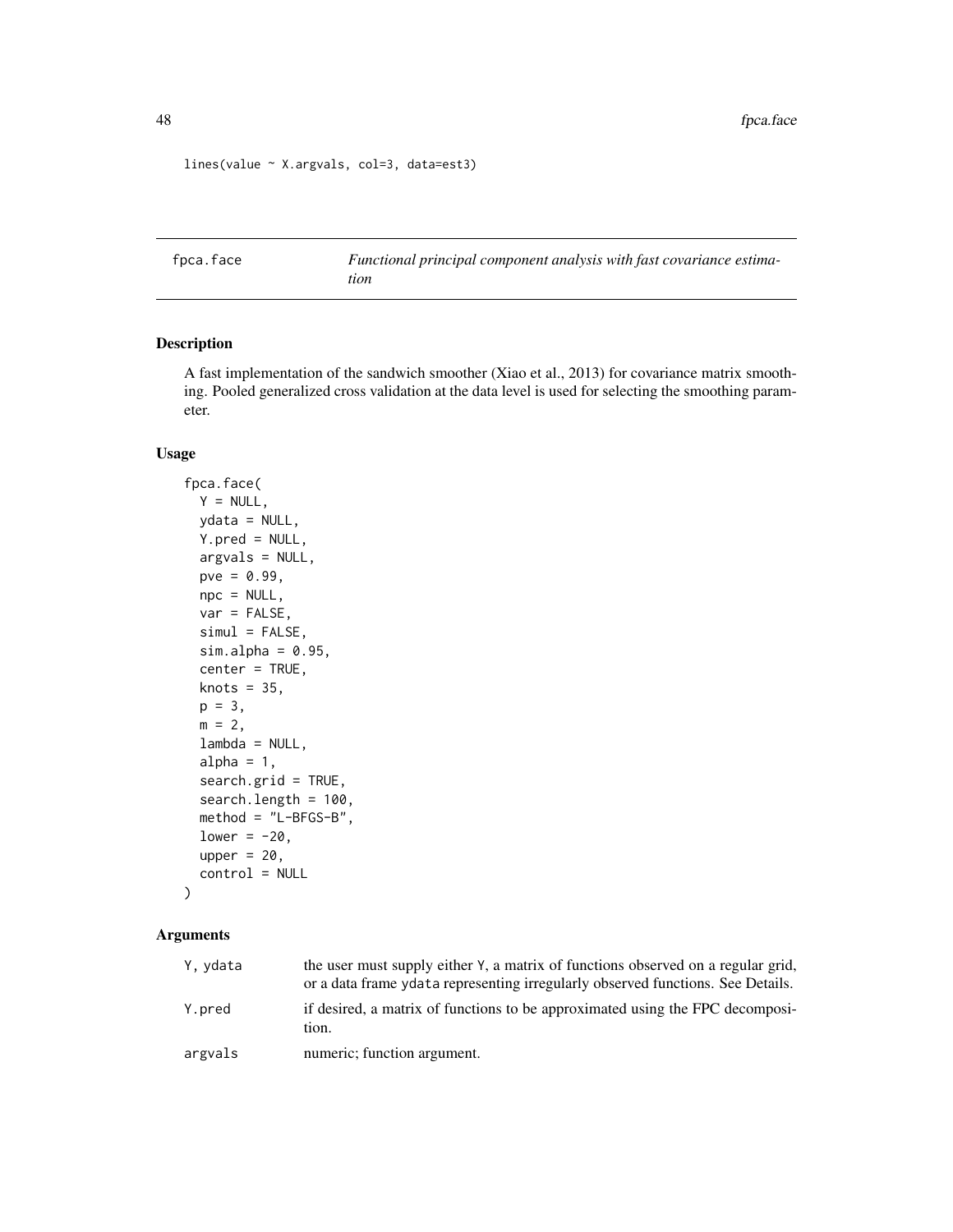```
lines(value ~ X.argvals, col=3, data=est3)
```
<span id="page-47-0"></span>fpca.face *Functional principal component analysis with fast covariance estimation*

## Description

A fast implementation of the sandwich smoother (Xiao et al., 2013) for covariance matrix smoothing. Pooled generalized cross validation at the data level is used for selecting the smoothing parameter.

## Usage

```
fpca.face(
  Y = NULL,ydata = NULL,
 Y.pred = NULL,
  argvals = NULL,
 pve = 0.99,
 npc = NULL,var = FALSE,
  simul = FALSE,
  sim.alpha = 0.95,center = TRUE,
 knots = 35,
 p = 3,
 m = 2,lambda = NULL,
  alpha = 1,
  search.grid = TRUE,
  search.length = 100,
 method = "L-BFGS-B",
  lower = -20,
  upper = 20,
  control = NULL
\mathcal{L}
```

| Y, ydata | the user must supply either Y, a matrix of functions observed on a regular grid,<br>or a data frame yetata representing irregularly observed functions. See Details. |
|----------|----------------------------------------------------------------------------------------------------------------------------------------------------------------------|
| Y.pred   | if desired, a matrix of functions to be approximated using the FPC decomposi-<br>tion.                                                                               |
| argvals  | numeric; function argument.                                                                                                                                          |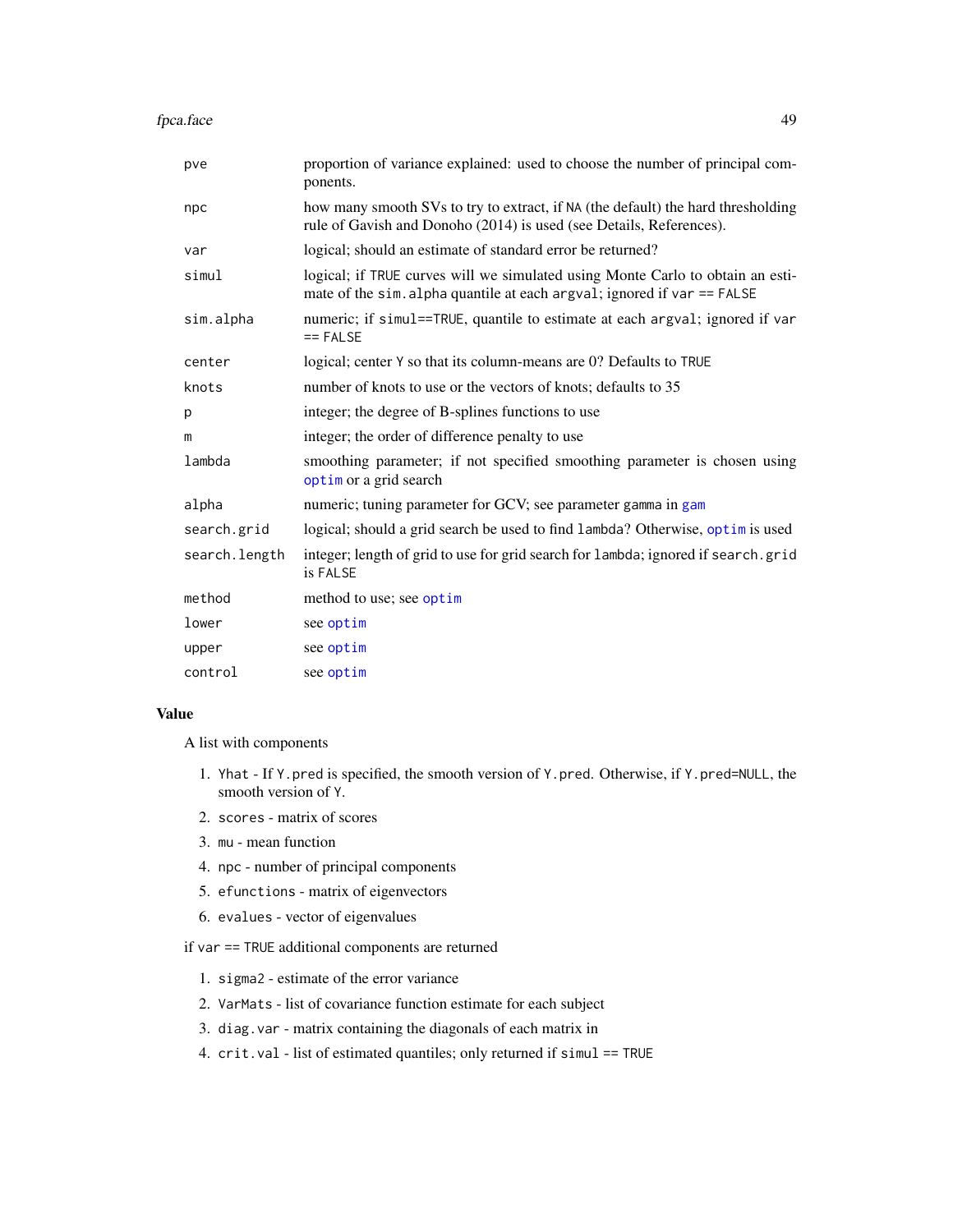| pve           | proportion of variance explained: used to choose the number of principal com-<br>ponents.                                                                 |
|---------------|-----------------------------------------------------------------------------------------------------------------------------------------------------------|
| npc           | how many smooth SVs to try to extract, if NA (the default) the hard thresholding<br>rule of Gavish and Donoho (2014) is used (see Details, References).   |
| var           | logical; should an estimate of standard error be returned?                                                                                                |
| simul         | logical; if TRUE curves will we simulated using Monte Carlo to obtain an esti-<br>mate of the sim. alpha quantile at each argval; ignored if var == FALSE |
| sim.alpha     | numeric; if simul==TRUE, quantile to estimate at each argval; ignored if var<br>$==$ FALSE                                                                |
| center        | logical; center Y so that its column-means are 0? Defaults to TRUE                                                                                        |
| knots         | number of knots to use or the vectors of knots; defaults to 35                                                                                            |
| p             | integer; the degree of B-splines functions to use                                                                                                         |
| m             | integer; the order of difference penalty to use                                                                                                           |
| lambda        | smoothing parameter; if not specified smoothing parameter is chosen using<br>optim or a grid search                                                       |
| alpha         | numeric; tuning parameter for GCV; see parameter gamma in gam                                                                                             |
| search.grid   | logical; should a grid search be used to find lambda? Otherwise, optim is used                                                                            |
| search.length | integer; length of grid to use for grid search for lambda; ignored if search.grid<br>is FALSE                                                             |
| method        | method to use; see optim                                                                                                                                  |
| lower         | see optim                                                                                                                                                 |
| upper         | see optim                                                                                                                                                 |
| control       | see optim                                                                                                                                                 |

### Value

A list with components

- 1. Yhat If Y.pred is specified, the smooth version of Y.pred. Otherwise, if Y.pred=NULL, the smooth version of Y.
- 2. scores matrix of scores
- 3. mu mean function
- 4. npc number of principal components
- 5. efunctions matrix of eigenvectors
- 6. evalues vector of eigenvalues

if var == TRUE additional components are returned

- 1. sigma2 estimate of the error variance
- 2. VarMats list of covariance function estimate for each subject
- 3. diag.var matrix containing the diagonals of each matrix in
- 4. crit.val list of estimated quantiles; only returned if simul == TRUE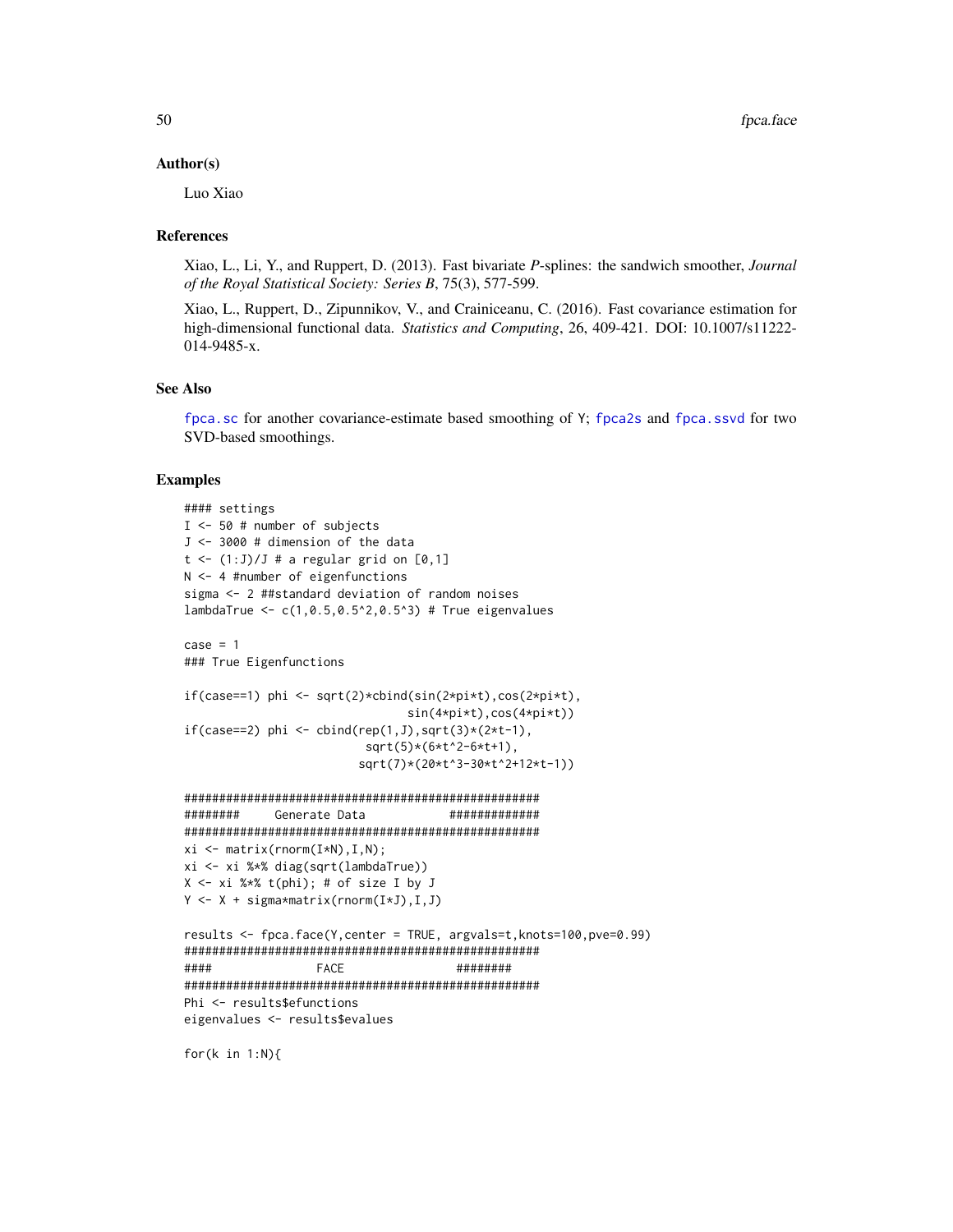#### Author(s)

Luo Xiao

### References

Xiao, L., Li, Y., and Ruppert, D. (2013). Fast bivariate *P*-splines: the sandwich smoother, *Journal of the Royal Statistical Society: Series B*, 75(3), 577-599.

Xiao, L., Ruppert, D., Zipunnikov, V., and Crainiceanu, C. (2016). Fast covariance estimation for high-dimensional functional data. *Statistics and Computing*, 26, 409-421. DOI: 10.1007/s11222- 014-9485-x.

### See Also

[fpca.sc](#page-56-0) for another covariance-estimate based smoothing of Y; [fpca2s](#page-63-0) and [fpca.ssvd](#page-60-0) for two SVD-based smoothings.

### Examples

```
#### settings
I <- 50 # number of subjects
J <- 3000 # dimension of the data
t \leftarrow (1:J)/J # a regular grid on [0,1]N <- 4 #number of eigenfunctions
sigma <- 2 ##standard deviation of random noises
lambdaTrue <- c(1,0.5,0.5^2,0.5^3) # True eigenvalues
case = 1### True Eigenfunctions
if(case==1) phi <- sqrt(2)*cbind(sin(2*pi*t),cos(2*pi*t),
                               sin(4*pi*t),cos(4*pi*t))
if(case==2) phi <- cbind(rep(1,J),sqrt(3)*(2*t-1),
                         sqrt(5)*(6*t^2-6*t+1),sqrt(7)*(20*t^3-30*t^2+12*t-1))
###################################################
######## Generate Data #############
###################################################
xi \leftarrow matrix(rnorm(I*N), I, N);xi <- xi %*% diag(sqrt(lambdaTrue))
X \le -xi %*% t(phi); # of size I by J
Y <- X + sigma*matrix(rnorm(I*J),I,J)
results <- fpca.face(Y,center = TRUE, argvals=t,knots=100,pve=0.99)
###################################################
#### FACE ########
###################################################
Phi <- results$efunctions
eigenvalues <- results$evalues
```
for(k in 1:N){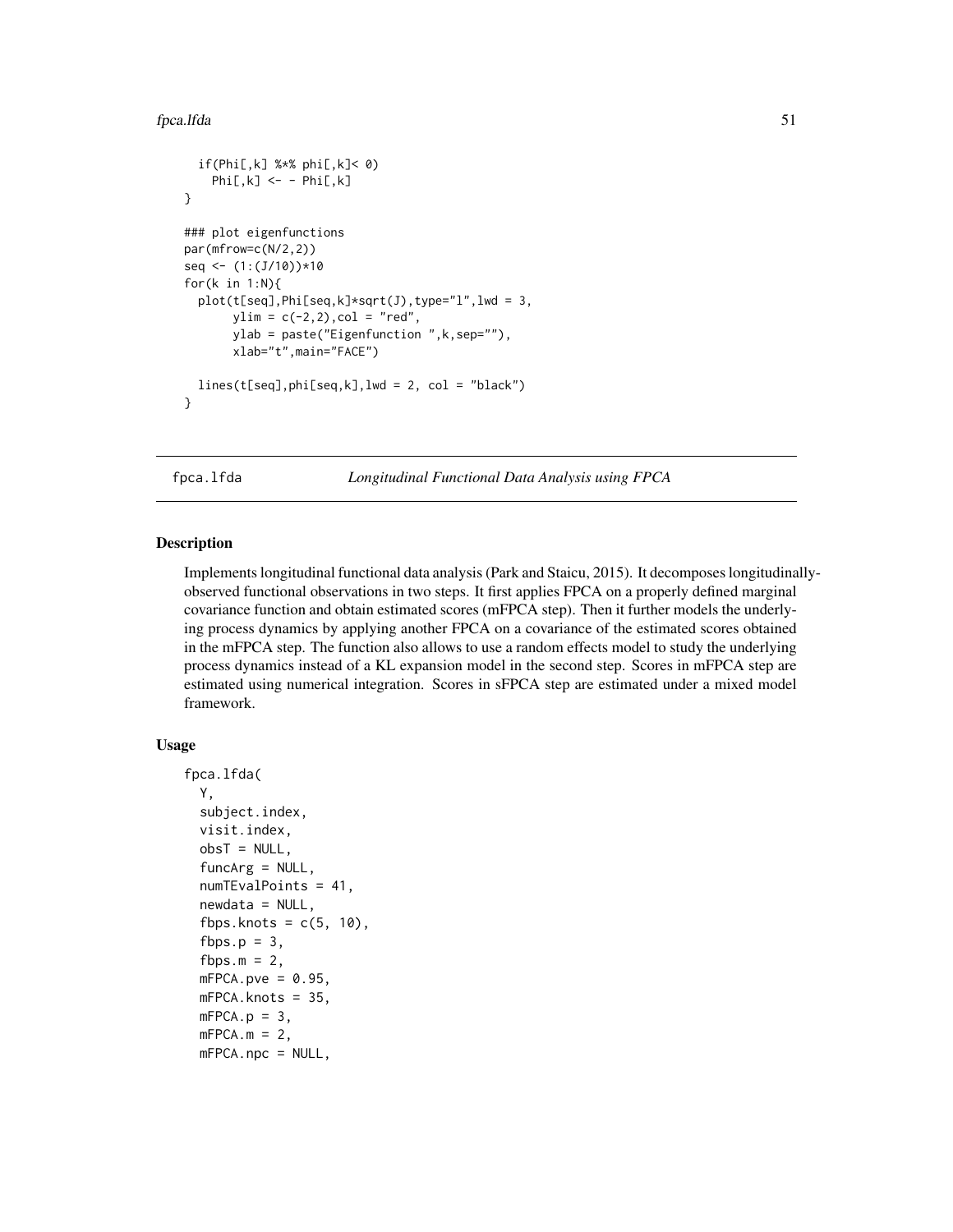#### fpca.lfda 51

```
if(Phi[,k] %*% phi[,k]< 0)
   Phi[, k] <- - Phi[, k]}
### plot eigenfunctions
par(mfrow=c(N/2,2))
seq <- (1:(J/10))*10
for(k in 1:N){
 plot(t[seq],Phi[seq,k]*sqrt(J),type="l",lwd = 3,
       ylim = c(-2, 2), col = "red",ylab = paste("Eigenfunction ",k,sep=""),
       xlab="t",main="FACE")
 lines(t[seq], phi[seq, k], lwd = 2, col = "black")}
```
fpca.lfda *Longitudinal Functional Data Analysis using FPCA*

### Description

Implements longitudinal functional data analysis (Park and Staicu, 2015). It decomposes longitudinallyobserved functional observations in two steps. It first applies FPCA on a properly defined marginal covariance function and obtain estimated scores (mFPCA step). Then it further models the underlying process dynamics by applying another FPCA on a covariance of the estimated scores obtained in the mFPCA step. The function also allows to use a random effects model to study the underlying process dynamics instead of a KL expansion model in the second step. Scores in mFPCA step are estimated using numerical integration. Scores in sFPCA step are estimated under a mixed model framework.

## Usage

```
fpca.lfda(
  Y,
  subject.index,
  visit.index,
  obsT = NULL,funcArg = NULL,
  numTEvalPoints = 41,
  newdata = NULL,
  fbps.knots = c(5, 10),
  fbps.p = 3,
  fbps.m = 2,
  mFPCA.pye = 0.95,
 mFPCA.knots = 35,
 mFPCA.p = 3,mFPCA.m = 2,
 mFPCA.npc = NULL,
```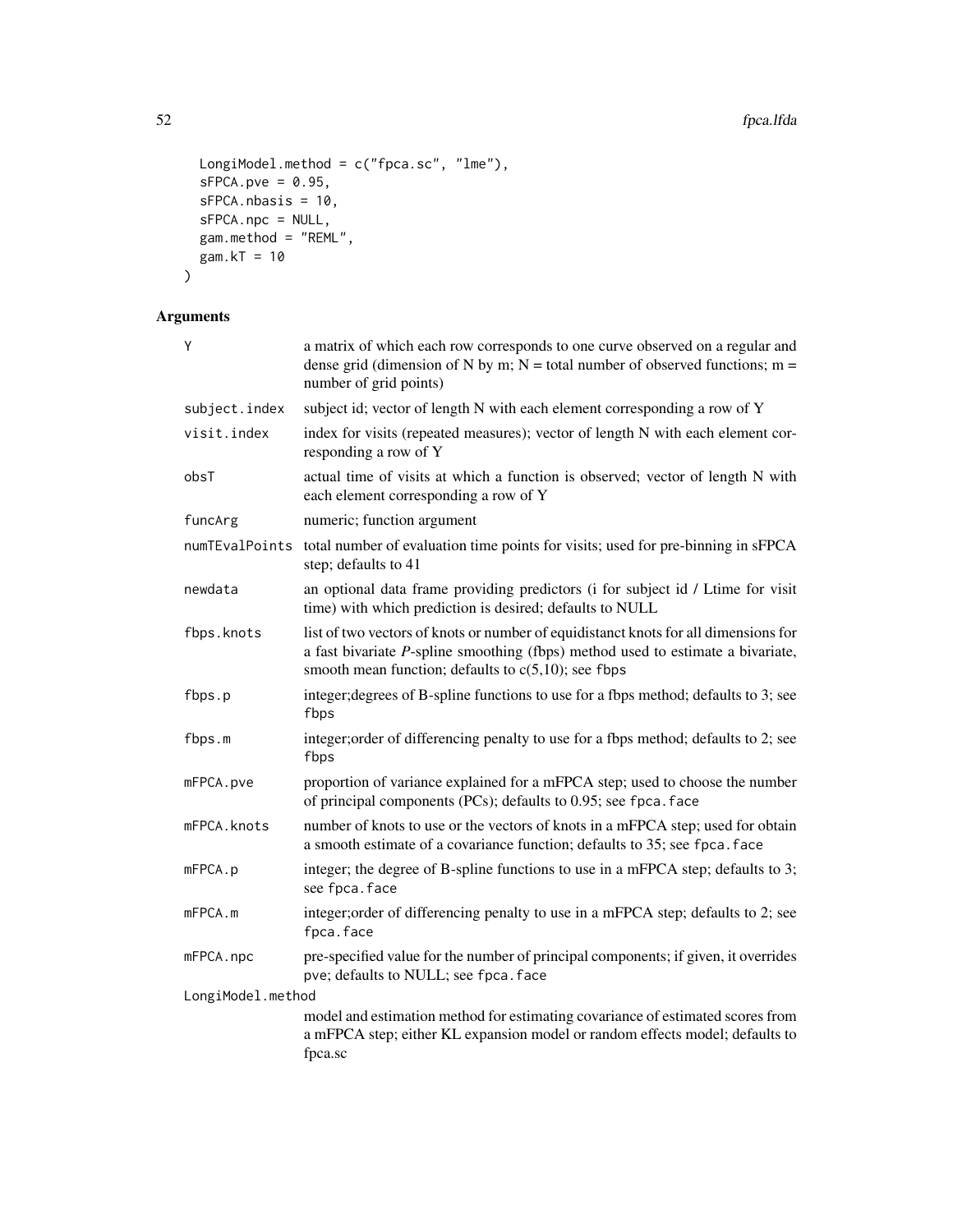```
LongiModel.method = c("fpca.sc", "lme"),
 sFPCA.pye = 0.95,sFPCA.nbasis = 10,
 sFPCA.npc = NULL,
 gam.method = "REML",gam.KT = 10\mathcal{L}
```

| Y                 | a matrix of which each row corresponds to one curve observed on a regular and<br>dense grid (dimension of N by m; N = total number of observed functions; m =<br>number of grid points)                                             |
|-------------------|-------------------------------------------------------------------------------------------------------------------------------------------------------------------------------------------------------------------------------------|
| subject.index     | subject id; vector of length N with each element corresponding a row of Y                                                                                                                                                           |
| visit.index       | index for visits (repeated measures); vector of length N with each element cor-<br>responding a row of Y                                                                                                                            |
| obsT              | actual time of visits at which a function is observed; vector of length N with<br>each element corresponding a row of Y                                                                                                             |
| funcArg           | numeric; function argument                                                                                                                                                                                                          |
| numTEvalPoints    | total number of evaluation time points for visits; used for pre-binning in sFPCA<br>step; defaults to 41                                                                                                                            |
| newdata           | an optional data frame providing predictors (i for subject id / Ltime for visit<br>time) with which prediction is desired; defaults to NULL                                                                                         |
| fbps.knots        | list of two vectors of knots or number of equidistanct knots for all dimensions for<br>a fast bivariate $P$ -spline smoothing (fbps) method used to estimate a bivariate,<br>smooth mean function; defaults to $c(5,10)$ ; see fbps |
| fbps.p            | integer; degrees of B-spline functions to use for a fbps method; defaults to 3; see<br>fbps                                                                                                                                         |
| fbps.m            | integer; order of differencing penalty to use for a fbps method; defaults to 2; see<br>fbps                                                                                                                                         |
| mFPCA.pve         | proportion of variance explained for a mFPCA step; used to choose the number<br>of principal components (PCs); defaults to 0.95; see fpca. face                                                                                     |
| mFPCA.knots       | number of knots to use or the vectors of knots in a mFPCA step; used for obtain<br>a smooth estimate of a covariance function; defaults to 35; see fpca. face                                                                       |
| mFPCA.p           | integer; the degree of B-spline functions to use in a mFPCA step; defaults to 3;<br>see fpca.face                                                                                                                                   |
| mFPCA.m           | integer; order of differencing penalty to use in a mFPCA step; defaults to 2; see<br>fpca.face                                                                                                                                      |
| mFPCA.npc         | pre-specified value for the number of principal components; if given, it overrides<br>pve; defaults to NULL; see fpca. face                                                                                                         |
| LongiModel.method |                                                                                                                                                                                                                                     |
|                   | model and estimation method for estimating covariance of estimated scores from<br>a mFPCA step; either KL expansion model or random effects model; defaults to<br>fpca.sc                                                           |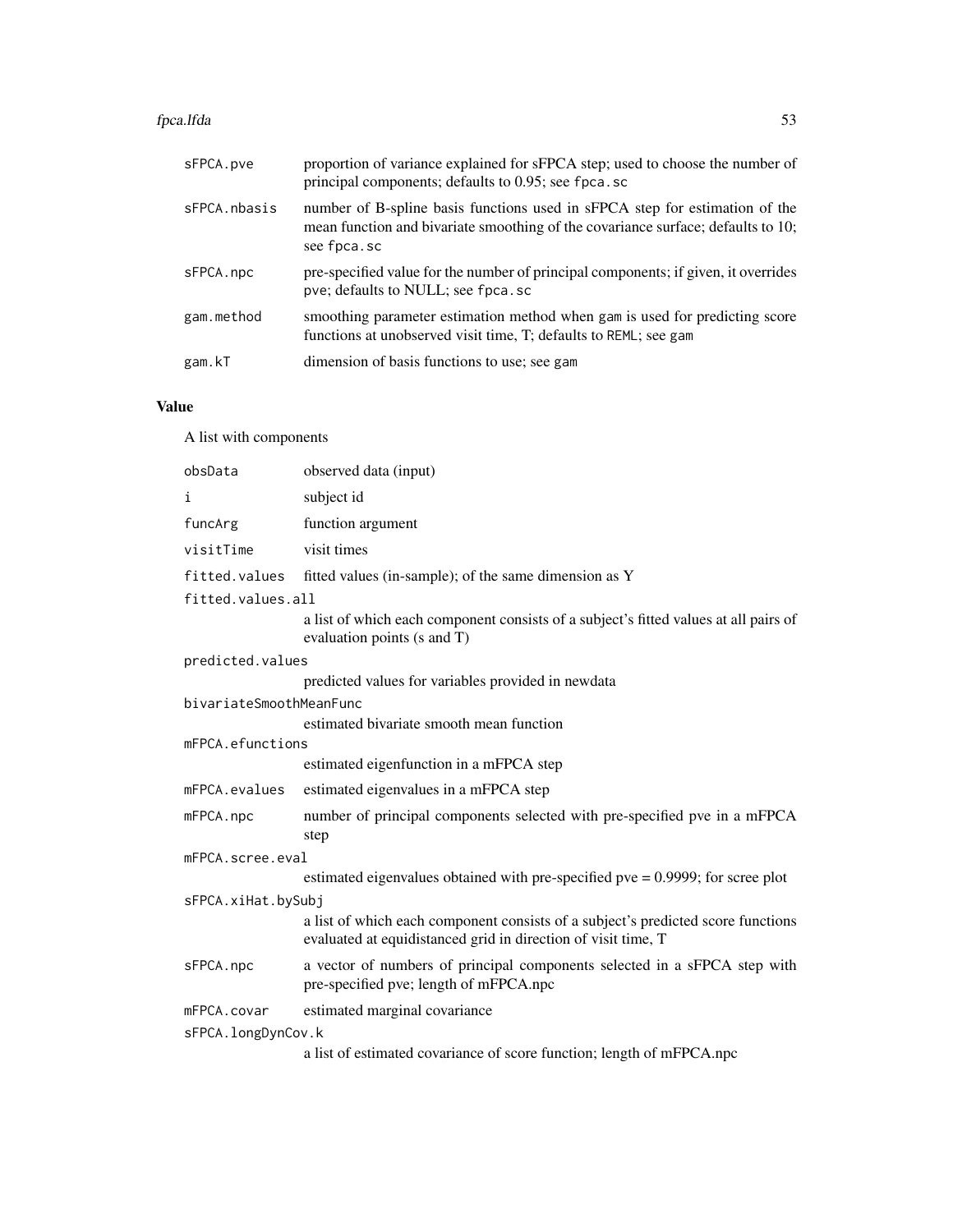#### fpca.lfda 53

| sFPCA.pve    | proportion of variance explained for sFPCA step; used to choose the number of<br>principal components; defaults to 0.95; see fpca.sc                                           |
|--------------|--------------------------------------------------------------------------------------------------------------------------------------------------------------------------------|
| sFPCA.nbasis | number of B-spline basis functions used in sFPCA step for estimation of the<br>mean function and bivariate smoothing of the covariance surface; defaults to 10;<br>see fpca.sc |
| sFPCA.npc    | pre-specified value for the number of principal components; if given, it overrides<br>pve; defaults to NULL; see fpca.sc                                                       |
| gam.method   | smoothing parameter estimation method when gam is used for predicting score<br>functions at unobserved visit time, T; defaults to REML; see gam                                |
| gam.kT       | dimension of basis functions to use; see gam                                                                                                                                   |

# Value

A list with components

| obsData                 | observed data (input)                                                                                                                             |  |
|-------------------------|---------------------------------------------------------------------------------------------------------------------------------------------------|--|
| i                       | subject id                                                                                                                                        |  |
| funcArg                 | function argument                                                                                                                                 |  |
| visitTime               | visit times                                                                                                                                       |  |
| fitted.values           | fitted values (in-sample); of the same dimension as Y                                                                                             |  |
| fitted.values.all       |                                                                                                                                                   |  |
|                         | a list of which each component consists of a subject's fitted values at all pairs of<br>evaluation points (s and T)                               |  |
| predicted.values        |                                                                                                                                                   |  |
|                         | predicted values for variables provided in newdata                                                                                                |  |
| bivariateSmoothMeanFunc |                                                                                                                                                   |  |
|                         | estimated bivariate smooth mean function                                                                                                          |  |
| mFPCA.efunctions        |                                                                                                                                                   |  |
|                         | estimated eigenfunction in a mFPCA step                                                                                                           |  |
| mFPCA.evalues           | estimated eigenvalues in a mFPCA step                                                                                                             |  |
| mFPCA.npc               | number of principal components selected with pre-specified pve in a mFPCA<br>step                                                                 |  |
| mFPCA.scree.eval        |                                                                                                                                                   |  |
|                         | estimated eigenvalues obtained with pre-specified pve $= 0.9999$ ; for scree plot                                                                 |  |
| sFPCA.xiHat.bySubj      |                                                                                                                                                   |  |
|                         | a list of which each component consists of a subject's predicted score functions<br>evaluated at equidistanced grid in direction of visit time, T |  |
| sFPCA.npc               | a vector of numbers of principal components selected in a sFPCA step with<br>pre-specified pve; length of mFPCA.npc                               |  |
| mFPCA.covar             | estimated marginal covariance                                                                                                                     |  |
| sFPCA.longDynCov.k      |                                                                                                                                                   |  |
|                         | a list of estimated covariance of score function; length of mFPCA.npc                                                                             |  |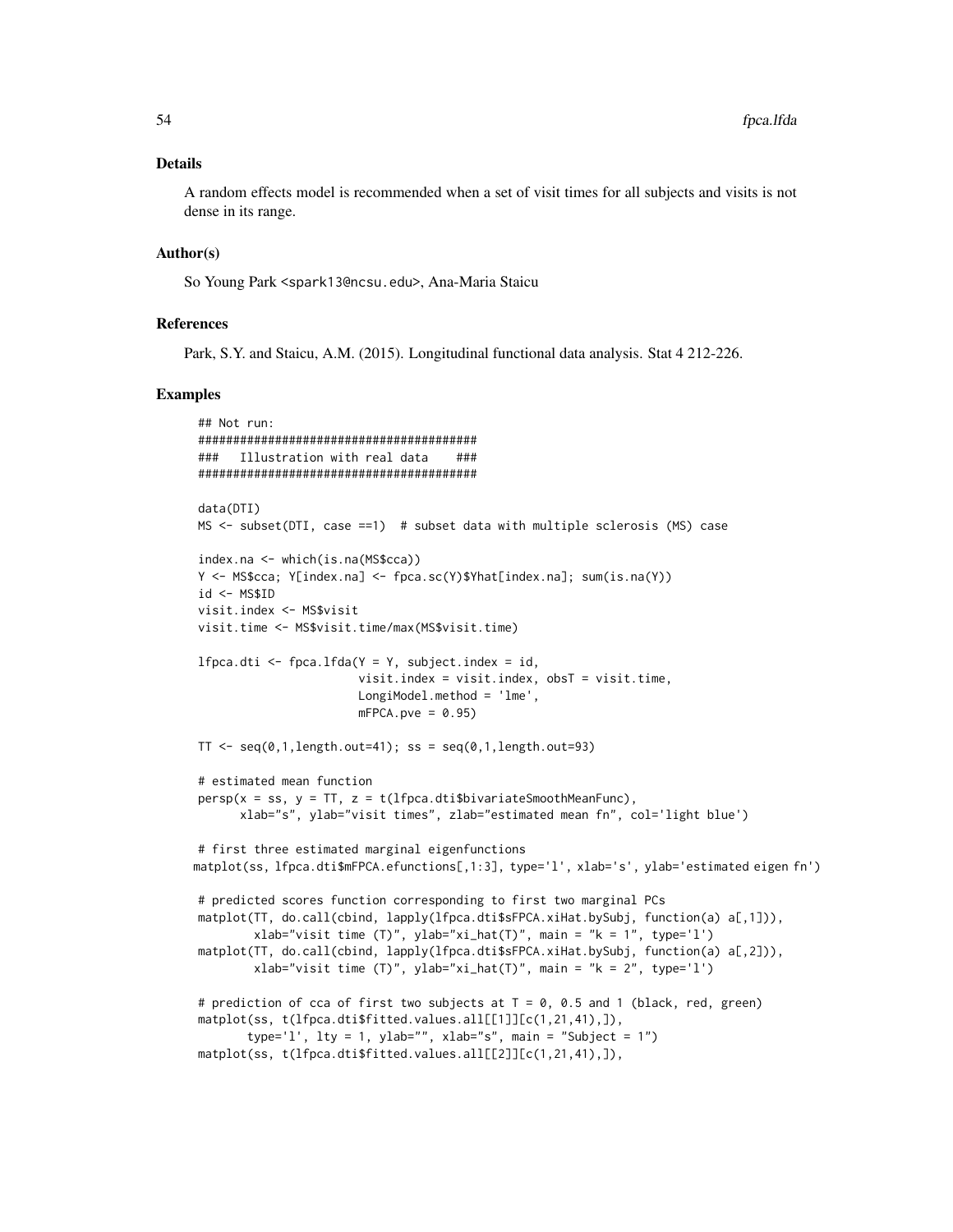### Details

A random effects model is recommended when a set of visit times for all subjects and visits is not dense in its range.

#### Author(s)

So Young Park <spark13@ncsu.edu>, Ana-Maria Staicu

### References

Park, S.Y. and Staicu, A.M. (2015). Longitudinal functional data analysis. Stat 4 212-226.

```
## Not run:
########################################
### Illustration with real data ###
########################################
data(DTI)
MS <- subset(DTI, case ==1) # subset data with multiple sclerosis (MS) case
index.na <- which(is.na(MS$cca))
Y <- MS$cca; Y[index.na] <- fpca.sc(Y)$Yhat[index.na]; sum(is.na(Y))
id \leftarrow \text{MSSID}visit.index <- MS$visit
visit.time <- MS$visit.time/max(MS$visit.time)
lfpca.dti <- fpca.lfda(Y = Y, subject.index = id,
                       visit.index = visit.index, obsT = visit.time,
                       LongiModel.method = 'lme',
                       mFPCA.pye = 0.95TT \leq seq(0,1, length.out=41); ss = seq(0,1, length.out=93)
# estimated mean function
persp(x = ss, y = TT, z = t(1fpca.dti$bivariateSmoothMeanFunc),xlab="s", ylab="visit times", zlab="estimated mean fn", col='light blue')
# first three estimated marginal eigenfunctions
matplot(ss, lfpca.dti$mFPCA.efunctions[,1:3], type='l', xlab='s', ylab='estimated eigen fn')
# predicted scores function corresponding to first two marginal PCs
matplot(TT, do.call(cbind, lapply(lfpca.dti$sFPCA.xiHat.bySubj, function(a) a[,1])),
        xlab="visit time (T)", ylab="xi_hat(T)", main = "k = 1", type='l')
matplot(TT, do.call(cbind, lapply(lfpca.dti$sFPCA.xiHat.bySubj, function(a) a[,2])),
        xlab="visit time (T)", ylab="xi_hat(T)", main = "k = 2", type='l')
# prediction of cca of first two subjects at T = 0, 0.5 and 1 (black, red, green)
matplot(ss, t(lfpca.dti$fitted.values.all[[1]][c(1,21,41),]),
       type='l', lty = 1, ylab="", xlab="s", main = "Subject = 1")
matplot(ss, t(lfpca.dti$fitted.values.all[[2]][c(1,21,41),]),
```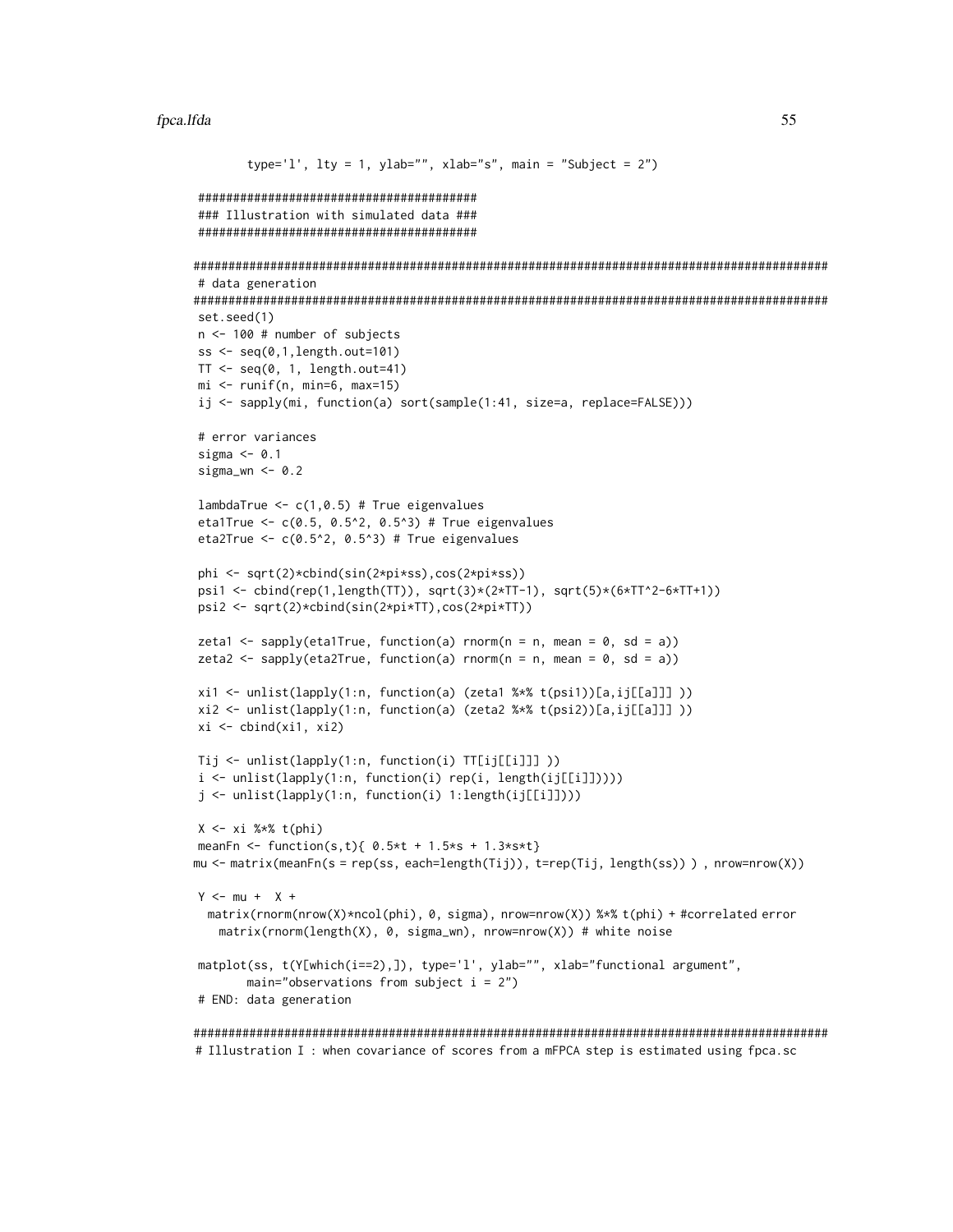#### fpca.lfda 55

```
type='l', lty = 1, ylab="", xlab="s", main = "Subject = 2")
########################################
### Illustration with simulated data ###
########################################
###########################################################################################
# data generation
###########################################################################################
set.seed(1)
n <- 100 # number of subjects
ss \leq seq(0,1,length.out=101)
TT < - \text{seq}(0, 1, \text{length.out=41})mi \leftarrow runif(n, min=6, max=15)ij <- sapply(mi, function(a) sort(sample(1:41, size=a, replace=FALSE)))
# error variances
sigma <- 0.1
sigma_wn \leq -0.2lambdaTrue \leq c(1, 0.5) # True eigenvalues
eta1True \leq -c(0.5, 0.5^2, 0.5^3) # True eigenvalues
eta2True <- c(0.5^2, 0.5^3) # True eigenvalues
phi <- sqrt(2)*cbind(sin(2*pi*ss),cos(2*pi*ss))
psi1 <- cbind(rep(1,length(TT)), sqrt(3)*(2*TT-1), sqrt(5)*(6*TT^2-6*TT+1))
psi2 <- sqrt(2)*cbind(sin(2*pi*TT),cos(2*pi*TT))
zeta1 <- sapply(eta1True, function(a) rnorm(n = n, mean = 0, sd = a))
zeta2 <- sapply(eta2True, function(a) rnorm(n = n, mean = 0, sd = a))
xi1 <- unlist(lapply(1:n, function(a) (zeta1 %*% t(psi1))[a,ij[[a]]] ))
xi2 <- unlist(lapply(1:n, function(a) (zeta2 %*% t(psi2))[a,ij[[a]]] ))
xi \leftarrow \text{cbind}(x_i1, x_i2)Tij <- unlist(lapply(1:n, function(i) TT[ij[[i]]] ))
i <- unlist(lapply(1:n, function(i) rep(i, length(ij[[i]]))))
j <- unlist(lapply(1:n, function(i) 1:length(ij[[i]])))
X \leftarrow x_i %*% t(phi)
meanFn <- function(s,t){ 0.5*t + 1.5*s + 1.3*s*t}
mu <- matrix(meanFn(s = rep(ss, each=length(Tij)), t=rep(Tij, length(ss)) ) , nrow=nrow(X))
Y <- mu + X +
 matrix(rnorm(nrow(X)*ncol(phi), 0, sigma), nrow=nrow(X)) %*% t(phi) + #correlated error
   matrix(rnorm(length(X), 0, sigma_wn), nrow=nrow(X)) # white noise
matplot(ss, t(Y[which(i==2),]), type='l', ylab="", xlab="functional argument",
       main="observations from subject i = 2")
# END: data generation
```
########################################################################################### # Illustration I : when covariance of scores from a mFPCA step is estimated using fpca.sc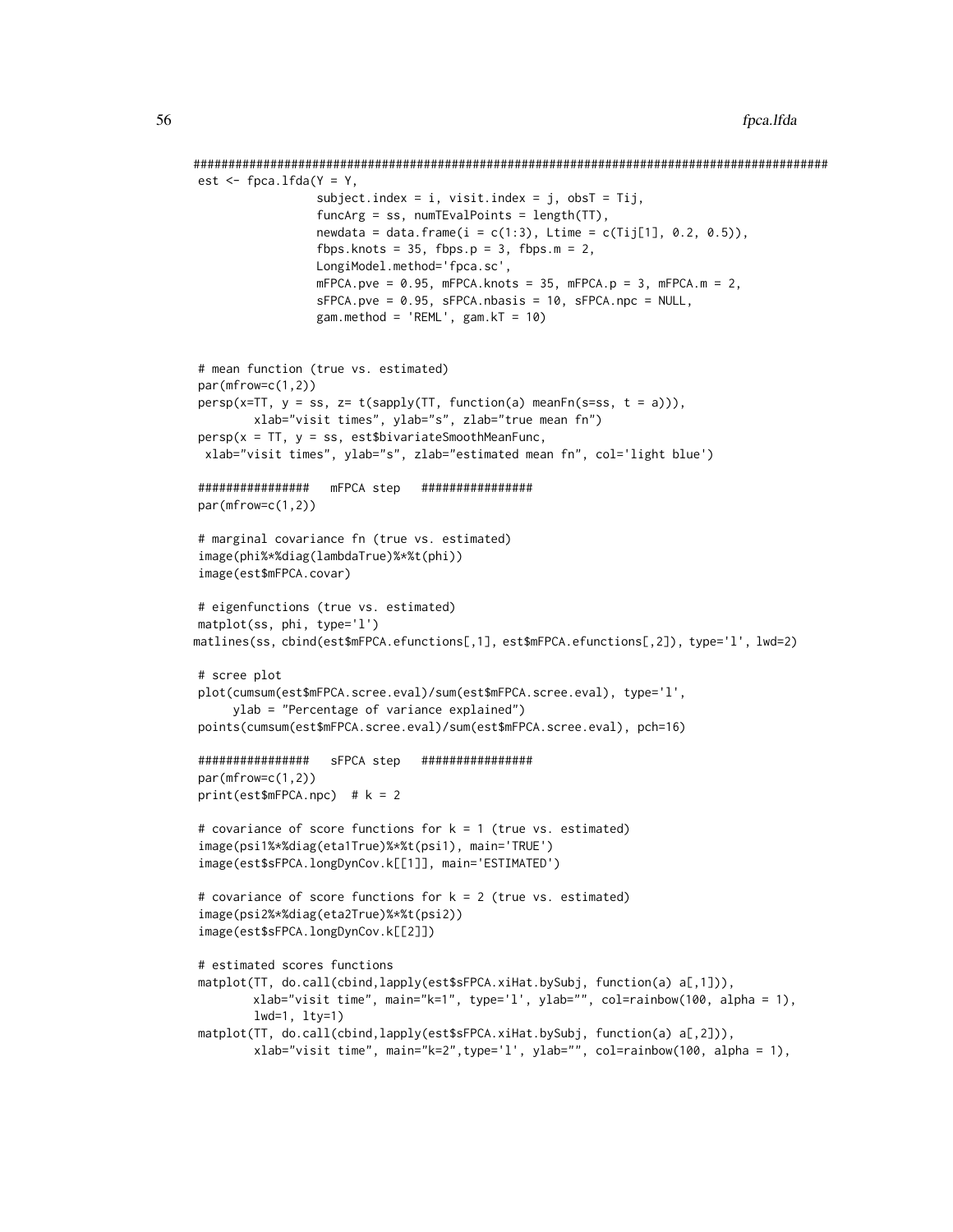```
###########################################################################################
est \leq fpca.lfda(Y = Y,
                 subject.index = i, visit.index = j, obsT = Tij,
                 funcArg = ss, numTEvalPoints = length(TT),
                 newdata = data. frame(i = c(1:3), Ltime = c(Tij[1], 0.2, 0.5)),fbps.knots = 35, fbps.p = 3, fbps.m = 2,
                 LongiModel.method='fpca.sc',
                 mFPCA.pye = 0.95, mFPCA.knots = 35, mFPCA.py = 3, mFPCA.m = 2,
                 sFPCA.pye = 0.95, sFPCA.nbasis = 10, sFPCA.npc = NULL,
                 gam.method = 'REML', gam.kT = 10)
# mean function (true vs. estimated)
par(mfrow=c(1,2))
persp(x=TT, y = ss, z= t(sapply(TT, function(a) meanFn(s=ss, t = a))),
        xlab="visit times", ylab="s", zlab="true mean fn")
persp(x = TT, y = ss, est$bivariate$ smoothMeanFunc,xlab="visit times", ylab="s", zlab="estimated mean fn", col='light blue')
################ mFPCA step ################
par(mfrow=c(1,2))
# marginal covariance fn (true vs. estimated)
image(phi%*%diag(lambdaTrue)%*%t(phi))
image(est$mFPCA.covar)
# eigenfunctions (true vs. estimated)
matplot(ss, phi, type='l')
matlines(ss, cbind(est$mFPCA.efunctions[,1], est$mFPCA.efunctions[,2]), type='l', lwd=2)
# scree plot
plot(cumsum(est$mFPCA.scree.eval)/sum(est$mFPCA.scree.eval), type='l',
     ylab = "Percentage of variance explained")
points(cumsum(est$mFPCA.scree.eval)/sum(est$mFPCA.scree.eval), pch=16)
################ sFPCA step ################
par(mfrow=c(1,2))
print(est$mFPCA.npc) # k = 2# covariance of score functions for k = 1 (true vs. estimated)
image(psi1%*%diag(eta1True)%*%t(psi1), main='TRUE')
image(est$sFPCA.longDynCov.k[[1]], main='ESTIMATED')
# covariance of score functions for k = 2 (true vs. estimated)
image(psi2%*%diag(eta2True)%*%t(psi2))
image(est$sFPCA.longDynCov.k[[2]])
# estimated scores functions
matplot(TT, do.call(cbind, lapply(est$sFPCA.xiHat.bySubj, function(a) a[,1])),
        xlab="visit time", main="k=1", type='l', ylab="", col=rainbow(100, alpha = 1),
        lwd=1, lty=1)
matplot(TT, do.call(cbind,lapply(est$sFPCA.xiHat.bySubj, function(a) a[,2])),
        xlab="visit time", main="k=2",type='l', ylab="", col=rainbow(100, alpha = 1),
```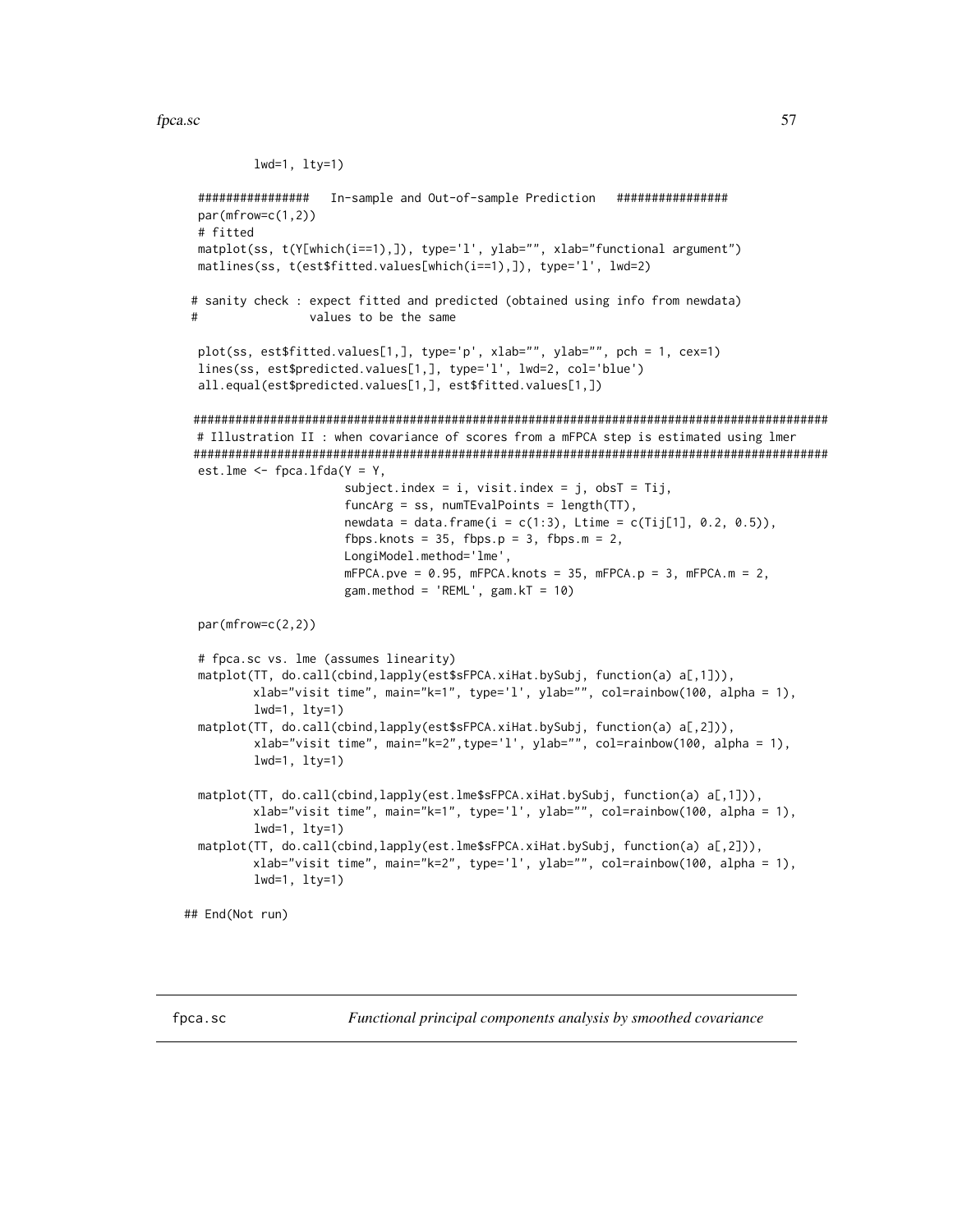#### fpca.sc 57

```
lwd=1, lty=1)
 ################ In-sample and Out-of-sample Prediction ################
 par(mfrow=c(1,2))
 # fitted
 matplot(ss, t(Y[which(i==1),]), type='l', ylab="", xlab="functional argument")
 matlines(ss, t(est$fitted.values[which(i==1),]), type='l', lwd=2)
# sanity check : expect fitted and predicted (obtained using info from newdata)
# values to be the same
 plot(ss, est$fitted.values[1,], type='p', xlab="", ylab="", pch = 1, cex=1)
 lines(ss, est$predicted.values[1,], type='l', lwd=2, col='blue')
 all.equal(est$predicted.values[1,], est$fitted.values[1,])
 ###########################################################################################
 # Illustration II : when covariance of scores from a mFPCA step is estimated using lmer
 ###########################################################################################
 est.lme \leq fpca.lfda(Y = Y,
                      subject.index = i, visit.index = j, obsT = Tij,
                      funcArg = ss, numTEvalPoints = length(TT),
                      newdata = data.frame(i = c(1:3), Litime = c(Tij[1], 0.2, 0.5)),fbps.knots = 35, fbps.p = 3, fbps.m = 2,
                      LongiModel.method='lme',
                      mFPCA.pye = 0.95, mFPCA.knots = 35, mFPCA.py = 3, mFPCA.m = 2,
                      gam.method = 'REML', gam.KT = 10)
 par(mfrow=c(2,2))
 # fpca.sc vs. lme (assumes linearity)
 matplot(TT, do.call(cbind, lapply(est$sFPCA.xiHat.bySubj, function(a) a[,1])),
         xlab="visit time", main="k=1", type='l', ylab="", col=rainbow(100, alpha = 1),
         lwd=1, lty=1)
 matplot(TT, do.call(cbind, lapply(est$sFPCA.xiHat.bySubj, function(a) a[,2])),
         xlab="visit time", main="k=2",type='l', ylab="", col=rainbow(100, alpha = 1),
         lwd=1, lty=1)
 matplot(TT, do.call(cbind,lapply(est.lme$sFPCA.xiHat.bySubj, function(a) a[,1])),
         xlab="visit time", main="k=1", type='l', ylab="", col=rainbow(100, alpha = 1),
         lwd=1, lty=1)
 matplot(TT, do.call(cbind,lapply(est.lme$sFPCA.xiHat.bySubj, function(a) a[,2])),
         xlab="visit time", main="k=2", type='l', ylab="", col=rainbow(100, alpha = 1),
         lwd=1, lty=1)
## End(Not run)
```
<span id="page-56-0"></span>fpca.sc *Functional principal components analysis by smoothed covariance*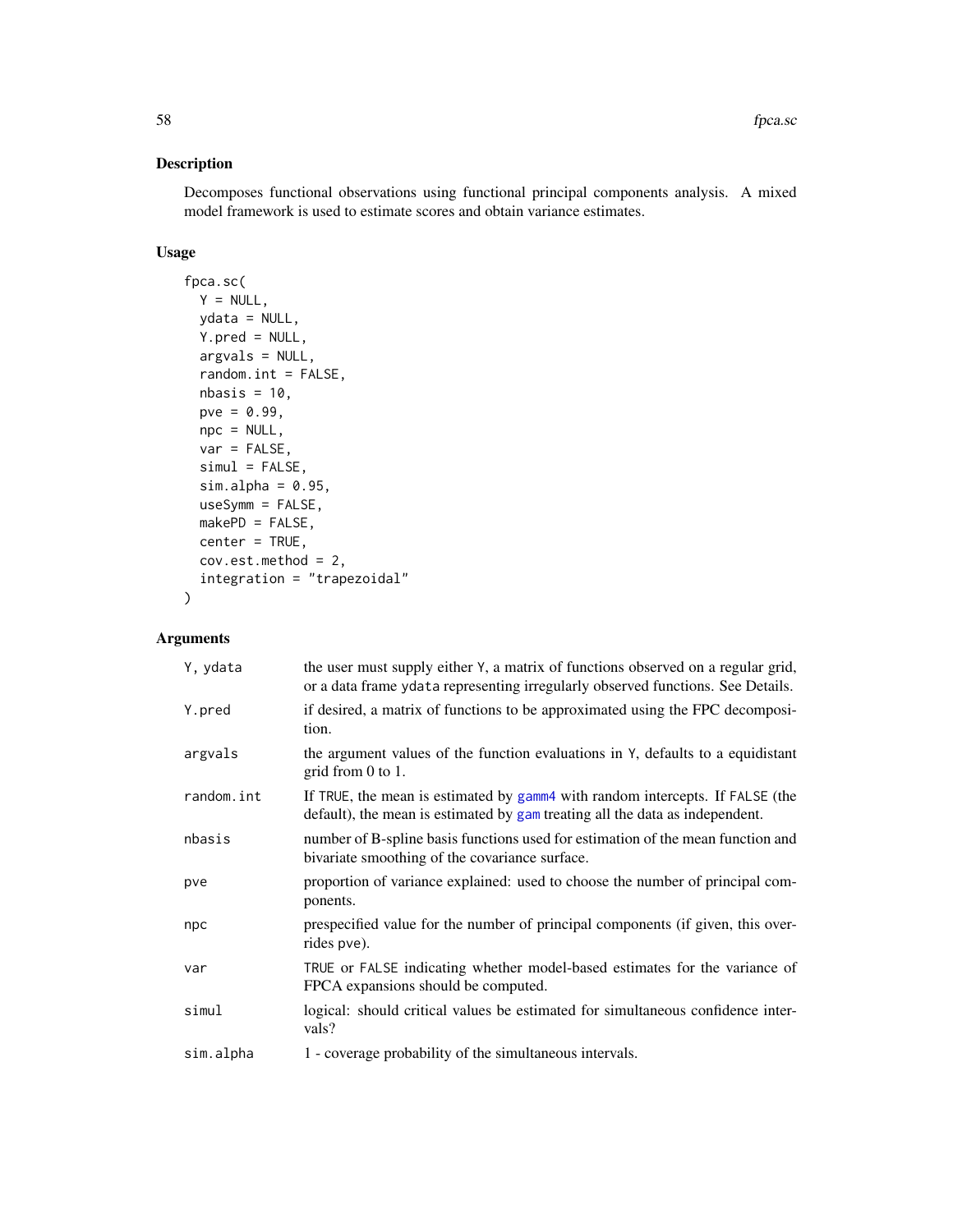## Description

Decomposes functional observations using functional principal components analysis. A mixed model framework is used to estimate scores and obtain variance estimates.

## Usage

```
fpca.sc(
 Y = NULL,ydata = NULL,
 Y.pred = NULL,argvals = NULL,
  random.int = FALSE,
 nbasis = 10,
 pve = 0.99,
 npc = NULL,var = FALSE,
  siml = FALSE,sim.alpha = 0.95,useSymm = FALSE,
 makePD = FALSE,center = TRUE,
 cov.est.method = 2,
  integration = "trapezoidal"
)
```

| Y, ydata   | the user must supply either Y, a matrix of functions observed on a regular grid,<br>or a data frame ydata representing irregularly observed functions. See Details. |
|------------|---------------------------------------------------------------------------------------------------------------------------------------------------------------------|
| Y.pred     | if desired, a matrix of functions to be approximated using the FPC decomposi-<br>tion.                                                                              |
| argvals    | the argument values of the function evaluations in Y, defaults to a equidistant<br>grid from $0$ to $1$ .                                                           |
| random.int | If TRUE, the mean is estimated by gamm4 with random intercepts. If FALSE (the<br>default), the mean is estimated by gam treating all the data as independent.       |
| nbasis     | number of B-spline basis functions used for estimation of the mean function and<br>bivariate smoothing of the covariance surface.                                   |
| pve        | proportion of variance explained: used to choose the number of principal com-<br>ponents.                                                                           |
| npc        | prespecified value for the number of principal components (if given, this over-<br>rides pve).                                                                      |
| var        | TRUE or FALSE indicating whether model-based estimates for the variance of<br>FPCA expansions should be computed.                                                   |
| simul      | logical: should critical values be estimated for simultaneous confidence inter-<br>vals?                                                                            |
| sim.alpha  | 1 - coverage probability of the simultaneous intervals.                                                                                                             |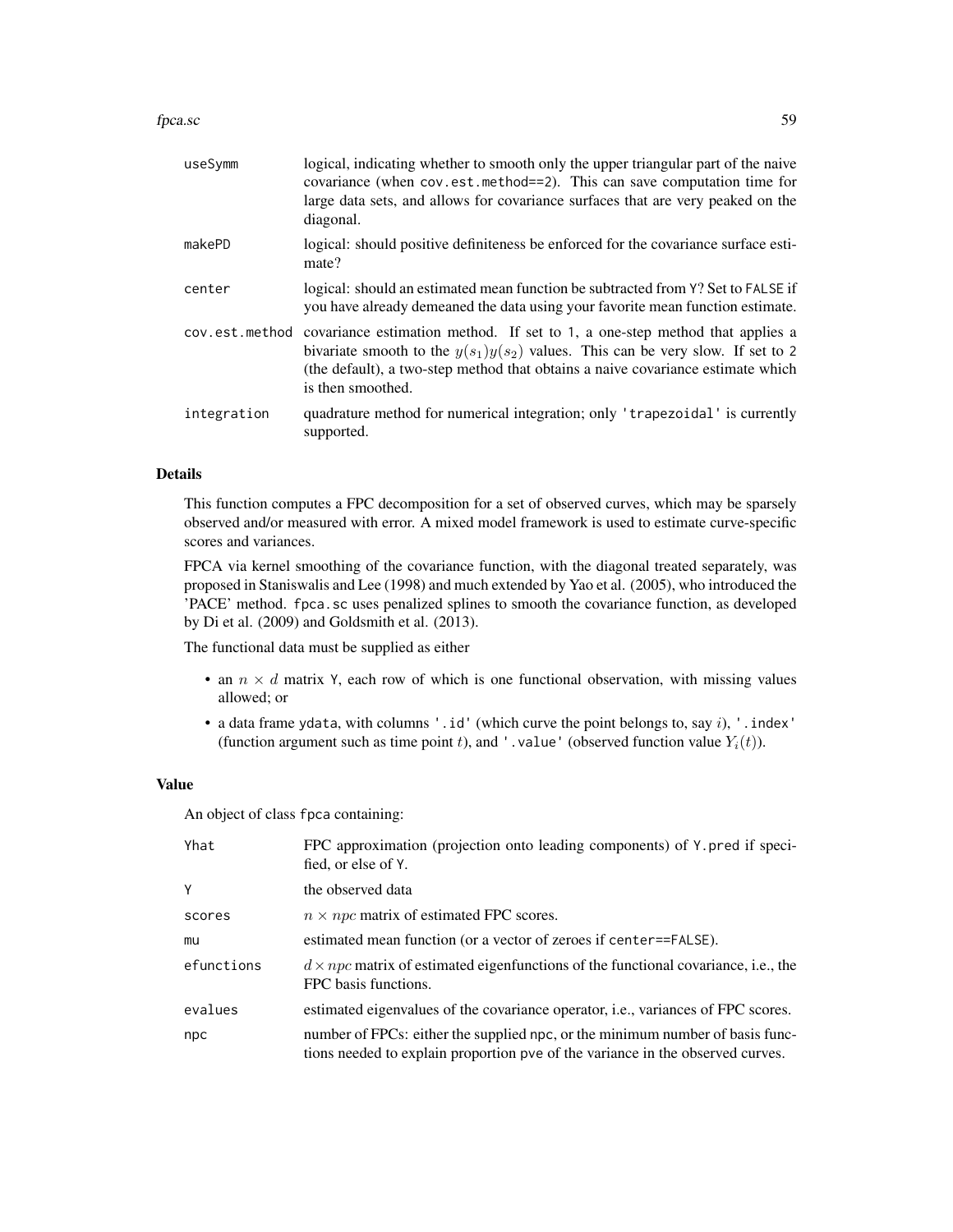#### fpca.sc 59

| useSymm     | logical, indicating whether to smooth only the upper triangular part of the naive<br>covariance (when cov.est.method==2). This can save computation time for<br>large data sets, and allows for covariance surfaces that are very peaked on the<br>diagonal.                            |
|-------------|-----------------------------------------------------------------------------------------------------------------------------------------------------------------------------------------------------------------------------------------------------------------------------------------|
| makePD      | logical: should positive definiteness be enforced for the covariance surface esti-<br>mate?                                                                                                                                                                                             |
| center      | logical: should an estimated mean function be subtracted from Y? Set to FALSE if<br>you have already demeaned the data using your favorite mean function estimate.                                                                                                                      |
|             | cov.est.method covariance estimation method. If set to 1, a one-step method that applies a<br>bivariate smooth to the $y(s_1)y(s_2)$ values. This can be very slow. If set to 2<br>(the default), a two-step method that obtains a naive covariance estimate which<br>is then smoothed. |
| integration | quadrature method for numerical integration; only 'trapezoidal' is currently<br>supported.                                                                                                                                                                                              |

## Details

This function computes a FPC decomposition for a set of observed curves, which may be sparsely observed and/or measured with error. A mixed model framework is used to estimate curve-specific scores and variances.

FPCA via kernel smoothing of the covariance function, with the diagonal treated separately, was proposed in Staniswalis and Lee (1998) and much extended by Yao et al. (2005), who introduced the 'PACE' method. fpca.sc uses penalized splines to smooth the covariance function, as developed by Di et al. (2009) and Goldsmith et al. (2013).

The functional data must be supplied as either

- an  $n \times d$  matrix Y, each row of which is one functional observation, with missing values allowed; or
- a data frame ydata, with columns '.id' (which curve the point belongs to, say  $i$ ), '.index' (function argument such as time point t), and '.value' (observed function value  $Y_i(t)$ ).

#### Value

An object of class fpca containing:

| Yhat       | FPC approximation (projection onto leading components) of Y. pred if speci-<br>fied, or else of Y.                                                              |
|------------|-----------------------------------------------------------------------------------------------------------------------------------------------------------------|
| Y          | the observed data                                                                                                                                               |
| scores     | $n \times npc$ matrix of estimated FPC scores.                                                                                                                  |
| mu         | estimated mean function (or a vector of zeroes if center==FALSE).                                                                                               |
| efunctions | $d \times npc$ matrix of estimated eigenfunctions of the functional covariance, i.e., the<br>FPC basis functions.                                               |
| evalues    | estimated eigenvalues of the covariance operator, <i>i.e.</i> , variances of FPC scores.                                                                        |
| npc        | number of FPCs: either the supplied npc, or the minimum number of basis func-<br>tions needed to explain proportion pve of the variance in the observed curves. |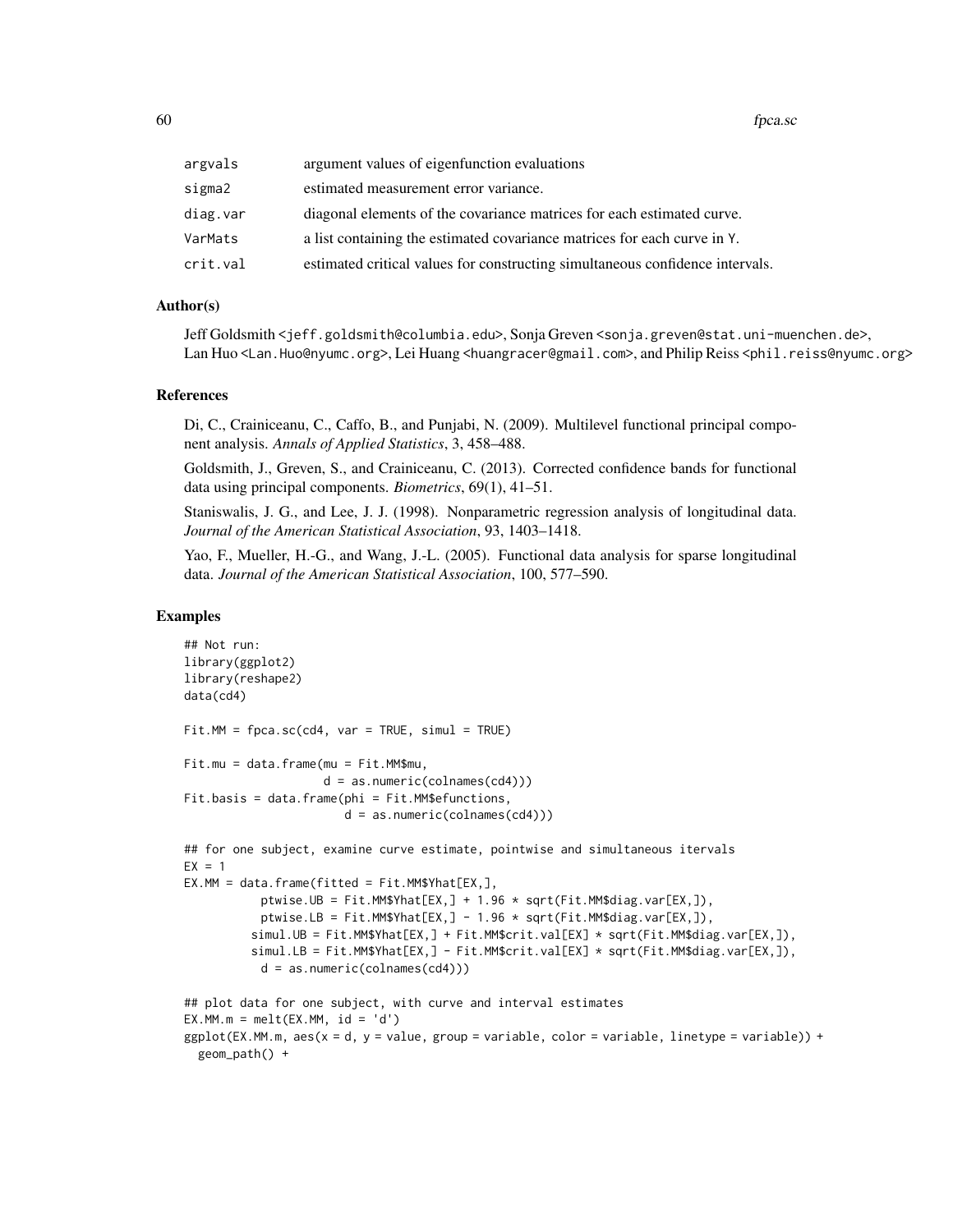| argvals  | argument values of eigenfunction evaluations                                  |
|----------|-------------------------------------------------------------------------------|
| sigma2   | estimated measurement error variance.                                         |
| diag.var | diagonal elements of the covariance matrices for each estimated curve.        |
| VarMats  | a list containing the estimated covariance matrices for each curve in Y.      |
| crit.val | estimated critical values for constructing simultaneous confidence intervals. |

### Author(s)

Jeff Goldsmith <jeff.goldsmith@columbia.edu>, Sonja Greven <sonja.greven@stat.uni-muenchen.de>, Lan Huo <Lan.Huo@nyumc.org>, Lei Huang <huangracer@gmail.com>, and Philip Reiss <phil.reiss@nyumc.org>

### References

Di, C., Crainiceanu, C., Caffo, B., and Punjabi, N. (2009). Multilevel functional principal component analysis. *Annals of Applied Statistics*, 3, 458–488.

Goldsmith, J., Greven, S., and Crainiceanu, C. (2013). Corrected confidence bands for functional data using principal components. *Biometrics*, 69(1), 41–51.

Staniswalis, J. G., and Lee, J. J. (1998). Nonparametric regression analysis of longitudinal data. *Journal of the American Statistical Association*, 93, 1403–1418.

Yao, F., Mueller, H.-G., and Wang, J.-L. (2005). Functional data analysis for sparse longitudinal data. *Journal of the American Statistical Association*, 100, 577–590.

```
## Not run:
library(ggplot2)
library(reshape2)
data(cd4)
Fit.MM = fpca.sc(cd4, var = TRUE, simul = TRUE)Fit.mu = data.frame(mu = Fit.MM$mu,
                    d = as.numeric(colnames(cd4)))
Fit.basis = data.frame(phi = Fit.MM$efunctions,
                       d = as.numeric(colnames(cd4)))
## for one subject, examine curve estimate, pointwise and simultaneous itervals
EX = 1EX.MM = data.frame(fitted = Fit.MM$Yhat[EX,],ptwise.UB = Fit.MM$Yhat[EX,] + 1.96 * sqrt(Fit.MM$diag.var[EX,]),
           ptwise.LB = Fit.MM$Yhat[EX,] - 1.96 * sqrt(Fit.MM$diag.var[EX,]),
          simul.UB = Fit.MM$Yhat[EX,] + Fit.MM$crit.val[EX] * sqrt(Fit.MM$diag.var[EX,]),
          simul.LB = Fit.MM$Yhat[EX,] - Fit.MM$crit.val[EX] * sqrt(Fit.MM$diag.var[EX,]),
           d = as.numeric(colnames(cd4)))
## plot data for one subject, with curve and interval estimates
EX.MM.m = melt(EX.MM, id = 'd')ggplot(EX.MM.m, aes(x = d, y = value, group = variable, color = variable, linetype = variable)) +geom_path() +
```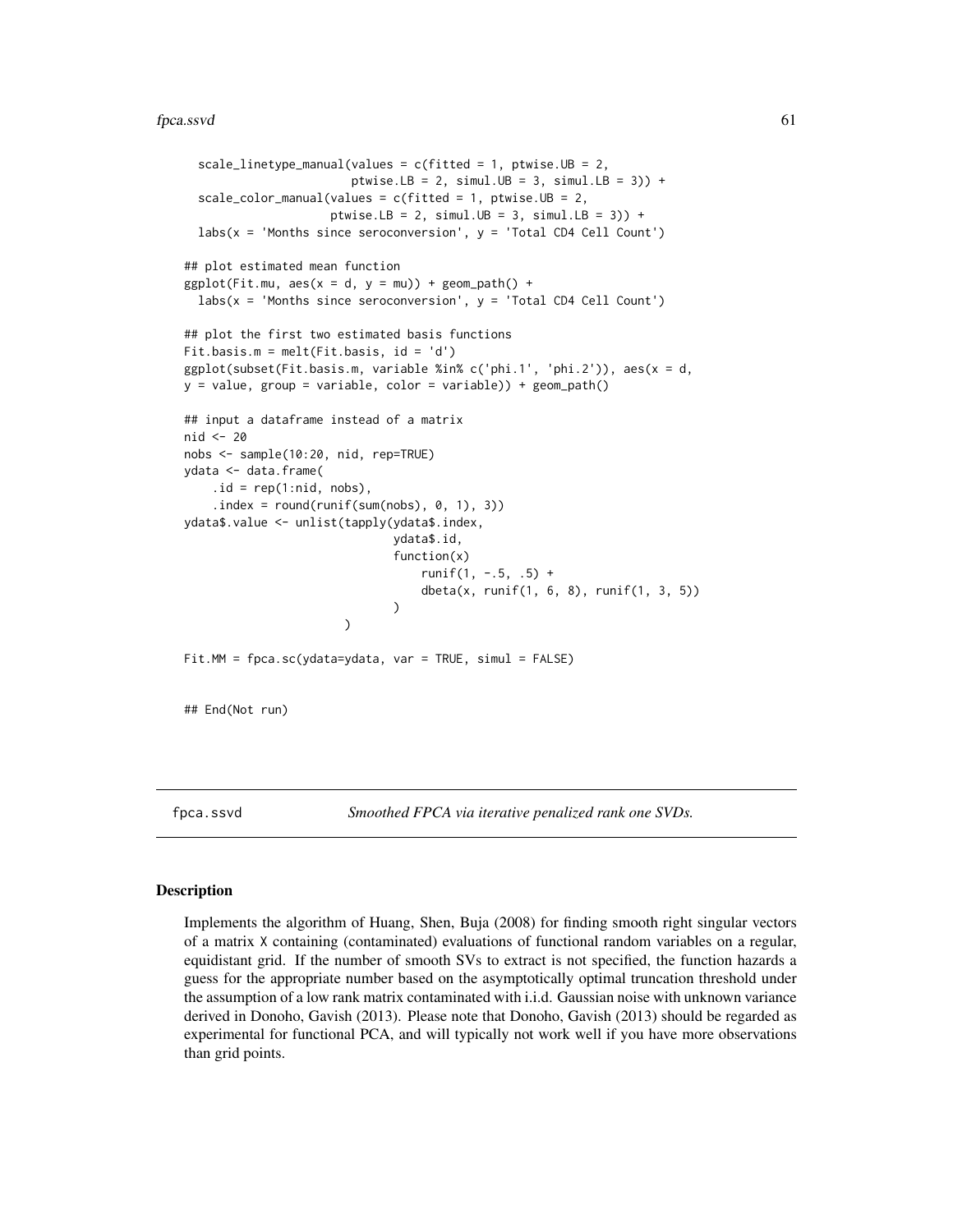#### fpca.ssvd 61

```
scale_linetype_manual(values = c(fitted = 1, ptwise.UB = 2,
                        ptwise.LB = 2, simul.UB = 3, simul.LB = 3)) +
  scale_color_manual(values = c(fitted = 1, ptwise.UB = 2,
                     ptwise.LB = 2, simul.UB = 3, simul.LB = 3)) +
  \text{labs}(x = 'Months since seroconversion', y = 'Total CD4 Cell Count')## plot estimated mean function
ggplot(Fit.mu, aes(x = d, y = mu)) + geom-path() +labs(x = 'Months since seroconversion', y = 'Total CD4 Cell Count')## plot the first two estimated basis functions
Fit.basis.m = melt(Fit.basis, id = 'd')
ggplot(subset(Fit.basis.m, variable %in% c('phi.1', 'phi.2')), aes(x = d,
y = value, group = variable, color = variable)) + geom_path()
## input a dataframe instead of a matrix
nid <- 20
nobs <- sample(10:20, nid, rep=TRUE)
ydata <- data.frame(
    .id = rep(1:nid, nobs),.index = round(runif(sum(nobs), 0, 1), 3))ydata$.value <- unlist(tapply(ydata$.index,
                              ydata$.id,
                              function(x)
                                  runit(1, -.5, .5) +dbeta(x, runif(1, 6, 8), runif(1, 3, 5))
                              )
                       )
Fit.MM = fpca.sc(ydata=ydata, var = TRUE, simul = FALSE)
## End(Not run)
```
<span id="page-60-0"></span>

fpca.ssvd *Smoothed FPCA via iterative penalized rank one SVDs.*

### Description

Implements the algorithm of Huang, Shen, Buja (2008) for finding smooth right singular vectors of a matrix X containing (contaminated) evaluations of functional random variables on a regular, equidistant grid. If the number of smooth SVs to extract is not specified, the function hazards a guess for the appropriate number based on the asymptotically optimal truncation threshold under the assumption of a low rank matrix contaminated with i.i.d. Gaussian noise with unknown variance derived in Donoho, Gavish (2013). Please note that Donoho, Gavish (2013) should be regarded as experimental for functional PCA, and will typically not work well if you have more observations than grid points.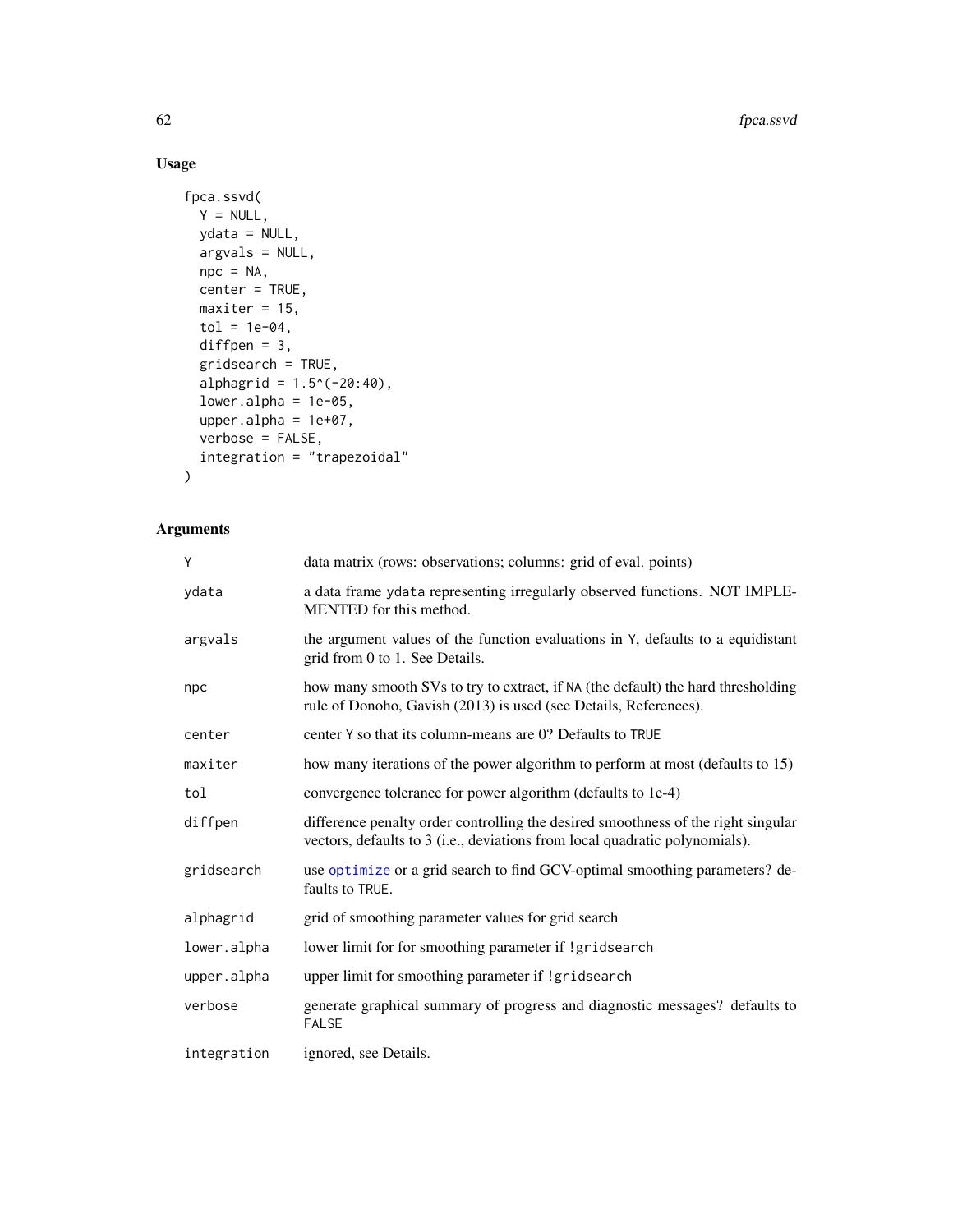# Usage

```
fpca.ssvd(
 Y = NULL,ydata = NULL,
 argvals = NULL,
 npc = NA,
 center = TRUE,
 maxiter = 15,
 tol = 1e-04,diffpen = 3,
  gridsearch = TRUE,
  alphagrid = 1.5^(-20:40),
  lower.alpha = 1e-05,upper.alpha = 1e+07,
  verbose = FALSE,
  integration = "trapezoidal"
)
```

| Ý           | data matrix (rows: observations; columns: grid of eval. points)                                                                                                  |
|-------------|------------------------------------------------------------------------------------------------------------------------------------------------------------------|
| vdata       | a data frame ydata representing irregularly observed functions. NOT IMPLE-<br>MENTED for this method.                                                            |
| argvals     | the argument values of the function evaluations in Y, defaults to a equidistant<br>grid from 0 to 1. See Details.                                                |
| npc         | how many smooth SVs to try to extract, if NA (the default) the hard thresholding<br>rule of Donoho, Gavish (2013) is used (see Details, References).             |
| center      | center Y so that its column-means are 0? Defaults to TRUE                                                                                                        |
| maxiter     | how many iterations of the power algorithm to perform at most (defaults to 15)                                                                                   |
| tol         | convergence tolerance for power algorithm (defaults to 1e-4)                                                                                                     |
| diffpen     | difference penalty order controlling the desired smoothness of the right singular<br>vectors, defaults to 3 (i.e., deviations from local quadratic polynomials). |
| gridsearch  | use optimize or a grid search to find GCV-optimal smoothing parameters? de-<br>faults to TRUE.                                                                   |
| alphagrid   | grid of smoothing parameter values for grid search                                                                                                               |
| lower.alpha | lower limit for for smoothing parameter if !gridsearch                                                                                                           |
| upper.alpha | upper limit for smoothing parameter if !gridsearch                                                                                                               |
| verbose     | generate graphical summary of progress and diagnostic messages? defaults to<br><b>FALSE</b>                                                                      |
| integration | ignored, see Details.                                                                                                                                            |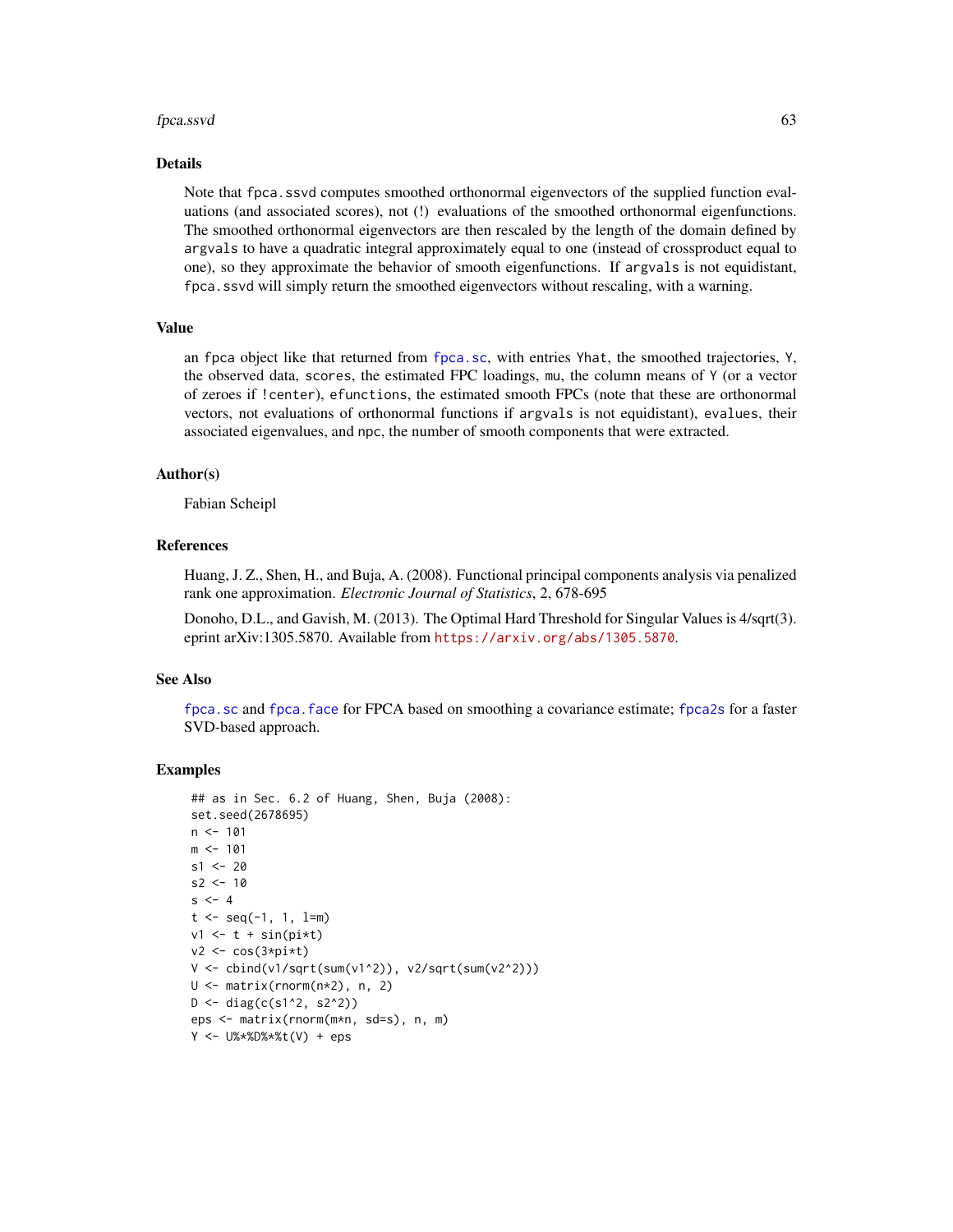#### fpca.ssvd 63

#### Details

Note that fpca.ssvd computes smoothed orthonormal eigenvectors of the supplied function evaluations (and associated scores), not (!) evaluations of the smoothed orthonormal eigenfunctions. The smoothed orthonormal eigenvectors are then rescaled by the length of the domain defined by argvals to have a quadratic integral approximately equal to one (instead of crossproduct equal to one), so they approximate the behavior of smooth eigenfunctions. If argvals is not equidistant, fpca.ssvd will simply return the smoothed eigenvectors without rescaling, with a warning.

#### Value

an fpca object like that returned from [fpca.sc](#page-56-0), with entries Yhat, the smoothed trajectories, Y, the observed data, scores, the estimated FPC loadings, mu, the column means of Y (or a vector of zeroes if !center), efunctions, the estimated smooth FPCs (note that these are orthonormal vectors, not evaluations of orthonormal functions if argvals is not equidistant), evalues, their associated eigenvalues, and npc, the number of smooth components that were extracted.

### Author(s)

Fabian Scheipl

### References

Huang, J. Z., Shen, H., and Buja, A. (2008). Functional principal components analysis via penalized rank one approximation. *Electronic Journal of Statistics*, 2, 678-695

Donoho, D.L., and Gavish, M. (2013). The Optimal Hard Threshold for Singular Values is 4/sqrt(3). eprint arXiv:1305.5870. Available from <https://arxiv.org/abs/1305.5870>.

#### See Also

[fpca.sc](#page-56-0) and [fpca.face](#page-47-0) for FPCA based on smoothing a covariance estimate; [fpca2s](#page-63-0) for a faster SVD-based approach.

```
## as in Sec. 6.2 of Huang, Shen, Buja (2008):
set.seed(2678695)
n < -101m < - 101s1 < -20s2 < -10s < -4t < - seq(-1, 1, 1=m)
v1 \leftarrow t + \sin(pix)v2 \leq \cos(3 \cdot \pi) \cdot tV <- cbind(v1/sqrt(sum(v1^2)), v2/sqrt(sum(v2^2)))
U <- matrix(rnorm(n*2), n, 2)
D \le - \text{diag}(c(s1^2, s2^2))eps <- matrix(rnorm(m*n, sd=s), n, m)
Y <- U%*%D%*%t(V) + eps
```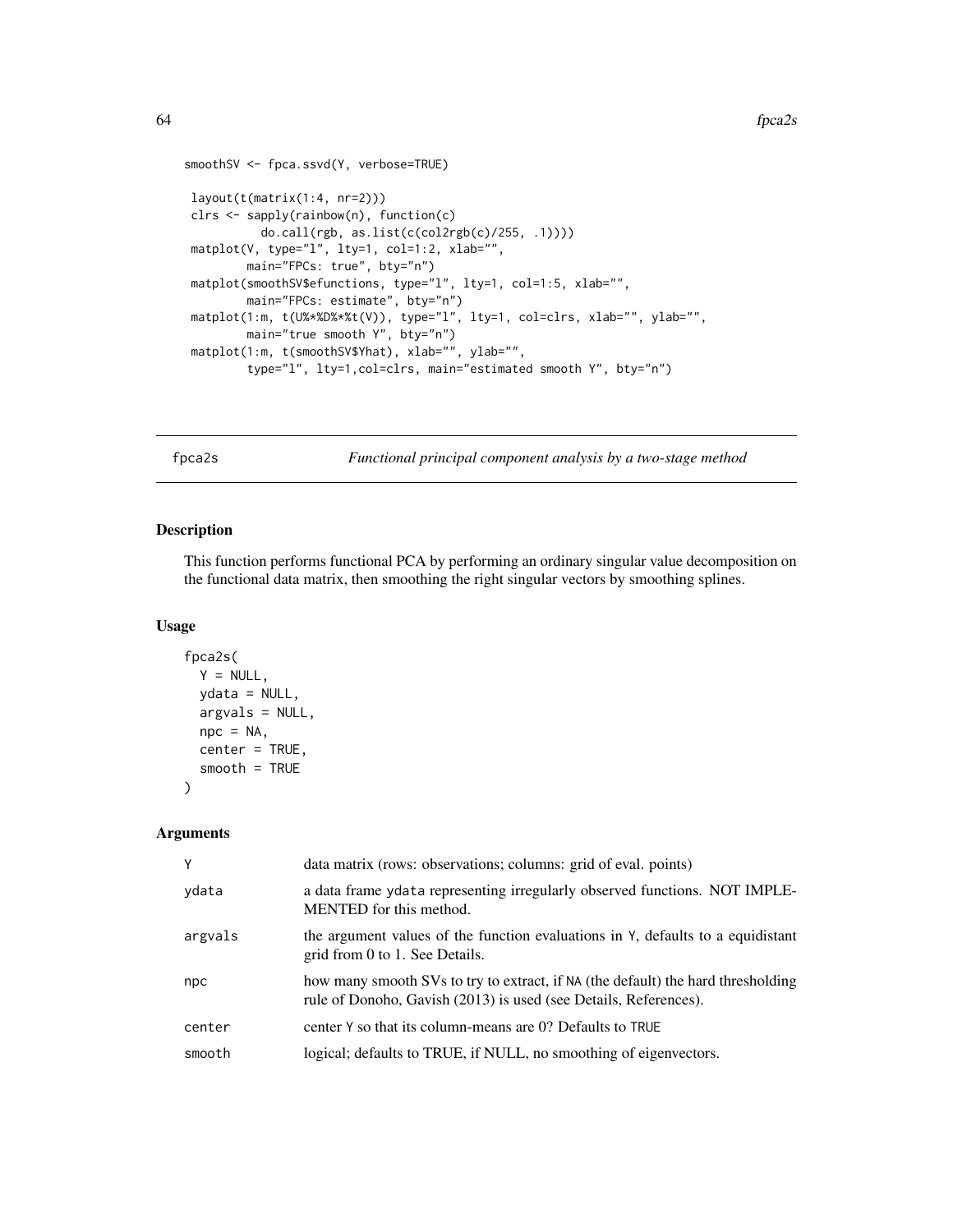```
smoothSV <- fpca.ssvd(Y, verbose=TRUE)
layout(t(matrix(1:4, nr=2)))
clrs <- sapply(rainbow(n), function(c)
          do.call(rgb, as.list(c(col2rgb(c)/255, .1))))
matplot(V, type="l", lty=1, col=1:2, xlab="",
        main="FPCs: true", bty="n")
matplot(smoothSV$efunctions, type="l", lty=1, col=1:5, xlab="",
        main="FPCs: estimate", bty="n")
matplot(1:m, t(U%*%D%*%t(V)), type="l", lty=1, col=clrs, xlab="", ylab="",
        main="true smooth Y", bty="n")
matplot(1:m, t(smoothSV$Yhat), xlab="", ylab="",
        type="l", lty=1,col=clrs, main="estimated smooth Y", bty="n")
```
<span id="page-63-0"></span>

fpca2s *Functional principal component analysis by a two-stage method*

## Description

This function performs functional PCA by performing an ordinary singular value decomposition on the functional data matrix, then smoothing the right singular vectors by smoothing splines.

### Usage

```
fpca2s(
  Y = NULL,ydata = NULL,
 argvals = NULL,
 npc = NA,
  center = TRUE,
  smooth = TRUE
)
```

| Y       | data matrix (rows: observations; columns: grid of eval. points)                                                                                      |
|---------|------------------------------------------------------------------------------------------------------------------------------------------------------|
| ydata   | a data frame ydata representing irregularly observed functions. NOT IMPLE-<br>MENTED for this method.                                                |
| argvals | the argument values of the function evaluations in Y, defaults to a equidistant<br>grid from 0 to 1. See Details.                                    |
| npc     | how many smooth SVs to try to extract, if NA (the default) the hard thresholding<br>rule of Donoho, Gavish (2013) is used (see Details, References). |
| center  | center Y so that its column-means are 0? Defaults to TRUE                                                                                            |
| smooth  | logical; defaults to TRUE, if NULL, no smoothing of eigenvectors.                                                                                    |
|         |                                                                                                                                                      |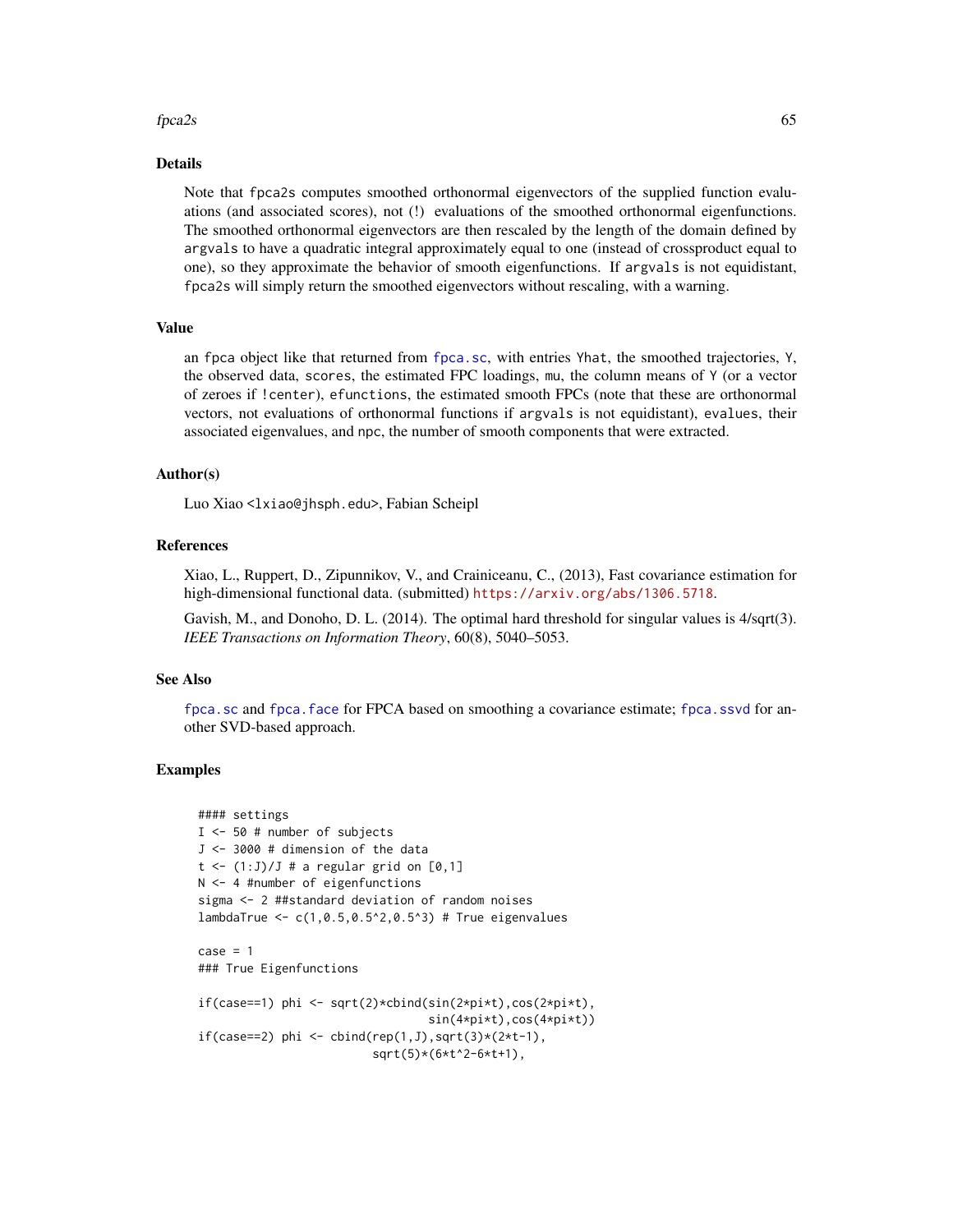#### $fpca2s$  65

### Details

Note that fpca2s computes smoothed orthonormal eigenvectors of the supplied function evaluations (and associated scores), not (!) evaluations of the smoothed orthonormal eigenfunctions. The smoothed orthonormal eigenvectors are then rescaled by the length of the domain defined by argvals to have a quadratic integral approximately equal to one (instead of crossproduct equal to one), so they approximate the behavior of smooth eigenfunctions. If argvals is not equidistant, fpca2s will simply return the smoothed eigenvectors without rescaling, with a warning.

### Value

an fpca object like that returned from [fpca.sc](#page-56-0), with entries Yhat, the smoothed trajectories, Y, the observed data, scores, the estimated FPC loadings, mu, the column means of Y (or a vector of zeroes if !center), efunctions, the estimated smooth FPCs (note that these are orthonormal vectors, not evaluations of orthonormal functions if argvals is not equidistant), evalues, their associated eigenvalues, and npc, the number of smooth components that were extracted.

### Author(s)

Luo Xiao <lxiao@jhsph.edu>, Fabian Scheipl

## References

Xiao, L., Ruppert, D., Zipunnikov, V., and Crainiceanu, C., (2013), Fast covariance estimation for high-dimensional functional data. (submitted) <https://arxiv.org/abs/1306.5718>.

Gavish, M., and Donoho, D. L. (2014). The optimal hard threshold for singular values is 4/sqrt(3). *IEEE Transactions on Information Theory*, 60(8), 5040–5053.

#### See Also

[fpca.sc](#page-56-0) and [fpca.face](#page-47-0) for FPCA based on smoothing a covariance estimate; [fpca.ssvd](#page-60-0) for another SVD-based approach.

```
#### settings
I <- 50 # number of subjects
J <- 3000 # dimension of the data
t \leftarrow (1:J)/J # a regular grid on [0,1]N <- 4 #number of eigenfunctions
sigma <- 2 ##standard deviation of random noises
lambdaTrue <- c(1,0.5,0.5^2,0.5^3) # True eigenvalues
case = 1### True Eigenfunctions
if(case==1) phi <- sqrt(2)*cbind(sin(2*pi*t),cos(2*pi*t),
                                  sin(4*pi*t),cos(4*pi*t))
if(case==2) phi <- cbind(rep(1,J),sqrt(3)*(2*t-1),
                         sqrt(5)*(6*t^2-6*t+1),
```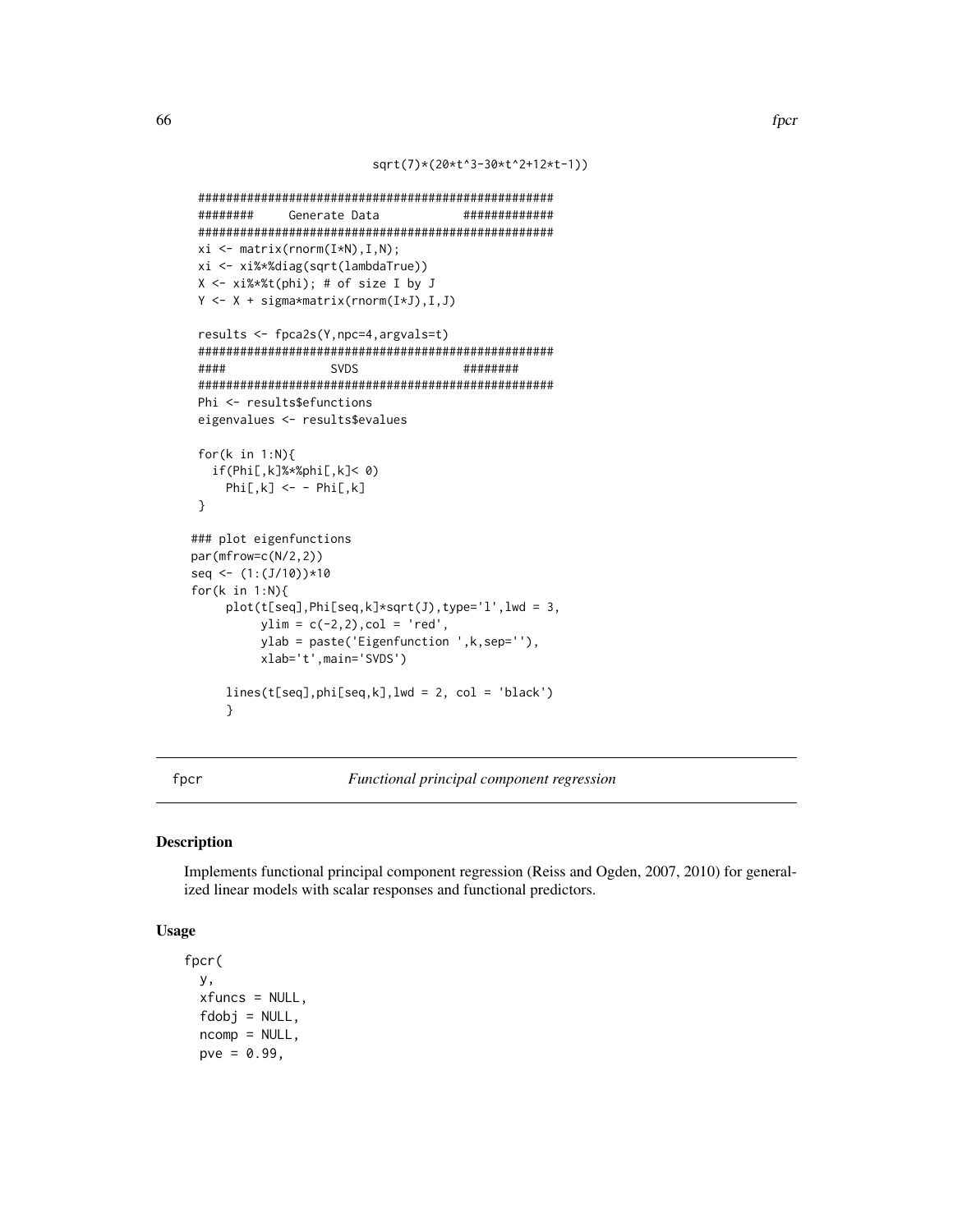```
sqrt(7)*(20*t^3-30*t^2+12*t-1))
```

```
###################################################
######## Generate Data #############
###################################################
xi <- matrix(rnorm(I*N),I,N);
xi <- xi%*%diag(sqrt(lambdaTrue))
X <- xi%*%t(phi); # of size I by J
Y <- X + sigma*matrix(rnorm(I*J),I,J)
results <- fpca2s(Y,npc=4,argvals=t)
###################################################
#### SVDS ########
###################################################
Phi <- results$efunctions
eigenvalues <- results$evalues
for(k in 1:N){
  if(Phi[,k]%*%phi[,k]< 0)
    Phi[, k] <- - Phi[, k]}
### plot eigenfunctions
par(mfrow=c(N/2,2))
seq <- (1:(J/10))*10
for(k in 1:N){
    plot(t[seq], Phi[seq, k]*sqrt(J), type='l', lwd = 3,ylim = c(-2, 2), col = 'red',ylab = paste('Eigenfunction ',k,sep=''),
         xlab='t',main='SVDS')
    lines(t[seq],phi[seq,k],lwd = 2, col = 'black')
    }
```
<span id="page-65-0"></span>

fpcr *Functional principal component regression*

### Description

Implements functional principal component regression (Reiss and Ogden, 2007, 2010) for generalized linear models with scalar responses and functional predictors.

### Usage

```
fpcr(
  y,
  xfuncs = NULL,
  fdobj = NULL,ncomp = NULL,pve = 0.99,
```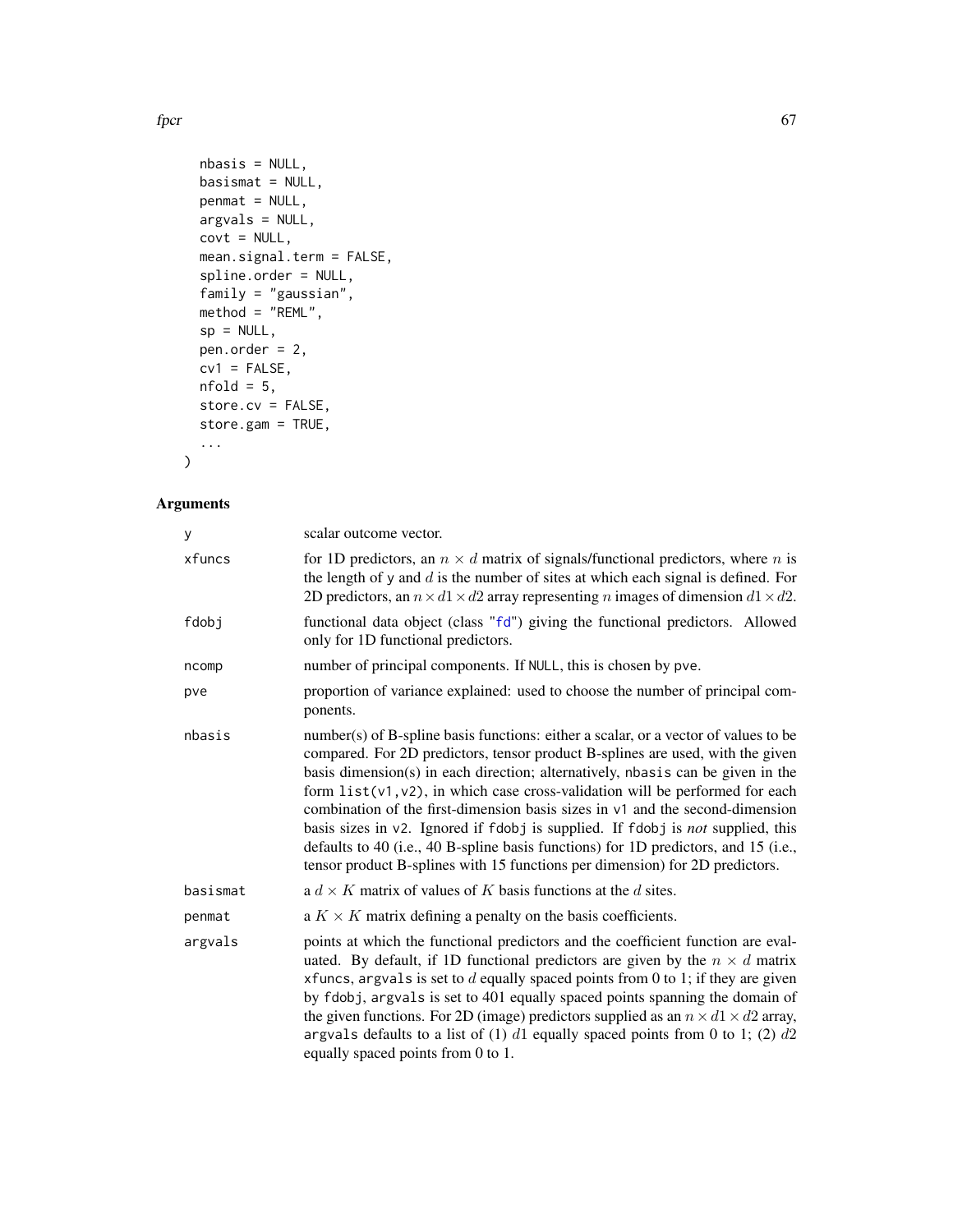$fpcr$  67

```
nbasis = NULL,
 basismat = NULL,
 penmat = NULL,
 argvals = NULL,
 covt = NULL,mean.signal.term = FALSE,
  spline.order = NULL,
  family = "gaussian",
  method = "REML",
 sp = NULL,pen.order = 2,
 cv1 = FALSE,nfold = 5,
 store.cv = FALSE,
 store.gam = TRUE,
  ...
\mathcal{L}
```

| У        | scalar outcome vector.                                                                                                                                                                                                                                                                                                                                                                                                                                                                                                                                                                                                                                                                   |
|----------|------------------------------------------------------------------------------------------------------------------------------------------------------------------------------------------------------------------------------------------------------------------------------------------------------------------------------------------------------------------------------------------------------------------------------------------------------------------------------------------------------------------------------------------------------------------------------------------------------------------------------------------------------------------------------------------|
| xfuncs   | for 1D predictors, an $n \times d$ matrix of signals/functional predictors, where n is<br>the length of $y$ and $d$ is the number of sites at which each signal is defined. For<br>2D predictors, an $n \times d1 \times d2$ array representing <i>n</i> images of dimension $d1 \times d2$ .                                                                                                                                                                                                                                                                                                                                                                                            |
| fdobj    | functional data object (class "fd") giving the functional predictors. Allowed<br>only for 1D functional predictors.                                                                                                                                                                                                                                                                                                                                                                                                                                                                                                                                                                      |
| ncomp    | number of principal components. If NULL, this is chosen by pve.                                                                                                                                                                                                                                                                                                                                                                                                                                                                                                                                                                                                                          |
| pve      | proportion of variance explained: used to choose the number of principal com-<br>ponents.                                                                                                                                                                                                                                                                                                                                                                                                                                                                                                                                                                                                |
| nbasis   | number(s) of B-spline basis functions: either a scalar, or a vector of values to be<br>compared. For 2D predictors, tensor product B-splines are used, with the given<br>basis dimension(s) in each direction; alternatively, nbasis can be given in the<br>form $list(v1, v2)$ , in which case cross-validation will be performed for each<br>combination of the first-dimension basis sizes in $v1$ and the second-dimension<br>basis sizes in v2. Ignored if fdobj is supplied. If fdobj is not supplied, this<br>defaults to 40 (i.e., 40 B-spline basis functions) for 1D predictors, and 15 (i.e.,<br>tensor product B-splines with 15 functions per dimension) for 2D predictors. |
| basismat | a $d \times K$ matrix of values of K basis functions at the d sites.                                                                                                                                                                                                                                                                                                                                                                                                                                                                                                                                                                                                                     |
| penmat   | a $K \times K$ matrix defining a penalty on the basis coefficients.                                                                                                                                                                                                                                                                                                                                                                                                                                                                                                                                                                                                                      |
| argvals  | points at which the functional predictors and the coefficient function are eval-<br>uated. By default, if 1D functional predictors are given by the $n \times d$ matrix<br>xfuncs, argvals is set to $d$ equally spaced points from 0 to 1; if they are given<br>by fdobj, argvals is set to 401 equally spaced points spanning the domain of<br>the given functions. For 2D (image) predictors supplied as an $n \times d1 \times d2$ array,<br>argvals defaults to a list of (1) $d1$ equally spaced points from 0 to 1; (2) $d2$<br>equally spaced points from 0 to 1.                                                                                                                |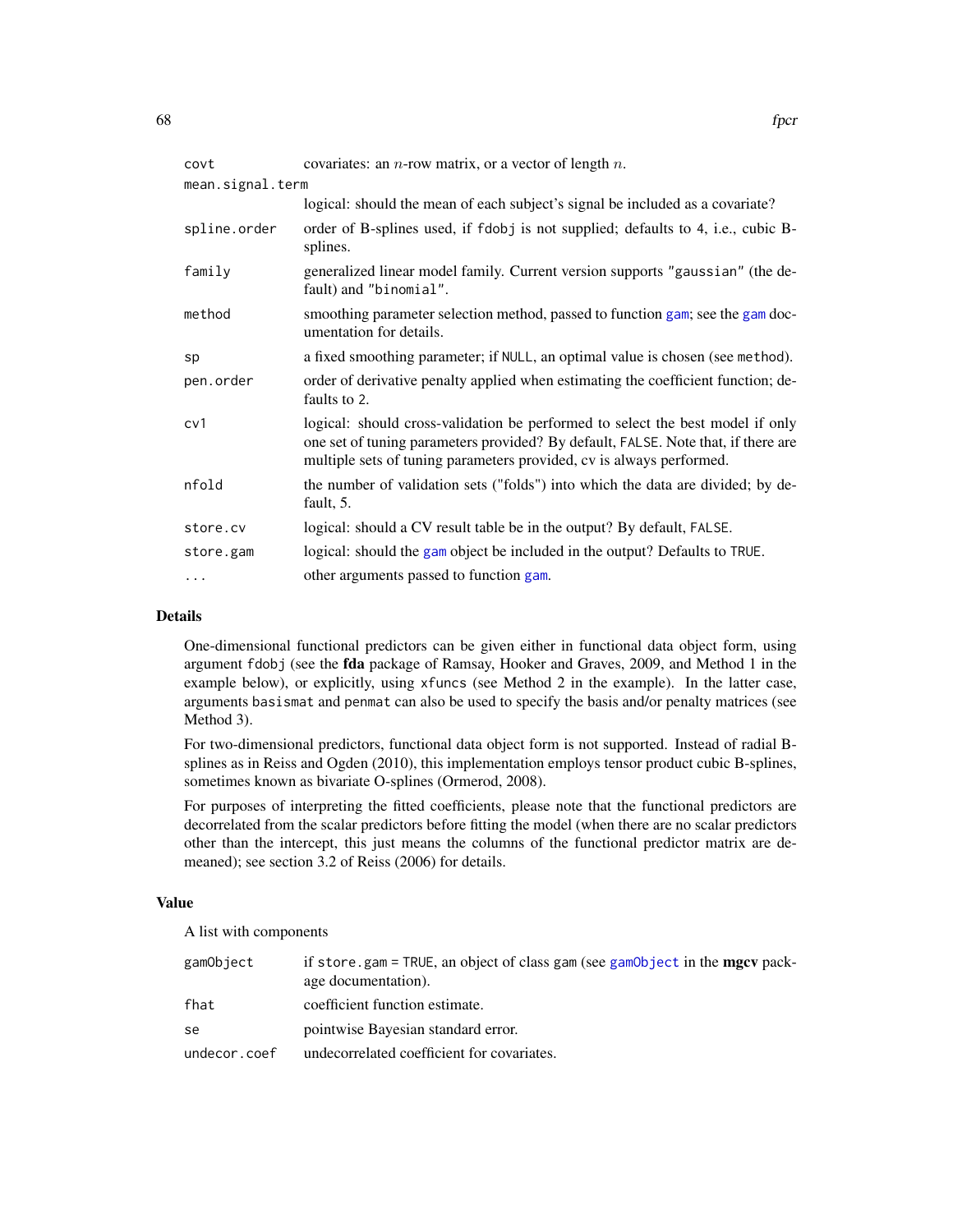| covt             | covariates: an $n$ -row matrix, or a vector of length $n$ .                                                                                                                                                                                 |
|------------------|---------------------------------------------------------------------------------------------------------------------------------------------------------------------------------------------------------------------------------------------|
| mean.signal.term |                                                                                                                                                                                                                                             |
|                  | logical: should the mean of each subject's signal be included as a covariate?                                                                                                                                                               |
| spline.order     | order of B-splines used, if fdobj is not supplied; defaults to 4, i.e., cubic B-<br>splines.                                                                                                                                                |
| family           | generalized linear model family. Current version supports "gaussian" (the de-<br>fault) and "binomial".                                                                                                                                     |
| method           | smoothing parameter selection method, passed to function gam; see the gam doc-<br>umentation for details.                                                                                                                                   |
| sp               | a fixed smoothing parameter; if NULL, an optimal value is chosen (see method).                                                                                                                                                              |
| pen.order        | order of derivative penalty applied when estimating the coefficient function; de-<br>faults to 2.                                                                                                                                           |
| cv1              | logical: should cross-validation be performed to select the best model if only<br>one set of tuning parameters provided? By default, FALSE. Note that, if there are<br>multiple sets of tuning parameters provided, cv is always performed. |
| nfold            | the number of validation sets ("folds") into which the data are divided; by de-<br>fault, 5.                                                                                                                                                |
| store.cv         | logical: should a CV result table be in the output? By default, FALSE.                                                                                                                                                                      |
| store.gam        | logical: should the gam object be included in the output? Defaults to TRUE.                                                                                                                                                                 |
| .                | other arguments passed to function gam.                                                                                                                                                                                                     |

### Details

One-dimensional functional predictors can be given either in functional data object form, using argument fdobj (see the fda package of Ramsay, Hooker and Graves, 2009, and Method 1 in the example below), or explicitly, using xfuncs (see Method 2 in the example). In the latter case, arguments basismat and penmat can also be used to specify the basis and/or penalty matrices (see Method 3).

For two-dimensional predictors, functional data object form is not supported. Instead of radial Bsplines as in Reiss and Ogden (2010), this implementation employs tensor product cubic B-splines, sometimes known as bivariate O-splines (Ormerod, 2008).

For purposes of interpreting the fitted coefficients, please note that the functional predictors are decorrelated from the scalar predictors before fitting the model (when there are no scalar predictors other than the intercept, this just means the columns of the functional predictor matrix are demeaned); see section 3.2 of Reiss (2006) for details.

### Value

A list with components

| gamObject    | if store gam = TRUE, an object of class gam (see gamObject in the mgcv pack-<br>age documentation). |
|--------------|-----------------------------------------------------------------------------------------------------|
| fhat         | coefficient function estimate.                                                                      |
| se           | pointwise Bayesian standard error.                                                                  |
| undecor.coef | undecorrelated coefficient for covariates.                                                          |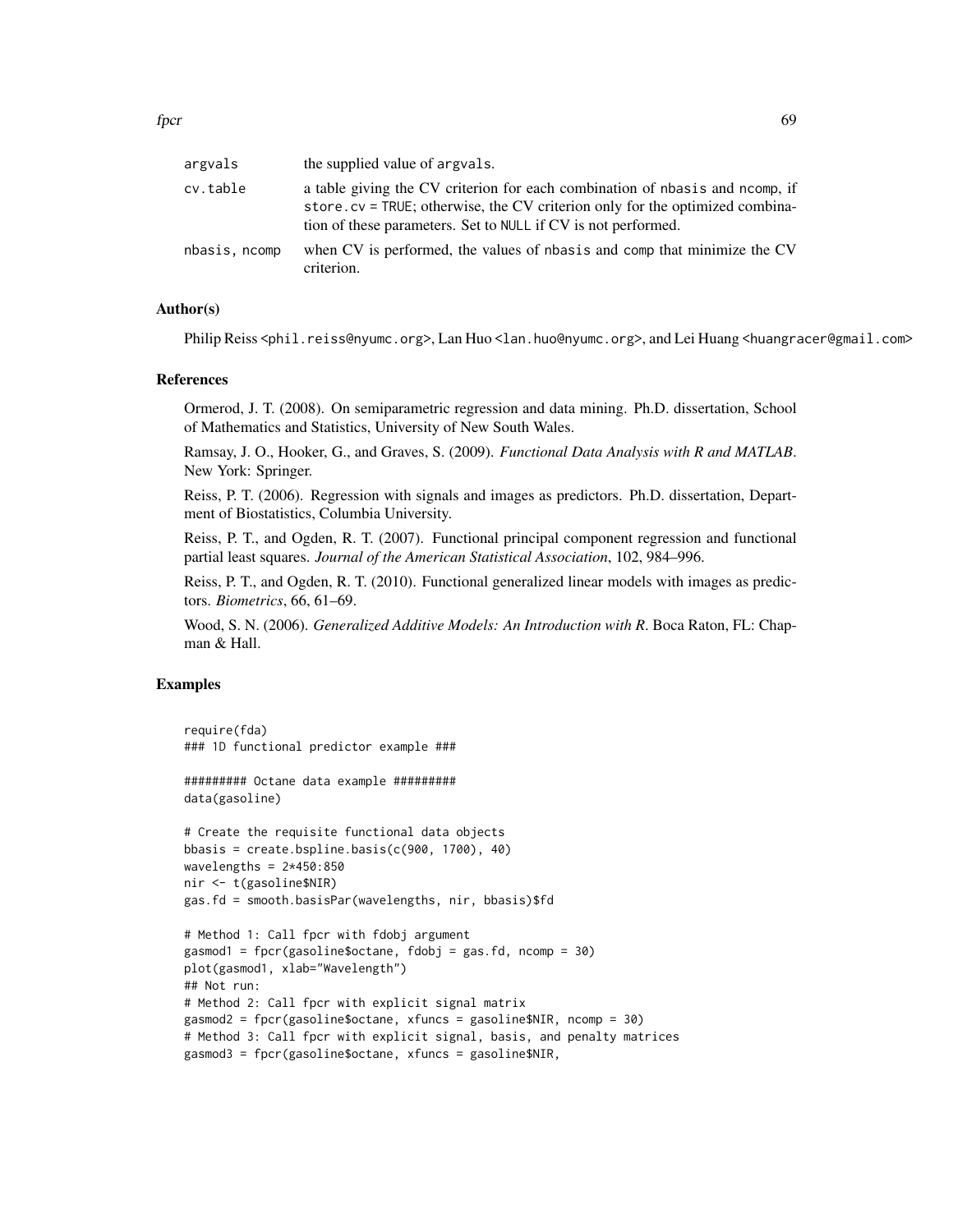| argvals       | the supplied value of argvals.                                                                                                                                                                                                |
|---------------|-------------------------------------------------------------------------------------------------------------------------------------------------------------------------------------------------------------------------------|
| cv.table      | a table giving the CV criterion for each combination of nbasis and normp, if<br>store.cv = TRUE; otherwise, the CV criterion only for the optimized combina-<br>tion of these parameters. Set to NULL if CV is not performed. |
| nbasis, ncomp | when CV is performed, the values of nbasis and comp that minimize the CV<br>criterion.                                                                                                                                        |

## Author(s)

Philip Reiss <phil.reiss@nyumc.org>, Lan Huo <lan.huo@nyumc.org>, and Lei Huang <huangracer@gmail.com>

#### References

Ormerod, J. T. (2008). On semiparametric regression and data mining. Ph.D. dissertation, School of Mathematics and Statistics, University of New South Wales.

Ramsay, J. O., Hooker, G., and Graves, S. (2009). *Functional Data Analysis with R and MATLAB*. New York: Springer.

Reiss, P. T. (2006). Regression with signals and images as predictors. Ph.D. dissertation, Department of Biostatistics, Columbia University.

Reiss, P. T., and Ogden, R. T. (2007). Functional principal component regression and functional partial least squares. *Journal of the American Statistical Association*, 102, 984–996.

Reiss, P. T., and Ogden, R. T. (2010). Functional generalized linear models with images as predictors. *Biometrics*, 66, 61–69.

Wood, S. N. (2006). *Generalized Additive Models: An Introduction with R*. Boca Raton, FL: Chapman & Hall.

### Examples

```
require(fda)
### 1D functional predictor example ###
######### Octane data example #########
```
data(gasoline)

```
# Create the requisite functional data objects
bbasis = create.bspline.basis(c(900, 1700), 40)
wavelengths = 2*450:850nir <- t(gasoline$NIR)
gas.fd = smooth.basisPar(wavelengths, nir, bbasis)$fd
```

```
# Method 1: Call fpcr with fdobj argument
gasmod1 = fpcr(gasoline$octane, fdobj = gas.fd, ncomp = 30)
plot(gasmod1, xlab="Wavelength")
## Not run:
# Method 2: Call fpcr with explicit signal matrix
gasmod2 = fpcr(gasoline$octane, xfuncs = gasoline$NIR, ncomp = 30)
# Method 3: Call fpcr with explicit signal, basis, and penalty matrices
gasmod3 = fpcr(gasoline$octane, xfuncs = gasoline$NIR,
```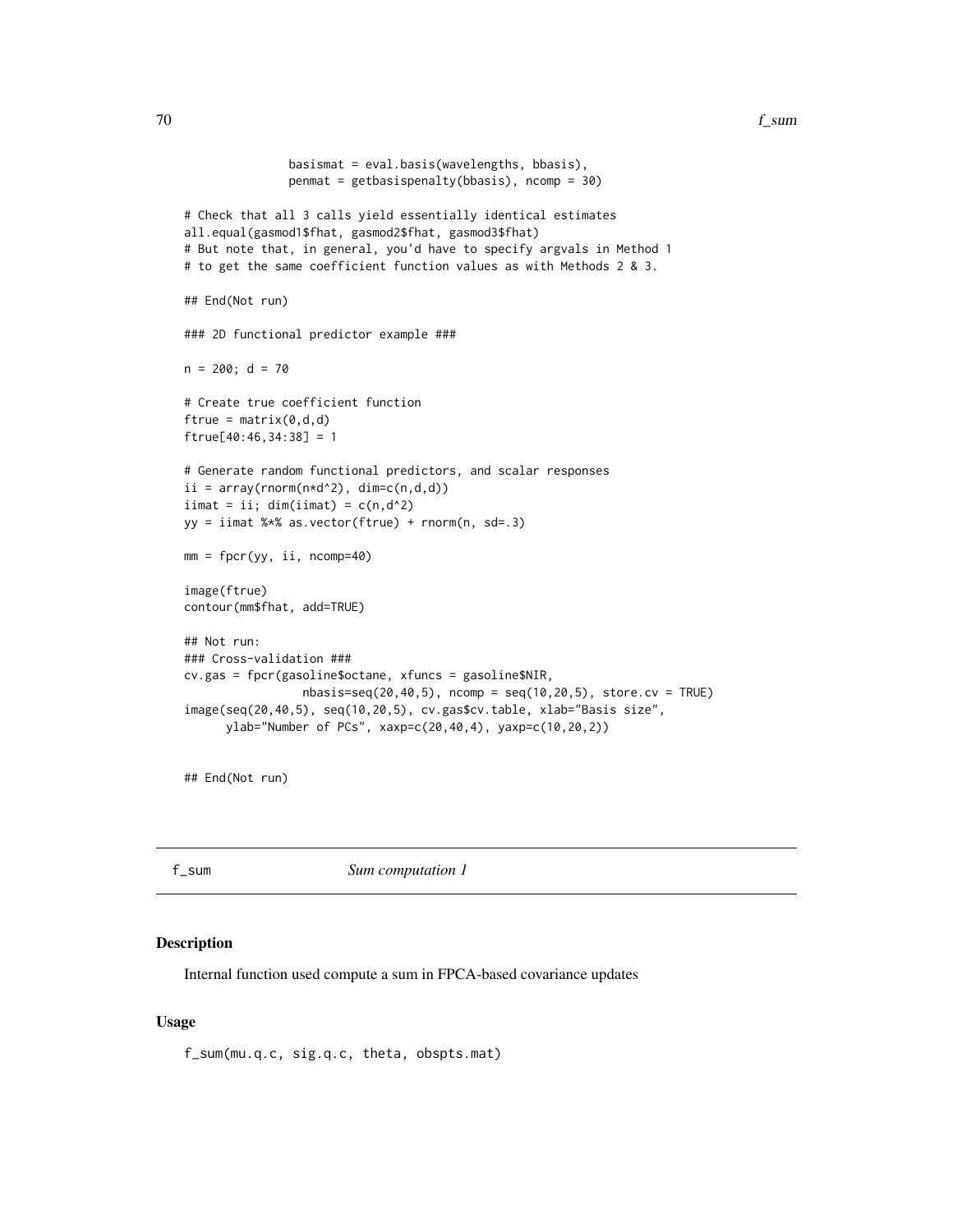```
basismat = eval.basis(wavelengths, bbasis),
               penmat = getbasispenalty(bbasis), ncomp = 30)
# Check that all 3 calls yield essentially identical estimates
all.equal(gasmod1$fhat, gasmod2$fhat, gasmod3$fhat)
# But note that, in general, you'd have to specify argvals in Method 1
# to get the same coefficient function values as with Methods 2 & 3.
## End(Not run)
### 2D functional predictor example ###
n = 200; d = 70# Create true coefficient function
ftrue = matrix(0, d, d)ftrue[40:46,34:38] = 1
# Generate random functional predictors, and scalar responses
ii = array(rnorm(n*d^2), dim=c(n,d,d))iimat = ii; dim(iimat) = c(n,d^2)yy = iimat %*% as.vector(ftrue) + rnorm(n, sd=.3)mm = fpcr(yy, ii, ncomp=40)
image(ftrue)
contour(mm$fhat, add=TRUE)
## Not run:
### Cross-validation ###
cv.gas = fpcr(gasoline$octane, xfuncs = gasoline$NIR,
                 nbasis=seq(20, 40, 5), ncomp = seq(10, 20, 5), store.cv = TRUEimage(seq(20,40,5), seq(10,20,5), cv.gas$cv.table, xlab="Basis size",
      ylab="Number of PCs", xaxp=c(20,40,4), yaxp=c(10,20,2))
```
## End(Not run)

f\_sum *Sum computation 1*

#### **Description**

Internal function used compute a sum in FPCA-based covariance updates

### Usage

f\_sum(mu.q.c, sig.q.c, theta, obspts.mat)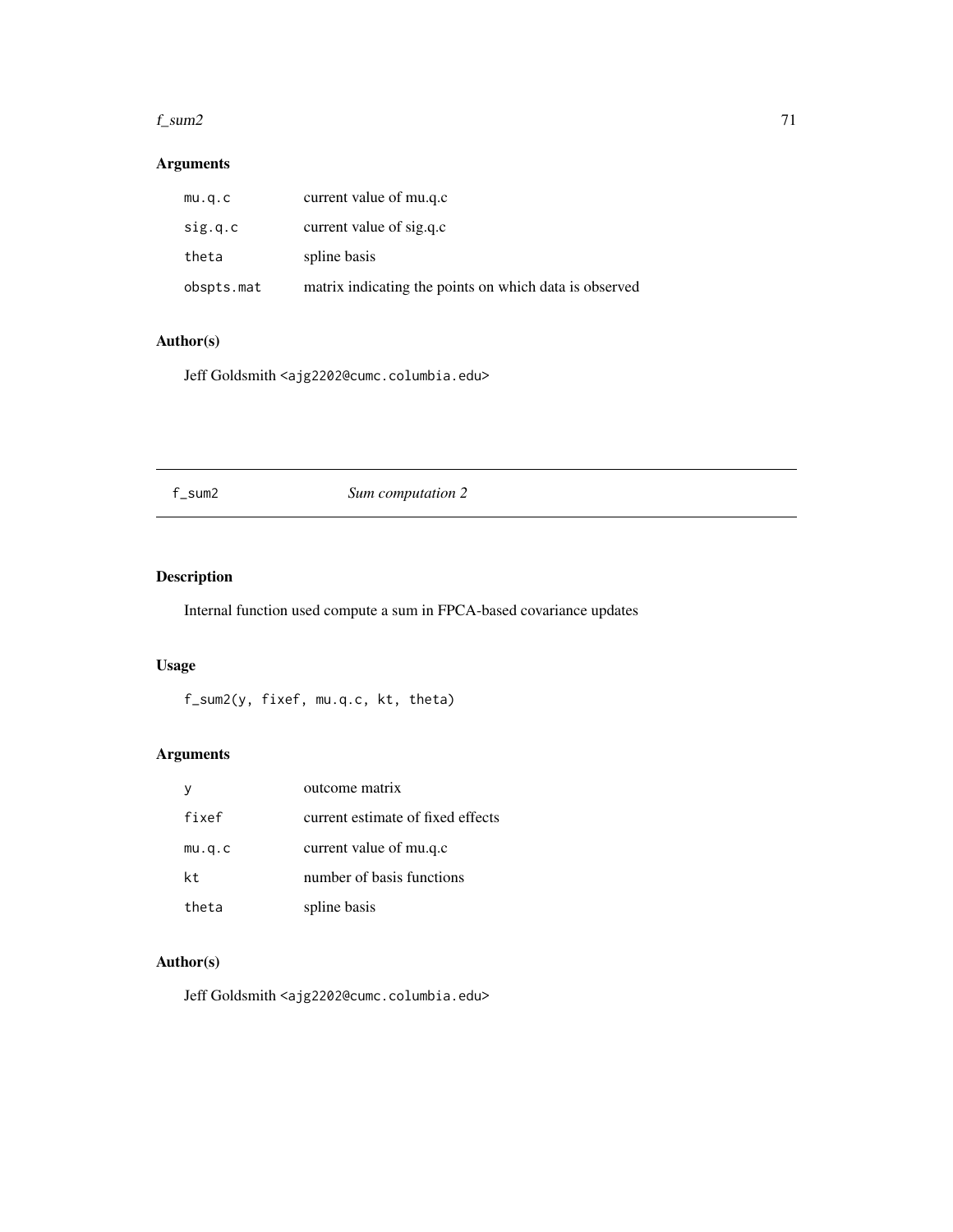#### f\_sum2  $\qquad \qquad \qquad$  71

# Arguments

| mu.q.c     | current value of mu.q.c                                |
|------------|--------------------------------------------------------|
| sig.q.c    | current value of sig.q.c                               |
| theta      | spline basis                                           |
| obspts.mat | matrix indicating the points on which data is observed |

## Author(s)

Jeff Goldsmith <ajg2202@cumc.columbia.edu>

# f\_sum2 *Sum computation 2*

# Description

Internal function used compute a sum in FPCA-based covariance updates

## Usage

f\_sum2(y, fixef, mu.q.c, kt, theta)

# Arguments

|        | outcome matrix                    |
|--------|-----------------------------------|
| fixef  | current estimate of fixed effects |
| mu.q.c | current value of mu.q.c           |
| kt.    | number of basis functions         |
| theta  | spline basis                      |

# Author(s)

Jeff Goldsmith <ajg2202@cumc.columbia.edu>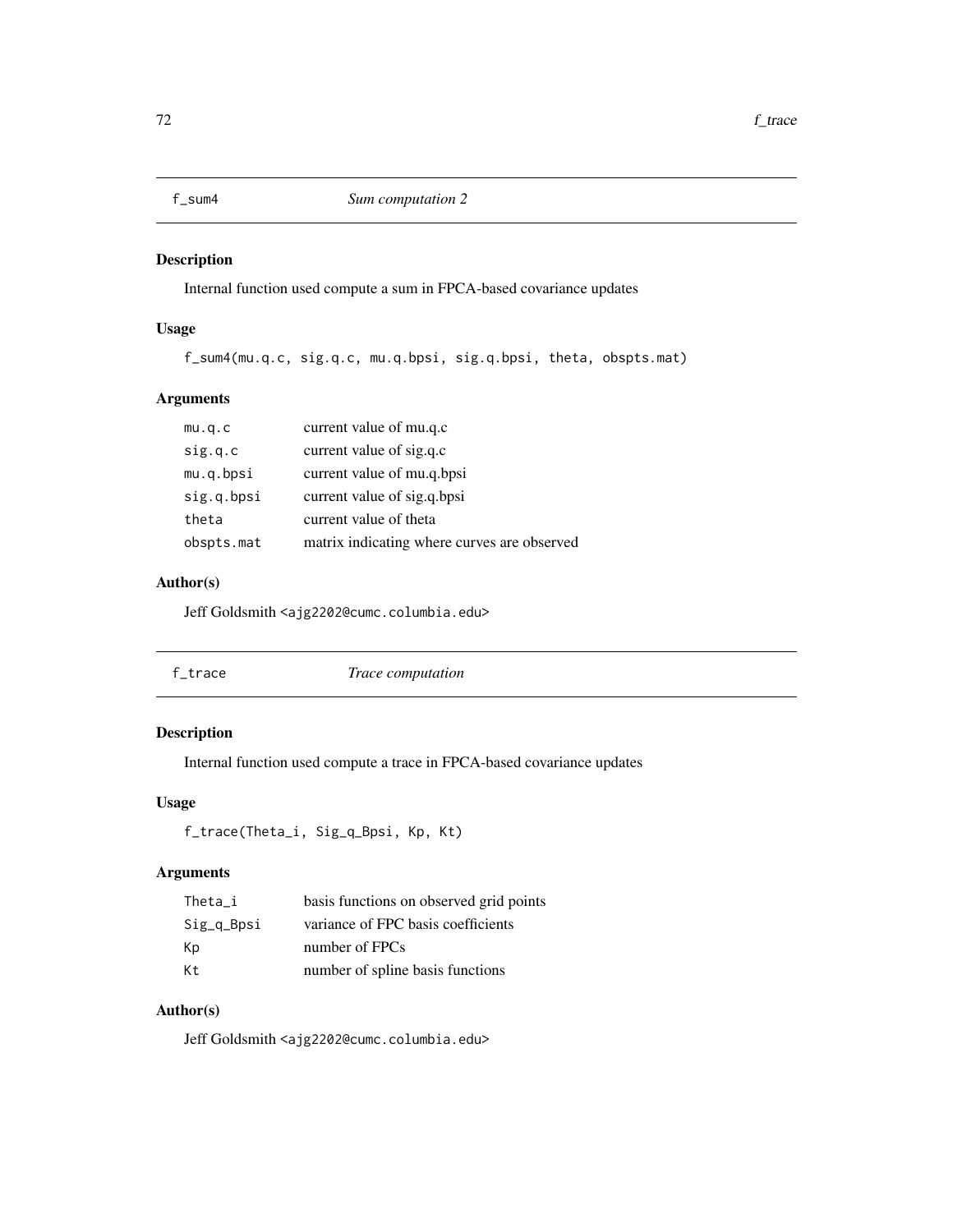## Description

Internal function used compute a sum in FPCA-based covariance updates

## Usage

f\_sum4(mu.q.c, sig.q.c, mu.q.bpsi, sig.q.bpsi, theta, obspts.mat)

## Arguments

| mu.q.c     | current value of mu.q.c                     |
|------------|---------------------------------------------|
| sig.q.c    | current value of sig.q.c                    |
| mu.q.bpsi  | current value of mu.q.bpsi                  |
| sig.q.bpsi | current value of sig.q.bpsi                 |
| theta      | current value of theta                      |
| obspts.mat | matrix indicating where curves are observed |

### Author(s)

Jeff Goldsmith <ajg2202@cumc.columbia.edu>

| f_trace | Trace computation |  |
|---------|-------------------|--|
|         |                   |  |

# Description

Internal function used compute a trace in FPCA-based covariance updates

## Usage

```
f_trace(Theta_i, Sig_q_Bpsi, Kp, Kt)
```
# Arguments

| Theta i    | basis functions on observed grid points |
|------------|-----------------------------------------|
| Sig_q_Bpsi | variance of FPC basis coefficients      |
| Кp         | number of FPCs                          |
| Кt         | number of spline basis functions        |

## Author(s)

Jeff Goldsmith <ajg2202@cumc.columbia.edu>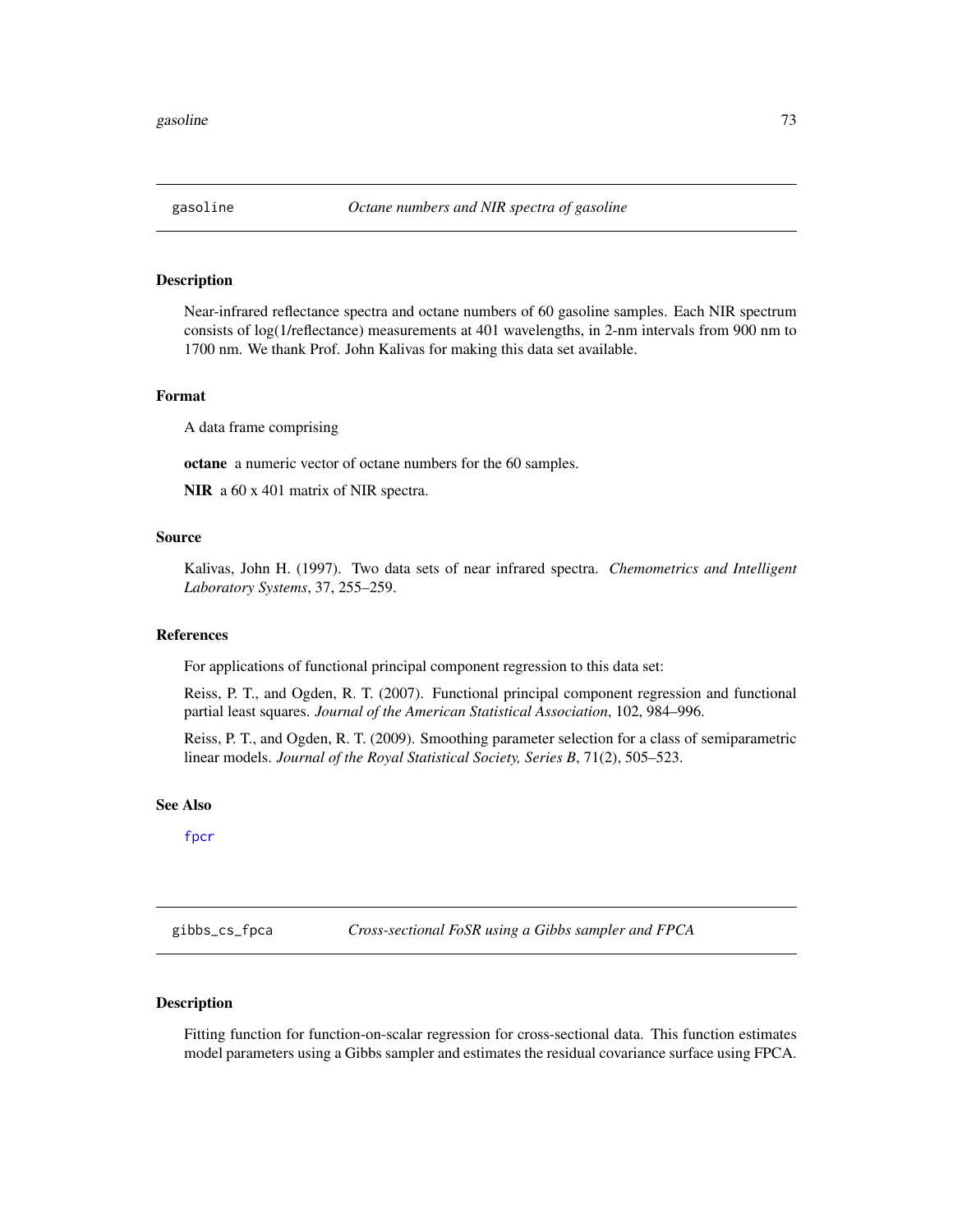# Description

Near-infrared reflectance spectra and octane numbers of 60 gasoline samples. Each NIR spectrum consists of log(1/reflectance) measurements at 401 wavelengths, in 2-nm intervals from 900 nm to 1700 nm. We thank Prof. John Kalivas for making this data set available.

### Format

A data frame comprising

octane a numeric vector of octane numbers for the 60 samples.

NIR a  $60 \times 401$  matrix of NIR spectra.

### Source

Kalivas, John H. (1997). Two data sets of near infrared spectra. *Chemometrics and Intelligent Laboratory Systems*, 37, 255–259.

### References

For applications of functional principal component regression to this data set:

Reiss, P. T., and Ogden, R. T. (2007). Functional principal component regression and functional partial least squares. *Journal of the American Statistical Association*, 102, 984–996.

Reiss, P. T., and Ogden, R. T. (2009). Smoothing parameter selection for a class of semiparametric linear models. *Journal of the Royal Statistical Society, Series B*, 71(2), 505–523.

### See Also

[fpcr](#page-65-0)

gibbs\_cs\_fpca *Cross-sectional FoSR using a Gibbs sampler and FPCA*

# **Description**

Fitting function for function-on-scalar regression for cross-sectional data. This function estimates model parameters using a Gibbs sampler and estimates the residual covariance surface using FPCA.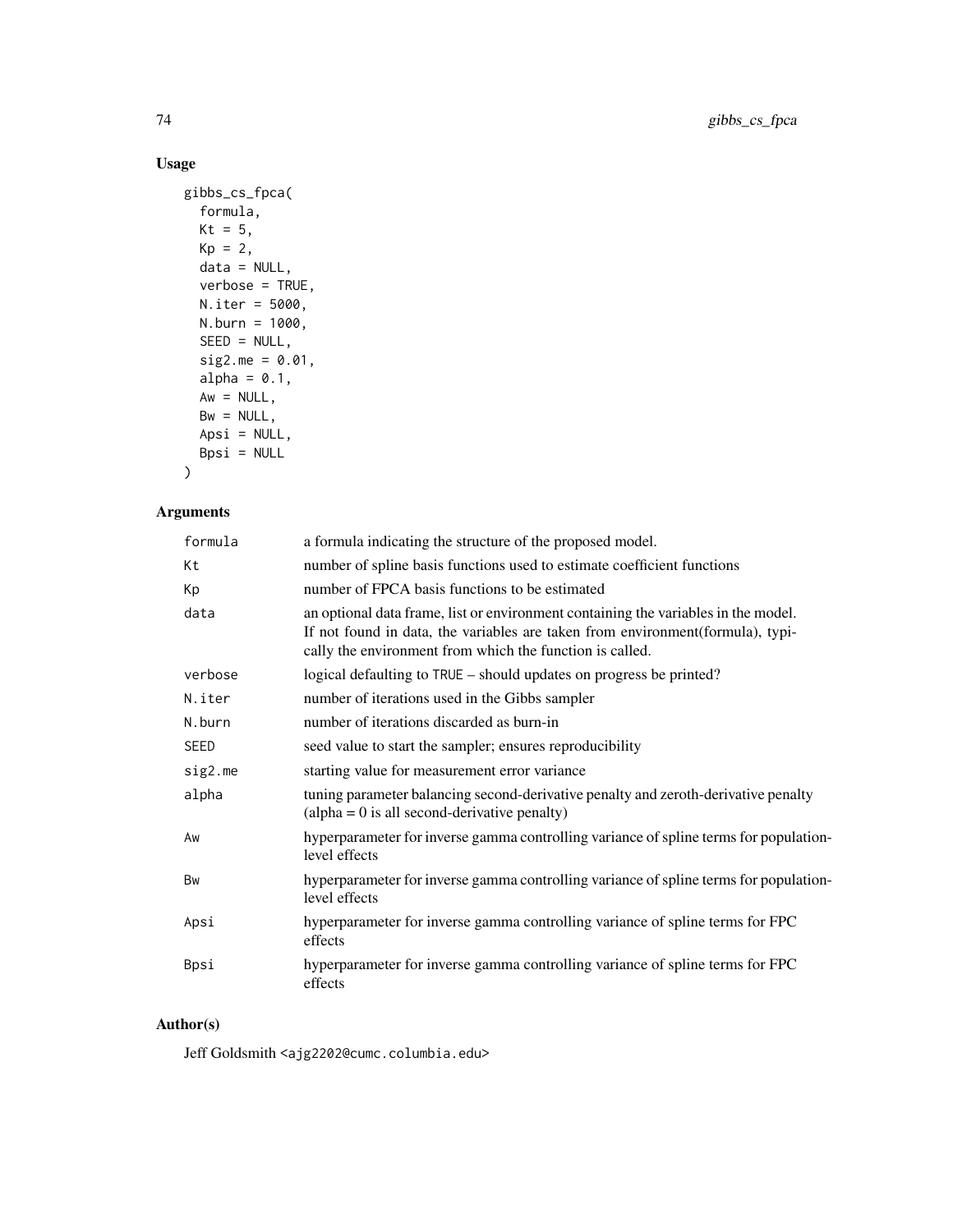# Usage

```
gibbs_cs_fpca(
 formula,
 Kt = 5,
 Kp = 2,data = NULL,
 verbose = TRUE,
 N.iter = 5000,
 N.burn = 1000,SEED = NULL,sig2.me = 0.01,alpha = 0.1,
 Aw = NULL,Bw = NULL,Apsi = NULL,
 Bpsi = NULL)
```
# Arguments

| formula     | a formula indicating the structure of the proposed model.                                                                                                                                                                         |
|-------------|-----------------------------------------------------------------------------------------------------------------------------------------------------------------------------------------------------------------------------------|
| Kt          | number of spline basis functions used to estimate coefficient functions                                                                                                                                                           |
| Кp          | number of FPCA basis functions to be estimated                                                                                                                                                                                    |
| data        | an optional data frame, list or environment containing the variables in the model.<br>If not found in data, the variables are taken from environment (formula), typi-<br>cally the environment from which the function is called. |
| verbose     | logical defaulting to TRUE – should updates on progress be printed?                                                                                                                                                               |
| N.iter      | number of iterations used in the Gibbs sampler                                                                                                                                                                                    |
| N.burn      | number of iterations discarded as burn-in                                                                                                                                                                                         |
| <b>SEED</b> | seed value to start the sampler; ensures reproducibility                                                                                                                                                                          |
| sig2.me     | starting value for measurement error variance                                                                                                                                                                                     |
| alpha       | tuning parameter balancing second-derivative penalty and zeroth-derivative penalty<br>$\alpha$ (alpha = 0 is all second-derivative penalty)                                                                                       |
| Aw          | hyperparameter for inverse gamma controlling variance of spline terms for population-<br>level effects                                                                                                                            |
| Bw          | hyperparameter for inverse gamma controlling variance of spline terms for population-<br>level effects                                                                                                                            |
| Apsi        | hyperparameter for inverse gamma controlling variance of spline terms for FPC<br>effects                                                                                                                                          |
| Bpsi        | hyperparameter for inverse gamma controlling variance of spline terms for FPC<br>effects                                                                                                                                          |

# Author(s)

Jeff Goldsmith <ajg2202@cumc.columbia.edu>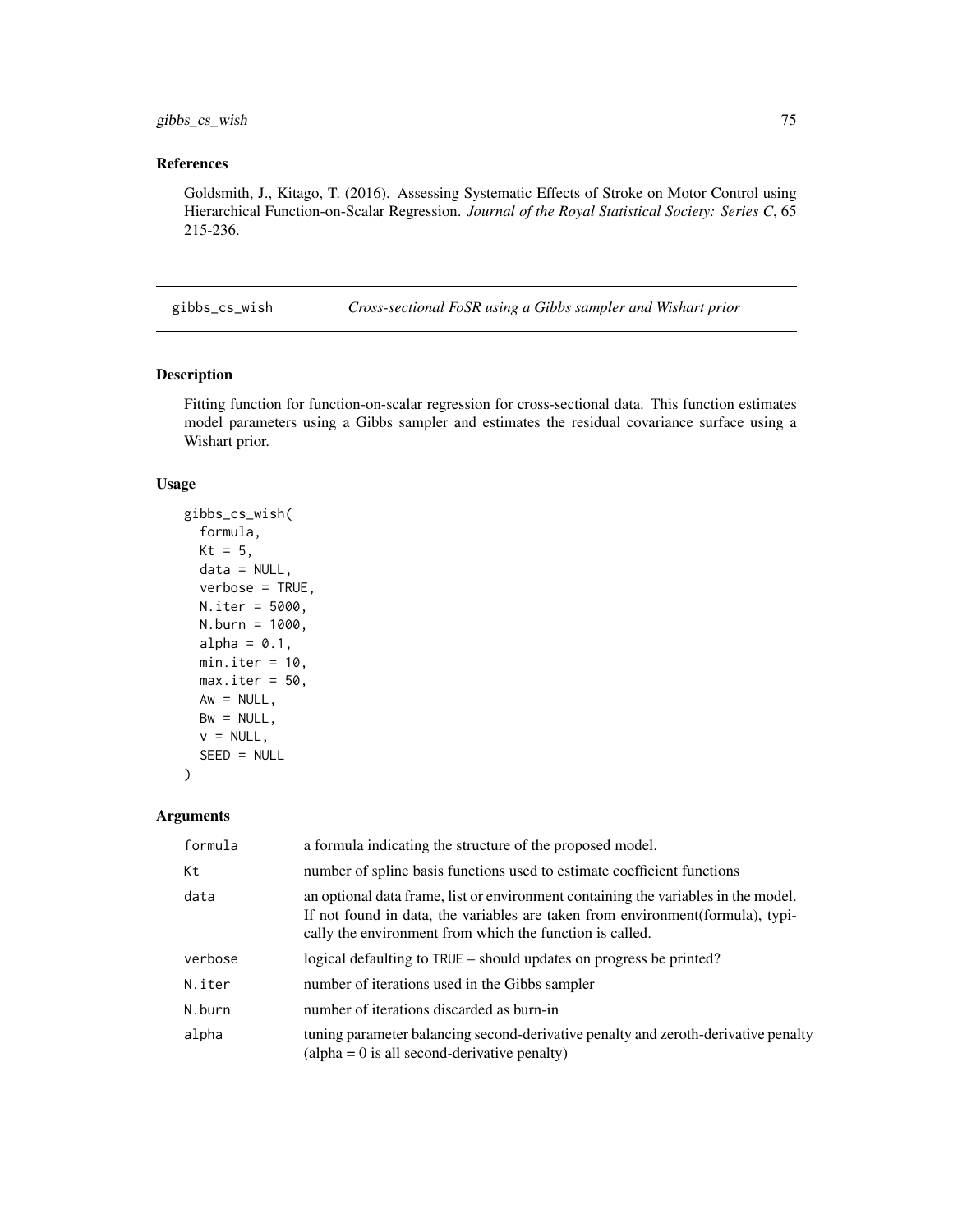# References

Goldsmith, J., Kitago, T. (2016). Assessing Systematic Effects of Stroke on Motor Control using Hierarchical Function-on-Scalar Regression. *Journal of the Royal Statistical Society: Series C*, 65 215-236.

gibbs\_cs\_wish *Cross-sectional FoSR using a Gibbs sampler and Wishart prior*

### Description

Fitting function for function-on-scalar regression for cross-sectional data. This function estimates model parameters using a Gibbs sampler and estimates the residual covariance surface using a Wishart prior.

### Usage

```
gibbs_cs_wish(
  formula,
 Kt = 5,
  data = NULL,verbose = TRUE,
  N.iter = 5000,
 N.burn = 1000,
  alpha = 0.1,
 min.iter = 10,
  max.iter = 50,
  Aw = NULL,Bw = NULL,v = NULL,SEED = NULL
)
```
### Arguments

| formula | a formula indicating the structure of the proposed model.                                                                                                                                                                         |
|---------|-----------------------------------------------------------------------------------------------------------------------------------------------------------------------------------------------------------------------------------|
| Кt      | number of spline basis functions used to estimate coefficient functions                                                                                                                                                           |
| data    | an optional data frame, list or environment containing the variables in the model.<br>If not found in data, the variables are taken from environment (formula), typi-<br>cally the environment from which the function is called. |
| verbose | logical defaulting to TRUE – should updates on progress be printed?                                                                                                                                                               |
| N.iter  | number of iterations used in the Gibbs sampler                                                                                                                                                                                    |
| N.burn  | number of iterations discarded as burn-in                                                                                                                                                                                         |
| alpha   | tuning parameter balancing second-derivative penalty and zeroth-derivative penalty<br>$\alpha$ (alpha = 0 is all second-derivative penalty)                                                                                       |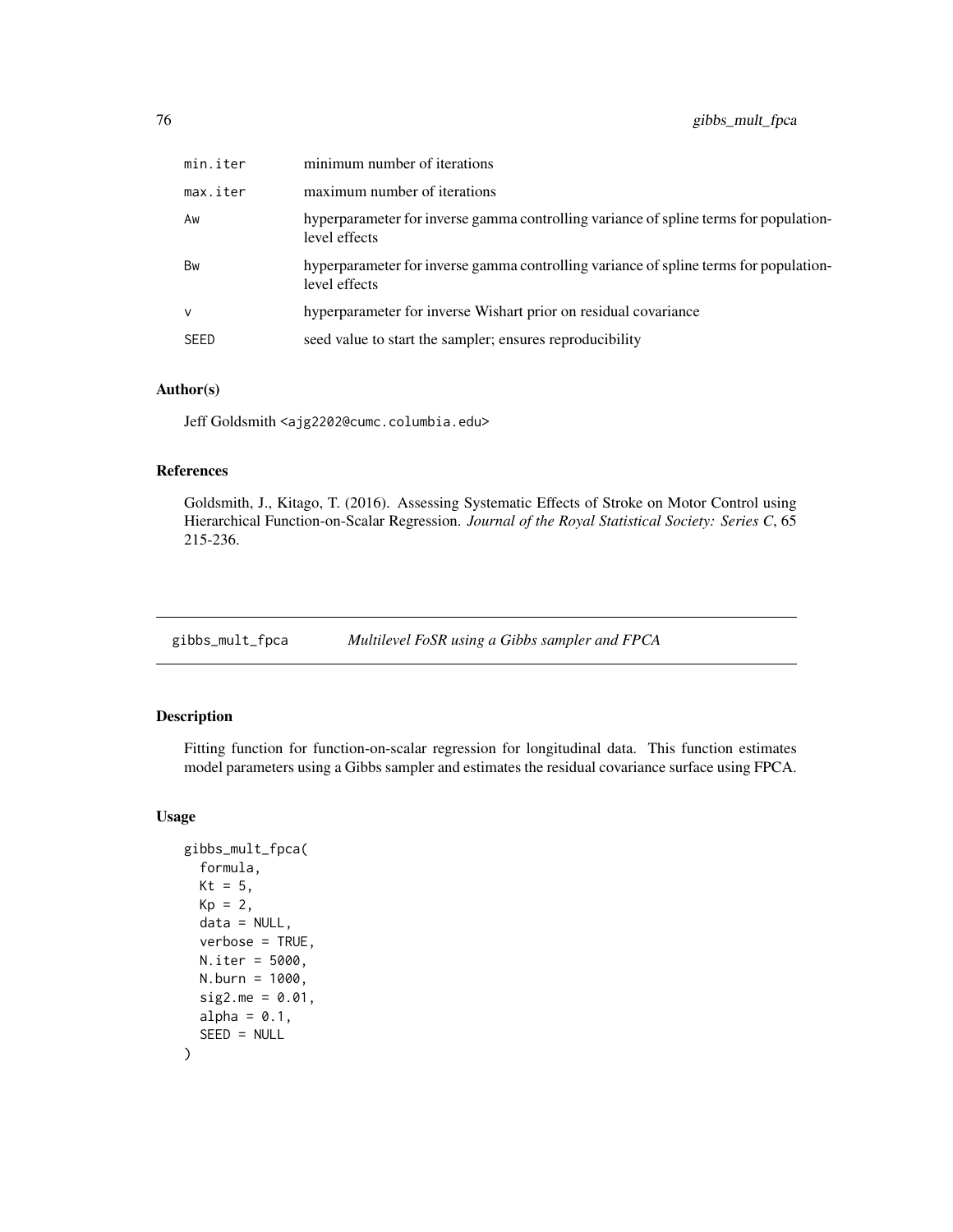| min.iter    | minimum number of iterations                                                                           |
|-------------|--------------------------------------------------------------------------------------------------------|
| max.iter    | maximum number of iterations                                                                           |
| Aw          | hyperparameter for inverse gamma controlling variance of spline terms for population-<br>level effects |
| Bw          | hyperparameter for inverse gamma controlling variance of spline terms for population-<br>level effects |
| $\vee$      | hyperparameter for inverse Wishart prior on residual covariance                                        |
| <b>SEED</b> | seed value to start the sampler; ensures reproducibility                                               |

### Author(s)

Jeff Goldsmith <ajg2202@cumc.columbia.edu>

# References

Goldsmith, J., Kitago, T. (2016). Assessing Systematic Effects of Stroke on Motor Control using Hierarchical Function-on-Scalar Regression. *Journal of the Royal Statistical Society: Series C*, 65 215-236.

gibbs\_mult\_fpca *Multilevel FoSR using a Gibbs sampler and FPCA*

# Description

Fitting function for function-on-scalar regression for longitudinal data. This function estimates model parameters using a Gibbs sampler and estimates the residual covariance surface using FPCA.

### Usage

```
gibbs_mult_fpca(
  formula,
 Kt = 5,
 Kp = 2,data = NULL,
  verbose = TRUE,
 N.iter = 5000,
 N.burn = 1000,
  sig2.me = 0.01,alpha = 0.1,
  SEED = NULL
)
```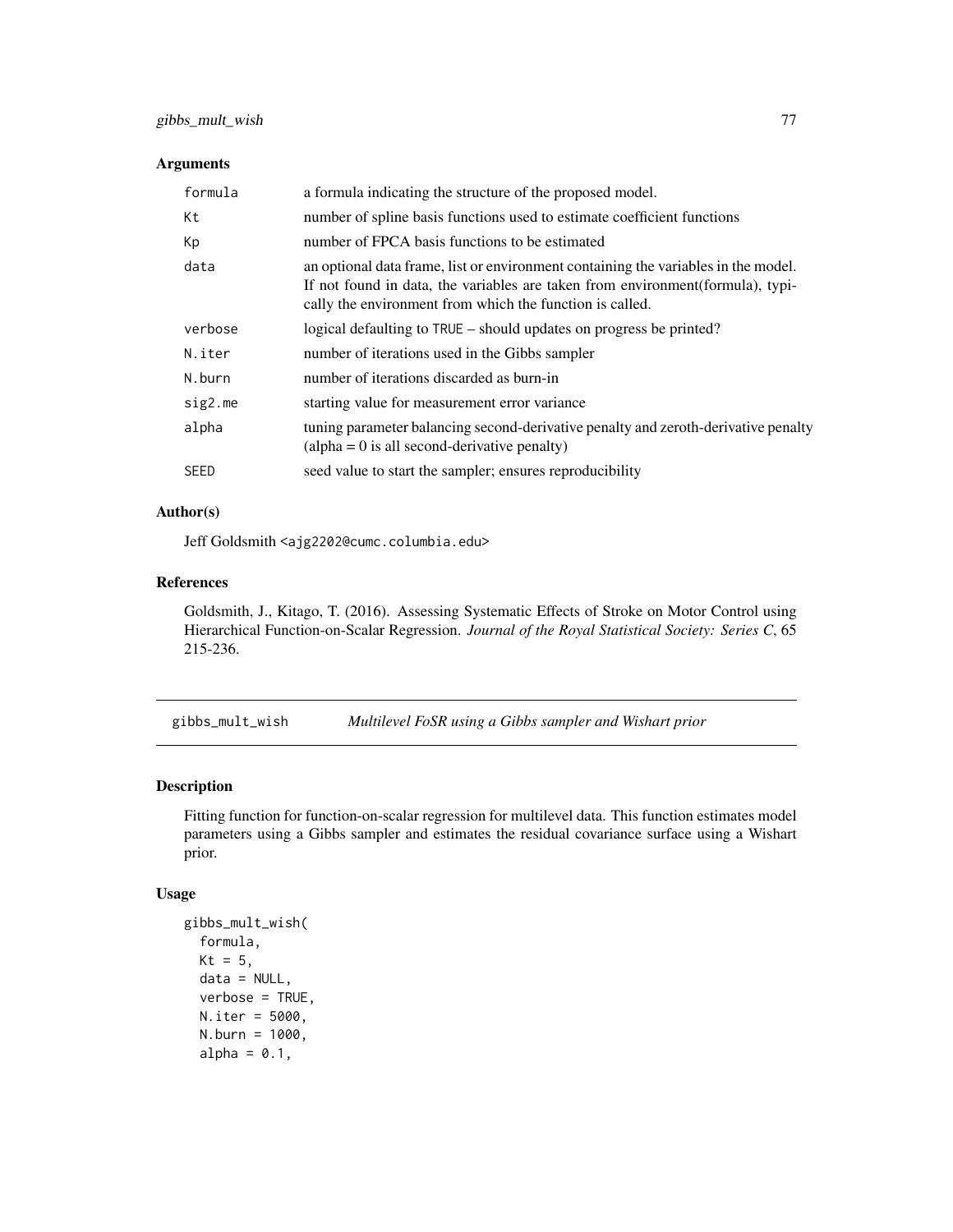# Arguments

| formula     | a formula indicating the structure of the proposed model.                                                                                                                                                                         |
|-------------|-----------------------------------------------------------------------------------------------------------------------------------------------------------------------------------------------------------------------------------|
| Кt          | number of spline basis functions used to estimate coefficient functions                                                                                                                                                           |
| Кp          | number of FPCA basis functions to be estimated                                                                                                                                                                                    |
| data        | an optional data frame, list or environment containing the variables in the model.<br>If not found in data, the variables are taken from environment (formula), typi-<br>cally the environment from which the function is called. |
| verbose     | logical defaulting to TRUE – should updates on progress be printed?                                                                                                                                                               |
| N.iter      | number of iterations used in the Gibbs sampler                                                                                                                                                                                    |
| N.burn      | number of iterations discarded as burn-in                                                                                                                                                                                         |
| sig2.me     | starting value for measurement error variance                                                                                                                                                                                     |
| alpha       | tuning parameter balancing second-derivative penalty and zeroth-derivative penalty<br>$\alpha$ (alpha = 0 is all second-derivative penalty)                                                                                       |
| <b>SEED</b> | seed value to start the sampler; ensures reproducibility                                                                                                                                                                          |

# Author(s)

Jeff Goldsmith <ajg2202@cumc.columbia.edu>

### References

Goldsmith, J., Kitago, T. (2016). Assessing Systematic Effects of Stroke on Motor Control using Hierarchical Function-on-Scalar Regression. *Journal of the Royal Statistical Society: Series C*, 65 215-236.

gibbs\_mult\_wish *Multilevel FoSR using a Gibbs sampler and Wishart prior*

# Description

Fitting function for function-on-scalar regression for multilevel data. This function estimates model parameters using a Gibbs sampler and estimates the residual covariance surface using a Wishart prior.

# Usage

```
gibbs_mult_wish(
  formula,
 Kt = 5,
 data = NULL,
  verbose = TRUE,
 N.iter = 5000,
 N.burn = 1000,
  alpha = 0.1,
```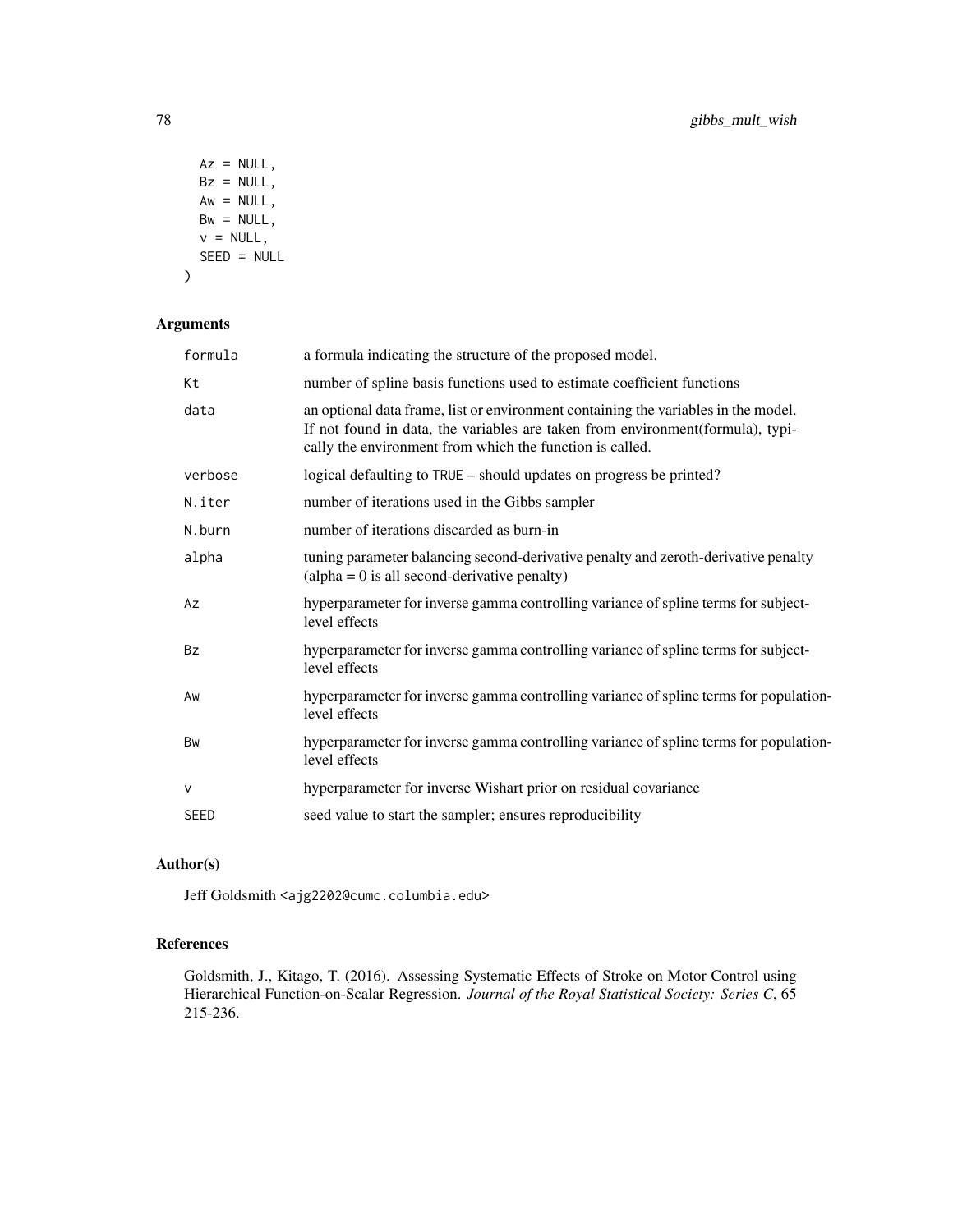```
Az = NULL,Bz = NULL,Aw = NULL,Bw = NULL,v = NULL,SEED = NULL)
```
# Arguments

| formula     | a formula indicating the structure of the proposed model.                                                                                                                                                                         |
|-------------|-----------------------------------------------------------------------------------------------------------------------------------------------------------------------------------------------------------------------------------|
| Кt          | number of spline basis functions used to estimate coefficient functions                                                                                                                                                           |
| data        | an optional data frame, list or environment containing the variables in the model.<br>If not found in data, the variables are taken from environment (formula), typi-<br>cally the environment from which the function is called. |
| verbose     | logical defaulting to TRUE – should updates on progress be printed?                                                                                                                                                               |
| N.iter      | number of iterations used in the Gibbs sampler                                                                                                                                                                                    |
| N.burn      | number of iterations discarded as burn-in                                                                                                                                                                                         |
| alpha       | tuning parameter balancing second-derivative penalty and zeroth-derivative penalty<br>$\alpha$ (alpha = 0 is all second-derivative penalty)                                                                                       |
| Az          | hyperparameter for inverse gamma controlling variance of spline terms for subject-<br>level effects                                                                                                                               |
| <b>Bz</b>   | hyperparameter for inverse gamma controlling variance of spline terms for subject-<br>level effects                                                                                                                               |
| Aw          | hyperparameter for inverse gamma controlling variance of spline terms for population-<br>level effects                                                                                                                            |
| <b>Bw</b>   | hyperparameter for inverse gamma controlling variance of spline terms for population-<br>level effects                                                                                                                            |
| $\vee$      | hyperparameter for inverse Wishart prior on residual covariance                                                                                                                                                                   |
| <b>SEED</b> | seed value to start the sampler; ensures reproducibility                                                                                                                                                                          |

# Author(s)

Jeff Goldsmith <ajg2202@cumc.columbia.edu>

# References

Goldsmith, J., Kitago, T. (2016). Assessing Systematic Effects of Stroke on Motor Control using Hierarchical Function-on-Scalar Regression. *Journal of the Royal Statistical Society: Series C*, 65 215-236.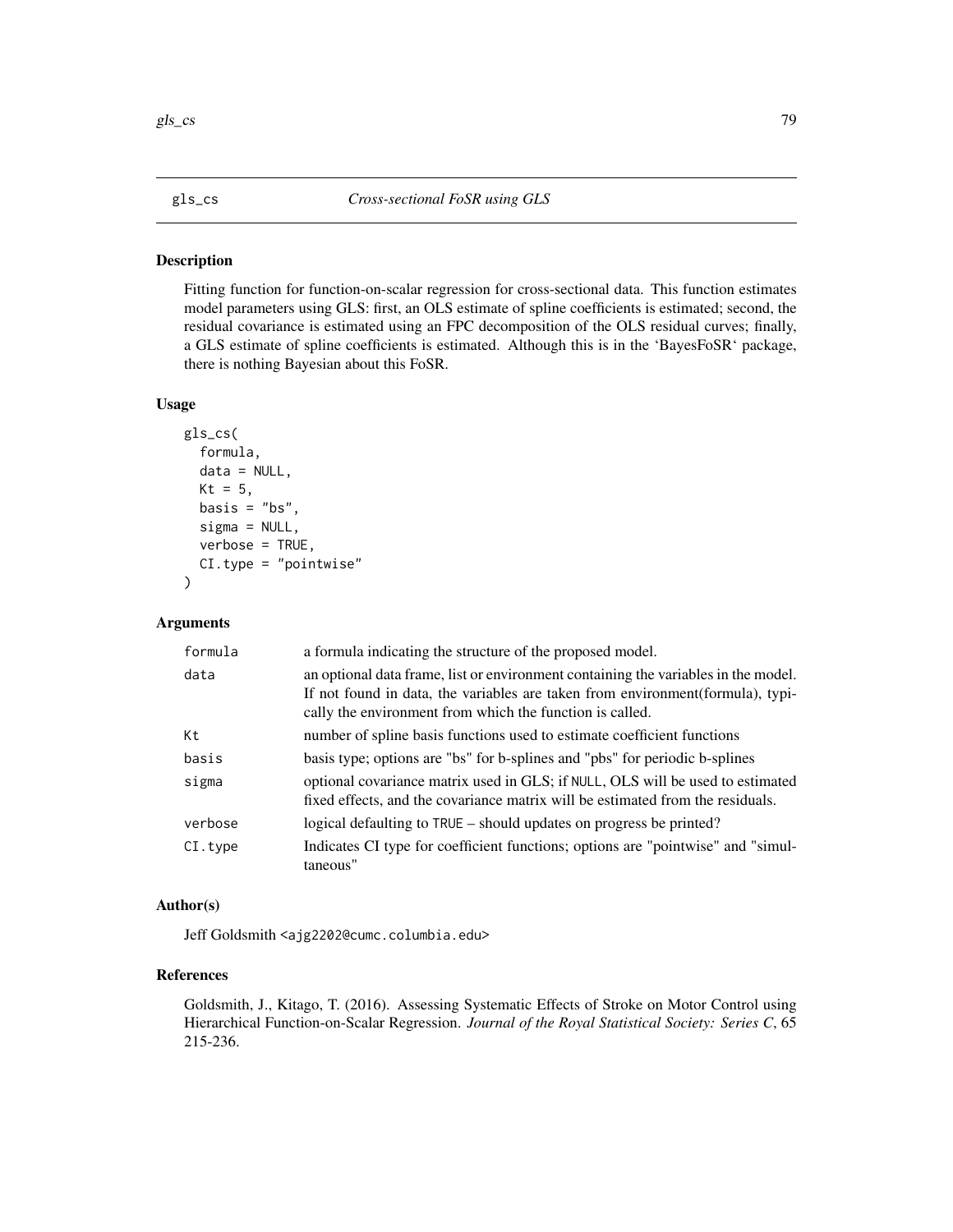### Description

Fitting function for function-on-scalar regression for cross-sectional data. This function estimates model parameters using GLS: first, an OLS estimate of spline coefficients is estimated; second, the residual covariance is estimated using an FPC decomposition of the OLS residual curves; finally, a GLS estimate of spline coefficients is estimated. Although this is in the 'BayesFoSR' package, there is nothing Bayesian about this FoSR.

# Usage

```
gls_cs(
  formula,
  data = NULL,
 Kt = 5,
 basis = "bs",sigma = NULL,
  verbose = TRUE,
  CI.type = "pointwise"
)
```
### Arguments

| formula  | a formula indicating the structure of the proposed model.                                                                                                                                                                         |
|----------|-----------------------------------------------------------------------------------------------------------------------------------------------------------------------------------------------------------------------------------|
| data     | an optional data frame, list or environment containing the variables in the model.<br>If not found in data, the variables are taken from environment (formula), typi-<br>cally the environment from which the function is called. |
| Кt       | number of spline basis functions used to estimate coefficient functions                                                                                                                                                           |
| basis    | basis type; options are "bs" for b-splines and "pbs" for periodic b-splines                                                                                                                                                       |
| sigma    | optional covariance matrix used in GLS; if NULL, OLS will be used to estimated<br>fixed effects, and the covariance matrix will be estimated from the residuals.                                                                  |
| verbose  | logical defaulting to TRUE – should updates on progress be printed?                                                                                                                                                               |
| CI. type | Indicates CI type for coefficient functions; options are "pointwise" and "simul-<br>taneous"                                                                                                                                      |

# Author(s)

Jeff Goldsmith <ajg2202@cumc.columbia.edu>

# References

Goldsmith, J., Kitago, T. (2016). Assessing Systematic Effects of Stroke on Motor Control using Hierarchical Function-on-Scalar Regression. *Journal of the Royal Statistical Society: Series C*, 65 215-236.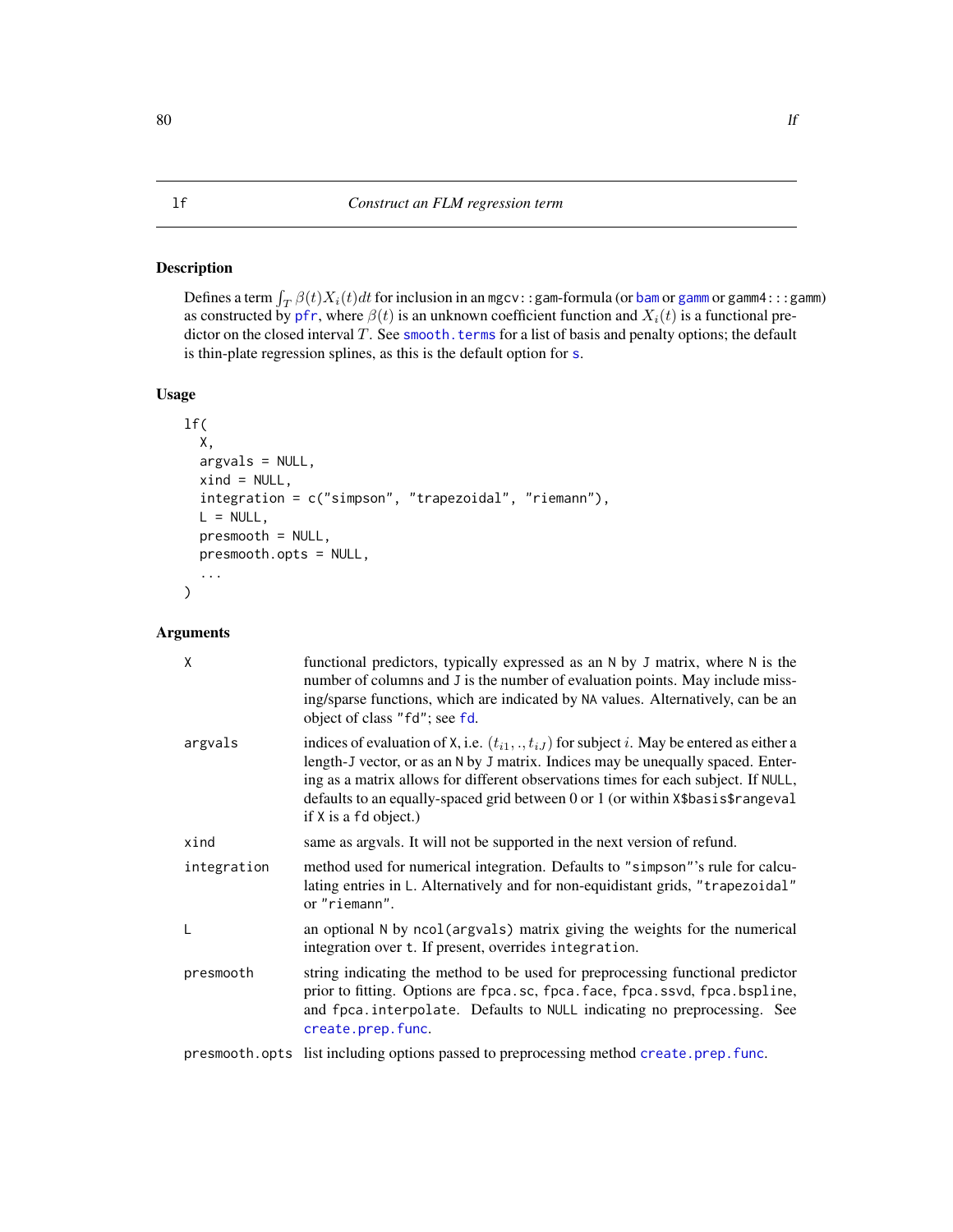# Description

Defines a term  $\int_T \beta(t) X_i(t) dt$  for inclusion in an mgcv::gam-formula (or [bam](#page-0-0) or [gamm](#page-0-0) or gamm4:::gamm) as constructed by [pfr](#page-116-0), where  $\beta(t)$  is an unknown coefficient function and  $X_i(t)$  is a functional predictor on the closed interval  $T$ . See smooth. terms for a list of basis and penalty options; the default is thin-plate regression splines, as this is the default option for [s](#page-0-0).

# Usage

```
lf(
  X,
  argvals = NULL,
  xind = NULL,integration = c("simpson", "trapezoidal", "riemann"),
 L = NULL,
 presmooth = NULL,
 presmooth.opts = NULL,
  ...
)
```
# Arguments

| X           | functional predictors, typically expressed as an N by J matrix, where N is the<br>number of columns and J is the number of evaluation points. May include miss-<br>ing/sparse functions, which are indicated by NA values. Alternatively, can be an<br>object of class "fd"; see fd.                                                                                                  |
|-------------|---------------------------------------------------------------------------------------------------------------------------------------------------------------------------------------------------------------------------------------------------------------------------------------------------------------------------------------------------------------------------------------|
| argvals     | indices of evaluation of X, i.e. $(t_{i1},,t_{iJ})$ for subject i. May be entered as either a<br>length-J vector, or as an N by J matrix. Indices may be unequally spaced. Enter-<br>ing as a matrix allows for different observations times for each subject. If NULL,<br>defaults to an equally-spaced grid between 0 or 1 (or within X\$basis\$rangeval<br>if $X$ is a fd object.) |
| xind        | same as argvals. It will not be supported in the next version of refund.                                                                                                                                                                                                                                                                                                              |
| integration | method used for numerical integration. Defaults to "simpson"'s rule for calcu-<br>lating entries in L. Alternatively and for non-equidistant grids, "trapezoidal"<br>or "riemann".                                                                                                                                                                                                    |
| L           | an optional N by ncol (argvals) matrix giving the weights for the numerical<br>integration over t. If present, overrides integration.                                                                                                                                                                                                                                                 |
| presmooth   | string indicating the method to be used for preprocessing functional predictor<br>prior to fitting. Options are fpca.sc, fpca.face, fpca.ssvd, fpca.bspline,<br>and fpca.interpolate. Defaults to NULL indicating no preprocessing. See<br>create.prep.func.                                                                                                                          |
|             | presmooth.opts list including options passed to preprocessing method create.prep.func.                                                                                                                                                                                                                                                                                                |

<span id="page-79-0"></span> $80$  and  $1$  if the set of  $\sim$  10  $\mu$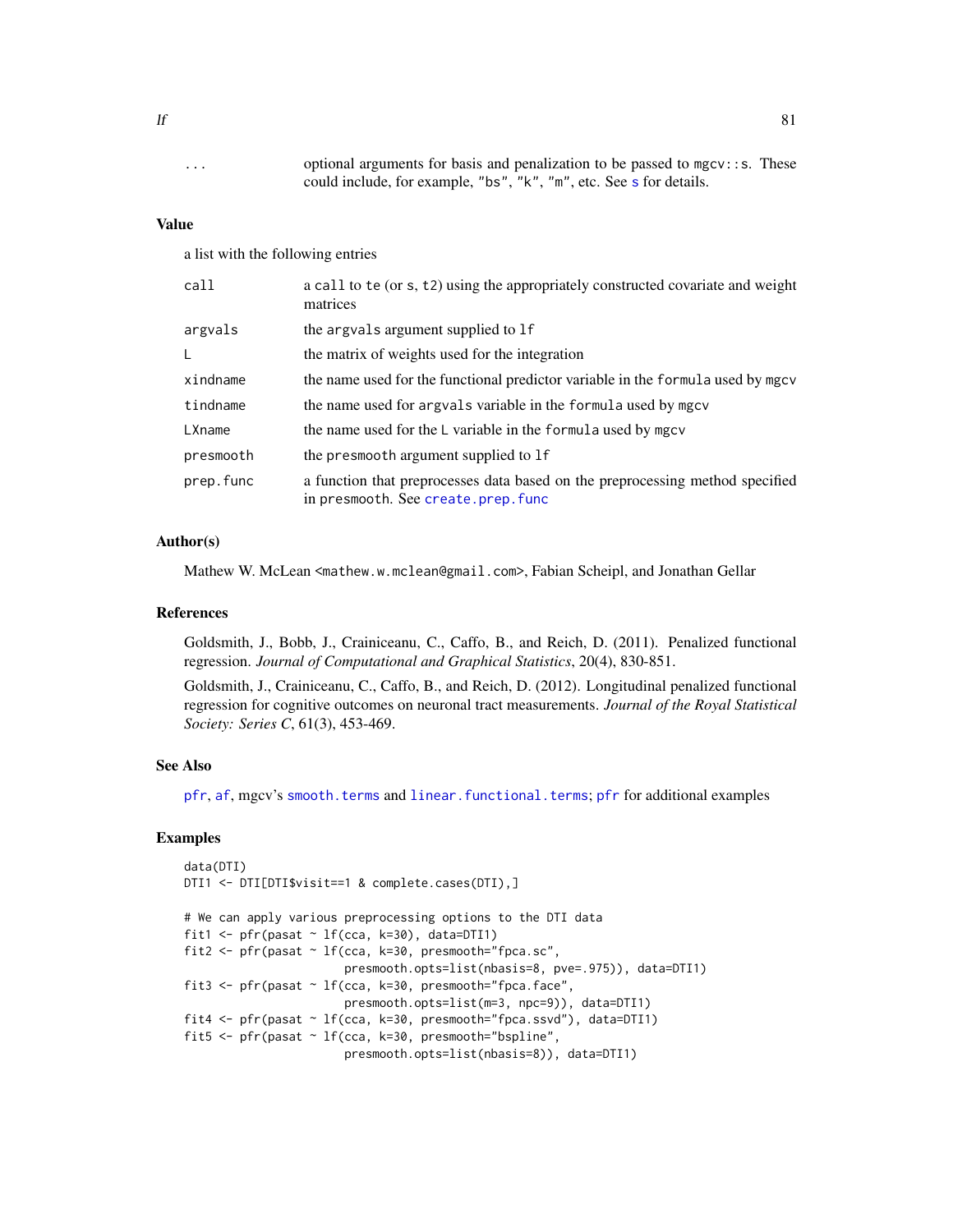... optional arguments for basis and penalization to be passed to mgcv::s. These could include, for example, "bs", "k", "m", etc. See [s](#page-0-0) for details.

### Value

a list with the following entries

| call      | a call to te (or s, t2) using the appropriately constructed covariate and weight<br>matrices                        |
|-----------|---------------------------------------------------------------------------------------------------------------------|
| argvals   | the argvals argument supplied to 1f                                                                                 |
| L         | the matrix of weights used for the integration                                                                      |
| xindname  | the name used for the functional predictor variable in the formula used by mgcv                                     |
| tindname  | the name used for argvals variable in the formula used by mgcv                                                      |
| LXname    | the name used for the L variable in the formula used by mgcv                                                        |
| presmooth | the presmooth argument supplied to 1f                                                                               |
| prep.func | a function that preprocesses data based on the preprocessing method specified<br>in presmooth. See create.prep.func |

### Author(s)

Mathew W. McLean <mathew.w.mclean@gmail.com>, Fabian Scheipl, and Jonathan Gellar

### References

Goldsmith, J., Bobb, J., Crainiceanu, C., Caffo, B., and Reich, D. (2011). Penalized functional regression. *Journal of Computational and Graphical Statistics*, 20(4), 830-851.

Goldsmith, J., Crainiceanu, C., Caffo, B., and Reich, D. (2012). Longitudinal penalized functional regression for cognitive outcomes on neuronal tract measurements. *Journal of the Royal Statistical Society: Series C*, 61(3), 453-469.

# See Also

[pfr](#page-116-0), [af](#page-4-0), mgcv's [smooth.terms](#page-0-0) and [linear.functional.terms](#page-0-0); [pfr](#page-116-0) for additional examples

### Examples

```
data(DTI)
DTI1 <- DTI[DTI$visit==1 & complete.cases(DTI),]
# We can apply various preprocessing options to the DTI data
fit1 <- pfr(pasat \sim lf(cca, k=30), data=DTI1)
fit2 <- pfr(pasat ~ lf(cca, k=30, presmooth="fpca.sc",
                       presmooth.opts=list(nbasis=8, pve=.975)), data=DTI1)
fit3 <- pfr(pasat ~ lf(cca, k=30, presmooth="fpca.face",
                       presmooth.opts=list(m=3, npc=9)), data=DTI1)
fit4 <- pfr(pasat ~ lf(cca, k=30, presmooth="fpca.ssvd"), data=DTI1)
fit5 <- pfr(pasat ~ lf(cca, k=30, presmooth="bspline",
                       presmooth.opts=list(nbasis=8)), data=DTI1)
```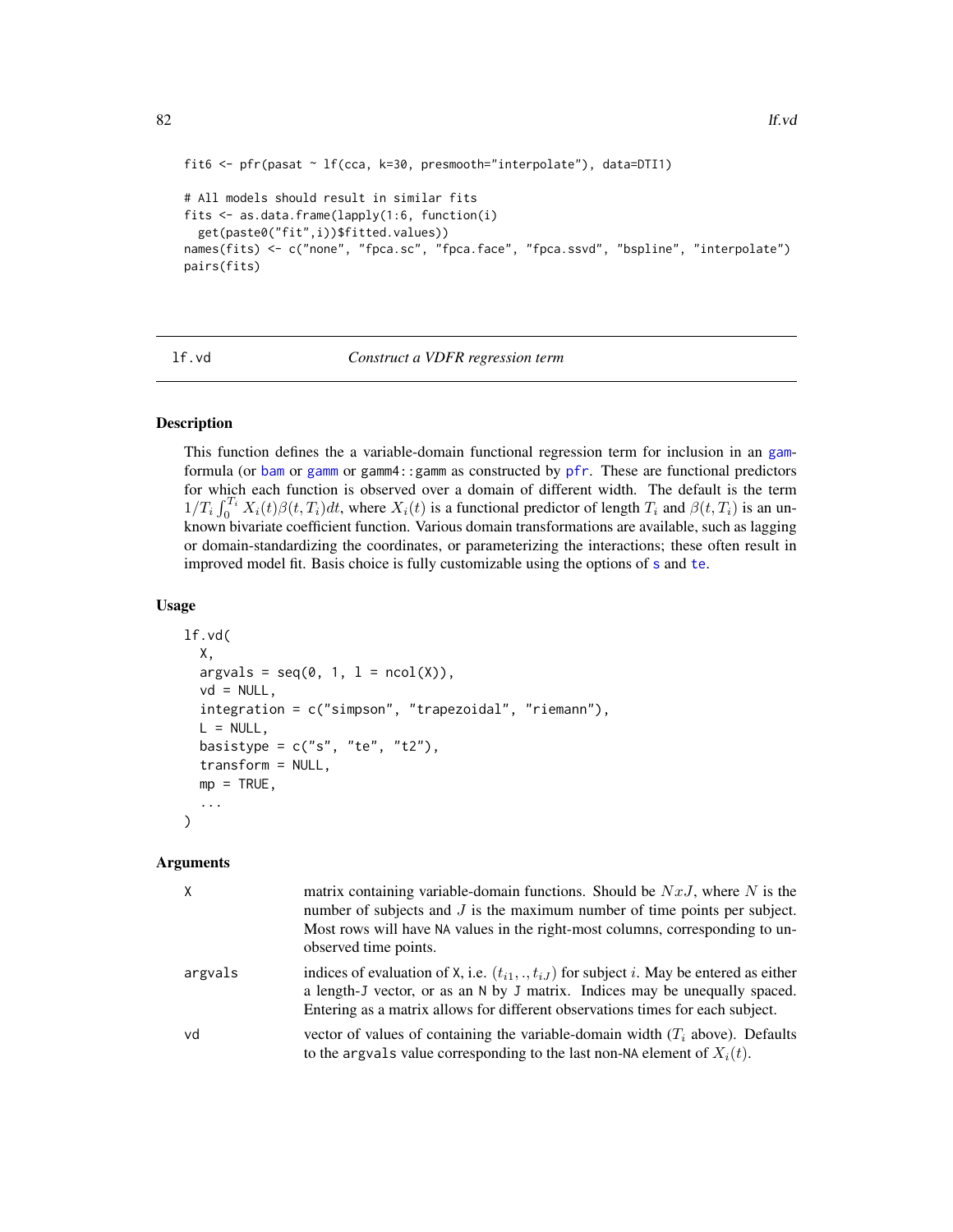```
fit6 <- pfr(pasat ~ lf(cca, k=30, presmooth="interpolate"), data=DTI1)
# All models should result in similar fits
fits <- as.data.frame(lapply(1:6, function(i)
 get(paste0("fit",i))$fitted.values))
names(fits) <- c("none", "fpca.sc", "fpca.face", "fpca.ssvd", "bspline", "interpolate")
pairs(fits)
```
lf.vd *Construct a VDFR regression term*

# Description

This function defines the a variable-domain functional regression term for inclusion in an [gam](#page-0-0)formula (or [bam](#page-0-0) or [gamm](#page-0-0) or gamm4:: gamm as constructed by [pfr](#page-116-0). These are functional predictors for which each function is observed over a domain of different width. The default is the term  $1/T_i \int_0^{T_i} X_i(t)\beta(t,T_i)dt$ , where  $X_i(t)$  is a functional predictor of length  $T_i$  and  $\beta(t,T_i)$  is an unknown bivariate coefficient function. Various domain transformations are available, such as lagging or domain-standardizing the coordinates, or parameterizing the interactions; these often result in improved model fit. Basis choice is fully customizable using the options of [s](#page-0-0) and [te](#page-0-0).

### Usage

```
lf.vd(
  X,
  argvals = seq(0, 1, 1 = ncol(X)),vd = NULL,integration = c("simpson", "trapezoidal", "riemann"),
 L = NULL,basistype = c("s", "te", "t2"),transform = NULL,
 mp = TRUE,...
)
```
### Arguments

| $\mathsf{X}$ | matrix containing variable-domain functions. Should be $NxJ$ , where N is the<br>number of subjects and $J$ is the maximum number of time points per subject.<br>Most rows will have NA values in the right-most columns, corresponding to un-<br>observed time points. |
|--------------|-------------------------------------------------------------------------------------------------------------------------------------------------------------------------------------------------------------------------------------------------------------------------|
| argvals      | indices of evaluation of X, i.e. $(t_{i1},,t_{iJ})$ for subject i. May be entered as either<br>a length-J vector, or as an N by J matrix. Indices may be unequally spaced.<br>Entering as a matrix allows for different observations times for each subject.            |
| vd           | vector of values of containing the variable-domain width $(T_i$ above). Defaults<br>to the argvals value corresponding to the last non-NA element of $X_i(t)$ .                                                                                                         |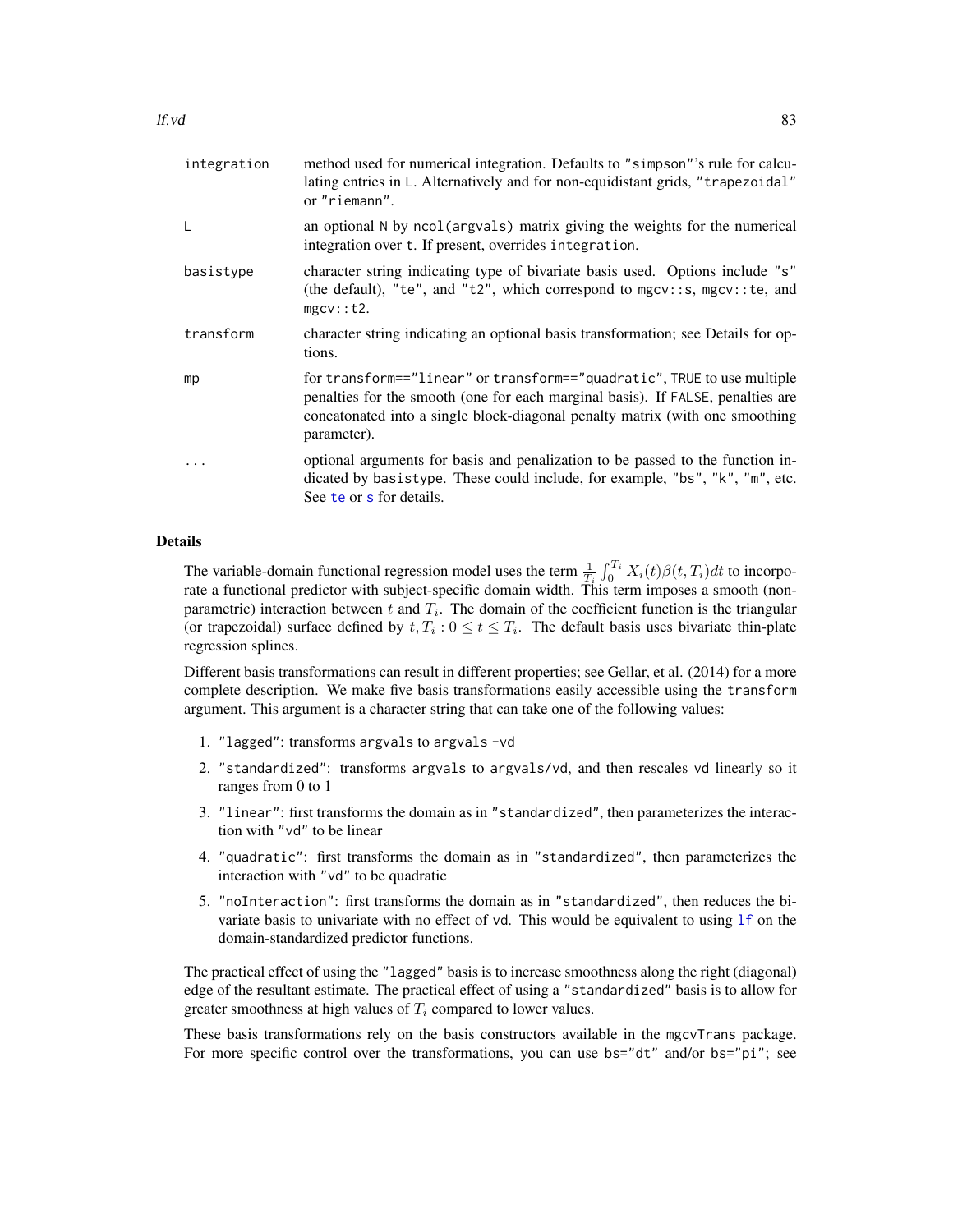| integration | method used for numerical integration. Defaults to "simpson"'s rule for calcu-<br>lating entries in L. Alternatively and for non-equidistant grids, "trapezoidal"<br>or "riemann".                                                                        |
|-------------|-----------------------------------------------------------------------------------------------------------------------------------------------------------------------------------------------------------------------------------------------------------|
| L           | an optional N by ncol(argvals) matrix giving the weights for the numerical<br>integration over t. If present, overrides integration.                                                                                                                      |
| basistype   | character string indicating type of bivariate basis used. Options include "s"<br>(the default), "te", and "t2", which correspond to $mgcv$ :: s, $mgcv$ :: te, and<br>$mgcv$ : : t2.                                                                      |
| transform   | character string indicating an optional basis transformation; see Details for op-<br>tions.                                                                                                                                                               |
| mp          | for transform=="linear" or transform=="quadratic", TRUE to use multiple<br>penalties for the smooth (one for each marginal basis). If FALSE, penalties are<br>concatonated into a single block-diagonal penalty matrix (with one smoothing<br>parameter). |
| .           | optional arguments for basis and penalization to be passed to the function in-<br>dicated by basistype. These could include, for example, "bs", "k", "m", etc.<br>See te or s for details.                                                                |

# Details

The variable-domain functional regression model uses the term  $\frac{1}{T_i} \int_0^{T_i} X_i(t) \beta(t, T_i) dt$  to incorporate a functional predictor with subject-specific domain width. This term imposes a smooth (nonparametric) interaction between t and  $T_i$ . The domain of the coefficient function is the triangular (or trapezoidal) surface defined by  $t, T_i : 0 \le t \le T_i$ . The default basis uses bivariate thin-plate regression splines.

Different basis transformations can result in different properties; see Gellar, et al. (2014) for a more complete description. We make five basis transformations easily accessible using the transform argument. This argument is a character string that can take one of the following values:

- 1. "lagged": transforms argvals to argvals -vd
- 2. "standardized": transforms argvals to argvals/vd, and then rescales vd linearly so it ranges from 0 to 1
- 3. "linear": first transforms the domain as in "standardized", then parameterizes the interaction with "vd" to be linear
- 4. "quadratic": first transforms the domain as in "standardized", then parameterizes the interaction with "vd" to be quadratic
- 5. "noInteraction": first transforms the domain as in "standardized", then reduces the bivariate basis to univariate with no effect of vd. This would be equivalent to using [lf](#page-79-0) on the domain-standardized predictor functions.

The practical effect of using the "lagged" basis is to increase smoothness along the right (diagonal) edge of the resultant estimate. The practical effect of using a "standardized" basis is to allow for greater smoothness at high values of  $T_i$  compared to lower values.

These basis transformations rely on the basis constructors available in the mgcvTrans package. For more specific control over the transformations, you can use bs="dt" and/or bs="pi"; see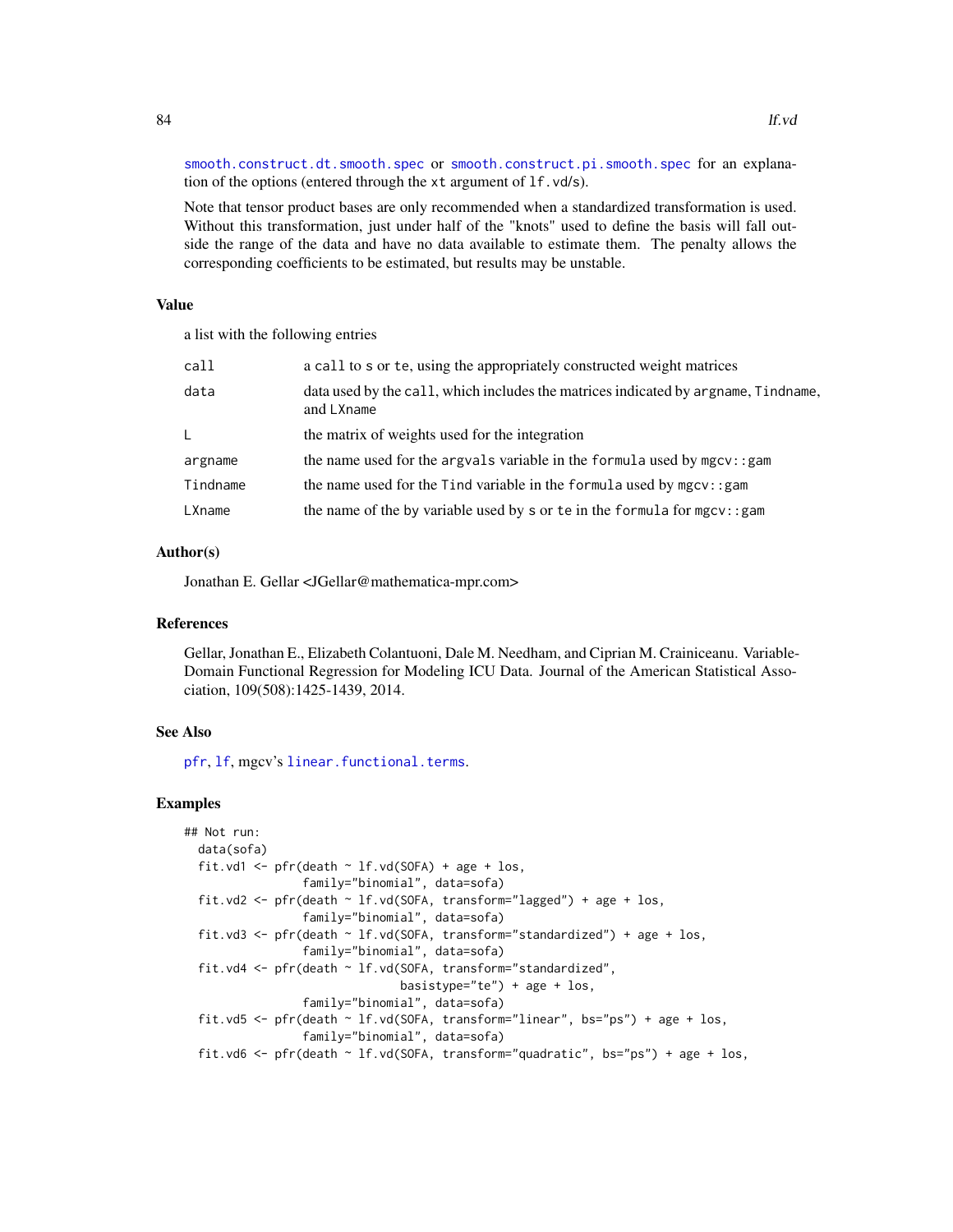[smooth.construct.dt.smooth.spec](#page-153-0) or [smooth.construct.pi.smooth.spec](#page-161-0) for an explanation of the options (entered through the xt argument of lf.vd/s).

Note that tensor product bases are only recommended when a standardized transformation is used. Without this transformation, just under half of the "knots" used to define the basis will fall outside the range of the data and have no data available to estimate them. The penalty allows the corresponding coefficients to be estimated, but results may be unstable.

### Value

a list with the following entries

| call     | a call to s or te, using the appropriately constructed weight matrices                           |
|----------|--------------------------------------------------------------------------------------------------|
| data     | data used by the call, which includes the matrices indicated by argname, Tindname,<br>and LXname |
| L.       | the matrix of weights used for the integration                                                   |
| argname  | the name used for the argvals variable in the formula used by mgcv: : gam                        |
| Tindname | the name used for the Tind variable in the formula used by $mgcv$ : : gam                        |
| LXname   | the name of the by variable used by s or te in the formula for $mgcv$ : : gam                    |

#### Author(s)

Jonathan E. Gellar <JGellar@mathematica-mpr.com>

### References

Gellar, Jonathan E., Elizabeth Colantuoni, Dale M. Needham, and Ciprian M. Crainiceanu. Variable-Domain Functional Regression for Modeling ICU Data. Journal of the American Statistical Association, 109(508):1425-1439, 2014.

### See Also

[pfr](#page-116-0), [lf](#page-79-0), mgcv's [linear.functional.terms](#page-0-0).

### Examples

```
## Not run:
 data(sofa)
 fit.vd1 <- pfr(death \sim lf.vd(SOFA) + age + los,
                 family="binomial", data=sofa)
 fit.vd2 <- pfr(death ~ lf.vd(SOFA, transform="lagged") + age + los,
                 family="binomial", data=sofa)
 fit.vd3 <- pfr(death ~ lf.vd(SOFA, transform="standardized") + age + los,
                 family="binomial", data=sofa)
 fit.vd4 <- pfr(death ~ lf.vd(SOFA, transform="standardized",
                               basistype="te") + age + los,
                 family="binomial", data=sofa)
 fit.vd5 <- pfr(death ~ lf.vd(SOFA, transform="linear", bs="ps") + age + los,
                 family="binomial", data=sofa)
 fit.vd6 <- pfr(death ~ lf.vd(SOFA, transform="quadratic", bs="ps") + age + los,
```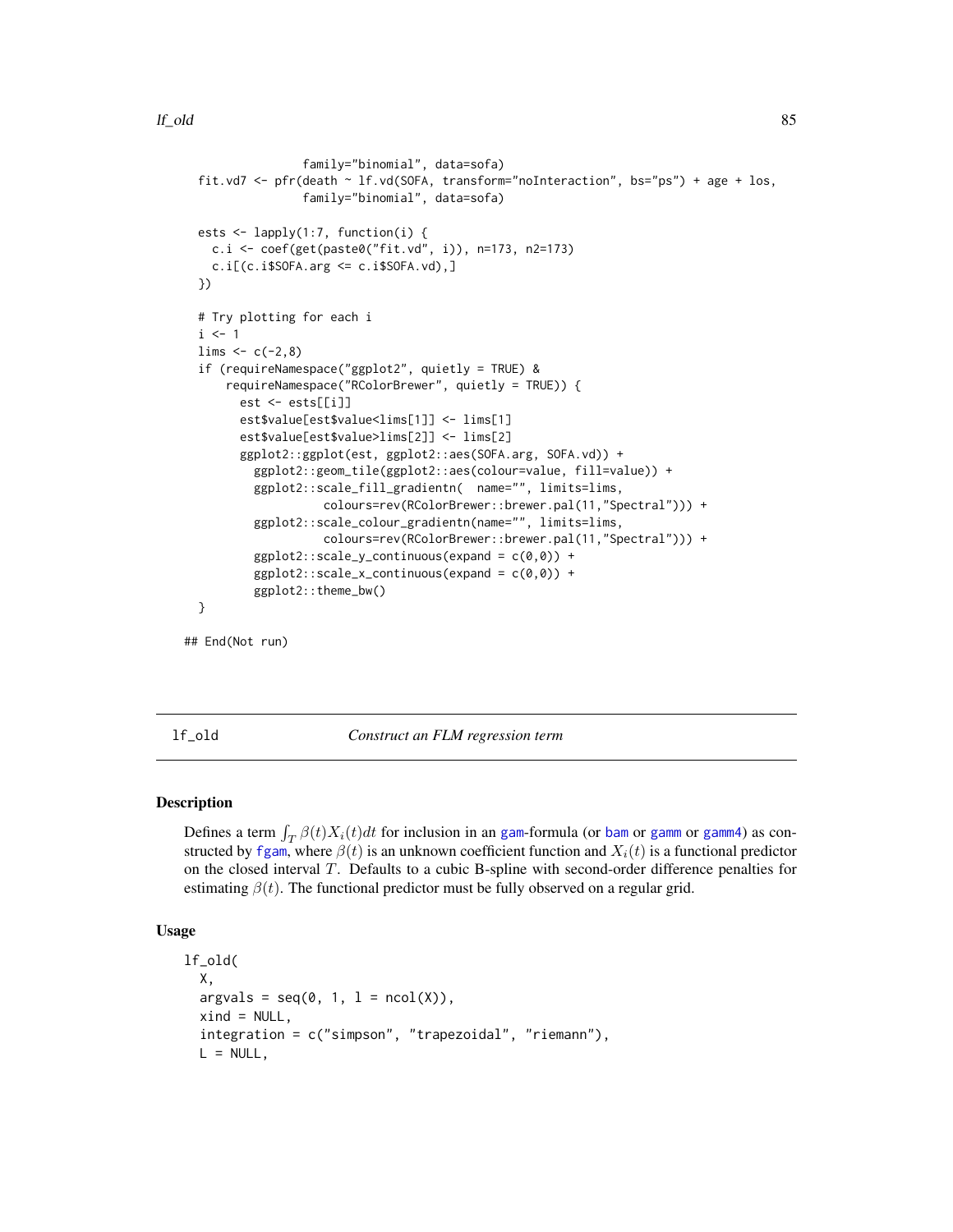```
family="binomial", data=sofa)
fit.vd7 <- pfr(death ~ lf.vd(SOFA, transform="noInteraction", bs="ps") + age + los,
               family="binomial", data=sofa)
ests <- lapply(1:7, function(i) {
 c.i <- coef(get(paste0("fit.vd", i)), n=173, n2=173)
  c.i[(c.i$SOFA.arg \leq c.i$SOFA.vd),]})
# Try plotting for each i
i \leq 1lims < -c(-2, 8)if (requireNamespace("ggplot2", quietly = TRUE) &
    requireNamespace("RColorBrewer", quietly = TRUE)) {
      est <- ests[[i]]
      est$value[est$value<lims[1]] <- lims[1]
      est$value[est$value>lims[2]] <- lims[2]
      ggplot2::ggplot(est, ggplot2::aes(SOFA.arg, SOFA.vd)) +
        ggplot2::geom_tile(ggplot2::aes(colour=value, fill=value)) +
        ggplot2::scale_fill_gradientn( name="", limits=lims,
                  colours=rev(RColorBrewer::brewer.pal(11,"Spectral"))) +
        ggplot2::scale_colour_gradientn(name="", limits=lims,
                  colours=rev(RColorBrewer::brewer.pal(11,"Spectral"))) +
        ggplot2::scale_y_{continuous}(expand = c(0,0)) +ggplot2::scale_x_{continuous}(expand = c(0,0)) +ggplot2::theme_bw()
}
```
## End(Not run)

lf\_old *Construct an FLM regression term*

### Description

Defines a term  $\int_T \beta(t)X_i(t)dt$  for inclusion in an [gam](#page-0-0)-formula (or [bam](#page-0-0) or [gamm](#page-0-0) or [gamm4](#page-0-0)) as constructed by [fgam](#page-31-0), where  $\beta(t)$  is an unknown coefficient function and  $X_i(t)$  is a functional predictor on the closed interval T. Defaults to a cubic B-spline with second-order difference penalties for estimating  $\beta(t)$ . The functional predictor must be fully observed on a regular grid.

# Usage

```
lf_old(
 X,
  argvals = seq(0, 1, 1 = ncol(X)),xind = NULL,integration = c("simpson", "trapezoidal", "riemann"),
 L = NULL,
```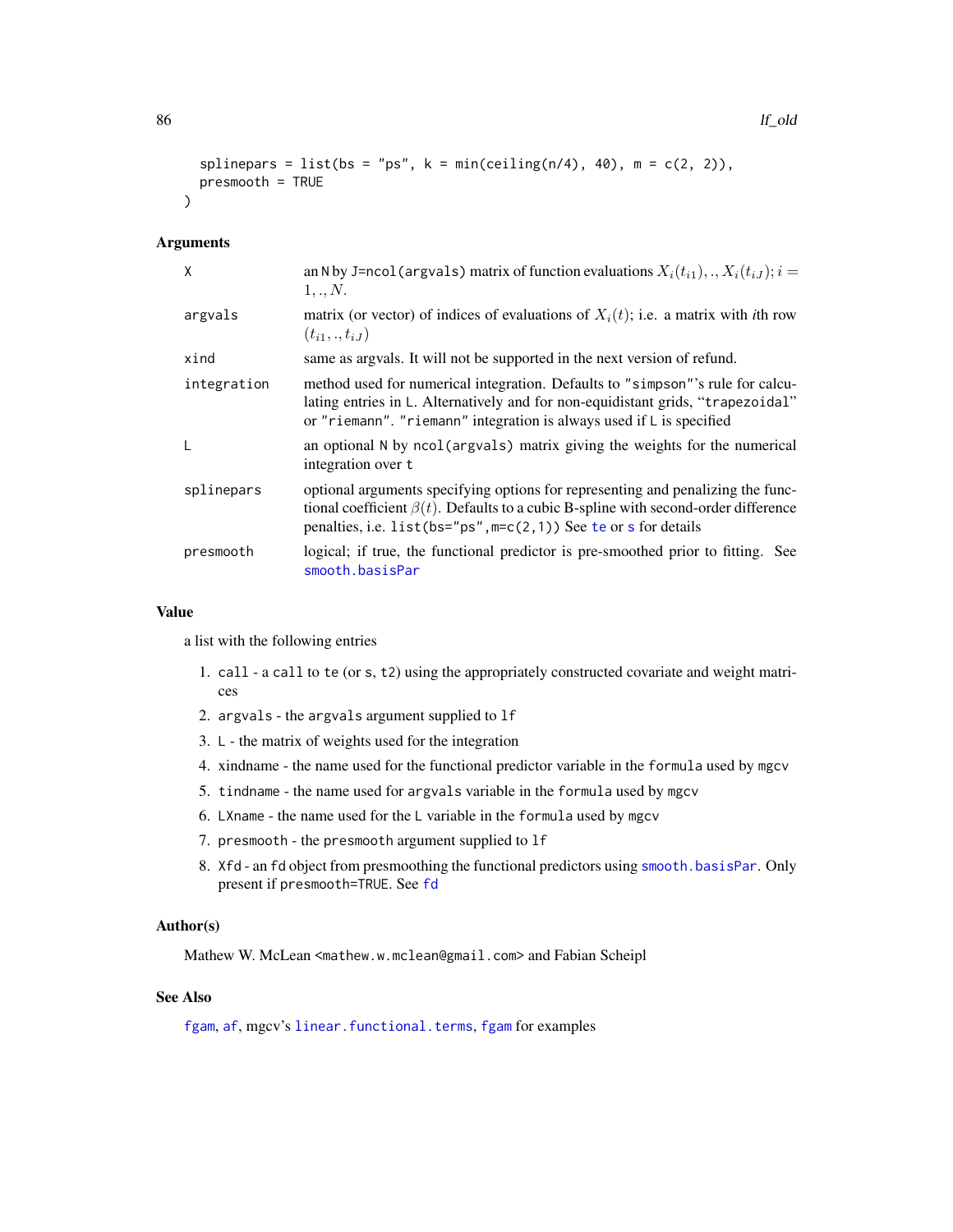```
splinepars = list(bs = "ps", k = min(c eiling(n/4), 40), m = c(2, 2)),
presmooth = TRUE
```
### Arguments

 $\lambda$ 

| X           | an N by J=ncol (argvals) matrix of function evaluations $X_i(t_{i1}),,X_i(t_{iJ}); i =$<br>1,., N.                                                                                                                                                      |
|-------------|---------------------------------------------------------------------------------------------------------------------------------------------------------------------------------------------------------------------------------------------------------|
| argvals     | matrix (or vector) of indices of evaluations of $X_i(t)$ ; i.e. a matrix with <i>i</i> th row<br>$(t_{i1},.,t_{iJ})$                                                                                                                                    |
| xind        | same as argvals. It will not be supported in the next version of refund.                                                                                                                                                                                |
| integration | method used for numerical integration. Defaults to "simpson"'s rule for calcu-<br>lating entries in L. Alternatively and for non-equidistant grids, "trapezoidal"<br>or "riemann". "riemann" integration is always used if $\mathsf{L}$ is specified    |
| L           | an optional N by ncol (argvals) matrix giving the weights for the numerical<br>integration over t                                                                                                                                                       |
| splinepars  | optional arguments specifying options for representing and penalizing the func-<br>tional coefficient $\beta(t)$ . Defaults to a cubic B-spline with second-order difference<br>penalties, i.e. list ( $bs="ps"$ , $m=c(2,1)$ ) See te or s for details |
| presmooth   | logical; if true, the functional predictor is pre-smoothed prior to fitting. See<br>smooth.basisPar                                                                                                                                                     |

#### Value

a list with the following entries

- 1. call a call to te (or s, t2) using the appropriately constructed covariate and weight matrices
- 2. argvals the argvals argument supplied to lf
- 3. L the matrix of weights used for the integration
- 4. xindname the name used for the functional predictor variable in the formula used by mgcv
- 5. tindname the name used for argvals variable in the formula used by mgcv
- 6. LXname the name used for the L variable in the formula used by mgcv
- 7. presmooth the presmooth argument supplied to lf
- 8. Xfd an fd object from presmoothing the functional predictors using [smooth.basisPar](#page-0-0). Only present if presmooth=TRUE. See [fd](#page-0-0)

# Author(s)

Mathew W. McLean <mathew.w.mclean@gmail.com> and Fabian Scheipl

# See Also

[fgam](#page-31-0), [af](#page-4-0), mgcv's [linear.functional.terms](#page-0-0), fgam for examples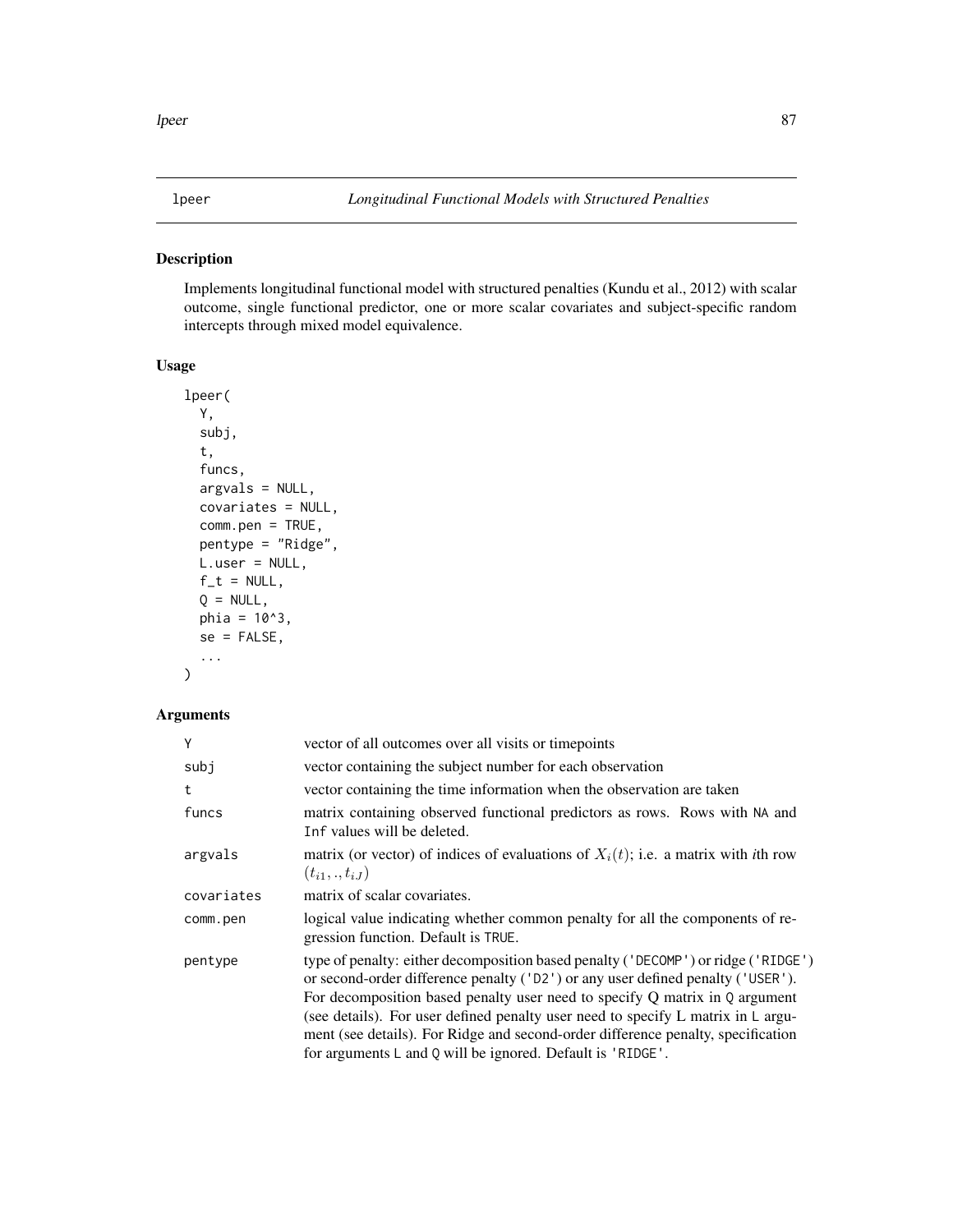# Description

Implements longitudinal functional model with structured penalties (Kundu et al., 2012) with scalar outcome, single functional predictor, one or more scalar covariates and subject-specific random intercepts through mixed model equivalence.

### Usage

```
lpeer(
  Y,
  subj,
  t,
  funcs,
  argvals = NULL,
  covariates = NULL,
  comm.pen = TRUE,pentype = "Ridge",
 L.user = NULL,
  f_t = NULL,Q = NULL,phi = 10^3,
  se = FALSE,...
```
# Arguments

)

| Y          | vector of all outcomes over all visits or timepoints                                                                                                                                                                                                                                                                                                                                                                                                                                          |
|------------|-----------------------------------------------------------------------------------------------------------------------------------------------------------------------------------------------------------------------------------------------------------------------------------------------------------------------------------------------------------------------------------------------------------------------------------------------------------------------------------------------|
| subj       | vector containing the subject number for each observation                                                                                                                                                                                                                                                                                                                                                                                                                                     |
| t          | vector containing the time information when the observation are taken                                                                                                                                                                                                                                                                                                                                                                                                                         |
| funcs      | matrix containing observed functional predictors as rows. Rows with NA and<br>Inf values will be deleted.                                                                                                                                                                                                                                                                                                                                                                                     |
| argvals    | matrix (or vector) of indices of evaluations of $X_i(t)$ ; i.e. a matrix with <i>i</i> th row<br>$(t_{i1},.,t_{iJ})$                                                                                                                                                                                                                                                                                                                                                                          |
| covariates | matrix of scalar covariates.                                                                                                                                                                                                                                                                                                                                                                                                                                                                  |
| comm.pen   | logical value indicating whether common penalty for all the components of re-<br>gression function. Default is TRUE.                                                                                                                                                                                                                                                                                                                                                                          |
| pentype    | type of penalty: either decomposition based penalty ('DECOMP') or ridge ('RIDGE')<br>or second-order difference penalty ('D2') or any user defined penalty ('USER').<br>For decomposition based penalty user need to specify $Q$ matrix in $Q$ argument<br>(see details). For user defined penalty user need to specify L matrix in L argu-<br>ment (see details). For Ridge and second-order difference penalty, specification<br>for arguments L and Q will be ignored. Default is 'RIDGE'. |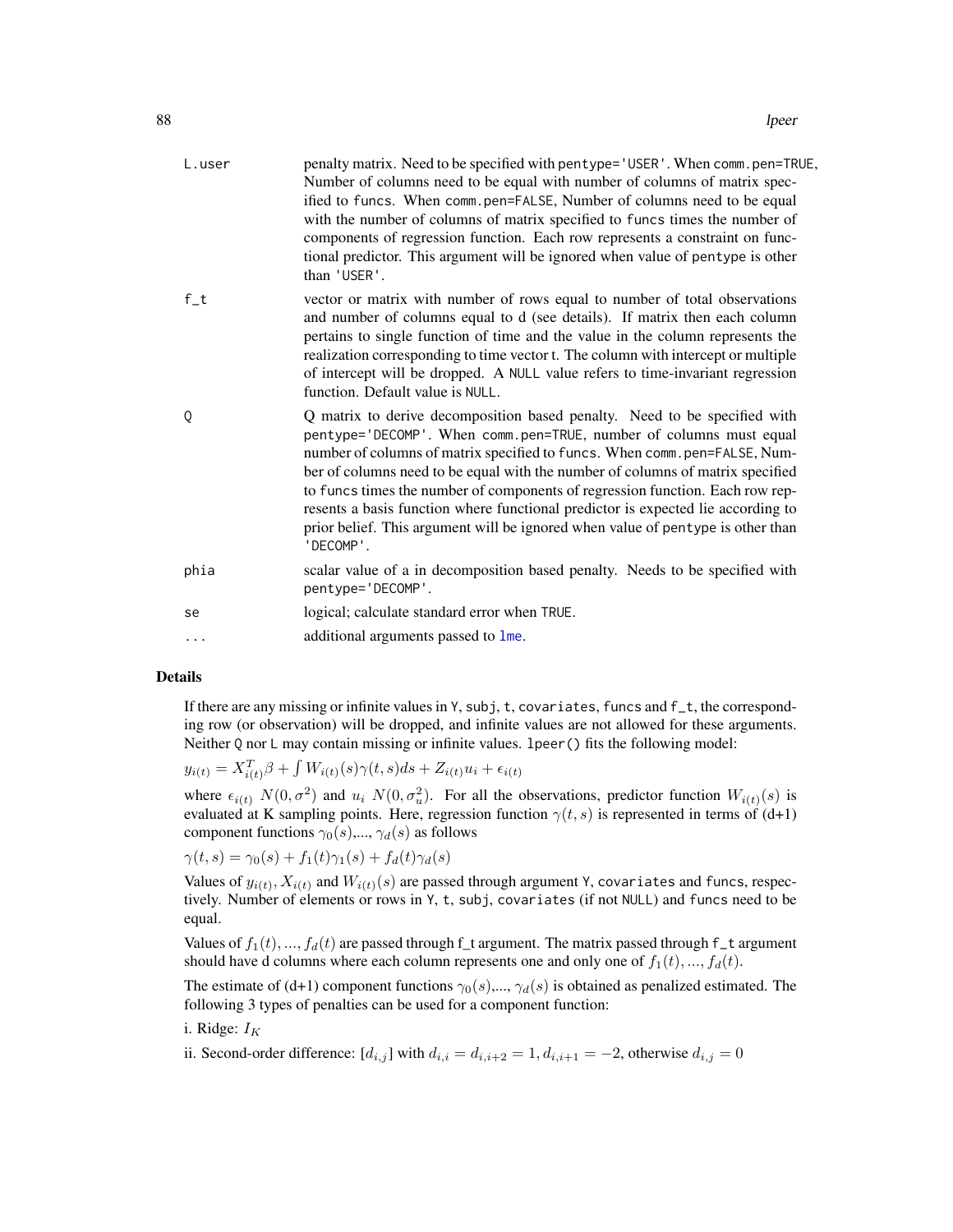| L.user | penalty matrix. Need to be specified with pentype='USER'. When comm.pen=TRUE,<br>Number of columns need to be equal with number of columns of matrix spec-<br>ified to funcs. When comm.pen=FALSE, Number of columns need to be equal<br>with the number of columns of matrix specified to funcs times the number of<br>components of regression function. Each row represents a constraint on func-<br>tional predictor. This argument will be ignored when value of pentype is other<br>than 'USER'.                                                                              |
|--------|-------------------------------------------------------------------------------------------------------------------------------------------------------------------------------------------------------------------------------------------------------------------------------------------------------------------------------------------------------------------------------------------------------------------------------------------------------------------------------------------------------------------------------------------------------------------------------------|
| $f_t$  | vector or matrix with number of rows equal to number of total observations<br>and number of columns equal to d (see details). If matrix then each column<br>pertains to single function of time and the value in the column represents the<br>realization corresponding to time vector t. The column with intercept or multiple<br>of intercept will be dropped. A NULL value refers to time-invariant regression<br>function. Default value is NULL.                                                                                                                               |
| Q      | Q matrix to derive decomposition based penalty. Need to be specified with<br>pentype='DECOMP'. When comm.pen=TRUE, number of columns must equal<br>number of columns of matrix specified to funcs. When comm.pen=FALSE, Num-<br>ber of columns need to be equal with the number of columns of matrix specified<br>to funcs times the number of components of regression function. Each row rep-<br>resents a basis function where functional predictor is expected lie according to<br>prior belief. This argument will be ignored when value of pentype is other than<br>'DECOMP'. |
| phia   | scalar value of a in decomposition based penalty. Needs to be specified with<br>pentype='DECOMP'.                                                                                                                                                                                                                                                                                                                                                                                                                                                                                   |
| se     | logical; calculate standard error when TRUE.                                                                                                                                                                                                                                                                                                                                                                                                                                                                                                                                        |
| .      | additional arguments passed to lme.                                                                                                                                                                                                                                                                                                                                                                                                                                                                                                                                                 |
|        |                                                                                                                                                                                                                                                                                                                                                                                                                                                                                                                                                                                     |

### Details

If there are any missing or infinite values in Y, subj, t, covariates, funcs and f\_t, the corresponding row (or observation) will be dropped, and infinite values are not allowed for these arguments. Neither Q nor L may contain missing or infinite values. lpeer() fits the following model:

$$
y_{i(t)} = X_{i(t)}^T \beta + \int W_{i(t)}(s)\gamma(t,s)ds + Z_{i(t)}u_i + \epsilon_{i(t)}
$$

where  $\epsilon_{i(t)}$   $N(0, \sigma^2)$  and  $u_i$   $N(0, \sigma^2_u)$ . For all the observations, predictor function  $W_{i(t)}(s)$  is evaluated at K sampling points. Here, regression function  $\gamma(t, s)$  is represented in terms of (d+1) component functions  $\gamma_0(s),...,\gamma_d(s)$  as follows

$$
\gamma(t,s) = \gamma_0(s) + f_1(t)\gamma_1(s) + f_d(t)\gamma_d(s)
$$

Values of  $y_{i(t)}, X_{i(t)}$  and  $W_{i(t)}(s)$  are passed through argument Y, covariates and funcs, respectively. Number of elements or rows in Y, t, subj, covariates (if not NULL) and funcs need to be equal.

Values of  $f_1(t), ..., f_d(t)$  are passed through f\_t argument. The matrix passed through f\_t argument should have d columns where each column represents one and only one of  $f_1(t), ..., f_d(t)$ .

The estimate of (d+1) component functions  $\gamma_0(s),...,\gamma_d(s)$  is obtained as penalized estimated. The following 3 types of penalties can be used for a component function:

# i. Ridge:  $I_K$

ii. Second-order difference:  $[d_{i,j}]$  with  $d_{i,i} = d_{i,i+2} = 1, d_{i,i+1} = -2$ , otherwise  $d_{i,j} = 0$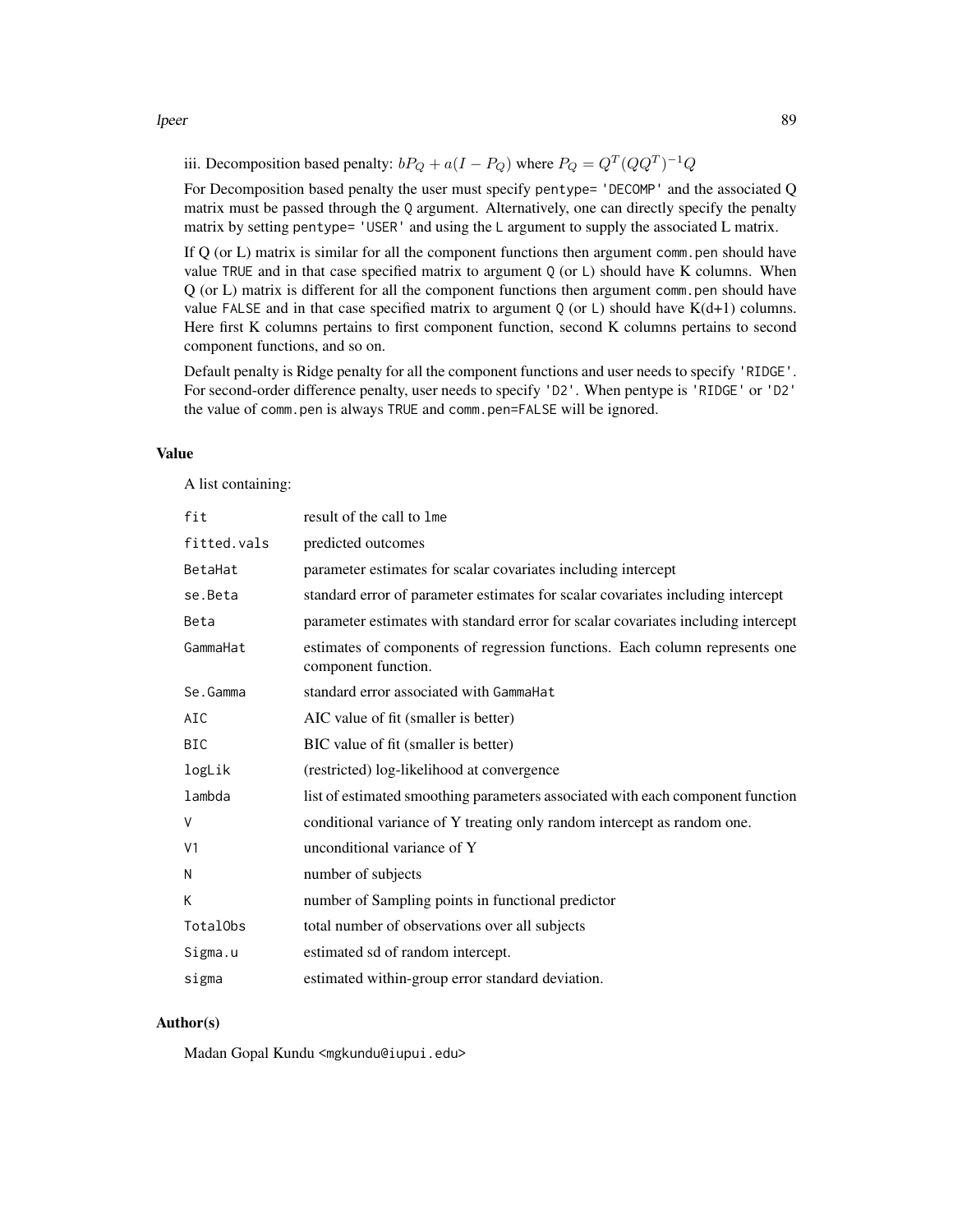iii. Decomposition based penalty:  $bP_Q + a(I - P_Q)$  where  $P_Q = Q^T (QQ^T)^{-1} Q$ 

For Decomposition based penalty the user must specify pentype= 'DECOMP' and the associated Q matrix must be passed through the Q argument. Alternatively, one can directly specify the penalty matrix by setting pentype= 'USER' and using the L argument to supply the associated L matrix.

If Q (or L) matrix is similar for all the component functions then argument comm.pen should have value TRUE and in that case specified matrix to argument  $Q$  (or  $L$ ) should have K columns. When Q (or L) matrix is different for all the component functions then argument comm.pen should have value FALSE and in that case specified matrix to argument  $Q$  (or L) should have  $K(d+1)$  columns. Here first K columns pertains to first component function, second K columns pertains to second component functions, and so on.

Default penalty is Ridge penalty for all the component functions and user needs to specify 'RIDGE'. For second-order difference penalty, user needs to specify 'D2'. When pentype is 'RIDGE' or 'D2' the value of comm.pen is always TRUE and comm.pen=FALSE will be ignored.

# Value

A list containing:

| fit            | result of the call to 1me                                                                          |
|----------------|----------------------------------------------------------------------------------------------------|
| fitted.vals    | predicted outcomes                                                                                 |
| BetaHat        | parameter estimates for scalar covariates including intercept                                      |
| se.Beta        | standard error of parameter estimates for scalar covariates including intercept                    |
| Beta           | parameter estimates with standard error for scalar covariates including intercept                  |
| GammaHat       | estimates of components of regression functions. Each column represents one<br>component function. |
| Se.Gamma       | standard error associated with GammaHat                                                            |
| AIC            | AIC value of fit (smaller is better)                                                               |
| BIC            | BIC value of fit (smaller is better)                                                               |
| logLik         | (restricted) log-likelihood at convergence                                                         |
| lambda         | list of estimated smoothing parameters associated with each component function                     |
| V              | conditional variance of Y treating only random intercept as random one.                            |
| V <sub>1</sub> | unconditional variance of Y                                                                        |
| Ν              | number of subjects                                                                                 |
| K              | number of Sampling points in functional predictor                                                  |
| TotalObs       | total number of observations over all subjects                                                     |
| Sigma.u        | estimated sd of random intercept.                                                                  |
| sigma          | estimated within-group error standard deviation.                                                   |

### Author(s)

Madan Gopal Kundu <mgkundu@iupui.edu>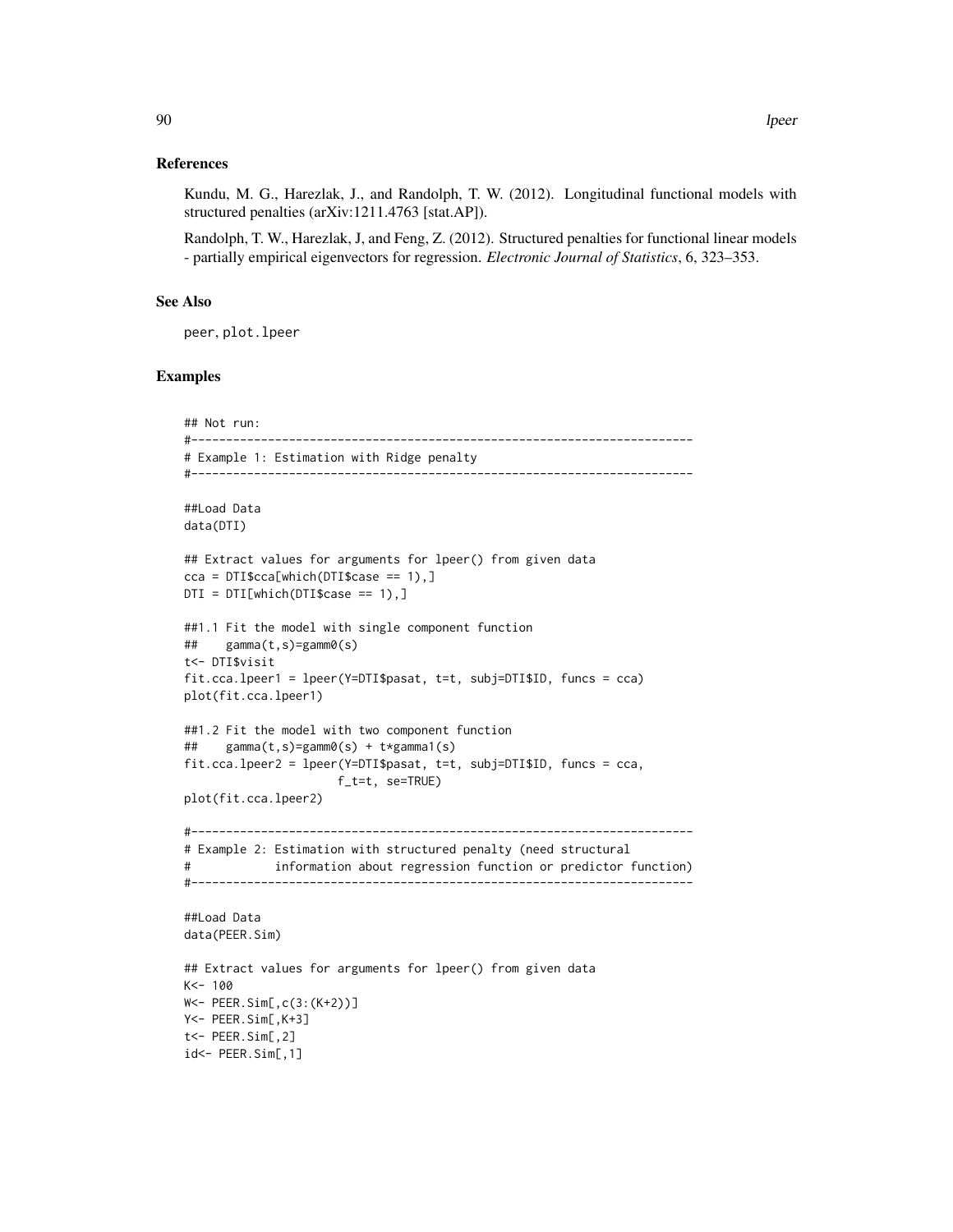### References

Kundu, M. G., Harezlak, J., and Randolph, T. W. (2012). Longitudinal functional models with structured penalties (arXiv:1211.4763 [stat.AP]).

Randolph, T. W., Harezlak, J, and Feng, Z. (2012). Structured penalties for functional linear models - partially empirical eigenvectors for regression. *Electronic Journal of Statistics*, 6, 323–353.

# See Also

peer, plot.lpeer

# Examples

```
## Not run:
#------------------------------------------------------------------------
# Example 1: Estimation with Ridge penalty
#------------------------------------------------------------------------
##Load Data
data(DTI)
## Extract values for arguments for lpeer() from given data
cca = DTI$cca[which(DTI$case == 1),]DTI = DTI[which(DTI$case == 1),]##1.1 Fit the model with single component function
## gamma(t,s)=gamm0(s)
t<- DTI$visit
fit.cca.lpeer1 = lpeer(Y=DTI$pasat, t=t, subj=DTI$ID, funcs = cca)
plot(fit.cca.lpeer1)
##1.2 Fit the model with two component function
## gamma(t,s)=gamm0(s) + t*gamma1(s)
fit.cca.lpeer2 = lpeer(Y=DTI$pasat, t=t, subj=DTI$ID, funcs = cca,
                     f_t=t, se=TRUE)
plot(fit.cca.lpeer2)
#------------------------------------------------------------------------
# Example 2: Estimation with structured penalty (need structural
# information about regression function or predictor function)
#------------------------------------------------------------------------
##Load Data
data(PEER.Sim)
## Extract values for arguments for lpeer() from given data
K<- 100
W<- PEER.Sim[,c(3:(K+2))]
Y<- PEER.Sim[,K+3]
t<- PEER.Sim[,2]
id<- PEER.Sim[,1]
```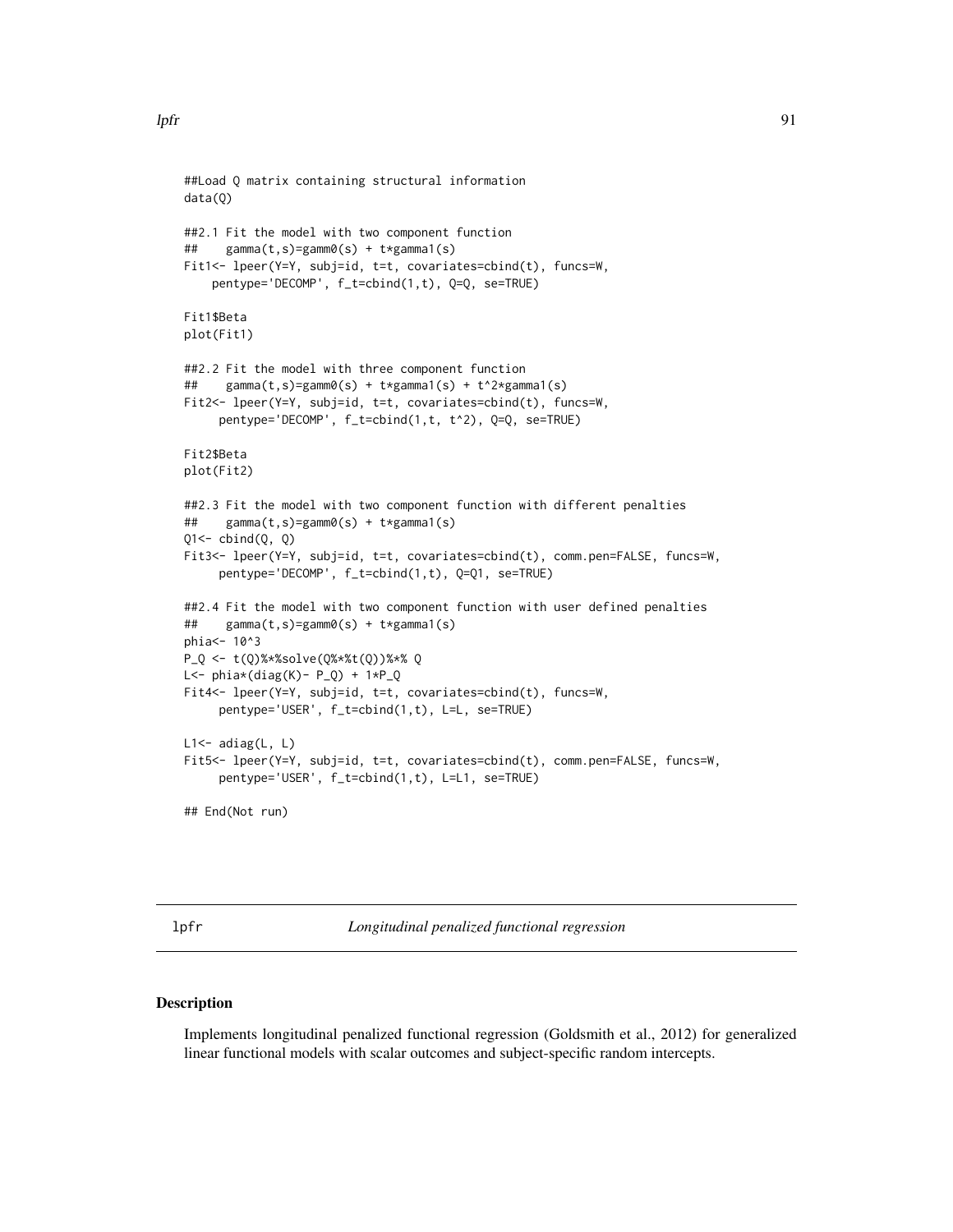```
##Load Q matrix containing structural information
data(Q)
##2.1 Fit the model with two component function
## gamma(t,s)=gamm0(s) + t*gamma1(s)
Fit1<- lpeer(Y=Y, subj=id, t=t, covariates=cbind(t), funcs=W,
    pentype='DECOMP', f_t=cbind(1,t), Q=Q, se=TRUE)
Fit1$Beta
plot(Fit1)
##2.2 Fit the model with three component function
## gamma(t,s)=gamm0(s) + t*gamma1(s) + t^2*gamma1(s)
Fit2<- lpeer(Y=Y, subj=id, t=t, covariates=cbind(t), funcs=W,
     pentype='DECOMP', f_t=cbind(1,t, t^2), Q=Q, se=TRUE)
Fit2$Beta
plot(Fit2)
##2.3 Fit the model with two component function with different penalties
## gamma(t,s)=gamm0(s) + t*gamma1(s)
Q1 \leftarrow \text{cbind}(Q, Q)Fit3<- lpeer(Y=Y, subj=id, t=t, covariates=cbind(t), comm.pen=FALSE, funcs=W,
     pentype='DECOMP', f_t=cbind(1,t), Q=Q1, se=TRUE)
##2.4 Fit the model with two component function with user defined penalties
## gamma(t,s)=gamm0(s) + t*gamma1(s)
phia <- 10^3
P_Q <- t(Q)%*%solve(Q%*%t(Q))%*% Q
L <- phi*(diag(K) - P_Q) + 1*P_QFit4<- lpeer(Y=Y, subj=id, t=t, covariates=cbind(t), funcs=W,
     pentype='USER', f_t=cbind(1,t), L=L, se=TRUE)
L1 < - adiag(L, L)
Fit5<- lpeer(Y=Y, subj=id, t=t, covariates=cbind(t), comm.pen=FALSE, funcs=W,
     pentype='USER', f_t=cbind(1,t), L=L1, se=TRUE)
## End(Not run)
```
lpfr *Longitudinal penalized functional regression*

### **Description**

Implements longitudinal penalized functional regression (Goldsmith et al., 2012) for generalized linear functional models with scalar outcomes and subject-specific random intercepts.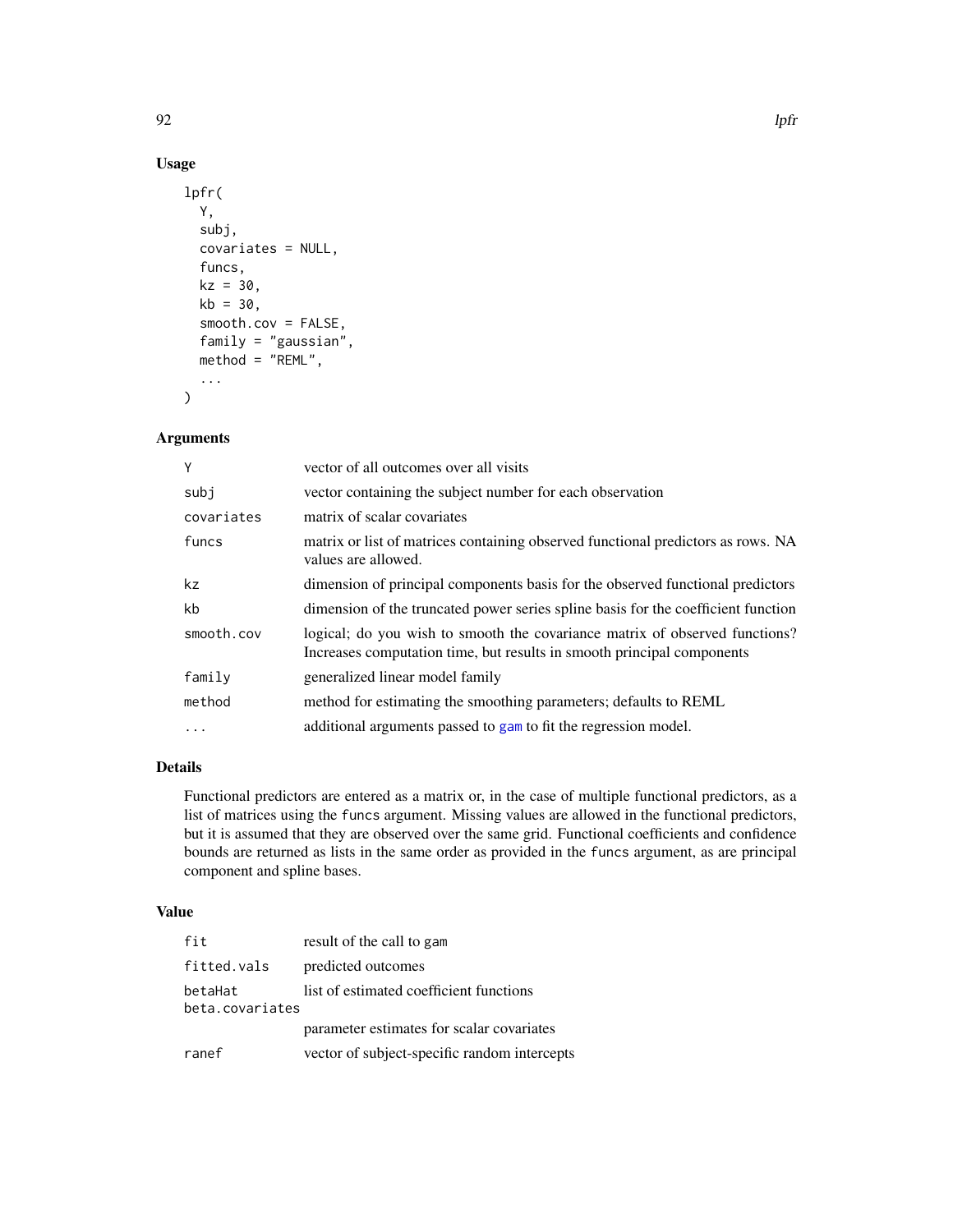# Usage

```
lpfr(
 Y,
  subj,
  covariates = NULL,
  funcs,
 kz = 30,
 kb = 30,smooth.cov = FALSE,
  family = "gaussian",
 method = "REML",...
)
```
# Arguments

| Y          | vector of all outcomes over all visits                                                                                                                |
|------------|-------------------------------------------------------------------------------------------------------------------------------------------------------|
| subi       | vector containing the subject number for each observation                                                                                             |
| covariates | matrix of scalar covariates                                                                                                                           |
| funcs      | matrix or list of matrices containing observed functional predictors as rows. NA<br>values are allowed.                                               |
| kz         | dimension of principal components basis for the observed functional predictors                                                                        |
| kb         | dimension of the truncated power series spline basis for the coefficient function                                                                     |
| smooth.cov | logical; do you wish to smooth the covariance matrix of observed functions?<br>Increases computation time, but results in smooth principal components |
| family     | generalized linear model family                                                                                                                       |
| method     | method for estimating the smoothing parameters; defaults to REML                                                                                      |
| $\cdot$    | additional arguments passed to gam to fit the regression model.                                                                                       |

# Details

Functional predictors are entered as a matrix or, in the case of multiple functional predictors, as a list of matrices using the funcs argument. Missing values are allowed in the functional predictors, but it is assumed that they are observed over the same grid. Functional coefficients and confidence bounds are returned as lists in the same order as provided in the funcs argument, as are principal component and spline bases.

# Value

| fit                        | result of the call to gam                    |
|----------------------------|----------------------------------------------|
| fitted.vals                | predicted outcomes                           |
| betaHat<br>beta.covariates | list of estimated coefficient functions      |
|                            | parameter estimates for scalar covariates    |
| ranef                      | vector of subject-specific random intercepts |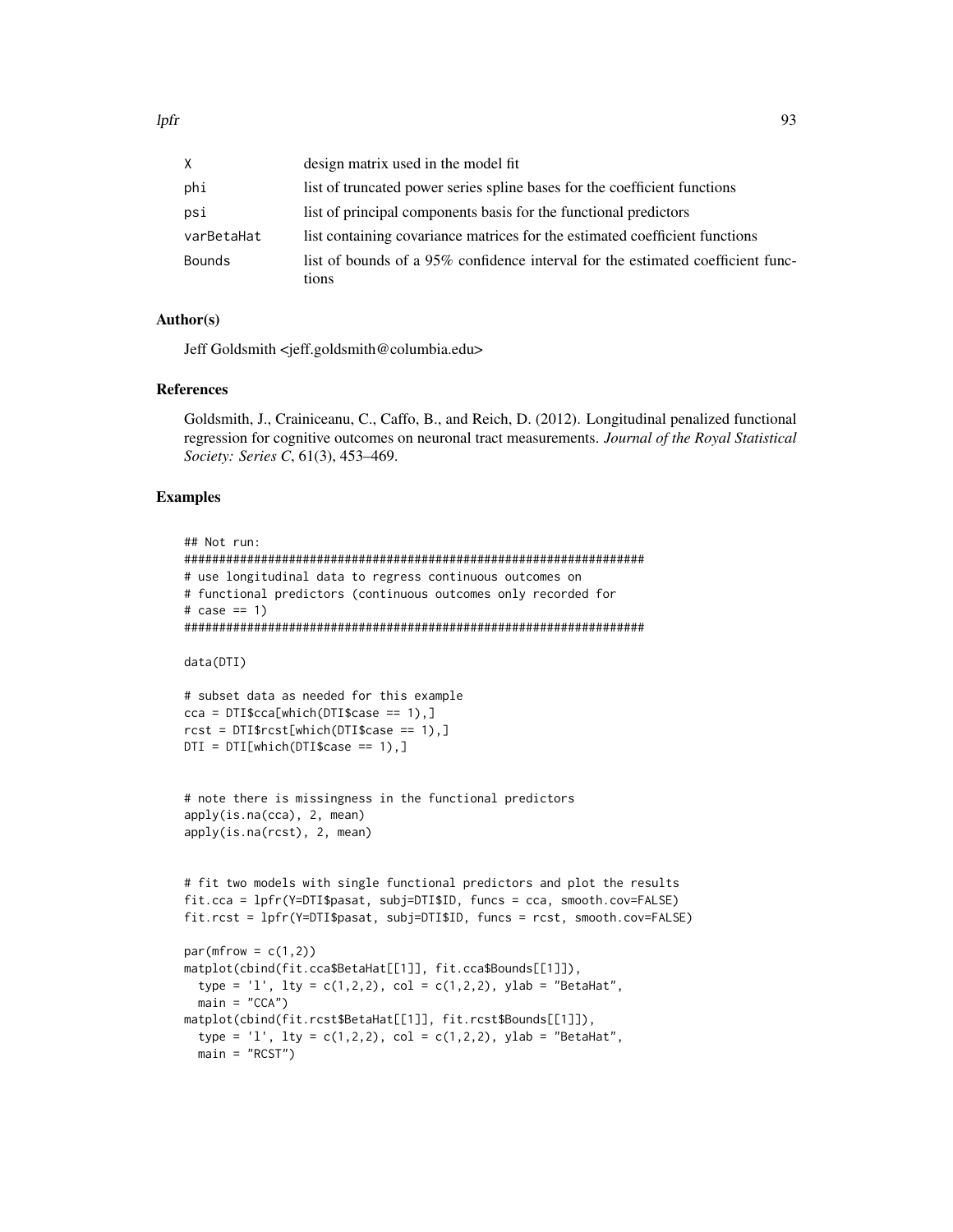| X.            | design matrix used in the model fit                                                      |
|---------------|------------------------------------------------------------------------------------------|
| phi           | list of truncated power series spline bases for the coefficient functions                |
| psi           | list of principal components basis for the functional predictors                         |
| varBetaHat    | list containing covariance matrices for the estimated coefficient functions              |
| <b>Bounds</b> | list of bounds of a 95% confidence interval for the estimated coefficient func-<br>tions |

### Author(s)

Jeff Goldsmith <jeff.goldsmith@columbia.edu>

### References

Goldsmith, J., Crainiceanu, C., Caffo, B., and Reich, D. (2012). Longitudinal penalized functional regression for cognitive outcomes on neuronal tract measurements. *Journal of the Royal Statistical Society: Series C*, 61(3), 453–469.

### Examples

```
## Not run:
##################################################################
# use longitudinal data to regress continuous outcomes on
# functional predictors (continuous outcomes only recorded for
# \text{ case} == 1)##################################################################
data(DTI)
# subset data as needed for this example
cca = DTI$cca[which(DTI$case == 1),]rct = DTI$rcst[which(DTI$case == 1),]DTI = DTI[which(DTI$case == 1),]# note there is missingness in the functional predictors
apply(is.na(cca), 2, mean)
apply(is.na(rcst), 2, mean)
# fit two models with single functional predictors and plot the results
fit.cca = lpfr(Y=DTI$pasat, subj=DTI$ID, funcs = cca, smooth.cov=FALSE)
fit.rcst = lpfr(Y=DTI$pasat, subj=DTI$ID, funcs = rcst, smooth.cov=FALSE)
par(mfrow = c(1,2))matplot(cbind(fit.cca$BetaHat[[1]], fit.cca$Bounds[[1]]),
  type = 'l', lty = c(1,2,2), col = c(1,2,2), ylab = "BetaHat",
  main = "CCA")matplot(cbind(fit.rcst$BetaHat[[1]], fit.rcst$Bounds[[1]]),
  type = 'l', lty = c(1,2,2), col = c(1,2,2), ylab = "BetaHat",
  main = "RCST")
```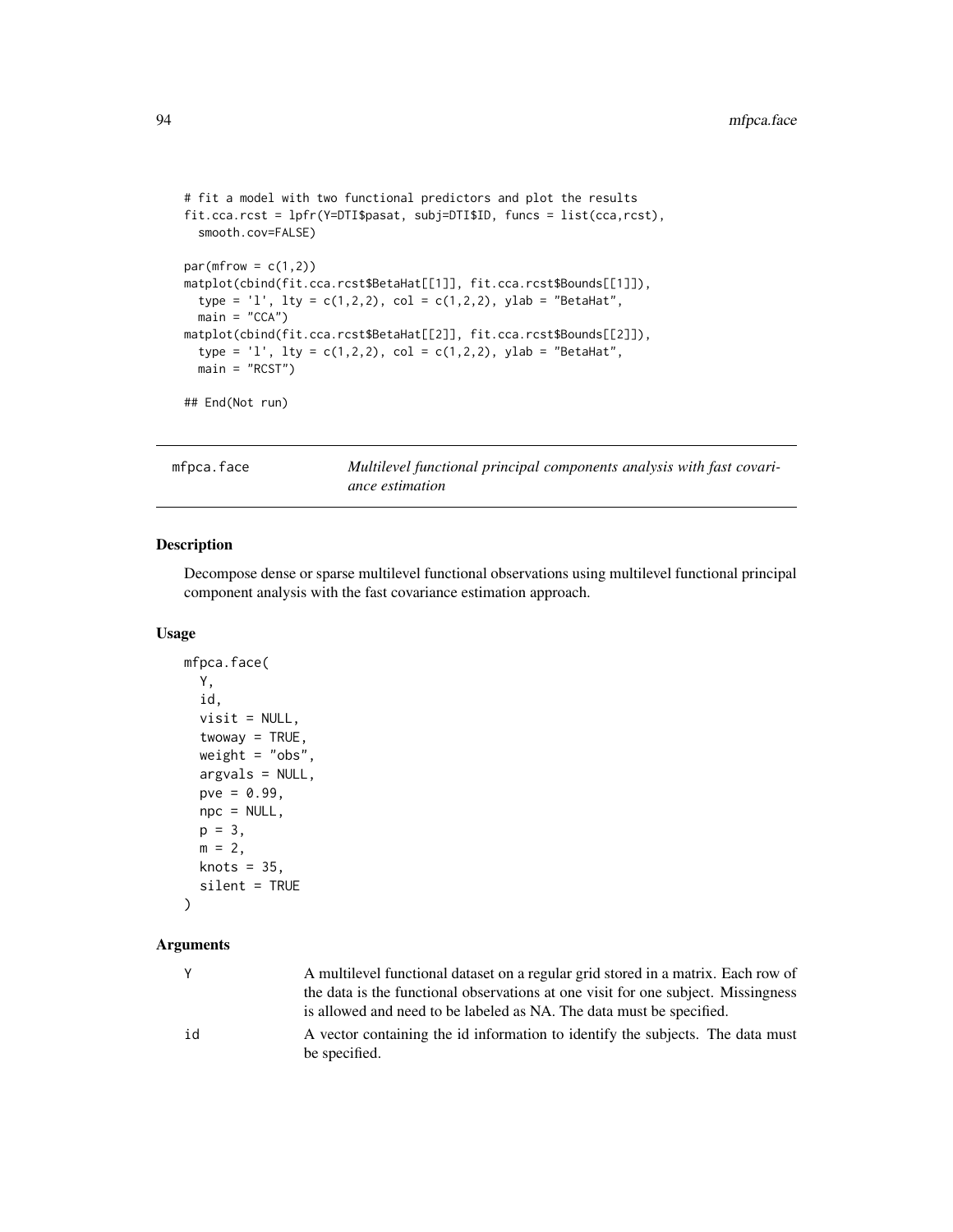```
# fit a model with two functional predictors and plot the results
fit.cca.rcst = lpfr(Y=DTI$pasat, subj=DTI$ID, funcs = list(cca,rcst),
  smooth.cov=FALSE)
par(mfrow = c(1,2))matplot(cbind(fit.cca.rcst$BetaHat[[1]], fit.cca.rcst$Bounds[[1]]),
  type = 'l', lty = c(1,2,2), col = c(1,2,2), ylab = "BetaHat",
  main = "CCA")matplot(cbind(fit.cca.rcst$BetaHat[[2]], fit.cca.rcst$Bounds[[2]]),
  type = 'l', lty = c(1,2,2), col = c(1,2,2), ylab = "BetaHat",
  main = "RCST")
## End(Not run)
```
mfpca.face *Multilevel functional principal components analysis with fast covariance estimation*

# Description

Decompose dense or sparse multilevel functional observations using multilevel functional principal component analysis with the fast covariance estimation approach.

### Usage

```
mfpca.face(
 Y,
  id,
 visit = NULL,twoway = TRUE,
 weight = "obs",argvals = NULL,
 pve = 0.99,
 npc = NULL,
 p = 3,
 m = 2,
 knots = 35.
  silent = TRUE
)
```
### Arguments

|    | A multilevel functional dataset on a regular grid stored in a matrix. Each row of               |
|----|-------------------------------------------------------------------------------------------------|
|    | the data is the functional observations at one visit for one subject. Missingness               |
|    | is allowed and need to be labeled as NA. The data must be specified.                            |
| id | A vector containing the id information to identify the subjects. The data must<br>be specified. |
|    |                                                                                                 |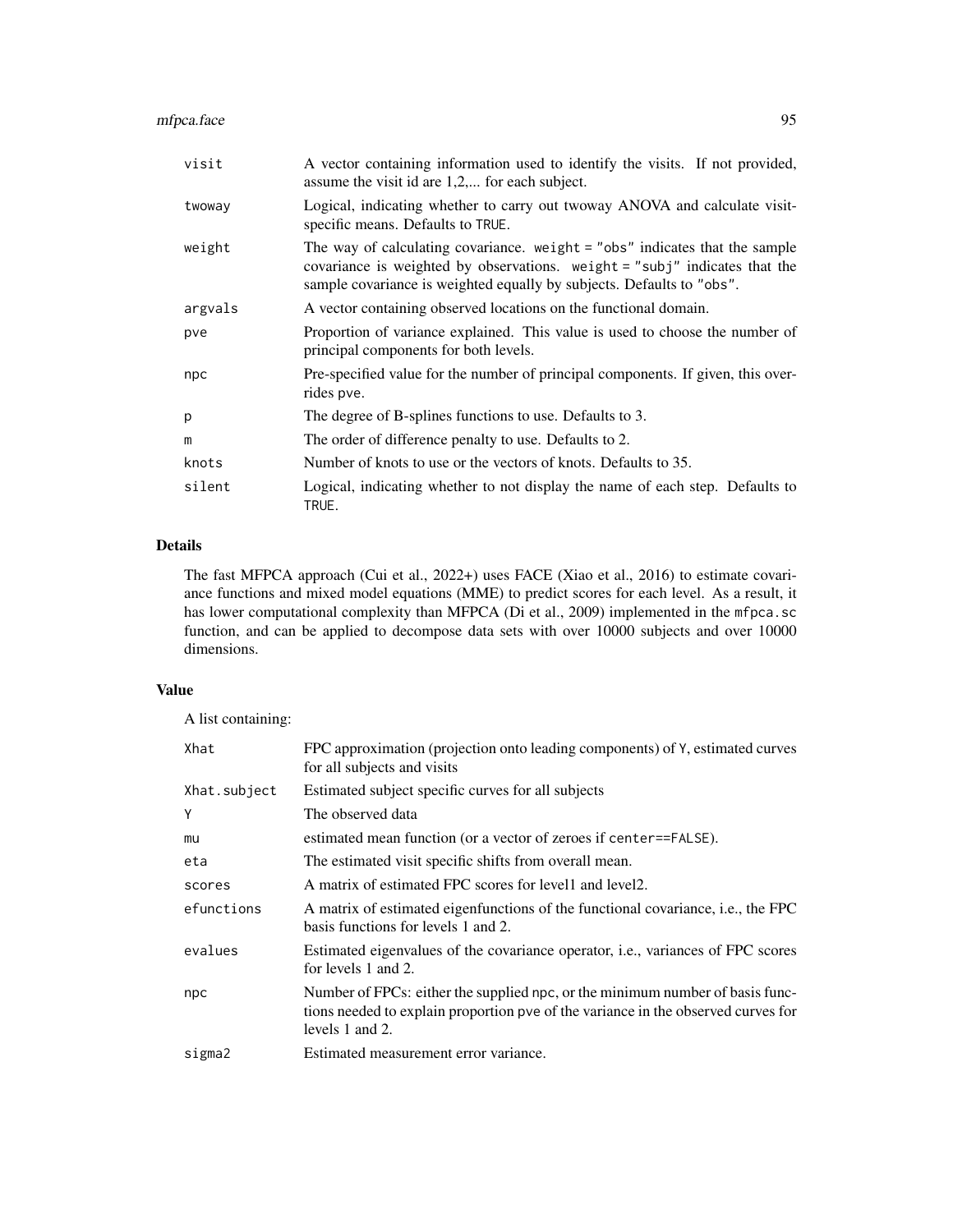# mfpca.face 95

| visit   | A vector containing information used to identify the visits. If not provided,<br>assume the visit id are $1,2,$ for each subject.                                                                                                    |
|---------|--------------------------------------------------------------------------------------------------------------------------------------------------------------------------------------------------------------------------------------|
| twoway  | Logical, indicating whether to carry out twoway ANOVA and calculate visit-<br>specific means. Defaults to TRUE.                                                                                                                      |
| weight  | The way of calculating covariance. weight $=$ "obs" indicates that the sample<br>covariance is weighted by observations. weight = "subj" indicates that the<br>sample covariance is weighted equally by subjects. Defaults to "obs". |
| argvals | A vector containing observed locations on the functional domain.                                                                                                                                                                     |
| pve     | Proportion of variance explained. This value is used to choose the number of<br>principal components for both levels.                                                                                                                |
| npc     | Pre-specified value for the number of principal components. If given, this over-<br>rides pve.                                                                                                                                       |
| р       | The degree of B-splines functions to use. Defaults to 3.                                                                                                                                                                             |
| m       | The order of difference penalty to use. Defaults to 2.                                                                                                                                                                               |
| knots   | Number of knots to use or the vectors of knots. Defaults to 35.                                                                                                                                                                      |
| silent  | Logical, indicating whether to not display the name of each step. Defaults to<br>TRUE.                                                                                                                                               |

# Details

The fast MFPCA approach (Cui et al., 2022+) uses FACE (Xiao et al., 2016) to estimate covariance functions and mixed model equations (MME) to predict scores for each level. As a result, it has lower computational complexity than MFPCA (Di et al., 2009) implemented in the mfpca.sc function, and can be applied to decompose data sets with over 10000 subjects and over 10000 dimensions.

# Value

A list containing:

| Xhat         | FPC approximation (projection onto leading components) of Y, estimated curves<br>for all subjects and visits                                                                          |
|--------------|---------------------------------------------------------------------------------------------------------------------------------------------------------------------------------------|
| Xhat.subject | Estimated subject specific curves for all subjects                                                                                                                                    |
| Y            | The observed data                                                                                                                                                                     |
| mu           | estimated mean function (or a vector of zeroes if center==FALSE).                                                                                                                     |
| eta          | The estimated visit specific shifts from overall mean.                                                                                                                                |
| scores       | A matrix of estimated FPC scores for level and level 2.                                                                                                                               |
| efunctions   | A matrix of estimated eigenfunctions of the functional covariance, i.e., the FPC<br>basis functions for levels 1 and 2.                                                               |
| evalues      | Estimated eigenvalues of the covariance operator, <i>i.e.</i> , variances of FPC scores<br>for levels 1 and 2.                                                                        |
| npc          | Number of FPCs: either the supplied npc, or the minimum number of basis func-<br>tions needed to explain proportion pve of the variance in the observed curves for<br>levels 1 and 2. |
| sigma2       | Estimated measurement error variance.                                                                                                                                                 |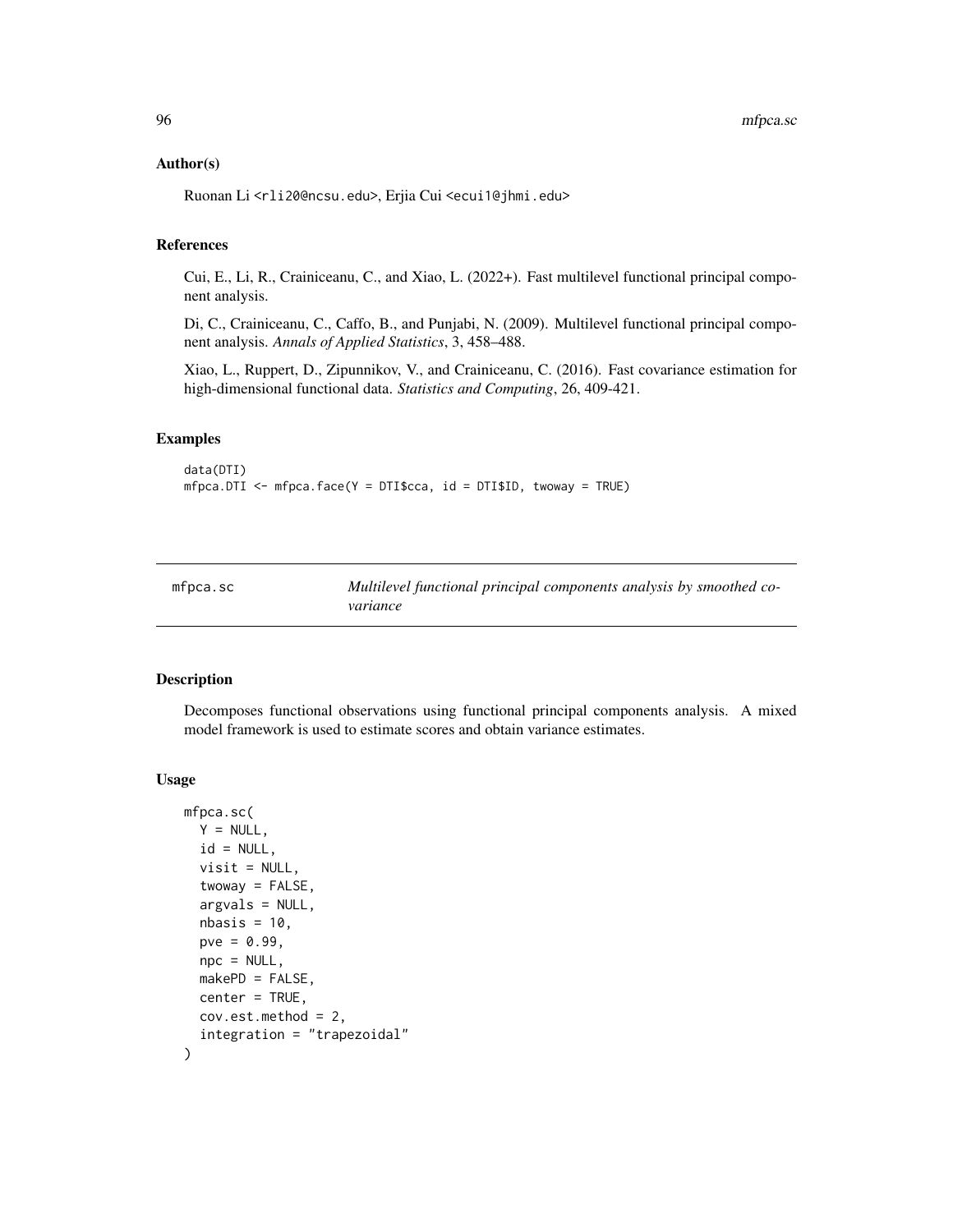### Author(s)

Ruonan Li <rli20@ncsu.edu>, Erjia Cui <ecui1@jhmi.edu>

# References

Cui, E., Li, R., Crainiceanu, C., and Xiao, L. (2022+). Fast multilevel functional principal component analysis.

Di, C., Crainiceanu, C., Caffo, B., and Punjabi, N. (2009). Multilevel functional principal component analysis. *Annals of Applied Statistics*, 3, 458–488.

Xiao, L., Ruppert, D., Zipunnikov, V., and Crainiceanu, C. (2016). Fast covariance estimation for high-dimensional functional data. *Statistics and Computing*, 26, 409-421.

### Examples

```
data(DTI)
mfpca.DTI <- mfpca.face(Y = DTI$cca, id = DTI$ID, twoway = TRUE)
```
mfpca.sc *Multilevel functional principal components analysis by smoothed covariance*

### Description

Decomposes functional observations using functional principal components analysis. A mixed model framework is used to estimate scores and obtain variance estimates.

### Usage

```
mfpca.sc(
  Y = NULL,id = NULL,visit = NULL,
  twoway = FALSE,
  argvals = NULL,
  nbasis = 10,
  pve = 0.99,
  \text{npc} = \text{NULL},
 makePD = FALSE,
  center = TRUE,
  cov.est.method = 2,
  integration = "trapezoidal"
)
```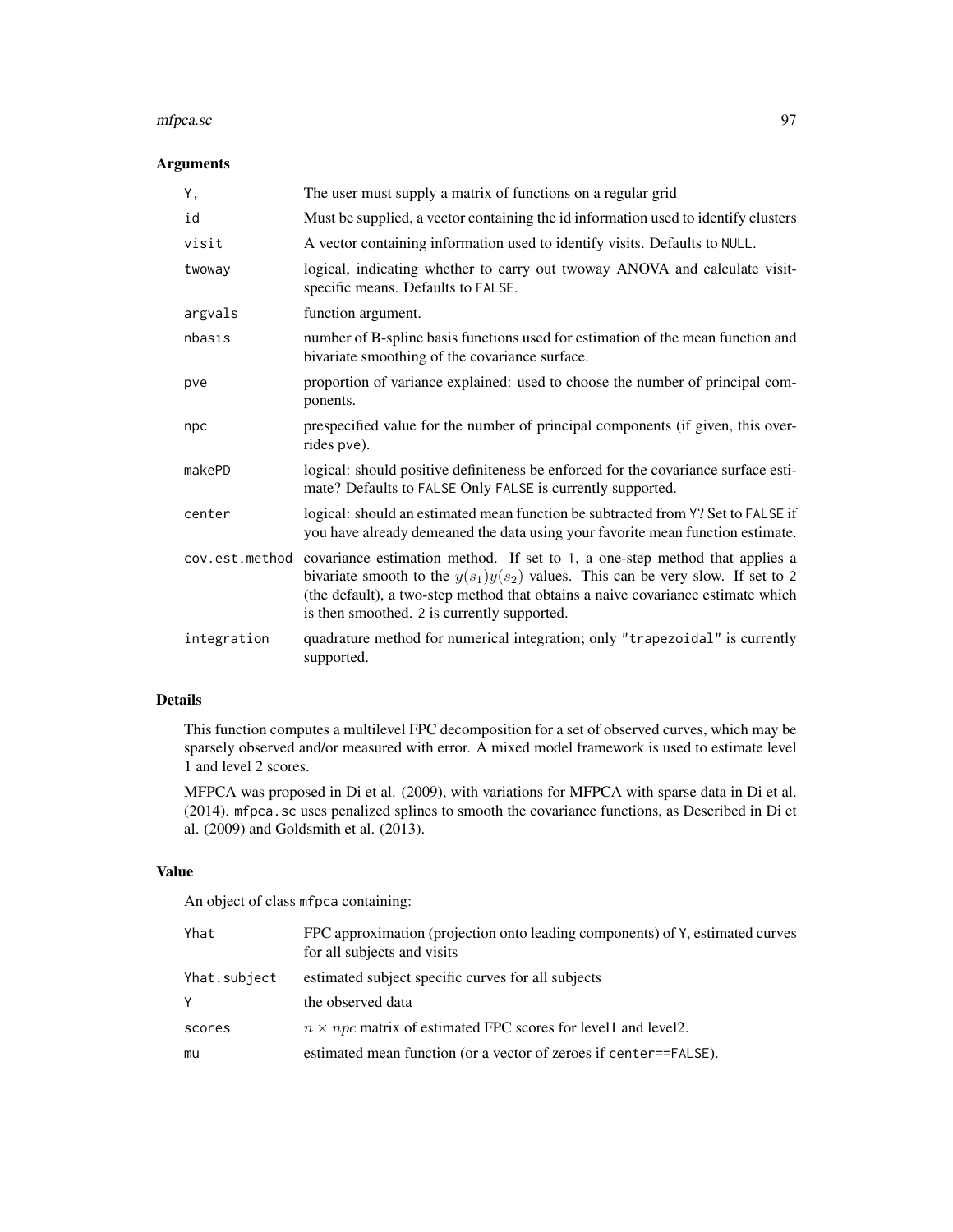### mfpca.sc 97

# Arguments

| Υ,             | The user must supply a matrix of functions on a regular grid                                                                                                                                                                                                                                       |
|----------------|----------------------------------------------------------------------------------------------------------------------------------------------------------------------------------------------------------------------------------------------------------------------------------------------------|
| id             | Must be supplied, a vector containing the id information used to identify clusters                                                                                                                                                                                                                 |
| visit          | A vector containing information used to identify visits. Defaults to NULL.                                                                                                                                                                                                                         |
| twoway         | logical, indicating whether to carry out twoway ANOVA and calculate visit-<br>specific means. Defaults to FALSE.                                                                                                                                                                                   |
| argvals        | function argument.                                                                                                                                                                                                                                                                                 |
| nbasis         | number of B-spline basis functions used for estimation of the mean function and<br>bivariate smoothing of the covariance surface.                                                                                                                                                                  |
| pve            | proportion of variance explained: used to choose the number of principal com-<br>ponents.                                                                                                                                                                                                          |
| npc            | prespecified value for the number of principal components (if given, this over-<br>rides pve).                                                                                                                                                                                                     |
| makePD         | logical: should positive definiteness be enforced for the covariance surface esti-<br>mate? Defaults to FALSE Only FALSE is currently supported.                                                                                                                                                   |
| center         | logical: should an estimated mean function be subtracted from Y? Set to FALSE if<br>you have already demeaned the data using your favorite mean function estimate.                                                                                                                                 |
| cov.est.method | covariance estimation method. If set to 1, a one-step method that applies a<br>bivariate smooth to the $y(s_1)y(s_2)$ values. This can be very slow. If set to 2<br>(the default), a two-step method that obtains a naive covariance estimate which<br>is then smoothed. 2 is currently supported. |
| integration    | quadrature method for numerical integration; only "trapezoidal" is currently<br>supported.                                                                                                                                                                                                         |

# Details

This function computes a multilevel FPC decomposition for a set of observed curves, which may be sparsely observed and/or measured with error. A mixed model framework is used to estimate level 1 and level 2 scores.

MFPCA was proposed in Di et al. (2009), with variations for MFPCA with sparse data in Di et al. (2014). mfpca.sc uses penalized splines to smooth the covariance functions, as Described in Di et al. (2009) and Goldsmith et al. (2013).

# Value

An object of class mfpca containing:

| Yhat         | FPC approximation (projection onto leading components) of Y, estimated curves<br>for all subjects and visits |
|--------------|--------------------------------------------------------------------------------------------------------------|
| Yhat.subject | estimated subject specific curves for all subjects                                                           |
| Y            | the observed data                                                                                            |
| scores       | $n \times npc$ matrix of estimated FPC scores for level and level 2.                                         |
| mu           | estimated mean function (or a vector of zeroes if center==FALSE).                                            |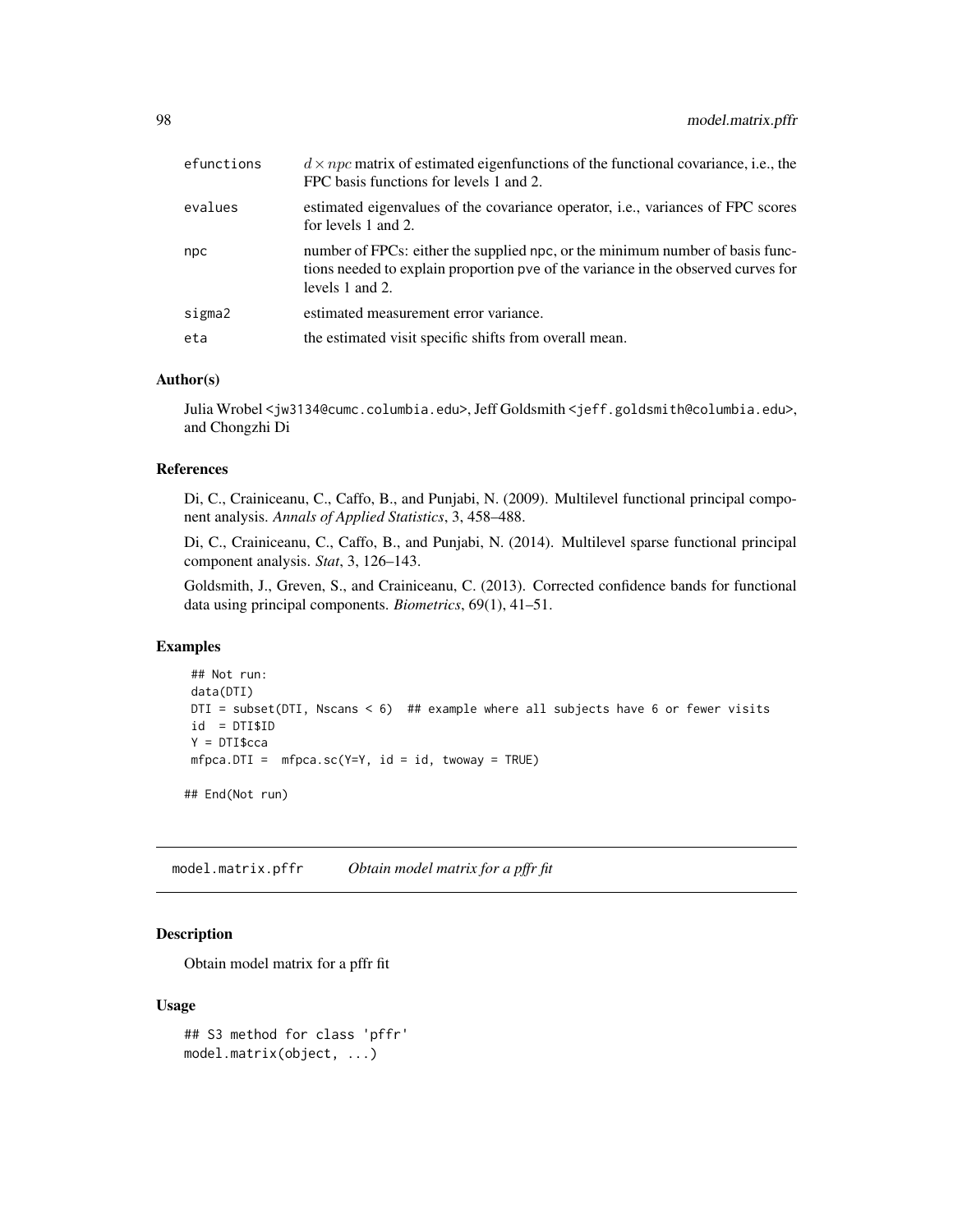| efunctions | $d \times npc$ matrix of estimated eigenfunctions of the functional covariance, i.e., the<br>FPC basis functions for levels 1 and 2.                                                  |
|------------|---------------------------------------------------------------------------------------------------------------------------------------------------------------------------------------|
| evalues    | estimated eigenvalues of the covariance operator, <i>i.e.</i> , variances of FPC scores<br>for levels 1 and 2.                                                                        |
| npc        | number of FPCs: either the supplied npc, or the minimum number of basis func-<br>tions needed to explain proportion pve of the variance in the observed curves for<br>levels 1 and 2. |
| sigma2     | estimated measurement error variance.                                                                                                                                                 |
| eta        | the estimated visit specific shifts from overall mean.                                                                                                                                |

### Author(s)

Julia Wrobel <jw3134@cumc.columbia.edu>, Jeff Goldsmith <jeff.goldsmith@columbia.edu>, and Chongzhi Di

# References

Di, C., Crainiceanu, C., Caffo, B., and Punjabi, N. (2009). Multilevel functional principal component analysis. *Annals of Applied Statistics*, 3, 458–488.

Di, C., Crainiceanu, C., Caffo, B., and Punjabi, N. (2014). Multilevel sparse functional principal component analysis. *Stat*, 3, 126–143.

Goldsmith, J., Greven, S., and Crainiceanu, C. (2013). Corrected confidence bands for functional data using principal components. *Biometrics*, 69(1), 41–51.

### Examples

```
## Not run:
data(DTI)
DTI = subset(DTI, Nscans < 6) ## example where all subjects have 6 or fewer visits
id = DTI$ID
Y = DTI$cca
mfpca.DTI = mfpca.sc(Y=Y, id = id, twoway = TRUE)
```
## End(Not run)

model.matrix.pffr *Obtain model matrix for a pffr fit*

# Description

Obtain model matrix for a pffr fit

#### Usage

```
## S3 method for class 'pffr'
model.matrix(object, ...)
```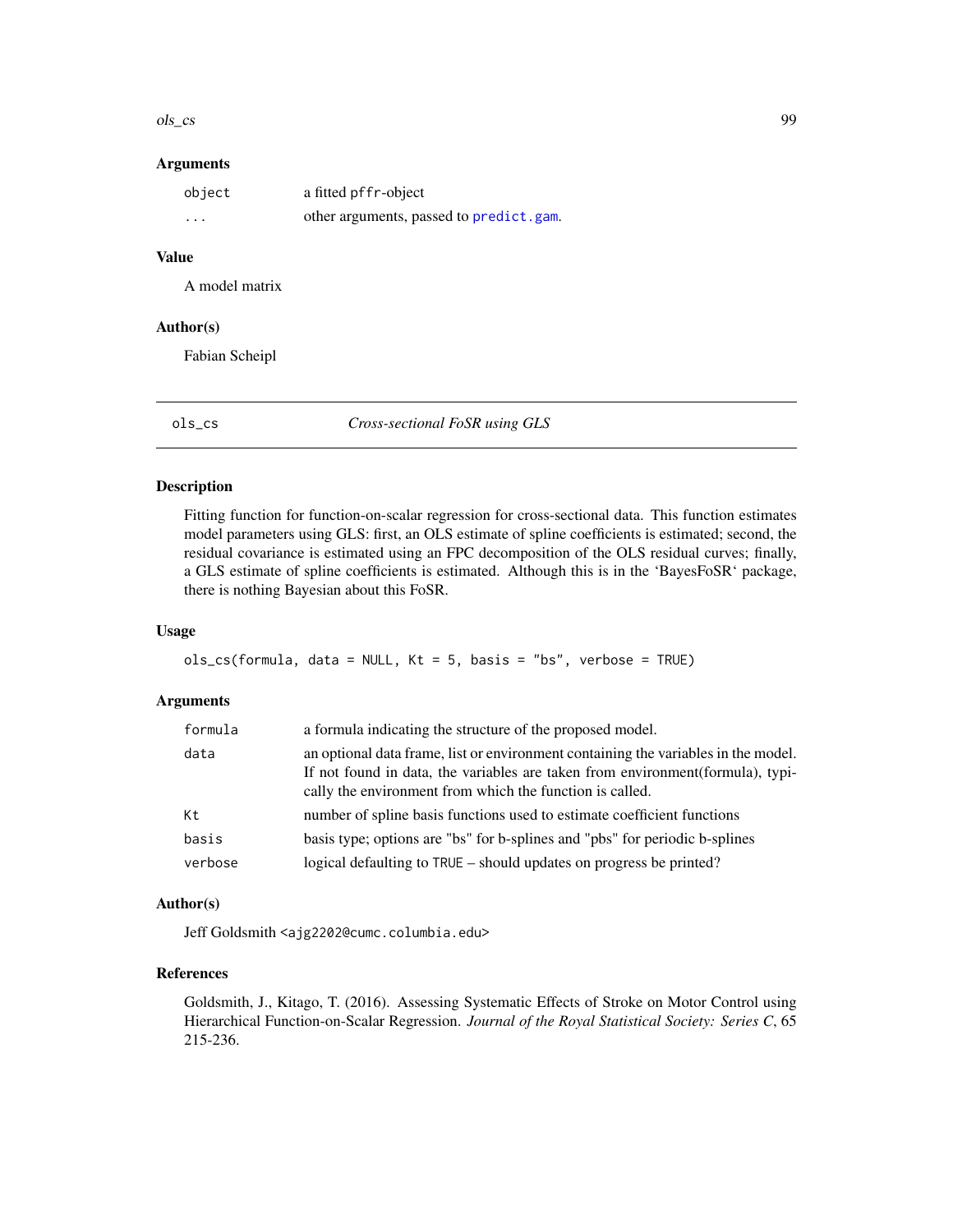### ols\_cs 99

### **Arguments**

| object   | a fitted pffr-object                    |
|----------|-----------------------------------------|
| $\cdots$ | other arguments, passed to predict.gam. |

# Value

A model matrix

# Author(s)

Fabian Scheipl

ols\_cs *Cross-sectional FoSR using GLS*

# Description

Fitting function for function-on-scalar regression for cross-sectional data. This function estimates model parameters using GLS: first, an OLS estimate of spline coefficients is estimated; second, the residual covariance is estimated using an FPC decomposition of the OLS residual curves; finally, a GLS estimate of spline coefficients is estimated. Although this is in the 'BayesFoSR' package, there is nothing Bayesian about this FoSR.

### Usage

```
ols_cs(formula, data = NULL, Kt = 5, basis = "bs", verbose = TRUE)
```
# Arguments

| formula | a formula indicating the structure of the proposed model.                                                                                                                                                                         |
|---------|-----------------------------------------------------------------------------------------------------------------------------------------------------------------------------------------------------------------------------------|
| data    | an optional data frame, list or environment containing the variables in the model.<br>If not found in data, the variables are taken from environment (formula), typi-<br>cally the environment from which the function is called. |
| Kt      | number of spline basis functions used to estimate coefficient functions                                                                                                                                                           |
| basis   | basis type; options are "bs" for b-splines and "pbs" for periodic b-splines                                                                                                                                                       |
| verbose | logical defaulting to TRUE – should updates on progress be printed?                                                                                                                                                               |

# Author(s)

Jeff Goldsmith <ajg2202@cumc.columbia.edu>

### References

Goldsmith, J., Kitago, T. (2016). Assessing Systematic Effects of Stroke on Motor Control using Hierarchical Function-on-Scalar Regression. *Journal of the Royal Statistical Society: Series C*, 65 215-236.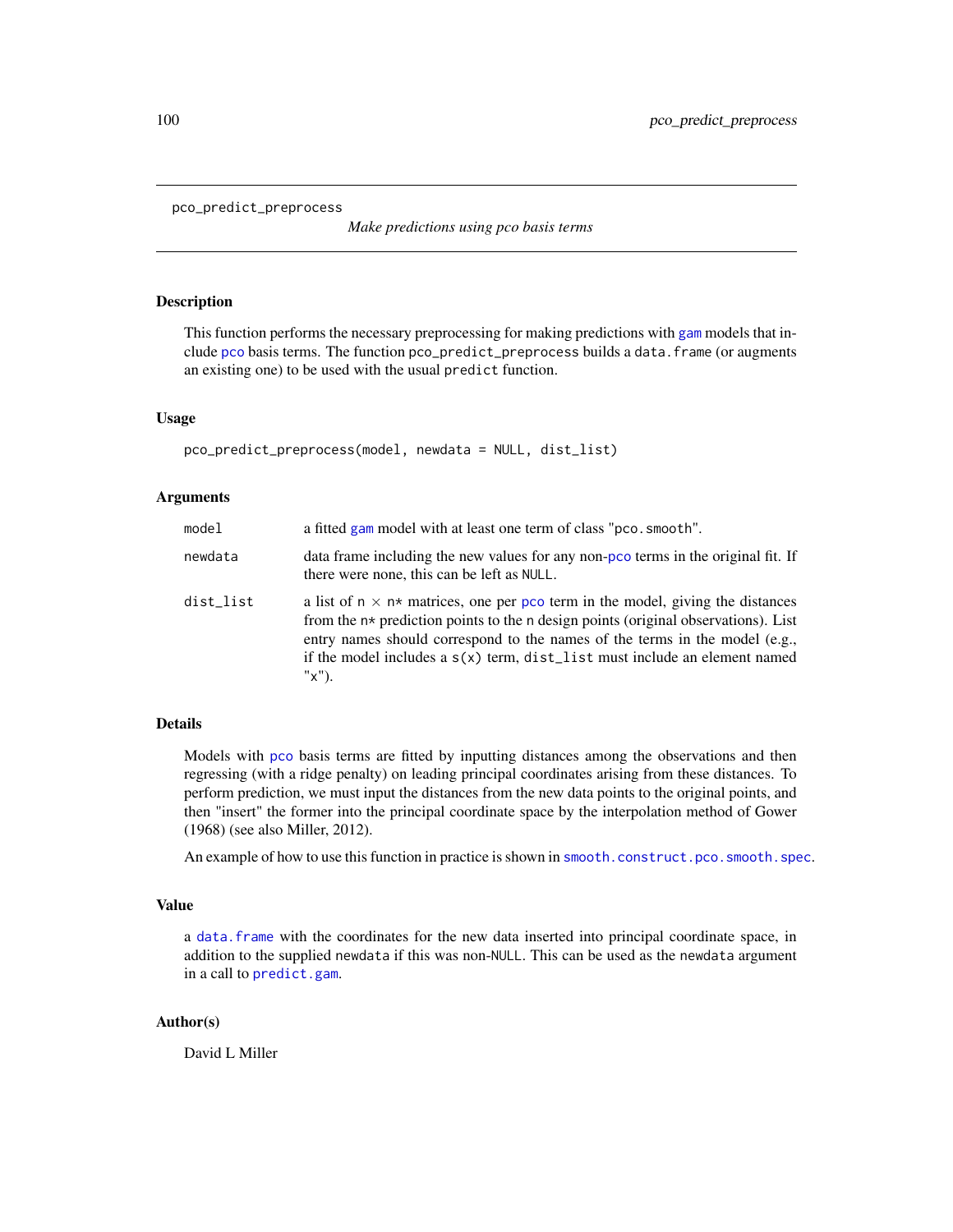```
pco_predict_preprocess
```
*Make predictions using pco basis terms*

# Description

This function performs the necessary preprocessing for making predictions with [gam](#page-0-0) models that include [pco](#page-157-0) basis terms. The function pco\_predict\_preprocess builds a data.frame (or augments an existing one) to be used with the usual predict function.

### Usage

```
pco_predict_preprocess(model, newdata = NULL, dist_list)
```
# Arguments

| model     | a fitted gam model with at least one term of class "pco. smooth".                                                                                                                                                                                                                                                                                         |
|-----------|-----------------------------------------------------------------------------------------------------------------------------------------------------------------------------------------------------------------------------------------------------------------------------------------------------------------------------------------------------------|
| newdata   | data frame including the new values for any non-pco terms in the original fit. If<br>there were none, this can be left as NULL.                                                                                                                                                                                                                           |
| dist_list | a list of $n \times n^*$ matrices, one per pco term in the model, giving the distances<br>from the $n*$ prediction points to the n design points (original observations). List<br>entry names should correspond to the names of the terms in the model (e.g.,<br>if the model includes a $s(x)$ term, dist_list must include an element named<br>$"x"$ ). |

### Details

Models with [pco](#page-157-0) basis terms are fitted by inputting distances among the observations and then regressing (with a ridge penalty) on leading principal coordinates arising from these distances. To perform prediction, we must input the distances from the new data points to the original points, and then "insert" the former into the principal coordinate space by the interpolation method of Gower (1968) (see also Miller, 2012).

An example of how to use this function in practice is shown in [smooth.construct.pco.smooth.spec](#page-157-1).

# Value

a [data.frame](#page-0-0) with the coordinates for the new data inserted into principal coordinate space, in addition to the supplied newdata if this was non-NULL. This can be used as the newdata argument in a call to [predict.gam](#page-0-0).

### Author(s)

David L Miller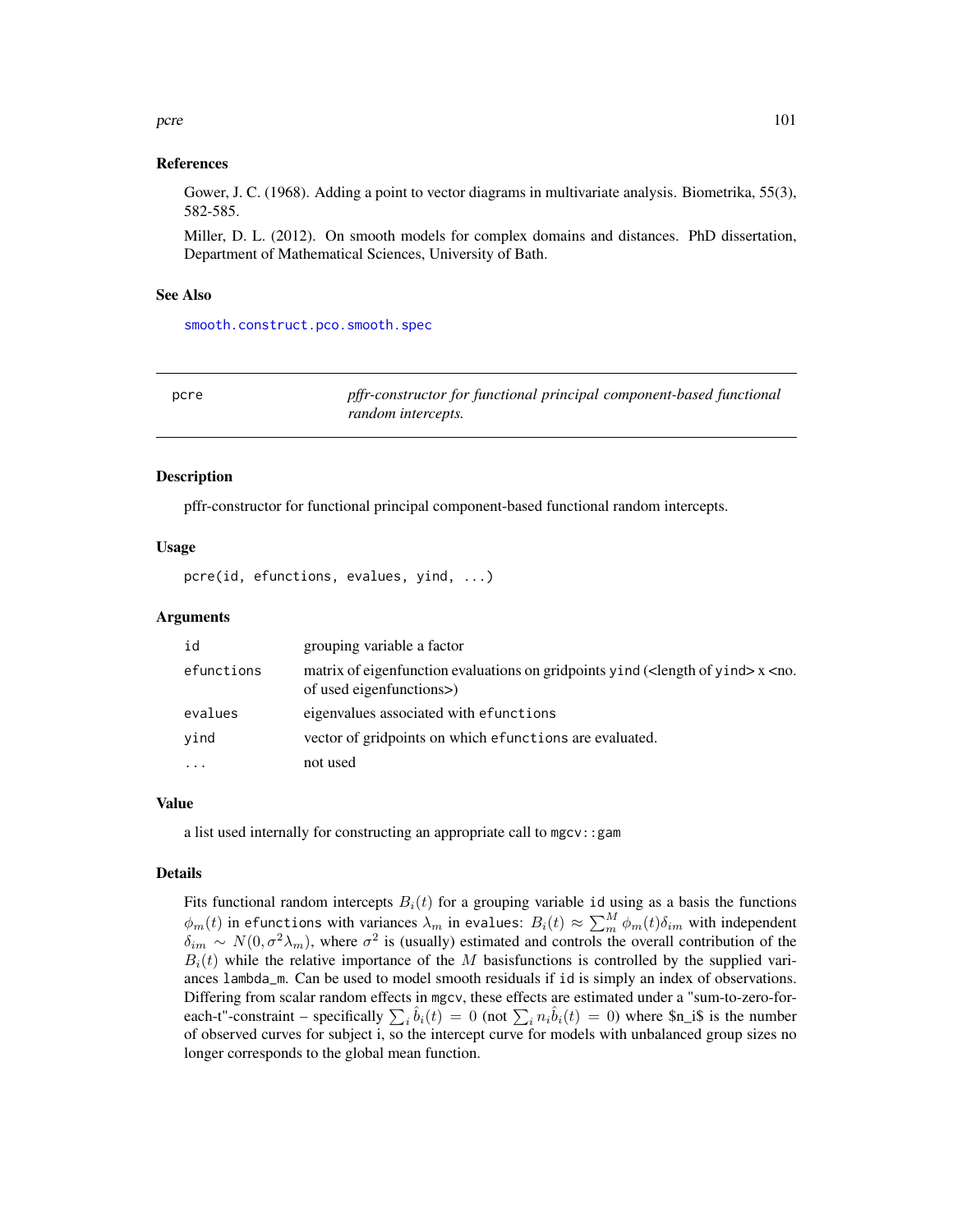### pcre to the contract of the contract of the contract of the contract of the contract of the contract of the contract of the contract of the contract of the contract of the contract of the contract of the contract of the co

### References

Gower, J. C. (1968). Adding a point to vector diagrams in multivariate analysis. Biometrika, 55(3), 582-585.

Miller, D. L. (2012). On smooth models for complex domains and distances. PhD dissertation, Department of Mathematical Sciences, University of Bath.

### See Also

[smooth.construct.pco.smooth.spec](#page-157-1)

| pcre | pffr-constructor for functional principal component-based functional |
|------|----------------------------------------------------------------------|
|      | random intercepts.                                                   |

### Description

pffr-constructor for functional principal component-based functional random intercepts.

### Usage

pcre(id, efunctions, evalues, yind, ...)

# **Arguments**

| id         | grouping variable a factor                                                                                                                        |
|------------|---------------------------------------------------------------------------------------------------------------------------------------------------|
| efunctions | matrix of eigenfunction evaluations on gridpoints yind ( <length of="" yind=""><math>x</math><no.<br>of used eigenfunctions&gt;</no.<br></length> |
| evalues    | eigenvalues associated with efunctions                                                                                                            |
| yind       | vector of gridpoints on which efunctions are evaluated.                                                                                           |
|            | not used                                                                                                                                          |

### Value

a list used internally for constructing an appropriate call to mgcv::gam

#### Details

Fits functional random intercepts  $B_i(t)$  for a grouping variable id using as a basis the functions  $\phi_m(t)$  in efunctions with variances  $\lambda_m$  in evalues:  $B_i(t) \approx \sum_m^M \phi_m(t) \delta_{im}$  with independent  $\delta_{im} \sim N(0, \sigma^2 \lambda_m)$ , where  $\sigma^2$  is (usually) estimated and controls the overall contribution of the  $B_i(t)$  while the relative importance of the M basisfunctions is controlled by the supplied variances lambda\_m. Can be used to model smooth residuals if id is simply an index of observations. Differing from scalar random effects in mgcv, these effects are estimated under a "sum-to-zero-foreach-t"-constraint – specifically  $\sum_i \hat{b}_i(t) = 0$  (not  $\sum_i n_i \hat{b}_i(t) = 0$ ) where \$n\_i\$ is the number of observed curves for subject i, so the intercept curve for models with unbalanced group sizes no longer corresponds to the global mean function.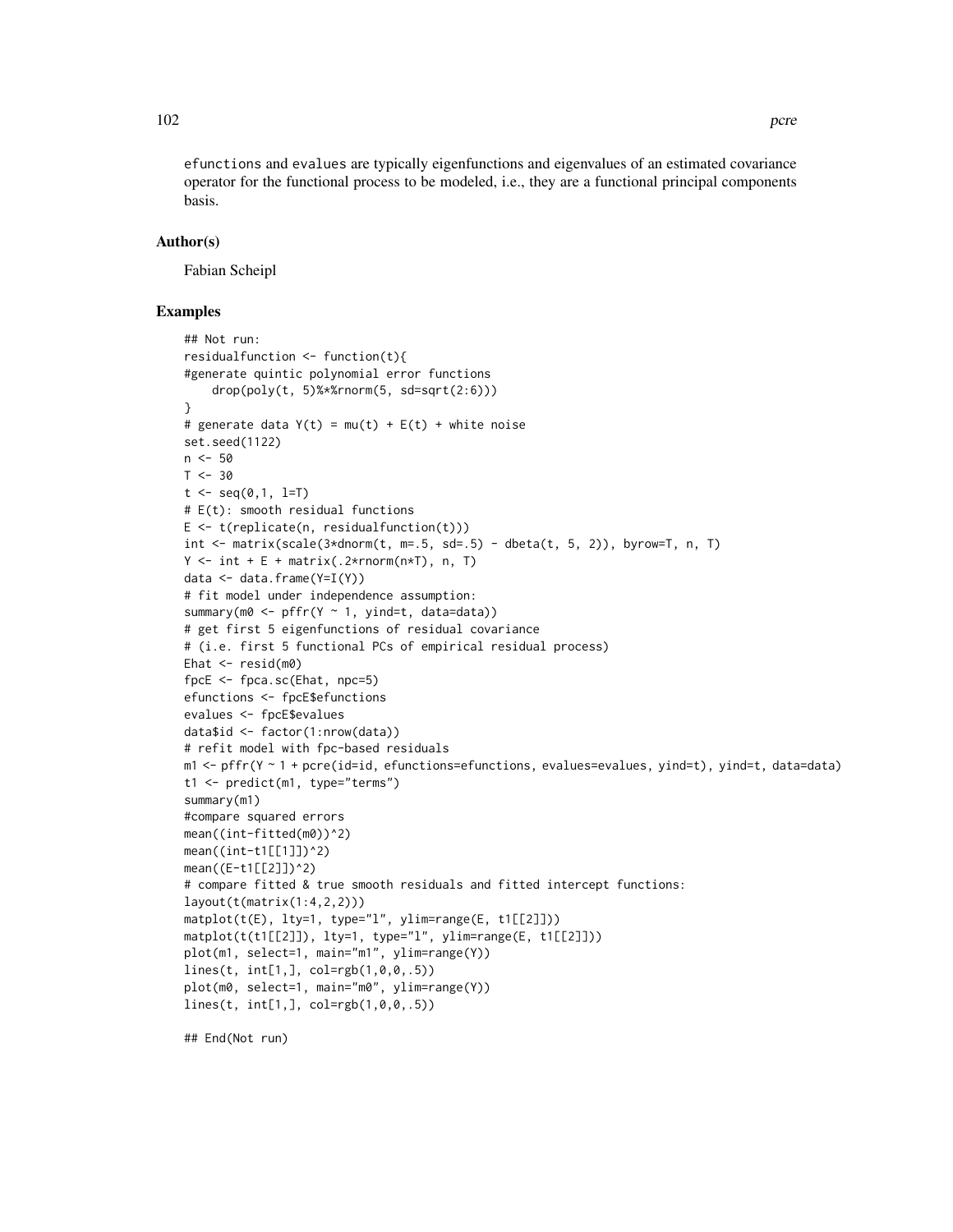efunctions and evalues are typically eigenfunctions and eigenvalues of an estimated covariance operator for the functional process to be modeled, i.e., they are a functional principal components basis.

# Author(s)

Fabian Scheipl

# Examples

```
## Not run:
residualfunction <- function(t){
#generate quintic polynomial error functions
    drop(poly(t, 5)%*%rnorm(5, sd=sqrt(2:6)))
}
# generate data Y(t) = mu(t) + E(t) + white noiseset.seed(1122)
n < -50T < -30t \le - seq(0,1, l=T)
# E(t): smooth residual functions
E \leftarrow t(replicate(n, residualfunction(t)))int \le matrix(scale(3*dnorm(t, m=.5, sd=.5) - dbeta(t, 5, 2)), byrow=T, n, T)
Y \le - int + E + matrix(.2*rnorm(n*T), n, T)
data <- data.frame(Y=I(Y))
# fit model under independence assumption:
summary(m0 <- pffr(Y \sim 1, yind=t, data=data))
# get first 5 eigenfunctions of residual covariance
# (i.e. first 5 functional PCs of empirical residual process)
Ehat \leq resid(m0)
fpcE <- fpca.sc(Ehat, npc=5)
efunctions <- fpcE$efunctions
evalues <- fpcE$evalues
data$id <- factor(1:nrow(data))
# refit model with fpc-based residuals
m1 <- pffr(Y ~ 1 + pcre(id=id, efunctions=efunctions, evalues=evalues, yind=t), yind=t, data=data)
t1 <- predict(m1, type="terms")
summary(m1)
#compare squared errors
mean((int-fitted(m0))^2)
mean((int-t1[[1]])^2)
mean((E-t1[[2]])^2)
# compare fitted & true smooth residuals and fitted intercept functions:
layout(t(matrix(1:4,2,2)))
matplot(t(E), lty=1, type="l", ylim=range(E, t1[[2]]))
matplot(t(t1[[2]]), lty=1, type="l", ylim=range(E, t1[[2]]))
plot(m1, select=1, main="m1", ylim=range(Y))
lines(t, int[1,], col=rgb(1,0,0,.5))
plot(m0, select=1, main="m0", ylim=range(Y))
lines(t, int[1,], col=rgb(1,0,0,.5))
```
## End(Not run)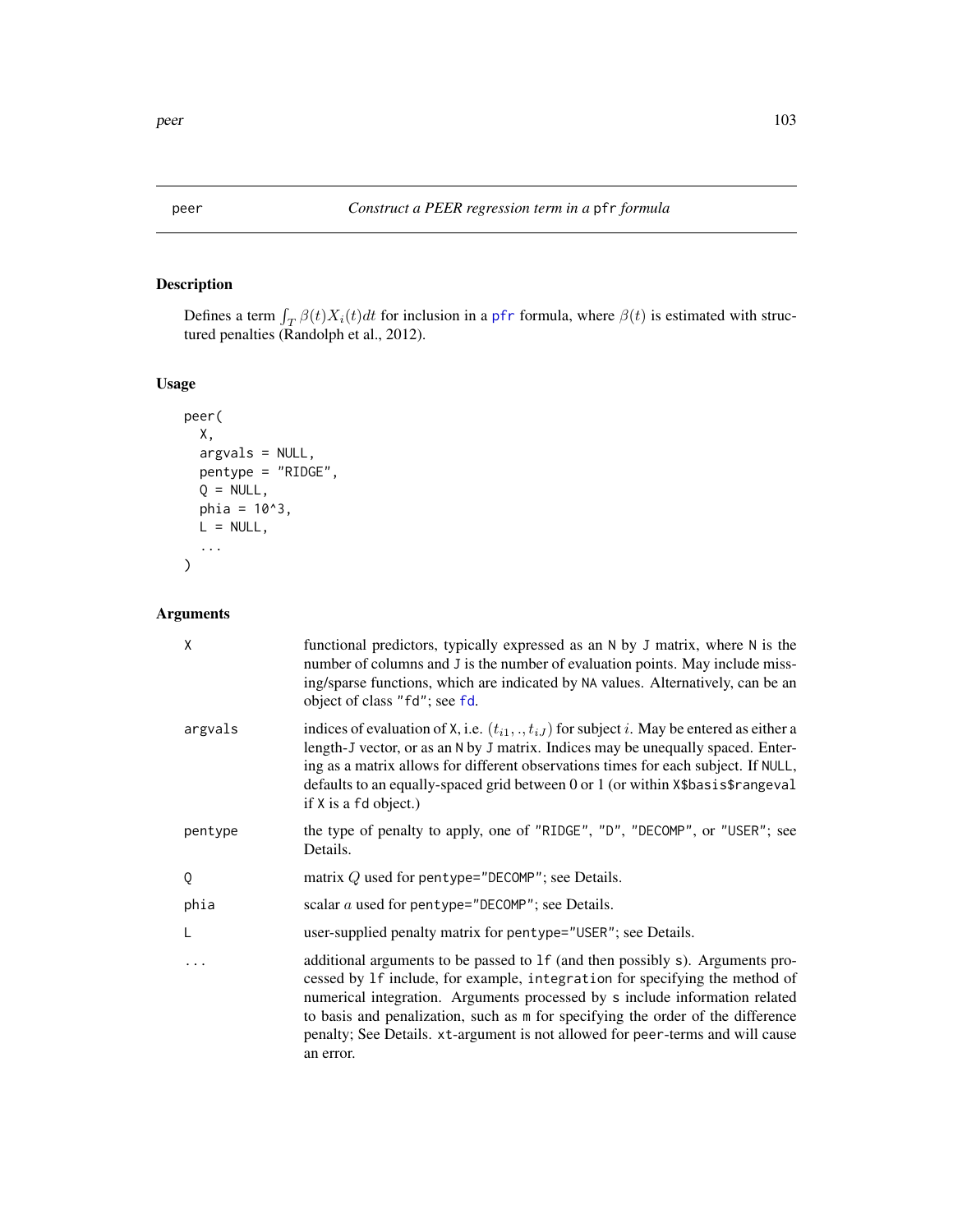# Description

Defines a term  $\int_T \beta(t)X_i(t)dt$  for inclusion in a [pfr](#page-116-0) formula, where  $\beta(t)$  is estimated with structured penalties (Randolph et al., 2012).

# Usage

```
peer(
 X,
 argvals = NULL,
 pentype = "RIDGE",
 Q = NULL,phi = 10^3,
 L = NULL,...
)
```
# Arguments

| Χ       | functional predictors, typically expressed as an N by J matrix, where N is the<br>number of columns and J is the number of evaluation points. May include miss-<br>ing/sparse functions, which are indicated by NA values. Alternatively, can be an<br>object of class "fd"; see fd.                                                                                                                                          |
|---------|-------------------------------------------------------------------------------------------------------------------------------------------------------------------------------------------------------------------------------------------------------------------------------------------------------------------------------------------------------------------------------------------------------------------------------|
| argvals | indices of evaluation of X, i.e. $(t_{i1},,t_{iJ})$ for subject i. May be entered as either a<br>length-J vector, or as an N by J matrix. Indices may be unequally spaced. Enter-<br>ing as a matrix allows for different observations times for each subject. If NULL,<br>defaults to an equally-spaced grid between 0 or 1 (or within X\$basis\$rangeval<br>if X is a fd object.)                                           |
| pentype | the type of penalty to apply, one of "RIDGE", "D", "DECOMP", or "USER"; see<br>Details.                                                                                                                                                                                                                                                                                                                                       |
| Q       | matrix $Q$ used for pentype="DECOMP"; see Details.                                                                                                                                                                                                                                                                                                                                                                            |
| phia    | scalar <i>a</i> used for pentype="DECOMP"; see Details.                                                                                                                                                                                                                                                                                                                                                                       |
| L       | user-supplied penalty matrix for pentype="USER"; see Details.                                                                                                                                                                                                                                                                                                                                                                 |
| .       | additional arguments to be passed to 1f (and then possibly s). Arguments pro-<br>cessed by 1f include, for example, integration for specifying the method of<br>numerical integration. Arguments processed by s include information related<br>to basis and penalization, such as m for specifying the order of the difference<br>penalty; See Details. xt-argument is not allowed for peer-terms and will cause<br>an error. |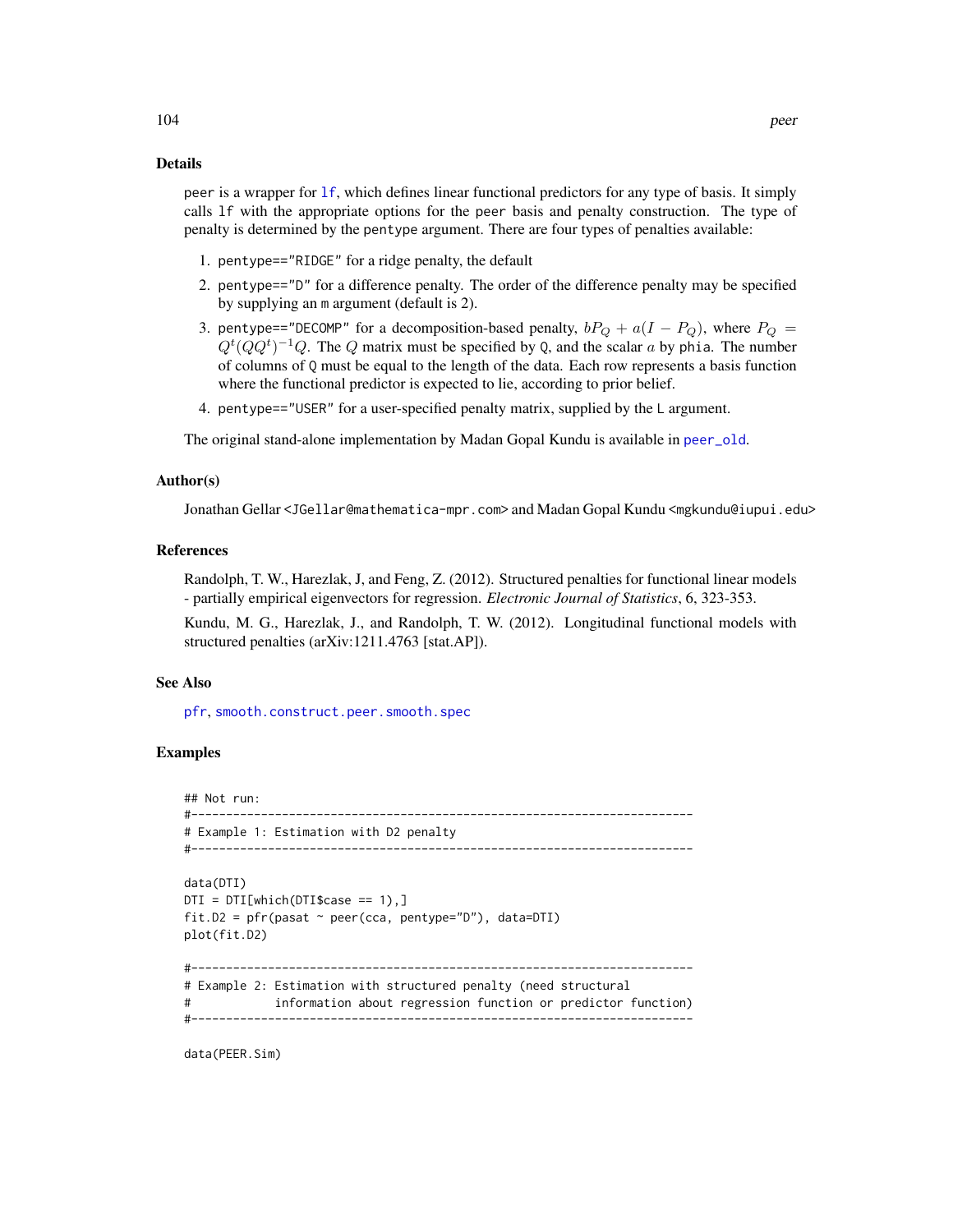### Details

peer is a wrapper for [lf](#page-79-0), which defines linear functional predictors for any type of basis. It simply calls lf with the appropriate options for the peer basis and penalty construction. The type of penalty is determined by the pentype argument. There are four types of penalties available:

- 1. pentype=="RIDGE" for a ridge penalty, the default
- 2. pentype=="D" for a difference penalty. The order of the difference penalty may be specified by supplying an m argument (default is 2).
- 3. pentype=="DECOMP" for a decomposition-based penalty,  $bP_Q + a(I P_Q)$ , where  $P_Q =$  $Q^t(QQ^t)^{-1}Q$ . The Q matrix must be specified by Q, and the scalar a by phia. The number of columns of Q must be equal to the length of the data. Each row represents a basis function where the functional predictor is expected to lie, according to prior belief.
- 4. pentype=="USER" for a user-specified penalty matrix, supplied by the L argument.

The original stand-alone implementation by Madan Gopal Kundu is available in [peer\\_old](#page-105-0).

### Author(s)

Jonathan Gellar <JGellar@mathematica-mpr.com> and Madan Gopal Kundu <mgkundu@iupui.edu>

### References

Randolph, T. W., Harezlak, J, and Feng, Z. (2012). Structured penalties for functional linear models - partially empirical eigenvectors for regression. *Electronic Journal of Statistics*, 6, 323-353.

Kundu, M. G., Harezlak, J., and Randolph, T. W. (2012). Longitudinal functional models with structured penalties (arXiv:1211.4763 [stat.AP]).

#### See Also

[pfr](#page-116-0), [smooth.construct.peer.smooth.spec](#page-160-0)

### Examples

## Not run: #------------------------------------------------------------------------ # Example 1: Estimation with D2 penalty #------------------------------------------------------------------------

```
data(DTI)
DTI = DTI[which(DTI$case == 1),]fit.D2 = pfr(pasat ~ peer(cca, pentype="D"), data=DTI)
plot(fit.D2)
#------------------------------------------------------------------------
# Example 2: Estimation with structured penalty (need structural
# information about regression function or predictor function)
#------------------------------------------------------------------------
```
data(PEER.Sim)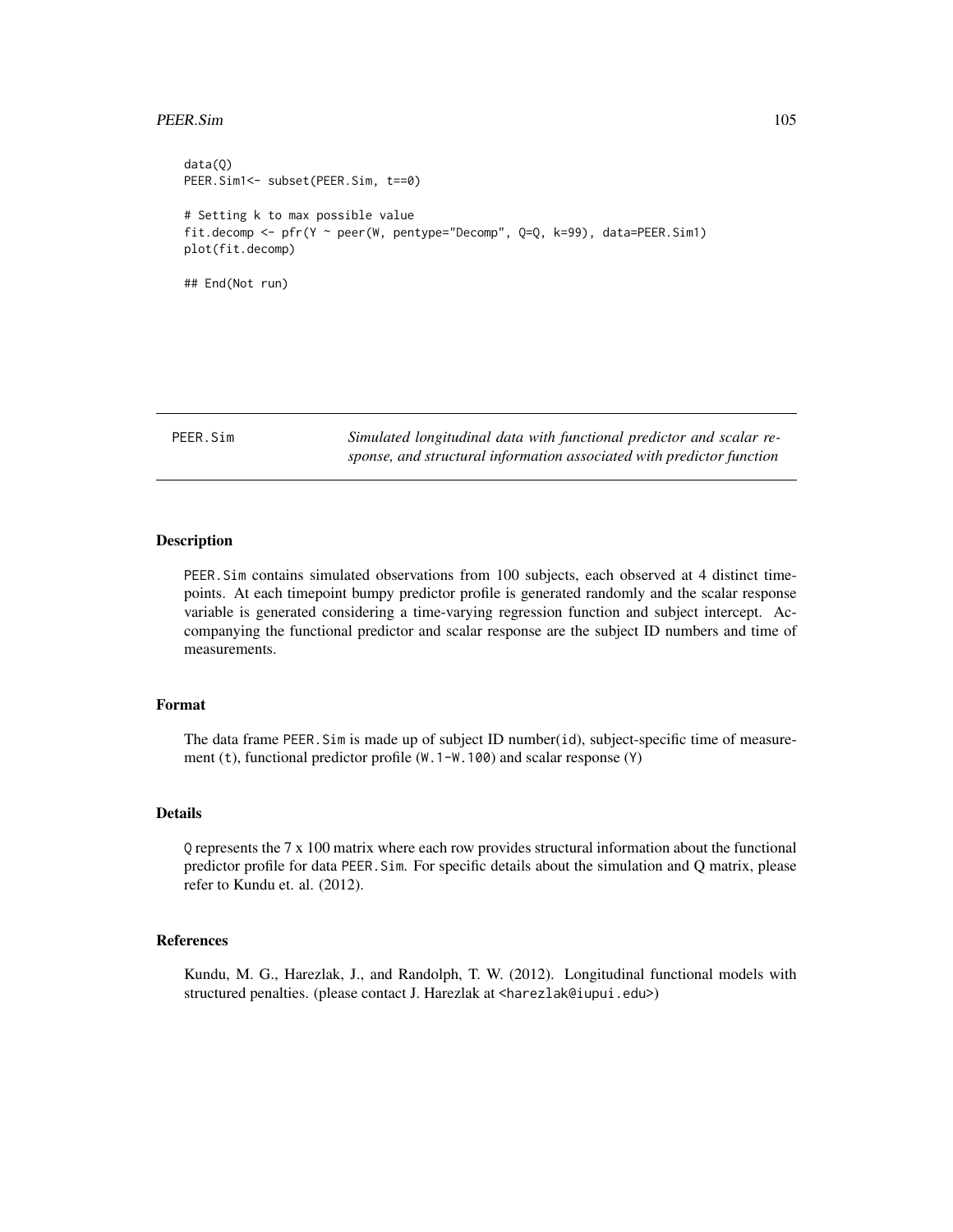### PEER.Sim 105

```
data(Q)
PEER.Sim1 <- subset(PEER.Sim, t==0)
# Setting k to max possible value
fit.decomp <- pfr(Y ~ peer(W, pentype="Decomp", Q=Q, k=99), data=PEER.Sim1)
plot(fit.decomp)
## End(Not run)
```
PEER.Sim *Simulated longitudinal data with functional predictor and scalar response, and structural information associated with predictor function*

### **Description**

PEER.Sim contains simulated observations from 100 subjects, each observed at 4 distinct timepoints. At each timepoint bumpy predictor profile is generated randomly and the scalar response variable is generated considering a time-varying regression function and subject intercept. Accompanying the functional predictor and scalar response are the subject ID numbers and time of measurements.

### Format

The data frame PEER.Sim is made up of subject ID number(id), subject-specific time of measurement (t), functional predictor profile (W.1-W.100) and scalar response (Y)

# Details

Q represents the 7 x 100 matrix where each row provides structural information about the functional predictor profile for data PEER.Sim. For specific details about the simulation and Q matrix, please refer to Kundu et. al. (2012).

### References

Kundu, M. G., Harezlak, J., and Randolph, T. W. (2012). Longitudinal functional models with structured penalties. (please contact J. Harezlak at <harezlak@iupui.edu>)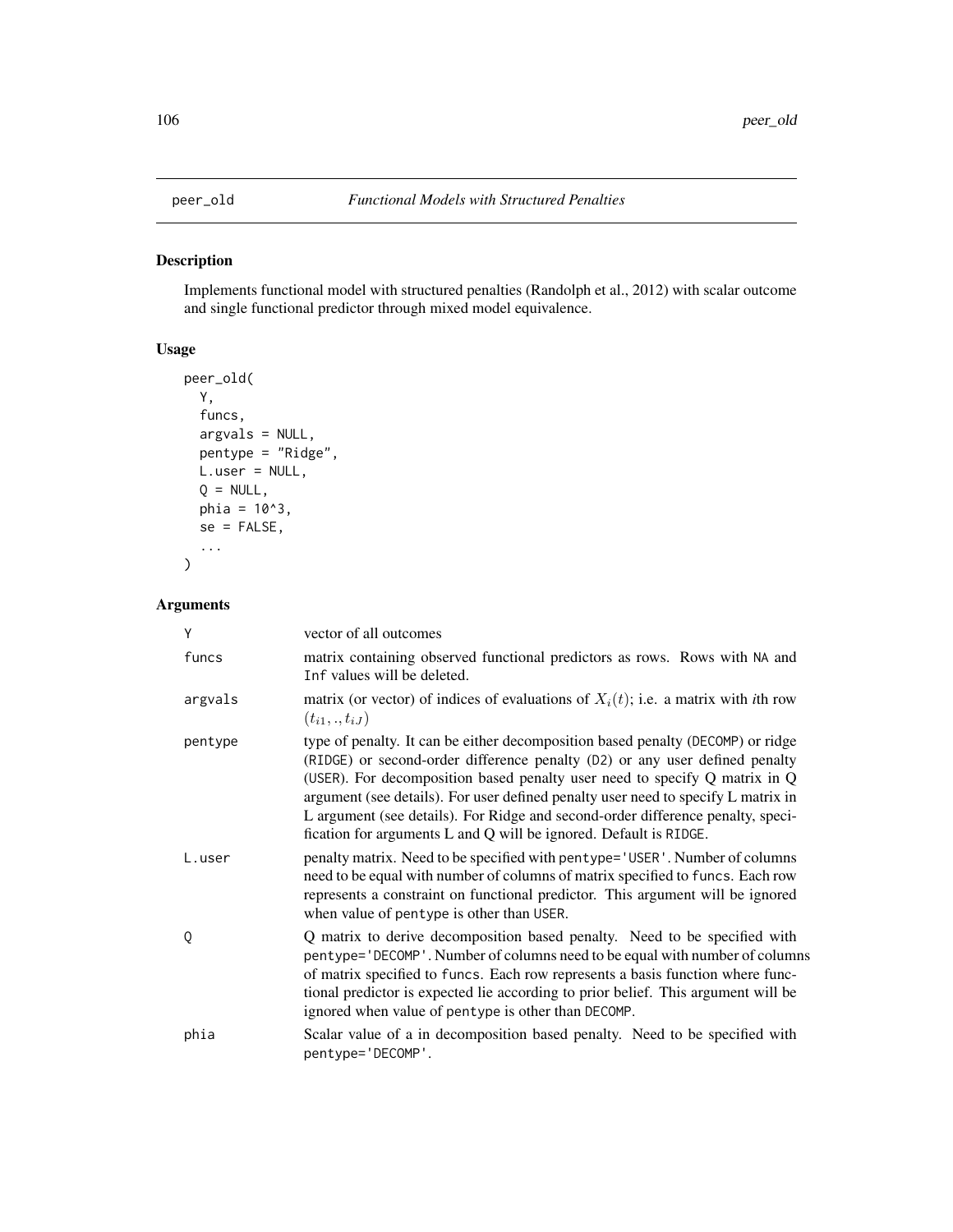<span id="page-105-0"></span>

# Description

Implements functional model with structured penalties (Randolph et al., 2012) with scalar outcome and single functional predictor through mixed model equivalence.

# Usage

```
peer_old(
 Y,
 funcs,
 argvals = NULL,
 pentype = "Ridge",
 L.user = NULL,
 Q = NULL,phi = 10^3,
 se = FALSE,...
)
```
# Arguments

| Y       | vector of all outcomes                                                                                                                                                                                                                                                                                                                                                                                                                                                                        |
|---------|-----------------------------------------------------------------------------------------------------------------------------------------------------------------------------------------------------------------------------------------------------------------------------------------------------------------------------------------------------------------------------------------------------------------------------------------------------------------------------------------------|
| funcs   | matrix containing observed functional predictors as rows. Rows with NA and<br>Inf values will be deleted.                                                                                                                                                                                                                                                                                                                                                                                     |
| argvals | matrix (or vector) of indices of evaluations of $X_i(t)$ ; i.e. a matrix with <i>i</i> th row<br>$(t_{i1},.,t_{iJ})$                                                                                                                                                                                                                                                                                                                                                                          |
| pentype | type of penalty. It can be either decomposition based penalty (DECOMP) or ridge<br>(RIDGE) or second-order difference penalty (D2) or any user defined penalty<br>(USER). For decomposition based penalty user need to specify $Q$ matrix in $Q$<br>argument (see details). For user defined penalty user need to specify L matrix in<br>L argument (see details). For Ridge and second-order difference penalty, speci-<br>fication for arguments L and Q will be ignored. Default is RIDGE. |
| L.user  | penalty matrix. Need to be specified with pentype='USER'. Number of columns<br>need to be equal with number of columns of matrix specified to funcs. Each row<br>represents a constraint on functional predictor. This argument will be ignored<br>when value of pentype is other than USER.                                                                                                                                                                                                  |
| Q       | Q matrix to derive decomposition based penalty. Need to be specified with<br>pentype='DECOMP'. Number of columns need to be equal with number of columns<br>of matrix specified to funcs. Each row represents a basis function where func-<br>tional predictor is expected lie according to prior belief. This argument will be<br>ignored when value of pentype is other than DECOMP.                                                                                                        |
| phia    | Scalar value of a in decomposition based penalty. Need to be specified with<br>pentype='DECOMP'.                                                                                                                                                                                                                                                                                                                                                                                              |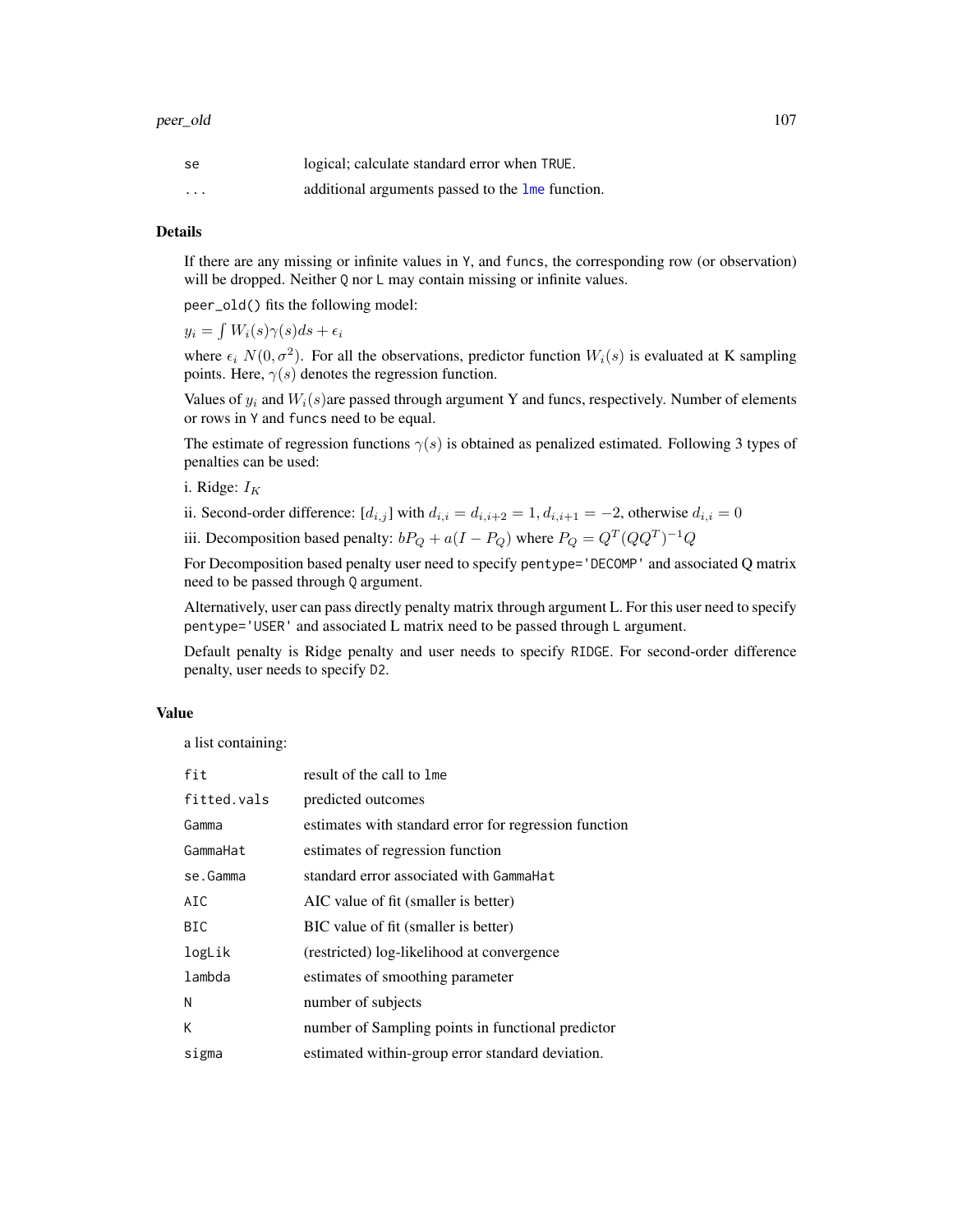| se       | logical; calculate standard error when TRUE.                         |
|----------|----------------------------------------------------------------------|
| $\cdots$ | additional arguments passed to the $\mathsf{Im}\mathsf{e}$ function. |

# Details

If there are any missing or infinite values in Y, and funcs, the corresponding row (or observation) will be dropped. Neither Q nor L may contain missing or infinite values.

peer\_old() fits the following model:

 $y_i = \int W_i(s)\gamma(s)ds + \epsilon_i$ 

where  $\epsilon_i$   $N(0, \sigma^2)$ . For all the observations, predictor function  $W_i(s)$  is evaluated at K sampling points. Here,  $\gamma(s)$  denotes the regression function.

Values of  $y_i$  and  $W_i(s)$  are passed through argument Y and funcs, respectively. Number of elements or rows in Y and funcs need to be equal.

The estimate of regression functions  $\gamma(s)$  is obtained as penalized estimated. Following 3 types of penalties can be used:

i. Ridge:  $I_K$ 

ii. Second-order difference:  $[d_{i,j}]$  with  $d_{i,i} = d_{i,i+2} = 1, d_{i,i+1} = -2$ , otherwise  $d_{i,i} = 0$ 

iii. Decomposition based penalty:  $bP_Q + a(I - P_Q)$  where  $P_Q = Q^T (QQ^T)^{-1} Q$ 

For Decomposition based penalty user need to specify pentype='DECOMP' and associated Q matrix need to be passed through Q argument.

Alternatively, user can pass directly penalty matrix through argument L. For this user need to specify pentype='USER' and associated L matrix need to be passed through L argument.

Default penalty is Ridge penalty and user needs to specify RIDGE. For second-order difference penalty, user needs to specify D2.

### Value

a list containing:

| fit         | result of the call to lme                             |
|-------------|-------------------------------------------------------|
| fitted.vals | predicted outcomes                                    |
| Gamma       | estimates with standard error for regression function |
| GammaHat    | estimates of regression function                      |
| se.Gamma    | standard error associated with Gamma Hat              |
| AIC         | AIC value of fit (smaller is better)                  |
| <b>BIC</b>  | BIC value of fit (smaller is better)                  |
| logLik      | (restricted) log-likelihood at convergence            |
| lambda      | estimates of smoothing parameter                      |
| N           | number of subjects                                    |
| K           | number of Sampling points in functional predictor     |
| sigma       | estimated within-group error standard deviation.      |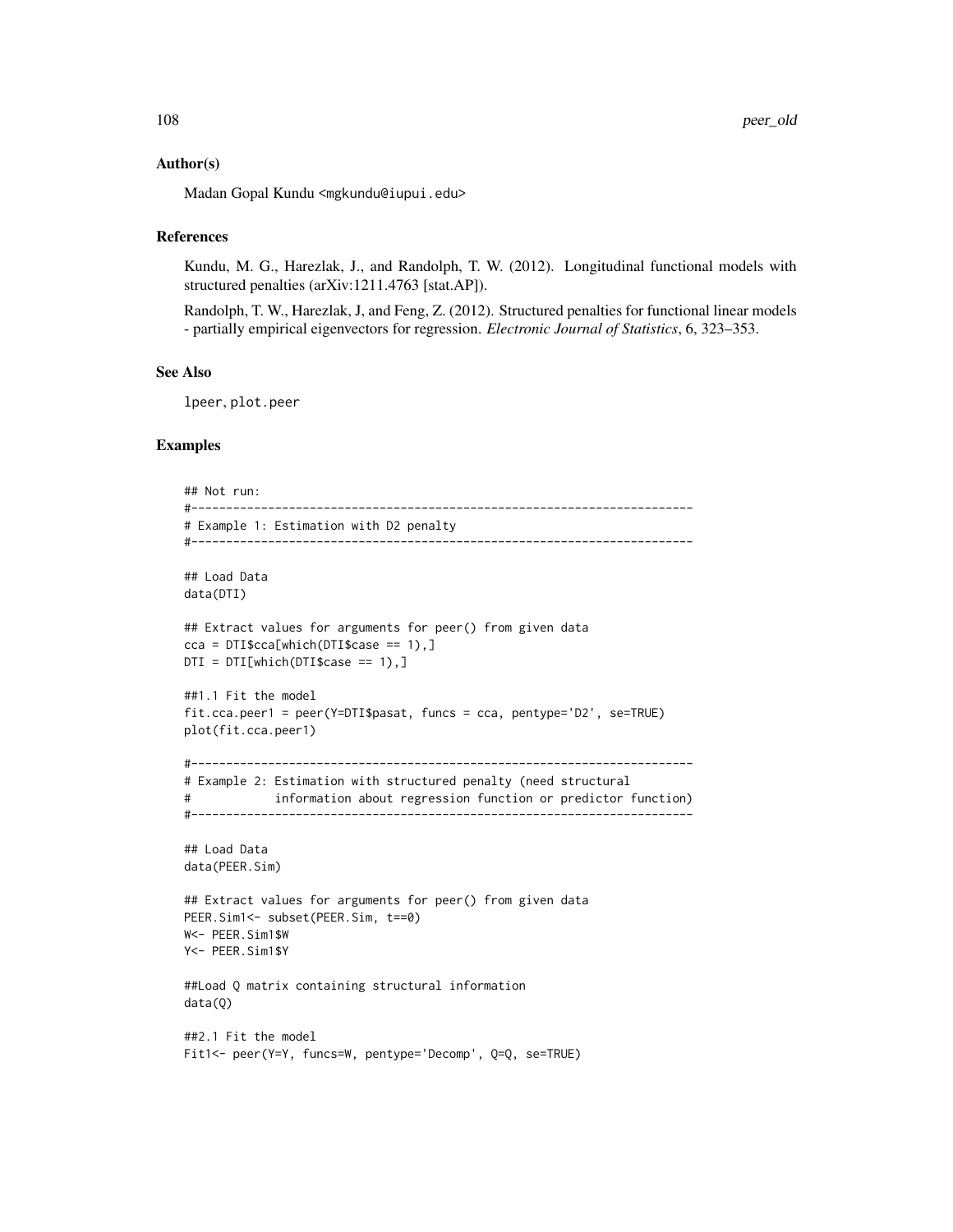### Author(s)

Madan Gopal Kundu <mgkundu@iupui.edu>

### References

Kundu, M. G., Harezlak, J., and Randolph, T. W. (2012). Longitudinal functional models with structured penalties (arXiv:1211.4763 [stat.AP]).

Randolph, T. W., Harezlak, J, and Feng, Z. (2012). Structured penalties for functional linear models - partially empirical eigenvectors for regression. *Electronic Journal of Statistics*, 6, 323–353.

# See Also

lpeer, plot.peer

# Examples

```
## Not run:
#------------------------------------------------------------------------
# Example 1: Estimation with D2 penalty
#------------------------------------------------------------------------
## Load Data
data(DTI)
## Extract values for arguments for peer() from given data
cca = DTI$cca[which(DTI$case == 1),]DTI = DTI[which(DTI$case == 1),]##1.1 Fit the model
fit.cca.peer1 = peer(Y=DTI$pasat, funcs = cca, pentype='D2', se=TRUE)
plot(fit.cca.peer1)
#------------------------------------------------------------------------
# Example 2: Estimation with structured penalty (need structural
# information about regression function or predictor function)
#------------------------------------------------------------------------
## Load Data
data(PEER.Sim)
## Extract values for arguments for peer() from given data
PEER.Sim1 <- subset(PEER.Sim, t==0)
W<- PEER.Sim1$W
Y<- PEER.Sim1$Y
##Load Q matrix containing structural information
data(Q)
##2.1 Fit the model
```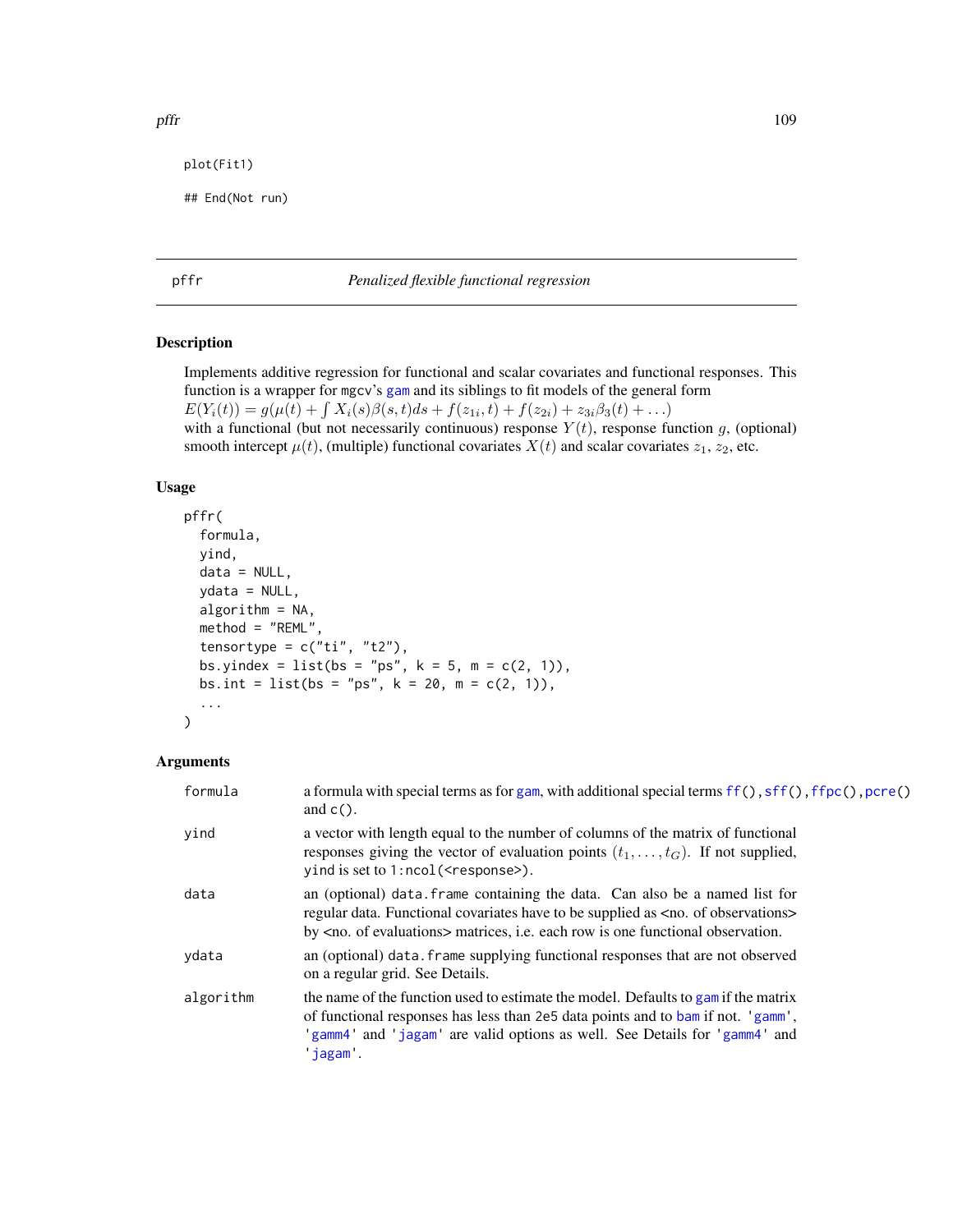```
plot(Fit1)
```

```
## End(Not run)
```
# <span id="page-108-0"></span>pffr *Penalized flexible functional regression*

# Description

Implements additive regression for functional and scalar covariates and functional responses. This function is a wrapper for mgcv's [gam](#page-0-0) and its siblings to fit models of the general form  $E(Y_i(t)) = g(\mu(t) + \int X_i(s)\beta(s,t)ds + f(z_{1i},t) + f(z_{2i}) + z_{3i}\beta_3(t) + ...)$ with a functional (but not necessarily continuous) response  $Y(t)$ , response function g, (optional) smooth intercept  $\mu(t)$ , (multiple) functional covariates  $X(t)$  and scalar covariates  $z_1, z_2$ , etc.

### Usage

```
pffr(
  formula,
  yind,
  data = NULL,
  ydata = NULL,
  algorithm = NA,
  method = "REML",
  tensortype = c("ti", "t2"),bs.yindex = list(bs = "ps", k = 5, m = c(2, 1)),bs.int = list(bs = "ps", k = 20, m = c(2, 1)),
  ...
\mathcal{L}
```
# Arguments

| formula   | a formula with special terms as for gam, with additional special terms ff(), sff(), ffpc(), pcre()<br>and $c()$ .                                                                                                                                                                    |
|-----------|--------------------------------------------------------------------------------------------------------------------------------------------------------------------------------------------------------------------------------------------------------------------------------------|
| yind      | a vector with length equal to the number of columns of the matrix of functional<br>responses giving the vector of evaluation points $(t_1, \ldots, t_G)$ . If not supplied,<br>$y$ ind is set to 1:ncol( $\leq$ response $\geq$ ).                                                   |
| data      | an (optional) data. frame containing the data. Can also be a named list for<br>regular data. Functional covariates have to be supplied as <no. observations="" of=""><br/>by <math>\langle</math>no. of evaluations&gt; matrices, i.e. each row is one functional observation.</no.> |
| ydata     | an (optional) data. frame supplying functional responses that are not observed<br>on a regular grid. See Details.                                                                                                                                                                    |
| algorithm | the name of the function used to estimate the model. Defaults to gam if the matrix<br>of functional responses has less than 2e5 data points and to bam if not. 'gamm',<br>'gamm4' and 'jagam' are valid options as well. See Details for 'gamm4' and<br>'iagam'.                     |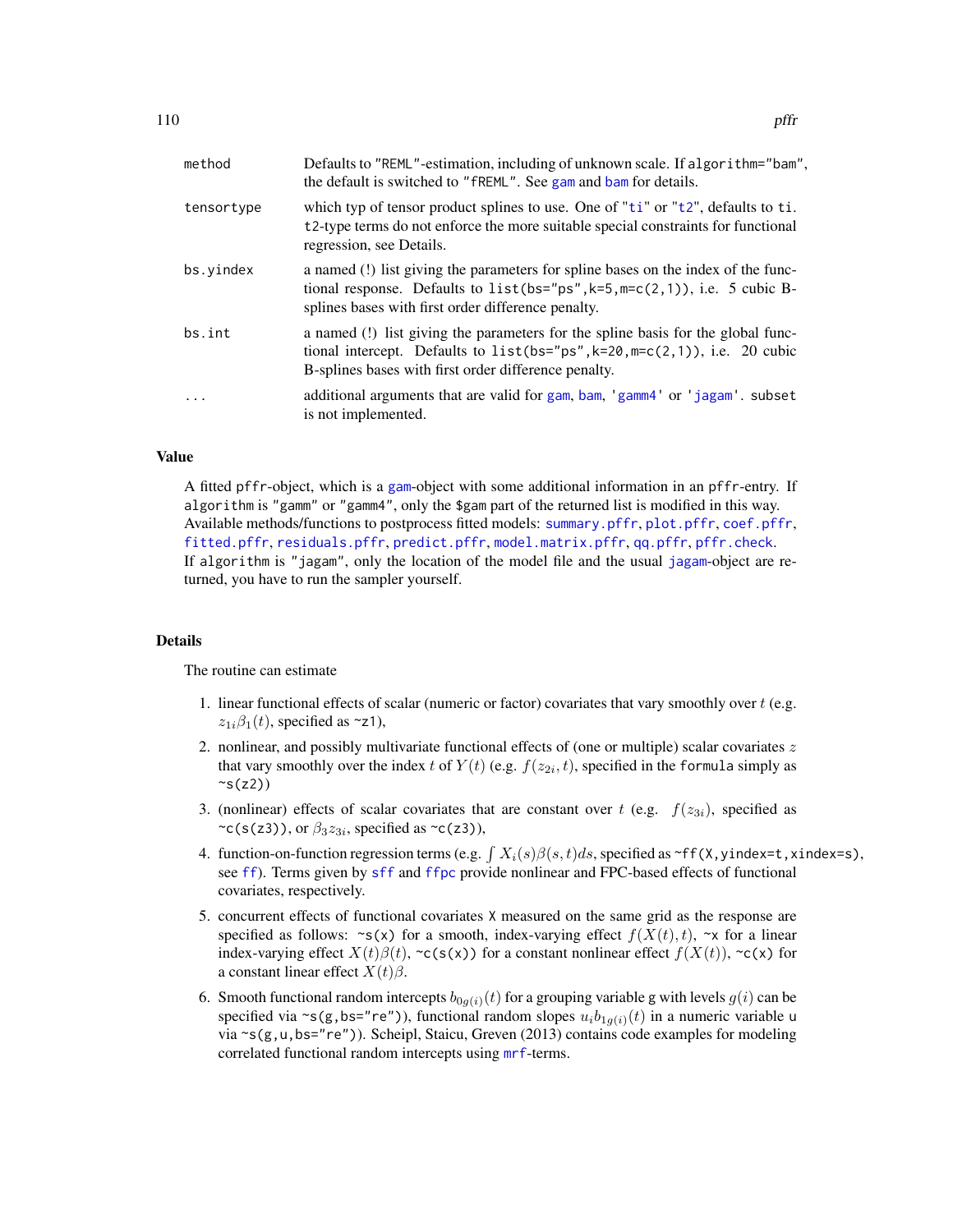| method     | Defaults to "REML"-estimation, including of unknown scale. If algorithm="bam",<br>the default is switched to "fREML". See gam and bam for details.                                                                       |
|------------|--------------------------------------------------------------------------------------------------------------------------------------------------------------------------------------------------------------------------|
| tensortype | which typ of tensor product splines to use. One of "ti" or "t2", defaults to ti.<br>t <sub>2</sub> -type terms do not enforce the more suitable special constraints for functional<br>regression, see Details.           |
| bs.vindex  | a named (!) list giving the parameters for spline bases on the index of the func-<br>tional response. Defaults to $list(bs="ps", k=5, m=c(2,1)),$ i.e. 5 cubic B-<br>splines bases with first order difference penalty.  |
| bs.int     | a named (!) list giving the parameters for the spline basis for the global func-<br>tional intercept. Defaults to $list(bs="ps", k=20, m=c(2,1)),$ i.e. 20 cubic<br>B-splines bases with first order difference penalty. |
| $\cdots$   | additional arguments that are valid for gam, bam, 'gamm4' or 'jagam'. subset<br>is not implemented.                                                                                                                      |

### Value

A fitted pffr-object, which is a [gam](#page-0-0)-object with some additional information in an pffr-entry. If algorithm is "gamm" or "gamm4", only the \$gam part of the returned list is modified in this way. Available methods/functions to postprocess fitted models: [summary.pffr](#page-165-0), [plot.pffr](#page-129-0), [coef.pffr](#page-15-0), [fitted.pffr](#page-148-0), [residuals.pffr](#page-148-1), [predict.pffr](#page-140-0), [model.matrix.pffr](#page-97-0), [qq.pffr](#page-146-0), [pffr.check](#page-112-0). If algorithm is "jagam", only the location of the model file and the usual [jagam](#page-0-0)-object are returned, you have to run the sampler yourself.

### Details

The routine can estimate

- 1. linear functional effects of scalar (numeric or factor) covariates that vary smoothly over t (e.g.  $z_{1i}\beta_1(t)$ , specified as ~z1),
- 2. nonlinear, and possibly multivariate functional effects of (one or multiple) scalar covariates z that vary smoothly over the index t of  $Y(t)$  (e.g.  $f(z_{2i}, t)$ , specified in the formula simply as  $\sim s(z2)$
- 3. (nonlinear) effects of scalar covariates that are constant over t (e.g.  $f(z_{3i})$ , specified as  $\sim$ c(s(z3)), or  $\beta_3 z_{3i}$ , specified as  $\sim$ c(z3)),
- 4. function-on-function regression terms (e.g.  $\int X_i(s)\beta(s,t)ds$ , specified as ~ff(X,yindex=t,xindex=s), see [ff](#page-26-0)). Terms given by [sff](#page-152-0) and [ffpc](#page-28-0) provide nonlinear and FPC-based effects of functional covariates, respectively.
- 5. concurrent effects of functional covariates X measured on the same grid as the response are specified as follows:  $\sim s(x)$  for a smooth, index-varying effect  $f(X(t), t)$ ,  $\sim x$  for a linear index-varying effect  $X(t)\beta(t)$ , ~c(s(x)) for a constant nonlinear effect  $f(X(t))$ , ~c(x) for a constant linear effect  $X(t)\beta$ .
- 6. Smooth functional random intercepts  $b_{0g(i)}(t)$  for a grouping variable g with levels  $g(i)$  can be specified via ~s(g,bs="re")), functional random slopes  $u_i b_{1g(i)}(t)$  in a numeric variable u via ~s(g,u,bs="re")). Scheipl, Staicu, Greven (2013) contains code examples for modeling correlated functional random intercepts using [mrf](#page-0-0)-terms.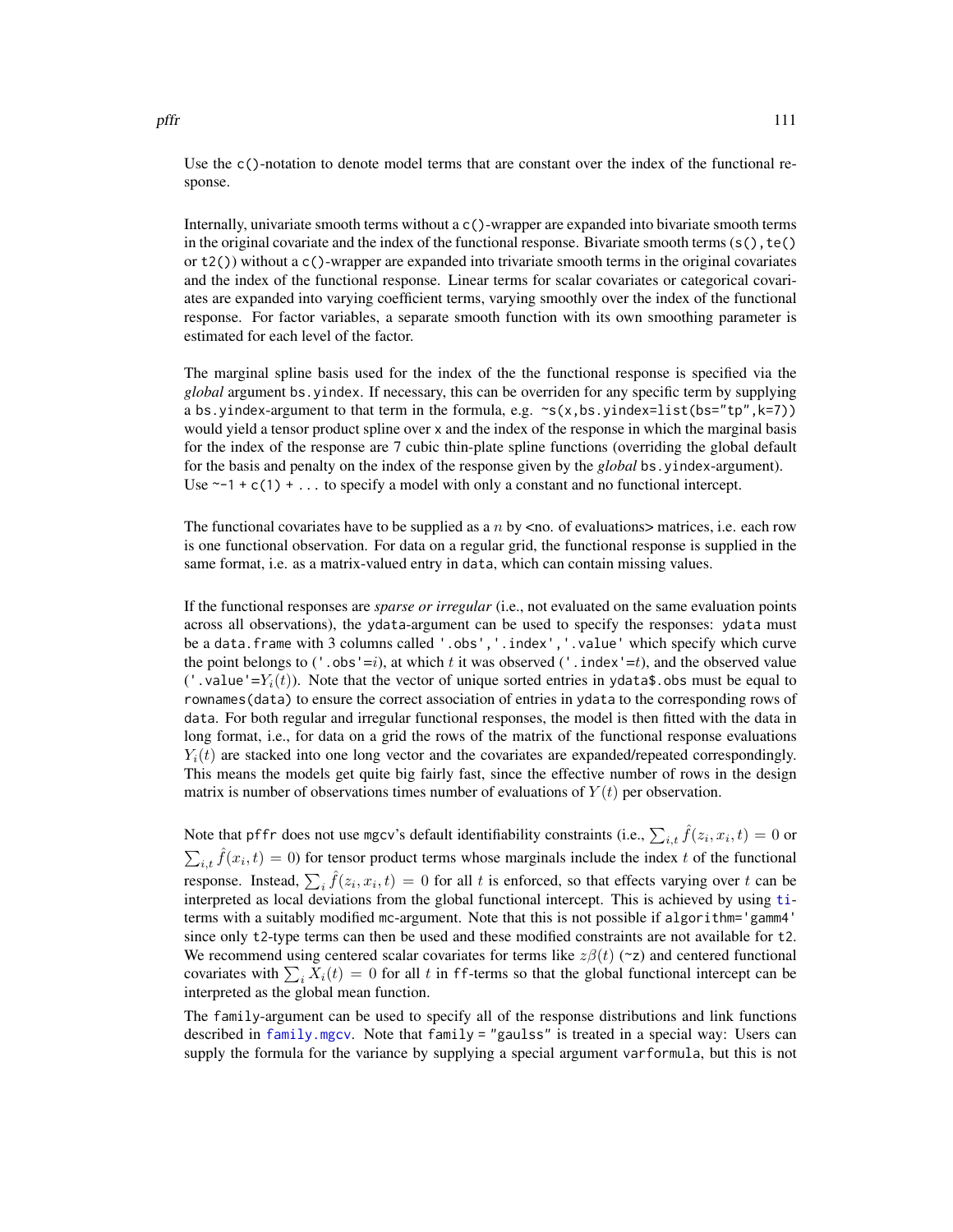Use the c()-notation to denote model terms that are constant over the index of the functional response.

Internally, univariate smooth terms without a c()-wrapper are expanded into bivariate smooth terms in the original covariate and the index of the functional response. Bivariate smooth terms  $(s(),t())$ or t2()) without a c()-wrapper are expanded into trivariate smooth terms in the original covariates and the index of the functional response. Linear terms for scalar covariates or categorical covariates are expanded into varying coefficient terms, varying smoothly over the index of the functional response. For factor variables, a separate smooth function with its own smoothing parameter is estimated for each level of the factor.

The marginal spline basis used for the index of the the functional response is specified via the *global* argument bs.yindex. If necessary, this can be overriden for any specific term by supplying a bs.yindex-argument to that term in the formula, e.g.  $\sim s(x, bs.yindex=list(bs="tp", k=7))$ would yield a tensor product spline over x and the index of the response in which the marginal basis for the index of the response are 7 cubic thin-plate spline functions (overriding the global default for the basis and penalty on the index of the response given by the *global* bs.yindex-argument). Use  $\sim$ -1 + c(1) + ... to specify a model with only a constant and no functional intercept.

The functional covariates have to be supplied as a  $n$  by  $\leq$  no. of evaluations> matrices, i.e. each row is one functional observation. For data on a regular grid, the functional response is supplied in the same format, i.e. as a matrix-valued entry in data, which can contain missing values.

If the functional responses are *sparse or irregular* (i.e., not evaluated on the same evaluation points across all observations), the ydata-argument can be used to specify the responses: ydata must be a data.frame with 3 columns called '.obs','.index','.value' which specify which curve the point belongs to ('.obs'=i), at which t it was observed ('.index'=t), and the observed value ('.value'= $Y_i(t)$ ). Note that the vector of unique sorted entries in ydata\$.obs must be equal to rownames(data) to ensure the correct association of entries in ydata to the corresponding rows of data. For both regular and irregular functional responses, the model is then fitted with the data in long format, i.e., for data on a grid the rows of the matrix of the functional response evaluations  $Y_i(t)$  are stacked into one long vector and the covariates are expanded/repeated correspondingly. This means the models get quite big fairly fast, since the effective number of rows in the design matrix is number of observations times number of evaluations of  $Y(t)$  per observation.

Note that pffr does not use mgcv's default identifiability constraints (i.e.,  $\sum_{i,t} \hat{f}(z_i, x_i, t) = 0$  or  $\sum_{i,t} \hat{f}(x_i, t) = 0$ ) for tensor product terms whose marginals include the index t of the functional response. Instead,  $\sum_i \hat{f}(z_i, x_i, t) = 0$  for all t is enforced, so that effects varying over t can be interpreted as local deviations from the global functional intercept. This is achieved by using [ti](#page-0-0)terms with a suitably modified mc-argument. Note that this is not possible if algorithm='gamm4' since only t2-type terms can then be used and these modified constraints are not available for t2. We recommend using centered scalar covariates for terms like  $z\beta(t)$  (~z) and centered functional covariates with  $\sum_i X_i(t) = 0$  for all t in ff-terms so that the global functional intercept can be interpreted as the global mean function.

The family-argument can be used to specify all of the response distributions and link functions described in [family.mgcv](#page-0-0). Note that family = "gaulss" is treated in a special way: Users can supply the formula for the variance by supplying a special argument varformula, but this is not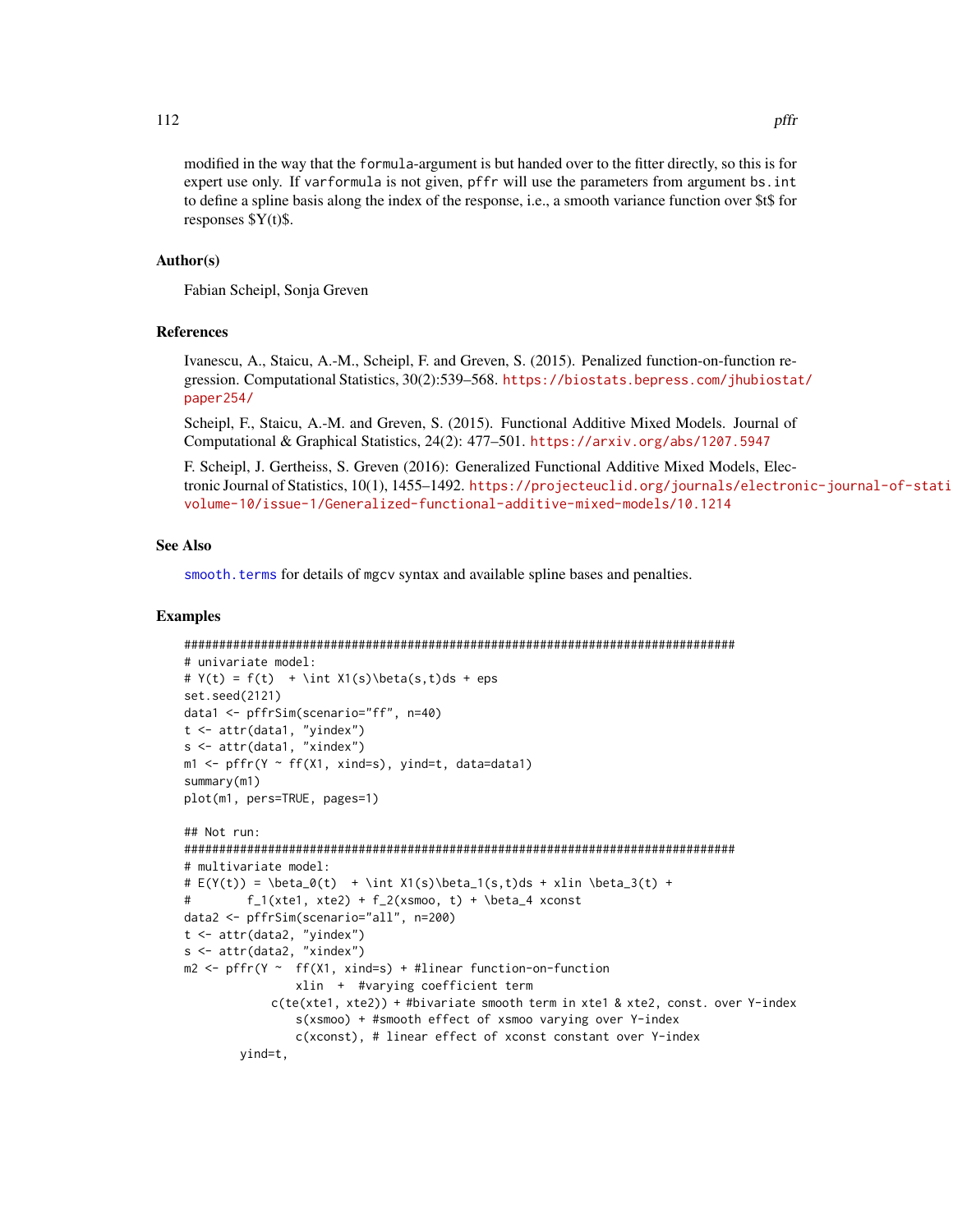modified in the way that the formula-argument is but handed over to the fitter directly, so this is for expert use only. If varformula is not given, pffr will use the parameters from argument bs.int to define a spline basis along the index of the response, i.e., a smooth variance function over \$t\$ for responses \$Y(t)\$.

#### Author(s)

Fabian Scheipl, Sonja Greven

### References

Ivanescu, A., Staicu, A.-M., Scheipl, F. and Greven, S. (2015). Penalized function-on-function regression. Computational Statistics, 30(2):539–568. [https://biostats.bepress.com/jhubiostat](https://biostats.bepress.com/jhubiostat/paper254/)/ [paper254/](https://biostats.bepress.com/jhubiostat/paper254/)

Scheipl, F., Staicu, A.-M. and Greven, S. (2015). Functional Additive Mixed Models. Journal of Computational & Graphical Statistics, 24(2): 477–501. <https://arxiv.org/abs/1207.5947>

F. Scheipl, J. Gertheiss, S. Greven (2016): Generalized Functional Additive Mixed Models, Electronic Journal of Statistics, 10(1), 1455–1492. [https://projecteuclid.org/journals/electron](https://projecteuclid.org/journals/electronic-journal-of-statistics/volume-10/issue-1/Generalized-functional-additive-mixed-models/10.1214)ic-journal-of-stati [volume-10/issue-1/Generalized-functional-additive-mixed-models/10.1214](https://projecteuclid.org/journals/electronic-journal-of-statistics/volume-10/issue-1/Generalized-functional-additive-mixed-models/10.1214)

### See Also

[smooth.terms](#page-0-0) for details of mgcv syntax and available spline bases and penalties.

### Examples

```
###############################################################################
# univariate model:
# Y(t) = f(t) + \int X1(s)\beta(s,t)ds + epsset.seed(2121)
data1 <- pffrSim(scenario="ff", n=40)
t <- attr(data1, "yindex")
s <- attr(data1, "xindex")
m1 <- pffr(Y ~ ff(X1, xind=s), yind=t, data=data1)
summary(m1)
plot(m1, pers=TRUE, pages=1)
## Not run:
###############################################################################
# multivariate model:
# E(Y(t)) = \beta_0(t) + \int X1(s)\beta_1(s,t)ds + xlin \beta_3(t) +# f_1(xte1, xte2) + f_2(xsmoo, t) + \beta_4 xconstdata2 <- pffrSim(scenario="all", n=200)
t <- attr(data2, "yindex")
s <- attr(data2, "xindex")
m2 \leq p ffr(Y \sim ff(X1, xind=s) + #linear function-on-function
                xlin + #varying coefficient term
            c(te(xte1, xte2)) + #bivariate smooth term in xte1 & xte2, const. over Y-index
                s(xsmoo) + #smooth effect of xsmoo varying over Y-index
                c(xconst), # linear effect of xconst constant over Y-index
        yind=t,
```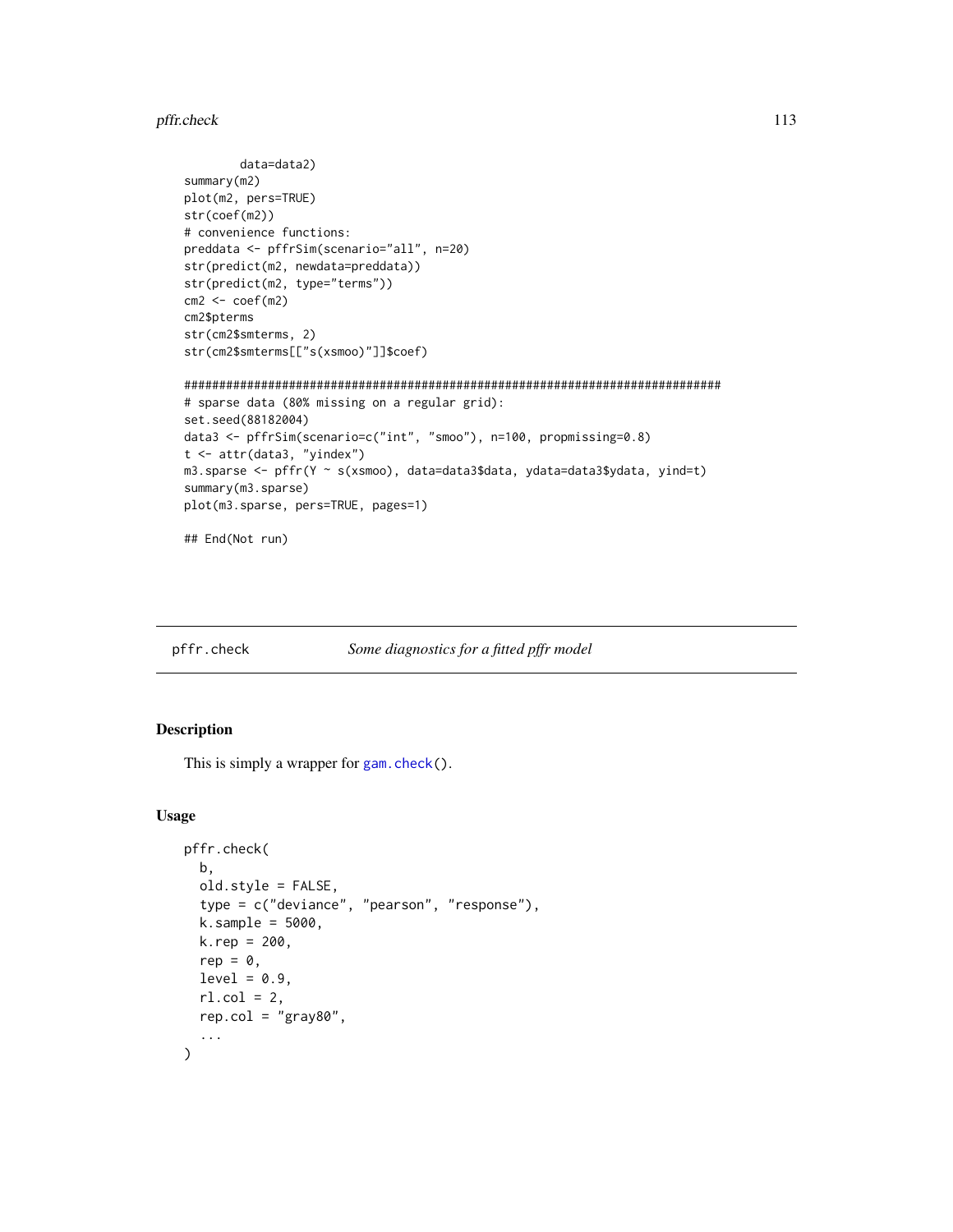#### pffr.check 113

```
data=data2)
summary(m2)
plot(m2, pers=TRUE)
str(coef(m2))
# convenience functions:
preddata <- pffrSim(scenario="all", n=20)
str(predict(m2, newdata=preddata))
str(predict(m2, type="terms"))
cm2 < - \text{coeff}(m2)cm2$pterms
str(cm2$smterms, 2)
str(cm2$smterms[["s(xsmoo)"]]$coef)
#############################################################################
# sparse data (80% missing on a regular grid):
set.seed(88182004)
data3 <- pffrSim(scenario=c("int", "smoo"), n=100, propmissing=0.8)
t <- attr(data3, "yindex")
m3.sparse <- pffr(Y ~ s(xsmoo), data=data3$data, ydata=data3$ydata, yind=t)
summary(m3.sparse)
plot(m3.sparse, pers=TRUE, pages=1)
## End(Not run)
```
<span id="page-112-0"></span>pffr.check *Some diagnostics for a fitted pffr model*

# Description

This is simply a wrapper for [gam.check\(](#page-0-0)).

# Usage

```
pffr.check(
  b,
  old.style = FALSE,
  type = c("deviance", "pearson", "response"),
  k.\text{sample} = 5000,k. rep = 200,rep = \theta.
  level = 0.9,
  rl.col = 2,
  rep.col = "gray80",...
\mathcal{L}
```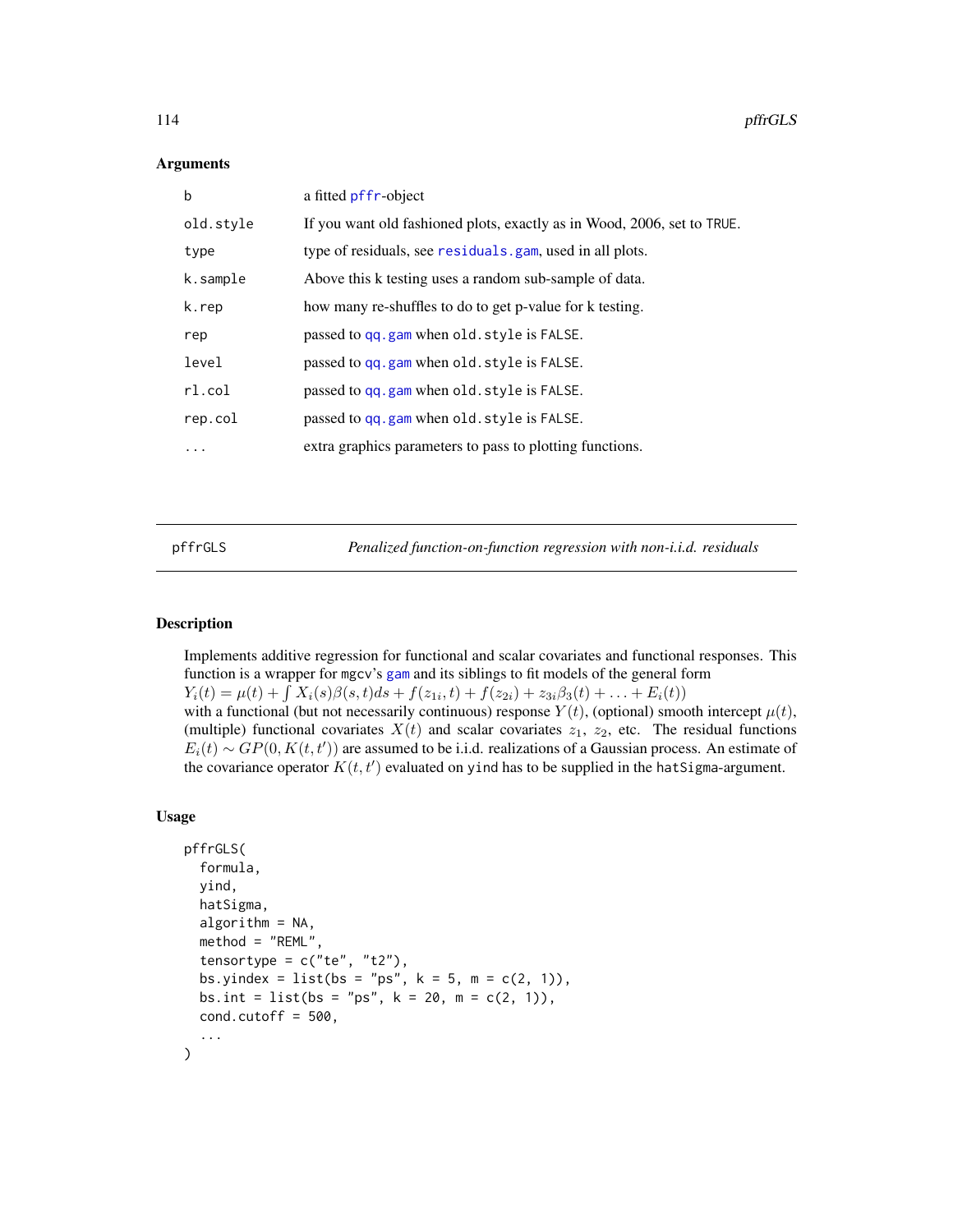### **Arguments**

| $\mathbf b$ | a fitted pffr-object                                                    |
|-------------|-------------------------------------------------------------------------|
| old.style   | If you want old fashioned plots, exactly as in Wood, 2006, set to TRUE. |
| type        | type of residuals, see residuals.gam, used in all plots.                |
| k.sample    | Above this k testing uses a random sub-sample of data.                  |
| k.rep       | how many re-shuffles to do to get p-value for k testing.                |
| rep         | passed to qq.gam when old.style is FALSE.                               |
| level       | passed to qq.gam when old.style is FALSE.                               |
| r1.col      | passed to qq.gam when old.style is FALSE.                               |
| rep.col     | passed to qq.gam when old.style is FALSE.                               |
| $\cdot$     | extra graphics parameters to pass to plotting functions.                |
|             |                                                                         |

pffrGLS *Penalized function-on-function regression with non-i.i.d. residuals*

# Description

Implements additive regression for functional and scalar covariates and functional responses. This function is a wrapper for mgcv's [gam](#page-0-0) and its siblings to fit models of the general form  $Y_i(t) = \mu(t) + \int X_i(s)\beta(s,t)ds + f(z_{1i},t) + f(z_{2i}) + z_{3i}\beta_3(t) + \ldots + E_i(t)$ with a functional (but not necessarily continuous) response  $Y(t)$ , (optional) smooth intercept  $\mu(t)$ , (multiple) functional covariates  $X(t)$  and scalar covariates  $z_1$ ,  $z_2$ , etc. The residual functions  $E_i(t) \sim GP(0, K(t, t'))$  are assumed to be i.i.d. realizations of a Gaussian process. An estimate of the covariance operator  $K(t, t')$  evaluated on yind has to be supplied in the hatSigma-argument.

#### Usage

```
pffrGLS(
  formula,
  yind,
  hatSigma,
  algorithm = NA,
  method = "REML",
  tensortype = c("te", "t2"),
  bs.yindex = list(bs = "ps", k = 5, m = c(2, 1)),
  bs.int = list(bs = "ps", k = 20, m = c(2, 1)),
  cond.cutoff = 500,
  ...
)
```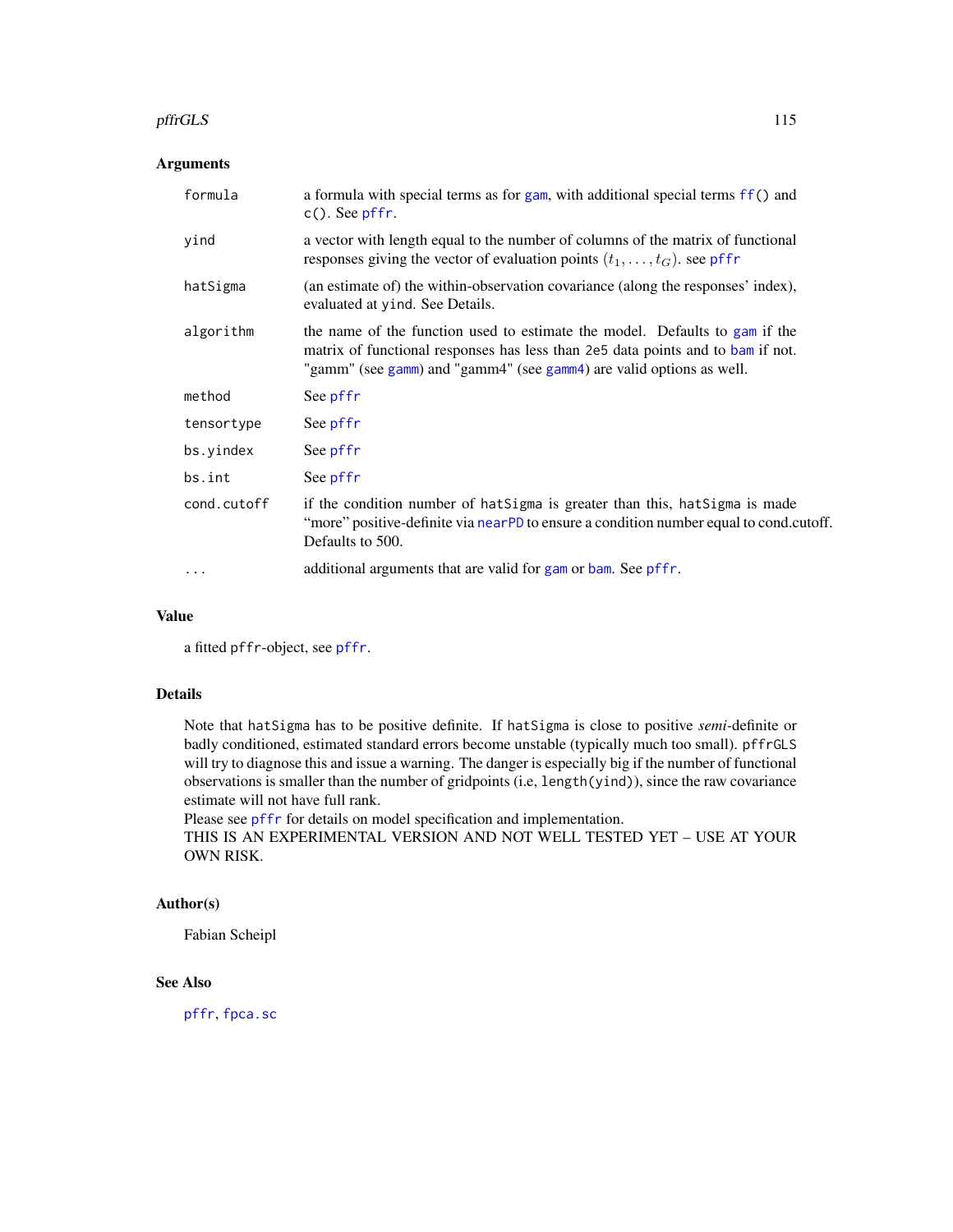#### pffrGLS 115

# Arguments

| formula     | a formula with special terms as for gam, with additional special terms ff() and<br>$c()$ . See pffr.                                                                                                                                   |
|-------------|----------------------------------------------------------------------------------------------------------------------------------------------------------------------------------------------------------------------------------------|
| yind        | a vector with length equal to the number of columns of the matrix of functional<br>responses giving the vector of evaluation points $(t_1, \ldots, t_G)$ . see pffr                                                                    |
| hatSigma    | (an estimate of) the within-observation covariance (along the responses' index),<br>evaluated at yind. See Details.                                                                                                                    |
| algorithm   | the name of the function used to estimate the model. Defaults to gam if the<br>matrix of functional responses has less than 2e5 data points and to bam if not.<br>"gamm" (see gamm) and "gamm4" (see gamm4) are valid options as well. |
| method      | See pffr                                                                                                                                                                                                                               |
| tensortype  | See pffr                                                                                                                                                                                                                               |
| bs.yindex   | See pffr                                                                                                                                                                                                                               |
| bs.int      | See pffr                                                                                                                                                                                                                               |
| cond.cutoff | if the condition number of hat Sigma is greater than this, hat Sigma is made<br>"more" positive-definite via nearPD to ensure a condition number equal to cond.cutoff.<br>Defaults to 500.                                             |
| $\cdots$    | additional arguments that are valid for gam or bam. See pffr.                                                                                                                                                                          |

### Value

a fitted pffr-object, see [pffr](#page-108-0).

# Details

Note that hatSigma has to be positive definite. If hatSigma is close to positive *semi-*definite or badly conditioned, estimated standard errors become unstable (typically much too small). pffrGLS will try to diagnose this and issue a warning. The danger is especially big if the number of functional observations is smaller than the number of gridpoints (i.e, length(yind)), since the raw covariance estimate will not have full rank.

Please see [pffr](#page-108-0) for details on model specification and implementation.

THIS IS AN EXPERIMENTAL VERSION AND NOT WELL TESTED YET – USE AT YOUR OWN RISK.

### Author(s)

Fabian Scheipl

# See Also

[pffr](#page-108-0), [fpca.sc](#page-56-0)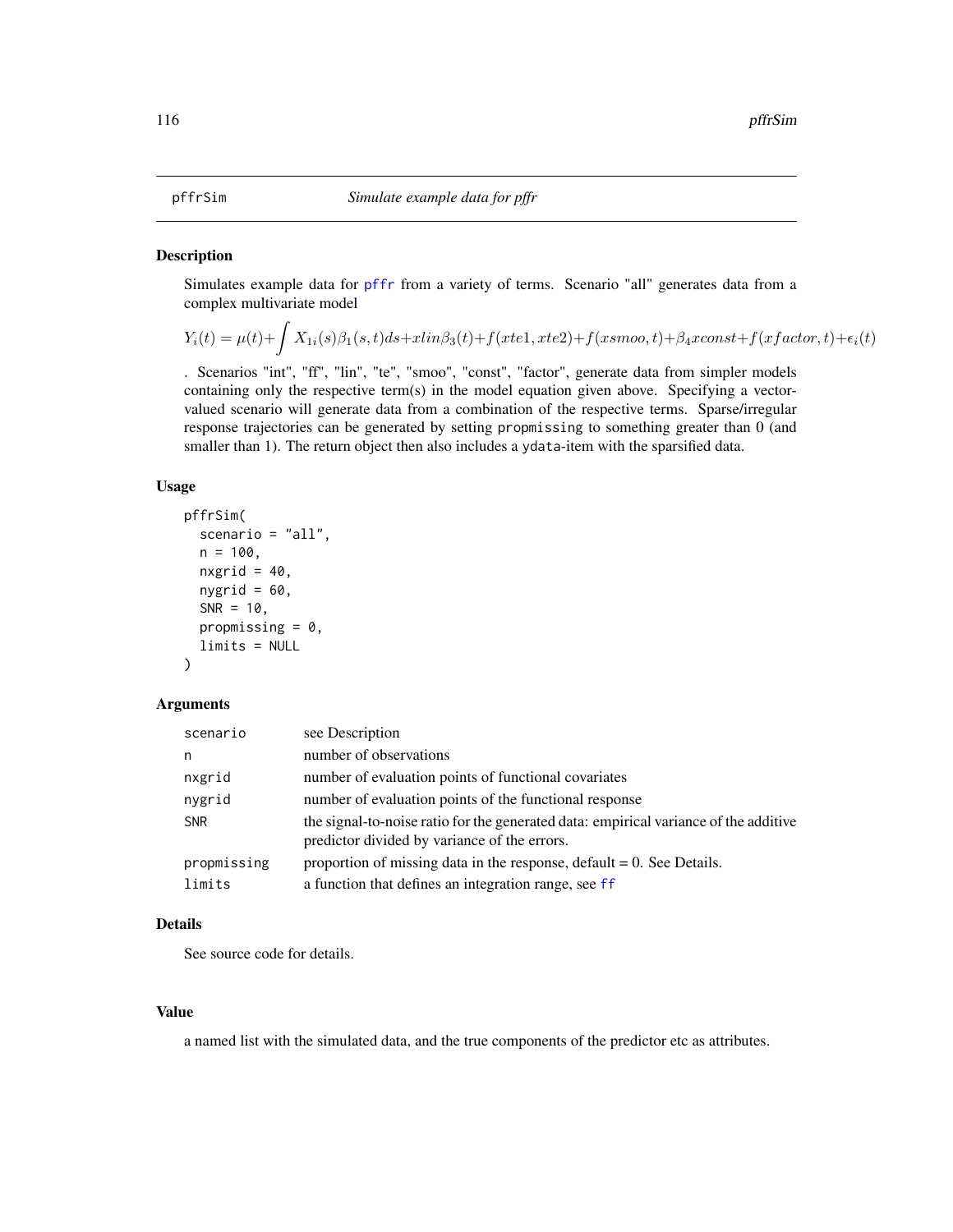# Description

Simulates example data for [pffr](#page-108-0) from a variety of terms. Scenario "all" generates data from a complex multivariate model

$$
Y_i(t) = \mu(t) + \int X_{1i}(s)\beta_1(s,t)ds + xlin\beta_3(t) + f(xtel, xte2) + f(xsmoo, t) + \beta_4xconst + f(xfactor, t) + \epsilon_i(t)
$$

. Scenarios "int", "ff", "lin", "te", "smoo", "const", "factor", generate data from simpler models containing only the respective term(s) in the model equation given above. Specifying a vectorvalued scenario will generate data from a combination of the respective terms. Sparse/irregular response trajectories can be generated by setting propmissing to something greater than 0 (and smaller than 1). The return object then also includes a ydata-item with the sparsified data.

# Usage

```
pffrSim(
  scenario = "all",
  n = 100,nxgrid = 40,
  nygrid = 60,
  SNR = 10,
  propmissing = 0,
  limits = NULL
)
```
### Arguments

| scenario    | see Description                                                                                                                      |
|-------------|--------------------------------------------------------------------------------------------------------------------------------------|
| n           | number of observations                                                                                                               |
| nxgrid      | number of evaluation points of functional covariates                                                                                 |
| nygrid      | number of evaluation points of the functional response                                                                               |
| <b>SNR</b>  | the signal-to-noise ratio for the generated data: empirical variance of the additive<br>predictor divided by variance of the errors. |
| propmissing | proportion of missing data in the response, default $= 0$ . See Details.                                                             |
| limits      | a function that defines an integration range, see ff                                                                                 |

# Details

See source code for details.

# Value

a named list with the simulated data, and the true components of the predictor etc as attributes.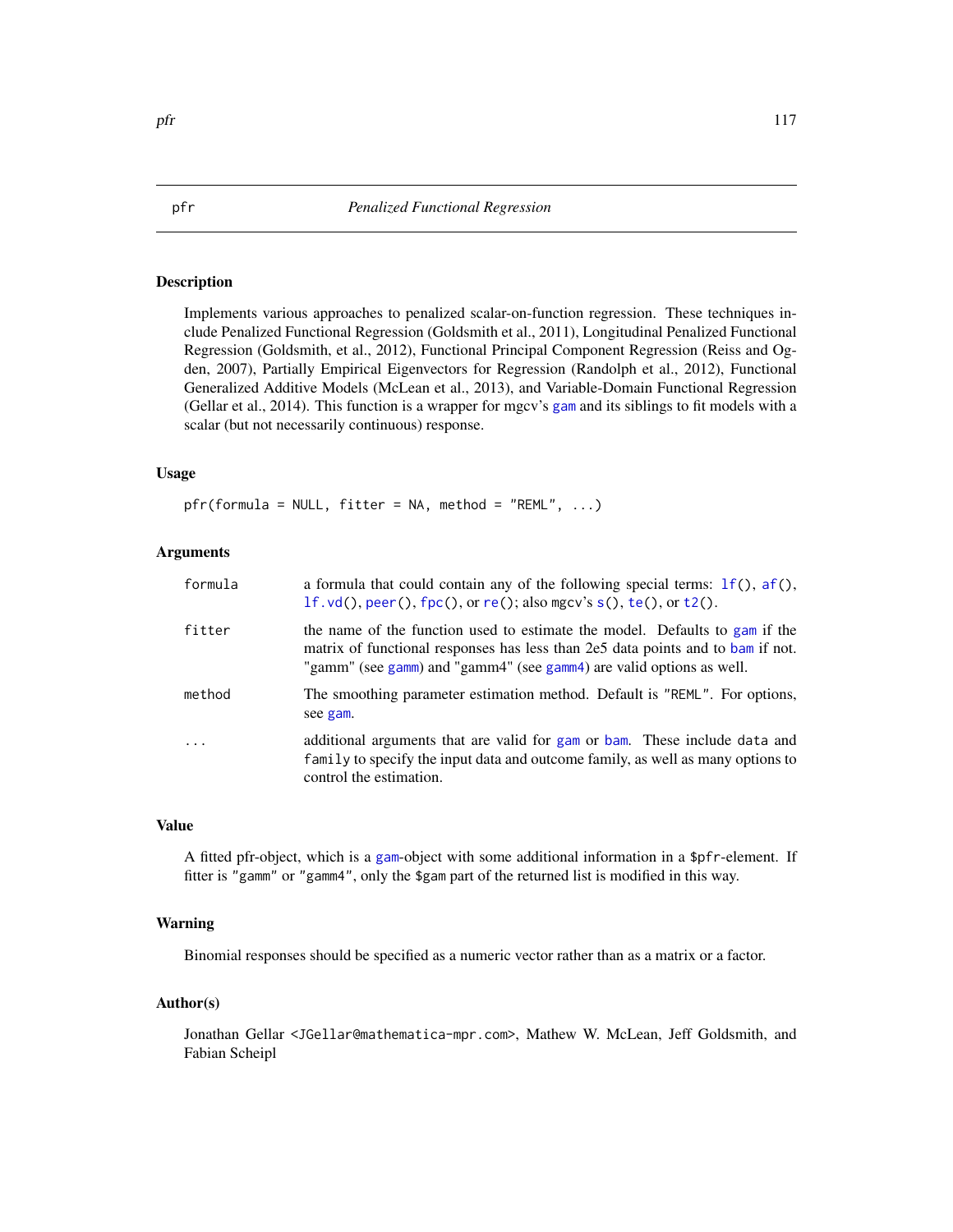# Description

Implements various approaches to penalized scalar-on-function regression. These techniques include Penalized Functional Regression (Goldsmith et al., 2011), Longitudinal Penalized Functional Regression (Goldsmith, et al., 2012), Functional Principal Component Regression (Reiss and Ogden, 2007), Partially Empirical Eigenvectors for Regression (Randolph et al., 2012), Functional Generalized Additive Models (McLean et al., 2013), and Variable-Domain Functional Regression (Gellar et al., 2014). This function is a wrapper for mgcv's [gam](#page-0-0) and its siblings to fit models with a scalar (but not necessarily continuous) response.

# Usage

pfr(formula = NULL, fitter = NA, method = "REML", ...)

# Arguments

| formula  | a formula that could contain any of the following special terms: $If($ ), $af()$ ,<br>$1f$ . vd(), peer(), $fpc($ ), or re(); also mgcv's s(), te(), or t2().                                                                          |  |
|----------|----------------------------------------------------------------------------------------------------------------------------------------------------------------------------------------------------------------------------------------|--|
| fitter   | the name of the function used to estimate the model. Defaults to gam if the<br>matrix of functional responses has less than 2e5 data points and to bam if not.<br>"gamm" (see gamm) and "gamm4" (see gamm4) are valid options as well. |  |
| method   | The smoothing parameter estimation method. Default is "REML". For options,<br>see gam.                                                                                                                                                 |  |
| $\ddots$ | additional arguments that are valid for gam or bam. These include data and<br>family to specify the input data and outcome family, as well as many options to<br>control the estimation.                                               |  |

### Value

A fitted pfr-object, which is a [gam](#page-0-0)-object with some additional information in a \$pfr-element. If fitter is "gamm" or "gamm4", only the \$gam part of the returned list is modified in this way.

### Warning

Binomial responses should be specified as a numeric vector rather than as a matrix or a factor.

### Author(s)

Jonathan Gellar <JGellar@mathematica-mpr.com>, Mathew W. McLean, Jeff Goldsmith, and Fabian Scheipl

<span id="page-116-0"></span>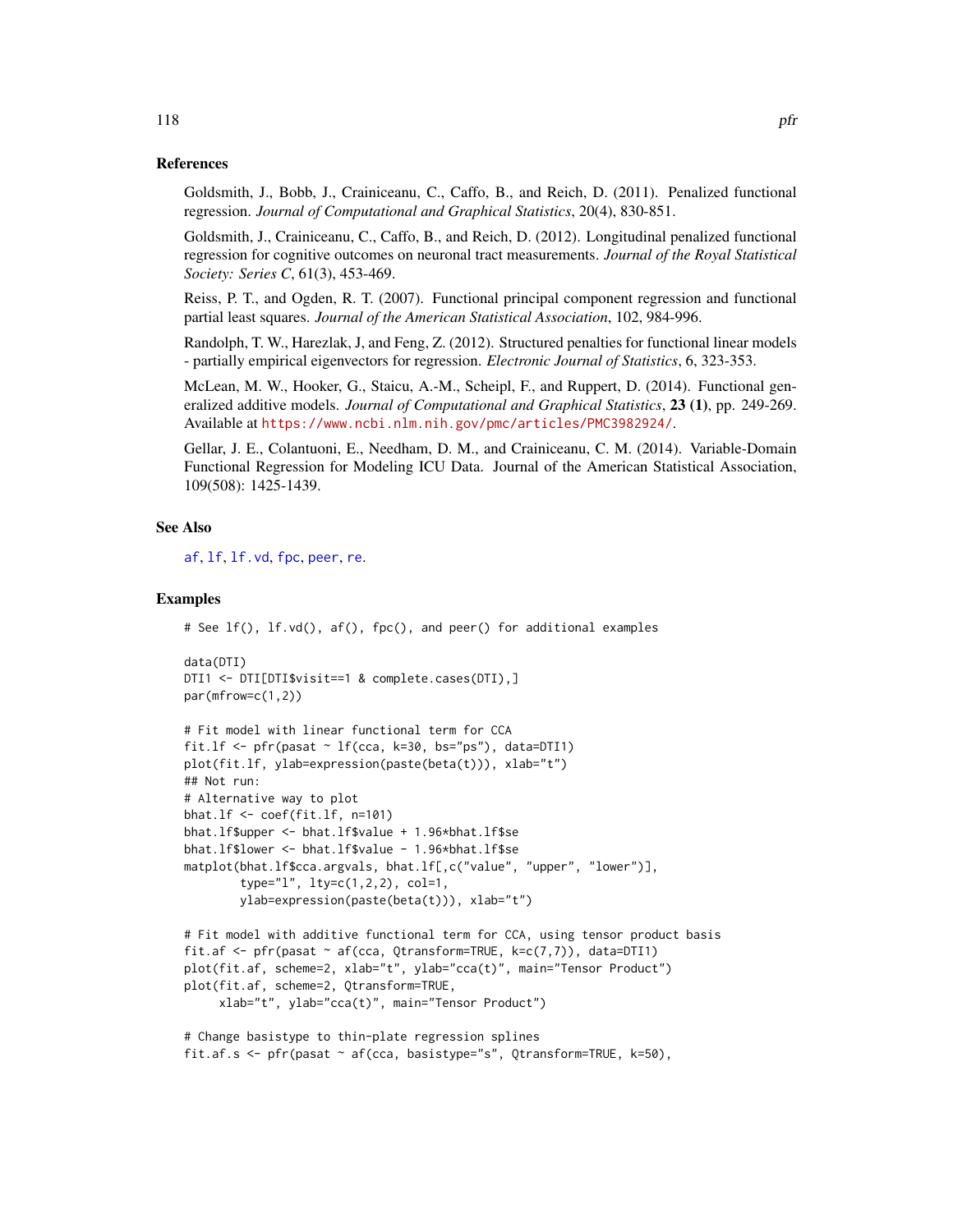#### References

Goldsmith, J., Bobb, J., Crainiceanu, C., Caffo, B., and Reich, D. (2011). Penalized functional regression. *Journal of Computational and Graphical Statistics*, 20(4), 830-851.

Goldsmith, J., Crainiceanu, C., Caffo, B., and Reich, D. (2012). Longitudinal penalized functional regression for cognitive outcomes on neuronal tract measurements. *Journal of the Royal Statistical Society: Series C*, 61(3), 453-469.

Reiss, P. T., and Ogden, R. T. (2007). Functional principal component regression and functional partial least squares. *Journal of the American Statistical Association*, 102, 984-996.

Randolph, T. W., Harezlak, J, and Feng, Z. (2012). Structured penalties for functional linear models - partially empirical eigenvectors for regression. *Electronic Journal of Statistics*, 6, 323-353.

McLean, M. W., Hooker, G., Staicu, A.-M., Scheipl, F., and Ruppert, D. (2014). Functional generalized additive models. *Journal of Computational and Graphical Statistics*, 23 (1), pp. 249-269. Available at <https://www.ncbi.nlm.nih.gov/pmc/articles/PMC3982924/>.

Gellar, J. E., Colantuoni, E., Needham, D. M., and Crainiceanu, C. M. (2014). Variable-Domain Functional Regression for Modeling ICU Data. Journal of the American Statistical Association, 109(508): 1425-1439.

### See Also

[af](#page-4-0), [lf](#page-79-0), [lf.vd](#page-81-0), [fpc](#page-44-0), [peer](#page-102-0), [re](#page-147-0).

### Examples

```
# See lf(), lf.vd(), af(), fpc(), and peer() for additional examples
```

```
data(DTI)
DTI1 <- DTI[DTI$visit==1 & complete.cases(DTI),]
par(mfrow=c(1,2))
```
# Fit model with linear functional term for CCA

```
fit.lf \leq pfr(pasat \sim lf(cca, k=30, bs="ps"), data=DTI1)
plot(fit.lf, ylab=expression(paste(beta(t))), xlab="t")
## Not run:
# Alternative way to plot
bhat.lf <- coef(fit.lf, n=101)
bhat.lf$upper <- bhat.lf$value + 1.96*bhat.lf$se
bhat.lf$lower <- bhat.lf$value - 1.96*bhat.lf$se
matplot(bhat.lf$cca.argvals, bhat.lf[,c("value", "upper", "lower")],
        type="l", lty=c(1,2,2), col=1,
        ylab=expression(paste(beta(t))), xlab="t")
```

```
# Fit model with additive functional term for CCA, using tensor product basis
fit.af <- pfr(pasat ~ af(cca, Qtransform=TRUE, k=c(7,7)), data=DTI1)
plot(fit.af, scheme=2, xlab="t", ylab="cca(t)", main="Tensor Product")
plot(fit.af, scheme=2, Qtransform=TRUE,
    xlab="t", ylab="cca(t)", main="Tensor Product")
```

```
# Change basistype to thin-plate regression splines
fit.af.s <- pfr(pasat ~ af(cca, basistype="s", Qtransform=TRUE, k=50),
```
118 **pfr**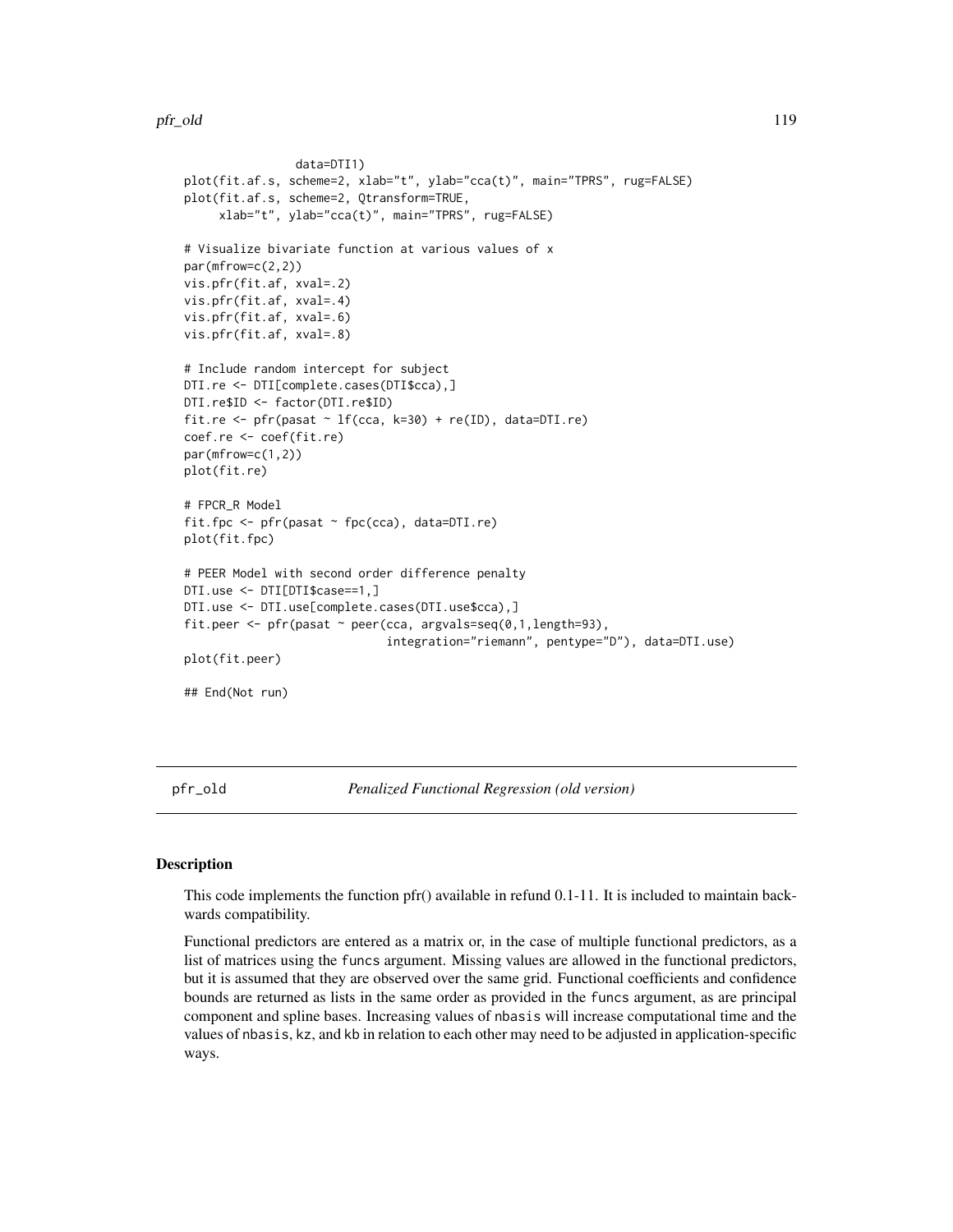pfr\_old 119

```
data=DTI1)
plot(fit.af.s, scheme=2, xlab="t", ylab="cca(t)", main="TPRS", rug=FALSE)
plot(fit.af.s, scheme=2, Qtransform=TRUE,
     xlab="t", ylab="cca(t)", main="TPRS", rug=FALSE)
# Visualize bivariate function at various values of x
par(mfrow=c(2,2))
vis.pfr(fit.af, xval=.2)
vis.pfr(fit.af, xval=.4)
vis.pfr(fit.af, xval=.6)
vis.pfr(fit.af, xval=.8)
# Include random intercept for subject
DTI.re <- DTI[complete.cases(DTI$cca),]
DTI.re$ID <- factor(DTI.re$ID)
fit.re <- pfr(pasat \sim lf(cca, k=30) + re(ID), data=DTI.re)
coef.re <- coef(fit.re)
par(mfrow=c(1,2))
plot(fit.re)
# FPCR_R Model
fit.fpc \leq pfr(pasat \sim fpc(cca), data=DTI.re)
plot(fit.fpc)
# PEER Model with second order difference penalty
DTI.use <- DTI[DTI$case==1,]
DTI.use <- DTI.use[complete.cases(DTI.use$cca),]
fit.peer <- pfr(pasat ~ peer(cca, argvals=seq(0,1,length=93),
                             integration="riemann", pentype="D"), data=DTI.use)
plot(fit.peer)
## End(Not run)
```
pfr\_old *Penalized Functional Regression (old version)*

# Description

This code implements the function pfr() available in refund 0.1-11. It is included to maintain backwards compatibility.

Functional predictors are entered as a matrix or, in the case of multiple functional predictors, as a list of matrices using the funcs argument. Missing values are allowed in the functional predictors, but it is assumed that they are observed over the same grid. Functional coefficients and confidence bounds are returned as lists in the same order as provided in the funcs argument, as are principal component and spline bases. Increasing values of nbasis will increase computational time and the values of nbasis, kz, and kb in relation to each other may need to be adjusted in application-specific ways.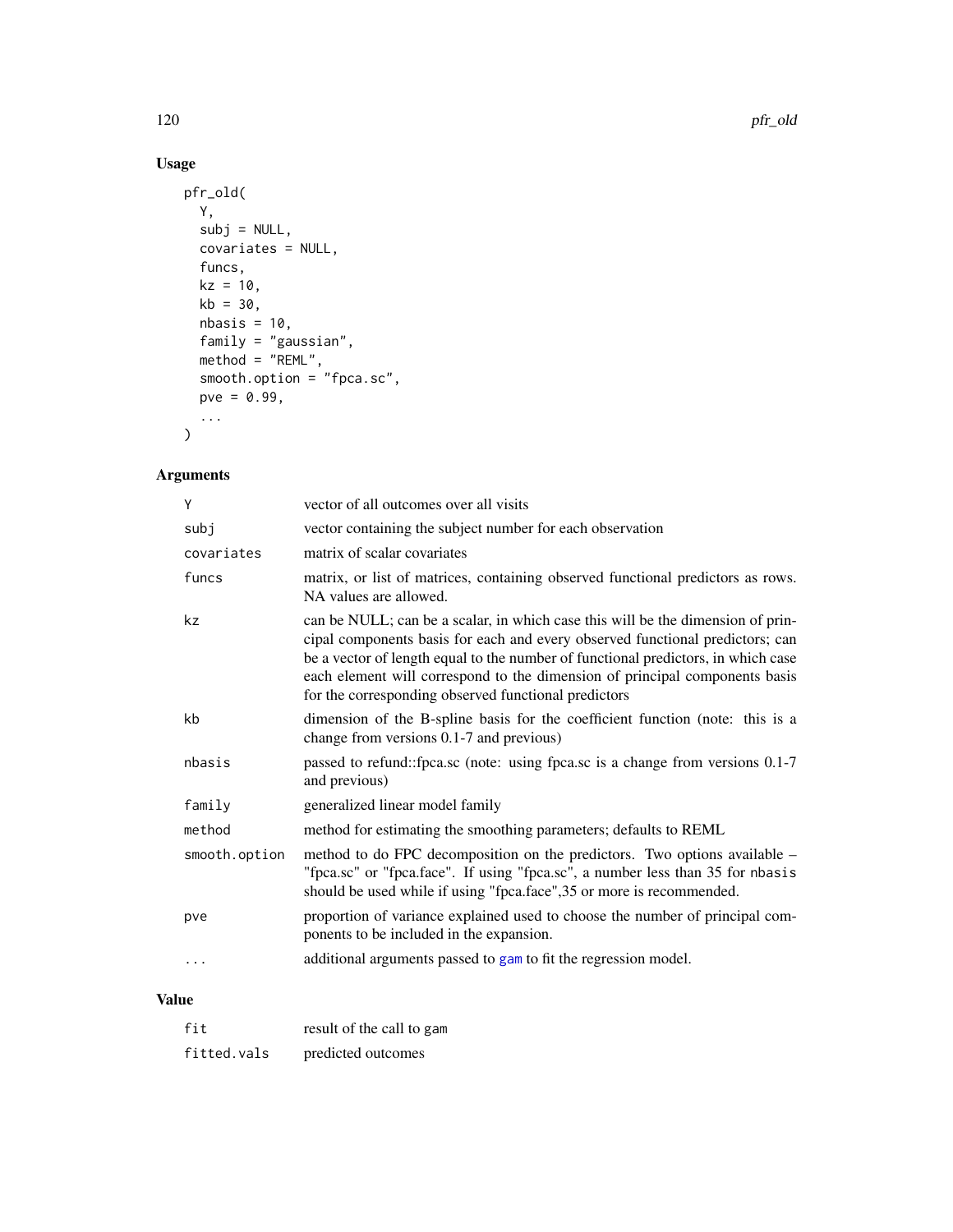# Usage

```
pfr_old(
  Y,
  subj = NULL,covariates = NULL,
  funcs,
  kz = 10,
  kb = 30,nbasis = 10,family = "gaussian",
  method = "REML",
  smooth.option = "fpca.sc",
  pve = 0.99,
  ...
\mathcal{L}
```
# Arguments

| Y             | vector of all outcomes over all visits                                                                                                                                                                                                                                                                                                                                                       |  |
|---------------|----------------------------------------------------------------------------------------------------------------------------------------------------------------------------------------------------------------------------------------------------------------------------------------------------------------------------------------------------------------------------------------------|--|
| subj          | vector containing the subject number for each observation                                                                                                                                                                                                                                                                                                                                    |  |
| covariates    | matrix of scalar covariates                                                                                                                                                                                                                                                                                                                                                                  |  |
| funcs         | matrix, or list of matrices, containing observed functional predictors as rows.<br>NA values are allowed.                                                                                                                                                                                                                                                                                    |  |
| kz            | can be NULL; can be a scalar, in which case this will be the dimension of prin-<br>cipal components basis for each and every observed functional predictors; can<br>be a vector of length equal to the number of functional predictors, in which case<br>each element will correspond to the dimension of principal components basis<br>for the corresponding observed functional predictors |  |
| kb            | dimension of the B-spline basis for the coefficient function (note: this is a<br>change from versions 0.1-7 and previous)                                                                                                                                                                                                                                                                    |  |
| nbasis        | passed to refund::fpca.sc (note: using fpca.sc is a change from versions 0.1-7)<br>and previous)                                                                                                                                                                                                                                                                                             |  |
| family        | generalized linear model family                                                                                                                                                                                                                                                                                                                                                              |  |
| method        | method for estimating the smoothing parameters; defaults to REML                                                                                                                                                                                                                                                                                                                             |  |
| smooth.option | method to do FPC decomposition on the predictors. Two options available -<br>"fpca.sc" or "fpca.face". If using "fpca.sc", a number less than 35 for nbasis<br>should be used while if using "fpca.face", 35 or more is recommended.                                                                                                                                                         |  |
| pve           | proportion of variance explained used to choose the number of principal com-<br>ponents to be included in the expansion.                                                                                                                                                                                                                                                                     |  |
| .             | additional arguments passed to gam to fit the regression model.                                                                                                                                                                                                                                                                                                                              |  |
|               |                                                                                                                                                                                                                                                                                                                                                                                              |  |

# Value

| fit         | result of the call to gam |
|-------------|---------------------------|
| fitted.vals | predicted outcomes        |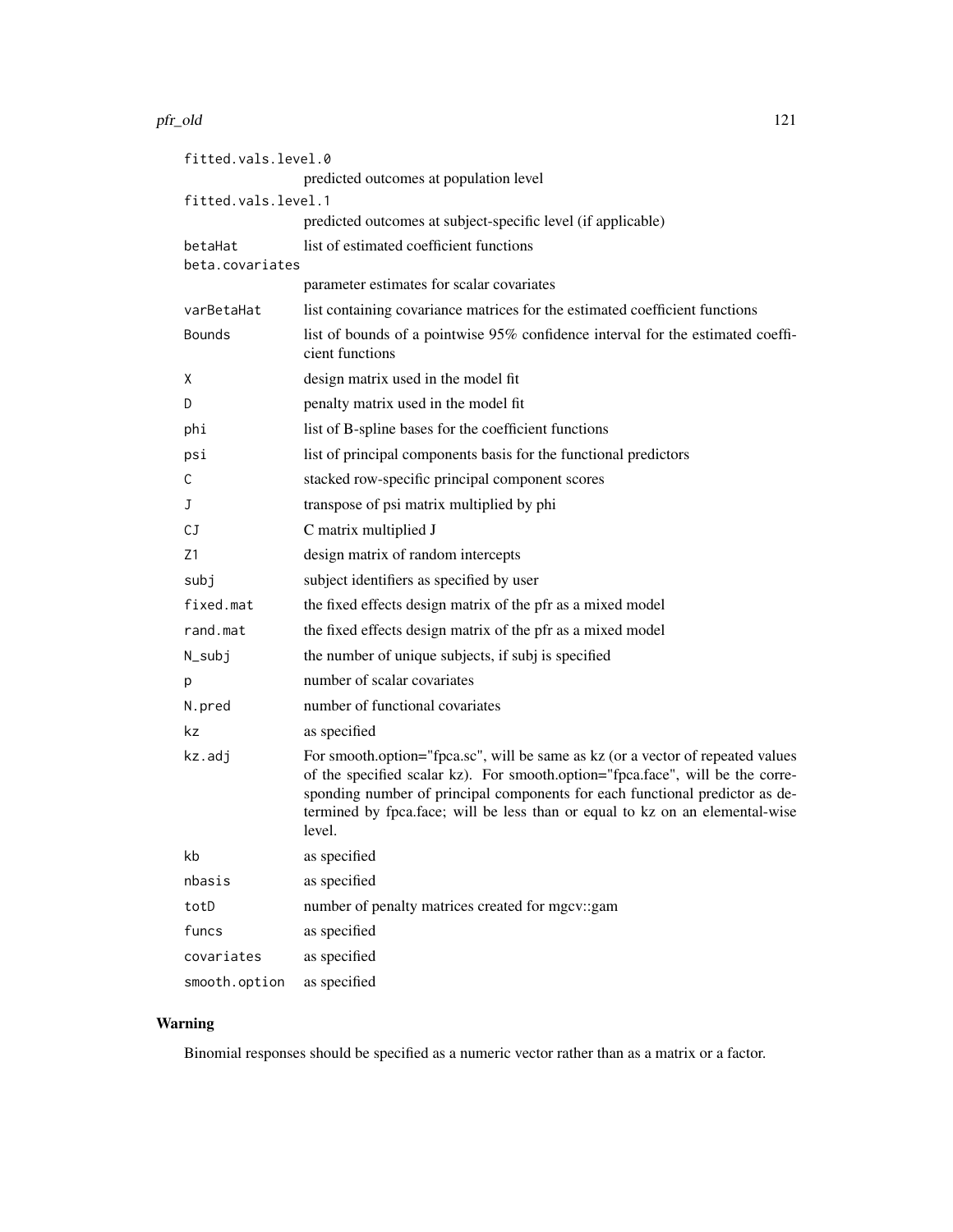#### pfr\_old 121

| fitted.vals.level.0 |                                                                                                                                                                                                                                                                                                                                             |  |  |
|---------------------|---------------------------------------------------------------------------------------------------------------------------------------------------------------------------------------------------------------------------------------------------------------------------------------------------------------------------------------------|--|--|
|                     | predicted outcomes at population level                                                                                                                                                                                                                                                                                                      |  |  |
| fitted.vals.level.1 |                                                                                                                                                                                                                                                                                                                                             |  |  |
|                     | predicted outcomes at subject-specific level (if applicable)                                                                                                                                                                                                                                                                                |  |  |
| betaHat             | list of estimated coefficient functions                                                                                                                                                                                                                                                                                                     |  |  |
| beta.covariates     | parameter estimates for scalar covariates                                                                                                                                                                                                                                                                                                   |  |  |
| varBetaHat          | list containing covariance matrices for the estimated coefficient functions                                                                                                                                                                                                                                                                 |  |  |
| <b>Bounds</b>       | list of bounds of a pointwise 95% confidence interval for the estimated coeffi-<br>cient functions                                                                                                                                                                                                                                          |  |  |
| X                   | design matrix used in the model fit                                                                                                                                                                                                                                                                                                         |  |  |
| D                   | penalty matrix used in the model fit                                                                                                                                                                                                                                                                                                        |  |  |
| phi                 | list of B-spline bases for the coefficient functions                                                                                                                                                                                                                                                                                        |  |  |
| psi                 | list of principal components basis for the functional predictors                                                                                                                                                                                                                                                                            |  |  |
| С                   | stacked row-specific principal component scores                                                                                                                                                                                                                                                                                             |  |  |
| J                   | transpose of psi matrix multiplied by phi                                                                                                                                                                                                                                                                                                   |  |  |
| СJ                  | C matrix multiplied J                                                                                                                                                                                                                                                                                                                       |  |  |
| Ζ1                  | design matrix of random intercepts                                                                                                                                                                                                                                                                                                          |  |  |
| subj                | subject identifiers as specified by user                                                                                                                                                                                                                                                                                                    |  |  |
| fixed.mat           | the fixed effects design matrix of the pfr as a mixed model                                                                                                                                                                                                                                                                                 |  |  |
| rand.mat            | the fixed effects design matrix of the pfr as a mixed model                                                                                                                                                                                                                                                                                 |  |  |
| N_subj              | the number of unique subjects, if subj is specified                                                                                                                                                                                                                                                                                         |  |  |
| p                   | number of scalar covariates                                                                                                                                                                                                                                                                                                                 |  |  |
| N.pred              | number of functional covariates                                                                                                                                                                                                                                                                                                             |  |  |
| kz                  | as specified                                                                                                                                                                                                                                                                                                                                |  |  |
| kz.adj              | For smooth.option="fpca.sc", will be same as kz (or a vector of repeated values<br>of the specified scalar kz). For smooth.option="fpca.face", will be the corre-<br>sponding number of principal components for each functional predictor as de-<br>termined by fpca.face; will be less than or equal to kz on an elemental-wise<br>level. |  |  |
| kb                  | as specified                                                                                                                                                                                                                                                                                                                                |  |  |
| nbasis              | as specified                                                                                                                                                                                                                                                                                                                                |  |  |
| totD                | number of penalty matrices created for mgcv::gam                                                                                                                                                                                                                                                                                            |  |  |
| funcs               | as specified                                                                                                                                                                                                                                                                                                                                |  |  |
| covariates          | as specified                                                                                                                                                                                                                                                                                                                                |  |  |
| smooth.option       | as specified                                                                                                                                                                                                                                                                                                                                |  |  |

# Warning

Binomial responses should be specified as a numeric vector rather than as a matrix or a factor.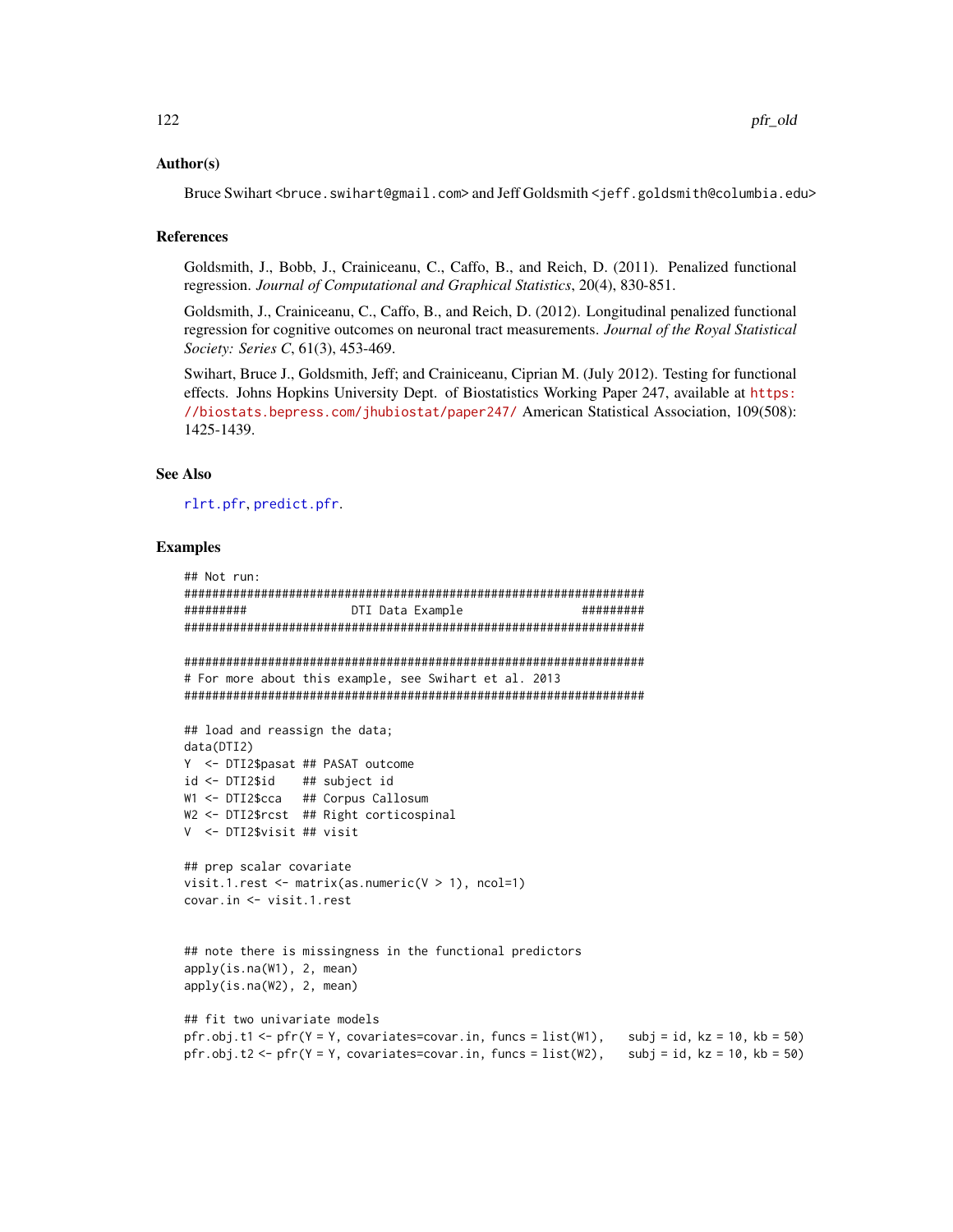#### Author(s)

Bruce Swihart <bruce.swihart@gmail.com> and Jeff Goldsmith <jeff.goldsmith@columbia.edu>

### References

Goldsmith, J., Bobb, J., Crainiceanu, C., Caffo, B., and Reich, D. (2011). Penalized functional regression. *Journal of Computational and Graphical Statistics*, 20(4), 830-851.

Goldsmith, J., Crainiceanu, C., Caffo, B., and Reich, D. (2012). Longitudinal penalized functional regression for cognitive outcomes on neuronal tract measurements. *Journal of the Royal Statistical Society: Series C*, 61(3), 453-469.

Swihart, Bruce J., Goldsmith, Jeff; and Crainiceanu, Ciprian M. (July 2012). Testing for functional effects. Johns Hopkins University Dept. of Biostatistics Working Paper 247, available at [https:](https://biostats.bepress.com/jhubiostat/paper247/) [//biostats.bepress.com/jhubiostat/paper247/](https://biostats.bepress.com/jhubiostat/paper247/) American Statistical Association, 109(508): 1425-1439.

### See Also

[rlrt.pfr](#page-149-0), [predict.pfr](#page-142-0).

### Examples

```
## Not run:
##################################################################
######### DTI Data Example #########
##################################################################
##################################################################
# For more about this example, see Swihart et al. 2013
##################################################################
## load and reassign the data;
data(DTI2)
Y <- DTI2$pasat ## PASAT outcome
id <- DTI2$id ## subject id
W1 <- DTI2$cca ## Corpus Callosum
W2 <- DTI2$rcst ## Right corticospinal
V <- DTI2$visit ## visit
## prep scalar covariate
visit.1.rest \leq matrix(as.numeric(V > 1), ncol=1)
covar.in <- visit.1.rest
## note there is missingness in the functional predictors
apply(is.na(W1), 2, mean)
apply(is.na(W2), 2, mean)
## fit two univariate models
pfr.obj.t1 <- pfr(Y = Y, covariates=covar.in, funcs = list(W1), subj = id, kz = 10, kb = 50)
pfr.obj.t2 <- pfr(Y = Y, covariates=covar.in, funcs = list(W2), subj = id, kz = 10, kb = 50)
```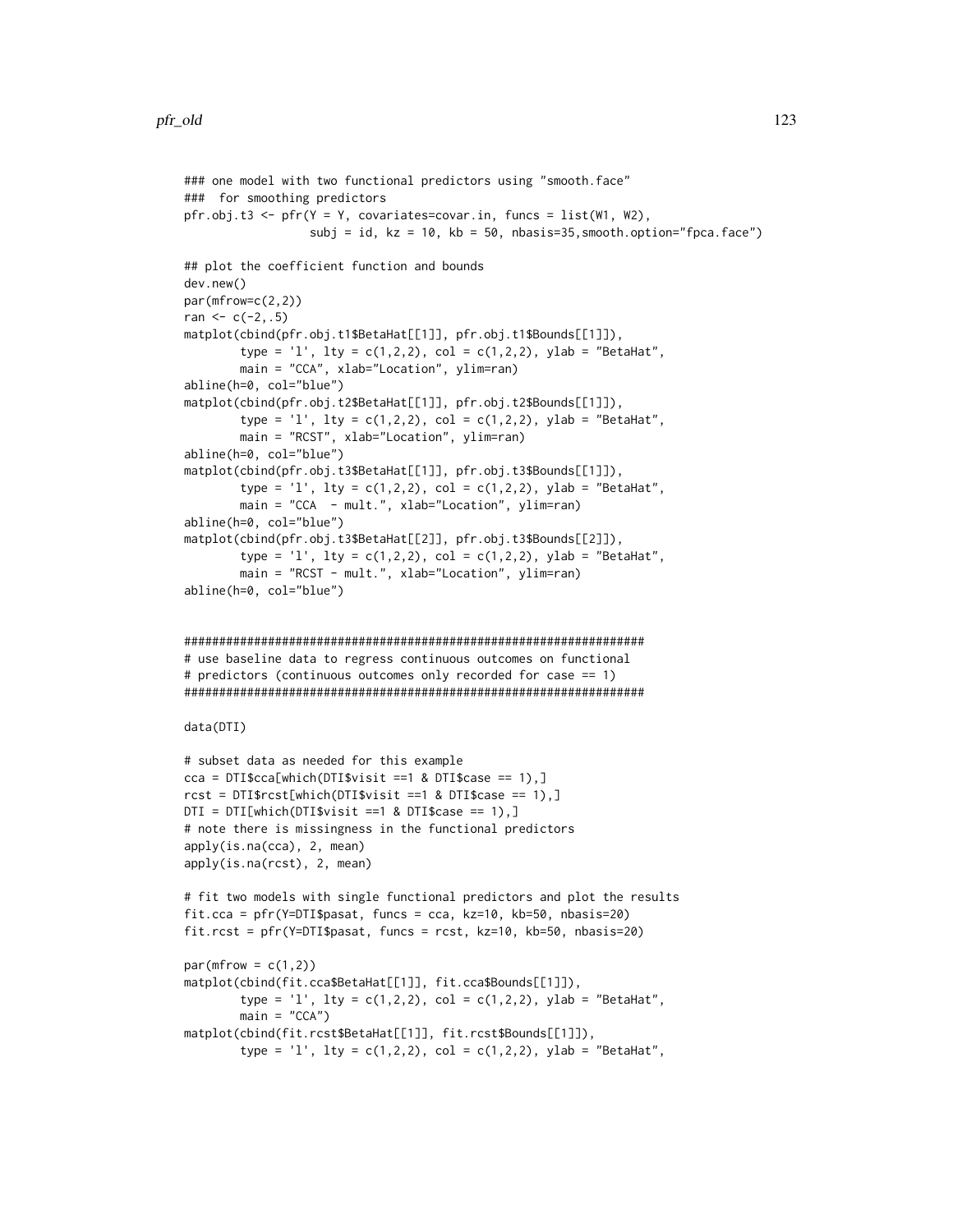```
### one model with two functional predictors using "smooth.face"
### for smoothing predictors
pfr.obj.t3 <- pfr(Y = Y, covariates=covar.in, funcs = list(W1, W2),
                  subj = id, kz = 10, kb = 50, n basis=35, smooth. option="fpca.face")## plot the coefficient function and bounds
dev.new()
par(mfrow=c(2,2))
ran <-c(-2, .5)matplot(cbind(pfr.obj.t1$BetaHat[[1]], pfr.obj.t1$Bounds[[1]]),
        type = 'l', lty = c(1,2,2), col = c(1,2,2), ylab = "BetaHat",
       main = "CCA", xlab="Location", ylim=ran)
abline(h=0, col="blue")
matplot(cbind(pfr.obj.t2$BetaHat[[1]], pfr.obj.t2$Bounds[[1]]),
        type = '1', lty = c(1,2,2), col = c(1,2,2), ylab = "BetaHat",
       main = "RCST", xlab="Location", ylim=ran)
abline(h=0, col="blue")
matplot(cbind(pfr.obj.t3$BetaHat[[1]], pfr.obj.t3$Bounds[[1]]),
        type = 'l', lty = c(1,2,2), col = c(1,2,2), ylab = "BetaHat",
       main = "CCA - mult.", xlab="Location", ylim=ran)
abline(h=0, col="blue")
matplot(cbind(pfr.obj.t3$BetaHat[[2]], pfr.obj.t3$Bounds[[2]]),
        type = '1', lty = c(1,2,2), col = c(1,2,2), ylab = "BetaHat",
       main = "RCST - mult.", xlab="Location", ylim=ran)
abline(h=0, col="blue")
##################################################################
# use baseline data to regress continuous outcomes on functional
# predictors (continuous outcomes only recorded for case == 1)
##################################################################
data(DTI)
# subset data as needed for this example
cca = DTI$cca[which(DTI$visit ==1 & DTI$case == 1),]rct = DTI$rcst[which(DTI$visit == 1 & DTI$case == 1),]DTI = DTI[which(DTI$visit == 1 & DTI$case == 1),]# note there is missingness in the functional predictors
apply(is.na(cca), 2, mean)
apply(is.na(rcst), 2, mean)
# fit two models with single functional predictors and plot the results
fit.cca = pfr(Y=DTI$pasat, funcs = cca, kz=10, kb=50, nbasis=20)
fit.rcst = pfr(Y=DTI$pasat, funcs = rcst, kz=10, kb=50, nbasis=20)
par(mfrow = c(1,2))matplot(cbind(fit.cca$BetaHat[[1]], fit.cca$Bounds[[1]]),
        type = 'l', lty = c(1,2,2), col = c(1,2,2), ylab = "BetaHat",
       main = "CCA")matplot(cbind(fit.rcst$BetaHat[[1]], fit.rcst$Bounds[[1]]),
        type = 'l', lty = c(1,2,2), col = c(1,2,2), ylab = "BetaHat",
```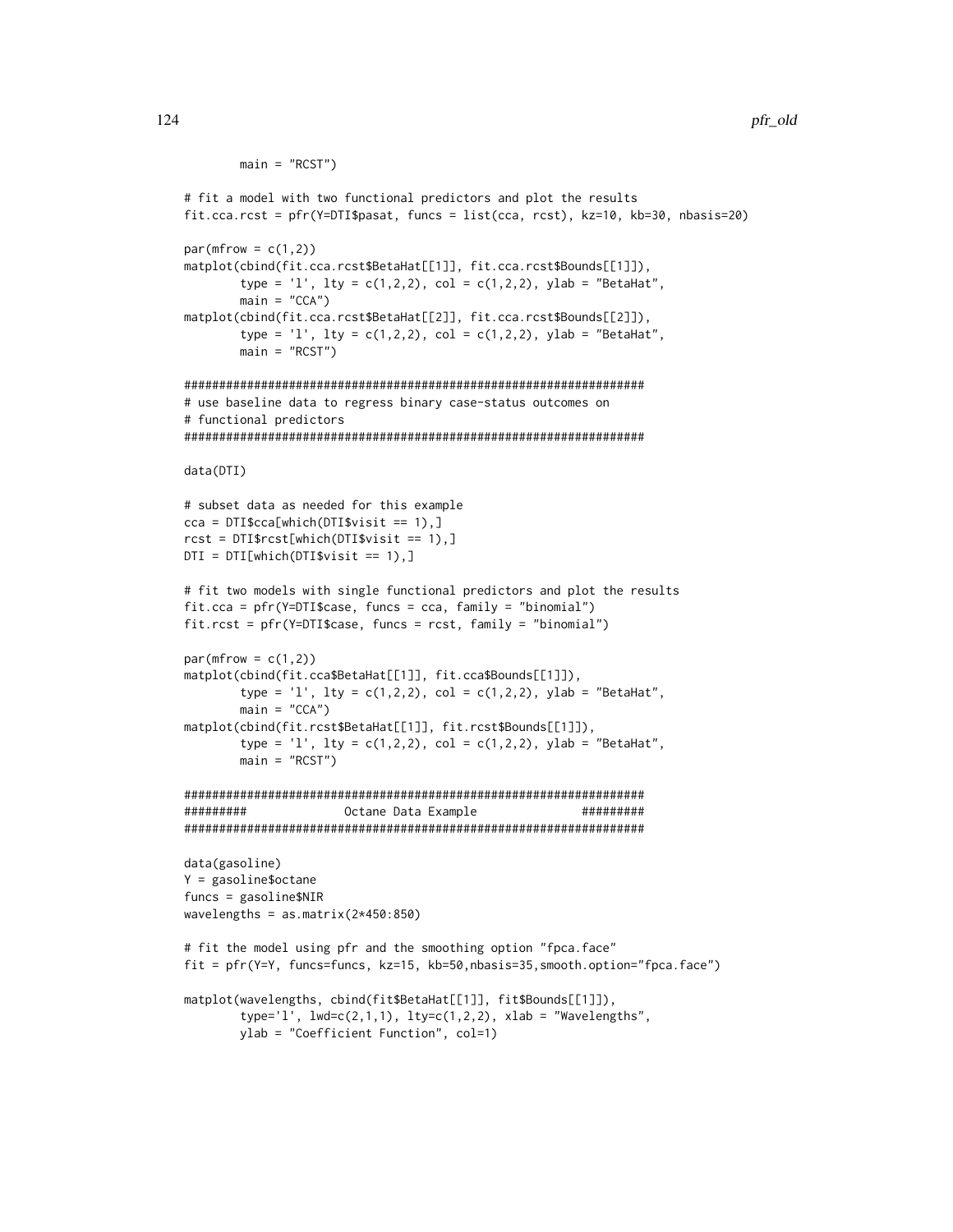```
main = "RCST")
# fit a model with two functional predictors and plot the results
fit.cca.rcst = pfr(Y=DTI$pasat, funcs = list(cca, rcst), kz=10, kb=30, nbasis=20)
par(mfrow = c(1,2))matplot(cbind(fit.cca.rcst$BetaHat[[1]], fit.cca.rcst$Bounds[[1]]),
        type = 'l', lty = c(1,2,2), col = c(1,2,2), ylab = "BetaHat",
       main = "CCA")matplot(cbind(fit.cca.rcst$BetaHat[[2]], fit.cca.rcst$Bounds[[2]]),
       type = 'l', lty = c(1,2,2), col = c(1,2,2), ylab = "BetaHat",
       main = "RCST")##################################################################
# use baseline data to regress binary case-status outcomes on
# functional predictors
##################################################################
data(DTI)
# subset data as needed for this example
cca = DTI$cca[which(DTI$visit == 1),]rcst = DTI$rcst[which(DTI$visit == 1),]
DTI = DTI[which(DTI$visit == 1),]# fit two models with single functional predictors and plot the results
fit.cca = pfr(Y=DTI$case, funcs = cca, family = "binomial")
fit.rcst = pfr(Y=DTI$case, funcs = rcst, family = "binomial")
par(mfrow = c(1,2))matplot(cbind(fit.cca$BetaHat[[1]], fit.cca$Bounds[[1]]),
       type = 'l', lty = c(1,2,2), col = c(1,2,2), ylab = "BetaHat",
       main = "CCA")matplot(cbind(fit.rcst$BetaHat[[1]], fit.rcst$Bounds[[1]]),
       type = 'l', lty = c(1,2,2), col = c(1,2,2), ylab = "BetaHat",
       main = "RCST")##################################################################
######### Octane Data Example #########
##################################################################
data(gasoline)
Y = gasoline$octane
funcs = gasoline$NIR
wavelengths = as.matrix(2*450:850)# fit the model using pfr and the smoothing option "fpca.face"
fit = pfr(Y=Y, funcs=funcs, kz=15, kb=50,nbasis=35,smooth.option="fpca.face")
matplot(wavelengths, cbind(fit$BetaHat[[1]], fit$Bounds[[1]]),
       type='l', lwd=c(2,1,1), lty=c(1,2,2), xlab = "Wavelengths",
       ylab = "Coefficient Function", col=1)
```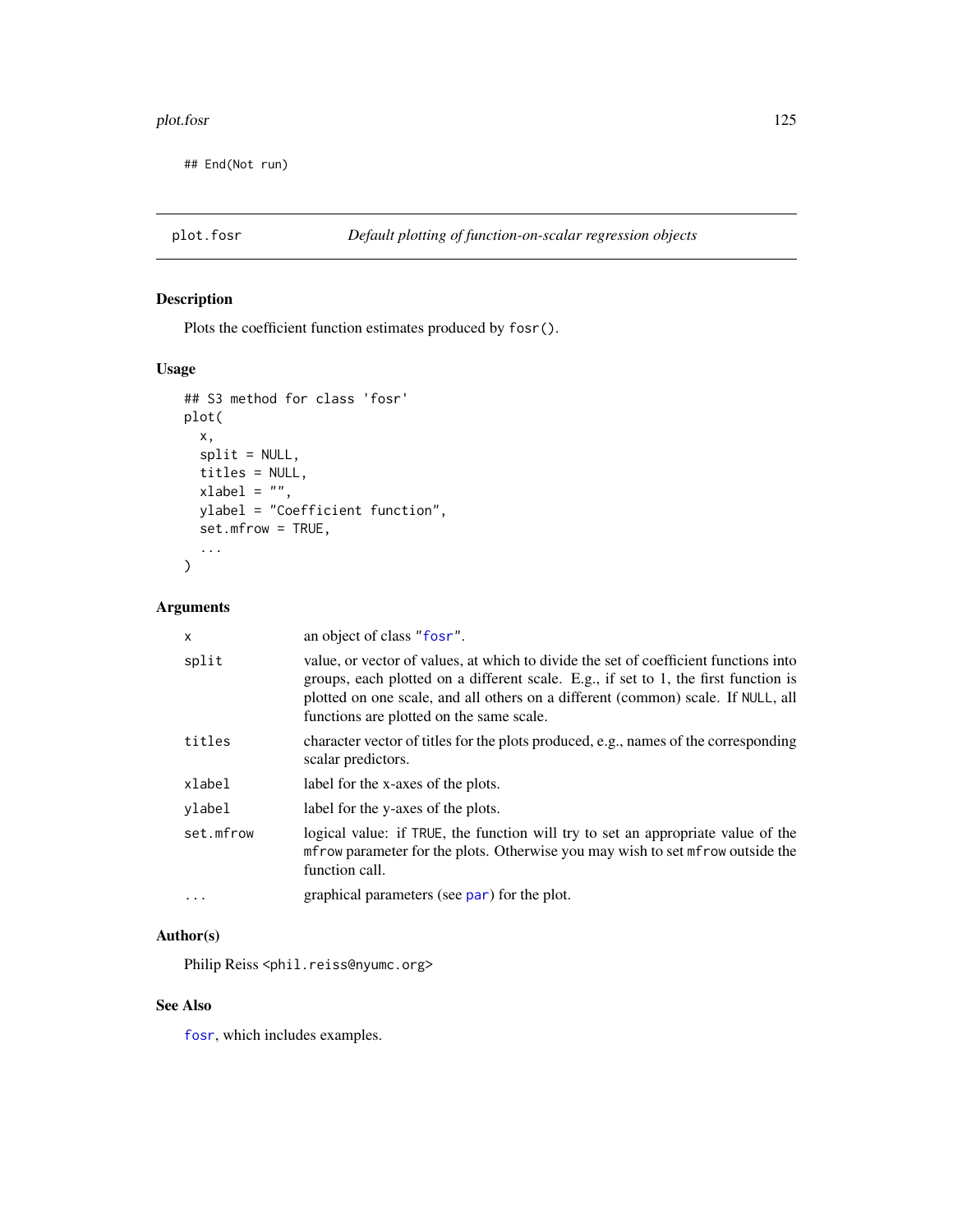#### plot.fosr and the set of the set of the set of the set of the set of the set of the set of the set of the set of the set of the set of the set of the set of the set of the set of the set of the set of the set of the set of

## End(Not run)

# Description

Plots the coefficient function estimates produced by fosr().

# Usage

```
## S3 method for class 'fosr'
plot(
 x,
 split = NULL,titles = NULL,
 xlabel = "",ylabel = "Coefficient function",
 set.mfrow = TRUE,
  ...
\mathcal{L}
```
# Arguments

| X         | an object of class "fosr".                                                                                                                                                                                                                                                                                  |
|-----------|-------------------------------------------------------------------------------------------------------------------------------------------------------------------------------------------------------------------------------------------------------------------------------------------------------------|
| split     | value, or vector of values, at which to divide the set of coefficient functions into<br>groups, each plotted on a different scale. E.g., if set to 1, the first function is<br>plotted on one scale, and all others on a different (common) scale. If NULL, all<br>functions are plotted on the same scale. |
| titles    | character vector of titles for the plots produced, e.g., names of the corresponding<br>scalar predictors.                                                                                                                                                                                                   |
| xlabel    | label for the x-axes of the plots.                                                                                                                                                                                                                                                                          |
| ylabel    | label for the y-axes of the plots.                                                                                                                                                                                                                                                                          |
| set.mfrow | logical value: if TRUE, the function will try to set an appropriate value of the<br>metrow parameter for the plots. Otherwise you may wish to set metrow outside the<br>function call.                                                                                                                      |
| $\cdots$  | graphical parameters (see par) for the plot.                                                                                                                                                                                                                                                                |

# Author(s)

Philip Reiss <phil.reiss@nyumc.org>

# See Also

[fosr](#page-33-0), which includes examples.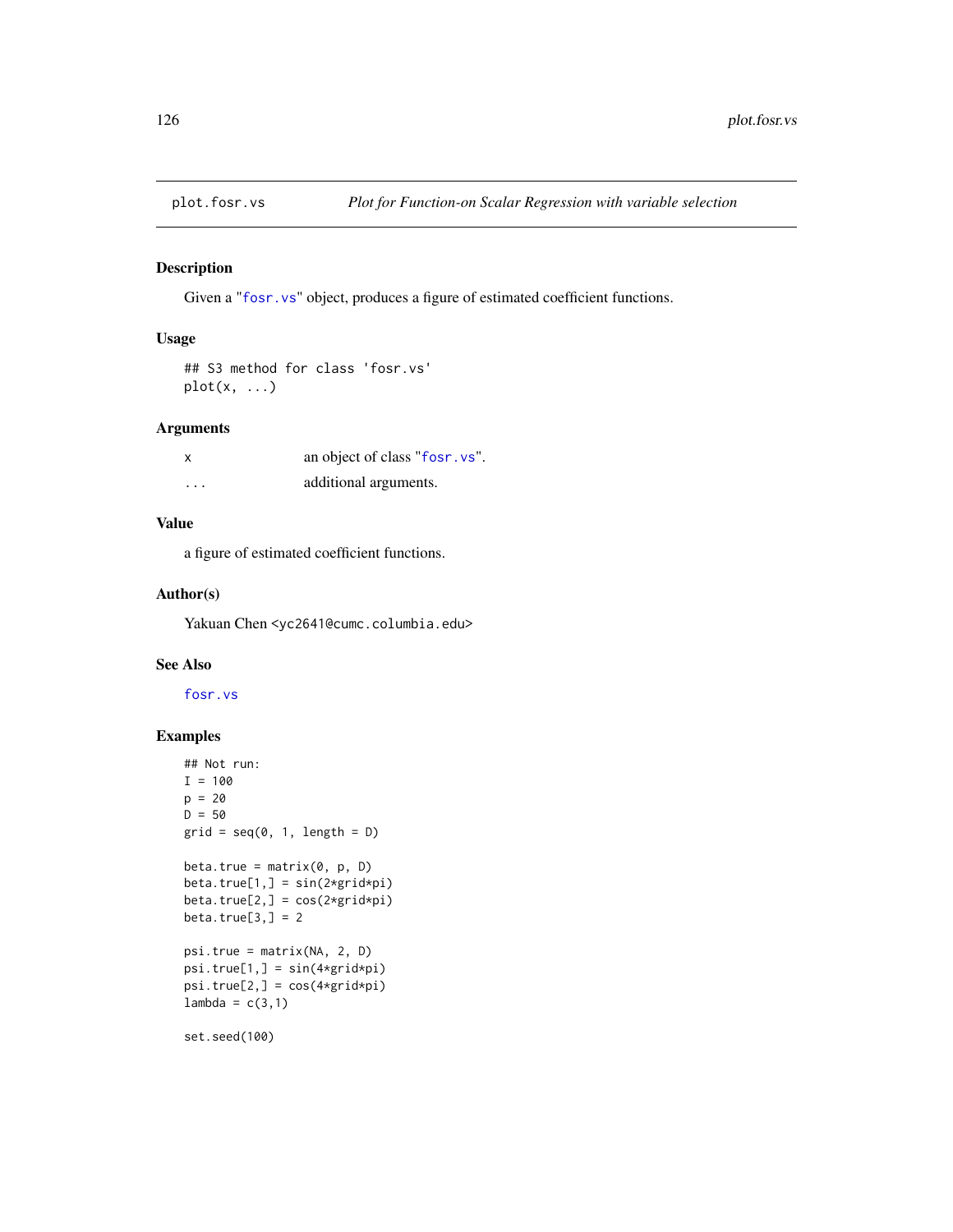# Description

Given a "[fosr.vs](#page-40-0)" object, produces a figure of estimated coefficient functions.

# Usage

```
## S3 method for class 'fosr.vs'
plot(x, \ldots)
```
# Arguments

| x        | an object of class "fosr. vs". |
|----------|--------------------------------|
| $\cdots$ | additional arguments.          |

# Value

a figure of estimated coefficient functions.

### Author(s)

Yakuan Chen <yc2641@cumc.columbia.edu>

### See Also

[fosr.vs](#page-40-0)

# Examples

```
## Not run:
I = 100p = 20D = 50grid = seq(0, 1, length = D)beta.true = matrix(0, p, D)beta.true[1,] = sin(2*grid*pi)
beta.true[2,] = cos(2*grid*pi)
beta.true[3,] = 2psi.true = matrix(NA, 2, D)
psi.true[1,] = sin(4*grid*pi)
psi.true[2,] = cos(4*grid*pi)
lambda = c(3,1)set.seed(100)
```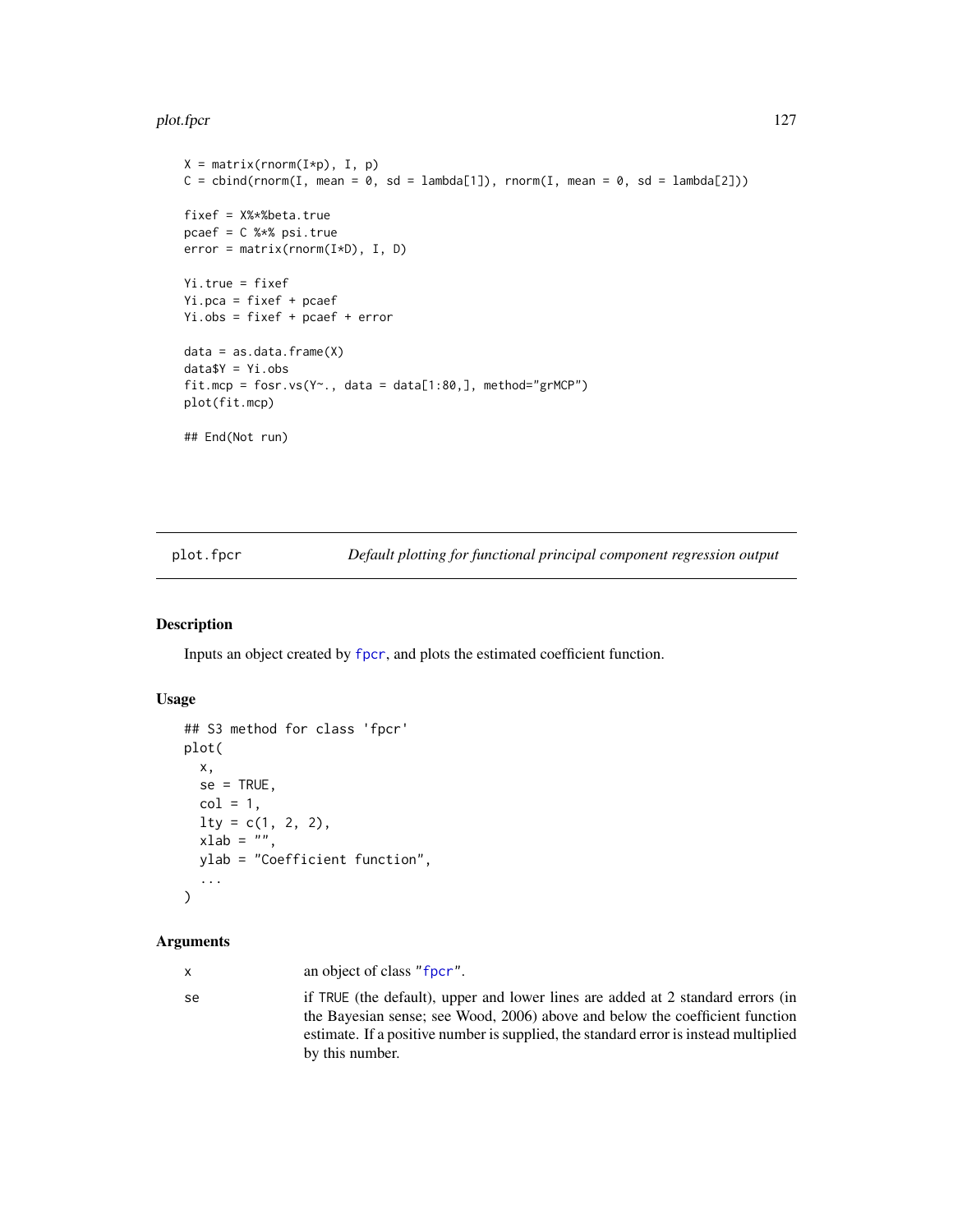#### plot.fpcr that the contract of the contract of the contract of the contract of the contract of the contract of the contract of the contract of the contract of the contract of the contract of the contract of the contract of

```
X = matrix(rnorm(I*p), I, p)C = \text{cbind}(rnorm(I, mean = 0, sd = lambda[1]), rnorm(I, mean = 0, sd = lambda[2]))fixef = X%*%beta.true
pcaef = C %*% psi.true
error = matrix(rnorm(I*D), I, D)
Yi.true = fixef
Yi.pca = fixef + pcaef
Yi.obs = fixef + pcaef + error
data = as.data-frame(X)data$Y = Yi.obs
fit.mcp = fosr.vs(Y~., data = data[1:80,], method="grMCP")
plot(fit.mcp)
## End(Not run)
```
plot.fpcr *Default plotting for functional principal component regression output*

# Description

Inputs an object created by [fpcr](#page-65-0), and plots the estimated coefficient function.

### Usage

```
## S3 method for class 'fpcr'
plot(
 x,
 se = TRUE,col = 1,
 lty = c(1, 2, 2),xlab = ",
 ylab = "Coefficient function",
  ...
\mathcal{L}
```
# Arguments

| х | an object of class "fpcr". |  |
|---|----------------------------|--|
|---|----------------------------|--|

| se | if TRUE (the default), upper and lower lines are added at 2 standard errors (in      |
|----|--------------------------------------------------------------------------------------|
|    | the Bayesian sense; see Wood, 2006) above and below the coefficient function         |
|    | estimate. If a positive number is supplied, the standard error is instead multiplied |
|    | by this number.                                                                      |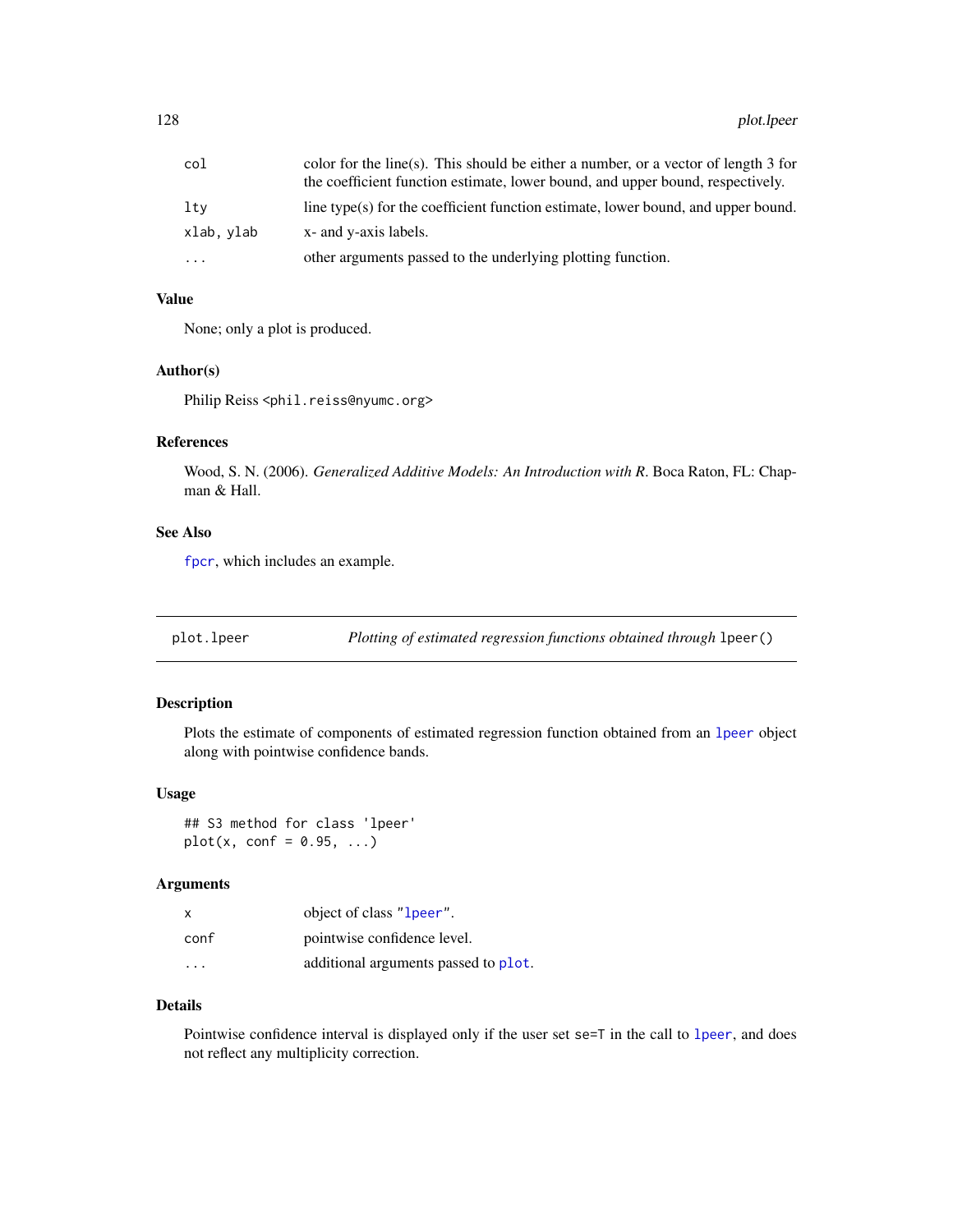| col       | color for the line(s). This should be either a number, or a vector of length $3$ for<br>the coefficient function estimate, lower bound, and upper bound, respectively. |
|-----------|------------------------------------------------------------------------------------------------------------------------------------------------------------------------|
| lty       | line type(s) for the coefficient function estimate, lower bound, and upper bound.                                                                                      |
| xlab.vlab | x- and y-axis labels.                                                                                                                                                  |
| .         | other arguments passed to the underlying plotting function.                                                                                                            |

## Value

None; only a plot is produced.

# Author(s)

Philip Reiss <phil.reiss@nyumc.org>

### References

Wood, S. N. (2006). *Generalized Additive Models: An Introduction with R*. Boca Raton, FL: Chapman & Hall.

# See Also

[fpcr](#page-65-0), which includes an example.

plot.lpeer *Plotting of estimated regression functions obtained through* lpeer()

## Description

Plots the estimate of components of estimated regression function obtained from an [lpeer](#page-86-0) object along with pointwise confidence bands.

### Usage

## S3 method for class 'lpeer'  $plot(x, conf = 0.95, ...)$ 

### Arguments

| $\times$                | object of class "1 peer".            |
|-------------------------|--------------------------------------|
| conf                    | pointwise confidence level.          |
| $\cdot$ $\cdot$ $\cdot$ | additional arguments passed to plot. |

### Details

Pointwise confidence interval is displayed only if the user set se=T in the call to [lpeer](#page-86-0), and does not reflect any multiplicity correction.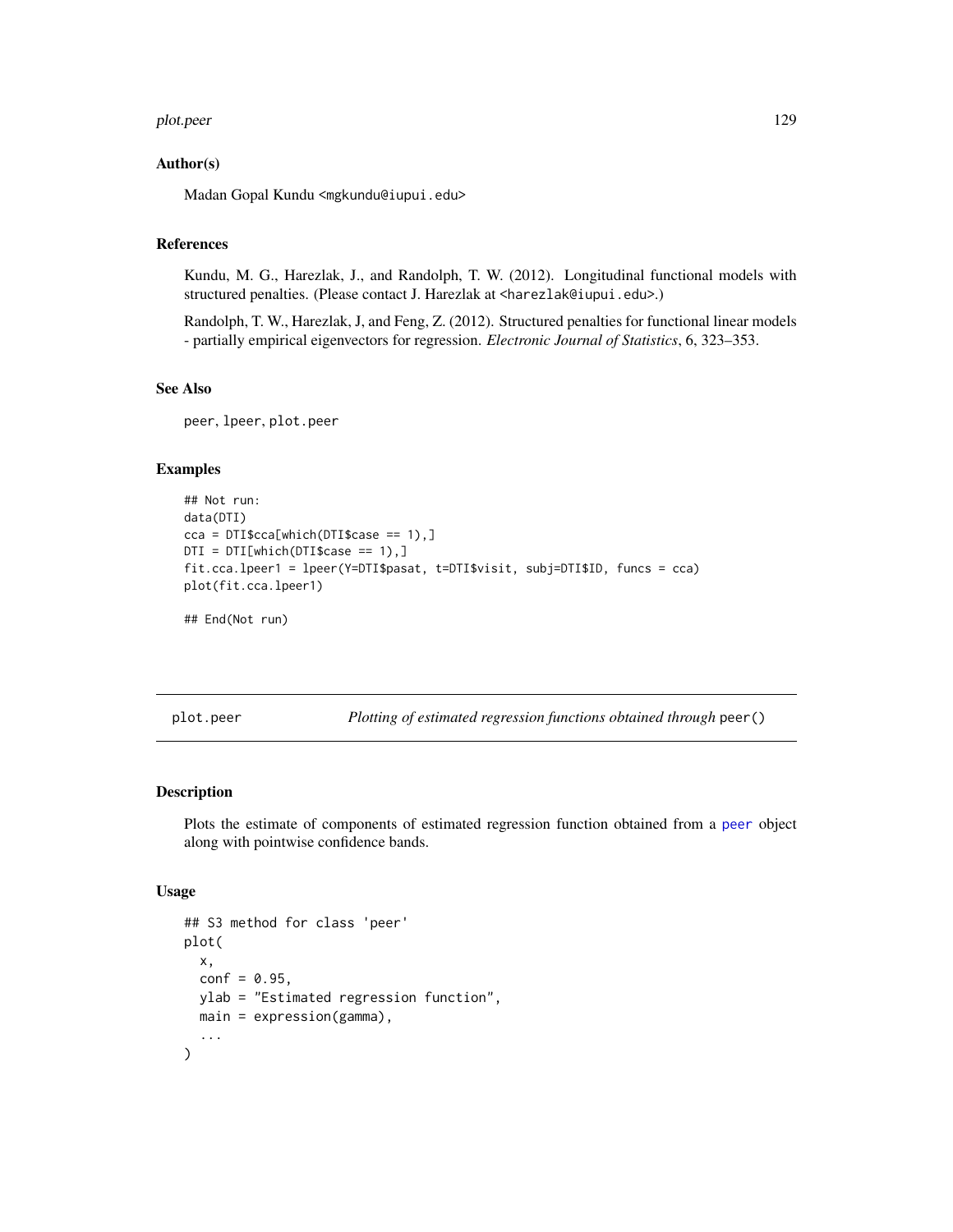#### plot.peer 129

### Author(s)

Madan Gopal Kundu <mgkundu@iupui.edu>

# References

Kundu, M. G., Harezlak, J., and Randolph, T. W. (2012). Longitudinal functional models with structured penalties. (Please contact J. Harezlak at <harezlak@iupui.edu>.)

Randolph, T. W., Harezlak, J, and Feng, Z. (2012). Structured penalties for functional linear models - partially empirical eigenvectors for regression. *Electronic Journal of Statistics*, 6, 323–353.

#### See Also

peer, lpeer, plot.peer

# Examples

```
## Not run:
data(DTI)
cca = DTI$cca[which(DTI$case == 1),]DTI = DTI[which(DTI$case == 1),]
fit.cca.lpeer1 = lpeer(Y=DTI$pasat, t=DTI$visit, subj=DTI$ID, funcs = cca)
plot(fit.cca.lpeer1)
```
## End(Not run)

plot.peer *Plotting of estimated regression functions obtained through* peer()

### Description

Plots the estimate of components of estimated regression function obtained from a [peer](#page-102-0) object along with pointwise confidence bands.

#### Usage

```
## S3 method for class 'peer'
plot(
  x,
  conf = 0.95,
 ylab = "Estimated regression function",
 main = expression(gamma),
  ...
)
```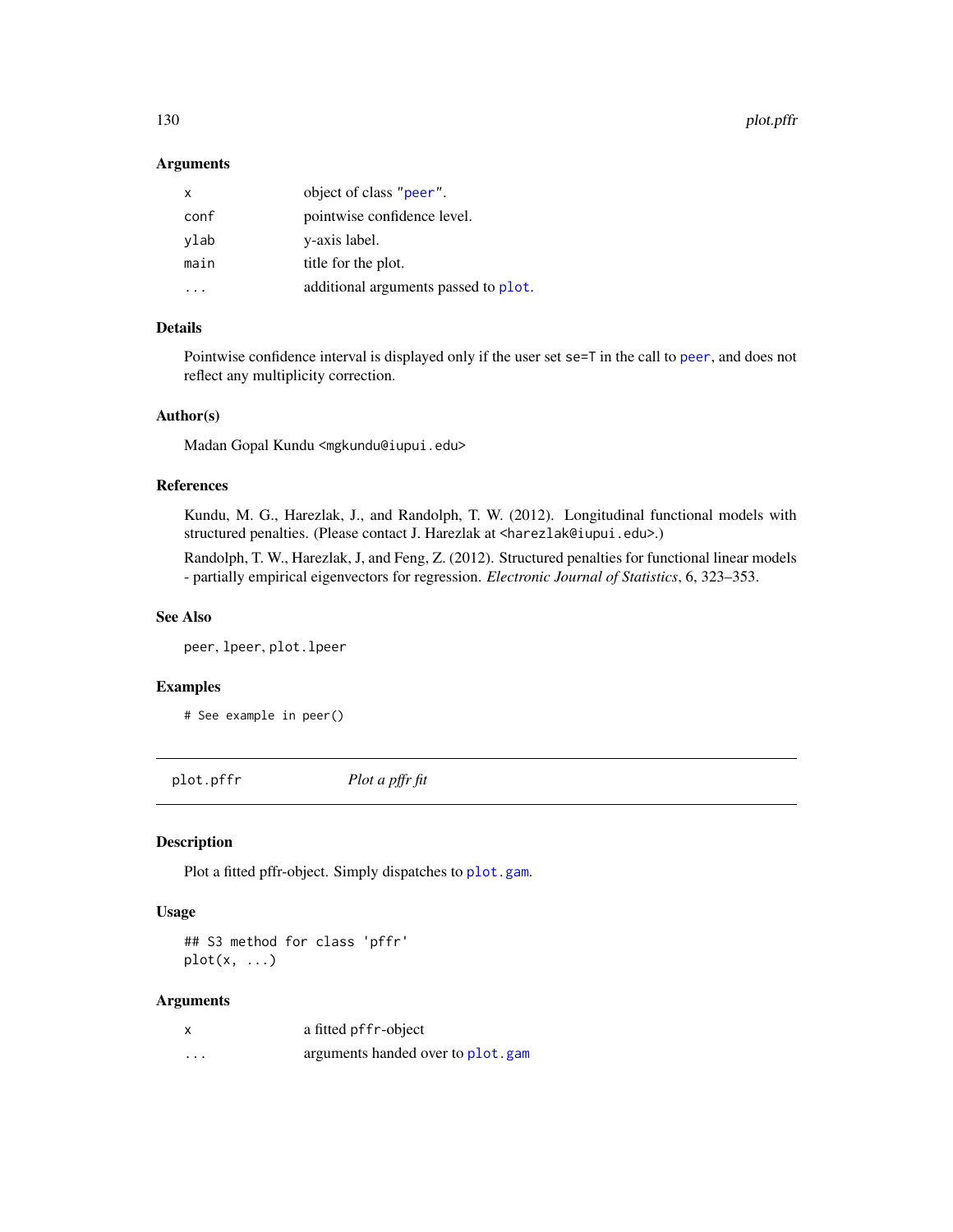130 plot.pffr

### Arguments

| X    | object of class "peer".              |
|------|--------------------------------------|
| conf | pointwise confidence level.          |
| ylab | y-axis label.                        |
| main | title for the plot.                  |
|      | additional arguments passed to plot. |
|      |                                      |

# Details

Pointwise confidence interval is displayed only if the user set se=T in the call to [peer](#page-102-0), and does not reflect any multiplicity correction.

# Author(s)

Madan Gopal Kundu <mgkundu@iupui.edu>

# References

Kundu, M. G., Harezlak, J., and Randolph, T. W. (2012). Longitudinal functional models with structured penalties. (Please contact J. Harezlak at <harezlak@iupui.edu>.)

Randolph, T. W., Harezlak, J, and Feng, Z. (2012). Structured penalties for functional linear models - partially empirical eigenvectors for regression. *Electronic Journal of Statistics*, 6, 323–353.

# See Also

peer, lpeer, plot.lpeer

# Examples

# See example in peer()

<span id="page-129-0"></span>plot.pffr *Plot a pffr fit*

#### Description

Plot a fitted pffr-object. Simply dispatches to [plot.gam](#page-0-0).

### Usage

## S3 method for class 'pffr'  $plot(x, \ldots)$ 

# Arguments

| X | a fitted pffr-object              |
|---|-----------------------------------|
| . | arguments handed over to plot.gam |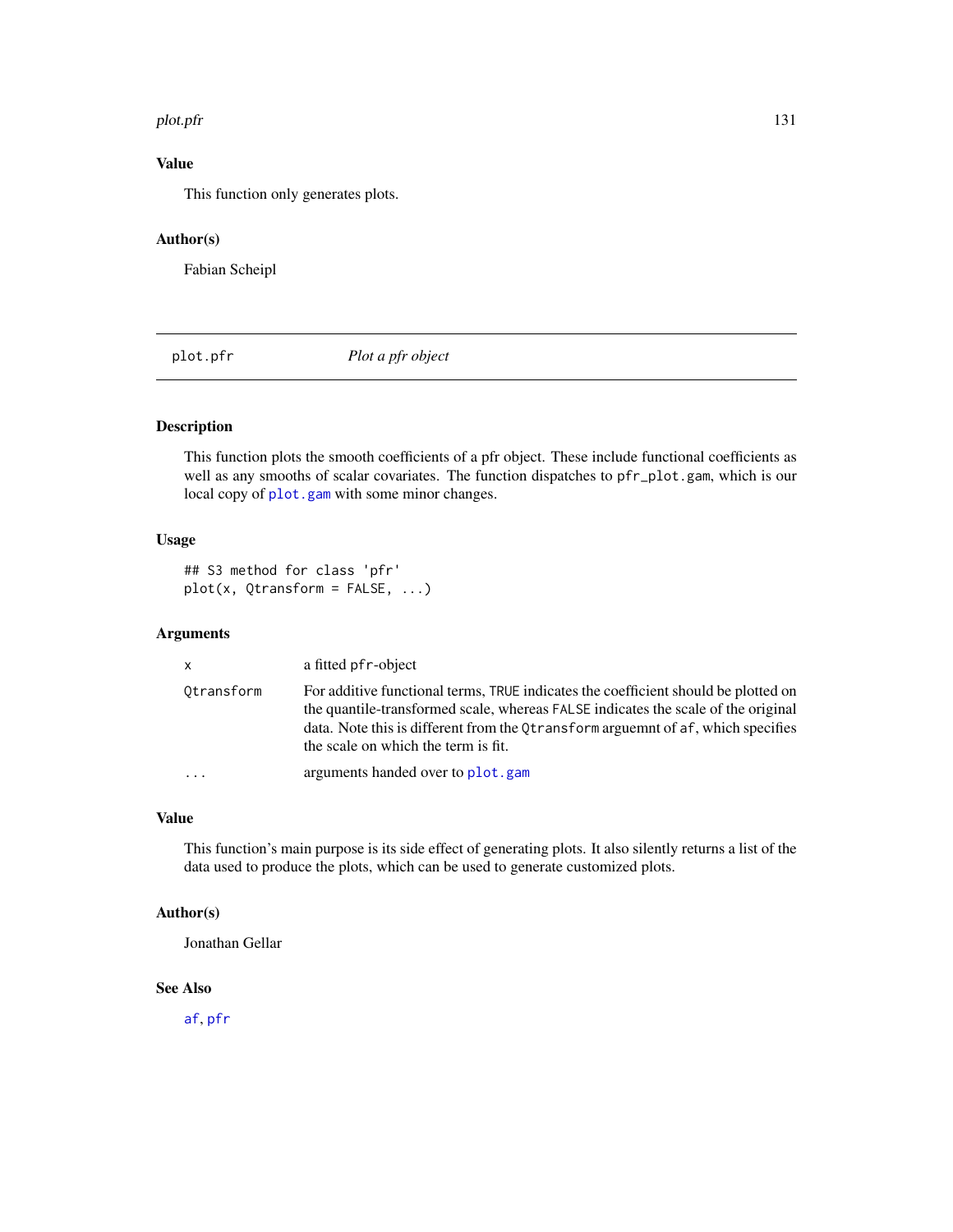#### plot.pfr 131

# Value

This function only generates plots.

# Author(s)

Fabian Scheipl

plot.pfr *Plot a pfr object*

# Description

This function plots the smooth coefficients of a pfr object. These include functional coefficients as well as any smooths of scalar covariates. The function dispatches to pfr\_plot.gam, which is our local copy of [plot.gam](#page-0-0) with some minor changes.

# Usage

## S3 method for class 'pfr' plot(x, Qtransform = FALSE, ...)

# Arguments

| X          | a fitted pf r-object                                                                                                                                                                                                                                                                               |
|------------|----------------------------------------------------------------------------------------------------------------------------------------------------------------------------------------------------------------------------------------------------------------------------------------------------|
| Otransform | For additive functional terms, TRUE indicates the coefficient should be plotted on<br>the quantile-transformed scale, whereas FALSE indicates the scale of the original<br>data. Note this is different from the Otransform arguemnt of af, which specifies<br>the scale on which the term is fit. |
| .          | arguments handed over to plot.gam                                                                                                                                                                                                                                                                  |

### Value

This function's main purpose is its side effect of generating plots. It also silently returns a list of the data used to produce the plots, which can be used to generate customized plots.

### Author(s)

Jonathan Gellar

# See Also

[af](#page-4-0), [pfr](#page-116-0)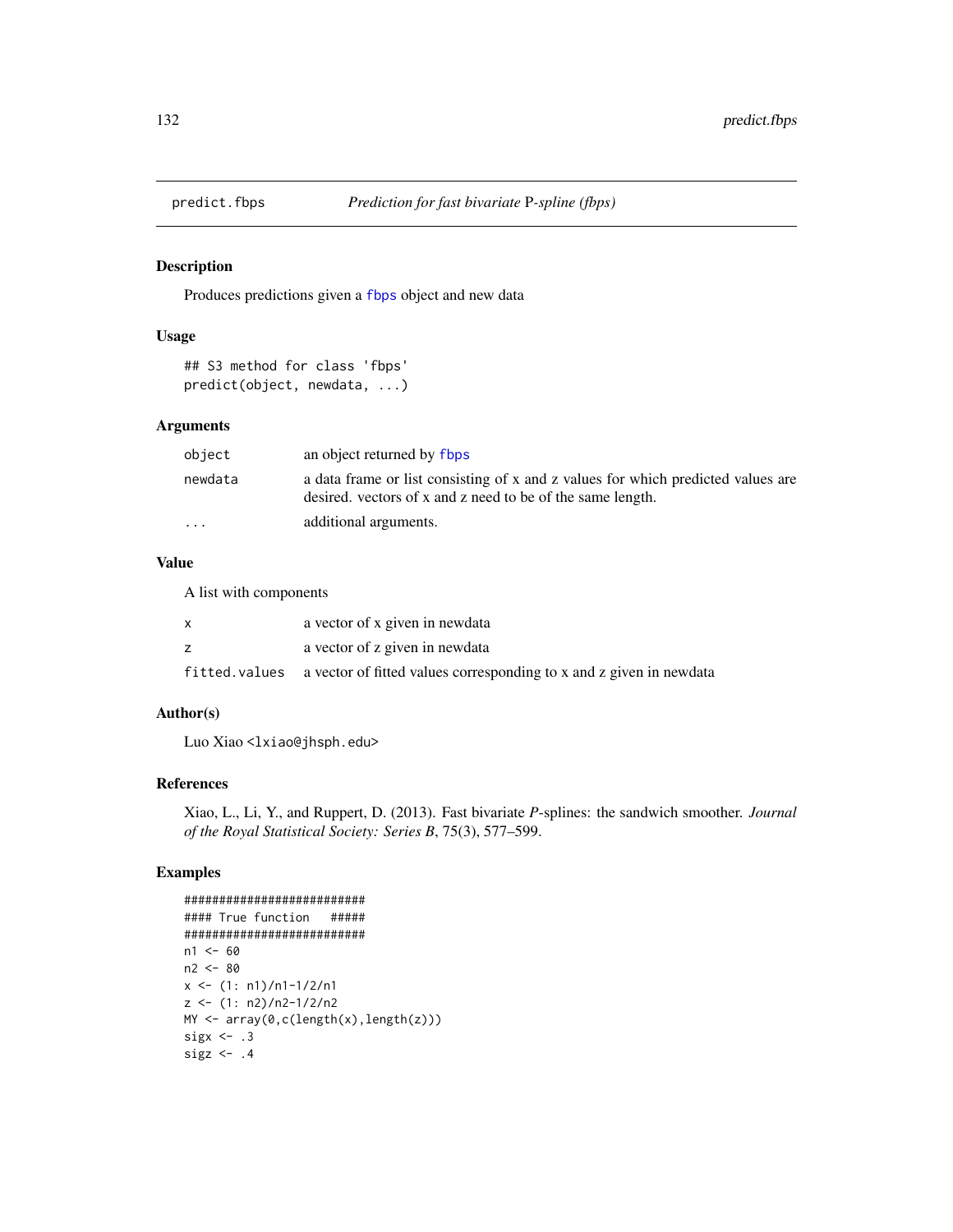# Description

Produces predictions given a [fbps](#page-23-0) object and new data

### Usage

```
## S3 method for class 'fbps'
predict(object, newdata, ...)
```
### Arguments

| object  | an object returned by flops                                                                                                                    |
|---------|------------------------------------------------------------------------------------------------------------------------------------------------|
| newdata | a data frame or list consisting of x and z values for which predicted values are<br>desired, vectors of x and z need to be of the same length. |
| $\cdot$ | additional arguments.                                                                                                                          |

# Value

A list with components

| a vector of x given in newdata                                                     |
|------------------------------------------------------------------------------------|
| a vector of z given in newdata                                                     |
| fitted. values a vector of fitted values corresponding to x and z given in newdata |

### Author(s)

Luo Xiao <lxiao@jhsph.edu>

### References

Xiao, L., Li, Y., and Ruppert, D. (2013). Fast bivariate *P*-splines: the sandwich smoother. *Journal of the Royal Statistical Society: Series B*, 75(3), 577–599.

# Examples

```
##########################
#### True function #####
##########################
n1 < -60n2 <- 80
x \le -(1: n1)/n1-1/2/n1z \le -(1: n2)/n2-1/2/n2MY <- array(0,c(length(x),length(z)))
sigx \leftarrow .3sigz \leftarrow .4
```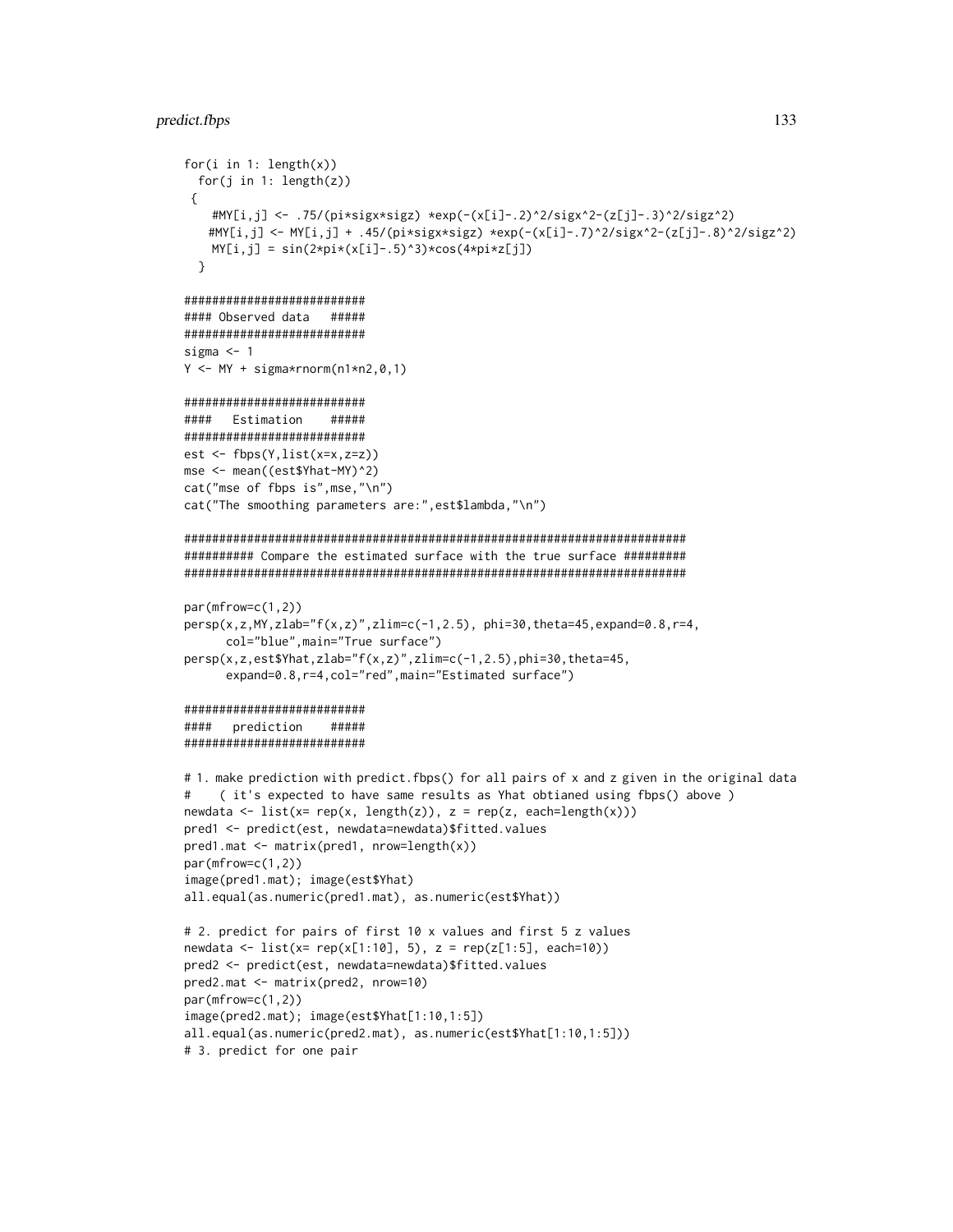### predict.fbps 133

```
for(i in 1: length(x))
  for(j in 1: length(z))
 {
    #MY[i,j] <- .75/(pi*sigx*sigz) *exp(-(x[i]-.2)^2/sigx^2-(z[j]-.3)^2/sigz^2)
   #MY[i,j] <- MY[i,j] + .45/(pi*sigx*sigz) *exp(-(x[i]-.7)^2/sigx^2-(z[j]-.8)^2/sigz^2)
   MY[i,j] = sin(2*pi*(x[i]-.5)^3) * cos(4*pi*z[j])}
##########################
#### Observed data #####
##########################
sigma <-1Y \leftarrow MY + sigma*rnorm(n1*n2,0,1)##########################
#### Estimation #####
##########################
est \leq fbps(Y, list(x=x, z=z))
mse <- mean((est$Yhat-MY)^2)
cat("mse of fbps is",mse,"\n")
cat("The smoothing parameters are:",est$lambda,"\n")
########################################################################
########## Compare the estimated surface with the true surface #########
########################################################################
par(mfrow=c(1,2))
persp(x,z,MY,zlab="f(x,z)",zlim=c(-1,2.5), phi=30,theta=45,expand=0.8,r=4,
      col="blue",main="True surface")
persp(x,z,est$Yhat,zlab="f(x,z)",zlim=c(-1,2.5),phi=30,theta=45,
      expand=0.8,r=4,col="red",main="Estimated surface")
##########################
#### prediction #####
##########################
# 1. make prediction with predict.fbps() for all pairs of x and z given in the original data
# ( it's expected to have same results as Yhat obtianed using fbps() above )
newdata \leftarrow list(x= rep(x, length(z)), z = rep(z, each = length(x)))pred1 <- predict(est, newdata=newdata)$fitted.values
pred1.mat <- matrix(pred1, nrow=length(x))
par(mfrow=c(1,2))
image(pred1.mat); image(est$Yhat)
all.equal(as.numeric(pred1.mat), as.numeric(est$Yhat))
# 2. predict for pairs of first 10 x values and first 5 z values
newdata <- list(x= rep(x[1:10], 5), z = rep(z[1:5], each=10))
pred2 <- predict(est, newdata=newdata)$fitted.values
pred2.mat <- matrix(pred2, nrow=10)
par(mfrow=c(1,2))
image(pred2.mat); image(est$Yhat[1:10,1:5])
all.equal(as.numeric(pred2.mat), as.numeric(est$Yhat[1:10,1:5]))
# 3. predict for one pair
```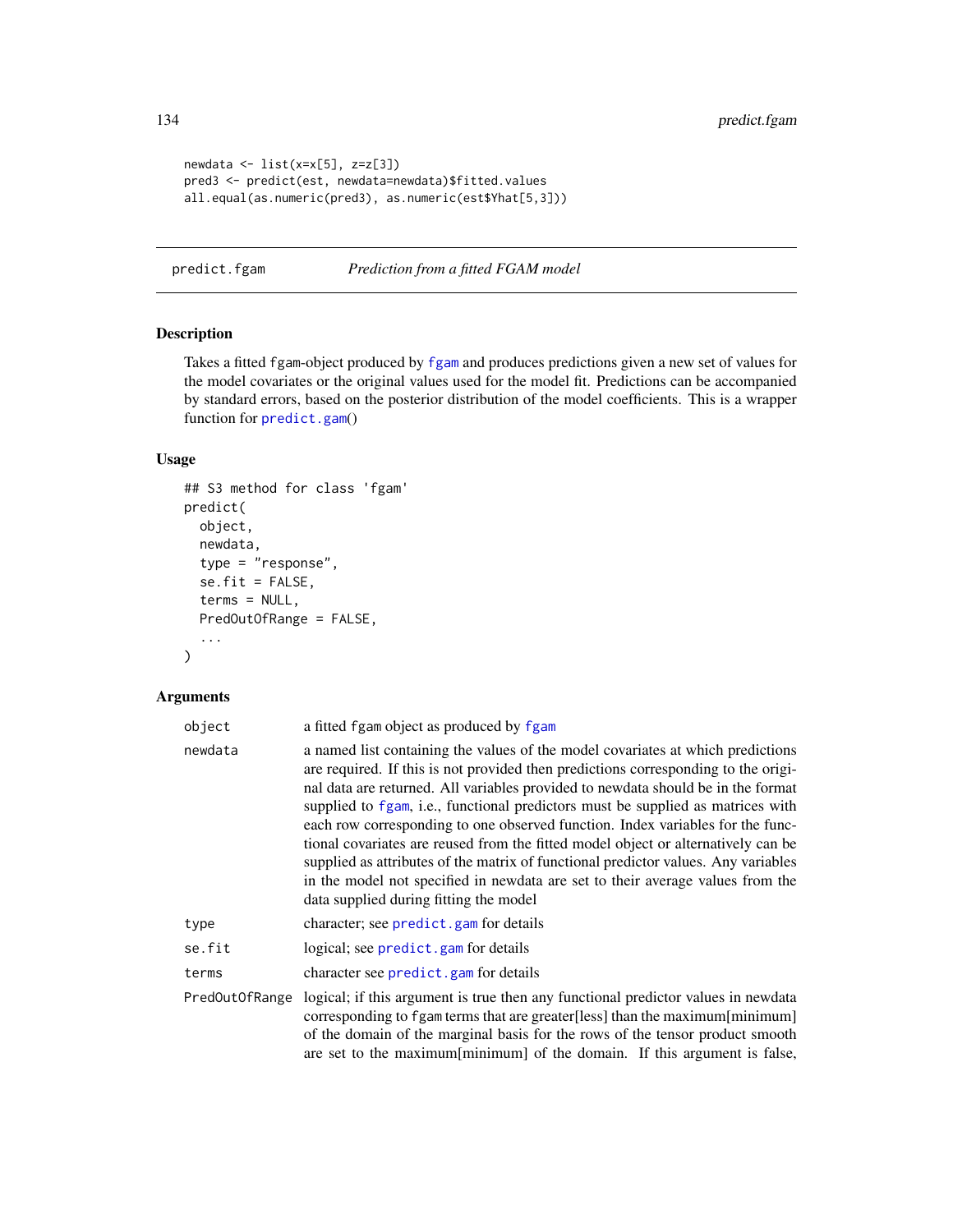```
newdata \le list(x=x[5], z=z[3])
pred3 <- predict(est, newdata=newdata)$fitted.values
all.equal(as.numeric(pred3), as.numeric(est$Yhat[5,3]))
```
predict.fgam *Prediction from a fitted FGAM model*

# Description

Takes a fitted fgam-object produced by [fgam](#page-31-0) and produces predictions given a new set of values for the model covariates or the original values used for the model fit. Predictions can be accompanied by standard errors, based on the posterior distribution of the model coefficients. This is a wrapper function for [predict.gam](#page-0-0)()

### Usage

```
## S3 method for class 'fgam'
predict(
  object,
  newdata,
  type = "response",
  se.fit = FALSE,terms = NULL,
  PredOutOfRange = FALSE,
  ...
\mathcal{L}
```
### Arguments

| object         | a fitted fgam object as produced by fgam                                                                                                                                                                                                                                                                                                                                                                                                                                                                                                                                                                                                                                                                                              |
|----------------|---------------------------------------------------------------------------------------------------------------------------------------------------------------------------------------------------------------------------------------------------------------------------------------------------------------------------------------------------------------------------------------------------------------------------------------------------------------------------------------------------------------------------------------------------------------------------------------------------------------------------------------------------------------------------------------------------------------------------------------|
| newdata        | a named list containing the values of the model covariates at which predictions<br>are required. If this is not provided then predictions corresponding to the origi-<br>nal data are returned. All variables provided to newdata should be in the format<br>supplied to fgam, i.e., functional predictors must be supplied as matrices with<br>each row corresponding to one observed function. Index variables for the func-<br>tional covariates are reused from the fitted model object or alternatively can be<br>supplied as attributes of the matrix of functional predictor values. Any variables<br>in the model not specified in newdata are set to their average values from the<br>data supplied during fitting the model |
| type           | character; see predict.gam for details                                                                                                                                                                                                                                                                                                                                                                                                                                                                                                                                                                                                                                                                                                |
| se.fit         | logical; see predict.gam for details                                                                                                                                                                                                                                                                                                                                                                                                                                                                                                                                                                                                                                                                                                  |
| terms          | character see predict.gam for details                                                                                                                                                                                                                                                                                                                                                                                                                                                                                                                                                                                                                                                                                                 |
| PredOutOfRange | logical; if this argument is true then any functional predictor values in newdata<br>corresponding to fgam terms that are greater[less] than the maximum[minimum]<br>of the domain of the marginal basis for the rows of the tensor product smooth<br>are set to the maximum[minimum] of the domain. If this argument is false,                                                                                                                                                                                                                                                                                                                                                                                                       |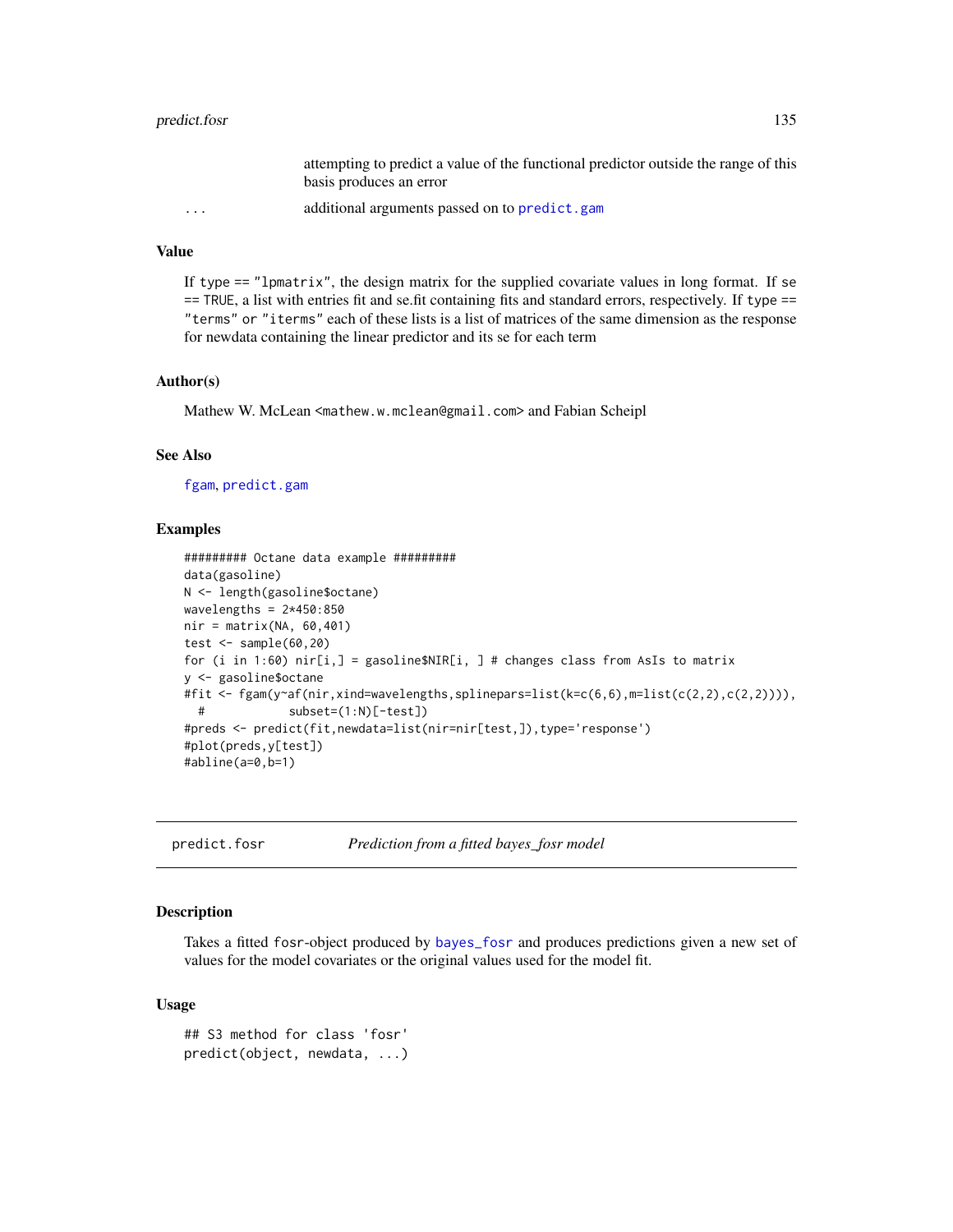# predict.fosr 135

attempting to predict a value of the functional predictor outside the range of this basis produces an error ... additional arguments passed on to [predict.gam](#page-0-0)

### Value

If type == "lpmatrix", the design matrix for the supplied covariate values in long format. If se == TRUE, a list with entries fit and se.fit containing fits and standard errors, respectively. If type == "terms" or "iterms" each of these lists is a list of matrices of the same dimension as the response for newdata containing the linear predictor and its se for each term

### Author(s)

Mathew W. McLean <mathew.w.mclean@gmail.com> and Fabian Scheipl

### See Also

[fgam](#page-31-0), [predict.gam](#page-0-0)

### Examples

```
######### Octane data example #########
data(gasoline)
N <- length(gasoline$octane)
wavelengths = 2*450:850nir = matrix(NA, 60, 401)test \leq sample(60,20)
for (i in 1:60) nir[i,] = gasoline$NIR[i, ] # changes class from ASIs to matrixy <- gasoline$octane
#fit <- fgam(y~af(nir,xind=wavelengths,splinepars=list(k=c(6,6),m=list(c(2,2),c(2,2)))),
 # subset=(1:N)[-test])
#preds <- predict(fit,newdata=list(nir=nir[test,]),type='response')
#plot(preds,y[test])
#abline(a=0,b=1)
```

| predict.fosr |  |  |  |
|--------------|--|--|--|
|              |  |  |  |

Prediction from a fitted bayes\_fosr model

### Description

Takes a fitted fosr-object produced by [bayes\\_fosr](#page-9-0) and produces predictions given a new set of values for the model covariates or the original values used for the model fit.

#### Usage

```
## S3 method for class 'fosr'
predict(object, newdata, ...)
```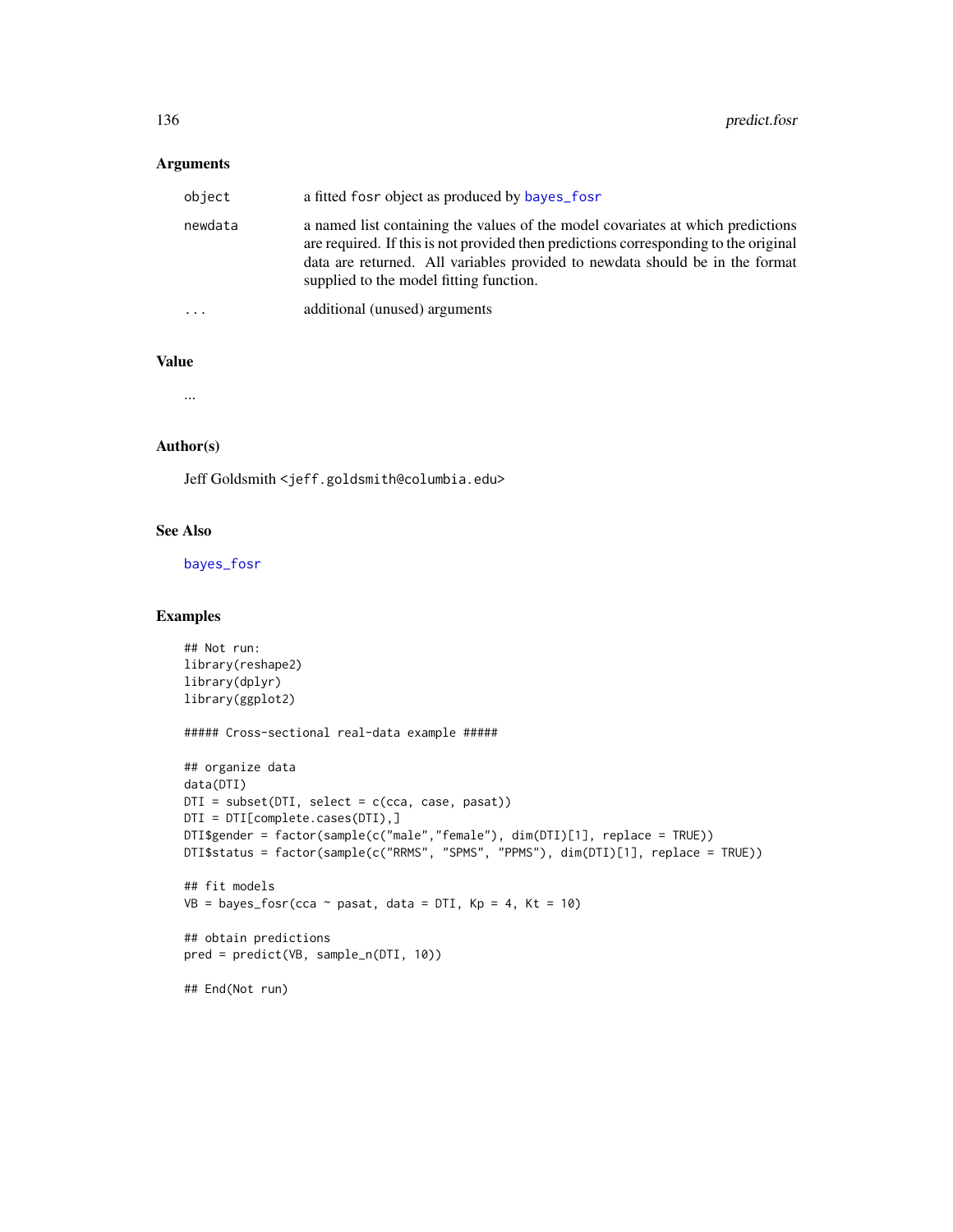# Arguments

| object                  | a fitted fosr object as produced by bayes_fosr                                                                                                                                                                                                                                                     |
|-------------------------|----------------------------------------------------------------------------------------------------------------------------------------------------------------------------------------------------------------------------------------------------------------------------------------------------|
| newdata                 | a named list containing the values of the model covariates at which predictions<br>are required. If this is not provided then predictions corresponding to the original<br>data are returned. All variables provided to newdata should be in the format<br>supplied to the model fitting function. |
| $\cdot$ $\cdot$ $\cdot$ | additional (unused) arguments                                                                                                                                                                                                                                                                      |

#### Value

...

#### Author(s)

Jeff Goldsmith <jeff.goldsmith@columbia.edu>

# See Also

[bayes\\_fosr](#page-9-0)

### Examples

```
## Not run:
library(reshape2)
library(dplyr)
library(ggplot2)
##### Cross-sectional real-data example #####
## organize data
data(DTI)
DTI = subset(DTI, select = c(cca, case, pasat))
DTI = DTI[complete.cases(DTI),]
DTI$gender = factor(sample(c("male","female"), dim(DTI)[1], replace = TRUE))
DTI$status = factor(sample(c("RRMS", "SPMS", "PPMS"), dim(DTI)[1], replace = TRUE))
## fit models
VB = bayes_fosr(cca ~ pass, data = DTI, Kp = 4, Kt = 10)## obtain predictions
pred = predict(VB, sample_n(DTI, 10))
## End(Not run)
```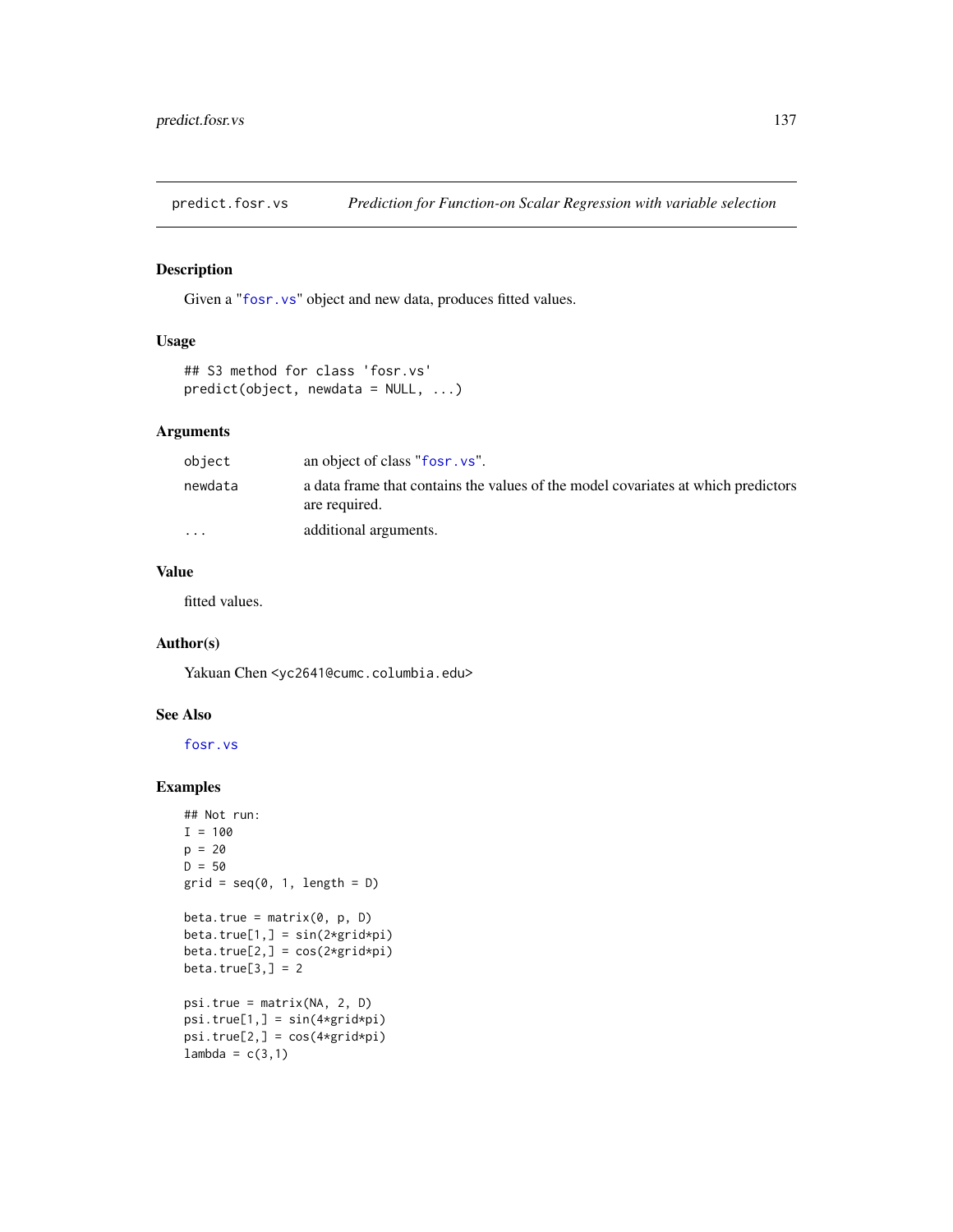predict.fosr.vs *Prediction for Function-on Scalar Regression with variable selection*

# Description

Given a "[fosr.vs](#page-40-0)" object and new data, produces fitted values.

# Usage

```
## S3 method for class 'fosr.vs'
predict(object, new data = NULL, ...)
```
### Arguments

| object   | an object of class "fosr. vs".                                                                     |
|----------|----------------------------------------------------------------------------------------------------|
| newdata  | a data frame that contains the values of the model covariates at which predictors<br>are required. |
| $\cdots$ | additional arguments.                                                                              |

# Value

fitted values.

#### Author(s)

Yakuan Chen <yc2641@cumc.columbia.edu>

### See Also

[fosr.vs](#page-40-0)

# Examples

```
## Not run:
I = 100p = 20D = 50grid = seq(0, 1, length = D)beta.true = matrix(0, p, D)beta.trule[1,] = sin(2*grid*pi)beta.true[2,] = cos(2*grid*pi)
beta.true[3,] = 2psi.true = matrix(NA, 2, D)
psi(x, ] = sin(4*grid*pi)psi.true[2,] = cos(4*grid*pi)
lambda = c(3,1)
```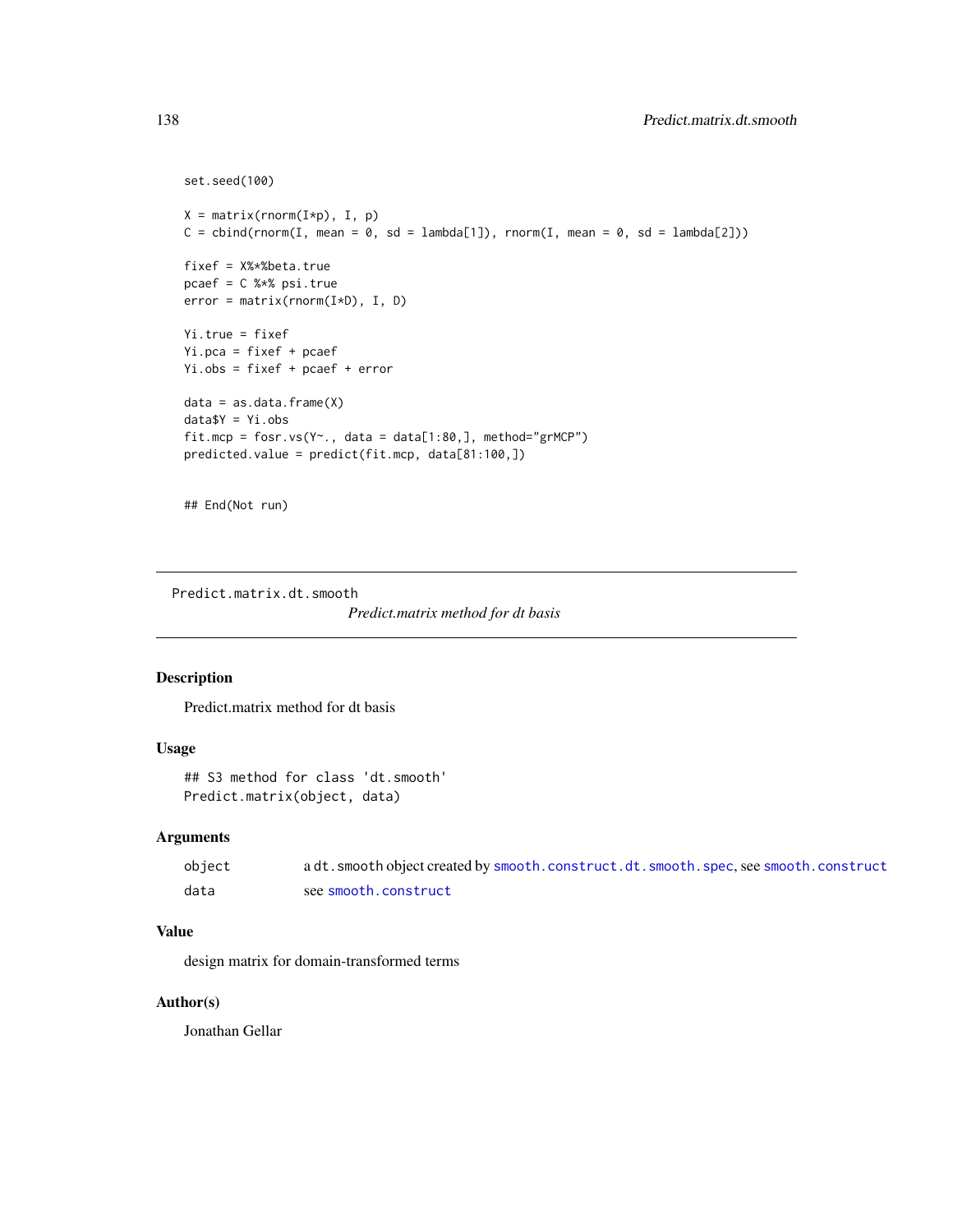```
set.seed(100)
X = matrix(rnorm(I*p), I, p)C = \text{cbind}(rnorm(I, mean = 0, sd = lambda[1]), rnorm(I, mean = 0, sd = lambda[2]))fixef = X%*%beta.true
pcaef = C %*% psi.true
error = matrix(rnorm(I*D), I, D)
Yi.true = fixef
Yi.pca = fixef + pcaef
Yi.obs = fixef + pcaef + error
data = as.data.frame(X)data$Y = Yi.obs
fit.mcp = fosr.vs(Y~., data = data[1:80,], method="grMCP")
predicted.value = predict(fit.mcp, data[81:100,])
```

```
## End(Not run)
```
Predict.matrix.dt.smooth

*Predict.matrix method for dt basis*

# Description

Predict.matrix method for dt basis

# Usage

```
## S3 method for class 'dt.smooth'
Predict.matrix(object, data)
```
### Arguments

| object | a dt. smooth object created by smooth. construct. dt. smooth. spec, see smooth. construct |
|--------|-------------------------------------------------------------------------------------------|
| data   | see smooth.construct                                                                      |

# Value

design matrix for domain-transformed terms

# Author(s)

Jonathan Gellar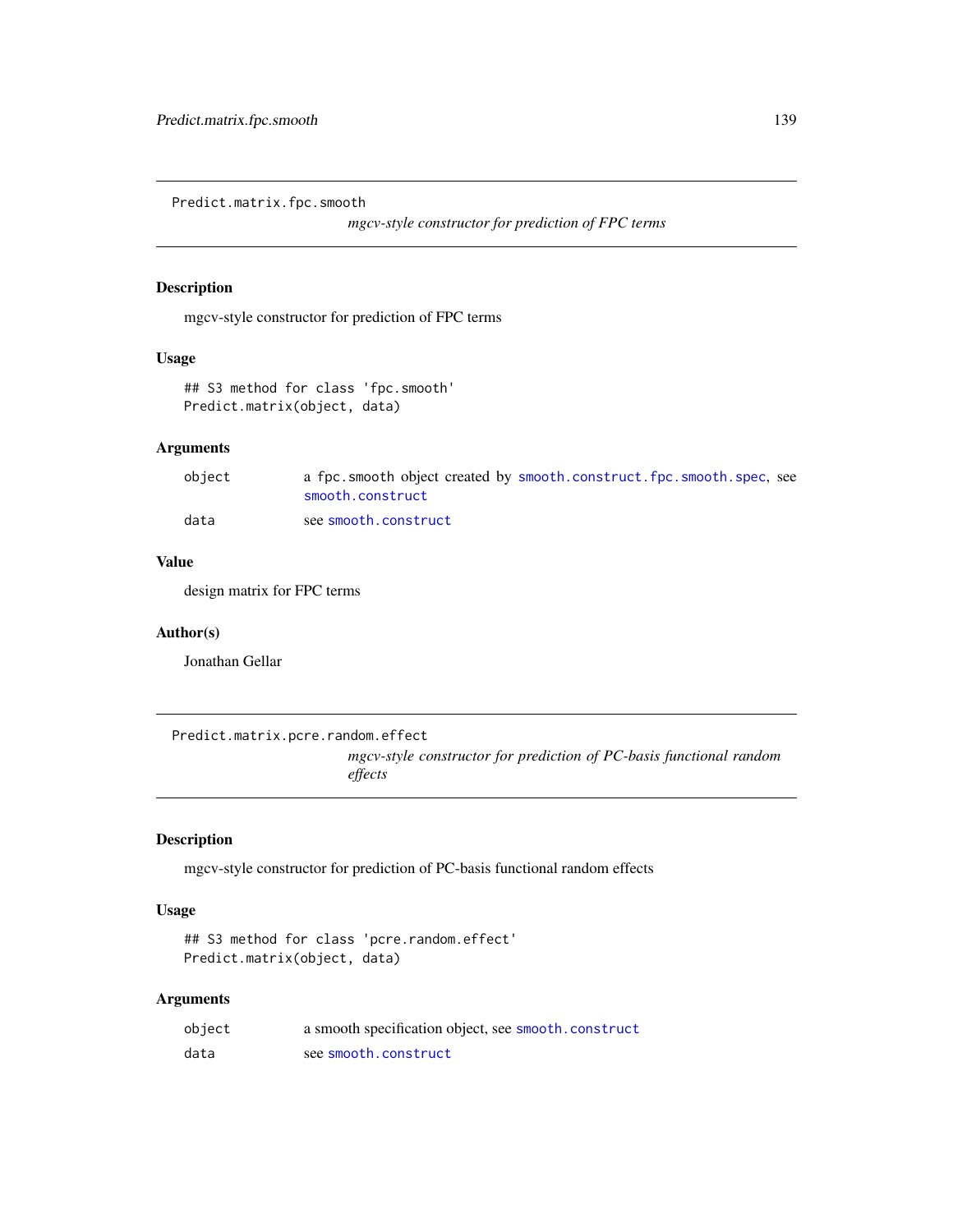Predict.matrix.fpc.smooth

*mgcv-style constructor for prediction of FPC terms*

# Description

mgcv-style constructor for prediction of FPC terms

# Usage

```
## S3 method for class 'fpc.smooth'
Predict.matrix(object, data)
```
# Arguments

| object | a fpc.smooth object created by smooth.construct.fpc.smooth.spec.see<br>smooth.construct |
|--------|-----------------------------------------------------------------------------------------|
| data   | see smooth.construct                                                                    |

### Value

design matrix for FPC terms

### Author(s)

Jonathan Gellar

Predict.matrix.pcre.random.effect

*mgcv-style constructor for prediction of PC-basis functional random effects*

### Description

mgcv-style constructor for prediction of PC-basis functional random effects

### Usage

```
## S3 method for class 'pcre.random.effect'
Predict.matrix(object, data)
```
# Arguments

| object | a smooth specification object, see smooth.construct |
|--------|-----------------------------------------------------|
| data   | see smooth.construct                                |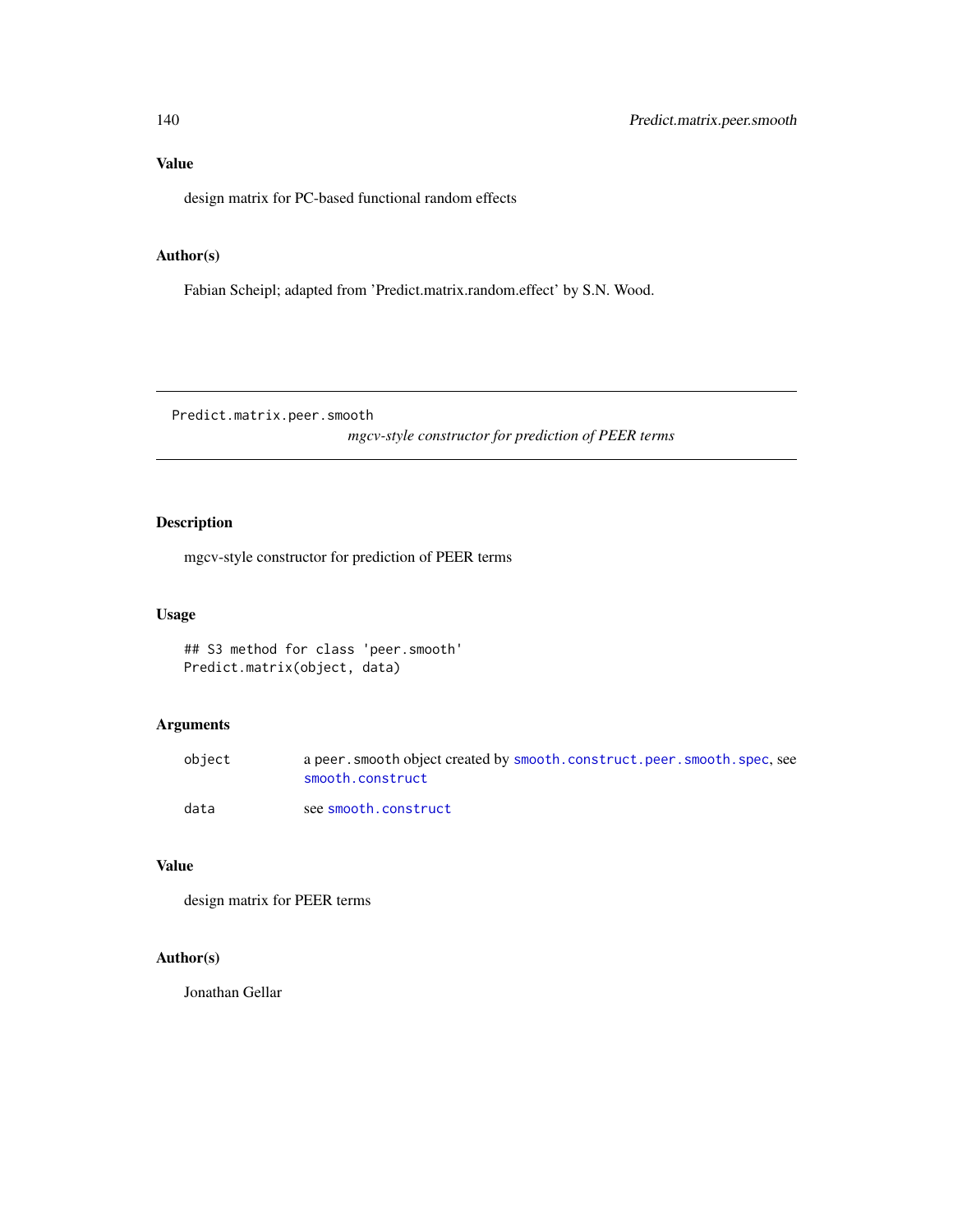# Value

design matrix for PC-based functional random effects

# Author(s)

Fabian Scheipl; adapted from 'Predict.matrix.random.effect' by S.N. Wood.

Predict.matrix.peer.smooth

*mgcv-style constructor for prediction of PEER terms*

# Description

mgcv-style constructor for prediction of PEER terms

### Usage

```
## S3 method for class 'peer.smooth'
Predict.matrix(object, data)
```
# Arguments

| object | a peer, smooth object created by smooth, construct, peer, smooth, spec, see<br>smooth.construct |
|--------|-------------------------------------------------------------------------------------------------|
| data   | see smooth.construct                                                                            |

# Value

design matrix for PEER terms

# Author(s)

Jonathan Gellar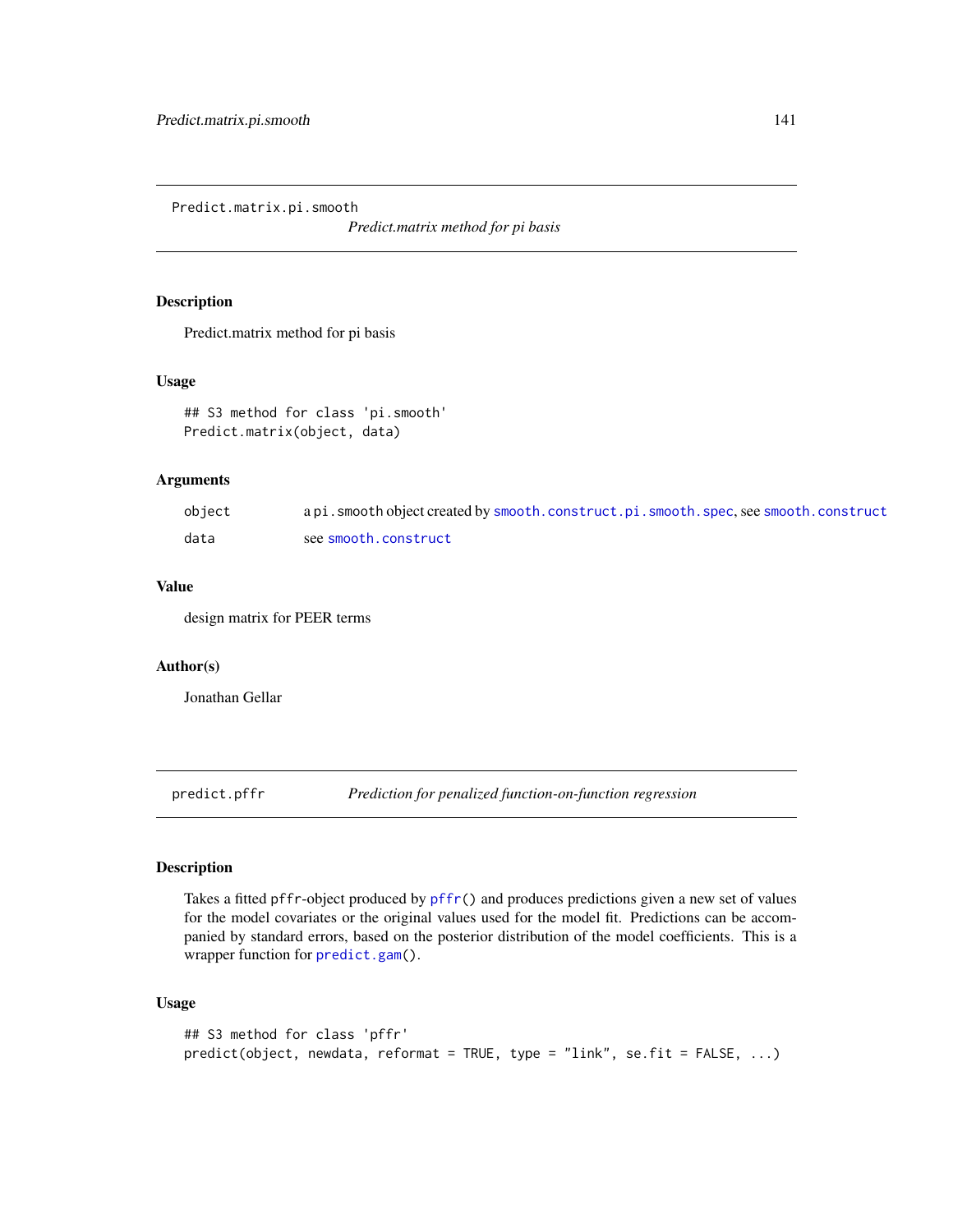Predict.matrix.pi.smooth

*Predict.matrix method for pi basis*

### Description

Predict.matrix method for pi basis

### Usage

## S3 method for class 'pi.smooth' Predict.matrix(object, data)

# Arguments

| object | a pi. smooth object created by smooth.construct.pi.smooth.spec.see smooth.construct |
|--------|-------------------------------------------------------------------------------------|
| data   | see smooth.construct                                                                |

### Value

design matrix for PEER terms

### Author(s)

Jonathan Gellar

<span id="page-140-0"></span>predict.pffr *Prediction for penalized function-on-function regression*

### Description

Takes a fitted pffr-object produced by [pffr\(](#page-108-0)) and produces predictions given a new set of values for the model covariates or the original values used for the model fit. Predictions can be accompanied by standard errors, based on the posterior distribution of the model coefficients. This is a wrapper function for [predict.gam\(](#page-0-0)).

# Usage

```
## S3 method for class 'pffr'
predict(object, newdata, reformat = TRUE, type = "link", se.fit = FALSE, ...)
```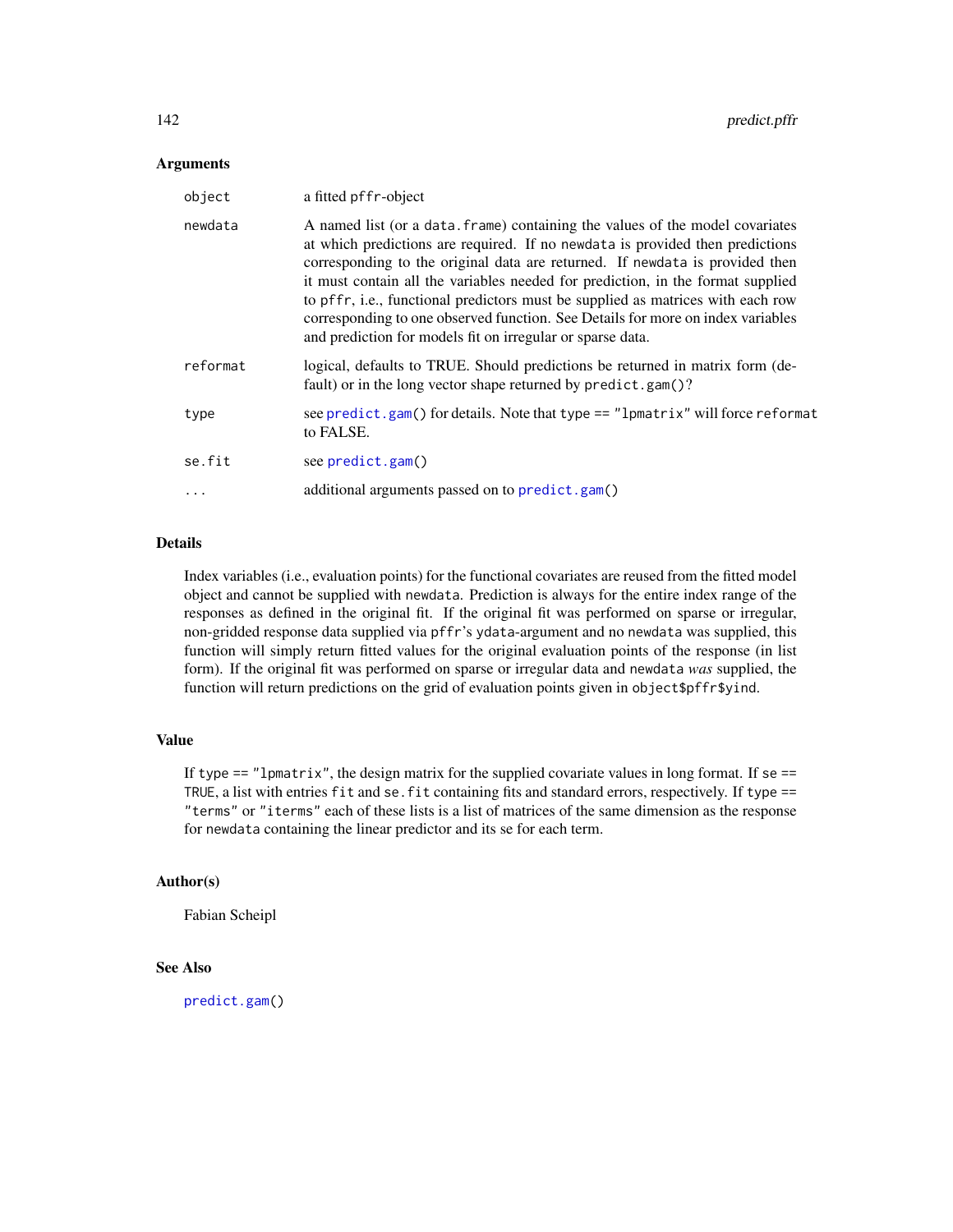#### **Arguments**

| object    | a fitted pffr-object                                                                                                                                                                                                                                                                                                                                                                                                                                                                                                                                                  |
|-----------|-----------------------------------------------------------------------------------------------------------------------------------------------------------------------------------------------------------------------------------------------------------------------------------------------------------------------------------------------------------------------------------------------------------------------------------------------------------------------------------------------------------------------------------------------------------------------|
| newdata   | A named list (or a data, frame) containing the values of the model covariates<br>at which predictions are required. If no newdata is provided then predictions<br>corresponding to the original data are returned. If newdata is provided then<br>it must contain all the variables needed for prediction, in the format supplied<br>to pffr, i.e., functional predictors must be supplied as matrices with each row<br>corresponding to one observed function. See Details for more on index variables<br>and prediction for models fit on irregular or sparse data. |
| reformat  | logical, defaults to TRUE. Should predictions be returned in matrix form (de-<br>fault) or in the long vector shape returned by predict.gam()?                                                                                                                                                                                                                                                                                                                                                                                                                        |
| type      | see predict.gam() for details. Note that type == "lpmatrix" will force reformat<br>to FALSE.                                                                                                                                                                                                                                                                                                                                                                                                                                                                          |
| se.fit    | see predict.gam()                                                                                                                                                                                                                                                                                                                                                                                                                                                                                                                                                     |
| $\ddotsc$ | additional arguments passed on to predict.gam()                                                                                                                                                                                                                                                                                                                                                                                                                                                                                                                       |

# Details

Index variables (i.e., evaluation points) for the functional covariates are reused from the fitted model object and cannot be supplied with newdata. Prediction is always for the entire index range of the responses as defined in the original fit. If the original fit was performed on sparse or irregular, non-gridded response data supplied via pffr's ydata-argument and no newdata was supplied, this function will simply return fitted values for the original evaluation points of the response (in list form). If the original fit was performed on sparse or irregular data and newdata *was* supplied, the function will return predictions on the grid of evaluation points given in object\$pffr\$yind.

### Value

If type  $==$  "lpmatrix", the design matrix for the supplied covariate values in long format. If se  $==$ TRUE, a list with entries fit and se. fit containing fits and standard errors, respectively. If type == "terms" or "iterms" each of these lists is a list of matrices of the same dimension as the response for newdata containing the linear predictor and its se for each term.

# Author(s)

Fabian Scheipl

# See Also

[predict.gam\(](#page-0-0))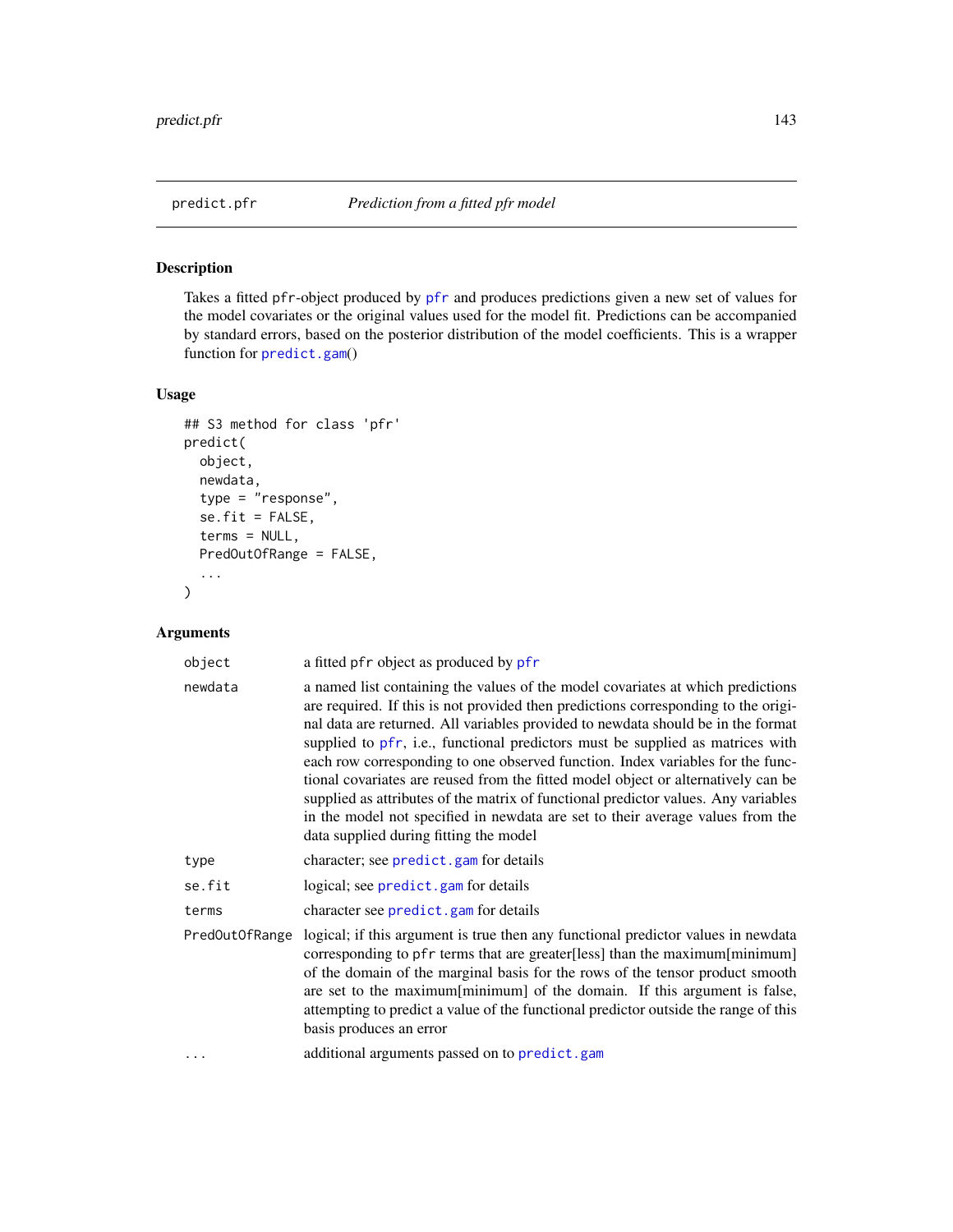<span id="page-142-0"></span>

# Description

Takes a fitted pfr-object produced by [pfr](#page-116-0) and produces predictions given a new set of values for the model covariates or the original values used for the model fit. Predictions can be accompanied by standard errors, based on the posterior distribution of the model coefficients. This is a wrapper function for [predict.gam](#page-0-0)()

## Usage

```
## S3 method for class 'pfr'
predict(
 object,
  newdata,
  type = "response",
  se.fit = FALSE,
  terms = NULL,
 PredOutOfRange = FALSE,
  ...
)
```
# Arguments

| object         | a fitted pfr object as produced by pfr                                                                                                                                                                                                                                                                                                                                                                                                                                                                                                                                                                                                                                                                                               |
|----------------|--------------------------------------------------------------------------------------------------------------------------------------------------------------------------------------------------------------------------------------------------------------------------------------------------------------------------------------------------------------------------------------------------------------------------------------------------------------------------------------------------------------------------------------------------------------------------------------------------------------------------------------------------------------------------------------------------------------------------------------|
| newdata        | a named list containing the values of the model covariates at which predictions<br>are required. If this is not provided then predictions corresponding to the origi-<br>nal data are returned. All variables provided to newdata should be in the format<br>supplied to pfr, i.e., functional predictors must be supplied as matrices with<br>each row corresponding to one observed function. Index variables for the func-<br>tional covariates are reused from the fitted model object or alternatively can be<br>supplied as attributes of the matrix of functional predictor values. Any variables<br>in the model not specified in newdata are set to their average values from the<br>data supplied during fitting the model |
| type           | character; see predict.gam for details                                                                                                                                                                                                                                                                                                                                                                                                                                                                                                                                                                                                                                                                                               |
| se.fit         | logical; see predict.gam for details                                                                                                                                                                                                                                                                                                                                                                                                                                                                                                                                                                                                                                                                                                 |
| terms          | character see predict.gam for details                                                                                                                                                                                                                                                                                                                                                                                                                                                                                                                                                                                                                                                                                                |
| PredOutOfRange | logical; if this argument is true then any functional predictor values in newdata<br>corresponding to pfr terms that are greater[less] than the maximum[minimum]<br>of the domain of the marginal basis for the rows of the tensor product smooth<br>are set to the maximum[minimum] of the domain. If this argument is false,<br>attempting to predict a value of the functional predictor outside the range of this<br>basis produces an error                                                                                                                                                                                                                                                                                     |
| .              | additional arguments passed on to predict.gam                                                                                                                                                                                                                                                                                                                                                                                                                                                                                                                                                                                                                                                                                        |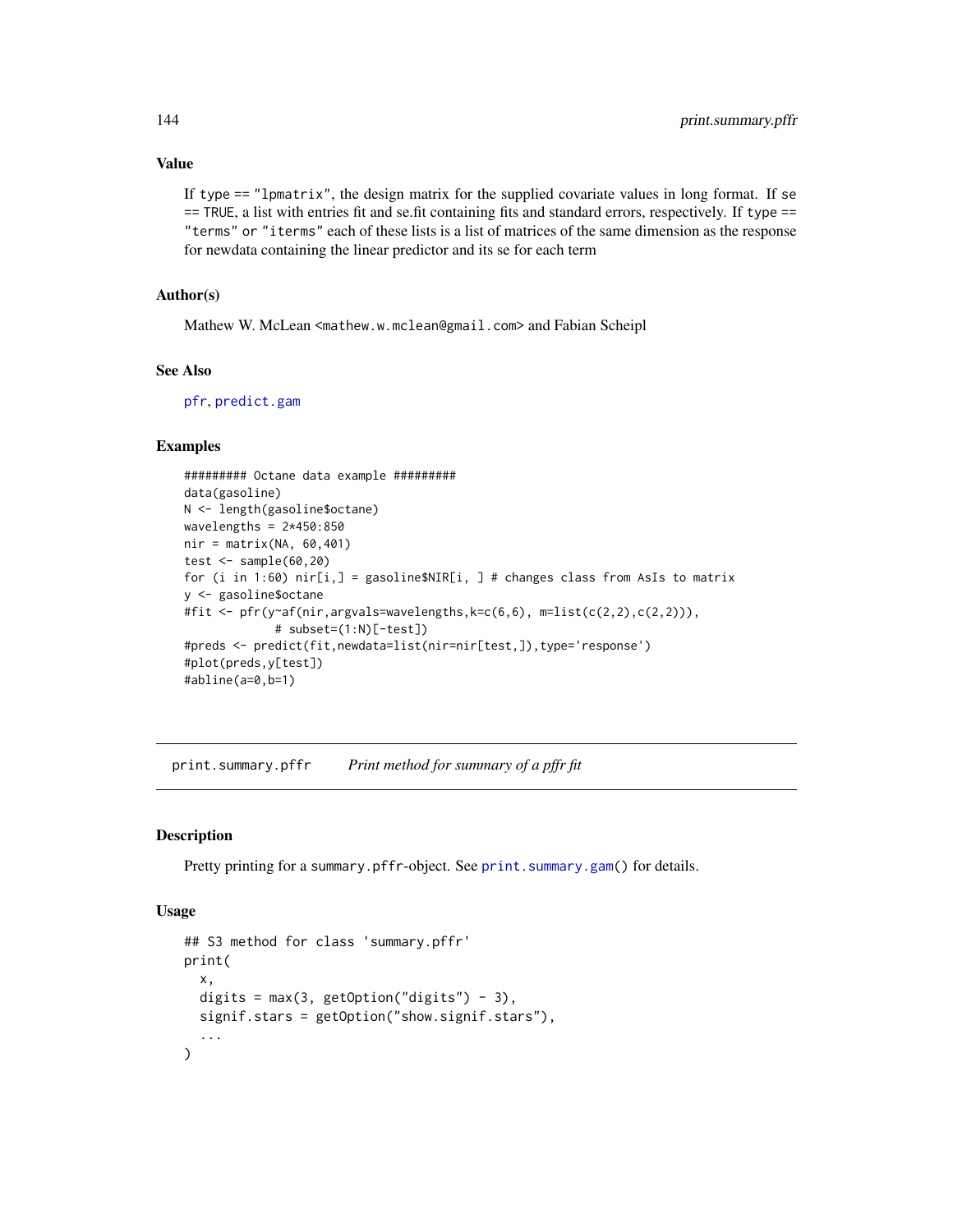### Value

If type  $==$  "lpmatrix", the design matrix for the supplied covariate values in long format. If se == TRUE, a list with entries fit and se.fit containing fits and standard errors, respectively. If type == "terms" or "iterms" each of these lists is a list of matrices of the same dimension as the response for newdata containing the linear predictor and its se for each term

#### Author(s)

Mathew W. McLean <mathew.w.mclean@gmail.com> and Fabian Scheipl

# See Also

[pfr](#page-116-0), [predict.gam](#page-0-0)

### Examples

```
######### Octane data example #########
data(gasoline)
N <- length(gasoline$octane)
wavelengths = 2*450:850nir = matrix(NA, 60, 401)test \le sample(60,20)
for (i in 1:60) nir[i,] = gasoline$NIR[i, ] # changes class from AsIs to matrix
y <- gasoline$octane
#fit <- pfr(y~af(nir,argvals=wavelengths,k=c(6,6), m=list(c(2,2),c(2,2))),
             # subset=(1:N)[-test])
#preds <- predict(fit,newdata=list(nir=nir[test,]),type='response')
#plot(preds,y[test])
#abline(a=0,b=1)
```
print.summary.pffr *Print method for summary of a pffr fit*

#### Description

Pretty printing for a summary.pffr-object. See [print.summary.gam\(](#page-0-0)) for details.

#### Usage

```
## S3 method for class 'summary.pffr'
print(
  x,
  digits = max(3, getOption("digits") - 3),
  signif.stars = getOption("show.signif.stars"),
  ...
)
```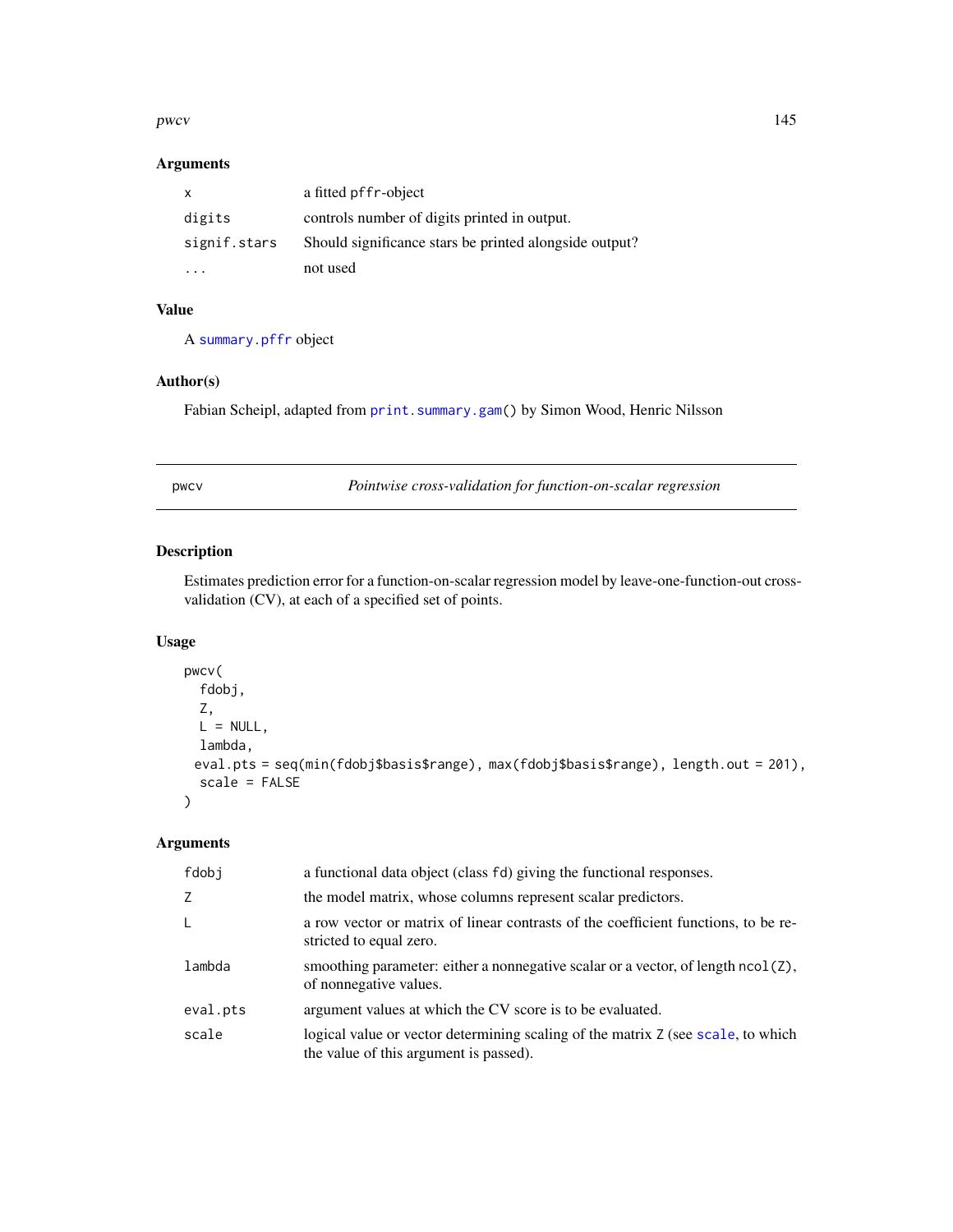#### <span id="page-144-0"></span>pwcv and the set of the set of the set of the set of the set of the set of the set of the set of the set of the set of the set of the set of the set of the set of the set of the set of the set of the set of the set of the

# Arguments

| X            | a fitted pffr-object                                   |
|--------------|--------------------------------------------------------|
| digits       | controls number of digits printed in output.           |
| signif.stars | Should significance stars be printed alongside output? |
| $\cdot$      | not used                                               |

# Value

A [summary.pffr](#page-165-0) object

# Author(s)

Fabian Scheipl, adapted from [print.summary.gam\(](#page-0-0)) by Simon Wood, Henric Nilsson

pwcv *Pointwise cross-validation for function-on-scalar regression*

# Description

Estimates prediction error for a function-on-scalar regression model by leave-one-function-out crossvalidation (CV), at each of a specified set of points.

# Usage

```
pwcv(
  fdobj,
  Z,
 L = NULL,lambda,
 eval.pts = seq(min(fdobj$basis$range), max(fdobj$basis$range), length.out = 201),
  scale = FALSE
\lambda
```
# Arguments

| fdobi    | a functional data object (class fd) giving the functional responses.                                                       |
|----------|----------------------------------------------------------------------------------------------------------------------------|
| Z        | the model matrix, whose columns represent scalar predictors.                                                               |
| L        | a row vector or matrix of linear contrasts of the coefficient functions, to be re-<br>stricted to equal zero.              |
| lambda   | smoothing parameter: either a nonnegative scalar or a vector, of length $ncol(2)$ ,<br>of nonnegative values.              |
| eval.pts | argument values at which the CV score is to be evaluated.                                                                  |
| scale    | logical value or vector determining scaling of the matrix Z (see scale, to which<br>the value of this argument is passed). |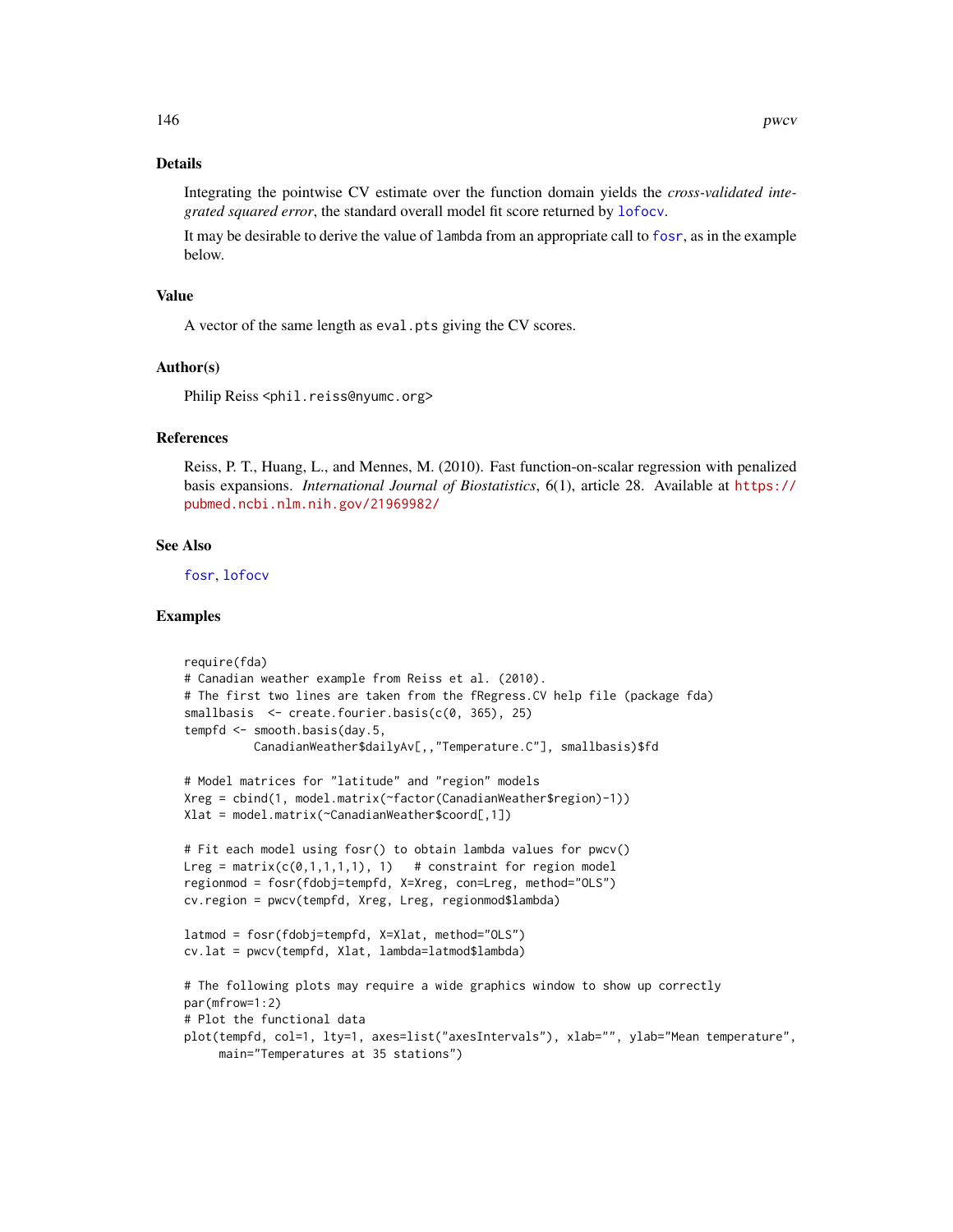# <span id="page-145-0"></span>Details

Integrating the pointwise CV estimate over the function domain yields the *cross-validated integrated squared error*, the standard overall model fit score returned by [lofocv](#page-0-0).

It may be desirable to derive the value of lambda from an appropriate call to [fosr](#page-33-0), as in the example below.

#### Value

A vector of the same length as eval.pts giving the CV scores.

#### Author(s)

Philip Reiss <phil.reiss@nyumc.org>

#### References

Reiss, P. T., Huang, L., and Mennes, M. (2010). Fast function-on-scalar regression with penalized basis expansions. *International Journal of Biostatistics*, 6(1), article 28. Available at [https://](https://pubmed.ncbi.nlm.nih.gov/21969982/) [pubmed.ncbi.nlm.nih.gov/21969982/](https://pubmed.ncbi.nlm.nih.gov/21969982/)

#### See Also

[fosr](#page-33-0), [lofocv](#page-0-0)

#### Examples

```
require(fda)
# Canadian weather example from Reiss et al. (2010).
# The first two lines are taken from the fRegress.CV help file (package fda)
smallbasis \leq create.fourier.basis(c(0, 365), 25)
tempfd <- smooth.basis(day.5,
          CanadianWeather$dailyAv[,,"Temperature.C"], smallbasis)$fd
# Model matrices for "latitude" and "region" models
Xreg = cbind(1, model.matrix(~factor(CanadianWeather$region)-1))
Xlat = model.matrix(~CanadianWeather$coord[,1])
# Fit each model using fosr() to obtain lambda values for pwcv()
Lreg = matrix(c(0,1,1,1,1), 1) # constraint for region model
regionmod = fosr(fdobj=tempfd, X=Xreg, con=Lreg, method="OLS")
cv.region = pwcv(tempfd, Xreg, Lreg, regionmod$lambda)
latmod = fosr(fdobj=tempfd, X=Xlat, method="OLS")
cv.lat = pwcv(tempfd, Xlat, lambda=latmod$lambda)
# The following plots may require a wide graphics window to show up correctly
par(mfrow=1:2)
# Plot the functional data
plot(tempfd, col=1, lty=1, axes=list("axesIntervals"), xlab="", ylab="Mean temperature",
     main="Temperatures at 35 stations")
```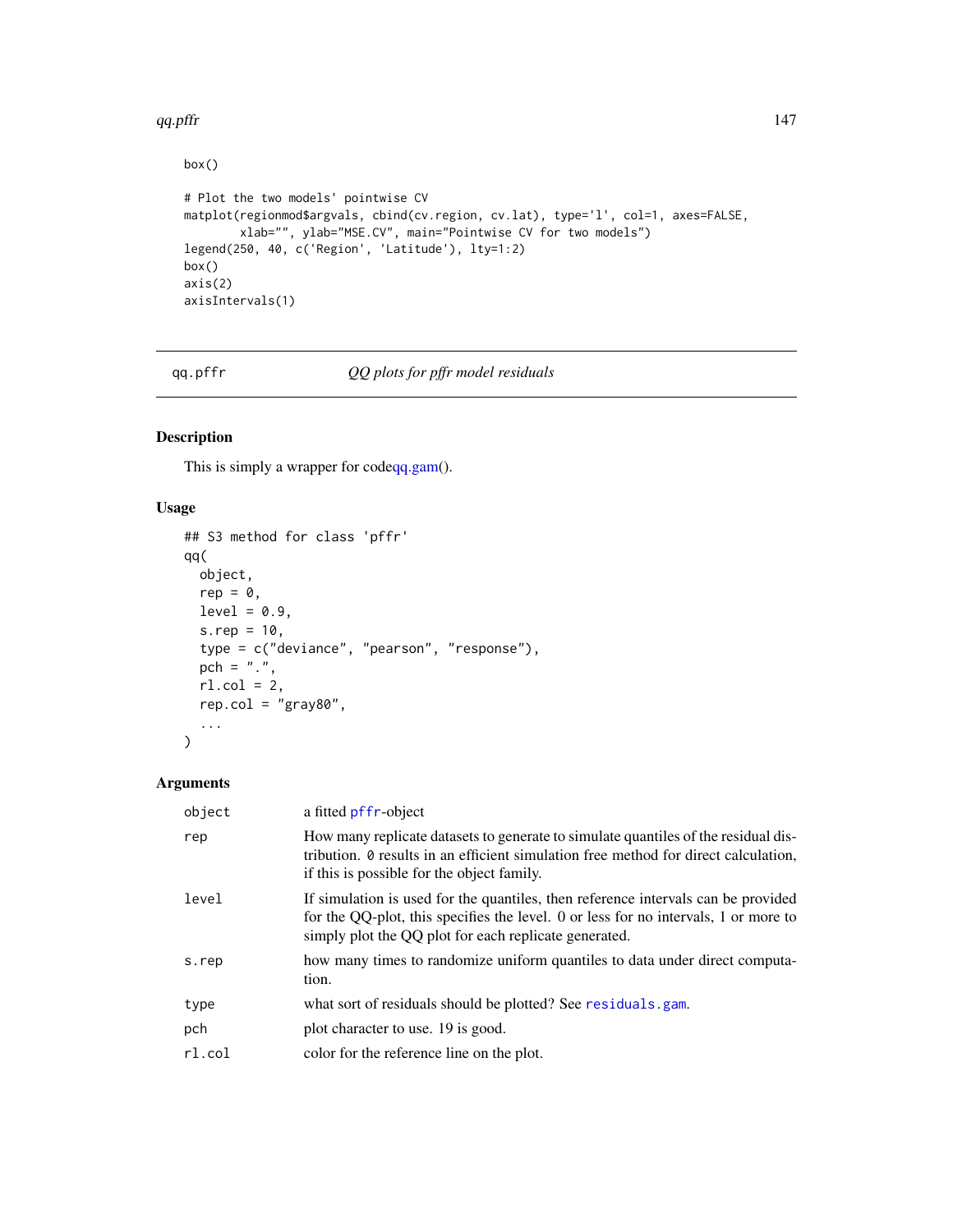#### <span id="page-146-0"></span>qq.pffr $\frac{147}{2}$

```
box()
# Plot the two models' pointwise CV
matplot(regionmod$argvals, cbind(cv.region, cv.lat), type='l', col=1, axes=FALSE,
        xlab="", ylab="MSE.CV", main="Pointwise CV for two models")
legend(250, 40, c('Region', 'Latitude'), lty=1:2)
box()
axis(2)
axisIntervals(1)
```
qq.pffr *QQ plots for pffr model residuals*

# Description

This is simply a wrapper for cod[eqq.gam\(](#page-0-0)).

# Usage

```
## S3 method for class 'pffr'
qq(
 object,
 rep = 0,level = 0.9,
  s.rep = 10,
  type = c("deviance", "pearson", "response"),
 pch = ".",
 rl.col = 2,
  rep.col = "gray80",...
\mathcal{L}
```
# Arguments

| object | a fitted pffr-object                                                                                                                                                                                                              |
|--------|-----------------------------------------------------------------------------------------------------------------------------------------------------------------------------------------------------------------------------------|
| rep    | How many replicate datasets to generate to simulate quantiles of the residual dis-<br>tribution. <i>Q</i> results in an efficient simulation free method for direct calculation,<br>if this is possible for the object family.    |
| level  | If simulation is used for the quantiles, then reference intervals can be provided<br>for the QQ-plot, this specifies the level. 0 or less for no intervals, 1 or more to<br>simply plot the QQ plot for each replicate generated. |
| s.rep  | how many times to randomize uniform quantiles to data under direct computa-<br>tion.                                                                                                                                              |
| type   | what sort of residuals should be plotted? See residuals.gam.                                                                                                                                                                      |
| pch    | plot character to use. 19 is good.                                                                                                                                                                                                |
| rl.col | color for the reference line on the plot.                                                                                                                                                                                         |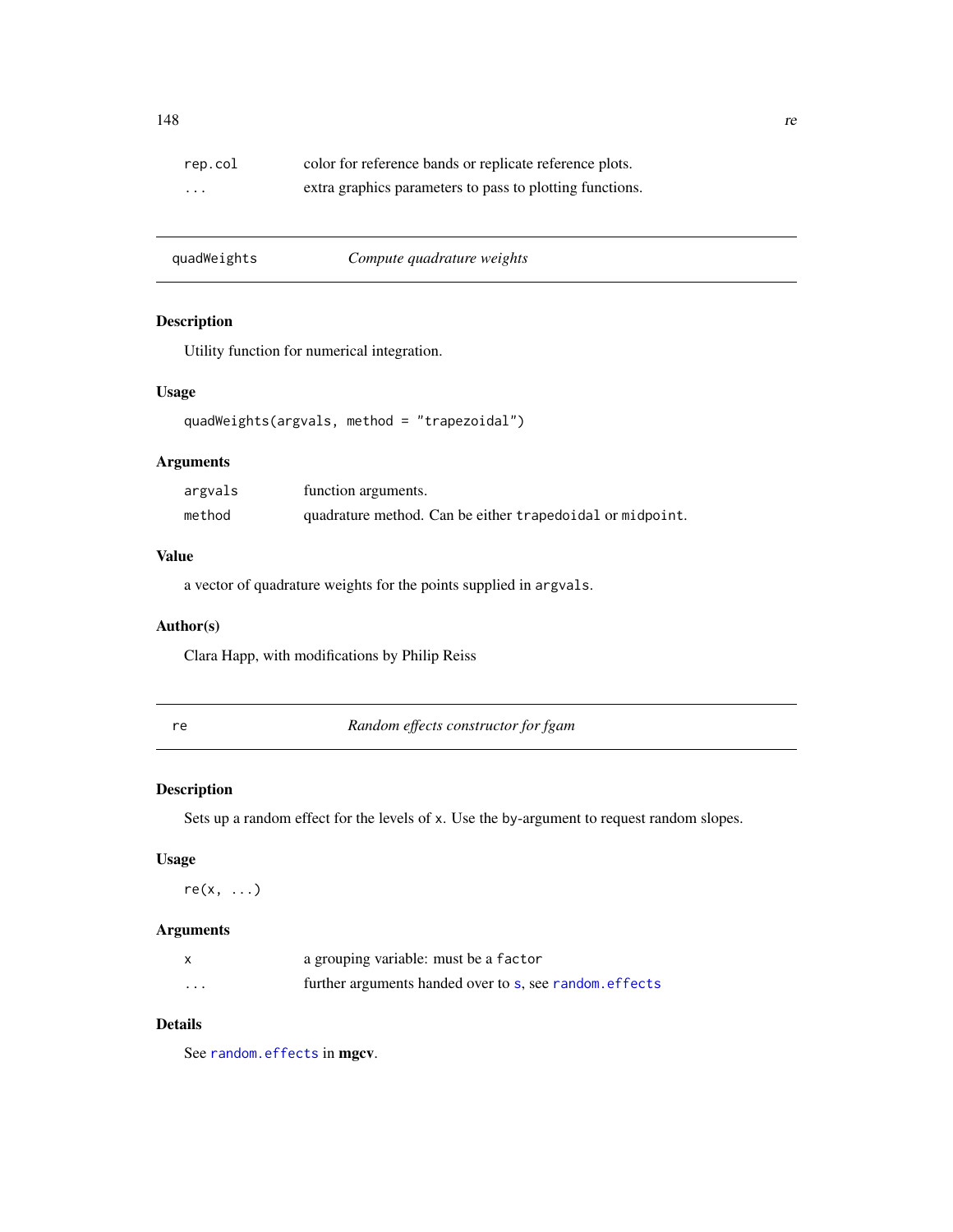<span id="page-147-0"></span>

| rep.col                 | color for reference bands or replicate reference plots.  |
|-------------------------|----------------------------------------------------------|
| $\cdot$ $\cdot$ $\cdot$ | extra graphics parameters to pass to plotting functions. |

| quadWeights | Compute quadrature weights |
|-------------|----------------------------|
|             |                            |

# Description

Utility function for numerical integration.

# Usage

```
quadWeights(argvals, method = "trapezoidal")
```
# Arguments

| argvals | function arguments.                                       |
|---------|-----------------------------------------------------------|
| method  | quadrature method. Can be either trapedoidal or midpoint. |

# Value

a vector of quadrature weights for the points supplied in argvals.

# Author(s)

Clara Happ, with modifications by Philip Reiss

re *Random effects constructor for fgam*

# Description

Sets up a random effect for the levels of x. Use the by-argument to request random slopes.

#### Usage

 $re(x, \ldots)$ 

# Arguments

|   | a grouping variable: must be a factor                   |
|---|---------------------------------------------------------|
| . | further arguments handed over to s, see random, effects |

# Details

See [random.effects](#page-0-0) in mgcv.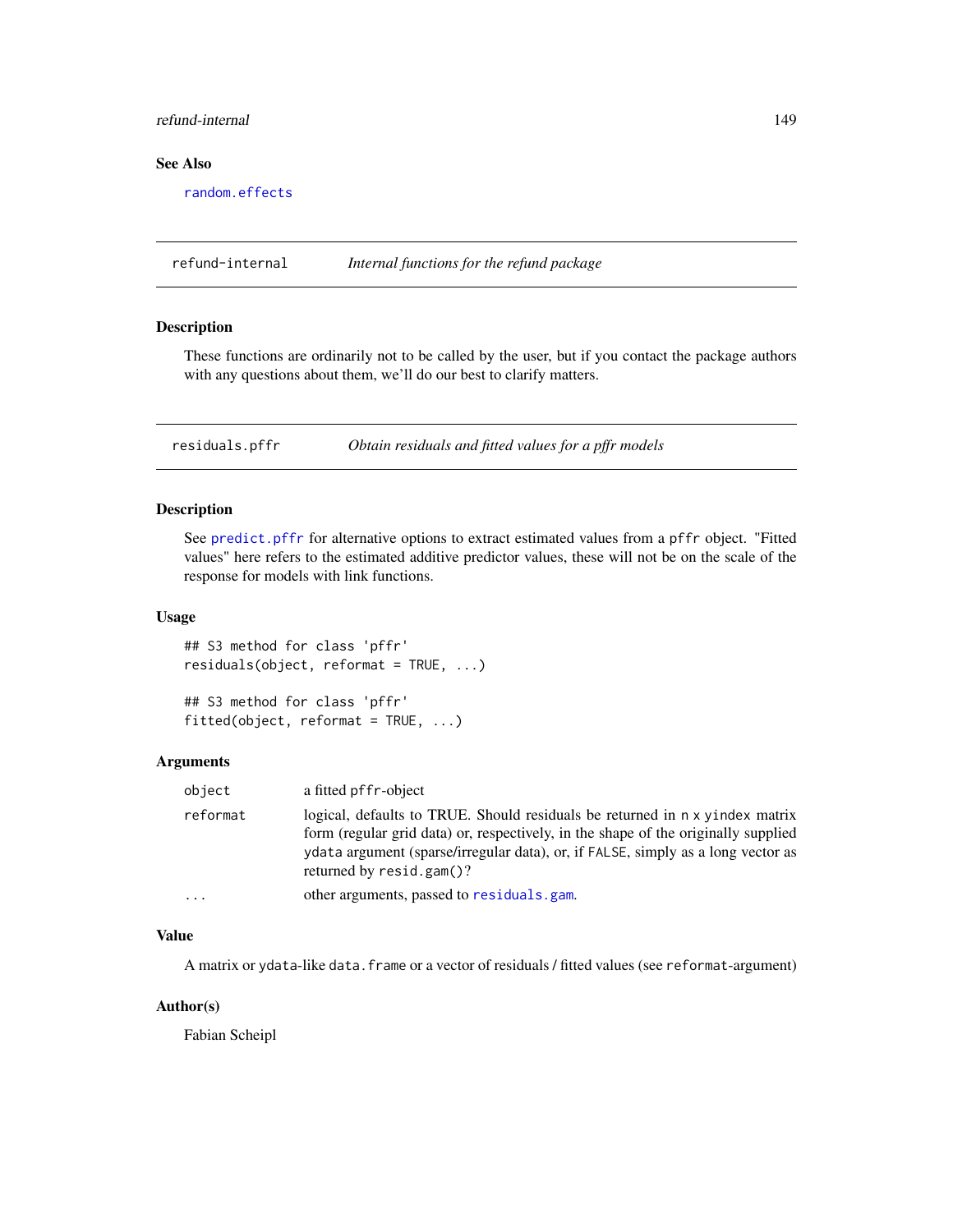# <span id="page-148-0"></span>refund-internal 149

# See Also

[random.effects](#page-0-0)

refund-internal *Internal functions for the refund package*

#### Description

These functions are ordinarily not to be called by the user, but if you contact the package authors with any questions about them, we'll do our best to clarify matters.

residuals.pffr *Obtain residuals and fitted values for a pffr models*

#### Description

See [predict.pffr](#page-140-0) for alternative options to extract estimated values from a pffr object. "Fitted values" here refers to the estimated additive predictor values, these will not be on the scale of the response for models with link functions.

### Usage

```
## S3 method for class 'pffr'
residuals(object, reformat = TRUE, ...)
```
## S3 method for class 'pffr'  $fitted(object, reformat = TRUE, ...)$ 

# Arguments

| object                  | a fitted pffr-object                                                                                                                                                                                                                                                                  |
|-------------------------|---------------------------------------------------------------------------------------------------------------------------------------------------------------------------------------------------------------------------------------------------------------------------------------|
| reformat                | logical, defaults to TRUE. Should residuals be returned in n x yindex matrix<br>form (regular grid data) or, respectively, in the shape of the originally supplied<br>ydata argument (sparse/irregular data), or, if FALSE, simply as a long vector as<br>returned by $resid.gam()$ ? |
| $\cdot$ $\cdot$ $\cdot$ | other arguments, passed to residuals, gam.                                                                                                                                                                                                                                            |

#### Value

A matrix or ydata-like data.frame or a vector of residuals / fitted values (see reformat-argument)

# Author(s)

Fabian Scheipl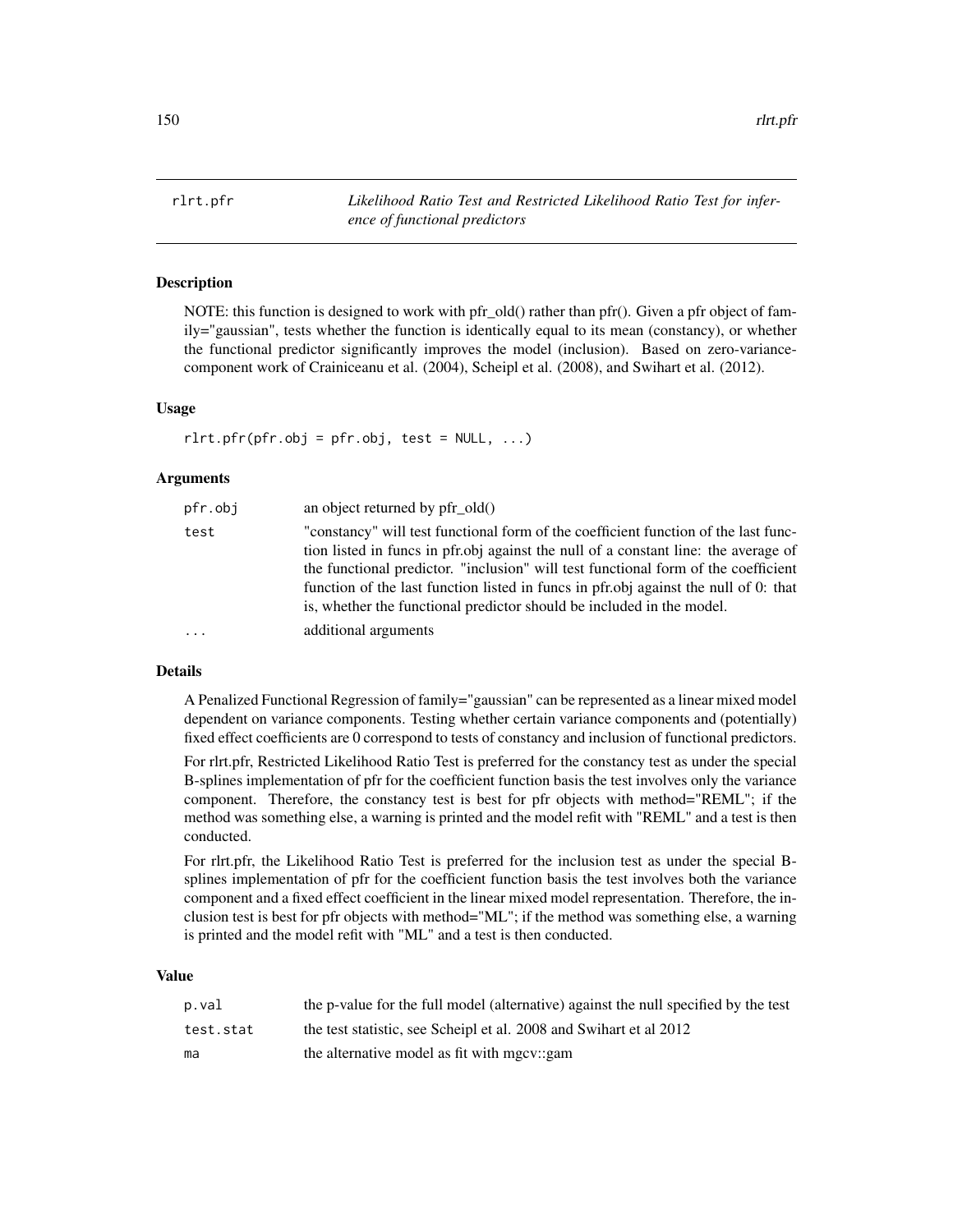<span id="page-149-0"></span>rlrt.pfr *Likelihood Ratio Test and Restricted Likelihood Ratio Test for inference of functional predictors*

# Description

NOTE: this function is designed to work with pfr\_old() rather than pfr(). Given a pfr object of family="gaussian", tests whether the function is identically equal to its mean (constancy), or whether the functional predictor significantly improves the model (inclusion). Based on zero-variancecomponent work of Crainiceanu et al. (2004), Scheipl et al. (2008), and Swihart et al. (2012).

# Usage

 $rlrt.pfr(pfr.obj = pfr.obj, test = NULL, ...)$ 

#### Arguments

| pfr.obj  | an object returned by $pfr \text{ old}()$                                                                                                                                                                                                           |
|----------|-----------------------------------------------------------------------------------------------------------------------------------------------------------------------------------------------------------------------------------------------------|
| test     | "constancy" will test functional form of the coefficient function of the last func-<br>tion listed in funcs in pfr.obj against the null of a constant line: the average of                                                                          |
|          | the functional predictor. "inclusion" will test functional form of the coefficient<br>function of the last function listed in funcs in pfr.obj against the null of 0: that<br>is, whether the functional predictor should be included in the model. |
| $\cdots$ | additional arguments                                                                                                                                                                                                                                |

# Details

A Penalized Functional Regression of family="gaussian" can be represented as a linear mixed model dependent on variance components. Testing whether certain variance components and (potentially) fixed effect coefficients are 0 correspond to tests of constancy and inclusion of functional predictors.

For rlrt.pfr, Restricted Likelihood Ratio Test is preferred for the constancy test as under the special B-splines implementation of pfr for the coefficient function basis the test involves only the variance component. Therefore, the constancy test is best for pfr objects with method="REML"; if the method was something else, a warning is printed and the model refit with "REML" and a test is then conducted.

For rlrt.pfr, the Likelihood Ratio Test is preferred for the inclusion test as under the special Bsplines implementation of pfr for the coefficient function basis the test involves both the variance component and a fixed effect coefficient in the linear mixed model representation. Therefore, the inclusion test is best for pfr objects with method="ML"; if the method was something else, a warning is printed and the model refit with "ML" and a test is then conducted.

#### Value

| p.val     | the p-value for the full model (alternative) against the null specified by the test |
|-----------|-------------------------------------------------------------------------------------|
| test.stat | the test statistic, see Scheipl et al. 2008 and Swihart et al 2012                  |
| ma        | the alternative model as fit with mgcy::gam                                         |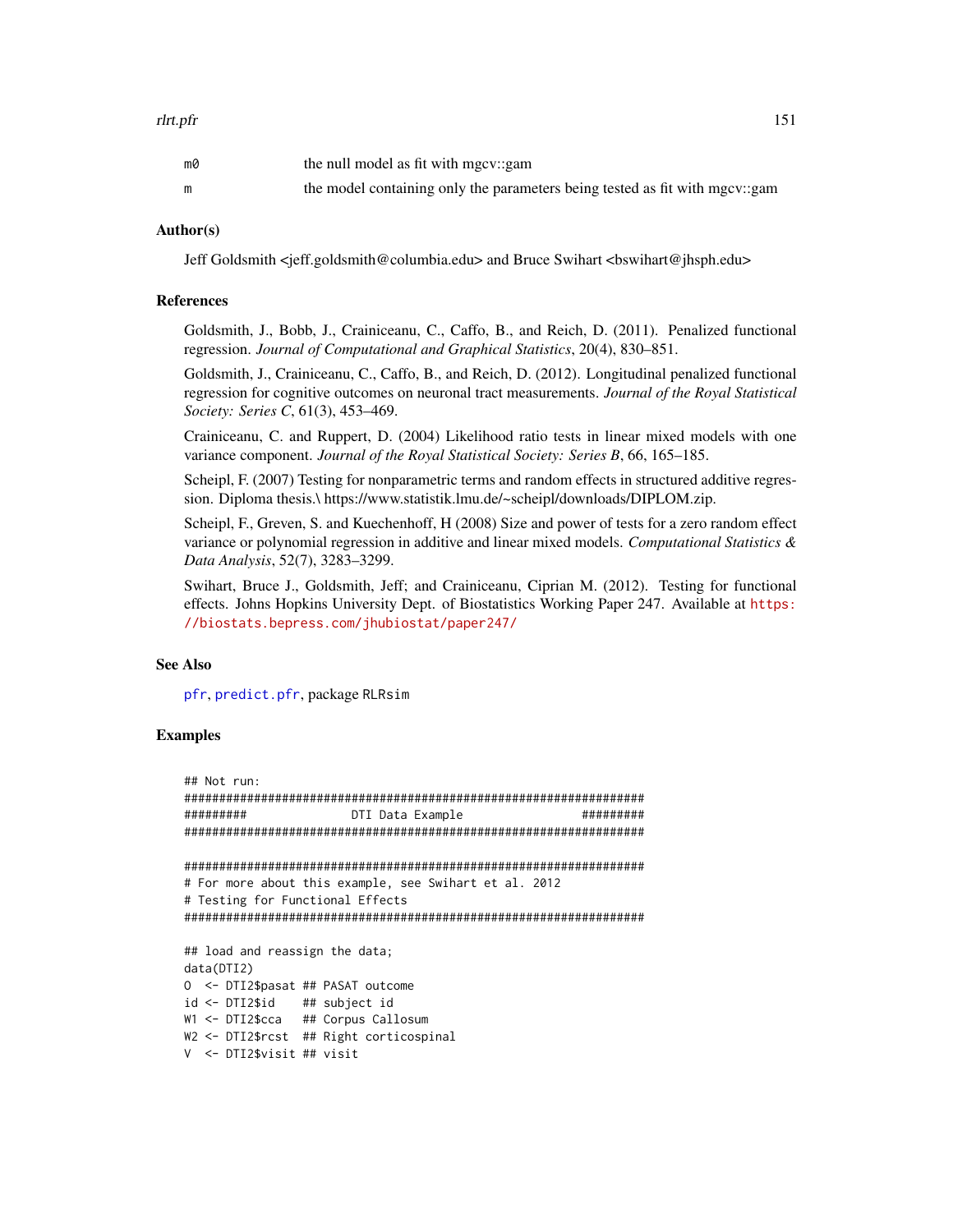<span id="page-150-0"></span>

| m0 | the null model as fit with mgcv::gam                                        |
|----|-----------------------------------------------------------------------------|
|    | the model containing only the parameters being tested as fit with mgcv::gam |

#### Author(s)

Jeff Goldsmith <jeff.goldsmith@columbia.edu> and Bruce Swihart <br/> <br/>edustable philosoph.edu>

# References

Goldsmith, J., Bobb, J., Crainiceanu, C., Caffo, B., and Reich, D. (2011). Penalized functional regression. *Journal of Computational and Graphical Statistics*, 20(4), 830–851.

Goldsmith, J., Crainiceanu, C., Caffo, B., and Reich, D. (2012). Longitudinal penalized functional regression for cognitive outcomes on neuronal tract measurements. *Journal of the Royal Statistical Society: Series C*, 61(3), 453–469.

Crainiceanu, C. and Ruppert, D. (2004) Likelihood ratio tests in linear mixed models with one variance component. *Journal of the Royal Statistical Society: Series B*, 66, 165–185.

Scheipl, F. (2007) Testing for nonparametric terms and random effects in structured additive regression. Diploma thesis.\ https://www.statistik.lmu.de/~scheipl/downloads/DIPLOM.zip.

Scheipl, F., Greven, S. and Kuechenhoff, H (2008) Size and power of tests for a zero random effect variance or polynomial regression in additive and linear mixed models. *Computational Statistics & Data Analysis*, 52(7), 3283–3299.

Swihart, Bruce J., Goldsmith, Jeff; and Crainiceanu, Ciprian M. (2012). Testing for functional effects. Johns Hopkins University Dept. of Biostatistics Working Paper 247. Available at [https:](https://biostats.bepress.com/jhubiostat/paper247/) [//biostats.bepress.com/jhubiostat/paper247/](https://biostats.bepress.com/jhubiostat/paper247/)

#### See Also

[pfr](#page-116-0), [predict.pfr](#page-142-0), package RLRsim

# Examples

```
## Not run:
##################################################################
######### DTI Data Example #########
##################################################################
##################################################################
# For more about this example, see Swihart et al. 2012
# Testing for Functional Effects
##################################################################
## load and reassign the data;
data(DTI2)
O <- DTI2$pasat ## PASAT outcome
id <- DTI2$id ## subject id
W1 <- DTI2$cca ## Corpus Callosum
W2 <- DTI2$rcst ## Right corticospinal
V <- DTI2$visit ## visit
```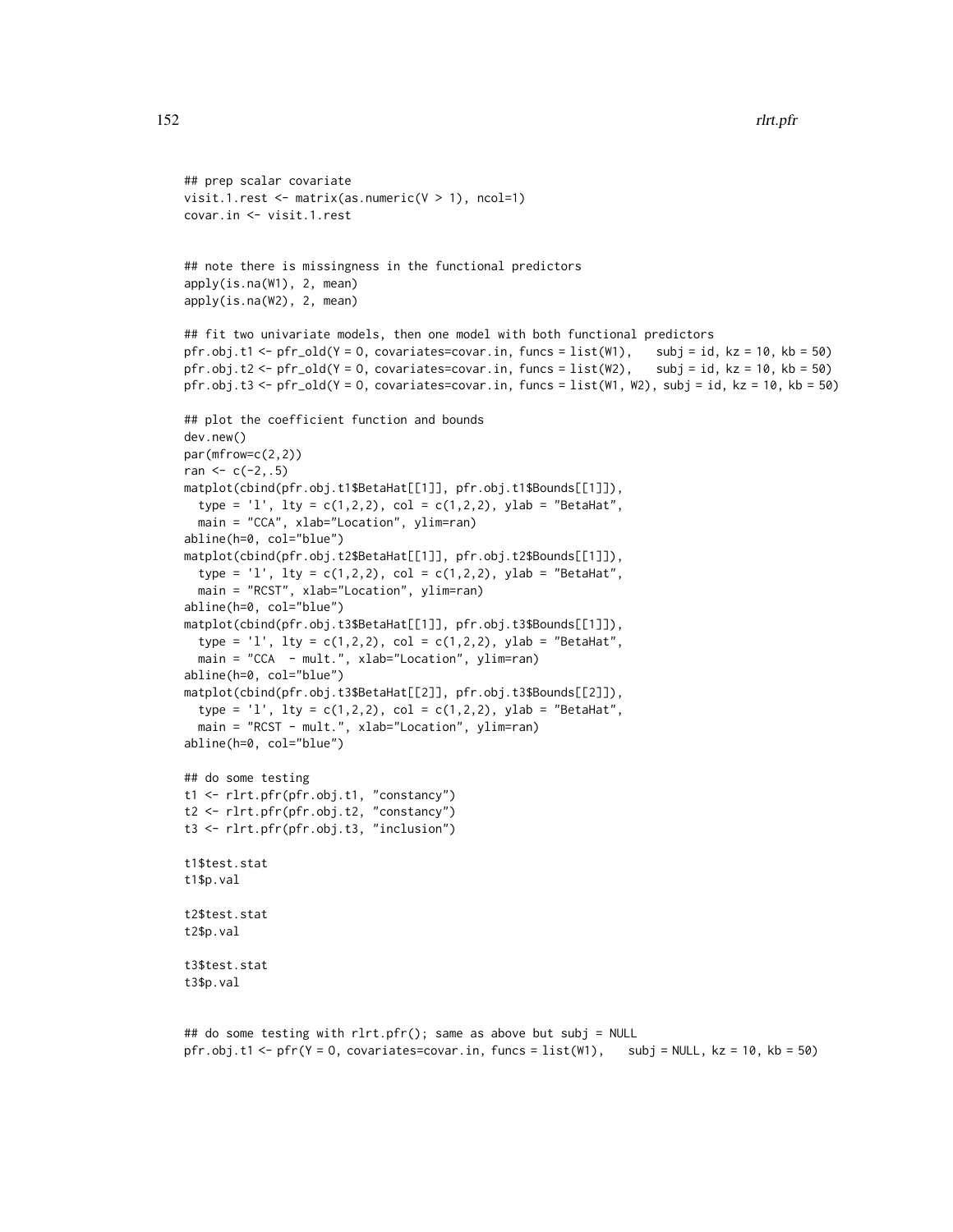```
## prep scalar covariate
visit.1.rest \leq matrix(as.numeric(V > 1), ncol=1)
covar.in <- visit.1.rest
## note there is missingness in the functional predictors
apply(is.na(W1), 2, mean)
apply(is.na(W2), 2, mean)
## fit two univariate models, then one model with both functional predictors
pfr.obj.t1 < -pfr\_old(Y = 0, covariates = covar.in, funcs = list(W1), subj = id, kz = 10, kb = 50)pfr.obj.t2 <- pfr_old(Y = 0, covariates=covar.in, funcs = list(W2), subj = id, kz = 10, kb = 50)
pfr.obj.t3 <- pfr_old(Y = 0, covariates=covar.in, funcs = list(W1, W2), subj = id, kz = 10, kb = 50)
## plot the coefficient function and bounds
dev.new()
par(mfrow=c(2,2))
ran <-c(-2, .5)matplot(cbind(pfr.obj.t1$BetaHat[[1]], pfr.obj.t1$Bounds[[1]]),
  type = '1', lty = c(1,2,2), col = c(1,2,2), ylab = "BetaHat",
  main = "CCA", xlab="Location", ylim=ran)
abline(h=0, col="blue")
matplot(cbind(pfr.obj.t2$BetaHat[[1]], pfr.obj.t2$Bounds[[1]]),
  type = '1', lty = c(1,2,2), col = c(1,2,2), ylab = "BetaHat",
  main = "RCST", xlab="Location", ylim=ran)
abline(h=0, col="blue")
matplot(cbind(pfr.obj.t3$BetaHat[[1]], pfr.obj.t3$Bounds[[1]]),
  type = '1', lty = c(1,2,2), col = c(1,2,2), ylab = "BetaHat",
  main = "CCA - mult.", xlab="Location", ylim=ran)
abline(h=0, col="blue")
matplot(cbind(pfr.obj.t3$BetaHat[[2]], pfr.obj.t3$Bounds[[2]]),
  type = '1', lty = c(1,2,2), col = c(1,2,2), ylab = "BetaHat",
  main = "RCST - mult.", xlab="Location", ylim=ran)
abline(h=0, col="blue")
## do some testing
t1 <- rlrt.pfr(pfr.obj.t1, "constancy")
t2 <- rlrt.pfr(pfr.obj.t2, "constancy")
t3 <- rlrt.pfr(pfr.obj.t3, "inclusion")
t1$test.stat
t1$p.val
t2$test.stat
t2$p.val
t3$test.stat
t3$p.val
## do some testing with rlrt.pfr(); same as above but subj = NULL
```
pfr.obj.t1 <- pfr(Y = O, covariates=covar.in, funcs = list(W1), subj = NULL, kz = 10, kb = 50)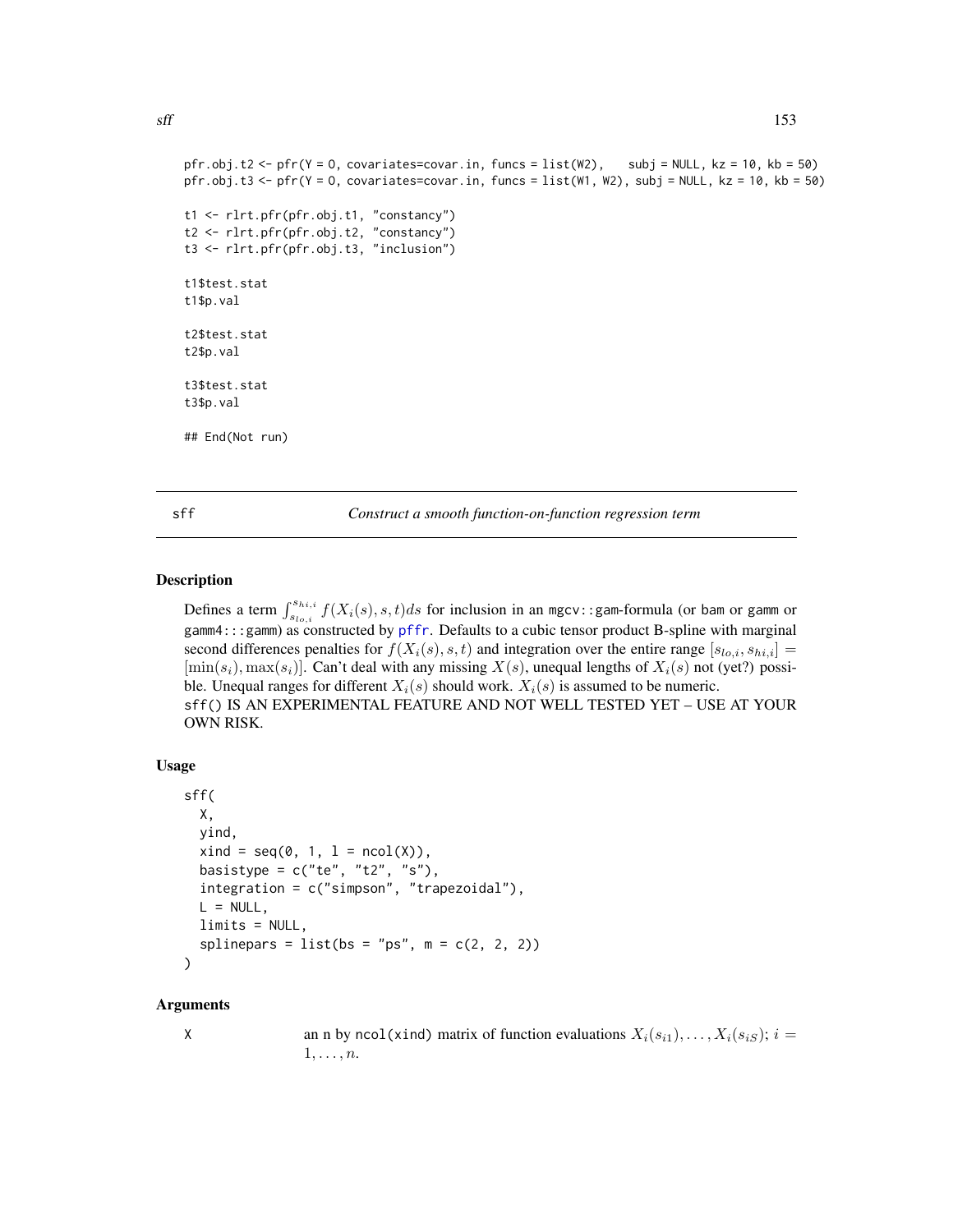```
pfr.obj.t2 <- pfr(Y = O, covariates=covar.in, funcs = list(W2), subj = NULL, kz = 10, kb = 50)
pfr.obj.t3 <- pfr(Y = O, covariates=covar.in, funcs = list(W1, W2), subj = NULL, kz = 10, kb = 50)
t1 <- rlrt.pfr(pfr.obj.t1, "constancy")
t2 <- rlrt.pfr(pfr.obj.t2, "constancy")
t3 <- rlrt.pfr(pfr.obj.t3, "inclusion")
t1$test.stat
t1$p.val
t2$test.stat
t2$p.val
t3$test.stat
t3$p.val
## End(Not run)
```
sff *Construct a smooth function-on-function regression term*

#### Description

Defines a term  $\int_{s_{lo,i}}^{s_{hi,i}} f(X_i(s), s, t) ds$  for inclusion in an mgcv::gam-formula (or bam or gamm or gamm4:::gamm) as constructed by [pffr](#page-108-0). Defaults to a cubic tensor product B-spline with marginal second differences penalties for  $f(X_i(s), s, t)$  and integration over the entire range  $[s_{lo,i}, s_{hi,i}] =$  $[\min(s_i), \max(s_i)]$ . Can't deal with any missing  $X(s)$ , unequal lengths of  $X_i(s)$  not (yet?) possible. Unequal ranges for different  $X_i(s)$  should work.  $X_i(s)$  is assumed to be numeric. sff() IS AN EXPERIMENTAL FEATURE AND NOT WELL TESTED YET – USE AT YOUR OWN RISK.

#### Usage

```
sff(
 X,
 yind,
 xind = seq(0, 1, 1 = ncol(X)),basistype = c("te", "t2", "s"),
  integration = c("simpson", "trapezoidal"),
 L = NULL,limits = NULL,
  splinepars = list(bs = "ps", m = c(2, 2, 2))
)
```
#### Arguments

X an n by ncol(xind) matrix of function evaluations  $X_i(s_{i1}), \ldots, X_i(s_{iS}); i =$  $1, \ldots, n$ .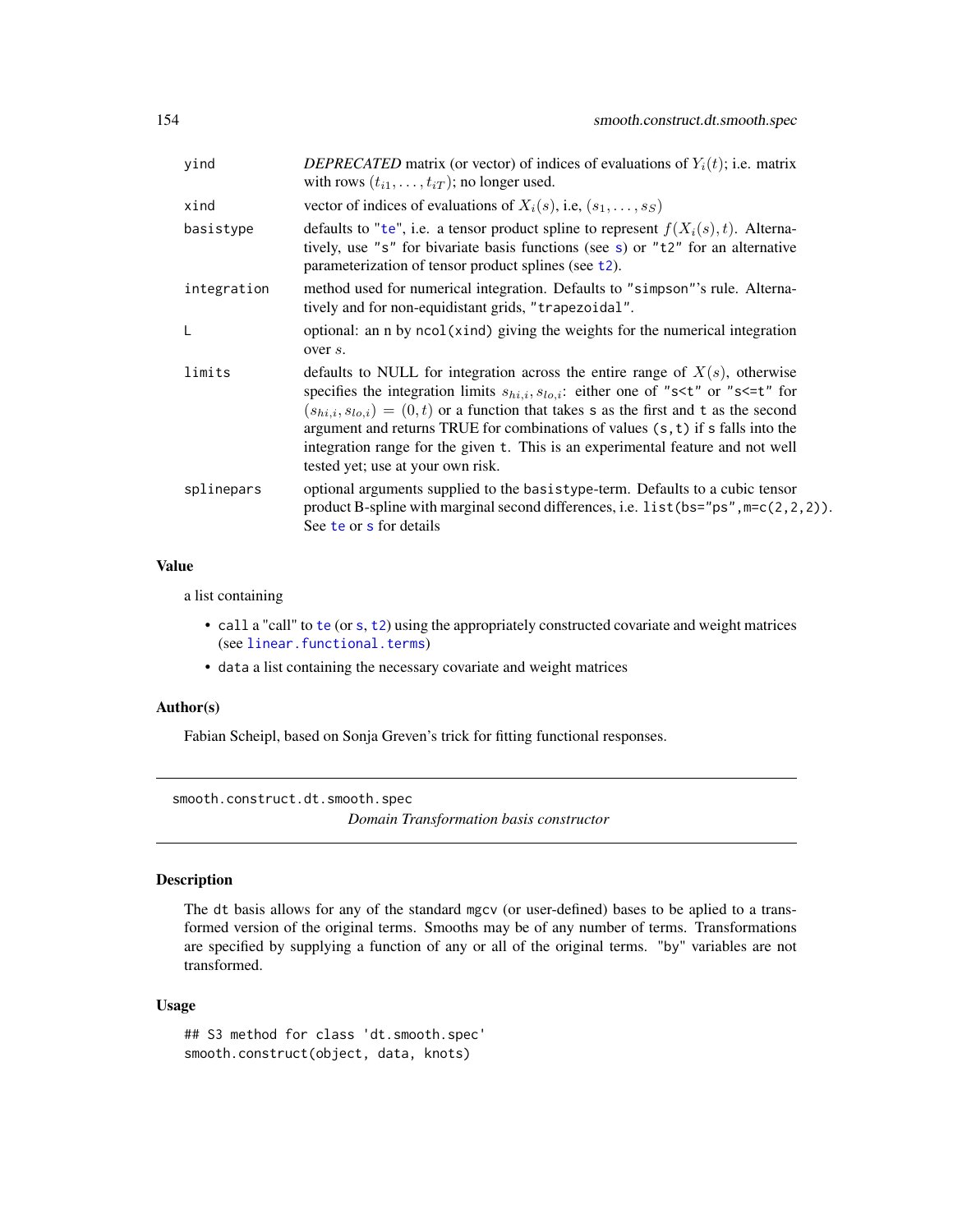<span id="page-153-0"></span>

| yind        | DEPRECATED matrix (or vector) of indices of evaluations of $Y_i(t)$ ; i.e. matrix<br>with rows $(t_{i1}, \ldots, t_{iT})$ ; no longer used.                                                                                                                                                                                                                                                                                                                                                                                    |
|-------------|--------------------------------------------------------------------------------------------------------------------------------------------------------------------------------------------------------------------------------------------------------------------------------------------------------------------------------------------------------------------------------------------------------------------------------------------------------------------------------------------------------------------------------|
| xind        | vector of indices of evaluations of $X_i(s)$ , i.e., $(s_1, \ldots, s_S)$                                                                                                                                                                                                                                                                                                                                                                                                                                                      |
| basistype   | defaults to "te", i.e. a tensor product spline to represent $f(X_i(s), t)$ . Alterna-<br>tively, use "s" for bivariate basis functions (see s) or "t2" for an alternative<br>parameterization of tensor product splines (see t2).                                                                                                                                                                                                                                                                                              |
| integration | method used for numerical integration. Defaults to "simpson"'s rule. Alterna-<br>tively and for non-equidistant grids, "trapezoidal".                                                                                                                                                                                                                                                                                                                                                                                          |
| L           | optional: an n by ncol(xind) giving the weights for the numerical integration<br>over s.                                                                                                                                                                                                                                                                                                                                                                                                                                       |
| limits      | defaults to NULL for integration across the entire range of $X(s)$ , otherwise<br>specifies the integration limits $s_{hi,i}, s_{lo,i}$ : either one of "s <t" "s<='t"' for<br="" or=""><math>(s_{hi,i}, s_{lo,i}) = (0, t)</math> or a function that takes s as the first and t as the second<br/>argument and returns TRUE for combinations of values <math>(s, t)</math> if s falls into the<br/>integration range for the given t. This is an experimental feature and not well<br/>tested yet; use at your own risk.</t"> |
| splinepars  | optional arguments supplied to the basistype-term. Defaults to a cubic tensor<br>product B-spline with marginal second differences, i.e. $list(bs="ps", m=c(2,2,2)).$<br>See te or s for details                                                                                                                                                                                                                                                                                                                               |

# Value

a list containing

- call a "call" to [te](#page-0-0) (or [s](#page-0-0), [t2](#page-0-0)) using the appropriately constructed covariate and weight matrices (see [linear.functional.terms](#page-0-0))
- data a list containing the necessary covariate and weight matrices

# Author(s)

Fabian Scheipl, based on Sonja Greven's trick for fitting functional responses.

smooth.construct.dt.smooth.spec *Domain Transformation basis constructor*

# Description

The dt basis allows for any of the standard mgcv (or user-defined) bases to be aplied to a transformed version of the original terms. Smooths may be of any number of terms. Transformations are specified by supplying a function of any or all of the original terms. "by" variables are not transformed.

#### Usage

```
## S3 method for class 'dt.smooth.spec'
smooth.construct(object, data, knots)
```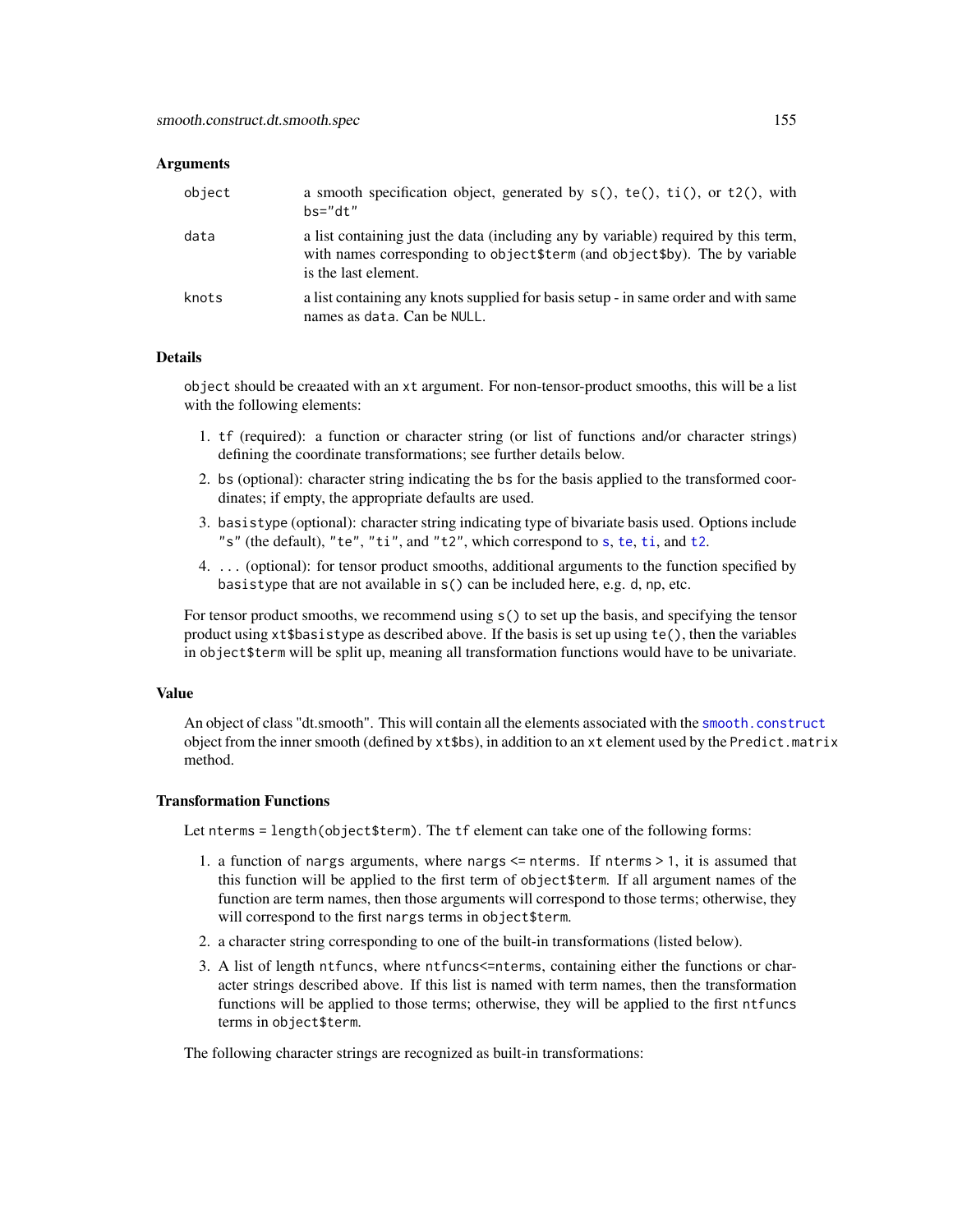#### <span id="page-154-0"></span>**Arguments**

| object | a smooth specification object, generated by $s()$ , $te()$ , $ti()$ , or $t2()$ , with<br>$hs="right."$                                                                                    |
|--------|--------------------------------------------------------------------------------------------------------------------------------------------------------------------------------------------|
| data   | a list containing just the data (including any by variable) required by this term,<br>with names corresponding to object \$term (and object \$by). The by variable<br>is the last element. |
| knots  | a list containing any knots supplied for basis setup - in same order and with same<br>names as data. Can be NULL.                                                                          |

# Details

object should be creaated with an xt argument. For non-tensor-product smooths, this will be a list with the following elements:

- 1. tf (required): a function or character string (or list of functions and/or character strings) defining the coordinate transformations; see further details below.
- 2. bs (optional): character string indicating the bs for the basis applied to the transformed coordinates; if empty, the appropriate defaults are used.
- 3. basistype (optional): character string indicating type of bivariate basis used. Options include "s" (the default), "te", "ti", and "t2", which correspond to [s](#page-0-0), [te](#page-0-0), [ti](#page-0-0), and [t2](#page-0-0).
- 4. ... (optional): for tensor product smooths, additional arguments to the function specified by basistype that are not available in s() can be included here, e.g. d, np, etc.

For tensor product smooths, we recommend using s() to set up the basis, and specifying the tensor product using xt\$basistype as described above. If the basis is set up using te(), then the variables in object\$term will be split up, meaning all transformation functions would have to be univariate.

#### Value

An object of class "dt.smooth". This will contain all the elements associated with the [smooth.construct](#page-0-0) object from the inner smooth (defined by xt\$bs), in addition to an xt element used by the Predict.matrix method.

#### Transformation Functions

Let nterms = length(object\$term). The tf element can take one of the following forms:

- 1. a function of nargs arguments, where nargs <= nterms. If nterms > 1, it is assumed that this function will be applied to the first term of object\$term. If all argument names of the function are term names, then those arguments will correspond to those terms; otherwise, they will correspond to the first nargs terms in object\$term.
- 2. a character string corresponding to one of the built-in transformations (listed below).
- 3. A list of length ntfuncs, where ntfuncs<=nterms, containing either the functions or character strings described above. If this list is named with term names, then the transformation functions will be applied to those terms; otherwise, they will be applied to the first ntfuncs terms in object\$term.

The following character strings are recognized as built-in transformations: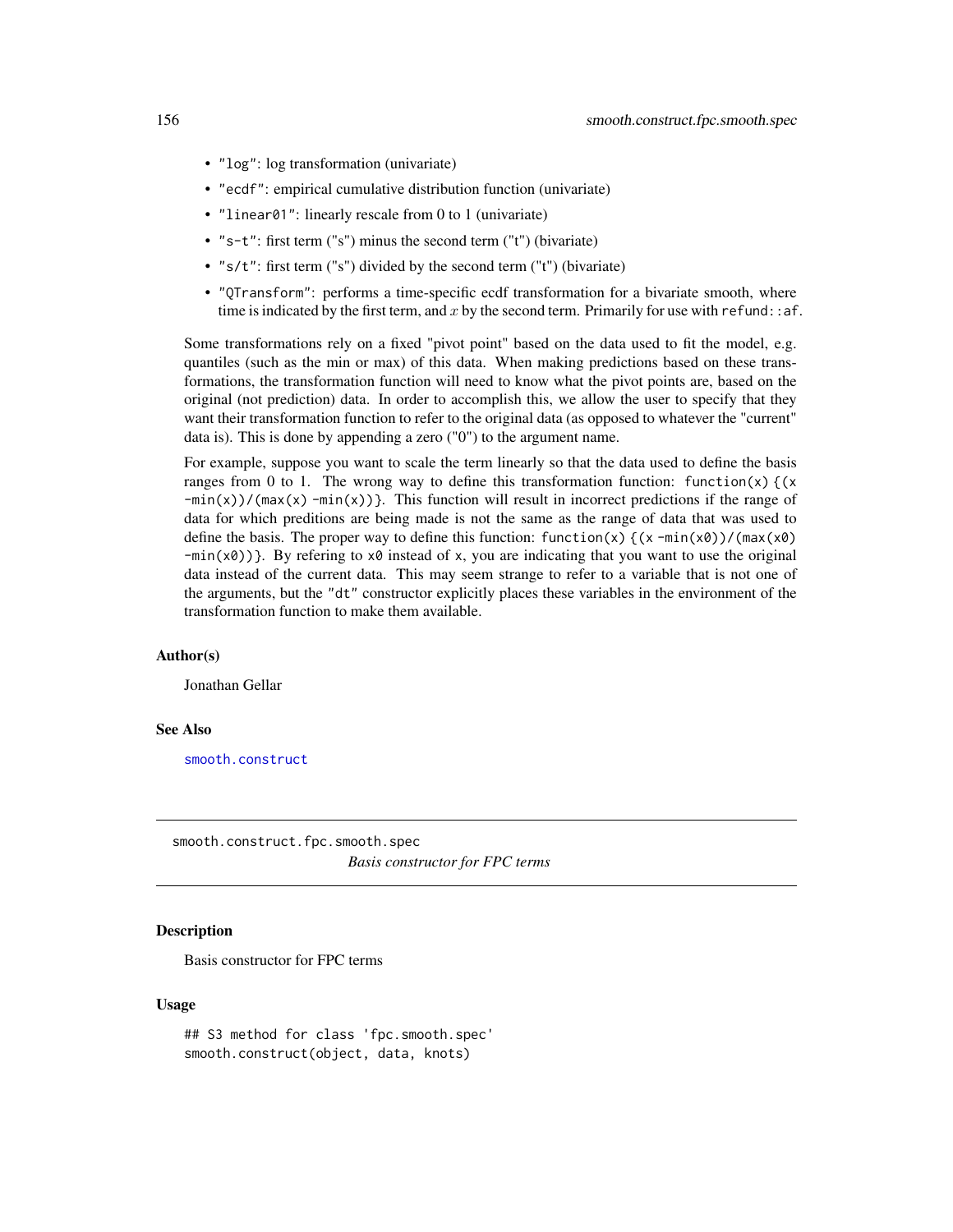- <span id="page-155-0"></span>• "log": log transformation (univariate)
- "ecdf": empirical cumulative distribution function (univariate)
- "linear01": linearly rescale from 0 to 1 (univariate)
- "s-t": first term ("s") minus the second term ("t") (bivariate)
- "s/t": first term ("s") divided by the second term ("t") (bivariate)
- "QTransform": performs a time-specific ecdf transformation for a bivariate smooth, where time is indicated by the first term, and x by the second term. Primarily for use with refund:  $:af.$

Some transformations rely on a fixed "pivot point" based on the data used to fit the model, e.g. quantiles (such as the min or max) of this data. When making predictions based on these transformations, the transformation function will need to know what the pivot points are, based on the original (not prediction) data. In order to accomplish this, we allow the user to specify that they want their transformation function to refer to the original data (as opposed to whatever the "current" data is). This is done by appending a zero ("0") to the argument name.

For example, suppose you want to scale the term linearly so that the data used to define the basis ranges from 0 to 1. The wrong way to define this transformation function: function(x)  $(x + y)$  $-\min(x)$ /(max(x)  $-\min(x)$ }. This function will result in incorrect predictions if the range of data for which preditions are being made is not the same as the range of data that was used to define the basis. The proper way to define this function:  $function(x)$   $(x -min(x0))/(max(x0)$  $-min(x0)$ }. By refering to x0 instead of x, you are indicating that you want to use the original data instead of the current data. This may seem strange to refer to a variable that is not one of the arguments, but the "dt" constructor explicitly places these variables in the environment of the transformation function to make them available.

#### Author(s)

Jonathan Gellar

#### See Also

[smooth.construct](#page-0-0)

smooth.construct.fpc.smooth.spec *Basis constructor for FPC terms*

#### **Description**

Basis constructor for FPC terms

#### Usage

```
## S3 method for class 'fpc.smooth.spec'
smooth.construct(object, data, knots)
```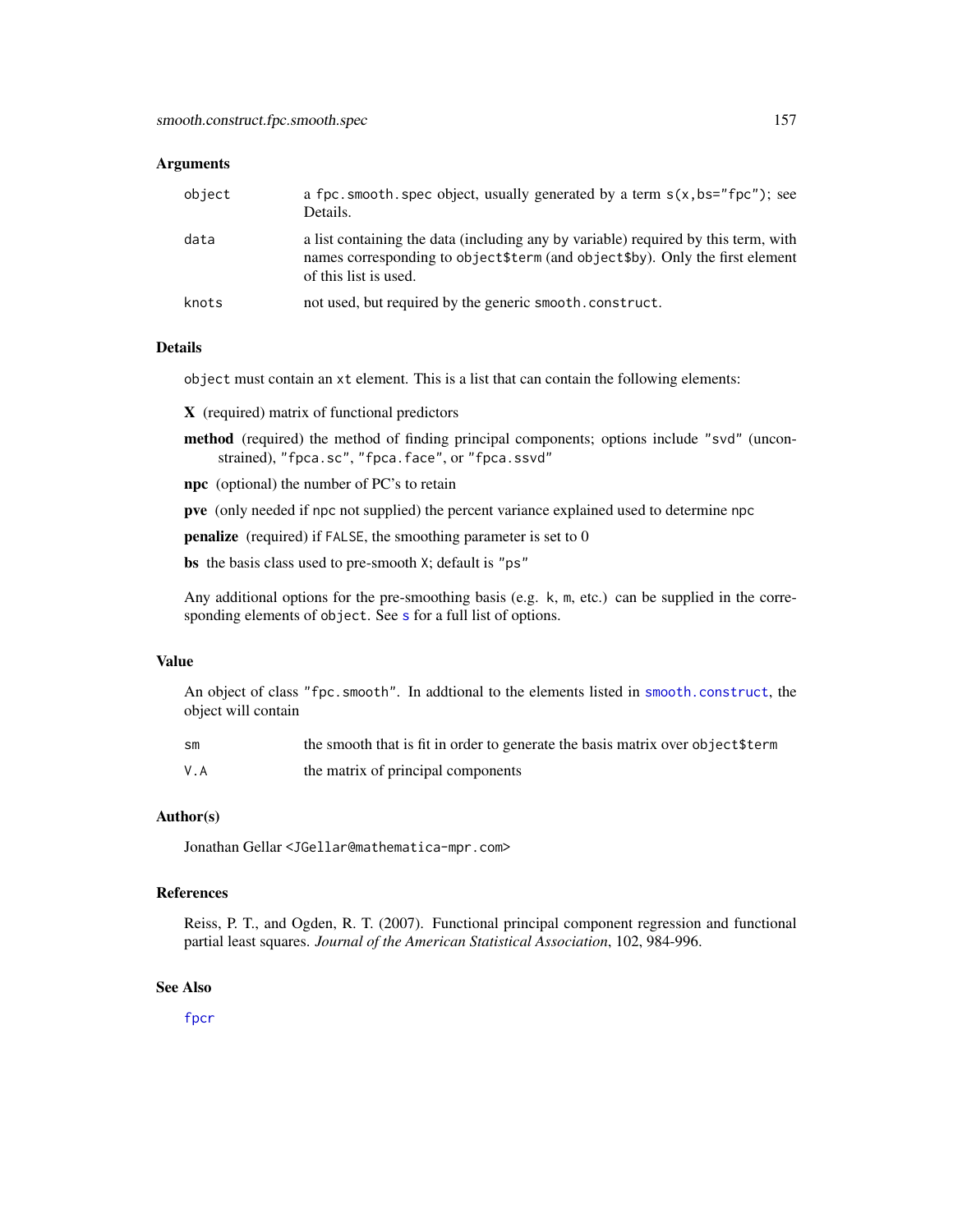#### <span id="page-156-0"></span>**Arguments**

| object | a fpc. smooth. spec object, usually generated by a term $s(x, bs="fpc")$ ; see<br>Details.                                                                                                    |
|--------|-----------------------------------------------------------------------------------------------------------------------------------------------------------------------------------------------|
| data   | a list containing the data (including any by variable) required by this term, with<br>names corresponding to object \$term (and object \$by). Only the first element<br>of this list is used. |
| knots  | not used, but required by the generic smooth.construct.                                                                                                                                       |

#### Details

object must contain an xt element. This is a list that can contain the following elements:

X (required) matrix of functional predictors

- method (required) the method of finding principal components; options include "svd" (unconstrained), "fpca.sc", "fpca.face", or "fpca.ssvd"
- npc (optional) the number of PC's to retain

pve (only needed if npc not supplied) the percent variance explained used to determine npc

penalize (required) if FALSE, the smoothing parameter is set to 0

bs the basis class used to pre-smooth X; default is "ps"

Any additional options for the pre-smoothing basis (e.g. k, m, etc.) can be supplied in the corre[s](#page-0-0)ponding elements of object. See s for a full list of options.

#### Value

An object of class "fpc.smooth". In addtional to the elements listed in [smooth.construct](#page-0-0), the object will contain

| SM  | the smooth that is fit in order to generate the basis matrix over object \$term |
|-----|---------------------------------------------------------------------------------|
| V.A | the matrix of principal components                                              |

#### Author(s)

Jonathan Gellar <JGellar@mathematica-mpr.com>

#### References

Reiss, P. T., and Ogden, R. T. (2007). Functional principal component regression and functional partial least squares. *Journal of the American Statistical Association*, 102, 984-996.

#### See Also

[fpcr](#page-65-0)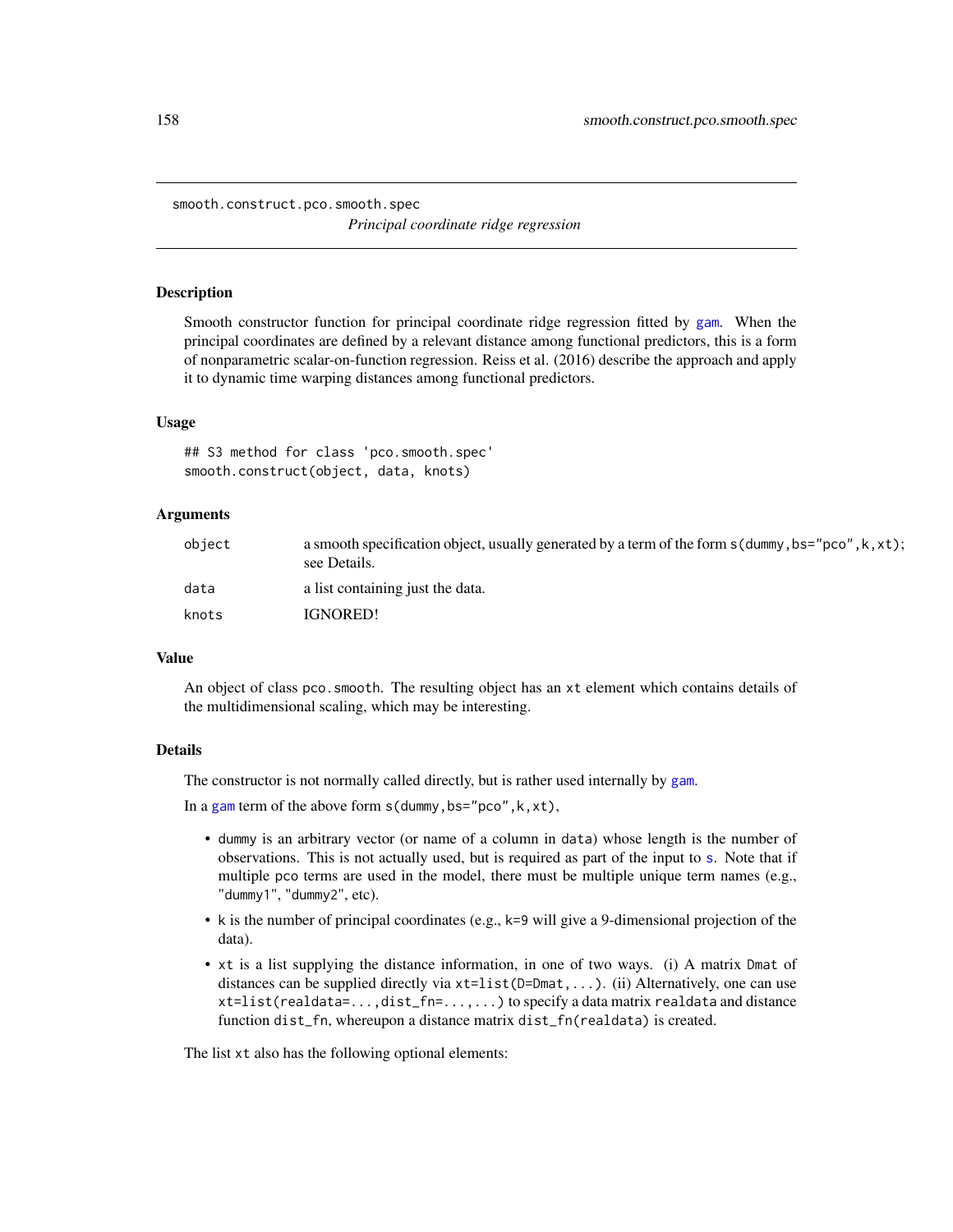<span id="page-157-0"></span>smooth.construct.pco.smooth.spec *Principal coordinate ridge regression*

#### **Description**

Smooth constructor function for principal coordinate ridge regression fitted by [gam](#page-0-0). When the principal coordinates are defined by a relevant distance among functional predictors, this is a form of nonparametric scalar-on-function regression. Reiss et al. (2016) describe the approach and apply it to dynamic time warping distances among functional predictors.

#### Usage

## S3 method for class 'pco.smooth.spec' smooth.construct(object, data, knots)

# Arguments

| object | a smooth specification object, usually generated by a term of the form $s$ (dummy, bs="pco", k, xt);<br>see Details. |
|--------|----------------------------------------------------------------------------------------------------------------------|
| data   | a list containing just the data.                                                                                     |
| knots  | <b>IGNORED!</b>                                                                                                      |

# Value

An object of class pco.smooth. The resulting object has an xt element which contains details of the multidimensional scaling, which may be interesting.

#### Details

The constructor is not normally called directly, but is rather used internally by [gam](#page-0-0).

In a [gam](#page-0-0) term of the above form  $s$  (dummy, bs="pco", k, xt),

- dummy is an arbitrary vector (or name of a column in data) whose length is the number of observations. This is not actually used, but is required as part of the input to [s](#page-0-0). Note that if multiple pco terms are used in the model, there must be multiple unique term names (e.g., "dummy1", "dummy2", etc).
- k is the number of principal coordinates (e.g., k=9 will give a 9-dimensional projection of the data).
- xt is a list supplying the distance information, in one of two ways. (i) A matrix Dmat of distances can be supplied directly via xt=list(D=Dmat,...). (ii) Alternatively, one can use xt=list(realdata=...,dist\_fn=...,...) to specify a data matrix realdata and distance function dist\_fn, whereupon a distance matrix dist\_fn(realdata) is created.

The list xt also has the following optional elements: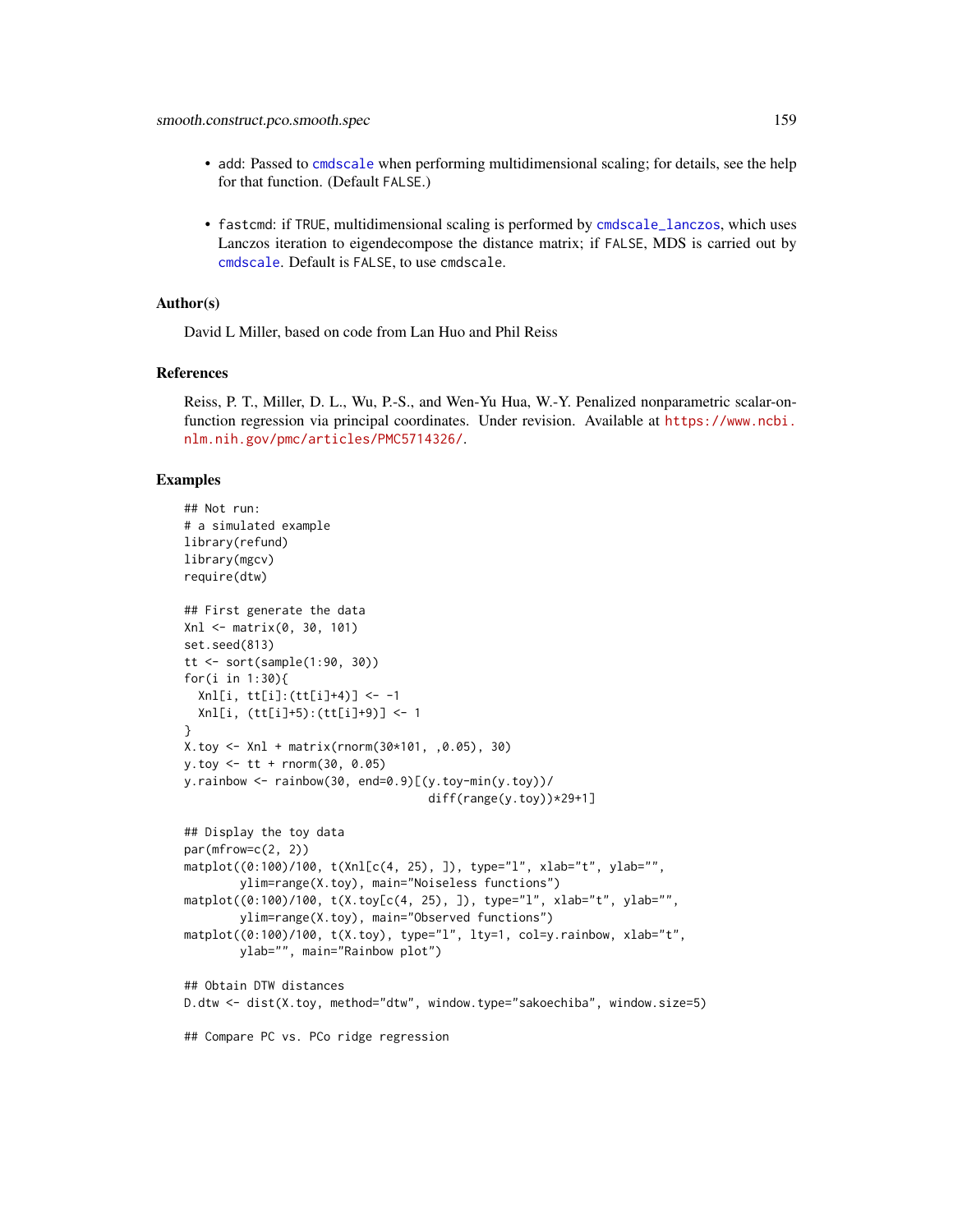- <span id="page-158-0"></span>• add: Passed to [cmdscale](#page-0-0) when performing multidimensional scaling; for details, see the help for that function. (Default FALSE.)
- fastcmd: if TRUE, multidimensional scaling is performed by [cmdscale\\_lanczos](#page-14-0), which uses Lanczos iteration to eigendecompose the distance matrix; if FALSE, MDS is carried out by [cmdscale](#page-0-0). Default is FALSE, to use cmdscale.

#### Author(s)

David L Miller, based on code from Lan Huo and Phil Reiss

#### References

Reiss, P. T., Miller, D. L., Wu, P.-S., and Wen-Yu Hua, W.-Y. Penalized nonparametric scalar-onfunction regression via principal coordinates. Under revision. Available at [https://www.ncbi.](https://www.ncbi.nlm.nih.gov/pmc/articles/PMC5714326/) [nlm.nih.gov/pmc/articles/PMC5714326/](https://www.ncbi.nlm.nih.gov/pmc/articles/PMC5714326/).

#### Examples

```
## Not run:
# a simulated example
library(refund)
library(mgcv)
require(dtw)
## First generate the data
Xnl <- matrix(0, 30, 101)
set.seed(813)
tt <- sort(sample(1:90, 30))
for(i in 1:30){
  Xnl[i, tt[i]:(tt[i]+4)] <- -1
  Xnl[i, (tt[i]+5):(tt[i]+9)] <- 1
}
X.toy <- Xnl + matrix(rnorm(30*101, ,0.05), 30)
y.toy <- tt + rnorm(30, 0.05)
y.rainbow \leq rainbow(30, end=0.9)[(y.toy-min(y.toy))/
                                   diff(range(y.toy))*29+1]
## Display the toy data
par(mfrow=c(2, 2))matplot((0:100)/100, t(Xnl[c(4, 25), ]), type="l", xlab="t", ylab="",
        ylim=range(X.toy), main="Noiseless functions")
matplot((0:100)/100, t(X.toy[c(4, 25), ]), type="l", xlab="t", ylab="",
        ylim=range(X.toy), main="Observed functions")
matplot((0:100)/100, t(X.toy), type="l", lty=1, col=y.rainbow, xlab="t",
        ylab="", main="Rainbow plot")
## Obtain DTW distances
D.dtw <- dist(X.toy, method="dtw", window.type="sakoechiba", window.size=5)
## Compare PC vs. PCo ridge regression
```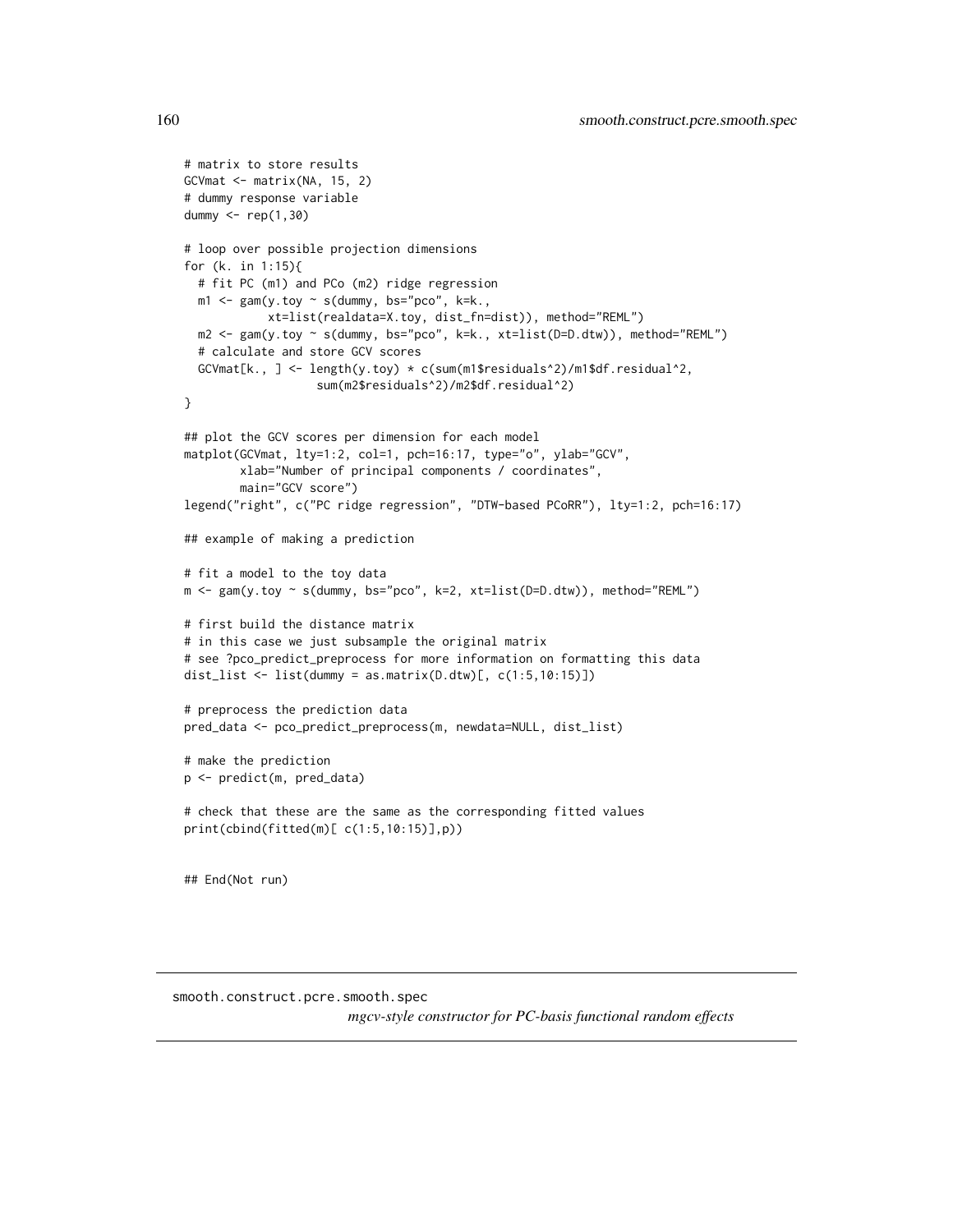```
# matrix to store results
GCVmat \leq matrix(NA, 15, 2)
# dummy response variable
dummy <- rep(1,30)
# loop over possible projection dimensions
for (k. in 1:15){
  # fit PC (m1) and PCo (m2) ridge regression
  m1 \leq -\text{gam}(y.\text{toy} \sim s(\text{dummy}, \text{bs='pco", k=k.},xt=list(realdata=X.toy, dist_fn=dist)), method="REML")
  m2 <- gam(y.toy ~ s(dummy, bs="pco", k=k., xt=list(D=D.dtw)), method="REML")
  # calculate and store GCV scores
  GCVmat[k., ] <- length(y.toy) * c(sum(m1$residuals^2)/m1$df.residual^2,
                   sum(m2$residuals^2)/m2$df.residual^2)
}
## plot the GCV scores per dimension for each model
matplot(GCVmat, lty=1:2, col=1, pch=16:17, type="o", ylab="GCV",
        xlab="Number of principal components / coordinates",
        main="GCV score")
legend("right", c("PC ridge regression", "DTW-based PCoRR"), lty=1:2, pch=16:17)
## example of making a prediction
# fit a model to the toy data
m <- gam(y.toy ~ s(dummy, bs="pco", k=2, xt=list(D=D.dtw)), method="REML")
# first build the distance matrix
# in this case we just subsample the original matrix
# see ?pco_predict_preprocess for more information on formatting this data
dist_list \le list(dummy = as.matrix(D.dtw)[, c(1:5,10:15)])
# preprocess the prediction data
pred_data <- pco_predict_preprocess(m, newdata=NULL, dist_list)
# make the prediction
p <- predict(m, pred_data)
# check that these are the same as the corresponding fitted values
print(cbind(fitted(m)[ c(1:5,10:15)],p))
## End(Not run)
```
smooth.construct.pcre.smooth.spec

*mgcv-style constructor for PC-basis functional random effects*

<span id="page-159-0"></span>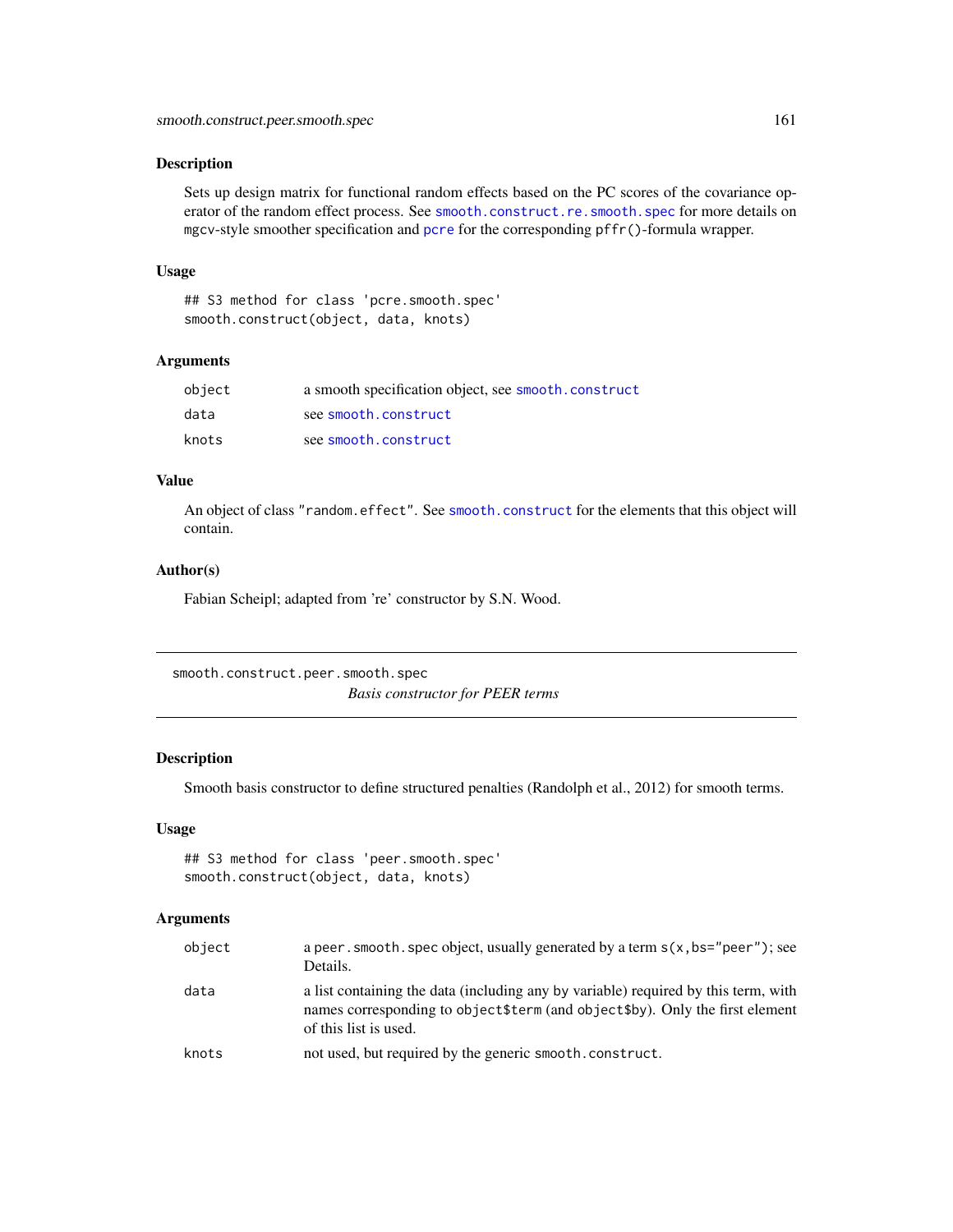#### <span id="page-160-0"></span>Description

Sets up design matrix for functional random effects based on the PC scores of the covariance operator of the random effect process. See [smooth.construct.re.smooth.spec](#page-0-0) for more details on mgcv-style smoother specification and [pcre](#page-100-0) for the corresponding pffr()-formula wrapper.

#### Usage

## S3 method for class 'pcre.smooth.spec' smooth.construct(object, data, knots)

#### **Arguments**

| object | a smooth specification object, see smooth.construct |
|--------|-----------------------------------------------------|
| data   | see smooth.construct                                |
| knots  | see smooth.construct                                |

# Value

An object of class "random.effect". See [smooth.construct](#page-0-0) for the elements that this object will contain.

#### Author(s)

Fabian Scheipl; adapted from 're' constructor by S.N. Wood.

smooth.construct.peer.smooth.spec *Basis constructor for PEER terms*

#### Description

Smooth basis constructor to define structured penalties (Randolph et al., 2012) for smooth terms.

# Usage

```
## S3 method for class 'peer.smooth.spec'
smooth.construct(object, data, knots)
```
#### Arguments

|                                                                                                                                                                                                     | a peer, smooth, spec object, usually generated by a term $s(x, bs="peer")$ ; see |
|-----------------------------------------------------------------------------------------------------------------------------------------------------------------------------------------------------|----------------------------------------------------------------------------------|
| data<br>a list containing the data (including any by variable) required by this term, with<br>names corresponding to object\$term (and object\$by). Only the first element<br>of this list is used. |                                                                                  |
| knots<br>not used, but required by the generic smooth, construct.                                                                                                                                   |                                                                                  |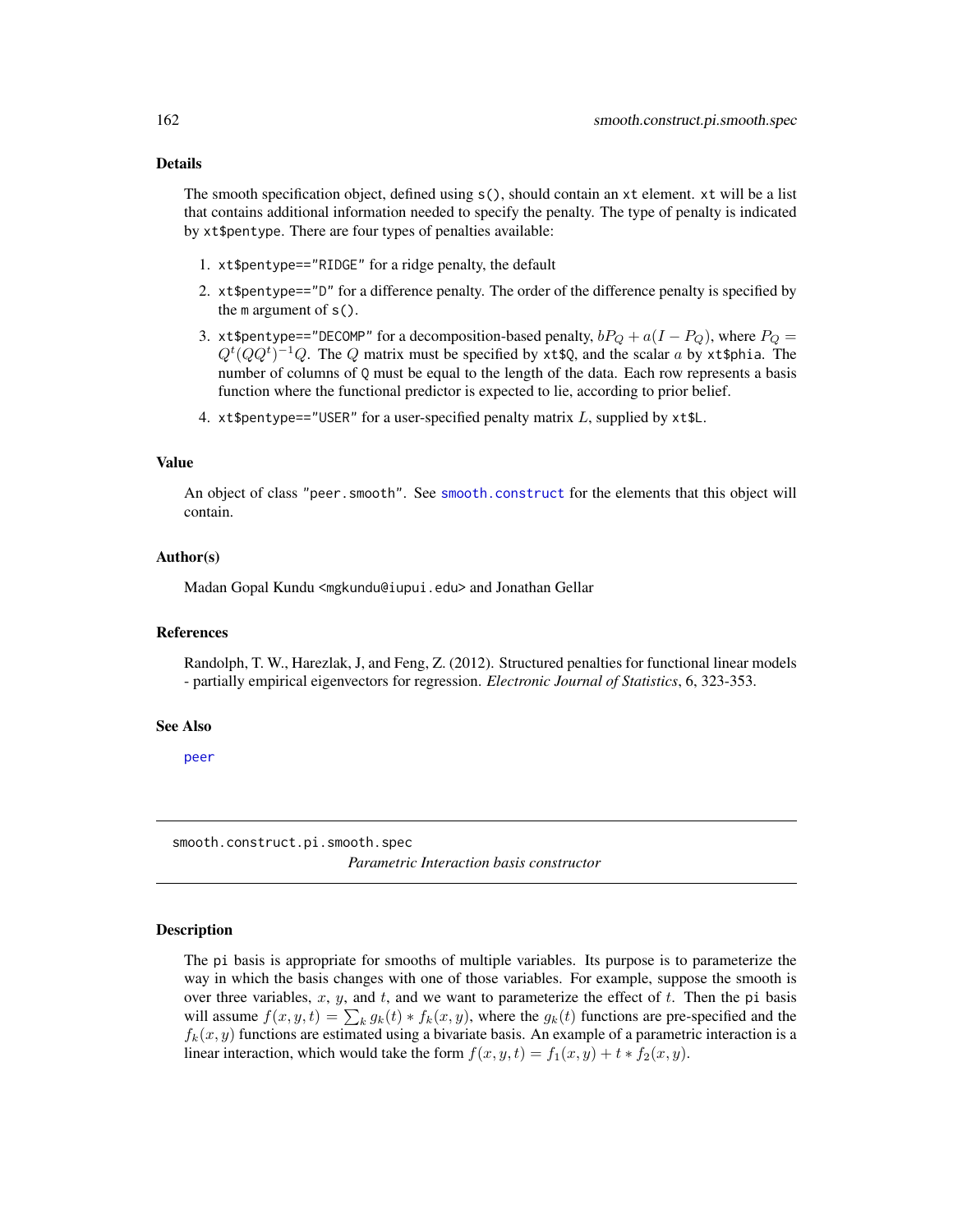#### <span id="page-161-0"></span>Details

The smooth specification object, defined using s(), should contain an xt element. xt will be a list that contains additional information needed to specify the penalty. The type of penalty is indicated by xt\$pentype. There are four types of penalties available:

- 1. xt\$pentype=="RIDGE" for a ridge penalty, the default
- 2. xt\$pentype=="D" for a difference penalty. The order of the difference penalty is specified by the m argument of s().
- 3. xt\$pentype=="DECOMP" for a decomposition-based penalty,  $bP_Q + a(I P_Q)$ , where  $P_Q =$  $Q^t(QQ^t)^{-1}Q$ . The Q matrix must be specified by xt\$Q, and the scalar a by xt\$phia. The number of columns of  $Q$  must be equal to the length of the data. Each row represents a basis function where the functional predictor is expected to lie, according to prior belief.
- 4. xt\$pentype=="USER" for a user-specified penalty matrix  $L$ , supplied by xt\$L.

#### Value

An object of class "peer.smooth". See [smooth.construct](#page-0-0) for the elements that this object will contain.

#### Author(s)

Madan Gopal Kundu <mgkundu@iupui.edu> and Jonathan Gellar

#### References

Randolph, T. W., Harezlak, J, and Feng, Z. (2012). Structured penalties for functional linear models - partially empirical eigenvectors for regression. *Electronic Journal of Statistics*, 6, 323-353.

#### See Also

[peer](#page-102-0)

smooth.construct.pi.smooth.spec

*Parametric Interaction basis constructor*

#### Description

The pi basis is appropriate for smooths of multiple variables. Its purpose is to parameterize the way in which the basis changes with one of those variables. For example, suppose the smooth is over three variables, x, y, and t, and we want to parameterize the effect of t. Then the pi basis will assume  $f(x, y, t) = \sum_k g_k(t) * f_k(x, y)$ , where the  $g_k(t)$  functions are pre-specified and the  $f_k(x, y)$  functions are estimated using a bivariate basis. An example of a parametric interaction is a linear interaction, which would take the form  $f(x, y, t) = f_1(x, y) + t * f_2(x, y)$ .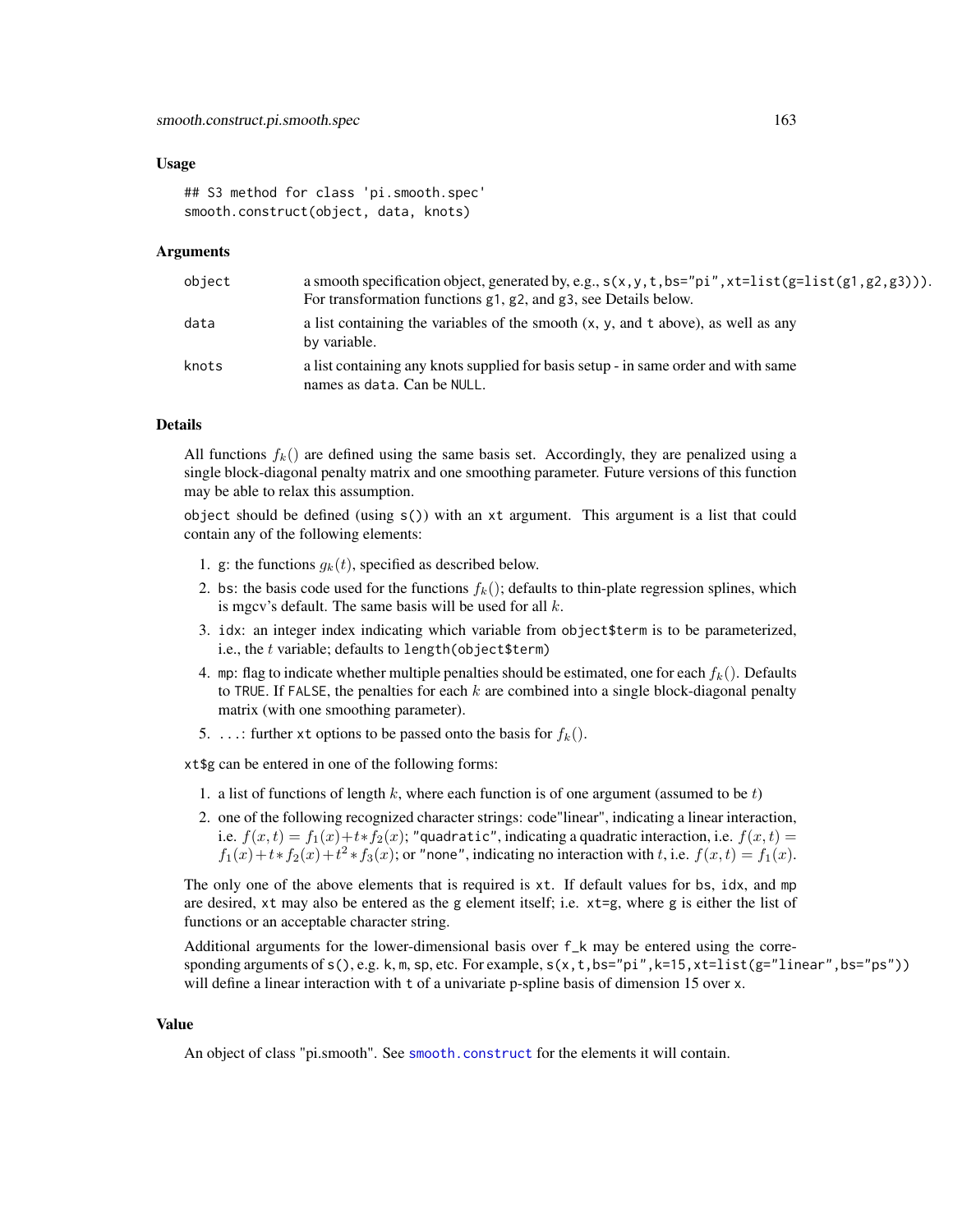#### Usage

## S3 method for class 'pi.smooth.spec' smooth.construct(object, data, knots)

#### Arguments

| object | a smooth specification object, generated by, e.g., $s(x, y, t, bs="pi", xt=list(g=list(g1, g2, g3))).$<br>For transformation functions g1, g2, and g3, see Details below. |
|--------|---------------------------------------------------------------------------------------------------------------------------------------------------------------------------|
| data   | a list containing the variables of the smooth $(x, y,$ and t above), as well as any<br>by variable.                                                                       |
| knots  | a list containing any knots supplied for basis setup - in same order and with same<br>names as data. Can be NULL.                                                         |

# Details

All functions  $f_k$  are defined using the same basis set. Accordingly, they are penalized using a single block-diagonal penalty matrix and one smoothing parameter. Future versions of this function may be able to relax this assumption.

object should be defined (using  $s()$ ) with an xt argument. This argument is a list that could contain any of the following elements:

- 1. g: the functions  $g_k(t)$ , specified as described below.
- 2. bs: the basis code used for the functions  $f_k()$ ; defaults to thin-plate regression splines, which is mgcv's default. The same basis will be used for all  $k$ .
- 3. idx: an integer index indicating which variable from object\$term is to be parameterized, i.e., the  $t$  variable; defaults to length(object\$term)
- 4. mp: flag to indicate whether multiple penalties should be estimated, one for each  $f_k()$ . Defaults to TRUE. If FALSE, the penalties for each  $k$  are combined into a single block-diagonal penalty matrix (with one smoothing parameter).
- 5. ...: further x t options to be passed onto the basis for  $f_k()$ .

xt\$g can be entered in one of the following forms:

- 1. a list of functions of length k, where each function is of one argument (assumed to be  $t$ )
- 2. one of the following recognized character strings: code"linear", indicating a linear interaction, i.e.  $f(x,t) = f_1(x) + t*f_2(x)$ ; "quadratic", indicating a quadratic interaction, i.e.  $f(x,t) =$  $f_1(x) + t * f_2(x) + t^2 * f_3(x)$ ; or "none", indicating no interaction with t, i.e.  $f(x, t) = f_1(x)$ .

The only one of the above elements that is required is xt. If default values for bs, idx, and mp are desired, xt may also be entered as the g element itself; i.e. xt=g, where g is either the list of functions or an acceptable character string.

Additional arguments for the lower-dimensional basis over f\_k may be entered using the corresponding arguments of  $s(), e.g. k, m, sp, etc.$  For example,  $s(x, t, bs="pi", k=15, xt=list(g="linear", bs="ps"))$ will define a linear interaction with t of a univariate p-spline basis of dimension 15 over x.

#### Value

An object of class "pi.smooth". See [smooth.construct](#page-0-0) for the elements it will contain.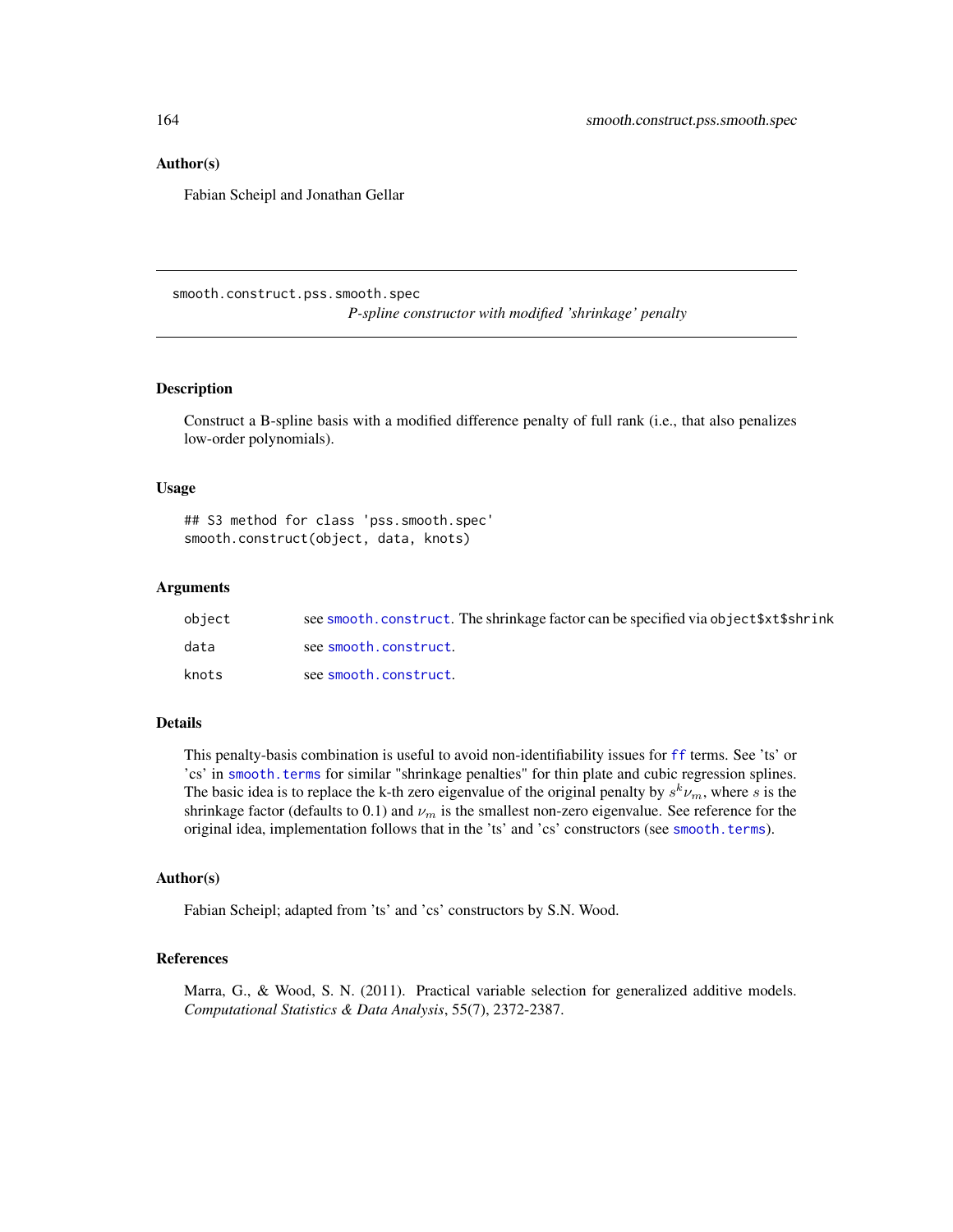#### <span id="page-163-0"></span>Author(s)

Fabian Scheipl and Jonathan Gellar

smooth.construct.pss.smooth.spec

*P-spline constructor with modified 'shrinkage' penalty*

#### Description

Construct a B-spline basis with a modified difference penalty of full rank (i.e., that also penalizes low-order polynomials).

#### Usage

## S3 method for class 'pss.smooth.spec' smooth.construct(object, data, knots)

#### Arguments

| object | see smooth, construct. The shrinkage factor can be specified via object \$xt\$shrink |
|--------|--------------------------------------------------------------------------------------|
| data   | see smooth.construct.                                                                |
| knots  | see smooth.construct.                                                                |

#### Details

This penalty-basis combination is useful to avoid non-identifiability issues for [ff](#page-26-0) terms. See 'ts' or 'cs' in [smooth.terms](#page-0-0) for similar "shrinkage penalties" for thin plate and cubic regression splines. The basic idea is to replace the k-th zero eigenvalue of the original penalty by  $s^k \nu_m$ , where s is the shrinkage factor (defaults to 0.1) and  $\nu_m$  is the smallest non-zero eigenvalue. See reference for the original idea, implementation follows that in the 'ts' and 'cs' constructors (see [smooth.terms](#page-0-0)).

#### Author(s)

Fabian Scheipl; adapted from 'ts' and 'cs' constructors by S.N. Wood.

# References

Marra, G., & Wood, S. N. (2011). Practical variable selection for generalized additive models. *Computational Statistics & Data Analysis*, 55(7), 2372-2387.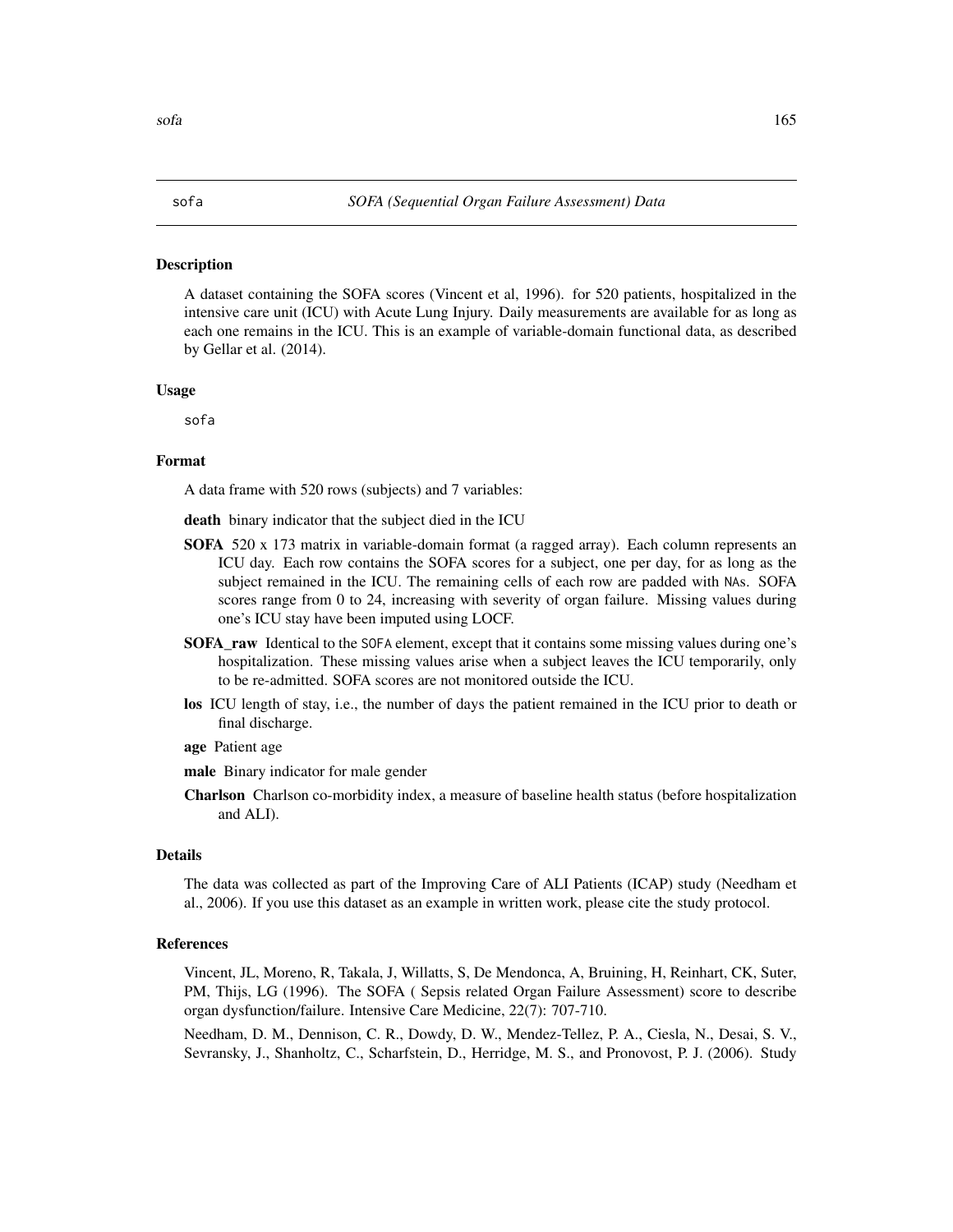#### <span id="page-164-0"></span>Description

A dataset containing the SOFA scores (Vincent et al, 1996). for 520 patients, hospitalized in the intensive care unit (ICU) with Acute Lung Injury. Daily measurements are available for as long as each one remains in the ICU. This is an example of variable-domain functional data, as described by Gellar et al. (2014).

#### Usage

sofa

# Format

A data frame with 520 rows (subjects) and 7 variables:

death binary indicator that the subject died in the ICU

- **SOFA** 520 x 173 matrix in variable-domain format (a ragged array). Each column represents an ICU day. Each row contains the SOFA scores for a subject, one per day, for as long as the subject remained in the ICU. The remaining cells of each row are padded with NAs. SOFA scores range from 0 to 24, increasing with severity of organ failure. Missing values during one's ICU stay have been imputed using LOCF.
- SOFA\_raw Identical to the SOFA element, except that it contains some missing values during one's hospitalization. These missing values arise when a subject leaves the ICU temporarily, only to be re-admitted. SOFA scores are not monitored outside the ICU.
- los ICU length of stay, i.e., the number of days the patient remained in the ICU prior to death or final discharge.
- age Patient age
- male Binary indicator for male gender
- Charlson Charlson co-morbidity index, a measure of baseline health status (before hospitalization and ALI).

# Details

The data was collected as part of the Improving Care of ALI Patients (ICAP) study (Needham et al., 2006). If you use this dataset as an example in written work, please cite the study protocol.

#### References

Vincent, JL, Moreno, R, Takala, J, Willatts, S, De Mendonca, A, Bruining, H, Reinhart, CK, Suter, PM, Thijs, LG (1996). The SOFA ( Sepsis related Organ Failure Assessment) score to describe organ dysfunction/failure. Intensive Care Medicine, 22(7): 707-710.

Needham, D. M., Dennison, C. R., Dowdy, D. W., Mendez-Tellez, P. A., Ciesla, N., Desai, S. V., Sevransky, J., Shanholtz, C., Scharfstein, D., Herridge, M. S., and Pronovost, P. J. (2006). Study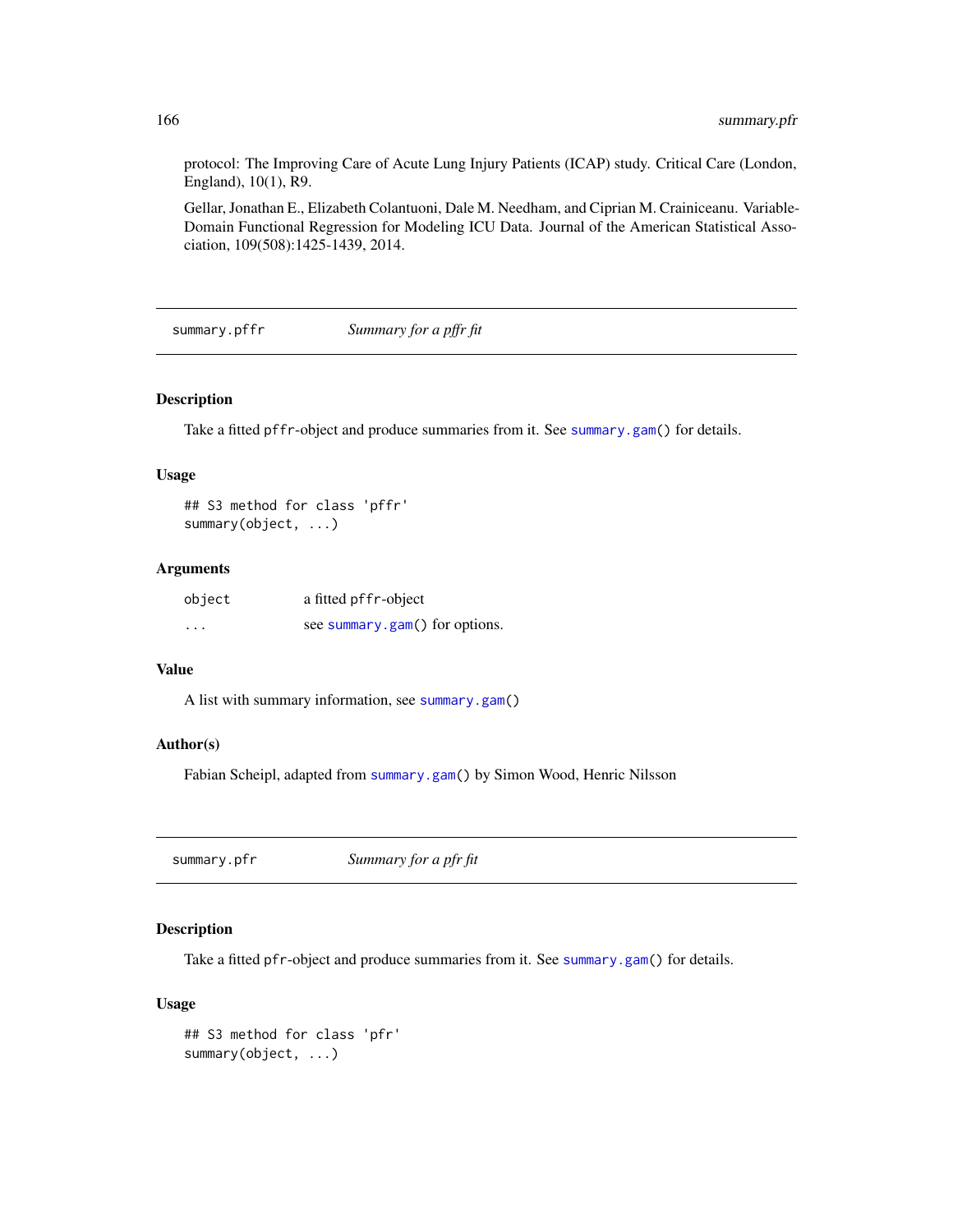protocol: The Improving Care of Acute Lung Injury Patients (ICAP) study. Critical Care (London, England), 10(1), R9.

Gellar, Jonathan E., Elizabeth Colantuoni, Dale M. Needham, and Ciprian M. Crainiceanu. Variable-Domain Functional Regression for Modeling ICU Data. Journal of the American Statistical Association, 109(508):1425-1439, 2014.

<span id="page-165-0"></span>summary.pffr *Summary for a pffr fit*

#### Description

Take a fitted pffr-object and produce summaries from it. See [summary.gam\(](#page-0-0)) for details.

# Usage

## S3 method for class 'pffr' summary(object, ...)

#### Arguments

| object | a fitted pffr-object           |
|--------|--------------------------------|
| .      | see summary.gam() for options. |

#### Value

A list with summary information, see [summary.gam\(](#page-0-0))

# Author(s)

Fabian Scheipl, adapted from [summary.gam\(](#page-0-0)) by Simon Wood, Henric Nilsson

summary.pfr *Summary for a pfr fit*

# Description

Take a fitted pfr-object and produce summaries from it. See [summary.gam\(](#page-0-0)) for details.

#### Usage

```
## S3 method for class 'pfr'
summary(object, ...)
```
<span id="page-165-1"></span>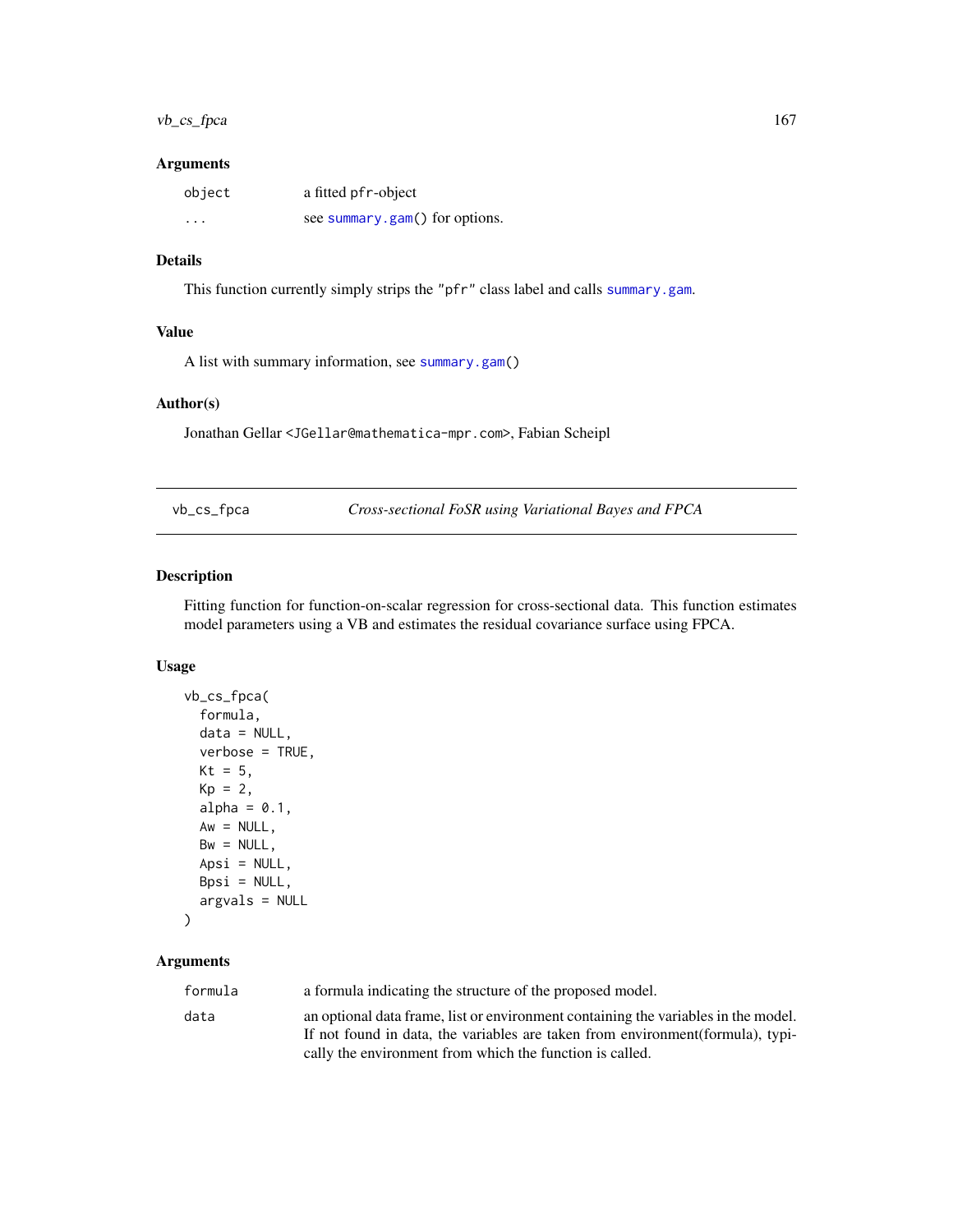# <span id="page-166-0"></span>vb\_cs\_fpca 167

#### Arguments

| object | a fitted pfr-object            |
|--------|--------------------------------|
| .      | see summary.gam() for options. |

# Details

This function currently simply strips the "pfr" class label and calls [summary.gam](#page-0-0).

#### Value

A list with summary information, see [summary.gam\(](#page-0-0))

# Author(s)

Jonathan Gellar <JGellar@mathematica-mpr.com>, Fabian Scheipl

vb\_cs\_fpca *Cross-sectional FoSR using Variational Bayes and FPCA*

# Description

Fitting function for function-on-scalar regression for cross-sectional data. This function estimates model parameters using a VB and estimates the residual covariance surface using FPCA.

# Usage

```
vb_cs_fpca(
  formula,
 data = NULL,verbose = TRUE,
 Kt = 5,
 Kp = 2,
 alpha = 0.1,
 Aw = NULL,Bw = NULL,Apsi = NULL,Bpsi = NULL,
 argvals = NULL
)
```
# Arguments

| formula | a formula indicating the structure of the proposed model.                                                                                                             |
|---------|-----------------------------------------------------------------------------------------------------------------------------------------------------------------------|
| data    | an optional data frame, list or environment containing the variables in the model.<br>If not found in data, the variables are taken from environment (formula), typi- |
|         | cally the environment from which the function is called.                                                                                                              |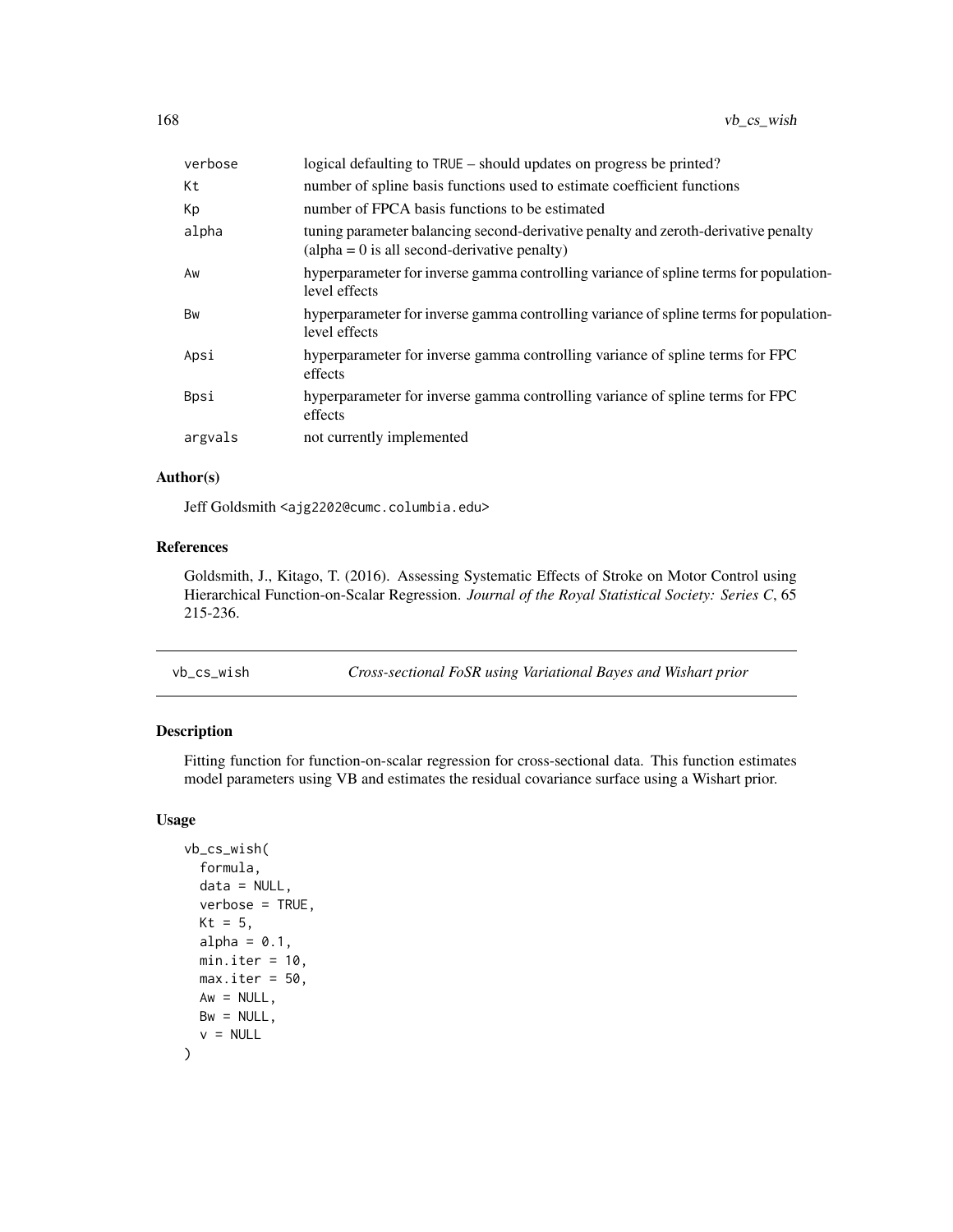<span id="page-167-0"></span>

| verbose | logical defaulting to TRUE – should updates on progress be printed?                                                                         |
|---------|---------------------------------------------------------------------------------------------------------------------------------------------|
| Кt      | number of spline basis functions used to estimate coefficient functions                                                                     |
| Кp      | number of FPCA basis functions to be estimated                                                                                              |
| alpha   | tuning parameter balancing second-derivative penalty and zeroth-derivative penalty<br>$\alpha$ (alpha = 0 is all second-derivative penalty) |
| Aw      | hyperparameter for inverse gamma controlling variance of spline terms for population-<br>level effects                                      |
| Bw      | hyperparameter for inverse gamma controlling variance of spline terms for population-<br>level effects                                      |
| Apsi    | hyperparameter for inverse gamma controlling variance of spline terms for FPC<br>effects                                                    |
| Bpsi    | hyperparameter for inverse gamma controlling variance of spline terms for FPC<br>effects                                                    |
| argvals | not currently implemented                                                                                                                   |

# Author(s)

Jeff Goldsmith <ajg2202@cumc.columbia.edu>

# References

Goldsmith, J., Kitago, T. (2016). Assessing Systematic Effects of Stroke on Motor Control using Hierarchical Function-on-Scalar Regression. *Journal of the Royal Statistical Society: Series C*, 65 215-236.

vb\_cs\_wish *Cross-sectional FoSR using Variational Bayes and Wishart prior*

# Description

Fitting function for function-on-scalar regression for cross-sectional data. This function estimates model parameters using VB and estimates the residual covariance surface using a Wishart prior.

# Usage

```
vb_cs_wish(
  formula,
 data = NULL,verbose = TRUE,
 Kt = 5,
  alpha = 0.1,
 min.iter = 10.
 max.iter = 50,
 Aw = NULL,Bw = NULL,v = NULL)
```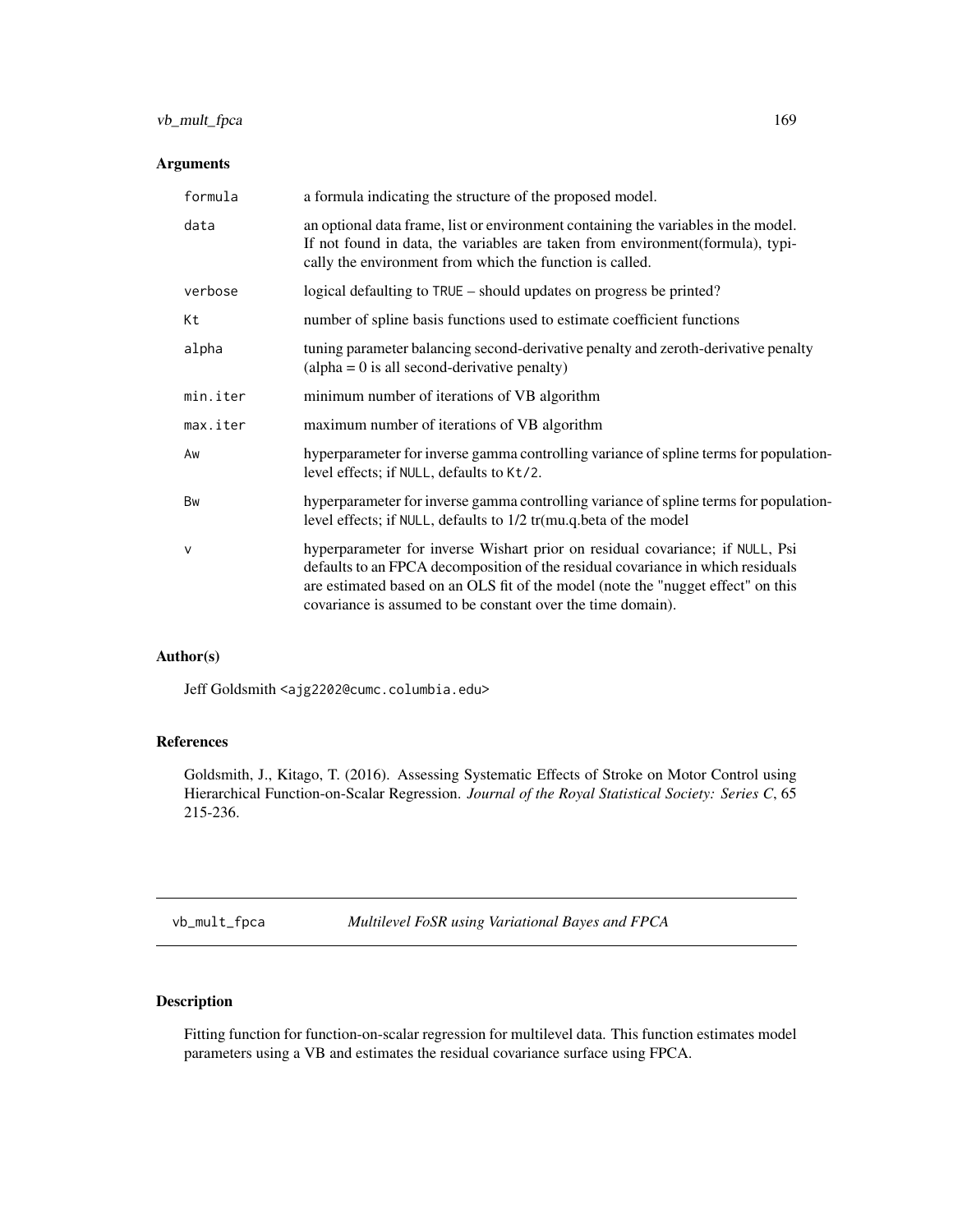# <span id="page-168-0"></span>vb\_mult\_fpca 169

# Arguments

| formula      | a formula indicating the structure of the proposed model.                                                                                                                                                                                                                                                           |
|--------------|---------------------------------------------------------------------------------------------------------------------------------------------------------------------------------------------------------------------------------------------------------------------------------------------------------------------|
| data         | an optional data frame, list or environment containing the variables in the model.<br>If not found in data, the variables are taken from environment (formula), typi-<br>cally the environment from which the function is called.                                                                                   |
| verbose      | logical defaulting to TRUE – should updates on progress be printed?                                                                                                                                                                                                                                                 |
| Кt           | number of spline basis functions used to estimate coefficient functions                                                                                                                                                                                                                                             |
| alpha        | tuning parameter balancing second-derivative penalty and zeroth-derivative penalty<br>$\alpha$ (alpha = 0 is all second-derivative penalty)                                                                                                                                                                         |
| min.iter     | minimum number of iterations of VB algorithm                                                                                                                                                                                                                                                                        |
| max.iter     | maximum number of iterations of VB algorithm                                                                                                                                                                                                                                                                        |
| Aw           | hyperparameter for inverse gamma controlling variance of spline terms for population-<br>level effects; if NULL, defaults to Kt/2.                                                                                                                                                                                  |
| Bw           | hyperparameter for inverse gamma controlling variance of spline terms for population-<br>level effects; if NULL, defaults to 1/2 tr(mu.q.beta of the model                                                                                                                                                          |
| $\mathsf{V}$ | hyperparameter for inverse Wishart prior on residual covariance; if NULL, Psi<br>defaults to an FPCA decomposition of the residual covariance in which residuals<br>are estimated based on an OLS fit of the model (note the "nugget effect" on this<br>covariance is assumed to be constant over the time domain). |

# Author(s)

Jeff Goldsmith <ajg2202@cumc.columbia.edu>

# References

Goldsmith, J., Kitago, T. (2016). Assessing Systematic Effects of Stroke on Motor Control using Hierarchical Function-on-Scalar Regression. *Journal of the Royal Statistical Society: Series C*, 65 215-236.

vb\_mult\_fpca *Multilevel FoSR using Variational Bayes and FPCA*

# Description

Fitting function for function-on-scalar regression for multilevel data. This function estimates model parameters using a VB and estimates the residual covariance surface using FPCA.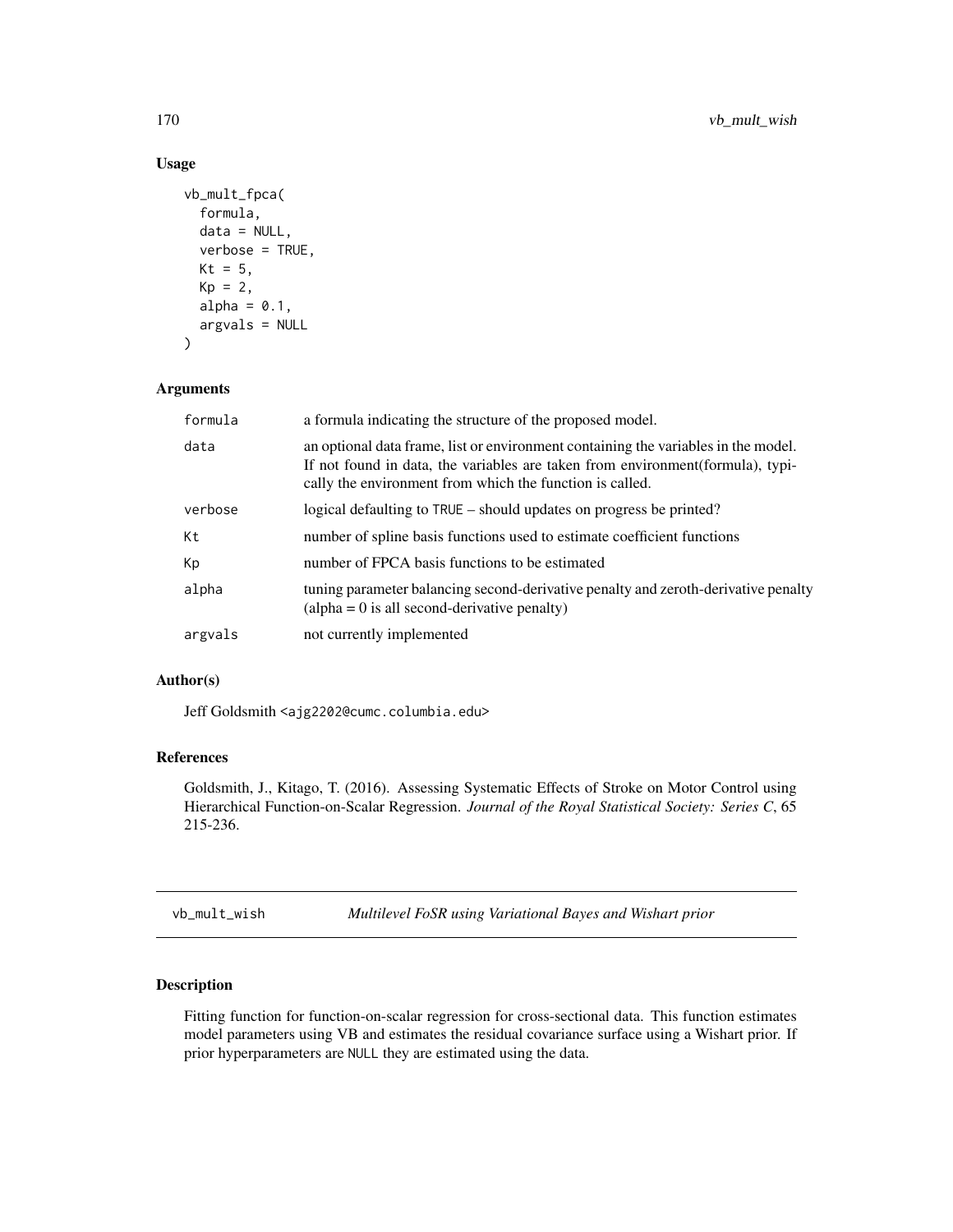# Usage

```
vb_mult_fpca(
  formula,
  data = NULL,verbose = TRUE,
  Kt = 5,
  Kp = 2,
  alpha = 0.1,
  argvals = NULL
\mathcal{L}
```
# Arguments

| formula | a formula indicating the structure of the proposed model.                                                                                                                                                                         |
|---------|-----------------------------------------------------------------------------------------------------------------------------------------------------------------------------------------------------------------------------------|
| data    | an optional data frame, list or environment containing the variables in the model.<br>If not found in data, the variables are taken from environment (formula), typi-<br>cally the environment from which the function is called. |
| verbose | logical defaulting to TRUE – should updates on progress be printed?                                                                                                                                                               |
| Kt      | number of spline basis functions used to estimate coefficient functions                                                                                                                                                           |
| Kp      | number of FPCA basis functions to be estimated                                                                                                                                                                                    |
| alpha   | tuning parameter balancing second-derivative penalty and zeroth-derivative penalty<br>$\alpha$ (alpha = 0 is all second-derivative penalty)                                                                                       |
| argvals | not currently implemented                                                                                                                                                                                                         |

#### Author(s)

Jeff Goldsmith <ajg2202@cumc.columbia.edu>

# References

Goldsmith, J., Kitago, T. (2016). Assessing Systematic Effects of Stroke on Motor Control using Hierarchical Function-on-Scalar Regression. *Journal of the Royal Statistical Society: Series C*, 65 215-236.

vb\_mult\_wish *Multilevel FoSR using Variational Bayes and Wishart prior*

# Description

Fitting function for function-on-scalar regression for cross-sectional data. This function estimates model parameters using VB and estimates the residual covariance surface using a Wishart prior. If prior hyperparameters are NULL they are estimated using the data.

<span id="page-169-0"></span>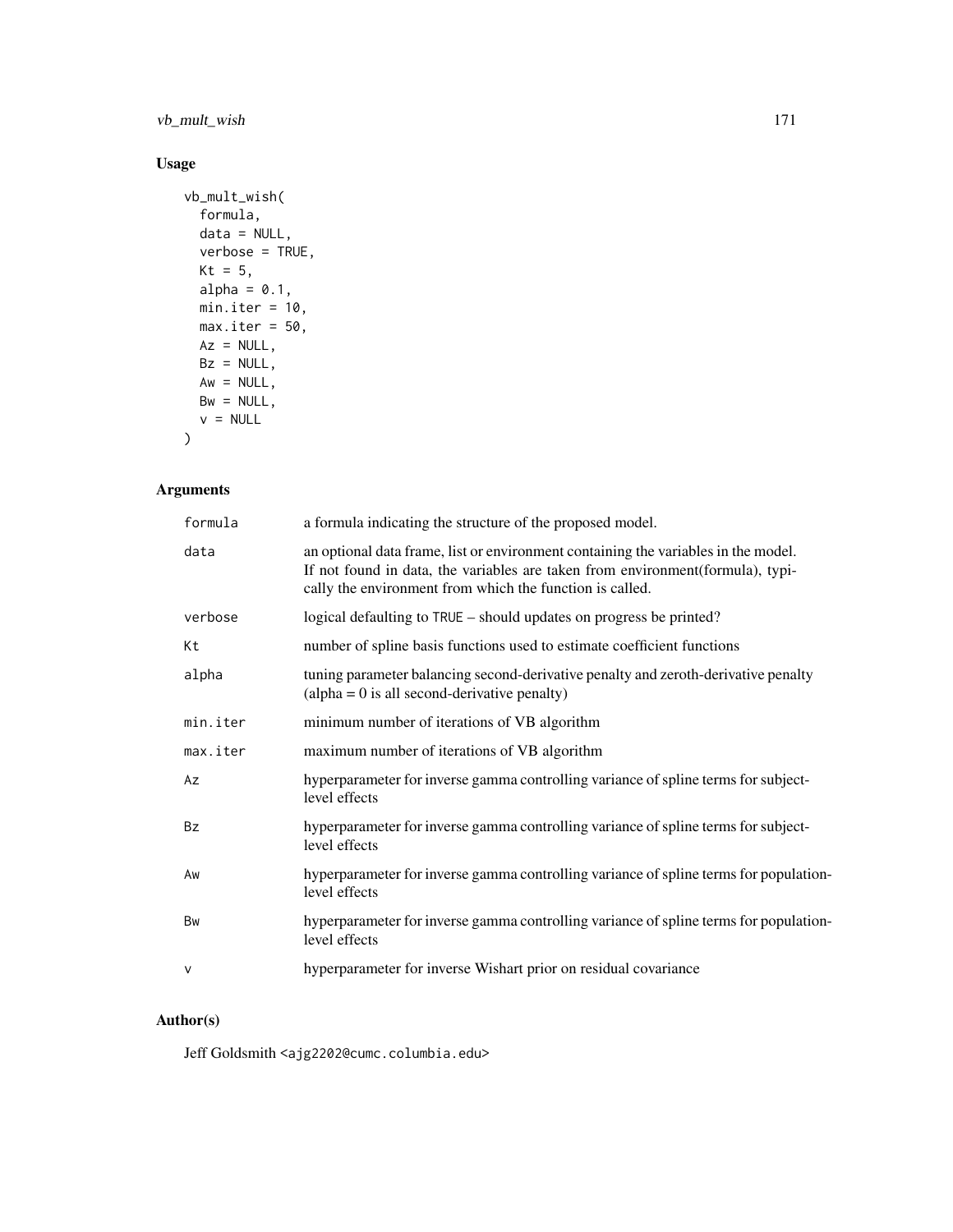vb\_mult\_wish 171

# Usage

```
vb_mult_wish(
 formula,
 data = NULL,verbose = TRUE,
 Kt = 5,
 alpha = 0.1,
 min.iter = 10,
 max.iter = 50,
 Az = NULL,Bz = NULL,Aw = NULL,Bw = NULL,v = NULL)
```
# Arguments

| formula  | a formula indicating the structure of the proposed model.                                                                                                                                                                        |
|----------|----------------------------------------------------------------------------------------------------------------------------------------------------------------------------------------------------------------------------------|
| data     | an optional data frame, list or environment containing the variables in the model.<br>If not found in data, the variables are taken from environment(formula), typi-<br>cally the environment from which the function is called. |
| verbose  | logical defaulting to TRUE - should updates on progress be printed?                                                                                                                                                              |
| Кt       | number of spline basis functions used to estimate coefficient functions                                                                                                                                                          |
| alpha    | tuning parameter balancing second-derivative penalty and zeroth-derivative penalty<br>$\alpha$ (alpha = 0 is all second-derivative penalty)                                                                                      |
| min.iter | minimum number of iterations of VB algorithm                                                                                                                                                                                     |
| max.iter | maximum number of iterations of VB algorithm                                                                                                                                                                                     |
| Az       | hyperparameter for inverse gamma controlling variance of spline terms for subject-<br>level effects                                                                                                                              |
| Bz       | hyperparameter for inverse gamma controlling variance of spline terms for subject-<br>level effects                                                                                                                              |
| Aw       | hyperparameter for inverse gamma controlling variance of spline terms for population-<br>level effects                                                                                                                           |
| Bw       | hyperparameter for inverse gamma controlling variance of spline terms for population-<br>level effects                                                                                                                           |
| $\vee$   | hyperparameter for inverse Wishart prior on residual covariance                                                                                                                                                                  |

# Author(s)

Jeff Goldsmith <ajg2202@cumc.columbia.edu>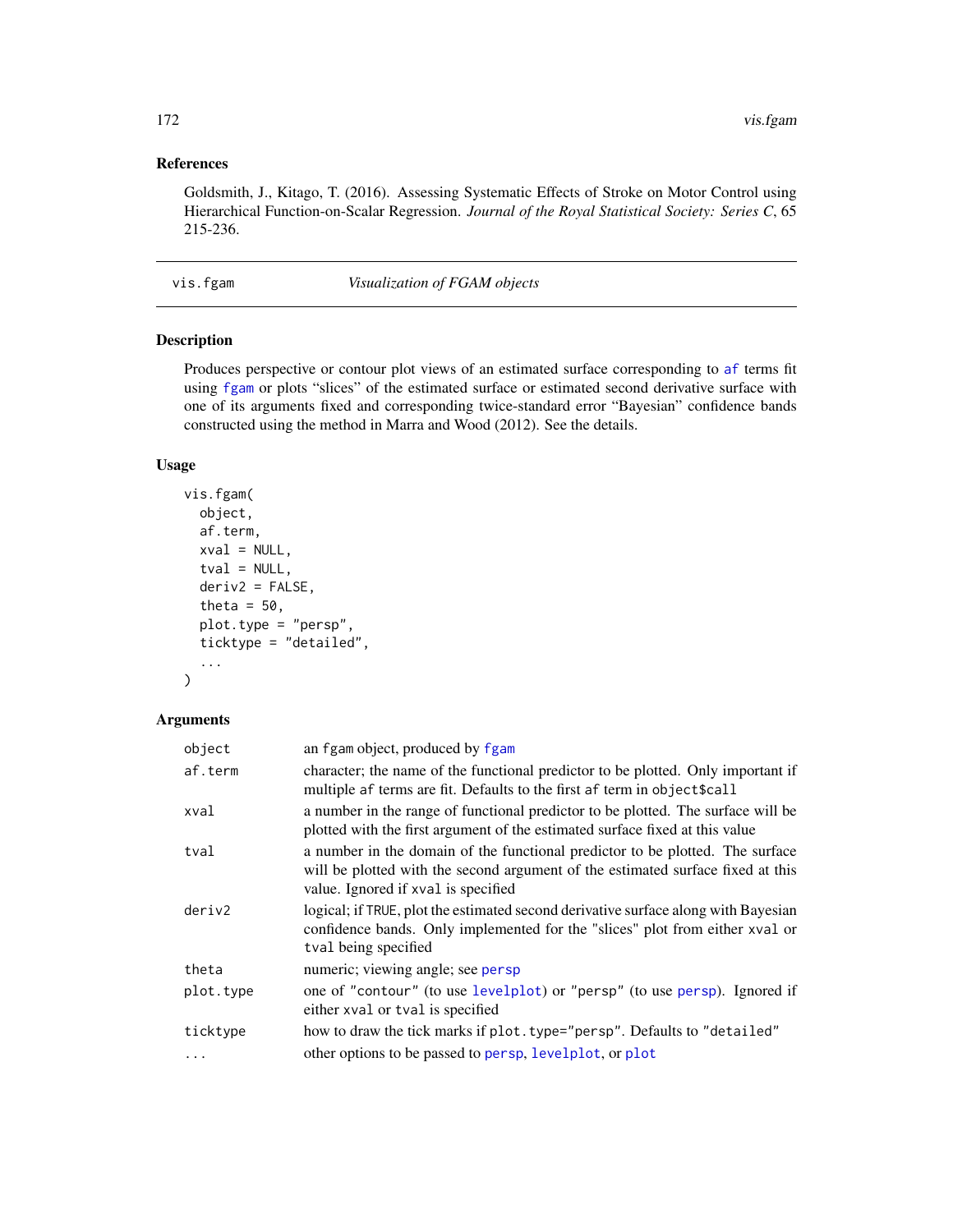# <span id="page-171-0"></span>References

Goldsmith, J., Kitago, T. (2016). Assessing Systematic Effects of Stroke on Motor Control using Hierarchical Function-on-Scalar Regression. *Journal of the Royal Statistical Society: Series C*, 65 215-236.

vis.fgam *Visualization of FGAM objects*

#### Description

Produces perspective or contour plot views of an estimated surface corresponding to [af](#page-4-0) terms fit using [fgam](#page-31-0) or plots "slices" of the estimated surface or estimated second derivative surface with one of its arguments fixed and corresponding twice-standard error "Bayesian" confidence bands constructed using the method in Marra and Wood (2012). See the details.

# Usage

```
vis.fgam(
  object,
  af.term,
  xval = NULL,tval = NULL,deriv2 = FALSE,
  theta = 50,
  plot.type = "persp",
  ticktype = "detailed",
  ...
\mathcal{L}
```
# Arguments

| object    | an fgam object, produced by fgam                                                                                                                                                                        |
|-----------|---------------------------------------------------------------------------------------------------------------------------------------------------------------------------------------------------------|
| af.term   | character; the name of the functional predictor to be plotted. Only important if<br>multiple af terms are fit. Defaults to the first af term in object \$call                                           |
| xval      | a number in the range of functional predictor to be plotted. The surface will be<br>plotted with the first argument of the estimated surface fixed at this value                                        |
| tval      | a number in the domain of the functional predictor to be plotted. The surface<br>will be plotted with the second argument of the estimated surface fixed at this<br>value. Ignored if xval is specified |
| deriv2    | logical; if TRUE, plot the estimated second derivative surface along with Bayesian<br>confidence bands. Only implemented for the "slices" plot from either xval or<br>tval being specified              |
| theta     | numeric; viewing angle; see persp                                                                                                                                                                       |
| plot.type | one of "contour" (to use levelplot) or "persp" (to use persp). Ignored if<br>either xval or tval is specified                                                                                           |
| ticktype  | how to draw the tick marks if plot.type="persp". Defaults to "detailed"                                                                                                                                 |
| $\cdots$  | other options to be passed to persp, levelplot, or plot                                                                                                                                                 |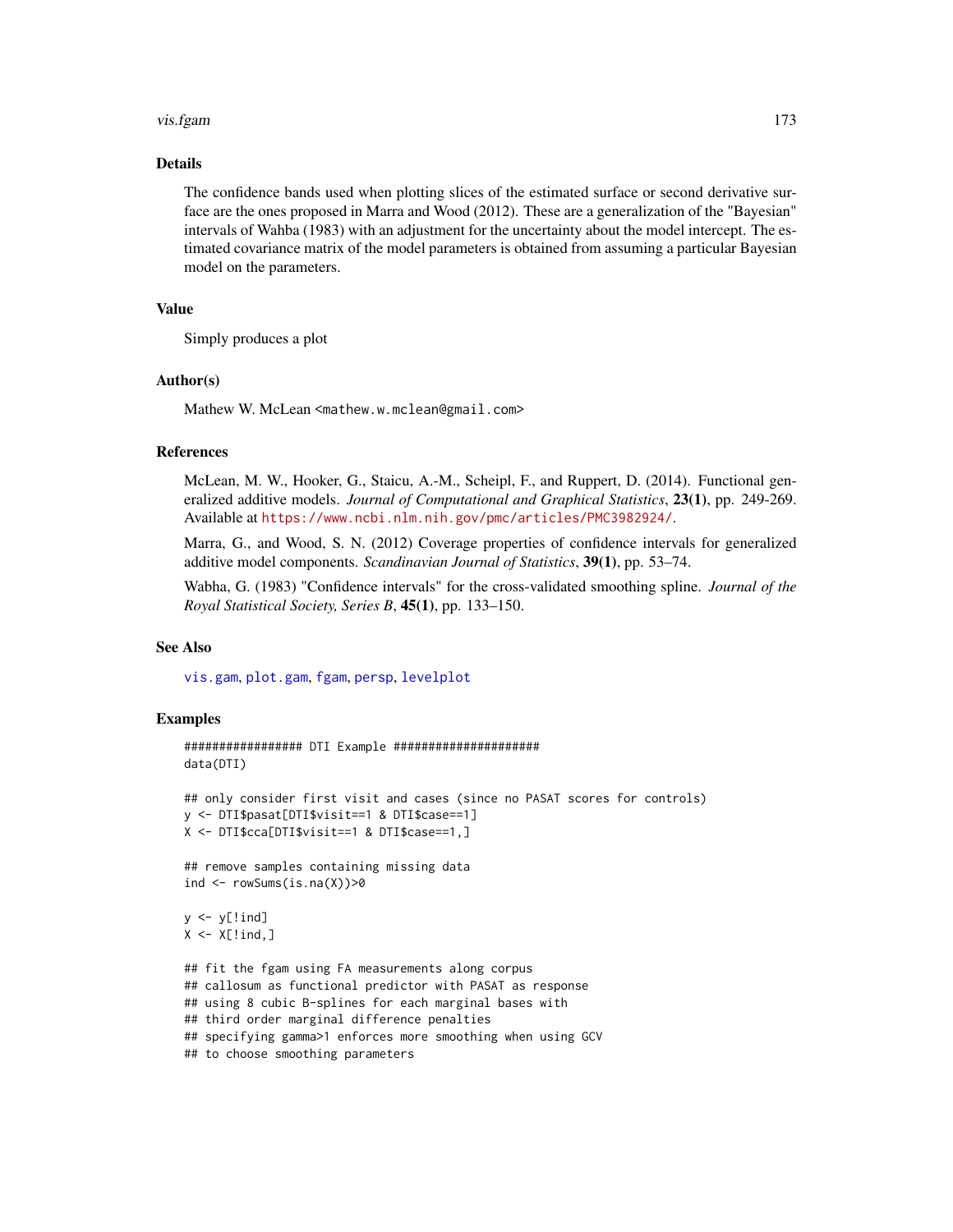#### <span id="page-172-0"></span>vis.fgam 173

# Details

The confidence bands used when plotting slices of the estimated surface or second derivative surface are the ones proposed in Marra and Wood (2012). These are a generalization of the "Bayesian" intervals of Wahba (1983) with an adjustment for the uncertainty about the model intercept. The estimated covariance matrix of the model parameters is obtained from assuming a particular Bayesian model on the parameters.

# Value

Simply produces a plot

#### Author(s)

Mathew W. McLean <mathew.w.mclean@gmail.com>

#### References

McLean, M. W., Hooker, G., Staicu, A.-M., Scheipl, F., and Ruppert, D. (2014). Functional generalized additive models. *Journal of Computational and Graphical Statistics*, 23(1), pp. 249-269. Available at <https://www.ncbi.nlm.nih.gov/pmc/articles/PMC3982924/>.

Marra, G., and Wood, S. N. (2012) Coverage properties of confidence intervals for generalized additive model components. *Scandinavian Journal of Statistics*, 39(1), pp. 53–74.

Wabha, G. (1983) "Confidence intervals" for the cross-validated smoothing spline. *Journal of the Royal Statistical Society, Series B*, 45(1), pp. 133–150.

#### See Also

[vis.gam](#page-0-0), [plot.gam](#page-0-0), [fgam](#page-31-0), [persp](#page-0-0), [levelplot](#page-0-0)

#### Examples

```
################# DTI Example #####################
data(DTI)
```

```
## only consider first visit and cases (since no PASAT scores for controls)
y <- DTI$pasat[DTI$visit==1 & DTI$case==1]
X <- DTI$cca[DTI$visit==1 & DTI$case==1,]
```
## remove samples containing missing data ind  $\leq$  rowSums(is.na(X))>0

```
y \leftarrow y[!ind]
X \leftarrow X[!ind,]
```

```
## fit the fgam using FA measurements along corpus
## callosum as functional predictor with PASAT as response
## using 8 cubic B-splines for each marginal bases with
## third order marginal difference penalties
## specifying gamma>1 enforces more smoothing when using GCV
## to choose smoothing parameters
```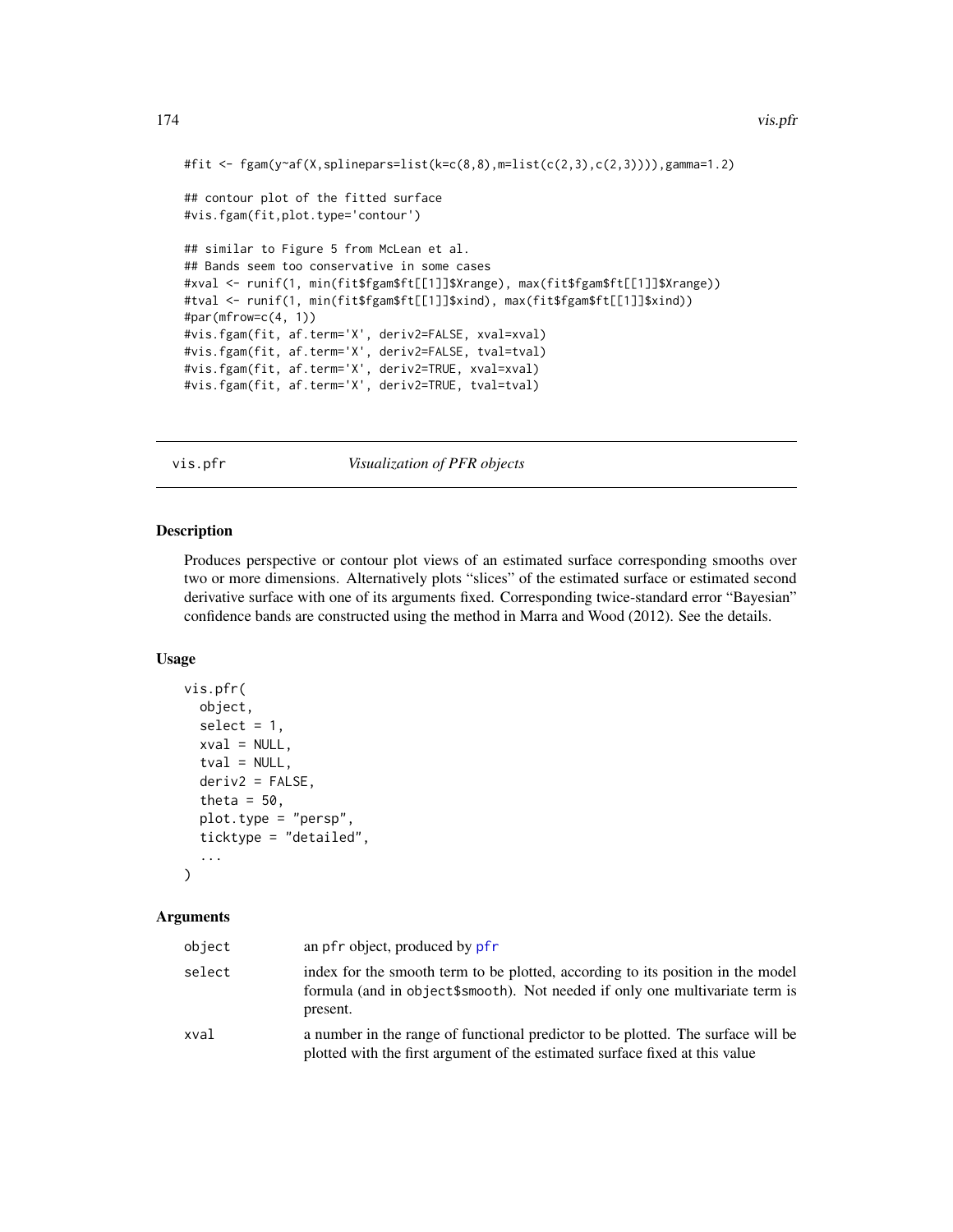```
#fit <- fgam(y~af(X,splinepars=list(k=c(8,8),m=list(c(2,3),c(2,3)))),gamma=1.2)
## contour plot of the fitted surface
#vis.fgam(fit,plot.type='contour')
## similar to Figure 5 from McLean et al.
## Bands seem too conservative in some cases
#xval <- runif(1, min(fit$fgam$ft[[1]]$Xrange), max(fit$fgam$ft[[1]]$Xrange))
#tval <- runif(1, min(fit$fgam$ft[[1]]$xind), max(fit$fgam$ft[[1]]$xind))
#par(mfrow=c(4, 1))
#vis.fgam(fit, af.term='X', deriv2=FALSE, xval=xval)
#vis.fgam(fit, af.term='X', deriv2=FALSE, tval=tval)
#vis.fgam(fit, af.term='X', deriv2=TRUE, xval=xval)
#vis.fgam(fit, af.term='X', deriv2=TRUE, tval=tval)
```
vis.pfr *Visualization of PFR objects*

# Description

Produces perspective or contour plot views of an estimated surface corresponding smooths over two or more dimensions. Alternatively plots "slices" of the estimated surface or estimated second derivative surface with one of its arguments fixed. Corresponding twice-standard error "Bayesian" confidence bands are constructed using the method in Marra and Wood (2012). See the details.

# Usage

```
vis.pfr(
  object,
  select = 1,
  xval = NULL,tval = NULL,deriv2 = FALSE,
  theta = 50,
  plot.type = "persp",
  ticktype = "detailed",
  ...
\mathcal{L}
```
#### **Arguments**

| object | an pfr object, produced by pfr                                                                                                                                              |
|--------|-----------------------------------------------------------------------------------------------------------------------------------------------------------------------------|
| select | index for the smooth term to be plotted, according to its position in the model<br>formula (and in object\$smooth). Not needed if only one multivariate term is<br>present. |
| xval   | a number in the range of functional predictor to be plotted. The surface will be<br>plotted with the first argument of the estimated surface fixed at this value            |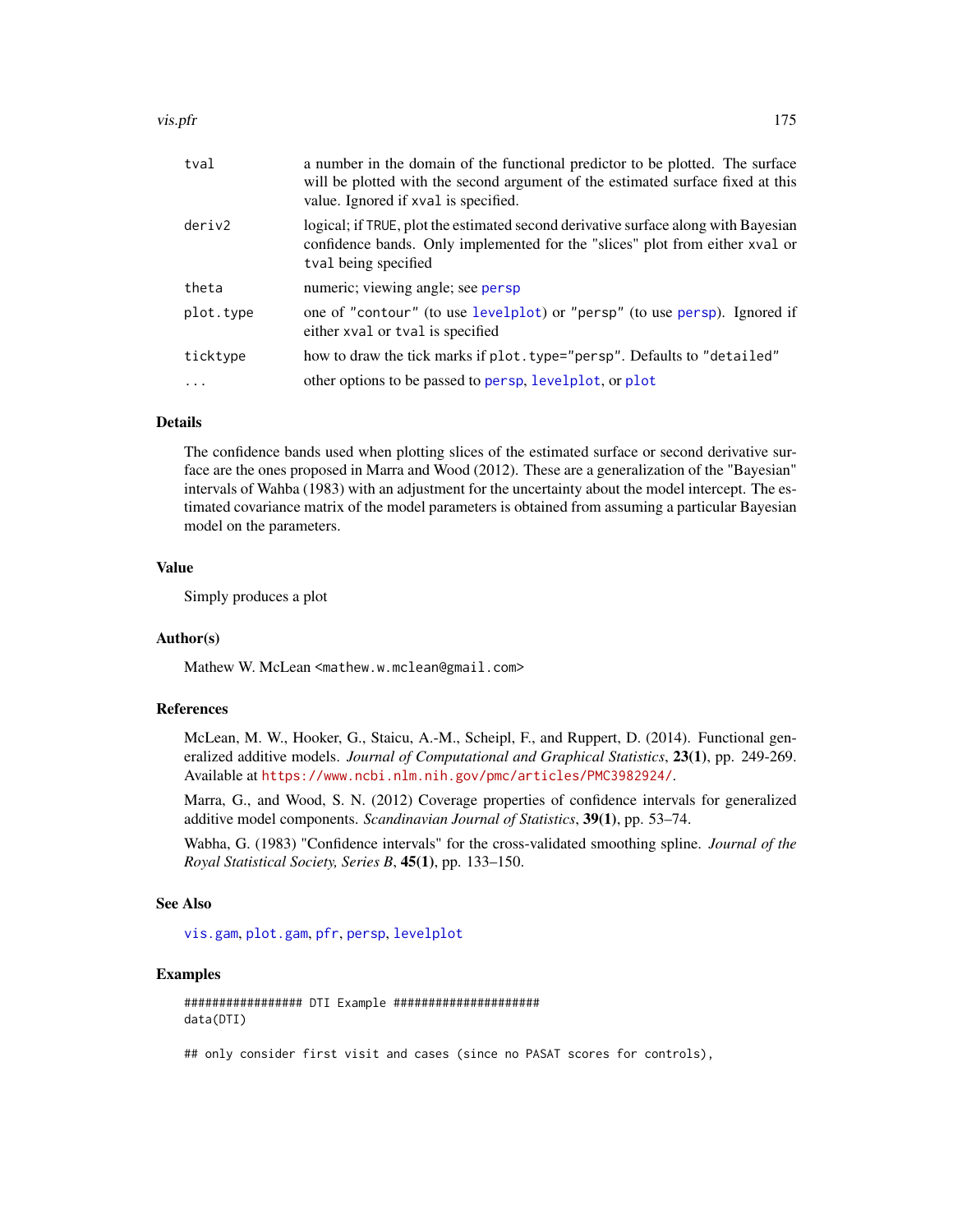#### <span id="page-174-0"></span>vis.pfr 175

| tval      | a number in the domain of the functional predictor to be plotted. The surface<br>will be plotted with the second argument of the estimated surface fixed at this<br>value. Ignored if xval is specified. |
|-----------|----------------------------------------------------------------------------------------------------------------------------------------------------------------------------------------------------------|
| deriv2    | logical; if TRUE, plot the estimated second derivative surface along with Bayesian<br>confidence bands. Only implemented for the "slices" plot from either xval or<br>tval being specified               |
| theta     | numeric; viewing angle; see persp                                                                                                                                                                        |
| plot.type | one of "contour" (to use levelplot) or "persp" (to use persp). Ignored if<br>either xval or tval is specified                                                                                            |
| ticktype  | how to draw the tick marks if plot. type="persp". Defaults to "detailed"                                                                                                                                 |
| $\cdot$   | other options to be passed to persp, levelplot, or plot                                                                                                                                                  |
|           |                                                                                                                                                                                                          |

### Details

The confidence bands used when plotting slices of the estimated surface or second derivative surface are the ones proposed in Marra and Wood (2012). These are a generalization of the "Bayesian" intervals of Wahba (1983) with an adjustment for the uncertainty about the model intercept. The estimated covariance matrix of the model parameters is obtained from assuming a particular Bayesian model on the parameters.

# Value

Simply produces a plot

# Author(s)

Mathew W. McLean <mathew.w.mclean@gmail.com>

#### References

McLean, M. W., Hooker, G., Staicu, A.-M., Scheipl, F., and Ruppert, D. (2014). Functional generalized additive models. *Journal of Computational and Graphical Statistics*, 23(1), pp. 249-269. Available at <https://www.ncbi.nlm.nih.gov/pmc/articles/PMC3982924/>.

Marra, G., and Wood, S. N. (2012) Coverage properties of confidence intervals for generalized additive model components. *Scandinavian Journal of Statistics*, 39(1), pp. 53–74.

Wabha, G. (1983) "Confidence intervals" for the cross-validated smoothing spline. *Journal of the Royal Statistical Society, Series B*, 45(1), pp. 133–150.

### See Also

[vis.gam](#page-0-0), [plot.gam](#page-0-0), [pfr](#page-116-0), [persp](#page-0-0), [levelplot](#page-0-0)

#### Examples

################# DTI Example ##################### data(DTI)

## only consider first visit and cases (since no PASAT scores for controls),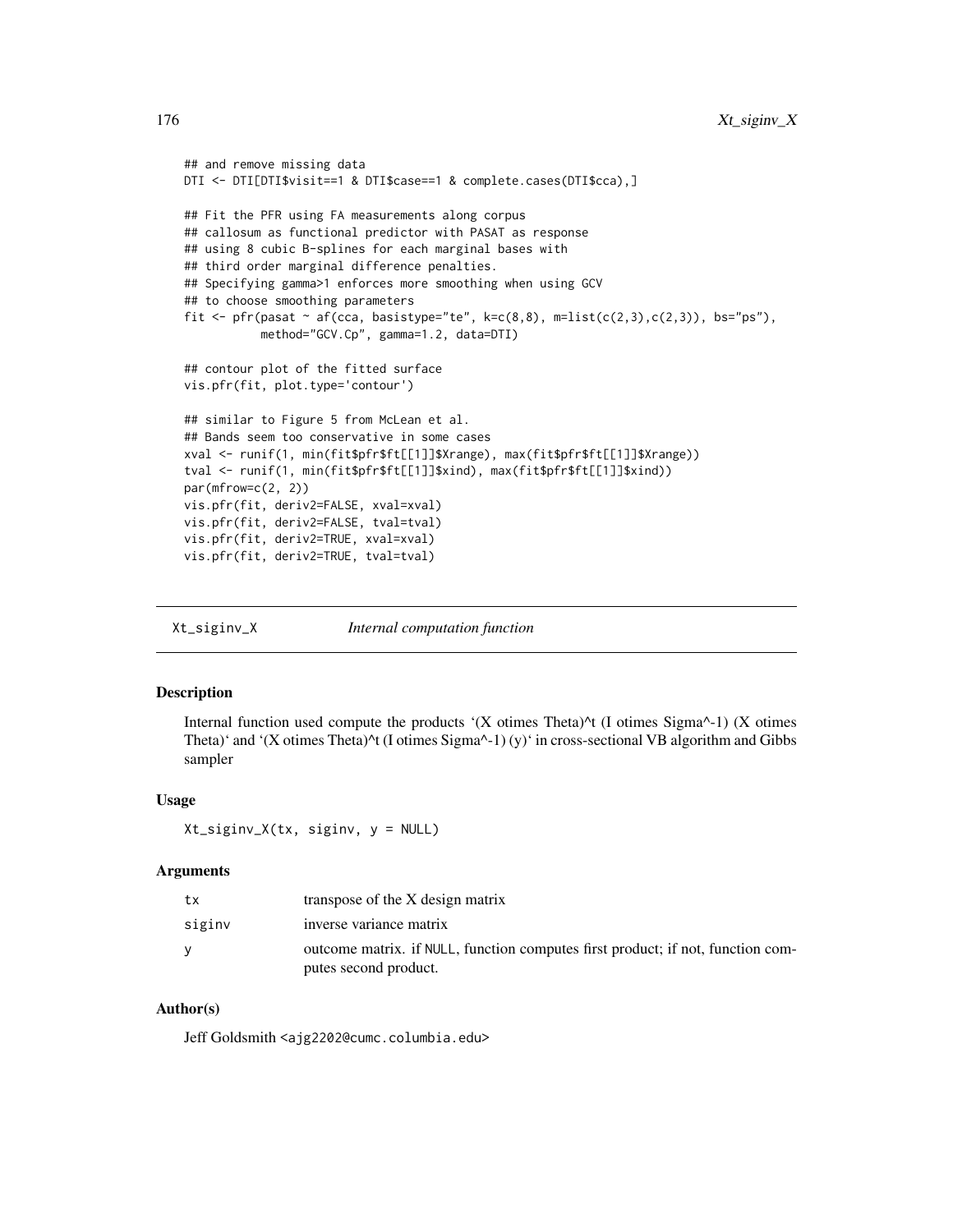```
## and remove missing data
DTI <- DTI[DTI$visit==1 & DTI$case==1 & complete.cases(DTI$cca),]
## Fit the PFR using FA measurements along corpus
## callosum as functional predictor with PASAT as response
## using 8 cubic B-splines for each marginal bases with
## third order marginal difference penalties.
## Specifying gamma>1 enforces more smoothing when using GCV
## to choose smoothing parameters
fit \leq pfr(pasat \sim af(cca, basistype="te", k=c(8,8), m=list(c(2,3),c(2,3)), bs="ps"),
           method="GCV.Cp", gamma=1.2, data=DTI)
## contour plot of the fitted surface
vis.pfr(fit, plot.type='contour')
## similar to Figure 5 from McLean et al.
## Bands seem too conservative in some cases
xval <- runif(1, min(fit$pfr$ft[[1]]$Xrange), max(fit$pfr$ft[[1]]$Xrange))
tval <- runif(1, min(fit$pfr$ft[[1]]$xind), max(fit$pfr$ft[[1]]$xind))
par(mfrow=c(2, 2))
vis.pfr(fit, deriv2=FALSE, xval=xval)
vis.pfr(fit, deriv2=FALSE, tval=tval)
vis.pfr(fit, deriv2=TRUE, xval=xval)
vis.pfr(fit, deriv2=TRUE, tval=tval)
```
Xt\_siginv\_X *Internal computation function*

### **Description**

Internal function used compute the products '(X otimes Theta)<sup> $\wedge$ </sup> (I otimes Sigma $\wedge$ -1) (X otimes Theta)' and '(X otimes Theta)<sup> $\lambda$ </sup>t (I otimes Sigma $\lambda$ -1) (y)' in cross-sectional VB algorithm and Gibbs sampler

#### Usage

Xt\_siginv\_X(tx, siginv, y = NULL)

# Arguments

| tx     | transpose of the X design matrix                                                |
|--------|---------------------------------------------------------------------------------|
| siginy | inverse variance matrix                                                         |
|        | outcome matrix. if NULL, function computes first product; if not, function com- |
|        | putes second product.                                                           |

# Author(s)

Jeff Goldsmith <ajg2202@cumc.columbia.edu>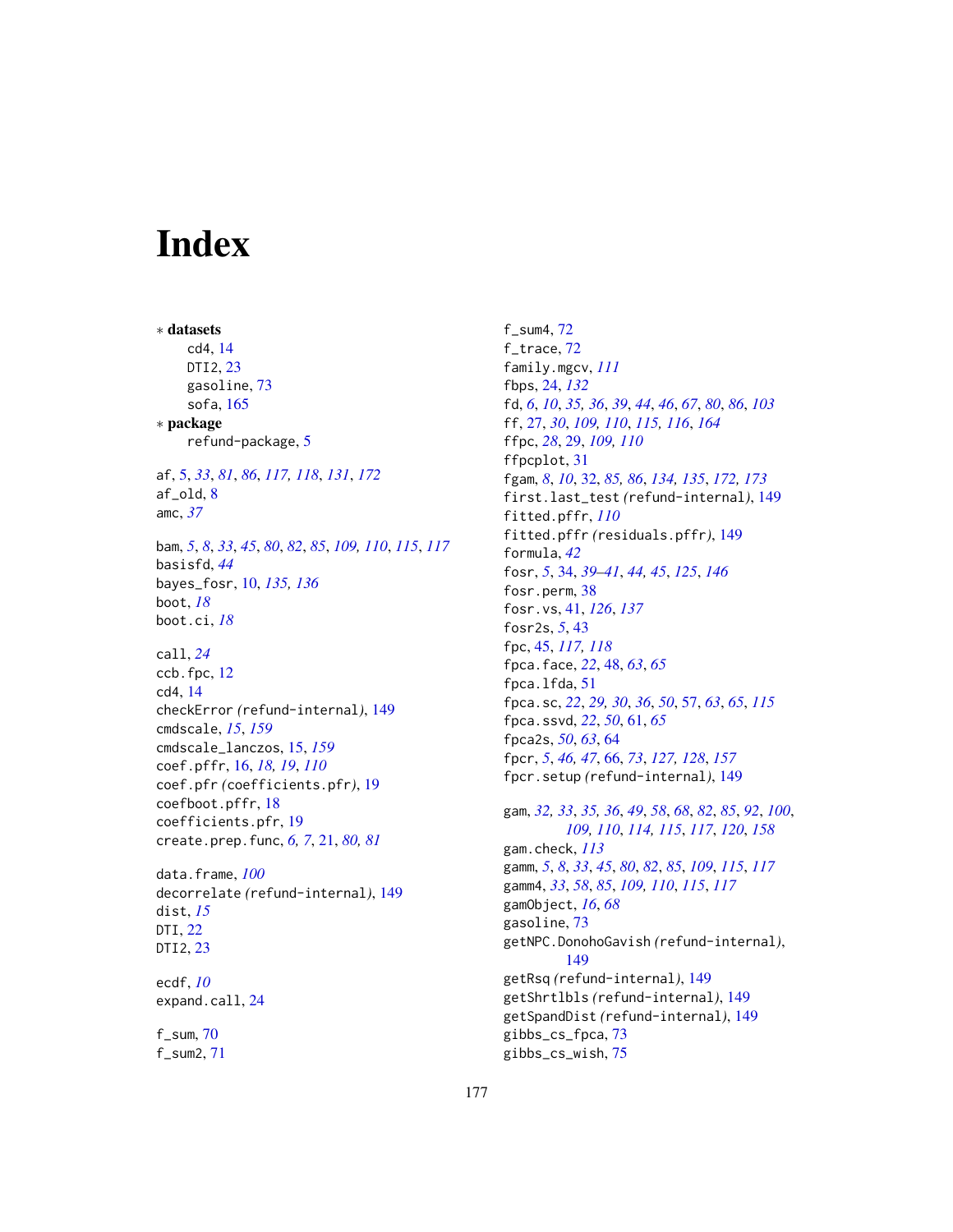# **Index**

∗ datasets cd4, [14](#page-13-0) DTI2, [23](#page-22-0) gasoline, [73](#page-72-0) sofa, [165](#page-164-0) ∗ package refund-package, [5](#page-4-1) af, [5,](#page-4-1) *[33](#page-32-0)*, *[81](#page-80-0)*, *[86](#page-85-0)*, *[117,](#page-116-1) [118](#page-117-0)*, *[131](#page-130-0)*, *[172](#page-171-0)* af\_old, [8](#page-7-0) amc, *[37](#page-36-0)* bam, *[5](#page-4-1)*, *[8](#page-7-0)*, *[33](#page-32-0)*, *[45](#page-44-0)*, *[80](#page-79-0)*, *[82](#page-81-0)*, *[85](#page-84-0)*, *[109,](#page-108-1) [110](#page-109-0)*, *[115](#page-114-0)*, *[117](#page-116-1)* basisfd, *[44](#page-43-0)* bayes\_fosr, [10,](#page-9-0) *[135,](#page-134-0) [136](#page-135-0)* boot, *[18](#page-17-0)* boot.ci, *[18](#page-17-0)* call, *[24](#page-23-0)* ccb.fpc, [12](#page-11-0) cd4, [14](#page-13-0) checkError *(*refund-internal*)*, [149](#page-148-0) cmdscale, *[15](#page-14-1)*, *[159](#page-158-0)* cmdscale\_lanczos, [15,](#page-14-1) *[159](#page-158-0)* coef.pffr, [16,](#page-15-0) *[18,](#page-17-0) [19](#page-18-0)*, *[110](#page-109-0)* coef.pfr *(*coefficients.pfr*)*, [19](#page-18-0) coefboot.pffr, [18](#page-17-0) coefficients.pfr, [19](#page-18-0) create.prep.func, *[6,](#page-5-0) [7](#page-6-0)*, [21,](#page-20-0) *[80,](#page-79-0) [81](#page-80-0)* data.frame, *[100](#page-99-0)* decorrelate *(*refund-internal*)*, [149](#page-148-0) dist, *[15](#page-14-1)* DTI, [22](#page-21-0) DTI2, [23](#page-22-0) ecdf, *[10](#page-9-0)* expand.call, [24](#page-23-0)

f\_sum, [70](#page-69-0) f\_sum2, [71](#page-70-0) f\_sum4, [72](#page-71-0) f\_trace, [72](#page-71-0) family.mgcv, *[111](#page-110-0)* fbps, [24,](#page-23-0) *[132](#page-131-0)* fd, *[6](#page-5-0)*, *[10](#page-9-0)*, *[35,](#page-34-0) [36](#page-35-0)*, *[39](#page-38-0)*, *[44](#page-43-0)*, *[46](#page-45-0)*, *[67](#page-66-0)*, *[80](#page-79-0)*, *[86](#page-85-0)*, *[103](#page-102-1)* ff, [27,](#page-26-1) *[30](#page-29-0)*, *[109,](#page-108-1) [110](#page-109-0)*, *[115,](#page-114-0) [116](#page-115-0)*, *[164](#page-163-0)* ffpc, *[28](#page-27-0)*, [29,](#page-28-0) *[109,](#page-108-1) [110](#page-109-0)* ffpcplot, [31](#page-30-0) fgam, *[8](#page-7-0)*, *[10](#page-9-0)*, [32,](#page-31-1) *[85,](#page-84-0) [86](#page-85-0)*, *[134,](#page-133-0) [135](#page-134-0)*, *[172,](#page-171-0) [173](#page-172-0)* first.last\_test *(*refund-internal*)*, [149](#page-148-0) fitted.pffr, *[110](#page-109-0)* fitted.pffr *(*residuals.pffr*)*, [149](#page-148-0) formula, *[42](#page-41-0)* fosr, *[5](#page-4-1)*, [34,](#page-33-1) *[39](#page-38-0)[–41](#page-40-0)*, *[44,](#page-43-0) [45](#page-44-0)*, *[125](#page-124-0)*, *[146](#page-145-0)* fosr.perm, [38](#page-37-0) fosr.vs, [41,](#page-40-0) *[126](#page-125-0)*, *[137](#page-136-0)* fosr2s, *[5](#page-4-1)*, [43](#page-42-0) fpc, [45,](#page-44-0) *[117,](#page-116-1) [118](#page-117-0)* fpca.face, *[22](#page-21-0)*, [48,](#page-47-0) *[63](#page-62-0)*, *[65](#page-64-0)* fpca.lfda, [51](#page-50-0) fpca.sc, *[22](#page-21-0)*, *[29,](#page-28-0) [30](#page-29-0)*, *[36](#page-35-0)*, *[50](#page-49-0)*, [57,](#page-56-0) *[63](#page-62-0)*, *[65](#page-64-0)*, *[115](#page-114-0)* fpca.ssvd, *[22](#page-21-0)*, *[50](#page-49-0)*, [61,](#page-60-0) *[65](#page-64-0)* fpca2s, *[50](#page-49-0)*, *[63](#page-62-0)*, [64](#page-63-0) fpcr, *[5](#page-4-1)*, *[46,](#page-45-0) [47](#page-46-0)*, [66,](#page-65-1) *[73](#page-72-0)*, *[127,](#page-126-0) [128](#page-127-0)*, *[157](#page-156-0)* fpcr.setup *(*refund-internal*)*, [149](#page-148-0) gam, *[32,](#page-31-1) [33](#page-32-0)*, *[35,](#page-34-0) [36](#page-35-0)*, *[49](#page-48-0)*, *[58](#page-57-0)*, *[68](#page-67-0)*, *[82](#page-81-0)*, *[85](#page-84-0)*, *[92](#page-91-0)*, *[100](#page-99-0)*, *[109,](#page-108-1) [110](#page-109-0)*, *[114,](#page-113-0) [115](#page-114-0)*, *[117](#page-116-1)*, *[120](#page-119-0)*, *[158](#page-157-0)* gam.check, *[113](#page-112-0)* gamm, *[5](#page-4-1)*, *[8](#page-7-0)*, *[33](#page-32-0)*, *[45](#page-44-0)*, *[80](#page-79-0)*, *[82](#page-81-0)*, *[85](#page-84-0)*, *[109](#page-108-1)*, *[115](#page-114-0)*, *[117](#page-116-1)* gamm4, *[33](#page-32-0)*, *[58](#page-57-0)*, *[85](#page-84-0)*, *[109,](#page-108-1) [110](#page-109-0)*, *[115](#page-114-0)*, *[117](#page-116-1)*

getNPC.DonohoGavish *(*refund-internal*)*,

gamObject, *[16](#page-15-0)*, *[68](#page-67-0)* gasoline, [73](#page-72-0)

[149](#page-148-0)

gibbs\_cs\_fpca, [73](#page-72-0) gibbs\_cs\_wish, [75](#page-74-0)

getRsq *(*refund-internal*)*, [149](#page-148-0) getShrtlbls *(*refund-internal*)*, [149](#page-148-0) getSpandDist *(*refund-internal*)*, [149](#page-148-0)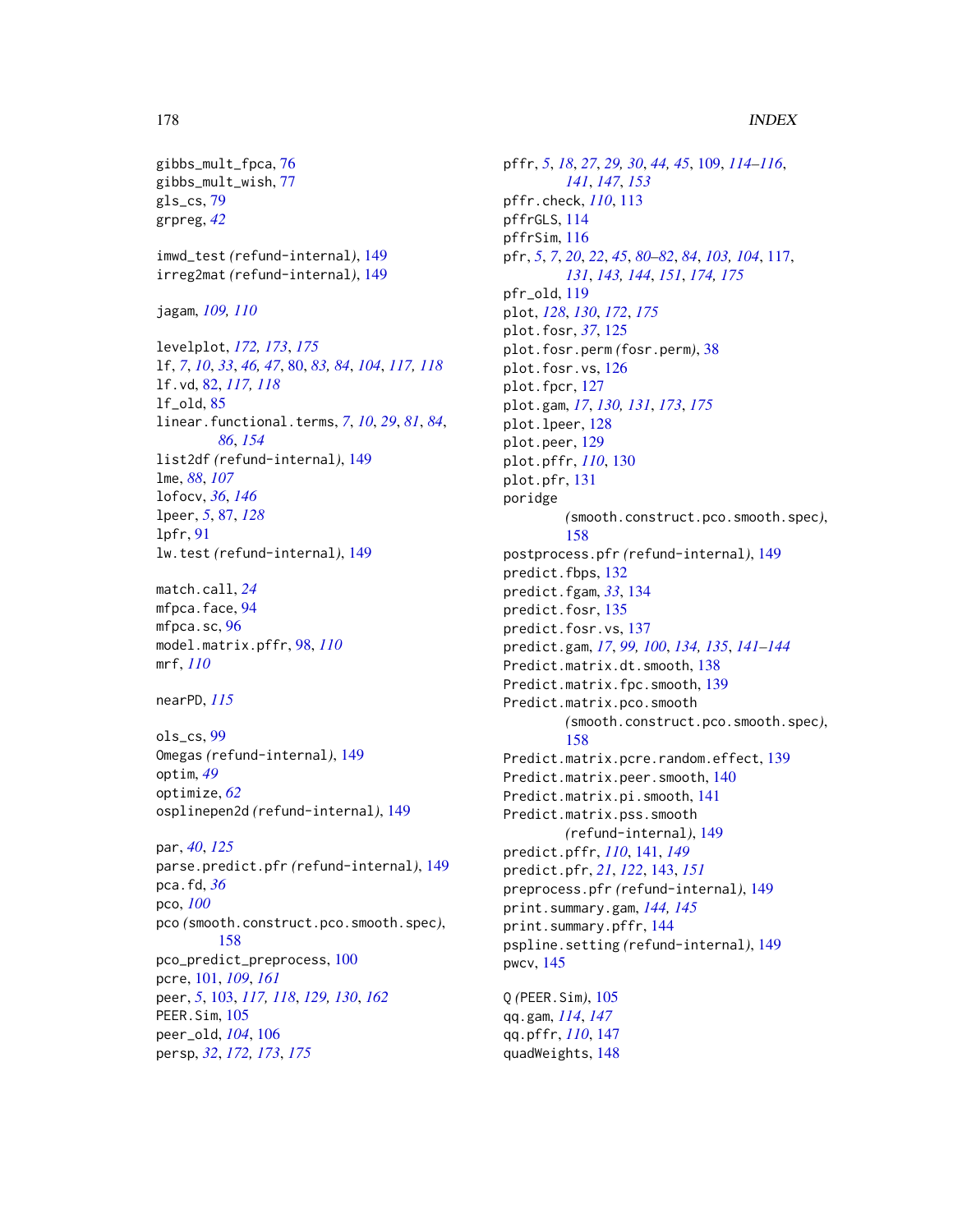#### 178 **INDEX**

```
gibbs_mult_fpca, 76
gibbs_mult_wish, 77
gls_cs, 79
grpreg, 42
```
imwd\_test *(*refund-internal*)*, [149](#page-148-0) irreg2mat *(*refund-internal*)*, [149](#page-148-0)

jagam, *[109,](#page-108-1) [110](#page-109-0)*

levelplot, *[172,](#page-171-0) [173](#page-172-0)*, *[175](#page-174-0)* lf, *[7](#page-6-0)*, *[10](#page-9-0)*, *[33](#page-32-0)*, *[46,](#page-45-0) [47](#page-46-0)*, [80,](#page-79-0) *[83,](#page-82-0) [84](#page-83-0)*, *[104](#page-103-0)*, *[117,](#page-116-1) [118](#page-117-0)* lf.vd, [82,](#page-81-0) *[117,](#page-116-1) [118](#page-117-0)* lf\_old, [85](#page-84-0) linear.functional.terms, *[7](#page-6-0)*, *[10](#page-9-0)*, *[29](#page-28-0)*, *[81](#page-80-0)*, *[84](#page-83-0)*, *[86](#page-85-0)*, *[154](#page-153-0)* list2df *(*refund-internal*)*, [149](#page-148-0) lme, *[88](#page-87-0)*, *[107](#page-106-0)* lofocv, *[36](#page-35-0)*, *[146](#page-145-0)* lpeer, *[5](#page-4-1)*, [87,](#page-86-0) *[128](#page-127-0)* lpfr, [91](#page-90-0) lw.test *(*refund-internal*)*, [149](#page-148-0)

match.call, *[24](#page-23-0)* mfpca.face, [94](#page-93-0) mfpca.sc, [96](#page-95-0) model.matrix.pffr, [98,](#page-97-0) *[110](#page-109-0)* mrf, *[110](#page-109-0)*

nearPD, *[115](#page-114-0)*

ols\_cs, [99](#page-98-0) Omegas *(*refund-internal*)*, [149](#page-148-0) optim, *[49](#page-48-0)* optimize, *[62](#page-61-0)* osplinepen2d *(*refund-internal*)*, [149](#page-148-0)

par, *[40](#page-39-0)*, *[125](#page-124-0)* parse.predict.pfr *(*refund-internal*)*, [149](#page-148-0) pca.fd, *[36](#page-35-0)* pco, *[100](#page-99-0)* pco *(*smooth.construct.pco.smooth.spec*)*, [158](#page-157-0) pco\_predict\_preprocess, [100](#page-99-0) pcre, [101,](#page-100-1) *[109](#page-108-1)*, *[161](#page-160-0)* peer, *[5](#page-4-1)*, [103,](#page-102-1) *[117,](#page-116-1) [118](#page-117-0)*, *[129,](#page-128-0) [130](#page-129-0)*, *[162](#page-161-0)* PEER.Sim, [105](#page-104-0) peer\_old, *[104](#page-103-0)*, [106](#page-105-0) persp, *[32](#page-31-1)*, *[172,](#page-171-0) [173](#page-172-0)*, *[175](#page-174-0)*

pffr, *[5](#page-4-1)*, *[18](#page-17-0)*, *[27](#page-26-1)*, *[29,](#page-28-0) [30](#page-29-0)*, *[44,](#page-43-0) [45](#page-44-0)*, [109,](#page-108-1) *[114](#page-113-0)[–116](#page-115-0)*, *[141](#page-140-1)*, *[147](#page-146-0)*, *[153](#page-152-0)* pffr.check, *[110](#page-109-0)*, [113](#page-112-0) pffrGLS, [114](#page-113-0) pffrSim, [116](#page-115-0) pfr, *[5](#page-4-1)*, *[7](#page-6-0)*, *[20](#page-19-0)*, *[22](#page-21-0)*, *[45](#page-44-0)*, *[80](#page-79-0)[–82](#page-81-0)*, *[84](#page-83-0)*, *[103,](#page-102-1) [104](#page-103-0)*, [117,](#page-116-1) *[131](#page-130-0)*, *[143,](#page-142-1) [144](#page-143-0)*, *[151](#page-150-0)*, *[174,](#page-173-0) [175](#page-174-0)* pfr\_old, [119](#page-118-0) plot, *[128](#page-127-0)*, *[130](#page-129-0)*, *[172](#page-171-0)*, *[175](#page-174-0)* plot.fosr, *[37](#page-36-0)*, [125](#page-124-0) plot.fosr.perm *(*fosr.perm*)*, [38](#page-37-0) plot.fosr.vs, [126](#page-125-0) plot.fpcr, [127](#page-126-0) plot.gam, *[17](#page-16-0)*, *[130,](#page-129-0) [131](#page-130-0)*, *[173](#page-172-0)*, *[175](#page-174-0)* plot.lpeer, [128](#page-127-0) plot.peer, [129](#page-128-0) plot.pffr, *[110](#page-109-0)*, [130](#page-129-0) plot.pfr, [131](#page-130-0) poridge *(*smooth.construct.pco.smooth.spec*)*, [158](#page-157-0) postprocess.pfr *(*refund-internal*)*, [149](#page-148-0) predict.fbps, [132](#page-131-0) predict.fgam, *[33](#page-32-0)*, [134](#page-133-0) predict.fosr, [135](#page-134-0) predict.fosr.vs, [137](#page-136-0) predict.gam, *[17](#page-16-0)*, *[99,](#page-98-0) [100](#page-99-0)*, *[134,](#page-133-0) [135](#page-134-0)*, *[141](#page-140-1)[–144](#page-143-0)* Predict.matrix.dt.smooth, [138](#page-137-0) Predict.matrix.fpc.smooth, [139](#page-138-0) Predict.matrix.pco.smooth *(*smooth.construct.pco.smooth.spec*)*, [158](#page-157-0) Predict.matrix.pcre.random.effect, [139](#page-138-0) Predict.matrix.peer.smooth, [140](#page-139-0) Predict.matrix.pi.smooth, [141](#page-140-1) Predict.matrix.pss.smooth *(*refund-internal*)*, [149](#page-148-0) predict.pffr, *[110](#page-109-0)*, [141,](#page-140-1) *[149](#page-148-0)* predict.pfr, *[21](#page-20-0)*, *[122](#page-121-0)*, [143,](#page-142-1) *[151](#page-150-0)* preprocess.pfr *(*refund-internal*)*, [149](#page-148-0) print.summary.gam, *[144,](#page-143-0) [145](#page-144-0)* print.summary.pffr, [144](#page-143-0) pspline.setting *(*refund-internal*)*, [149](#page-148-0) pwcv, [145](#page-144-0) Q *(*PEER.Sim*)*, [105](#page-104-0) qq.gam, *[114](#page-113-0)*, *[147](#page-146-0)*

qq.pffr, *[110](#page-109-0)*, [147](#page-146-0) quadWeights, [148](#page-147-0)